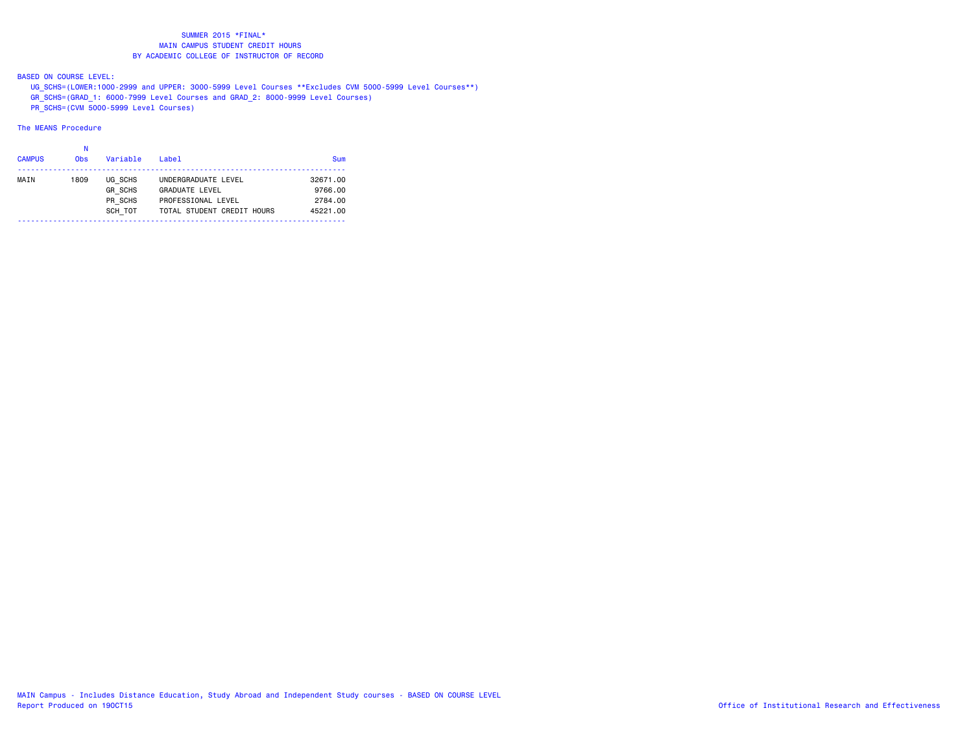BASED ON COURSE LEVEL:

UG\_SCHS=(LOWER:1000-2999 and UPPER: 3000-5999 Level Courses \*\*Excludes CVM 5000-5999 Level Courses\*\*)

GR\_SCHS=(GRAD\_1: 6000-7999 Level Courses and GRAD\_2: 8000-9999 Level Courses)

PR\_SCHS=(CVM 5000-5999 Level Courses)

# The MEANS Procedure

#### na na kaominina amin'ny fivondronan-kaominin'i No

| <b>CAMPUS</b> | 0 <sub>bs</sub> | Variable       | $I$ ahel                   | Sum      |
|---------------|-----------------|----------------|----------------------------|----------|
| MAIN          | 1809            | UG SCHS        | UNDERGRADUATE LEVEL        | 32671.00 |
|               |                 | <b>GR SCHS</b> | <b>GRADUATE LEVEL</b>      | 9766.00  |
|               |                 | PR SCHS        | PROFESSIONAL LEVEL         | 2784.00  |
|               |                 | SCH TOT        | TOTAL STUDENT CREDIT HOURS | 45221.00 |
|               |                 |                |                            |          |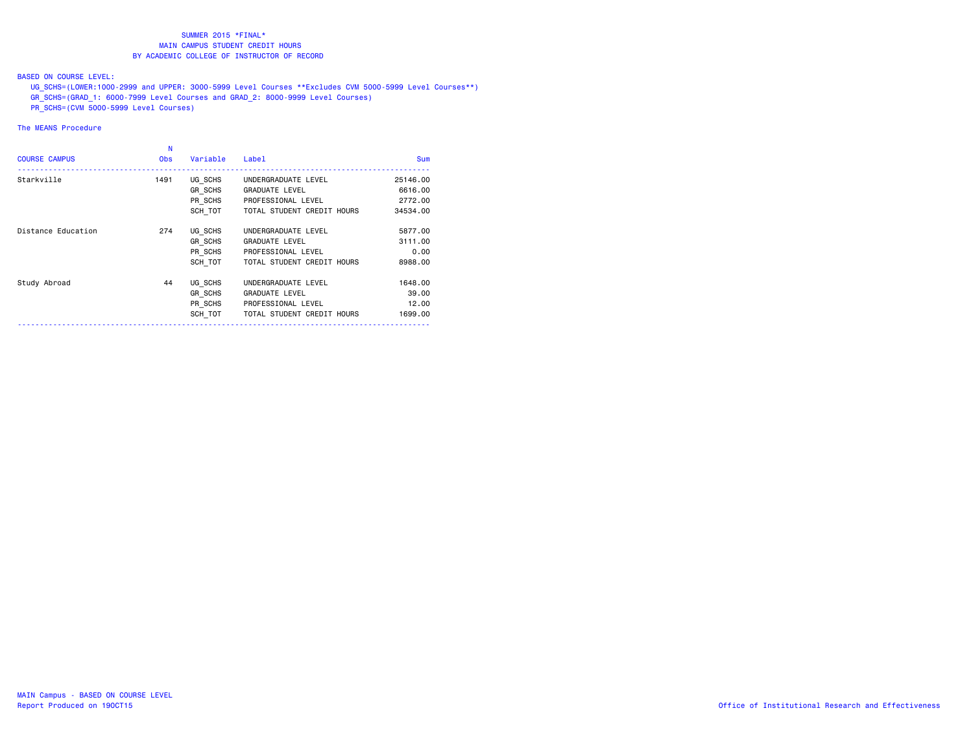### BASED ON COURSE LEVEL:

UG\_SCHS=(LOWER:1000-2999 and UPPER: 3000-5999 Level Courses \*\*Excludes CVM 5000-5999 Level Courses\*\*)

- GR\_SCHS=(GRAD\_1: 6000-7999 Level Courses and GRAD\_2: 8000-9999 Level Courses)
- PR\_SCHS=(CVM 5000-5999 Level Courses)

# The MEANS Procedure

| N<br><b>Obs</b> | Variable | Label                      | <b>Sum</b>                                                     |
|-----------------|----------|----------------------------|----------------------------------------------------------------|
| 1491            | UG SCHS  | UNDERGRADUATE LEVEL        | 25146.00                                                       |
|                 |          | <b>GRADUATE LEVEL</b>      | 6616,00                                                        |
|                 |          | PROFESSIONAL LEVEL         | 2772.00                                                        |
|                 |          | TOTAL STUDENT CREDIT HOURS | 34534.00                                                       |
| 274             | UG SCHS  | UNDERGRADUATE LEVEL        | 5877.00                                                        |
|                 | GR SCHS  | <b>GRADUATE LEVEL</b>      | 3111.00                                                        |
|                 |          | PROFESSIONAL LEVEL         | 0.00                                                           |
|                 |          | TOTAL STUDENT CREDIT HOURS | 8988.00                                                        |
| 44              | UG SCHS  | UNDERGRADUATE LEVEL        | 1648,00                                                        |
|                 | GR SCHS  | <b>GRADUATE LEVEL</b>      | 39,00                                                          |
|                 |          | PROFESSIONAL LEVEL         | 12.00                                                          |
|                 | SCH TOT  | TOTAL STUDENT CREDIT HOURS | 1699.00                                                        |
|                 |          |                            | GR SCHS<br>PR SCHS<br>SCH TOT<br>PR SCHS<br>SCH TOT<br>PR SCHS |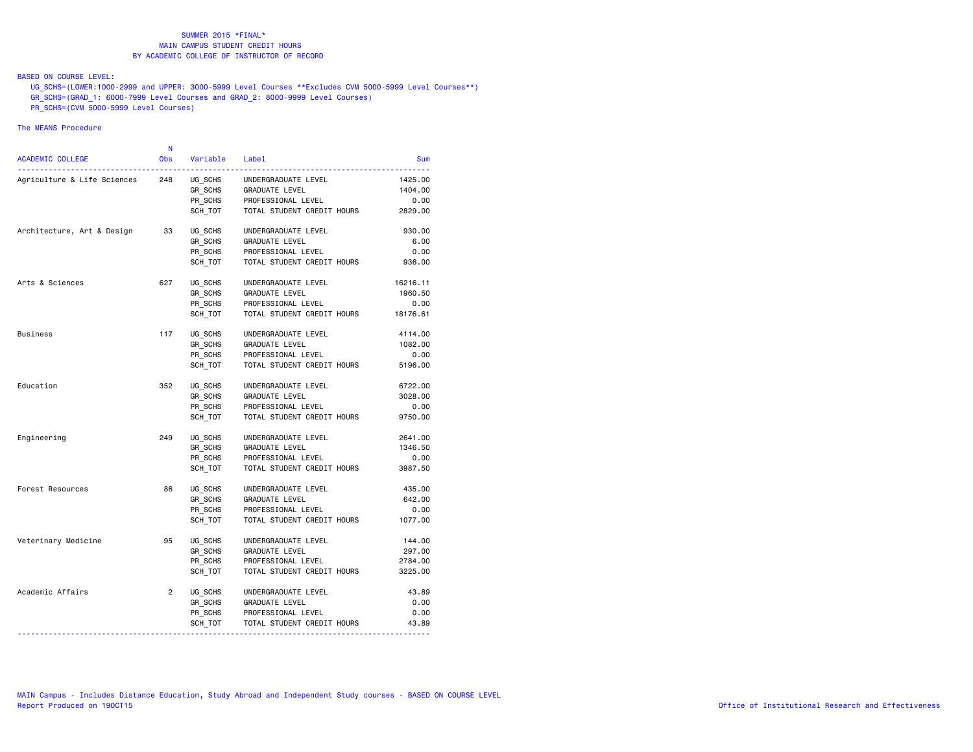### BASED ON COURSE LEVEL:

 UG\_SCHS=(LOWER:1000-2999 and UPPER: 3000-5999 Level Courses \*\*Excludes CVM 5000-5999 Level Courses\*\*) GR\_SCHS=(GRAD\_1: 6000-7999 Level Courses and GRAD\_2: 8000-9999 Level Courses)

PR\_SCHS=(CVM 5000-5999 Level Courses)

## The MEANS Procedure

| <b>ACADEMIC COLLEGE</b>     | N<br><b>Obs</b> | Variable | Label                      | <b>Sum</b> |
|-----------------------------|-----------------|----------|----------------------------|------------|
| Agriculture & Life Sciences | 248             | UG_SCHS  | UNDERGRADUATE LEVEL        | 1425.00    |
|                             |                 | GR SCHS  | GRADUATE LEVEL             | 1404.00    |
|                             |                 | PR SCHS  | PROFESSIONAL LEVEL         | 0.00       |
|                             |                 | SCH TOT  | TOTAL STUDENT CREDIT HOURS | 2829.00    |
| Architecture, Art & Design  | 33              | UG SCHS  | UNDERGRADUATE LEVEL        | 930.00     |
|                             |                 | GR SCHS  | <b>GRADUATE LEVEL</b>      | 6.00       |
|                             |                 | PR SCHS  | PROFESSIONAL LEVEL         | 0.00       |
|                             |                 | SCH TOT  | TOTAL STUDENT CREDIT HOURS | 936.00     |
| Arts & Sciences             | 627             | UG_SCHS  | UNDERGRADUATE LEVEL        | 16216.11   |
|                             |                 | GR SCHS  | <b>GRADUATE LEVEL</b>      | 1960.50    |
|                             |                 | PR SCHS  | PROFESSIONAL LEVEL         | 0.00       |
|                             |                 | SCH TOT  | TOTAL STUDENT CREDIT HOURS | 18176.61   |
| Business                    | 117             | UG SCHS  | UNDERGRADUATE LEVEL        | 4114.00    |
|                             |                 | GR SCHS  | GRADUATE LEVEL             | 1082.00    |
|                             |                 | PR SCHS  | PROFESSIONAL LEVEL         | 0.00       |
|                             |                 | SCH TOT  | TOTAL STUDENT CREDIT HOURS | 5196.00    |
| Education                   | 352             | UG SCHS  | UNDERGRADUATE LEVEL        | 6722.00    |
|                             |                 | GR SCHS  | GRADUATE LEVEL             | 3028.00    |
|                             |                 | PR SCHS  | PROFESSIONAL LEVEL         | 0.00       |
|                             |                 | SCH TOT  | TOTAL STUDENT CREDIT HOURS | 9750.00    |
| Engineering                 | 249             | UG SCHS  | UNDERGRADUATE LEVEL        | 2641.00    |
|                             |                 | GR_SCHS  | GRADUATE LEVEL             | 1346.50    |
|                             |                 | PR SCHS  | PROFESSIONAL LEVEL         | 0.00       |
|                             |                 | SCH TOT  | TOTAL STUDENT CREDIT HOURS | 3987.50    |
| Forest Resources            | 86              | UG SCHS  | UNDERGRADUATE LEVEL        | 435.00     |
|                             |                 | GR SCHS  | <b>GRADUATE LEVEL</b>      | 642.00     |
|                             |                 | PR_SCHS  | PROFESSIONAL LEVEL         | 0.00       |
|                             |                 | SCH TOT  | TOTAL STUDENT CREDIT HOURS | 1077.00    |
| Veterinary Medicine         | 95              | UG_SCHS  | UNDERGRADUATE LEVEL        | 144.00     |
|                             |                 | GR SCHS  | <b>GRADUATE LEVEL</b>      | 297,00     |
|                             |                 | PR SCHS  | PROFESSIONAL LEVEL         | 2784.00    |
|                             |                 | SCH TOT  | TOTAL STUDENT CREDIT HOURS | 3225.00    |
| Academic Affairs            | $\overline{2}$  | UG SCHS  | UNDERGRADUATE LEVEL        | 43.89      |
|                             |                 | GR SCHS  | GRADUATE LEVEL             | 0.00       |
|                             |                 | PR SCHS  | PROFESSIONAL LEVEL         | 0.00       |
|                             |                 | SCH_TOT  | TOTAL STUDENT CREDIT HOURS | 43.89      |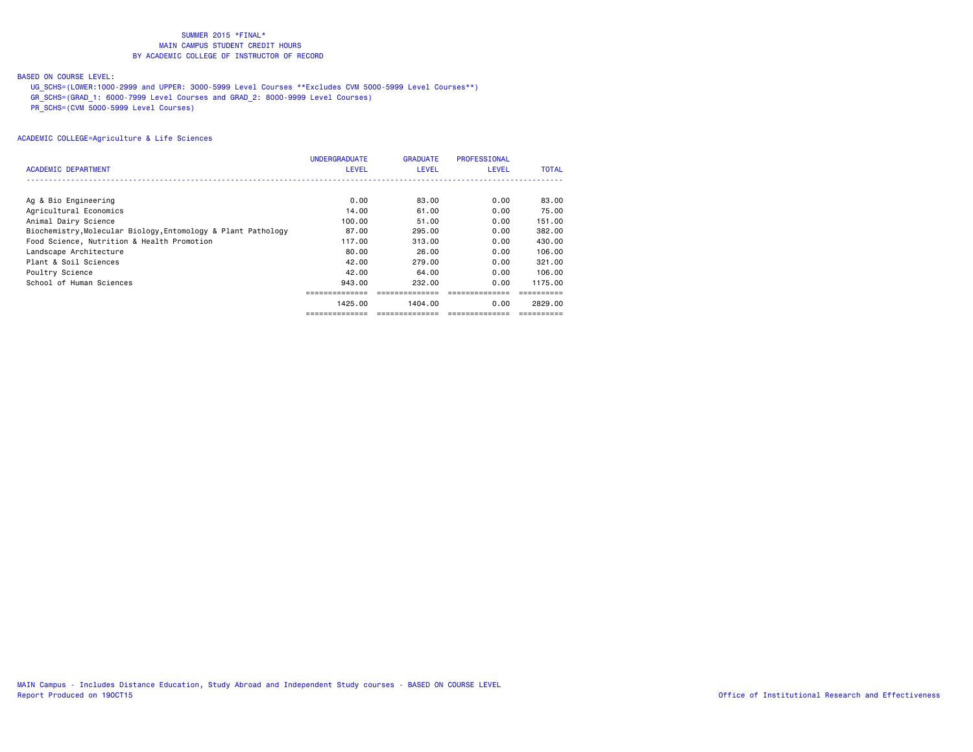#### BASED ON COURSE LEVEL:

- UG\_SCHS=(LOWER:1000-2999 and UPPER: 3000-5999 Level Courses \*\*Excludes CVM 5000-5999 Level Courses\*\*)
- GR\_SCHS=(GRAD\_1: 6000-7999 Level Courses and GRAD\_2: 8000-9999 Level Courses)
- PR\_SCHS=(CVM 5000-5999 Level Courses)

|                                                               | <b>UNDERGRADUATE</b> | <b>GRADUATE</b> | PROFESSIONAL |              |
|---------------------------------------------------------------|----------------------|-----------------|--------------|--------------|
| ACADEMIC DEPARTMENT                                           | <b>LEVEL</b>         | <b>LEVEL</b>    | <b>LEVEL</b> | <b>TOTAL</b> |
|                                                               |                      |                 |              |              |
| Ag & Bio Engineering                                          | 0.00                 | 83.00           | 0.00         | 83.00        |
| Agricultural Economics                                        | 14.00                | 61.00           | 0.00         | 75.00        |
| Animal Dairy Science                                          | 100.00               | 51.00           | 0.00         | 151.00       |
| Biochemistry, Molecular Biology, Entomology & Plant Pathology | 87.00                | 295,00          | 0.00         | 382,00       |
| Food Science, Nutrition & Health Promotion                    | 117.00               | 313.00          | 0.00         | 430.00       |
| Landscape Architecture                                        | 80.00                | 26.00           | 0.00         | 106.00       |
| Plant & Soil Sciences                                         | 42.00                | 279.00          | 0.00         | 321,00       |
| Poultry Science                                               | 42.00                | 64.00           | 0.00         | 106.00       |
| School of Human Sciences                                      | 943.00               | 232.00          | 0.00         | 1175.00      |
|                                                               |                      |                 |              |              |
|                                                               | 1425.00              | 1404.00         | 0.00         | 2829.00      |
|                                                               |                      |                 |              |              |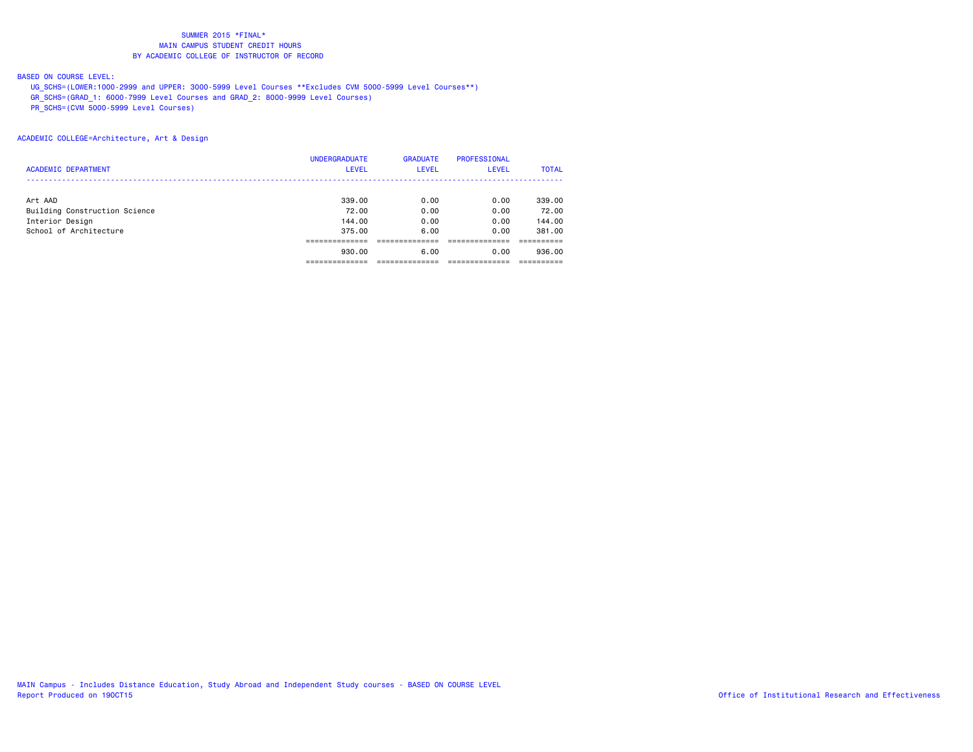#### BASED ON COURSE LEVEL:

UG\_SCHS=(LOWER:1000-2999 and UPPER: 3000-5999 Level Courses \*\*Excludes CVM 5000-5999 Level Courses\*\*)

GR\_SCHS=(GRAD\_1: 6000-7999 Level Courses and GRAD\_2: 8000-9999 Level Courses)

PR\_SCHS=(CVM 5000-5999 Level Courses)

|                               | <b>UNDERGRADUATE</b> | <b>GRADUATE</b> | <b>PROFESSIONAL</b> |              |
|-------------------------------|----------------------|-----------------|---------------------|--------------|
| <b>ACADEMIC DEPARTMENT</b>    | <b>LEVEL</b>         | <b>LEVEL</b>    | <b>LEVEL</b>        | <b>TOTAL</b> |
|                               |                      |                 |                     |              |
| Art AAD                       | 339,00               | 0.00            | 0.00                | 339,00       |
| Building Construction Science | 72.00                | 0.00            | 0.00                | 72.00        |
| Interior Design               | 144,00               | 0.00            | 0.00                | 144.00       |
| School of Architecture        | 375.00               | 6.00            | 0.00                | 381.00       |
|                               |                      |                 |                     |              |
|                               | 930,00               | 6.00            | 0.00                | 936,00       |
|                               |                      |                 |                     |              |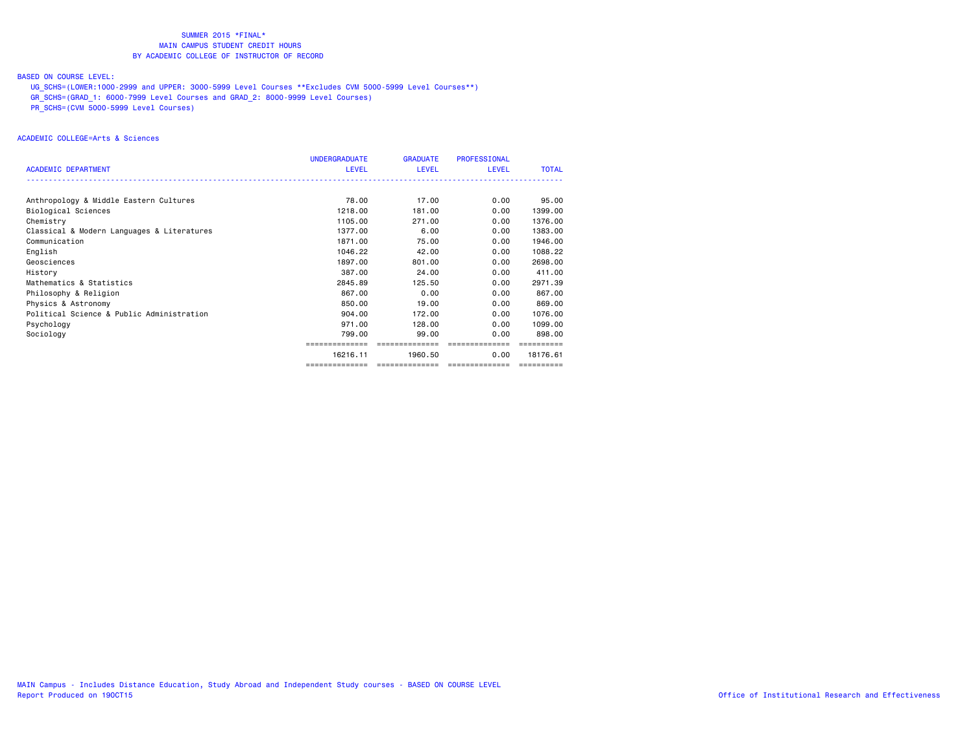#### BASED ON COURSE LEVEL:

UG\_SCHS=(LOWER:1000-2999 and UPPER: 3000-5999 Level Courses \*\*Excludes CVM 5000-5999 Level Courses\*\*)

GR\_SCHS=(GRAD\_1: 6000-7999 Level Courses and GRAD\_2: 8000-9999 Level Courses)

PR\_SCHS=(CVM 5000-5999 Level Courses)

#### ACADEMIC COLLEGE=Arts & Sciences

|                                            | <b>UNDERGRADUATE</b> | <b>GRADUATE</b> | <b>PROFESSIONAL</b> |              |
|--------------------------------------------|----------------------|-----------------|---------------------|--------------|
| <b>ACADEMIC DEPARTMENT</b>                 | <b>LEVEL</b>         | <b>LEVEL</b>    | <b>LEVEL</b>        | <b>TOTAL</b> |
|                                            |                      |                 |                     |              |
| Anthropology & Middle Eastern Cultures     | 78.00                | 17.00           | 0.00                | 95.00        |
| Biological Sciences                        | 1218,00              | 181.00          | 0.00                | 1399.00      |
| Chemistry                                  | 1105.00              | 271,00          | 0.00                | 1376.00      |
| Classical & Modern Languages & Literatures | 1377.00              | 6.00            | 0.00                | 1383.00      |
| Communication                              | 1871.00              | 75.00           | 0.00                | 1946.00      |
| English                                    | 1046.22              | 42.00           | 0.00                | 1088.22      |
| Geosciences                                | 1897.00              | 801.00          | 0.00                | 2698.00      |
| History                                    | 387.00               | 24.00           | 0.00                | 411.00       |
| Mathematics & Statistics                   | 2845.89              | 125.50          | 0.00                | 2971.39      |
| Philosophy & Religion                      | 867.00               | 0.00            | 0.00                | 867.00       |
| Physics & Astronomy                        | 850.00               | 19,00           | 0.00                | 869,00       |
| Political Science & Public Administration  | 904.00               | 172.00          | 0.00                | 1076.00      |
| Psychology                                 | 971,00               | 128,00          | 0.00                | 1099.00      |
| Sociology                                  | 799.00               | 99.00           | 0.00                | 898,00       |
|                                            |                      |                 |                     |              |
|                                            | 16216.11             | 1960.50         | 0.00                | 18176.61     |
|                                            | ==============       | --------------- | ---------------     |              |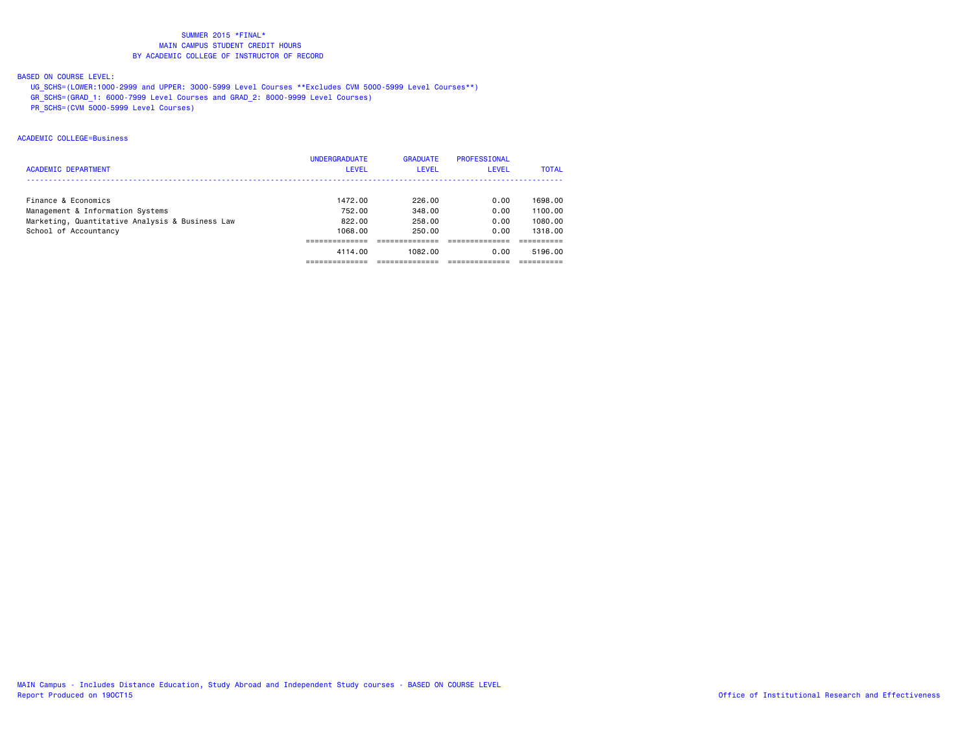### BASED ON COURSE LEVEL:

- UG\_SCHS=(LOWER:1000-2999 and UPPER: 3000-5999 Level Courses \*\*Excludes CVM 5000-5999 Level Courses\*\*)
- GR\_SCHS=(GRAD\_1: 6000-7999 Level Courses and GRAD\_2: 8000-9999 Level Courses)
- PR\_SCHS=(CVM 5000-5999 Level Courses)

#### ACADEMIC COLLEGE=Business

|                                                 | <b>UNDERGRADUATE</b> | <b>GRADUATE</b> | PROFESSIONAL |              |
|-------------------------------------------------|----------------------|-----------------|--------------|--------------|
| <b>ACADEMIC DEPARTMENT</b>                      | LEVEL                | <b>LEVEL</b>    | <b>LEVEL</b> | <b>TOTAL</b> |
|                                                 |                      |                 |              |              |
| Finance & Economics                             | 1472.00              | 226.00          | 0.00         | 1698.00      |
| Management & Information Systems                | 752.00               | 348.00          | 0.00         | 1100.00      |
| Marketing, Quantitative Analysis & Business Law | 822.00               | 258.00          | 0.00         | 1080.00      |
| School of Accountancy                           | 1068.00              | 250.00          | 0.00         | 1318.00      |
|                                                 |                      |                 |              |              |
|                                                 | 4114.00              | 1082.00         | 0.00         | 5196.00      |
|                                                 |                      |                 |              |              |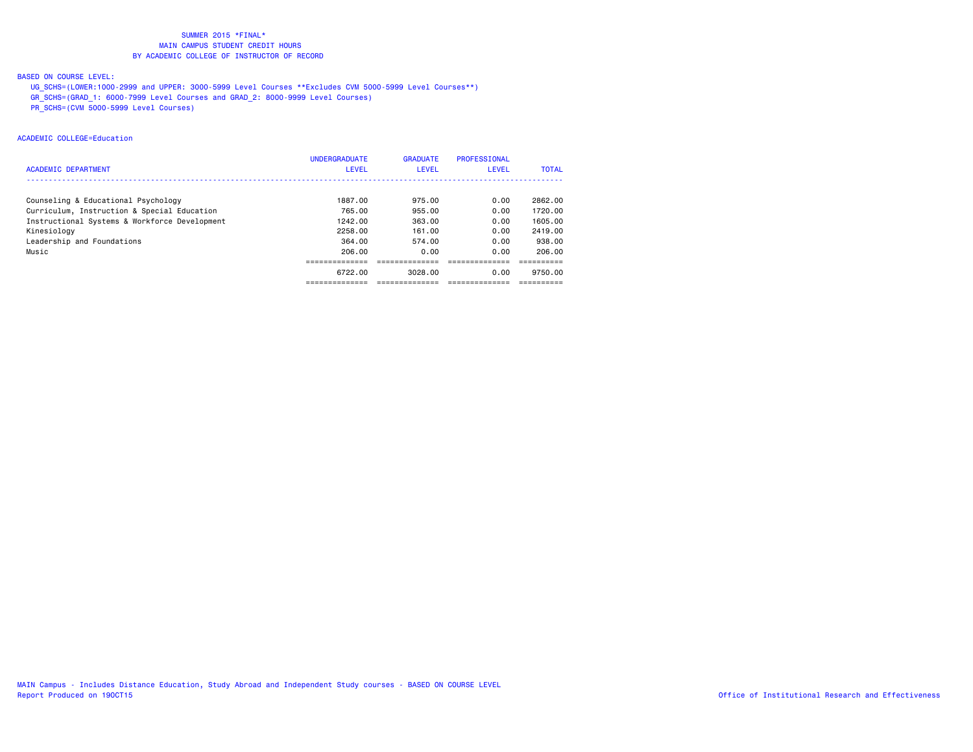### BASED ON COURSE LEVEL:

- UG\_SCHS=(LOWER:1000-2999 and UPPER: 3000-5999 Level Courses \*\*Excludes CVM 5000-5999 Level Courses\*\*)
- GR\_SCHS=(GRAD\_1: 6000-7999 Level Courses and GRAD\_2: 8000-9999 Level Courses)
- PR\_SCHS=(CVM 5000-5999 Level Courses)

#### ACADEMIC COLLEGE=Education

|                                               | <b>UNDERGRADUATE</b> | <b>GRADUATE</b> | PROFESSIONAL |              |
|-----------------------------------------------|----------------------|-----------------|--------------|--------------|
| <b>ACADEMIC DEPARTMENT</b>                    | <b>LEVEL</b>         | <b>LEVEL</b>    | <b>LEVEL</b> | <b>TOTAL</b> |
|                                               |                      |                 |              |              |
| Counseling & Educational Psychology           | 1887.00              | 975.00          | 0.00         | 2862.00      |
| Curriculum, Instruction & Special Education   | 765.00               | 955,00          | 0.00         | 1720.00      |
| Instructional Systems & Workforce Development | 1242.00              | 363,00          | 0.00         | 1605.00      |
| Kinesiology                                   | 2258.00              | 161.00          | 0.00         | 2419.00      |
| Leadership and Foundations                    | 364.00               | 574.00          | 0.00         | 938,00       |
| Music                                         | 206.00               | 0.00            | 0.00         | 206.00       |
|                                               |                      |                 |              |              |
|                                               | 6722.00              | 3028.00         | 0.00         | 9750.00      |
|                                               |                      |                 |              |              |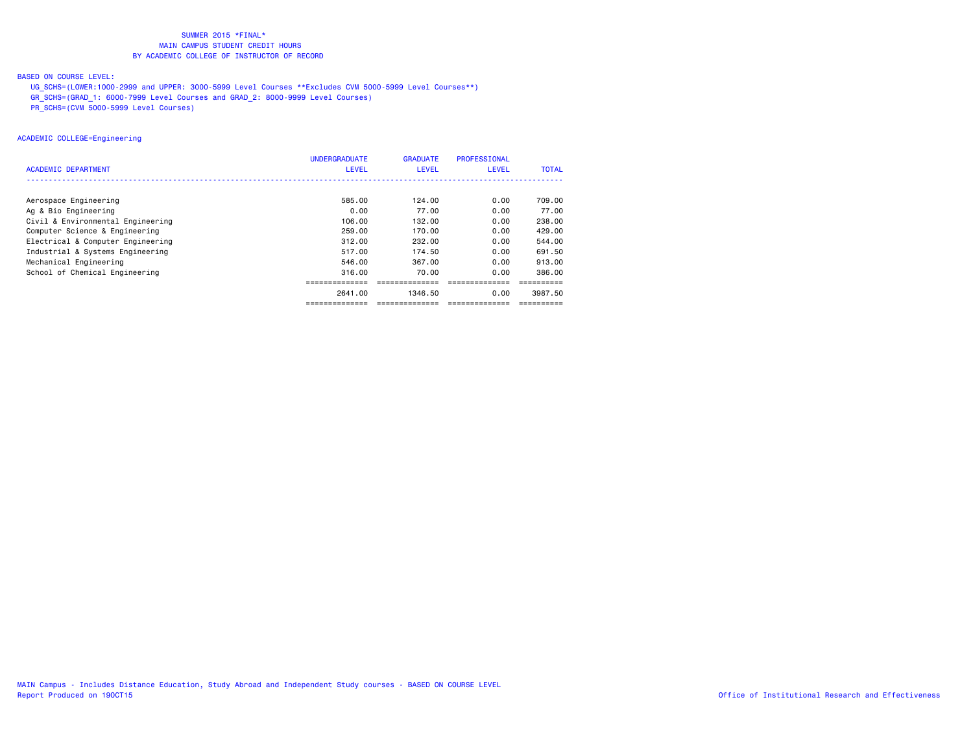### BASED ON COURSE LEVEL:

UG\_SCHS=(LOWER:1000-2999 and UPPER: 3000-5999 Level Courses \*\*Excludes CVM 5000-5999 Level Courses\*\*)

GR\_SCHS=(GRAD\_1: 6000-7999 Level Courses and GRAD\_2: 8000-9999 Level Courses)

PR\_SCHS=(CVM 5000-5999 Level Courses)

#### ACADEMIC COLLEGE=Engineering

|                                   | <b>UNDERGRADUATE</b> | <b>GRADUATE</b> | <b>PROFESSIONAL</b> |              |
|-----------------------------------|----------------------|-----------------|---------------------|--------------|
| ACADEMIC DEPARTMENT               | <b>LEVEL</b>         | <b>LEVEL</b>    | LEVEL               | <b>TOTAL</b> |
|                                   |                      |                 |                     |              |
| Aerospace Engineering             | 585.00               | 124.00          | 0.00                | 709.00       |
| Ag & Bio Engineering              | 0.00                 | 77.00           | 0.00                | 77.00        |
| Civil & Environmental Engineering | 106.00               | 132.00          | 0.00                | 238.00       |
| Computer Science & Engineering    | 259.00               | 170.00          | 0.00                | 429,00       |
| Electrical & Computer Engineering | 312,00               | 232.00          | 0.00                | 544.00       |
| Industrial & Systems Engineering  | 517.00               | 174.50          | 0.00                | 691.50       |
| Mechanical Engineering            | 546.00               | 367.00          | 0.00                | 913.00       |
| School of Chemical Engineering    | 316.00               | 70.00           | 0.00                | 386.00       |
|                                   |                      |                 |                     |              |
|                                   | 2641.00              | 1346.50         | 0.00                | 3987.50      |
|                                   |                      |                 |                     |              |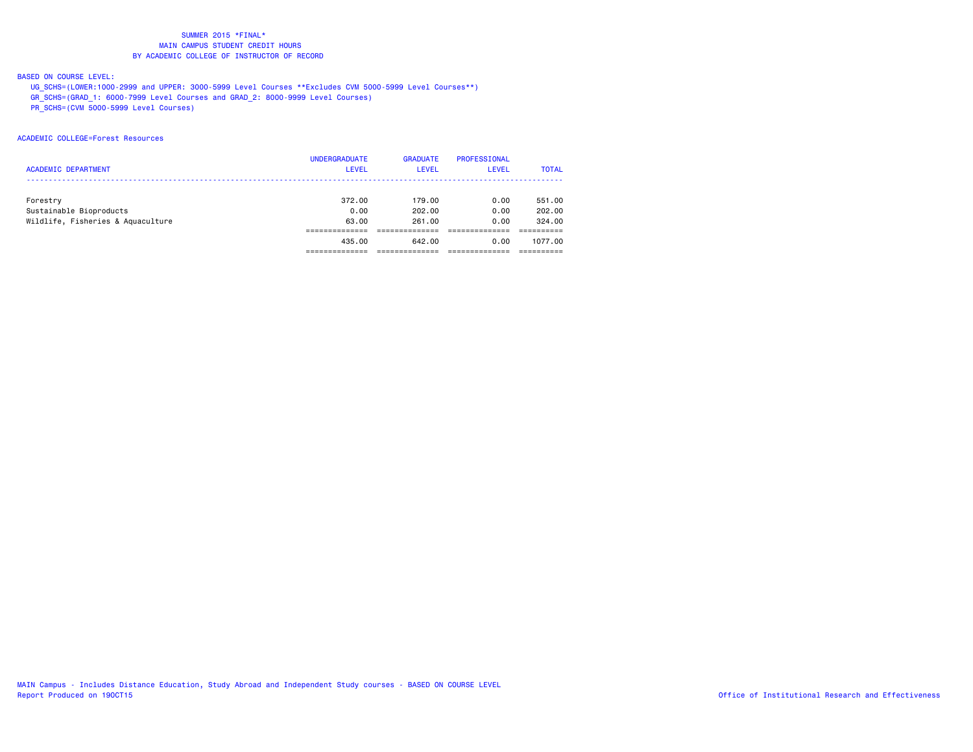#### BASED ON COURSE LEVEL:

- UG\_SCHS=(LOWER:1000-2999 and UPPER: 3000-5999 Level Courses \*\*Excludes CVM 5000-5999 Level Courses\*\*)
- GR\_SCHS=(GRAD\_1: 6000-7999 Level Courses and GRAD\_2: 8000-9999 Level Courses)
- PR\_SCHS=(CVM 5000-5999 Level Courses)

#### ACADEMIC COLLEGE=Forest Resources

|                                   | <b>UNDERGRADUATE</b> | <b>GRADUATE</b> | PROFESSIONAL |              |
|-----------------------------------|----------------------|-----------------|--------------|--------------|
| <b>ACADEMIC DEPARTMENT</b>        | <b>LEVEL</b>         | <b>LEVEL</b>    | LEVEL        | <b>TOTAL</b> |
|                                   |                      |                 |              |              |
| Forestry                          | 372.00               | 179.00          | 0.00         | 551.00       |
| Sustainable Bioproducts           | 0.00                 | 202.00          | 0.00         | 202.00       |
| Wildlife, Fisheries & Aquaculture | 63.00                | 261.00          | 0.00         | 324.00       |
|                                   |                      |                 |              |              |
|                                   | 435,00               | 642.00          | 0.00         | 1077.00      |
|                                   |                      |                 |              |              |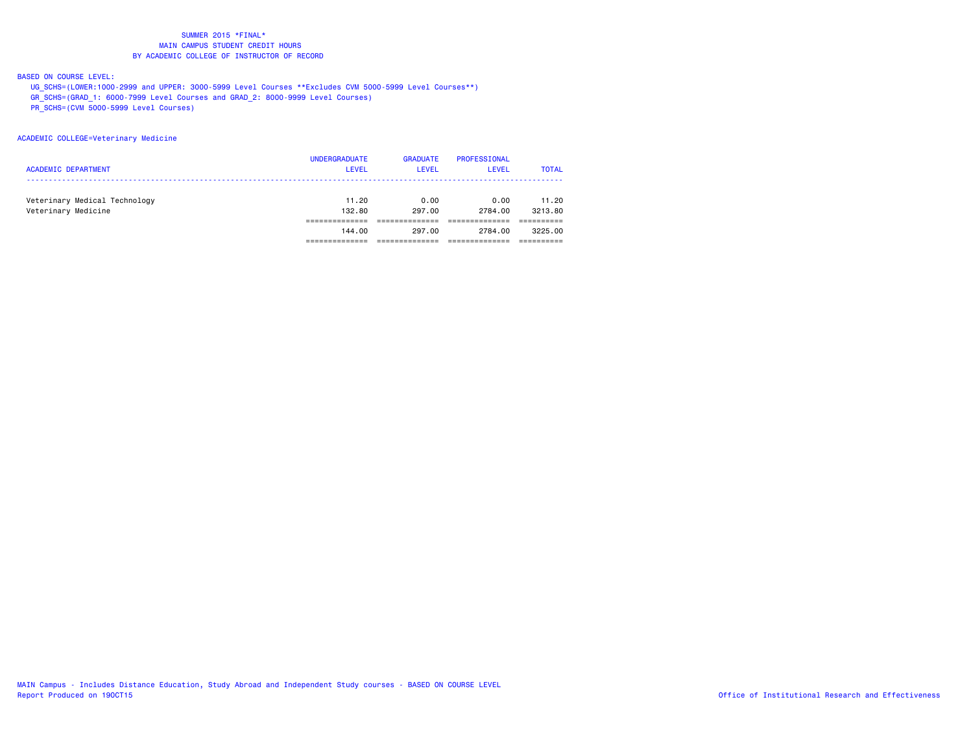#### BASED ON COURSE LEVEL:

- UG\_SCHS=(LOWER:1000-2999 and UPPER: 3000-5999 Level Courses \*\*Excludes CVM 5000-5999 Level Courses\*\*)
- GR\_SCHS=(GRAD\_1: 6000-7999 Level Courses and GRAD\_2: 8000-9999 Level Courses)
- PR\_SCHS=(CVM 5000-5999 Level Courses)

#### ACADEMIC COLLEGE=Veterinary Medicine

| <b>ACADEMIC DEPARTMENT</b>                           | <b>UNDERGRADUATE</b><br><b>LEVEL</b> | <b>GRADUATE</b><br><b>LEVEL</b> | PROFESSIONAL<br>LEVEL | <b>TOTAL</b>     |
|------------------------------------------------------|--------------------------------------|---------------------------------|-----------------------|------------------|
| Veterinary Medical Technology<br>Veterinary Medicine | 11.20<br>132,80                      | 0.00<br>297.00                  | 0.00<br>2784.00       | 11.20<br>3213.80 |
|                                                      | 144.00                               | 297.00                          | 2784.00               | 3225.00          |
|                                                      |                                      |                                 |                       |                  |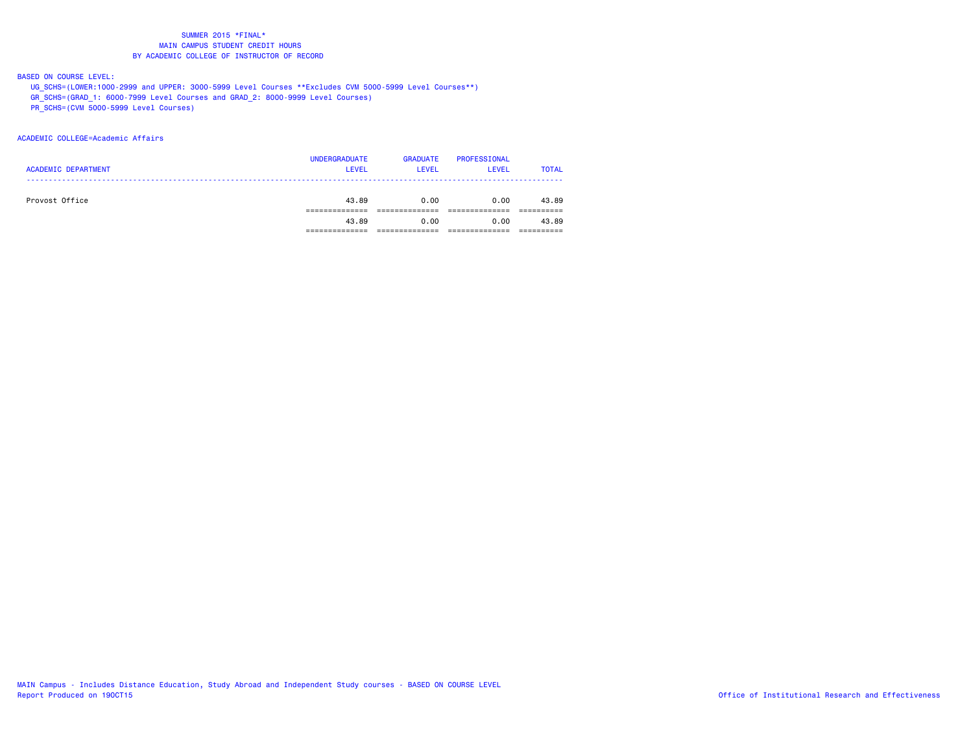#### BASED ON COURSE LEVEL:

- UG\_SCHS=(LOWER:1000-2999 and UPPER: 3000-5999 Level Courses \*\*Excludes CVM 5000-5999 Level Courses\*\*)
- GR\_SCHS=(GRAD\_1: 6000-7999 Level Courses and GRAD\_2: 8000-9999 Level Courses)
- PR\_SCHS=(CVM 5000-5999 Level Courses)

#### ACADEMIC COLLEGE=Academic Affairs

|                            | <b>UNDERGRADUATE</b> | <b>GRADUATE</b> | PROFESSIONAL |              |
|----------------------------|----------------------|-----------------|--------------|--------------|
| <b>ACADEMIC DEPARTMENT</b> | <b>LEVEL</b>         | <b>LEVEL</b>    | <b>LEVEL</b> | <b>TOTAL</b> |
|                            |                      |                 |              |              |
| Provost Office             | 43.89                | 0.00            | 0.00         | 43.89        |
|                            |                      |                 |              |              |
|                            | 43.89                | 0.00            | 0.00         | 43.89        |
|                            |                      |                 |              |              |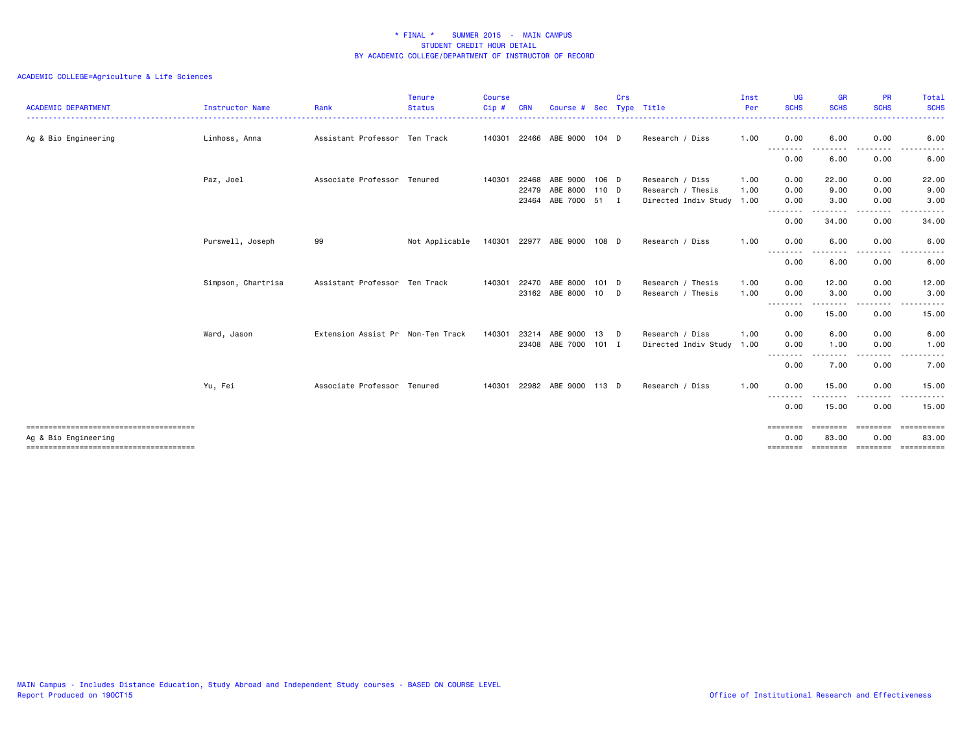| <b>ACADEMIC DEPARTMENT</b>                                    | Instructor Name    | Rank                              | <b>Tenure</b><br><b>Status</b> | <b>Course</b><br>Cip# | <b>CRN</b> | Course #              | Sec     | Crs | Type Title                | Inst<br>Per | <b>UG</b><br><b>SCHS</b>                                                                                                                                                                                                                                                                                                                                                                                                                                                                                                                                     | <b>GR</b><br><b>SCHS</b> | <b>PR</b><br><b>SCHS</b> | Total<br><b>SCHS</b>               |
|---------------------------------------------------------------|--------------------|-----------------------------------|--------------------------------|-----------------------|------------|-----------------------|---------|-----|---------------------------|-------------|--------------------------------------------------------------------------------------------------------------------------------------------------------------------------------------------------------------------------------------------------------------------------------------------------------------------------------------------------------------------------------------------------------------------------------------------------------------------------------------------------------------------------------------------------------------|--------------------------|--------------------------|------------------------------------|
| Ag & Bio Engineering                                          | Linhoss, Anna      | Assistant Professor Ten Track     |                                | 140301                | 22466      | ABE 9000              | $104$ D |     | Research / Diss           | 1.00        | 0.00<br>.                                                                                                                                                                                                                                                                                                                                                                                                                                                                                                                                                    | 6.00<br>--------         | 0.00<br>---------        | 6.00<br>$- - -$<br>.               |
|                                                               |                    |                                   |                                |                       |            |                       |         |     |                           |             | 0.00                                                                                                                                                                                                                                                                                                                                                                                                                                                                                                                                                         | 6.00                     | 0.00                     | 6.00                               |
|                                                               | Paz, Joel          | Associate Professor Tenured       |                                | 140301                | 22468      | ABE 9000              | 106 D   |     | Research / Diss           | 1.00        | 0.00                                                                                                                                                                                                                                                                                                                                                                                                                                                                                                                                                         | 22.00                    | 0.00                     | 22.00                              |
|                                                               |                    |                                   |                                |                       | 22479      | ABE 8000 110 D        |         |     | Research / Thesis         | 1.00        | 0.00                                                                                                                                                                                                                                                                                                                                                                                                                                                                                                                                                         | 9.00                     | 0.00                     | 9.00                               |
|                                                               |                    |                                   |                                |                       | 23464      | ABE 7000 51 I         |         |     | Directed Indiv Study 1.00 |             | 0.00<br>$\cdots$                                                                                                                                                                                                                                                                                                                                                                                                                                                                                                                                             | 3.00                     | 0.00                     | 3.00                               |
|                                                               |                    |                                   |                                |                       |            |                       |         |     |                           |             | 0.00                                                                                                                                                                                                                                                                                                                                                                                                                                                                                                                                                         | 34.00                    | 0.00                     | 34.00                              |
|                                                               | Purswell, Joseph   | 99                                | Not Applicable                 |                       |            | 140301 22977 ABE 9000 | 108 D   |     | Research / Diss           | 1.00        | 0.00                                                                                                                                                                                                                                                                                                                                                                                                                                                                                                                                                         | 6.00                     | 0.00                     | 6.00                               |
|                                                               |                    |                                   |                                |                       |            |                       |         |     |                           |             | .<br>0.00                                                                                                                                                                                                                                                                                                                                                                                                                                                                                                                                                    | 6.00                     | .<br>0.00                | 6.00                               |
|                                                               | Simpson, Chartrisa | Assistant Professor Ten Track     |                                | 140301                | 22470      | ABE 8000              | 101 D   |     | Research / Thesis         | 1.00        | 0.00                                                                                                                                                                                                                                                                                                                                                                                                                                                                                                                                                         | 12.00                    | 0.00                     | 12.00                              |
|                                                               |                    |                                   |                                |                       |            | 23162 ABE 8000        | 10      | D   | Research / Thesis         | 1.00        | 0.00<br>--------                                                                                                                                                                                                                                                                                                                                                                                                                                                                                                                                             | 3.00                     | 0.00                     | 3.00                               |
|                                                               |                    |                                   |                                |                       |            |                       |         |     |                           |             | 0.00                                                                                                                                                                                                                                                                                                                                                                                                                                                                                                                                                         | 15.00                    | 0.00                     | 15.00                              |
|                                                               | Ward, Jason        | Extension Assist Pr Non-Ten Track |                                | 140301                | 23214      | ARE 9000              | 13      | D   | Research / Diss           | 1.00        | 0.00                                                                                                                                                                                                                                                                                                                                                                                                                                                                                                                                                         | 6.00                     | 0.00                     | 6.00                               |
|                                                               |                    |                                   |                                |                       | 23408      | ABE 7000              | $101$ I |     | Directed Indiv Study 1.00 |             | 0.00<br>$\frac{1}{2} \frac{1}{2} \frac{1}{2} \frac{1}{2} \frac{1}{2} \frac{1}{2} \frac{1}{2} \frac{1}{2} \frac{1}{2} \frac{1}{2} \frac{1}{2} \frac{1}{2} \frac{1}{2} \frac{1}{2} \frac{1}{2} \frac{1}{2} \frac{1}{2} \frac{1}{2} \frac{1}{2} \frac{1}{2} \frac{1}{2} \frac{1}{2} \frac{1}{2} \frac{1}{2} \frac{1}{2} \frac{1}{2} \frac{1}{2} \frac{1}{2} \frac{1}{2} \frac{1}{2} \frac{1}{2} \frac{$<br>$\frac{1}{2} \left( \frac{1}{2} \right) \left( \frac{1}{2} \right) \left( \frac{1}{2} \right) \left( \frac{1}{2} \right) \left( \frac{1}{2} \right)$ | 1.00                     | 0.00<br>-----            | 1.00<br>$- - -$<br>.               |
|                                                               |                    |                                   |                                |                       |            |                       |         |     |                           |             | 0.00                                                                                                                                                                                                                                                                                                                                                                                                                                                                                                                                                         | 7.00                     | 0.00                     | 7.00                               |
|                                                               | Yu, Fei            | Associate Professor Tenured       |                                | 140301                |            | 22982 ABE 9000 113 D  |         |     | Research / Diss           | 1.00        | 0.00                                                                                                                                                                                                                                                                                                                                                                                                                                                                                                                                                         | 15.00                    | 0.00                     | 15.00                              |
|                                                               |                    |                                   |                                |                       |            |                       |         |     |                           |             | $\frac{1}{2} \left( \frac{1}{2} \right) \left( \frac{1}{2} \right) \left( \frac{1}{2} \right) \left( \frac{1}{2} \right) \left( \frac{1}{2} \right)$<br>0.00                                                                                                                                                                                                                                                                                                                                                                                                 | 15.00                    | 0.00                     | 15.00                              |
|                                                               |                    |                                   |                                |                       |            |                       |         |     |                           |             | ========                                                                                                                                                                                                                                                                                                                                                                                                                                                                                                                                                     | eeeeeee                  | eeeeee                   | ==========                         |
| Ag & Bio Engineering<br>------------------------------------- |                    |                                   |                                |                       |            |                       |         |     |                           |             | 0.00<br>========                                                                                                                                                                                                                                                                                                                                                                                                                                                                                                                                             | 83.00                    | 0.00                     | 83,00<br>scorere corerer concerere |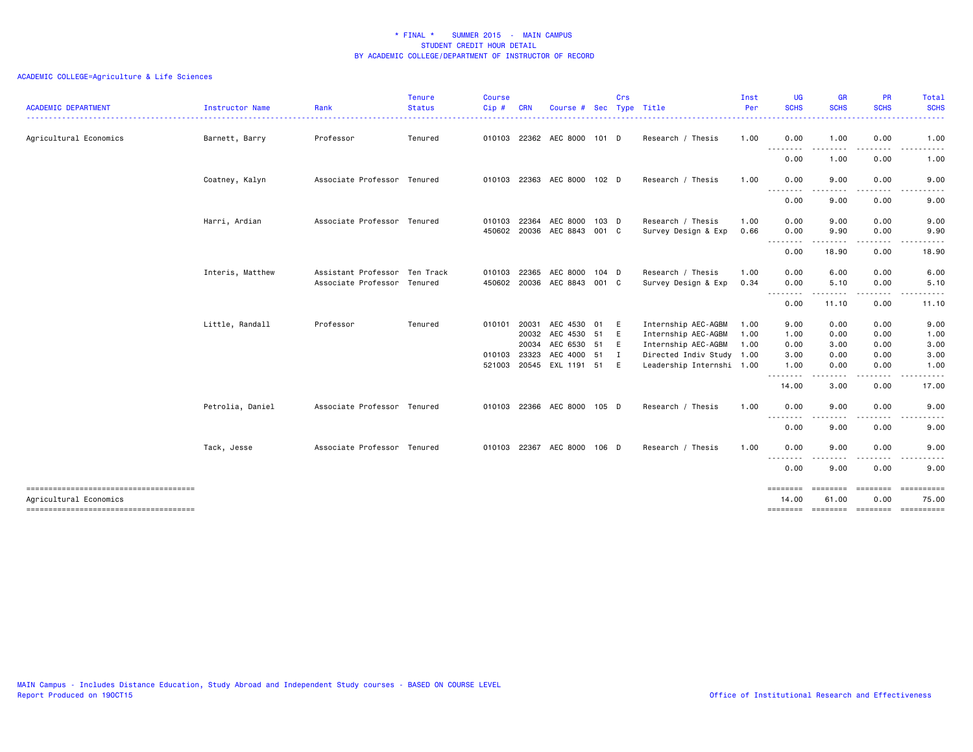| <b>ACADEMIC DEPARTMENT</b>            | Instructor Name  | Rank                          | <b>Tenure</b><br><b>Status</b> | Course<br>Cip# | <b>CRN</b> | Course #              | Sec     | Crs         | Type Title                | Inst<br>Per | <b>UG</b><br><b>SCHS</b>                                                                                                          | <b>GR</b><br><b>SCHS</b> | <b>PR</b><br><b>SCHS</b>                                                                                                          | <b>Total</b><br><b>SCHS</b>                                                                                                       |
|---------------------------------------|------------------|-------------------------------|--------------------------------|----------------|------------|-----------------------|---------|-------------|---------------------------|-------------|-----------------------------------------------------------------------------------------------------------------------------------|--------------------------|-----------------------------------------------------------------------------------------------------------------------------------|-----------------------------------------------------------------------------------------------------------------------------------|
|                                       |                  |                               |                                |                |            |                       |         |             |                           |             |                                                                                                                                   |                          |                                                                                                                                   | -----                                                                                                                             |
| Agricultural Economics                | Barnett, Barry   | Professor                     | Tenured                        |                |            | 010103 22362 AEC 8000 | 101 D   |             | Research / Thesis         | 1.00        | 0.00                                                                                                                              | 1.00                     | 0.00                                                                                                                              | 1.00                                                                                                                              |
|                                       |                  |                               |                                |                |            |                       |         |             |                           |             | .<br>0.00                                                                                                                         | 1.00                     | 0.00                                                                                                                              | 1.00                                                                                                                              |
|                                       | Coatney, Kalyn   | Associate Professor Tenured   |                                | 010103         |            | 22363 AEC 8000 102 D  |         |             | Research / Thesis         | 1.00        | 0.00<br>.                                                                                                                         | 9.00                     | 0.00                                                                                                                              | 9.00                                                                                                                              |
|                                       |                  |                               |                                |                |            |                       |         |             |                           |             | 0.00                                                                                                                              | 9.00                     | 0.00                                                                                                                              | 9.00                                                                                                                              |
|                                       | Harri, Ardian    | Associate Professor Tenured   |                                | 010103         | 22364      | AEC 8000              | 103 D   |             | Research / Thesis         | 1.00        | 0.00                                                                                                                              | 9.00                     | 0.00                                                                                                                              | 9.00                                                                                                                              |
|                                       |                  |                               |                                | 450602         |            | 20036 AEC 8843        | 001 C   |             | Survey Design & Exp       | 0.66        | 0.00                                                                                                                              | 9.90                     | 0.00                                                                                                                              | 9.90                                                                                                                              |
|                                       |                  |                               |                                |                |            |                       |         |             |                           |             | $\frac{1}{2} \left( \frac{1}{2} \right) \left( \frac{1}{2} \right) \left( \frac{1}{2} \right) \left( \frac{1}{2} \right)$<br>0.00 | 18.90                    | $\frac{1}{2} \left( \frac{1}{2} \right) \left( \frac{1}{2} \right) \left( \frac{1}{2} \right) \left( \frac{1}{2} \right)$<br>0.00 | 18.90                                                                                                                             |
|                                       | Interis, Matthew | Assistant Professor Ten Track |                                | 010103         | 22365      | AEC 8000              | 104 D   |             | Research / Thesis         | 1.00        | 0.00                                                                                                                              | 6.00                     | 0.00                                                                                                                              | 6.00                                                                                                                              |
|                                       |                  | Associate Professor Tenured   |                                | 450602         |            | 20036 AEC 8843        | 001 C   |             | Survey Design & Exp       | 0.34        | 0.00                                                                                                                              | 5.10                     | 0.00                                                                                                                              | 5.10                                                                                                                              |
|                                       |                  |                               |                                |                |            |                       |         |             |                           |             | .<br>0.00                                                                                                                         | .<br>11.10               | .<br>0.00                                                                                                                         | .<br>11.10                                                                                                                        |
|                                       | Little, Randall  | Professor                     | Tenured                        | 010101         | 20031      | AEC 4530              | 01      | E           | Internship AEC-AGBM       | 1.00        | 9.00                                                                                                                              | 0.00                     | 0.00                                                                                                                              | 9.00                                                                                                                              |
|                                       |                  |                               |                                |                | 20032      | AEC 4530 51           |         | E           | Internship AEC-AGBM       | 1.00        | 1.00                                                                                                                              | 0.00                     | 0.00                                                                                                                              | 1.00                                                                                                                              |
|                                       |                  |                               |                                |                | 20034      | AEC 6530 51           |         | E           | Internship AEC-AGBM       | 1.00        | 0.00                                                                                                                              | 3.00                     | 0.00                                                                                                                              | 3.00                                                                                                                              |
|                                       |                  |                               |                                | 010103         | 23323      | AEC 4000 51           |         | $\mathbf I$ | Directed Indiv Study 1.00 |             | 3.00                                                                                                                              | 0.00                     | 0.00                                                                                                                              | 3.00                                                                                                                              |
|                                       |                  |                               |                                | 521003         |            | 20545 EXL 1191 51     |         | E           | Leadership Internshi 1.00 |             | 1.00<br>--------                                                                                                                  | 0.00<br>.                | 0.00<br>.                                                                                                                         | 1.00                                                                                                                              |
|                                       |                  |                               |                                |                |            |                       |         |             |                           |             | 14.00                                                                                                                             | 3.00                     | 0.00                                                                                                                              | 17.00                                                                                                                             |
|                                       | Petrolia, Daniel | Associate Professor Tenured   |                                | 010103         |            | 22366 AEC 8000        | 105 D   |             | Research / Thesis         | 1.00        | 0.00<br>.                                                                                                                         | 9.00                     | 0.00<br>$\sim$ $\sim$ $\sim$ $\sim$                                                                                               | 9.00<br>$\frac{1}{2} \left( \frac{1}{2} \right) \left( \frac{1}{2} \right) \left( \frac{1}{2} \right) \left( \frac{1}{2} \right)$ |
|                                       |                  |                               |                                |                |            |                       |         |             |                           |             | 0.00                                                                                                                              | 9.00                     | 0.00                                                                                                                              | 9.00                                                                                                                              |
|                                       | Tack, Jesse      | Associate Professor Tenured   |                                | 010103         |            | 22367 AEC 8000        | $106$ D |             | Research / Thesis         | 1.00        | 0.00<br>----                                                                                                                      | 9.00                     | 0.00                                                                                                                              | 9.00                                                                                                                              |
|                                       |                  |                               |                                |                |            |                       |         |             |                           |             | 0.00                                                                                                                              | 9.00                     | 0.00                                                                                                                              | 9.00                                                                                                                              |
| Agricultural Economics                |                  |                               |                                |                |            |                       |         |             |                           |             | ========<br>14.00                                                                                                                 | ========<br>61.00        | ========<br>0.00                                                                                                                  | essessess<br>75.00                                                                                                                |
| ------------------------------------- |                  |                               |                                |                |            |                       |         |             |                           |             |                                                                                                                                   |                          |                                                                                                                                   | -------- ------- ------- ---------                                                                                                |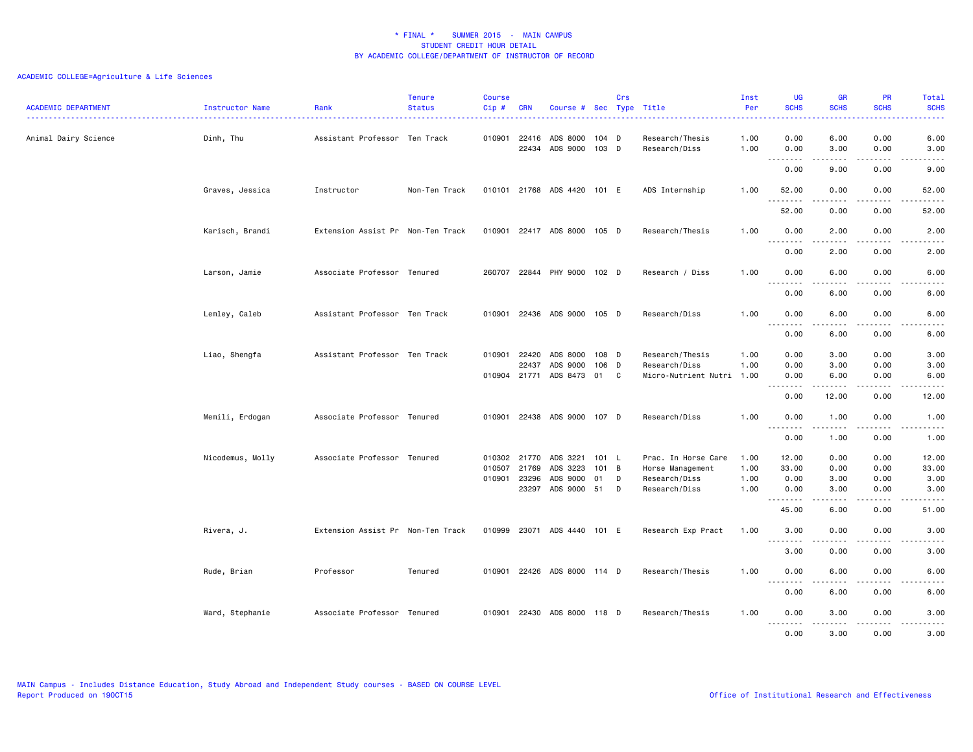| <b>ACADEMIC DEPARTMENT</b> | Instructor Name  | Rank                              | <b>Tenure</b><br><b>Status</b> | <b>Course</b><br>Cip# | <b>CRN</b>     | Course # Sec                |                | Crs | Type Title                              | Inst<br>Per  | <b>UG</b><br><b>SCHS</b>     | <b>GR</b><br><b>SCHS</b> | PR<br><b>SCHS</b>                                                                                                                 | Total<br><b>SCHS</b>                                                                                                                                                                    |
|----------------------------|------------------|-----------------------------------|--------------------------------|-----------------------|----------------|-----------------------------|----------------|-----|-----------------------------------------|--------------|------------------------------|--------------------------|-----------------------------------------------------------------------------------------------------------------------------------|-----------------------------------------------------------------------------------------------------------------------------------------------------------------------------------------|
| Animal Dairy Science       | Dinh, Thu        | Assistant Professor Ten Track     |                                | 010901                | 22416<br>22434 | ADS 8000<br>ADS 9000        | 104 D<br>103 D |     | Research/Thesis<br>Research/Diss        | 1.00<br>1.00 | 0.00<br>0.00                 | 6.00<br>3.00             | 0.00<br>0.00                                                                                                                      | 6.00<br>3.00                                                                                                                                                                            |
|                            |                  |                                   |                                |                       |                |                             |                |     |                                         |              | .<br>0.00                    | .<br>9.00                | .<br>0.00                                                                                                                         | $\frac{1}{2} \left( \frac{1}{2} \right) \left( \frac{1}{2} \right) \left( \frac{1}{2} \right) \left( \frac{1}{2} \right) \left( \frac{1}{2} \right)$<br>9.00                            |
|                            | Graves, Jessica  | Instructor                        | Non-Ten Track                  |                       |                | 010101 21768 ADS 4420 101 E |                |     | ADS Internship                          | 1.00         | 52.00<br>.                   | 0.00<br>.                | 0.00<br>.                                                                                                                         | 52.00<br>.                                                                                                                                                                              |
|                            |                  |                                   |                                |                       |                |                             |                |     |                                         |              | 52.00                        | 0.00                     | 0.00                                                                                                                              | 52.00                                                                                                                                                                                   |
|                            | Karisch, Brandi  | Extension Assist Pr Non-Ten Track |                                |                       |                | 010901 22417 ADS 8000 105 D |                |     | Research/Thesis                         | 1.00         | 0.00<br>$\sim$ $\sim$ $\sim$ | 2.00                     | 0.00                                                                                                                              | 2.00                                                                                                                                                                                    |
|                            |                  |                                   |                                |                       |                |                             |                |     |                                         |              | 0.00                         | 2.00                     | 0.00                                                                                                                              | 2.00                                                                                                                                                                                    |
|                            | Larson, Jamie    | Associate Professor Tenured       |                                |                       |                | 260707 22844 PHY 9000 102 D |                |     | Research / Diss                         | 1.00         | 0.00<br><u>.</u>             | 6.00<br>.                | 0.00<br>.                                                                                                                         | 6.00<br><u>.</u>                                                                                                                                                                        |
|                            |                  |                                   |                                |                       |                |                             |                |     |                                         |              | 0.00                         | 6.00                     | 0.00                                                                                                                              | 6.00                                                                                                                                                                                    |
|                            | Lemley, Caleb    | Assistant Professor Ten Track     |                                | 010901                |                | 22436 ADS 9000 105 D        |                |     | Research/Diss                           | 1.00         | 0.00<br>.                    | 6.00<br>.                | 0.00<br>.                                                                                                                         | 6.00<br>.                                                                                                                                                                               |
|                            |                  |                                   |                                |                       |                |                             |                |     |                                         |              | 0.00                         | 6.00                     | 0.00                                                                                                                              | 6.00                                                                                                                                                                                    |
|                            | Liao, Shengfa    | Assistant Professor Ten Track     |                                | 010901                | 22420<br>22437 | ADS 8000<br>ADS 9000        | 108 D<br>106 D |     | Research/Thesis<br>Research/Diss        | 1.00<br>1.00 | 0.00<br>0.00                 | 3.00<br>3.00             | 0.00<br>0.00                                                                                                                      | 3.00<br>3.00                                                                                                                                                                            |
|                            |                  |                                   |                                |                       |                | 010904 21771 ADS 8473 01 C  |                |     | Micro-Nutrient Nutri 1.00               |              | 0.00<br>.                    | 6.00                     | 0.00<br>.                                                                                                                         | 6.00<br>.                                                                                                                                                                               |
|                            |                  |                                   |                                |                       |                |                             |                |     |                                         |              | 0.00                         | 12.00                    | 0.00                                                                                                                              | 12.00                                                                                                                                                                                   |
|                            | Memili, Erdogan  | Associate Professor Tenured       |                                | 010901                |                | 22438 ADS 9000 107 D        |                |     | Research/Diss                           | 1.00         | 0.00<br>.                    | 1.00<br>-----            | 0.00<br>$\frac{1}{2} \left( \frac{1}{2} \right) \left( \frac{1}{2} \right) \left( \frac{1}{2} \right) \left( \frac{1}{2} \right)$ | 1.00<br>$- - - - -$                                                                                                                                                                     |
|                            |                  |                                   |                                |                       |                |                             |                |     |                                         |              | 0.00                         | 1.00                     | 0.00                                                                                                                              | 1.00                                                                                                                                                                                    |
|                            | Nicodemus, Molly | Associate Professor Tenured       |                                | 010507 21769          | 010302 21770   | ADS 3221<br>ADS 3223        | 101 L<br>101 B |     | Prac. In Horse Care<br>Horse Management | 1.00<br>1.00 | 12.00<br>33.00               | 0.00<br>0.00             | 0.00<br>0.00                                                                                                                      | 12.00<br>33.00                                                                                                                                                                          |
|                            |                  |                                   |                                |                       | 010901 23296   | ADS 9000                    | 01             | D   | Research/Diss                           | 1.00         | 0.00                         | 3.00                     | 0.00                                                                                                                              | 3.00                                                                                                                                                                                    |
|                            |                  |                                   |                                |                       |                | 23297 ADS 9000 51 D         |                |     | Research/Diss                           | 1.00         | 0.00<br>.                    | 3.00<br>د د د د          | 0.00<br>$\sim$ $\sim$ $\sim$                                                                                                      | 3.00<br>.                                                                                                                                                                               |
|                            |                  |                                   |                                |                       |                |                             |                |     |                                         |              | 45.00                        | 6.00                     | 0.00                                                                                                                              | 51.00                                                                                                                                                                                   |
|                            | Rivera, J.       | Extension Assist Pr Non-Ten Track |                                |                       |                | 010999 23071 ADS 4440 101 E |                |     | Research Exp Pract                      | 1.00         | 3.00<br><b></b>              | 0.00<br>.                | 0.00<br>$- - - -$                                                                                                                 | 3.00<br>.                                                                                                                                                                               |
|                            |                  |                                   |                                |                       |                |                             |                |     |                                         |              | 3.00                         | 0.00                     | 0.00                                                                                                                              | 3.00                                                                                                                                                                                    |
|                            | Rude, Brian      | Professor                         | Tenured                        |                       |                | 010901 22426 ADS 8000 114 D |                |     | Research/Thesis                         | 1.00         | 0.00<br><u>.</u> .<br>- - -  | 6.00                     | 0.00                                                                                                                              | 6.00                                                                                                                                                                                    |
|                            |                  |                                   |                                |                       |                |                             |                |     |                                         |              | 0.00                         | 6.00                     | 0.00                                                                                                                              | 6.00                                                                                                                                                                                    |
|                            | Ward, Stephanie  | Associate Professor Tenured       |                                |                       |                | 010901 22430 ADS 8000 118 D |                |     | Research/Thesis                         | 1.00         | 0.00<br>.                    | 3.00<br>-----            | 0.00<br>.                                                                                                                         | 3.00<br>$\frac{1}{2} \left( \frac{1}{2} \right) \left( \frac{1}{2} \right) \left( \frac{1}{2} \right) \left( \frac{1}{2} \right) \left( \frac{1}{2} \right) \left( \frac{1}{2} \right)$ |
|                            |                  |                                   |                                |                       |                |                             |                |     |                                         |              | 0.00                         | 3.00                     | 0.00                                                                                                                              | 3.00                                                                                                                                                                                    |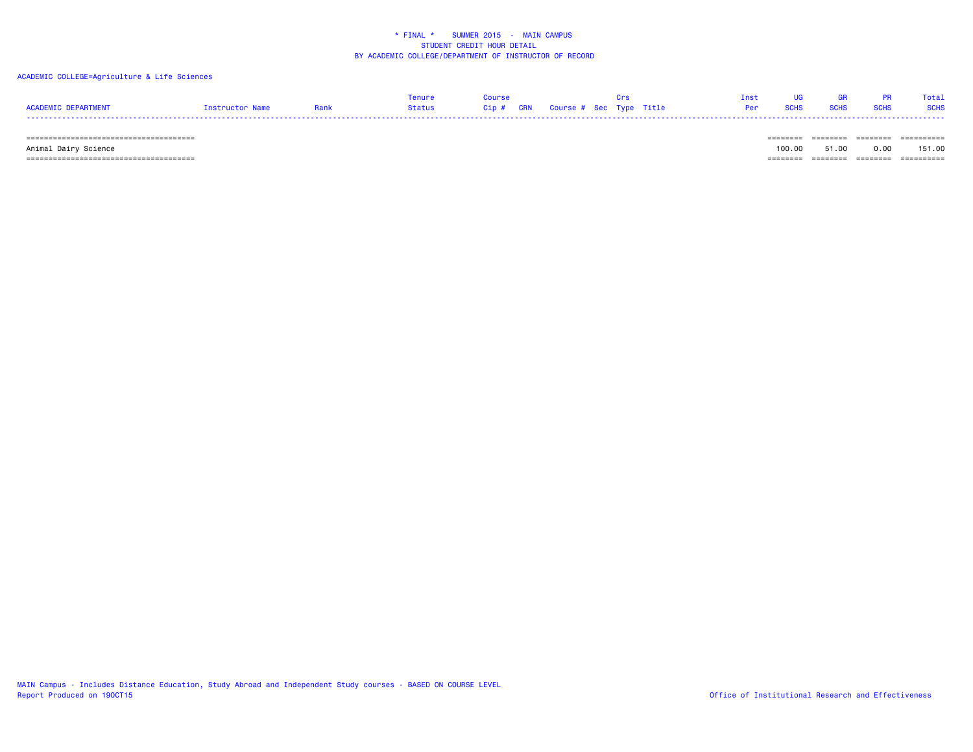### ACADEMIC COLLEGE=Agriculture & Life Sciences

|                     |                |      | Tenur         |                    |                         |             |  | Total       |
|---------------------|----------------|------|---------------|--------------------|-------------------------|-------------|--|-------------|
| ACADEMIC DEPARTMENT | Instructor Nam | Rank | <b>Status</b> | <b>CRN</b><br>Cip# | Course # Sec Type Title | <b>SCHS</b> |  | <b>SCHS</b> |
|                     |                |      |               |                    |                         |             |  |             |

====================================== ======== ======== ======== ==========

 Animal Dairy Science 100.00 51.00 0.00 151.00 ====================================== ======== ======== ======== ==========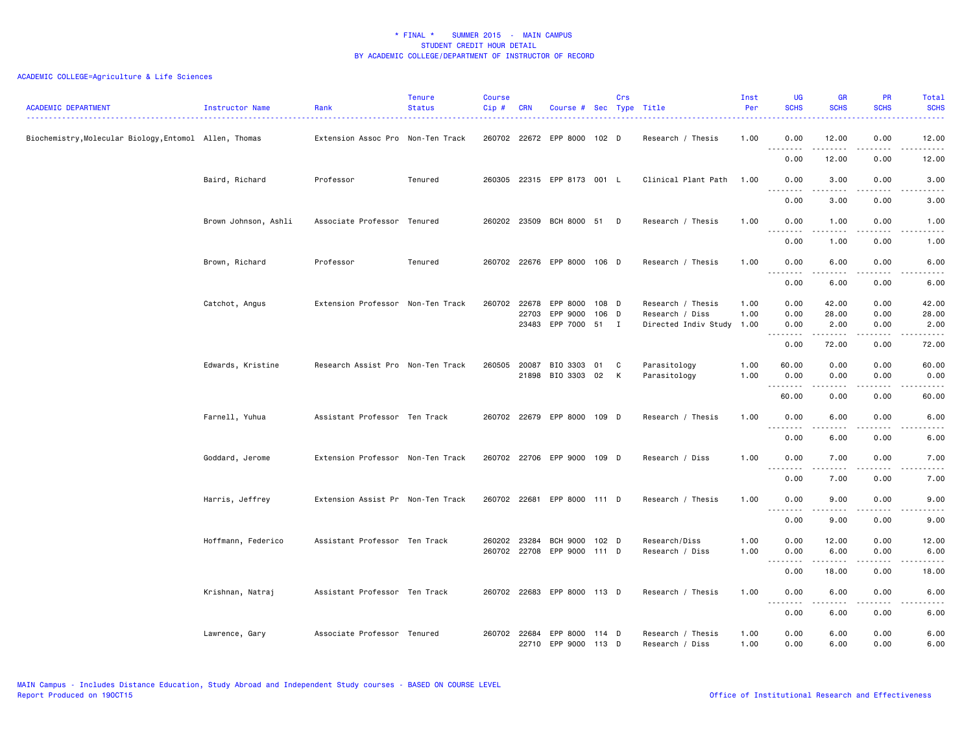# ACADEMIC COLLEGE=Agriculture & Life Sciences

| <b>ACADEMIC DEPARTMENT</b>                             | Instructor Name      | Rank                              | <b>Tenure</b><br><b>Status</b> | <b>Course</b><br>Cip# | <b>CRN</b>   | Course # Sec Type Title                     |                | Crs |                                                                   | Inst<br>Per  | UG<br><b>SCHS</b>                                                                                                                                                                                               | <b>GR</b><br><b>SCHS</b> | <b>PR</b><br><b>SCHS</b>                                                                                                          | Total<br><b>SCHS</b>                                                                                                                                          |
|--------------------------------------------------------|----------------------|-----------------------------------|--------------------------------|-----------------------|--------------|---------------------------------------------|----------------|-----|-------------------------------------------------------------------|--------------|-----------------------------------------------------------------------------------------------------------------------------------------------------------------------------------------------------------------|--------------------------|-----------------------------------------------------------------------------------------------------------------------------------|---------------------------------------------------------------------------------------------------------------------------------------------------------------|
| Biochemistry, Molecular Biology, Entomol Allen, Thomas |                      | Extension Assoc Pro Non-Ten Track |                                |                       |              | 260702 22672 EPP 8000 102 D                 |                |     | Research / Thesis                                                 | 1.00         | 0.00<br>.                                                                                                                                                                                                       | 12.00<br>المتمام المتعاد | 0.00<br>د د د د                                                                                                                   | 12.00<br>.                                                                                                                                                    |
|                                                        |                      |                                   |                                |                       |              |                                             |                |     |                                                                   |              | 0.00                                                                                                                                                                                                            | 12.00                    | 0.00                                                                                                                              | 12.00                                                                                                                                                         |
|                                                        | Baird, Richard       | Professor                         | Tenured                        |                       |              | 260305 22315 EPP 8173 001 L                 |                |     | Clinical Plant Path                                               | 1.00         | 0.00<br>. <b>.</b>                                                                                                                                                                                              | 3.00<br>-----            | 0.00                                                                                                                              | 3.00                                                                                                                                                          |
|                                                        |                      |                                   |                                |                       |              |                                             |                |     |                                                                   |              | 0.00                                                                                                                                                                                                            | 3.00                     | 0.00                                                                                                                              | 3.00                                                                                                                                                          |
|                                                        | Brown Johnson, Ashli | Associate Professor Tenured       |                                |                       |              | 260202 23509 BCH 8000 51 D                  |                |     | Research / Thesis                                                 | 1.00         | 0.00<br>.                                                                                                                                                                                                       | 1.00                     | 0.00<br>$\frac{1}{2}$                                                                                                             | 1.00                                                                                                                                                          |
|                                                        |                      |                                   |                                |                       |              |                                             |                |     |                                                                   |              | 0.00                                                                                                                                                                                                            | 1.00                     | 0.00                                                                                                                              | 1.00                                                                                                                                                          |
|                                                        | Brown, Richard       | Professor                         | Tenured                        |                       |              | 260702 22676 EPP 8000 106 D                 |                |     | Research / Thesis                                                 | 1.00         | 0.00<br>$\sim$ $\sim$ $\sim$<br>$\sim$ $\sim$ $\sim$ $\sim$                                                                                                                                                     | 6.00<br>.                | 0.00                                                                                                                              | 6.00                                                                                                                                                          |
|                                                        |                      |                                   |                                |                       |              |                                             |                |     |                                                                   |              | 0.00                                                                                                                                                                                                            | 6.00                     | 0.00                                                                                                                              | 6.00                                                                                                                                                          |
|                                                        | Catchot, Angus       | Extension Professor Non-Ten Track |                                | 260702 22678          | 22703        | EPP 8000<br>EPP 9000<br>23483 EPP 7000 51 I | 108 D<br>106 D |     | Research / Thesis<br>Research / Diss<br>Directed Indiv Study 1.00 | 1.00<br>1.00 | 0.00<br>0.00<br>0.00                                                                                                                                                                                            | 42.00<br>28.00<br>2.00   | 0.00<br>0.00<br>0.00                                                                                                              | 42.00<br>28.00<br>2.00                                                                                                                                        |
|                                                        |                      |                                   |                                |                       |              |                                             |                |     |                                                                   |              | $  -$<br>0.00                                                                                                                                                                                                   | 72.00                    | 0.00                                                                                                                              | 72.00                                                                                                                                                         |
|                                                        | Edwards, Kristine    | Research Assist Pro Non-Ten Track |                                | 260505                | 20087        | BIO 3303 01                                 |                | C   | Parasitology                                                      | 1.00         | 60.00                                                                                                                                                                                                           | 0.00                     | 0.00                                                                                                                              | 60.00                                                                                                                                                         |
|                                                        |                      |                                   |                                |                       |              | 21898 BIO 3303 02                           |                | K   | Parasitology                                                      | 1.00         | 0.00                                                                                                                                                                                                            | 0.00                     | 0.00                                                                                                                              | 0.00                                                                                                                                                          |
|                                                        |                      |                                   |                                |                       |              |                                             |                |     |                                                                   |              | 1.1.1.1.1.1.1<br>60.00                                                                                                                                                                                          | .<br>0.00                | $\frac{1}{2} \left( \frac{1}{2} \right) \left( \frac{1}{2} \right) \left( \frac{1}{2} \right) \left( \frac{1}{2} \right)$<br>0.00 | $\begin{array}{cccccccccccccc} \bullet & \bullet & \bullet & \bullet & \bullet & \bullet & \bullet \end{array}$<br>60.00                                      |
|                                                        | Farnell, Yuhua       | Assistant Professor Ten Track     |                                |                       |              | 260702 22679 EPP 8000 109 D                 |                |     | Research / Thesis                                                 | 1.00         | 0.00<br><u>.</u>                                                                                                                                                                                                | 6.00<br>.                | 0.00<br>$- - - -$                                                                                                                 | 6.00<br>.                                                                                                                                                     |
|                                                        |                      |                                   |                                |                       |              |                                             |                |     |                                                                   |              | 0.00                                                                                                                                                                                                            | 6.00                     | 0.00                                                                                                                              | 6.00                                                                                                                                                          |
|                                                        | Goddard, Jerome      | Extension Professor Non-Ten Track |                                |                       |              | 260702 22706 EPP 9000 109 D                 |                |     | Research / Diss                                                   | 1.00         | 0.00                                                                                                                                                                                                            | 7.00                     | 0.00                                                                                                                              | 7.00                                                                                                                                                          |
|                                                        |                      |                                   |                                |                       |              |                                             |                |     |                                                                   |              | .<br>0.00                                                                                                                                                                                                       | .<br>7.00                | $\frac{1}{2} \left( \frac{1}{2} \right) \left( \frac{1}{2} \right) \left( \frac{1}{2} \right) \left( \frac{1}{2} \right)$<br>0.00 | .<br>7.00                                                                                                                                                     |
|                                                        | Harris, Jeffrey      | Extension Assist Pr Non-Ten Track |                                |                       |              | 260702 22681 EPP 8000 111 D                 |                |     | Research / Thesis                                                 | 1.00         | 0.00                                                                                                                                                                                                            | 9.00                     | 0.00                                                                                                                              | 9.00                                                                                                                                                          |
|                                                        |                      |                                   |                                |                       |              |                                             |                |     |                                                                   |              | $- - -$<br><b></b><br>0.00                                                                                                                                                                                      | $- - - - -$<br>9.00      | $\frac{1}{2}$<br>0.00                                                                                                             | .<br>9.00                                                                                                                                                     |
|                                                        | Hoffmann, Federico   | Assistant Professor Ten Track     |                                |                       | 260202 23284 | <b>BCH 9000</b>                             | 102 D          |     | Research/Diss                                                     | 1.00         | 0.00                                                                                                                                                                                                            | 12.00                    | 0.00                                                                                                                              | 12.00                                                                                                                                                         |
|                                                        |                      |                                   |                                |                       |              | 260702 22708 EPP 9000 111 D                 |                |     | Research / Diss                                                   | 1.00         | 0.00                                                                                                                                                                                                            | 6.00                     | 0.00                                                                                                                              | 6.00                                                                                                                                                          |
|                                                        |                      |                                   |                                |                       |              |                                             |                |     |                                                                   |              | $\frac{1}{2} \left( \frac{1}{2} \right) \left( \frac{1}{2} \right) \left( \frac{1}{2} \right) \left( \frac{1}{2} \right) \left( \frac{1}{2} \right) \left( \frac{1}{2} \right)$<br>$\sim$ $\sim$ $\sim$<br>0.00 | المتمام المتعاد<br>18.00 | لأعاجب<br>0.00                                                                                                                    | $\frac{1}{2} \left( \frac{1}{2} \right) \left( \frac{1}{2} \right) \left( \frac{1}{2} \right) \left( \frac{1}{2} \right) \left( \frac{1}{2} \right)$<br>18.00 |
|                                                        | Krishnan, Natraj     | Assistant Professor Ten Track     |                                |                       |              | 260702 22683 EPP 8000 113 D                 |                |     | Research / Thesis                                                 | 1.00         | 0.00                                                                                                                                                                                                            | 6.00                     | 0.00                                                                                                                              | 6.00                                                                                                                                                          |
|                                                        |                      |                                   |                                |                       |              |                                             |                |     |                                                                   |              | 0.00                                                                                                                                                                                                            | -----<br>6.00            | 0.00                                                                                                                              | .<br>6.00                                                                                                                                                     |
|                                                        | Lawrence, Gary       | Associate Professor Tenured       |                                |                       | 260702 22684 | EPP 8000 114 D<br>22710 EPP 9000 113 D      |                |     | Research / Thesis<br>Research / Diss                              | 1.00<br>1.00 | 0.00<br>0.00                                                                                                                                                                                                    | 6.00<br>6.00             | 0.00<br>0.00                                                                                                                      | 6.00<br>6.00                                                                                                                                                  |

MAIN Campus - Includes Distance Education, Study Abroad and Independent Study courses - BASED ON COURSE LEVEL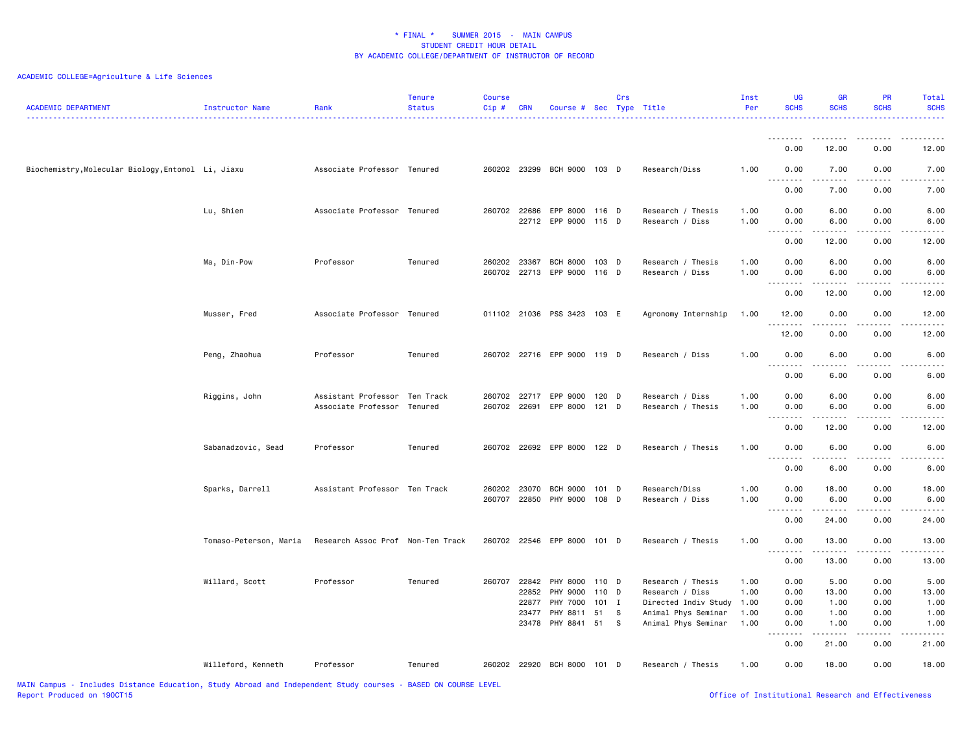| <b>ACADEMIC DEPARTMENT</b>                         | Instructor Name        | Rank                              | <b>Tenure</b><br><b>Status</b> | <b>Course</b><br>Cip# | <b>CRN</b>     | Course # Sec Type Title                 |               | Crs |                                                  | Inst<br>Per  | <b>UG</b><br><b>SCHS</b>                                    | <b>GR</b><br><b>SCHS</b>                                                                                                | PR<br><b>SCHS</b> | Total<br><b>SCHS</b>                                                                              |
|----------------------------------------------------|------------------------|-----------------------------------|--------------------------------|-----------------------|----------------|-----------------------------------------|---------------|-----|--------------------------------------------------|--------------|-------------------------------------------------------------|-------------------------------------------------------------------------------------------------------------------------|-------------------|---------------------------------------------------------------------------------------------------|
|                                                    |                        |                                   |                                |                       |                |                                         |               |     |                                                  |              | .                                                           | .                                                                                                                       |                   | $\mathbf{1} \cdot \mathbf{1} \cdot \mathbf{1} \cdot \mathbf{1} \cdot \mathbf{1} \cdot \mathbf{1}$ |
|                                                    |                        |                                   |                                |                       |                |                                         |               |     |                                                  |              | 0.00                                                        | 12.00                                                                                                                   | 0.00              | 12.00                                                                                             |
| Biochemistry, Molecular Biology, Entomol Li, Jiaxu |                        | Associate Professor Tenured       |                                |                       |                | 260202 23299 BCH 9000 103 D             |               |     | Research/Diss                                    | 1.00         | 0.00<br>$\sim$ $\sim$ $\sim$<br>$\sim$ $\sim$ $\sim$ $\sim$ | 7.00<br>$\sim$ $\sim$ $\sim$ $\sim$                                                                                     | 0.00              | 7.00                                                                                              |
|                                                    |                        |                                   |                                |                       |                |                                         |               |     |                                                  |              | 0.00                                                        | 7.00                                                                                                                    | 0.00              | 7.00                                                                                              |
|                                                    | Lu, Shien              | Associate Professor Tenured       |                                | 260702 22686          |                | EPP 8000 116 D<br>22712 EPP 9000        | 115 D         |     | Research / Thesis<br>Research / Diss             | 1.00<br>1.00 | 0.00<br>0.00                                                | 6.00<br>6.00                                                                                                            | 0.00<br>0.00      | 6.00<br>6.00                                                                                      |
|                                                    |                        |                                   |                                |                       |                |                                         |               |     |                                                  |              |                                                             |                                                                                                                         |                   |                                                                                                   |
|                                                    |                        |                                   |                                |                       |                |                                         |               |     |                                                  |              | 0.00                                                        | 12.00                                                                                                                   | 0.00              | 12.00                                                                                             |
|                                                    | Ma, Din-Pow            | Professor                         | Tenured                        | 260202 23367          |                | BCH 8000<br>260702 22713 EPP 9000 116 D | $103$ D       |     | Research / Thesis<br>Research / Diss             | 1.00<br>1.00 | 0.00<br>0.00                                                | 6.00<br>6.00                                                                                                            | 0.00<br>0.00      | 6.00<br>6.00                                                                                      |
|                                                    |                        |                                   |                                |                       |                |                                         |               |     |                                                  |              | .                                                           | ------                                                                                                                  | .                 |                                                                                                   |
|                                                    |                        |                                   |                                |                       |                |                                         |               |     |                                                  |              | 0.00                                                        | 12.00                                                                                                                   | 0.00              | 12.00                                                                                             |
|                                                    | Musser, Fred           | Associate Professor Tenured       |                                |                       |                | 011102 21036 PSS 3423 103 E             |               |     | Agronomy Internship                              | 1.00         | 12.00<br>. <b>.</b>                                         | 0.00<br>الدامات ب                                                                                                       | 0.00<br>.         | 12.00                                                                                             |
|                                                    |                        |                                   |                                |                       |                |                                         |               |     |                                                  |              | 12.00                                                       | 0.00                                                                                                                    | 0.00              | 12.00                                                                                             |
|                                                    | Peng, Zhaohua          | Professor                         | Tenured                        |                       |                | 260702 22716 EPP 9000 119 D             |               |     | Research / Diss                                  | 1.00         | 0.00                                                        | 6.00                                                                                                                    | 0.00              | 6.00                                                                                              |
|                                                    |                        |                                   |                                |                       |                |                                         |               |     |                                                  |              | 0.00                                                        | 6.00                                                                                                                    | 0.00              | 6.00                                                                                              |
|                                                    | Riggins, John          | Assistant Professor Ten Track     |                                | 260702 22717          |                | EPP 9000                                | 120 D         |     | Research / Diss                                  | 1.00         | 0.00                                                        | 6.00                                                                                                                    | 0.00              | 6.00                                                                                              |
|                                                    |                        | Associate Professor Tenured       |                                | 260702 22691          |                | EPP 8000 121 D                          |               |     | Research / Thesis                                | 1.00         | 0.00<br>$\cdots$<br>-----                                   | 6.00<br>$\begin{array}{cccccccccccccc} \bullet & \bullet & \bullet & \bullet & \bullet & \bullet & \bullet \end{array}$ | 0.00<br>.         | 6.00                                                                                              |
|                                                    |                        |                                   |                                |                       |                |                                         |               |     |                                                  |              | 0.00                                                        | 12.00                                                                                                                   | 0.00              | 12.00                                                                                             |
|                                                    | Sabanadzovic, Sead     | Professor                         | Tenured                        |                       |                | 260702 22692 EPP 8000 122 D             |               |     | Research / Thesis                                | 1.00         | 0.00<br>.                                                   | 6.00<br>.                                                                                                               | 0.00              | 6.00                                                                                              |
|                                                    |                        |                                   |                                |                       |                |                                         |               |     |                                                  |              | 0.00                                                        | 6.00                                                                                                                    | 0.00              | 6.00                                                                                              |
|                                                    | Sparks, Darrell        | Assistant Professor Ten Track     |                                | 260202                | 23070          | <b>BCH 9000</b>                         | 101 D         |     | Research/Diss                                    | 1.00         | 0.00                                                        | 18.00                                                                                                                   | 0.00              | 18.00                                                                                             |
|                                                    |                        |                                   |                                |                       |                | 260707 22850 PHY 9000 108 D             |               |     | Research / Diss                                  | 1.00         | 0.00<br>$\sim$ $\sim$                                       | 6.00                                                                                                                    | 0.00              | 6.00                                                                                              |
|                                                    |                        |                                   |                                |                       |                |                                         |               |     |                                                  |              | 0.00                                                        | 24.00                                                                                                                   | 0.00              | 24.00                                                                                             |
|                                                    | Tomaso-Peterson, Maria | Research Assoc Prof Non-Ten Track |                                |                       |                | 260702 22546 EPP 8000 101 D             |               |     | Research / Thesis                                | 1.00         | 0.00<br>.                                                   | 13.00<br>.                                                                                                              | 0.00<br>.         | 13.00<br>.                                                                                        |
|                                                    |                        |                                   |                                |                       |                |                                         |               |     |                                                  |              | 0.00                                                        | 13.00                                                                                                                   | 0.00              | 13.00                                                                                             |
|                                                    | Willard, Scott         | Professor                         | Tenured                        | 260707                | 22842          | PHY 8000 110 D                          |               |     | Research / Thesis                                | 1.00         | 0.00                                                        | 5.00                                                                                                                    | 0.00              | 5.00                                                                                              |
|                                                    |                        |                                   |                                |                       | 22852          | PHY 9000                                | 110 D         |     | Research / Diss                                  | 1.00         | 0.00                                                        | 13.00                                                                                                                   | 0.00              | 13.00                                                                                             |
|                                                    |                        |                                   |                                |                       | 22877<br>23477 | PHY 7000<br>PHY 8811                    | $101$ I<br>51 | s   | Directed Indiv Study 1.00<br>Animal Phys Seminar | 1.00         | 0.00<br>0.00                                                | 1.00<br>1.00                                                                                                            | 0.00<br>0.00      | 1.00<br>1.00                                                                                      |
|                                                    |                        |                                   |                                |                       | 23478          | PHY 8841 51                             |               | S   | Animal Phys Seminar                              | 1.00         | 0.00                                                        | 1.00                                                                                                                    | 0.00              | 1.00                                                                                              |
|                                                    |                        |                                   |                                |                       |                |                                         |               |     |                                                  |              | $\sim$ $\sim$<br>0.00                                       | 21.00                                                                                                                   | 0.00              | 21.00                                                                                             |
|                                                    | Willeford, Kenneth     | Professor                         | Tenured                        |                       |                | 260202 22920 BCH 8000 101 D             |               |     | Research / Thesis                                | 1.00         | 0.00                                                        | 18.00                                                                                                                   | 0.00              | 18.00                                                                                             |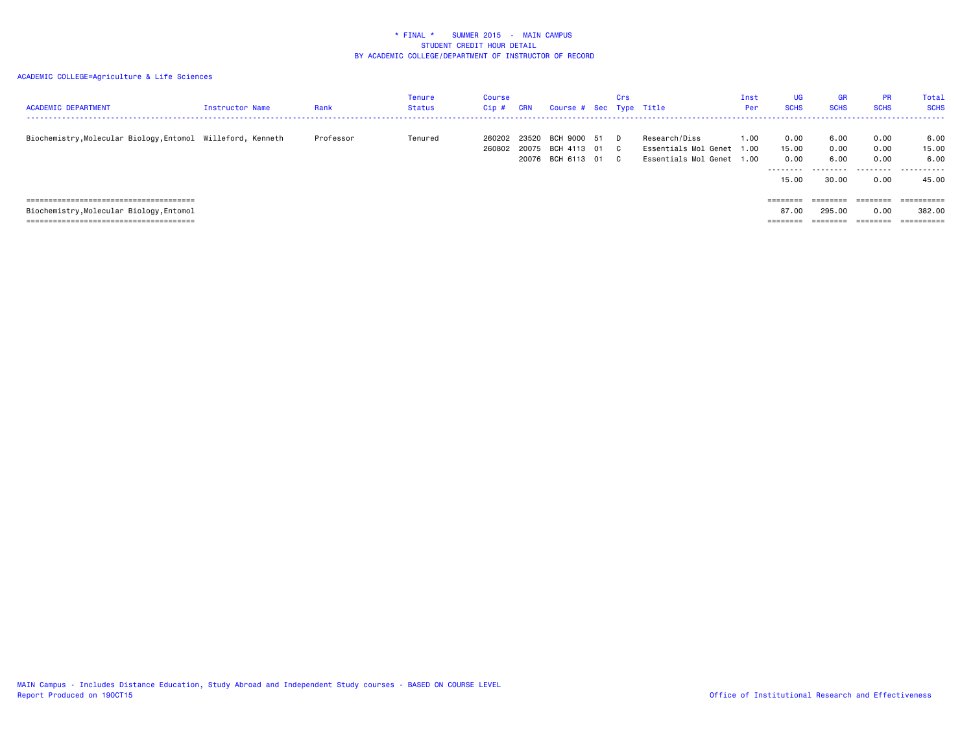| <b>ACADEMIC DEPARTMENT</b>                                  | Instructor Name | Rank      | Tenure<br>Status | Course<br>Cip#   | <b>CRN</b>     | Course # Sec Type Title                               | Crs |                                                                         | Inst<br>Per | UG<br><b>SCHS</b>              | <b>GR</b><br><b>SCHS</b>      | <b>PR</b><br><b>SCHS</b>     | <b>Total</b><br><b>SCHS</b>                    |
|-------------------------------------------------------------|-----------------|-----------|------------------|------------------|----------------|-------------------------------------------------------|-----|-------------------------------------------------------------------------|-------------|--------------------------------|-------------------------------|------------------------------|------------------------------------------------|
| Biochemistry, Molecular Biology, Entomol Willeford, Kenneth |                 | Professor | Tenured          | 260202<br>260802 | 23520<br>20075 | BCH 9000 51 D<br>BCH 4113 01 C<br>20076 BCH 6113 01 C |     | Research/Diss<br>Essentials Mol Genet 1.00<br>Essentials Mol Genet 1.00 | 1.00        | 0.00<br>15.00<br>0.00<br>15.00 | 6.00<br>0.00<br>6.00<br>30.00 | 0.00<br>0.00<br>0.00<br>0.00 | 6.00<br>15.00<br>6.00<br>. <b>.</b> .<br>45.00 |
|                                                             |                 |           |                  |                  |                |                                                       |     |                                                                         |             | $=$ = = = = = = =              | ========                      | ========                     | =========                                      |
| Biochemistry, Molecular Biology, Entomol                    |                 |           |                  |                  |                |                                                       |     |                                                                         |             | 87.00                          | 295.00                        | 0.00                         | 382.00                                         |
| ===============================                             |                 |           |                  |                  |                |                                                       |     |                                                                         |             |                                |                               |                              |                                                |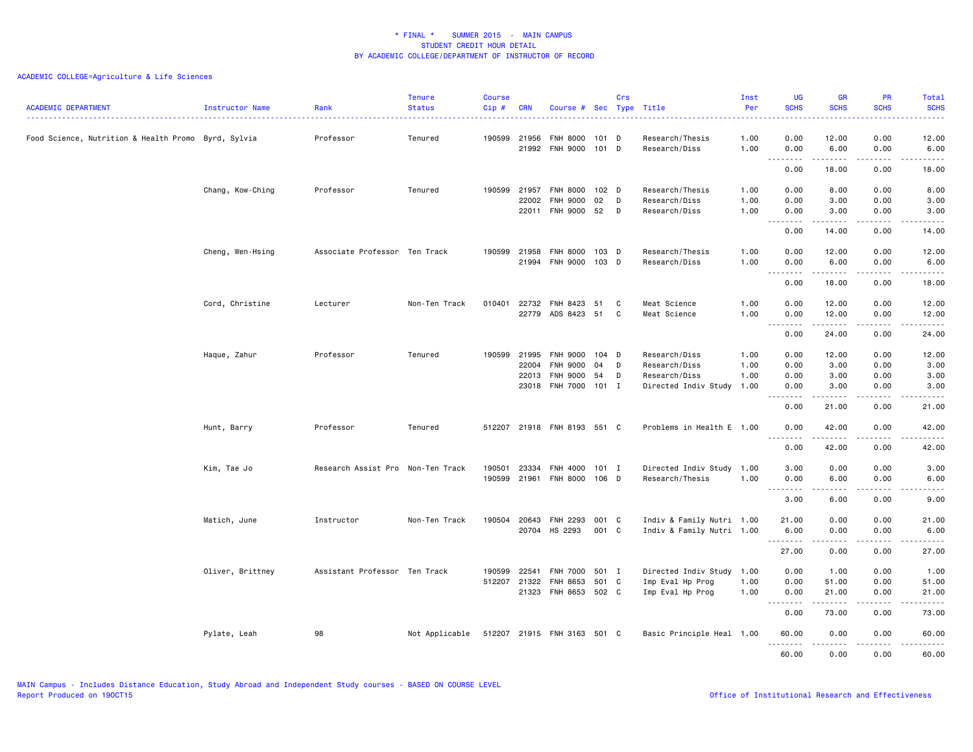| <b>ACADEMIC DEPARTMENT</b>                          | Instructor Name  | Rank                              | <b>Tenure</b><br><b>Status</b> | <b>Course</b><br>Cip# | <b>CRN</b>                     | Course # Sec Type Title                             |                              | Crs    |                                                                   | Inst<br>Per          | <b>UG</b><br><b>SCHS</b>                                                                                                                                                                                                                                                                                                                                                                                                                                                                               | <b>GR</b><br><b>SCHS</b> | <b>PR</b><br><b>SCHS</b>            | Total<br><b>SCHS</b>                                                                                                                                                 |
|-----------------------------------------------------|------------------|-----------------------------------|--------------------------------|-----------------------|--------------------------------|-----------------------------------------------------|------------------------------|--------|-------------------------------------------------------------------|----------------------|--------------------------------------------------------------------------------------------------------------------------------------------------------------------------------------------------------------------------------------------------------------------------------------------------------------------------------------------------------------------------------------------------------------------------------------------------------------------------------------------------------|--------------------------|-------------------------------------|----------------------------------------------------------------------------------------------------------------------------------------------------------------------|
| Food Science, Nutrition & Health Promo Byrd, Sylvia |                  | Professor                         | Tenured                        | 190599                | 21956<br>21992                 | FNH 8000<br><b>FNH 9000</b>                         | 101 D<br>$101$ D             |        | Research/Thesis<br>Research/Diss                                  | 1.00<br>1.00         | 0.00<br>0.00                                                                                                                                                                                                                                                                                                                                                                                                                                                                                           | 12.00<br>6.00            | 0.00<br>0.00                        | 12.00<br>6.00                                                                                                                                                        |
|                                                     |                  |                                   |                                |                       |                                |                                                     |                              |        |                                                                   |                      | 0.00                                                                                                                                                                                                                                                                                                                                                                                                                                                                                                   | .<br>18.00               | .<br>0.00                           | .<br>18.00                                                                                                                                                           |
|                                                     | Chang, Kow-Ching | Professor                         | Tenured                        |                       | 190599 21957<br>22002<br>22011 | <b>FNH 8000</b><br><b>FNH 9000</b><br>FNH 9000      | 102 <sub>D</sub><br>02<br>52 | D<br>D | Research/Thesis<br>Research/Diss<br>Research/Diss                 | 1.00<br>1.00<br>1.00 | 0.00<br>0.00<br>0.00                                                                                                                                                                                                                                                                                                                                                                                                                                                                                   | 8.00<br>3.00<br>3.00     | 0.00<br>0.00<br>0.00                | 8.00<br>3.00<br>3.00                                                                                                                                                 |
|                                                     |                  |                                   |                                |                       |                                |                                                     |                              |        |                                                                   |                      | .<br>0.00                                                                                                                                                                                                                                                                                                                                                                                                                                                                                              | .<br>14.00               | .<br>0.00                           | .<br>14.00                                                                                                                                                           |
|                                                     | Cheng, Wen-Hsing | Associate Professor Ten Track     |                                |                       | 190599 21958                   | <b>FNH 8000</b><br>21994 FNH 9000                   | 103 D<br>103 D               |        | Research/Thesis<br>Research/Diss                                  | 1.00<br>1.00         | 0.00<br>0.00                                                                                                                                                                                                                                                                                                                                                                                                                                                                                           | 12.00<br>6.00            | 0.00<br>0.00                        | 12.00<br>6.00                                                                                                                                                        |
|                                                     |                  |                                   |                                |                       |                                |                                                     |                              |        |                                                                   |                      | 0.00                                                                                                                                                                                                                                                                                                                                                                                                                                                                                                   | .<br>18.00               | .<br>0.00                           | .<br>18.00                                                                                                                                                           |
|                                                     | Cord, Christine  | Lecturer                          | Non-Ten Track                  |                       | 010401 22732                   | FNH 8423<br>22779 ADS 8423 51                       | 51                           | C<br>C | Meat Science<br>Meat Science                                      | 1.00<br>1.00         | 0.00<br>0.00<br>$\sim$ $\sim$ $\sim$<br>$\frac{1}{2} \left( \frac{1}{2} \right) \left( \frac{1}{2} \right) \left( \frac{1}{2} \right) \left( \frac{1}{2} \right) \left( \frac{1}{2} \right)$                                                                                                                                                                                                                                                                                                           | 12.00<br>12.00<br>.      | 0.00<br>0.00<br>.                   | 12.00<br>12.00<br>.                                                                                                                                                  |
|                                                     |                  |                                   |                                |                       |                                |                                                     |                              |        |                                                                   |                      | 0.00                                                                                                                                                                                                                                                                                                                                                                                                                                                                                                   | 24.00                    | 0.00                                | 24.00                                                                                                                                                                |
|                                                     | Haque, Zahur     | Professor                         | Tenured                        | 190599                | 21995<br>22004                 | <b>FNH 9000</b><br><b>FNH 9000</b>                  | $104$ D<br>04                | D      | Research/Diss<br>Research/Diss                                    | 1.00<br>1.00         | 0.00<br>0.00                                                                                                                                                                                                                                                                                                                                                                                                                                                                                           | 12.00<br>3.00            | 0.00<br>0.00                        | 12.00<br>3.00                                                                                                                                                        |
|                                                     |                  |                                   |                                |                       | 22013                          | <b>FNH 9000</b><br>23018 FNH 7000 101 I             | 54                           | D      | Research/Diss<br>Directed Indiv Study                             | 1.00<br>1.00         | 0.00<br>0.00<br>.                                                                                                                                                                                                                                                                                                                                                                                                                                                                                      | 3.00<br>3.00             | 0.00<br>0.00<br>. <u>. .</u>        | 3.00<br>3.00<br>$\frac{1}{2} \left( \frac{1}{2} \right) \left( \frac{1}{2} \right) \left( \frac{1}{2} \right) \left( \frac{1}{2} \right) \left( \frac{1}{2} \right)$ |
|                                                     |                  |                                   |                                |                       |                                |                                                     |                              |        |                                                                   |                      | 0.00                                                                                                                                                                                                                                                                                                                                                                                                                                                                                                   | 21.00                    | 0.00                                | 21.00                                                                                                                                                                |
|                                                     | Hunt, Barry      | Professor                         | Tenured                        |                       |                                | 512207 21918 FNH 8193 551 C                         |                              |        | Problems in Health E 1.00                                         |                      | 0.00<br>$\sim$ $\sim$ $\sim$<br>.                                                                                                                                                                                                                                                                                                                                                                                                                                                                      | 42.00                    | 0.00<br>$\sim$ $\sim$ $\sim$ $\sim$ | 42.00<br>$\frac{1}{2} \left( \frac{1}{2} \right) \left( \frac{1}{2} \right) \left( \frac{1}{2} \right) \left( \frac{1}{2} \right) \left( \frac{1}{2} \right)$        |
|                                                     |                  |                                   |                                |                       |                                |                                                     |                              |        |                                                                   |                      | 0.00                                                                                                                                                                                                                                                                                                                                                                                                                                                                                                   | 42.00                    | 0.00                                | 42.00                                                                                                                                                                |
|                                                     | Kim, Tae Jo      | Research Assist Pro Non-Ten Track |                                | 190501                |                                | 23334 FNH 4000 101 I<br>190599 21961 FNH 8000 106 D |                              |        | Directed Indiv Study 1.00<br>Research/Thesis                      | 1.00                 | 3.00<br>0.00<br>$\begin{array}{cccccccccc} \multicolumn{2}{c}{} & \multicolumn{2}{c}{} & \multicolumn{2}{c}{} & \multicolumn{2}{c}{} & \multicolumn{2}{c}{} & \multicolumn{2}{c}{} & \multicolumn{2}{c}{} & \multicolumn{2}{c}{} & \multicolumn{2}{c}{} & \multicolumn{2}{c}{} & \multicolumn{2}{c}{} & \multicolumn{2}{c}{} & \multicolumn{2}{c}{} & \multicolumn{2}{c}{} & \multicolumn{2}{c}{} & \multicolumn{2}{c}{} & \multicolumn{2}{c}{} & \multicolumn{2}{c}{} & \multicolumn{2}{c}{} & \mult$ | 0.00<br>6.00<br>.        | 0.00<br>0.00<br>.                   | 3.00<br>6.00<br>.                                                                                                                                                    |
|                                                     |                  |                                   |                                |                       |                                |                                                     |                              |        |                                                                   |                      | 3.00                                                                                                                                                                                                                                                                                                                                                                                                                                                                                                   | 6.00                     | 0.00                                | 9.00                                                                                                                                                                 |
|                                                     | Matich, June     | Instructor                        | Non-Ten Track                  |                       | 190504 20643                   | FNH 2293<br>20704 HS 2293                           | 001 C<br>001 C               |        | Indiv & Family Nutri 1.00<br>Indiv & Family Nutri 1.00            |                      | 21.00<br>6.00<br>.                                                                                                                                                                                                                                                                                                                                                                                                                                                                                     | 0.00<br>0.00             | 0.00<br>0.00                        | 21.00<br>6.00<br>$\frac{1}{2}$                                                                                                                                       |
|                                                     |                  |                                   |                                |                       |                                |                                                     |                              |        |                                                                   |                      | 27.00                                                                                                                                                                                                                                                                                                                                                                                                                                                                                                  | 0.00                     | 0.00                                | 27.00                                                                                                                                                                |
|                                                     | Oliver, Brittney | Assistant Professor Ten Track     |                                | 190599                | 22541<br>512207 21322          | <b>FNH 7000</b><br>FNH 8653<br>21323 FNH 8653       | 501 I<br>501 C<br>502 C      |        | Directed Indiv Study 1.00<br>Imp Eval Hp Prog<br>Imp Eval Hp Prog | 1.00<br>1.00         | 0.00<br>0.00<br>0.00                                                                                                                                                                                                                                                                                                                                                                                                                                                                                   | 1.00<br>51.00<br>21.00   | 0.00<br>0.00<br>0.00                | 1.00<br>51.00<br>21.00                                                                                                                                               |
|                                                     |                  |                                   |                                |                       |                                |                                                     |                              |        |                                                                   |                      | $\sim$ $\sim$ $\sim$<br>0.00                                                                                                                                                                                                                                                                                                                                                                                                                                                                           | -----<br>73.00           | 0.00                                | .<br>73.00                                                                                                                                                           |
|                                                     | Pylate, Leah     | 98                                | Not Applicable                 |                       |                                | 512207 21915 FNH 3163 501 C                         |                              |        | Basic Principle Heal 1.00                                         |                      | 60.00<br>.                                                                                                                                                                                                                                                                                                                                                                                                                                                                                             | 0.00<br>المتمام المتعاد  | 0.00<br>.                           | 60.00<br>.                                                                                                                                                           |
|                                                     |                  |                                   |                                |                       |                                |                                                     |                              |        |                                                                   |                      | 60.00                                                                                                                                                                                                                                                                                                                                                                                                                                                                                                  | 0.00                     | 0.00                                | 60.00                                                                                                                                                                |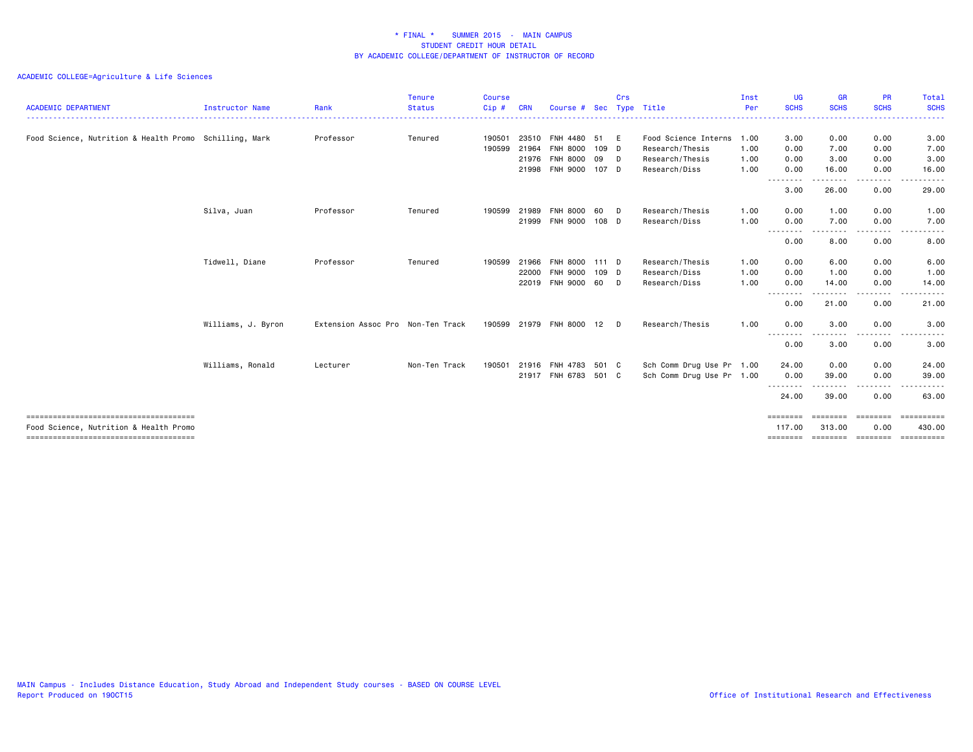| <b>ACADEMIC DEPARTMENT</b>                             | Instructor Name    | Rank                              | <b>Tenure</b><br><b>Status</b> | <b>Course</b><br>Cip# | <b>CRN</b> | Course #             | <b>Sec</b> | Crs | Type Title                | Inst<br>Per | <b>UG</b><br><b>SCHS</b>                                                                                                          | <b>GR</b><br><b>SCHS</b> | <b>PR</b><br><b>SCHS</b>                                                                                                          | Total<br><b>SCHS</b> |
|--------------------------------------------------------|--------------------|-----------------------------------|--------------------------------|-----------------------|------------|----------------------|------------|-----|---------------------------|-------------|-----------------------------------------------------------------------------------------------------------------------------------|--------------------------|-----------------------------------------------------------------------------------------------------------------------------------|----------------------|
|                                                        |                    |                                   |                                |                       |            |                      |            |     |                           |             |                                                                                                                                   |                          |                                                                                                                                   |                      |
| Food Science, Nutrition & Health Promo Schilling, Mark |                    | Professor                         | Tenured                        | 190501                | 23510      | <b>FNH 4480</b>      | 51         | E   | Food Science Interns      | 1.00        | 3.00                                                                                                                              | 0.00                     | 0.00                                                                                                                              | 3.00                 |
|                                                        |                    |                                   |                                | 190599                | 21964      | <b>FNH 8000</b>      | 109 D      |     | Research/Thesis           | 1.00        | 0.00                                                                                                                              | 7.00                     | 0.00                                                                                                                              | 7.00                 |
|                                                        |                    |                                   |                                |                       | 21976      | <b>FNH 8000</b>      | 09         | D   | Research/Thesis           | 1.00        | 0.00                                                                                                                              | 3.00                     | 0.00                                                                                                                              | 3.00                 |
|                                                        |                    |                                   |                                |                       | 21998      | FNH 9000 107 D       |            |     | Research/Diss             | 1.00        | 0.00<br>$\frac{1}{2} \left( \frac{1}{2} \right) \left( \frac{1}{2} \right) \left( \frac{1}{2} \right) \left( \frac{1}{2} \right)$ | 16.00                    | 0.00                                                                                                                              | 16.00<br>-----       |
|                                                        |                    |                                   |                                |                       |            |                      |            |     |                           |             | 3.00                                                                                                                              | 26.00                    | 0.00                                                                                                                              | 29.00                |
|                                                        | Silva, Juan        | Professor                         | Tenured                        | 190599                | 21989      | <b>FNH 8000</b>      | 60         | D   | Research/Thesis           | 1.00        | 0.00                                                                                                                              | 1.00                     | 0.00                                                                                                                              | 1.00                 |
|                                                        |                    |                                   |                                |                       | 21999      | FNH 9000 108 D       |            |     | Research/Diss             | 1.00        | 0.00                                                                                                                              | 7.00                     | 0.00                                                                                                                              | 7.00                 |
|                                                        |                    |                                   |                                |                       |            |                      |            |     |                           |             | .<br>0.00                                                                                                                         | 8.00                     | 0.00                                                                                                                              | 8.00                 |
|                                                        | Tidwell, Diane     | Professor                         | Tenured                        | 190599                | 21966      | <b>FNH 8000</b>      | 111 D      |     | Research/Thesis           | 1.00        | 0.00                                                                                                                              | 6.00                     | 0.00                                                                                                                              | 6.00                 |
|                                                        |                    |                                   |                                |                       | 22000      | FNH 9000             | $109$ D    |     | Research/Diss             | 1.00        | 0.00                                                                                                                              | 1.00                     | 0.00                                                                                                                              | 1.00                 |
|                                                        |                    |                                   |                                |                       | 22019      | FNH 9000 60          |            | D   | Research/Diss             | 1.00        | 0.00                                                                                                                              | 14.00                    | 0.00                                                                                                                              | 14.00                |
|                                                        |                    |                                   |                                |                       |            |                      |            |     |                           |             | $\frac{1}{2} \left( \frac{1}{2} \right) \left( \frac{1}{2} \right) \left( \frac{1}{2} \right) \left( \frac{1}{2} \right)$<br>0.00 | 21.00                    | $\frac{1}{2} \left( \frac{1}{2} \right) \left( \frac{1}{2} \right) \left( \frac{1}{2} \right) \left( \frac{1}{2} \right)$<br>0.00 | .<br>21.00           |
|                                                        | Williams, J. Byron | Extension Assoc Pro Non-Ten Track |                                | 190599                | 21979      | <b>FNH 8000</b>      | 12         | D   | Research/Thesis           | 1.00        | 0.00                                                                                                                              | 3.00                     | 0.00                                                                                                                              | 3.00                 |
|                                                        |                    |                                   |                                |                       |            |                      |            |     |                           |             | --------<br>0.00                                                                                                                  | 3.00                     | 0.00                                                                                                                              | 3.00                 |
|                                                        | Williams, Ronald   | Lecturer                          | Non-Ten Track                  | 190501                | 21916      | FNH 4783             | 501 C      |     | Sch Comm Drug Use Pr 1.00 |             | 24.00                                                                                                                             | 0.00                     | 0.00                                                                                                                              | 24.00                |
|                                                        |                    |                                   |                                |                       |            | 21917 FNH 6783 501 C |            |     | Sch Comm Drug Use Pr 1.00 |             | 0.00                                                                                                                              | 39.00                    | 0.00                                                                                                                              | 39.00                |
|                                                        |                    |                                   |                                |                       |            |                      |            |     |                           |             | .<br>24.00                                                                                                                        | 39.00                    | 0.00                                                                                                                              | 63.00                |
| Food Science, Nutrition & Health Promo                 |                    |                                   |                                |                       |            |                      |            |     |                           |             | ========<br>117.00                                                                                                                | 313.00                   | ======<br>0.00                                                                                                                    | ==========<br>430.00 |
|                                                        |                    |                                   |                                |                       |            |                      |            |     |                           |             | ========                                                                                                                          | ========                 | ========                                                                                                                          | ==========           |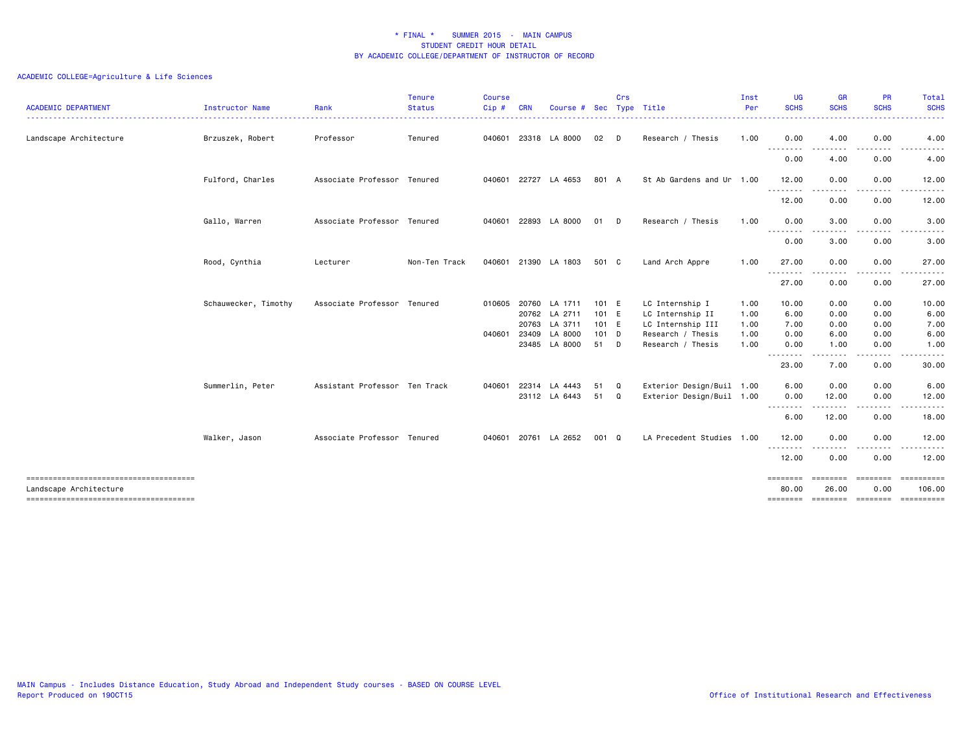| <b>ACADEMIC DEPARTMENT</b><br>. <u>.</u> . | Instructor Name      | Rank                          | <b>Tenure</b><br><b>Status</b> | <b>Course</b><br>Cip# | <b>CRN</b>     | Course #                       | <b>Sec</b>     | Crs    | Type Title                                             | Inst<br>Per  | <b>UG</b><br><b>SCHS</b>    | <b>GR</b><br><b>SCHS</b> | <b>PR</b><br><b>SCHS</b>   | Total<br><b>SCHS</b><br>$\frac{1}{2} \left( \frac{1}{2} \right) \left( \frac{1}{2} \right) \left( \frac{1}{2} \right) \left( \frac{1}{2} \right) \left( \frac{1}{2} \right)$ |
|--------------------------------------------|----------------------|-------------------------------|--------------------------------|-----------------------|----------------|--------------------------------|----------------|--------|--------------------------------------------------------|--------------|-----------------------------|--------------------------|----------------------------|------------------------------------------------------------------------------------------------------------------------------------------------------------------------------|
| Landscape Architecture                     | Brzuszek, Robert     | Professor                     | Tenured                        | 040601                |                | 23318 LA 8000                  | 02             | D      | Research / Thesis                                      | 1.00         | 0.00                        | 4.00                     | 0.00                       | 4.00                                                                                                                                                                         |
|                                            |                      |                               |                                |                       |                |                                |                |        |                                                        |              | .<br>0.00                   | 4.00                     | $\frac{1}{2}$<br>0.00      | 4.00                                                                                                                                                                         |
|                                            | Fulford, Charles     | Associate Professor Tenured   |                                |                       |                | 040601 22727 LA 4653           | 801 A          |        | St Ab Gardens and Ur 1.00                              |              | 12.00                       | 0.00                     | 0.00                       | 12.00                                                                                                                                                                        |
|                                            |                      |                               |                                |                       |                |                                |                |        |                                                        |              | .<br>12.00                  | 0.00                     | 0.00                       | 12.00                                                                                                                                                                        |
|                                            | Gallo, Warren        | Associate Professor Tenured   |                                | 040601                |                | 22893 LA 8000                  | 01             | D      | Research / Thesis                                      | 1.00         | 0.00                        | 3.00                     | 0.00                       | 3.00                                                                                                                                                                         |
|                                            |                      |                               |                                |                       |                |                                |                |        |                                                        |              | <u>--------</u><br>0.00     | 3.00                     | 0.00                       | 3.00                                                                                                                                                                         |
|                                            | Rood, Cynthia        | Lecturer                      | Non-Ten Track                  | 040601                |                | 21390 LA 1803                  | 501 C          |        | Land Arch Appre                                        | 1.00         | 27.00                       | 0.00                     | 0.00                       | 27.00                                                                                                                                                                        |
|                                            |                      |                               |                                |                       |                |                                |                |        |                                                        |              | .<br>27.00                  | .<br>0.00                | .<br>0.00                  | .<br>27.00                                                                                                                                                                   |
|                                            | Schauwecker, Timothy | Associate Professor Tenured   |                                | 010605                |                | 20760 LA 1711<br>20762 LA 2711 | 101 E<br>101 E |        | LC Internship I<br>LC Internship II                    | 1.00<br>1.00 | 10.00<br>6.00               | 0.00<br>0.00             | 0.00<br>0.00               | 10.00<br>6.00                                                                                                                                                                |
|                                            |                      |                               |                                |                       | 20763          | LA 3711                        | 101 E          |        | LC Internship III                                      | 1.00         | 7.00                        | 0.00                     | 0.00                       | 7.00                                                                                                                                                                         |
|                                            |                      |                               |                                | 040601                | 23409<br>23485 | LA 8000<br>LA 8000             | $101$ D<br>51  | D      | Research / Thesis<br>Research / Thesis                 | 1.00<br>1.00 | 0.00<br>0.00                | 6.00<br>1.00             | 0.00<br>0.00               | 6.00<br>1.00                                                                                                                                                                 |
|                                            |                      |                               |                                |                       |                |                                |                |        |                                                        |              | .<br>$\frac{1}{2}$<br>23.00 | .<br>7.00                | .<br>0.00                  | 30.00                                                                                                                                                                        |
|                                            | Summerlin, Peter     | Assistant Professor Ten Track |                                | 040601                | 22314          | LA 4443<br>23112 LA 6443       | 51<br>51       | Q<br>Q | Exterior Design/Buil 1.00<br>Exterior Design/Buil 1.00 |              | 6.00<br>0.00                | 0.00<br>12.00            | 0.00<br>0.00               | 6.00<br>12.00                                                                                                                                                                |
|                                            |                      |                               |                                |                       |                |                                |                |        |                                                        |              | .<br>6.00                   | 12.00                    | 0.00                       | 18.00                                                                                                                                                                        |
|                                            | Walker, Jason        | Associate Professor Tenured   |                                |                       |                | 040601 20761 LA 2652           | 001 Q          |        | LA Precedent Studies 1.00                              |              | 12.00                       | 0.00                     | 0.00                       | 12.00                                                                                                                                                                        |
|                                            |                      |                               |                                |                       |                |                                |                |        |                                                        |              | --------<br>12.00           | . <i>. .</i> .<br>0.00   | . <b>.</b> .<br>0.00       | . <b>.</b> .<br>12.00                                                                                                                                                        |
|                                            |                      |                               |                                |                       |                |                                |                |        |                                                        |              | ========                    |                          | ========                   | ==========                                                                                                                                                                   |
| Landscape Architecture                     |                      |                               |                                |                       |                |                                |                |        |                                                        |              | 80.00<br>========           | 26.00                    | 0.00<br>--------- -------- | 106.00<br><b>CONSESSED</b>                                                                                                                                                   |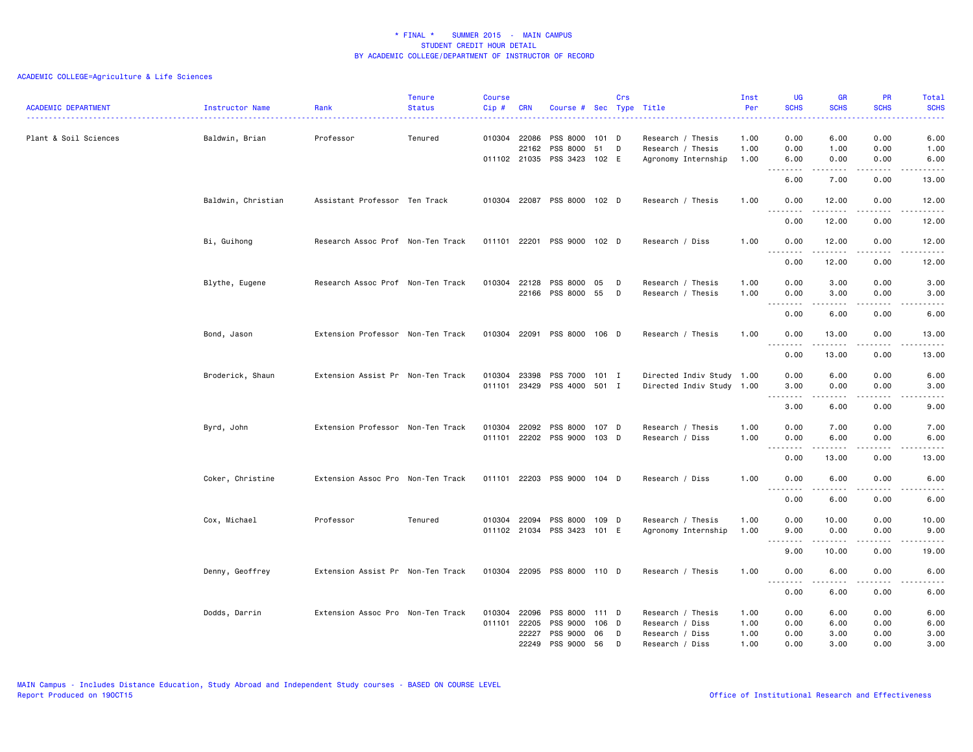| <b>ACADEMIC DEPARTMENT</b> | <b>Instructor Name</b> | Rank                              | <b>Tenure</b><br><b>Status</b> | <b>Course</b><br>Cip# | <b>CRN</b>                     | Course # Sec Type Title                       |                        | Crs |                                                               | Inst<br>Per          | UG<br><b>SCHS</b>                                                                                                                                                                                                                                                                                                                                                                                                                                                                                      | <b>GR</b><br><b>SCHS</b>                                                                                                                                     | PR<br><b>SCHS</b>             | Total<br><b>SCHS</b>                                                                                                                                          |
|----------------------------|------------------------|-----------------------------------|--------------------------------|-----------------------|--------------------------------|-----------------------------------------------|------------------------|-----|---------------------------------------------------------------|----------------------|--------------------------------------------------------------------------------------------------------------------------------------------------------------------------------------------------------------------------------------------------------------------------------------------------------------------------------------------------------------------------------------------------------------------------------------------------------------------------------------------------------|--------------------------------------------------------------------------------------------------------------------------------------------------------------|-------------------------------|---------------------------------------------------------------------------------------------------------------------------------------------------------------|
| Plant & Soil Sciences      | Baldwin, Brian         | Professor                         | Tenured                        |                       | 010304 22086<br>22162          | PSS 8000<br>PSS 8000<br>011102 21035 PSS 3423 | 101 D<br>51<br>102 E   | D   | Research / Thesis<br>Research / Thesis<br>Agronomy Internship | 1.00<br>1.00<br>1.00 | 0.00<br>0.00<br>6.00                                                                                                                                                                                                                                                                                                                                                                                                                                                                                   | 6.00<br>1.00<br>0.00                                                                                                                                         | 0.00<br>0.00<br>0.00          | 6.00<br>1.00<br>6.00                                                                                                                                          |
|                            |                        |                                   |                                |                       |                                |                                               |                        |     |                                                               |                      | $\sim$ $\sim$ $\sim$<br>$\sim$ $\sim$ $\sim$ $\sim$<br>6.00                                                                                                                                                                                                                                                                                                                                                                                                                                            | $\frac{1}{2} \left( \frac{1}{2} \right) \left( \frac{1}{2} \right) \left( \frac{1}{2} \right) \left( \frac{1}{2} \right) \left( \frac{1}{2} \right)$<br>7.00 | .<br>0.00                     | $\frac{1}{2} \left( \frac{1}{2} \right) \left( \frac{1}{2} \right) \left( \frac{1}{2} \right) \left( \frac{1}{2} \right) \left( \frac{1}{2} \right)$<br>13.00 |
|                            | Baldwin, Christian     | Assistant Professor Ten Track     |                                |                       |                                | 010304 22087 PSS 8000 102 D                   |                        |     | Research / Thesis                                             | 1.00                 | 0.00<br>$\sim$ $\sim$ $\sim$<br>-----                                                                                                                                                                                                                                                                                                                                                                                                                                                                  | 12.00                                                                                                                                                        | 0.00<br>.                     | 12.00<br>-----                                                                                                                                                |
|                            |                        |                                   |                                |                       |                                |                                               |                        |     |                                                               |                      | 0.00                                                                                                                                                                                                                                                                                                                                                                                                                                                                                                   | 12.00                                                                                                                                                        | 0.00                          | 12.00                                                                                                                                                         |
|                            | Bi, Guihong            | Research Assoc Prof Non-Ten Track |                                |                       |                                | 011101 22201 PSS 9000 102 D                   |                        |     | Research / Diss                                               | 1.00                 | 0.00                                                                                                                                                                                                                                                                                                                                                                                                                                                                                                   | 12.00<br>.                                                                                                                                                   | 0.00<br>.                     | 12.00<br>.                                                                                                                                                    |
|                            |                        |                                   |                                |                       |                                |                                               |                        |     |                                                               |                      | 0.00                                                                                                                                                                                                                                                                                                                                                                                                                                                                                                   | 12.00                                                                                                                                                        | 0.00                          | 12.00                                                                                                                                                         |
|                            | Blythe, Eugene         | Research Assoc Prof Non-Ten Track |                                | 010304                | 22128                          | PSS 8000<br>22166 PSS 8000                    | 05<br>55 D             | D   | Research / Thesis<br>Research / Thesis                        | 1.00<br>1.00         | 0.00<br>0.00<br>$\sim$ $\sim$ $\sim$<br>$\sim$ $\sim$ $\sim$ $\sim$                                                                                                                                                                                                                                                                                                                                                                                                                                    | 3.00<br>3.00<br>.                                                                                                                                            | 0.00<br>0.00<br>$\frac{1}{2}$ | 3.00<br>3.00<br>.                                                                                                                                             |
|                            |                        |                                   |                                |                       |                                |                                               |                        |     |                                                               |                      | 0.00                                                                                                                                                                                                                                                                                                                                                                                                                                                                                                   | 6.00                                                                                                                                                         | 0.00                          | 6.00                                                                                                                                                          |
|                            | Bond, Jason            | Extension Professor Non-Ten Track |                                |                       | 010304 22091                   | PSS 8000                                      | 106 D                  |     | Research / Thesis                                             | 1.00                 | 0.00<br>د د د د<br>$- - -$                                                                                                                                                                                                                                                                                                                                                                                                                                                                             | 13.00<br>$\frac{1}{2}$                                                                                                                                       | 0.00<br>----                  | 13.00<br>$\frac{1}{2}$                                                                                                                                        |
|                            |                        |                                   |                                |                       |                                |                                               |                        |     |                                                               |                      | 0.00                                                                                                                                                                                                                                                                                                                                                                                                                                                                                                   | 13.00                                                                                                                                                        | 0.00                          | 13.00                                                                                                                                                         |
|                            | Broderick, Shaun       | Extension Assist Pr Non-Ten Track |                                | 010304                | 23398<br>011101 23429          | PSS 7000<br>PSS 4000 501 I                    | 101 I                  |     | Directed Indiv Study 1.00<br>Directed Indiv Study 1.00        |                      | 0.00<br>3.00                                                                                                                                                                                                                                                                                                                                                                                                                                                                                           | 6.00<br>0.00<br>.                                                                                                                                            | 0.00<br>0.00<br>.             | 6.00<br>3.00<br>.                                                                                                                                             |
|                            |                        |                                   |                                |                       |                                |                                               |                        |     |                                                               |                      | 3.00                                                                                                                                                                                                                                                                                                                                                                                                                                                                                                   | 6.00                                                                                                                                                         | 0.00                          | 9.00                                                                                                                                                          |
|                            | Byrd, John             | Extension Professor Non-Ten Track |                                |                       | 010304 22092                   | PSS 8000<br>011101 22202 PSS 9000             | 107 D<br>103 D         |     | Research / Thesis<br>Research / Diss                          | 1.00<br>1.00         | 0.00<br>0.00<br>$\begin{array}{cccccccccccccc} \multicolumn{2}{c}{} & \multicolumn{2}{c}{} & \multicolumn{2}{c}{} & \multicolumn{2}{c}{} & \multicolumn{2}{c}{} & \multicolumn{2}{c}{} & \multicolumn{2}{c}{} & \multicolumn{2}{c}{} & \multicolumn{2}{c}{} & \multicolumn{2}{c}{} & \multicolumn{2}{c}{} & \multicolumn{2}{c}{} & \multicolumn{2}{c}{} & \multicolumn{2}{c}{} & \multicolumn{2}{c}{} & \multicolumn{2}{c}{} & \multicolumn{2}{c}{} & \multicolumn{2}{c}{} & \multicolumn{2}{c}{} & \$ | 7.00<br>6.00<br>المتمامين                                                                                                                                    | 0.00<br>0.00<br>.             | 7.00<br>6.00<br>$\omega$ is $\omega$ in $\omega$                                                                                                              |
|                            |                        |                                   |                                |                       |                                |                                               |                        |     |                                                               |                      | 0.00                                                                                                                                                                                                                                                                                                                                                                                                                                                                                                   | 13.00                                                                                                                                                        | 0.00                          | 13.00                                                                                                                                                         |
|                            | Coker, Christine       | Extension Assoc Pro Non-Ten Track |                                |                       |                                | 011101 22203 PSS 9000                         | 104 D                  |     | Research / Diss                                               | 1.00                 | 0.00<br><b></b>                                                                                                                                                                                                                                                                                                                                                                                                                                                                                        | 6.00                                                                                                                                                         | 0.00                          | 6.00                                                                                                                                                          |
|                            |                        |                                   |                                |                       |                                |                                               |                        |     |                                                               |                      | 0.00                                                                                                                                                                                                                                                                                                                                                                                                                                                                                                   | 6.00                                                                                                                                                         | 0.00                          | 6.00                                                                                                                                                          |
|                            | Cox, Michael           | Professor                         | Tenured                        |                       | 010304 22094                   | PSS 8000<br>011102 21034 PSS 3423             | 109 D<br>101 E         |     | Research / Thesis<br>Agronomy Internship                      | 1.00<br>1.00         | 0.00<br>9.00                                                                                                                                                                                                                                                                                                                                                                                                                                                                                           | 10.00<br>0.00                                                                                                                                                | 0.00<br>0.00                  | 10.00<br>9.00                                                                                                                                                 |
|                            |                        |                                   |                                |                       |                                |                                               |                        |     |                                                               |                      | .<br>9.00                                                                                                                                                                                                                                                                                                                                                                                                                                                                                              | .<br>10.00                                                                                                                                                   | .<br>0.00                     | .<br>19.00                                                                                                                                                    |
|                            | Denny, Geoffrey        | Extension Assist Pr Non-Ten Track |                                |                       |                                | 010304 22095 PSS 8000 110 D                   |                        |     | Research / Thesis                                             | 1.00                 | 0.00<br>. <b>.</b>                                                                                                                                                                                                                                                                                                                                                                                                                                                                                     | 6.00<br>$\sim$ $\sim$ $\sim$ $\sim$                                                                                                                          | 0.00<br>.                     | 6.00<br>-----                                                                                                                                                 |
|                            |                        |                                   |                                |                       |                                |                                               |                        |     |                                                               |                      | 0.00                                                                                                                                                                                                                                                                                                                                                                                                                                                                                                   | 6.00                                                                                                                                                         | 0.00                          | 6.00                                                                                                                                                          |
|                            | Dodds, Darrin          | Extension Assoc Pro Non-Ten Track |                                | 010304                | 22096<br>011101 22205<br>22227 | PSS 8000<br>PSS 9000<br>PSS 9000              | $111$ D<br>106 D<br>06 | D   | Research / Thesis<br>Research / Diss<br>Research / Diss       | 1.00<br>1.00<br>1.00 | 0.00<br>0.00<br>0.00                                                                                                                                                                                                                                                                                                                                                                                                                                                                                   | 6.00<br>6.00<br>3.00                                                                                                                                         | 0.00<br>0.00<br>0.00          | 6.00<br>6.00<br>3.00                                                                                                                                          |
|                            |                        |                                   |                                |                       | 22249                          | PSS 9000                                      | 56                     | D   | Research / Diss                                               | 1.00                 | 0.00                                                                                                                                                                                                                                                                                                                                                                                                                                                                                                   | 3.00                                                                                                                                                         | 0.00                          | 3.00                                                                                                                                                          |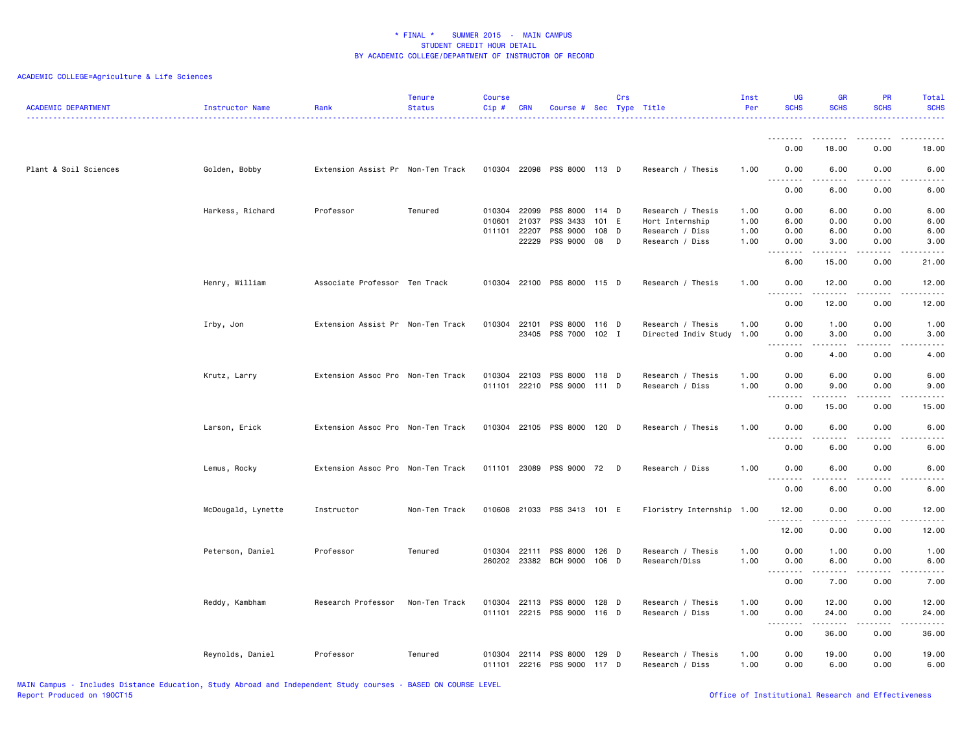## ACADEMIC COLLEGE=Agriculture & Life Sciences

| <b>ACADEMIC DEPARTMENT</b> | <b>Instructor Name</b> | Rank                              | <b>Tenure</b><br><b>Status</b> | <b>Course</b><br>Cip#  | <b>CRN</b>     | Course # Sec Type Title          |                  | Crs |                                                | Inst<br>Per  | <b>UG</b><br><b>SCHS</b>                      | <b>GR</b><br><b>SCHS</b> | <b>PR</b><br><b>SCHS</b>      | Total<br><b>SCHS</b>                                                                                                               |
|----------------------------|------------------------|-----------------------------------|--------------------------------|------------------------|----------------|----------------------------------|------------------|-----|------------------------------------------------|--------------|-----------------------------------------------|--------------------------|-------------------------------|------------------------------------------------------------------------------------------------------------------------------------|
|                            |                        |                                   |                                |                        |                |                                  |                  |     |                                                |              | <u>.</u><br>0.00                              | .<br>18.00               | $   -$<br>0.00                | 18.00                                                                                                                              |
| Plant & Soil Sciences      | Golden, Bobby          | Extension Assist Pr Non-Ten Track |                                |                        |                | 010304 22098 PSS 8000 113 D      |                  |     | Research / Thesis                              | 1.00         | 0.00                                          | 6.00                     | 0.00                          | 6.00                                                                                                                               |
|                            |                        |                                   |                                |                        |                |                                  |                  |     |                                                |              | $\sim$ $\sim$ $\sim$<br>.<br>0.00             | $- - - - -$<br>6.00      | .<br>0.00                     | ----<br>6.00                                                                                                                       |
|                            | Harkess, Richard       | Professor                         | Tenured                        | 010304 22099<br>010601 | 21037          | PSS 8000 114 D<br>PSS 3433       | 101              | - E | Research / Thesis<br>Hort Internship           | 1.00<br>1.00 | 0.00<br>6.00                                  | 6.00<br>0.00             | 0.00<br>0.00                  | 6.00<br>6.00                                                                                                                       |
|                            |                        |                                   |                                | 011101                 | 22207<br>22229 | PSS 9000<br>PSS 9000             | 108 D<br>08      | D   | Research / Diss<br>Research / Diss             | 1.00<br>1.00 | 0.00<br>0.00                                  | 6.00<br>3.00             | 0.00<br>0.00                  | 6.00<br>3.00                                                                                                                       |
|                            |                        |                                   |                                |                        |                |                                  |                  |     |                                                |              | $\sim$ $\sim$ $\sim$<br>$\sim$ $\sim$<br>6.00 | 15.00                    | ----<br>0.00                  | .<br>21.00                                                                                                                         |
|                            | Henry, William         | Associate Professor Ten Track     |                                | 010304 22100           |                | PSS 8000 115 D                   |                  |     | Research / Thesis                              | 1.00         | 0.00<br>$\sim$ $\sim$ $\sim$<br>د د د د       | 12.00<br>.               | 0.00<br>$\sim$ $\sim$ $\sim$  | 12.00<br>المتماما                                                                                                                  |
|                            |                        |                                   |                                |                        |                |                                  |                  |     |                                                |              | 0.00                                          | 12.00                    | 0.00                          | 12.00                                                                                                                              |
|                            | Irby, Jon              | Extension Assist Pr Non-Ten Track |                                | 010304                 | 22101<br>23405 | PSS 8000<br>PSS 7000             | 116 D<br>$102$ I |     | Research / Thesis<br>Directed Indiv Study 1.00 | 1.00         | 0.00<br>0.00<br>$\sim$ $\sim$ $\sim$<br>.     | 1.00<br>3.00<br>.        | 0.00<br>0.00<br>$\frac{1}{2}$ | 1.00<br>3.00<br>.                                                                                                                  |
|                            |                        |                                   |                                |                        |                |                                  |                  |     |                                                |              | 0.00                                          | 4.00                     | 0.00                          | 4.00                                                                                                                               |
|                            | Krutz, Larry           | Extension Assoc Pro Non-Ten Track |                                | 010304 22103<br>011101 | 22210          | PSS 8000<br>PSS 9000 111 D       | 118 D            |     | Research / Thesis<br>Research / Diss           | 1.00<br>1.00 | 0.00<br>0.00                                  | 6.00<br>9.00             | 0.00<br>0.00                  | 6.00<br>9.00                                                                                                                       |
|                            |                        |                                   |                                |                        |                |                                  |                  |     |                                                |              | $\sim$ $\sim$ $\sim$<br>والمحامر<br>0.00      | -----<br>15.00           | .<br>0.00                     | $\frac{1}{2} \left( \frac{1}{2} \right) \left( \frac{1}{2} \right) \left( \frac{1}{2} \right) \left( \frac{1}{2} \right)$<br>15.00 |
|                            | Larson, Erick          | Extension Assoc Pro Non-Ten Track |                                | 010304                 |                | 22105 PSS 8000                   | 120 D            |     | Research / Thesis                              | 1.00         | 0.00<br>.                                     | 6.00<br>.                | 0.00<br>$- - -$               | 6.00<br>.                                                                                                                          |
|                            |                        |                                   |                                |                        |                |                                  |                  |     |                                                |              | 0.00                                          | 6.00                     | 0.00                          | 6.00                                                                                                                               |
|                            | Lemus, Rocky           | Extension Assoc Pro Non-Ten Track |                                | 011101 23089           |                | PSS 9000 72 D                    |                  |     | Research / Diss                                | 1.00         | 0.00<br>$ -$<br>$- - -$<br>0.00               | 6.00<br>6.00             | 0.00<br>0.00                  | 6.00<br>6.00                                                                                                                       |
|                            | McDougald, Lynette     | Instructor                        | Non-Ten Track                  |                        |                | 010608 21033 PSS 3413 101 E      |                  |     | Floristry Internship 1.00                      |              | 12.00                                         | 0.00                     | 0.00                          | 12.00                                                                                                                              |
|                            |                        |                                   |                                |                        |                |                                  |                  |     |                                                |              | .<br>12.00                                    | .<br>0.00                | $- - - -$<br>0.00             | المتماما<br>12.00                                                                                                                  |
|                            | Peterson, Daniel       | Professor                         | Tenured                        | 010304<br>260202 23382 | 22111          | PSS 8000<br><b>BCH 9000</b>      | 126 D<br>106 D   |     | Research / Thesis<br>Research/Diss             | 1.00<br>1.00 | 0.00<br>0.00                                  | 1.00<br>6.00             | 0.00<br>0.00                  | 1.00<br>6.00                                                                                                                       |
|                            |                        |                                   |                                |                        |                |                                  |                  |     |                                                |              | $\sim$ $\sim$ $\sim$<br>$- - -$<br>0.00       | 7.00                     | 0.00                          | 7.00                                                                                                                               |
|                            | Reddy, Kambham         | Research Professor                | Non-Ten Track                  | 010304<br>011101       | 22113          | PSS 8000<br>22215 PSS 9000 116 D | 128 D            |     | Research / Thesis<br>Research / Diss           | 1.00<br>1.00 | 0.00<br>0.00                                  | 12.00<br>24.00           | 0.00<br>0.00                  | 12.00<br>24.00                                                                                                                     |
|                            |                        |                                   |                                |                        |                |                                  |                  |     |                                                |              | .<br>$\sim$ $\sim$ $\sim$<br>0.00             | .<br>36.00               | .<br>0.00                     | .<br>36.00                                                                                                                         |
|                            | Reynolds, Daniel       | Professor                         | Tenured                        | 010304<br>011101       | 22114<br>22216 | PSS 8000<br>PSS 9000             | 129 D<br>117 D   |     | Research / Thesis<br>Research / Diss           | 1.00<br>1.00 | 0.00<br>0.00                                  | 19.00<br>6.00            | 0.00<br>0.00                  | 19.00<br>6.00                                                                                                                      |

MAIN Campus - Includes Distance Education, Study Abroad and Independent Study courses - BASED ON COURSE LEVEL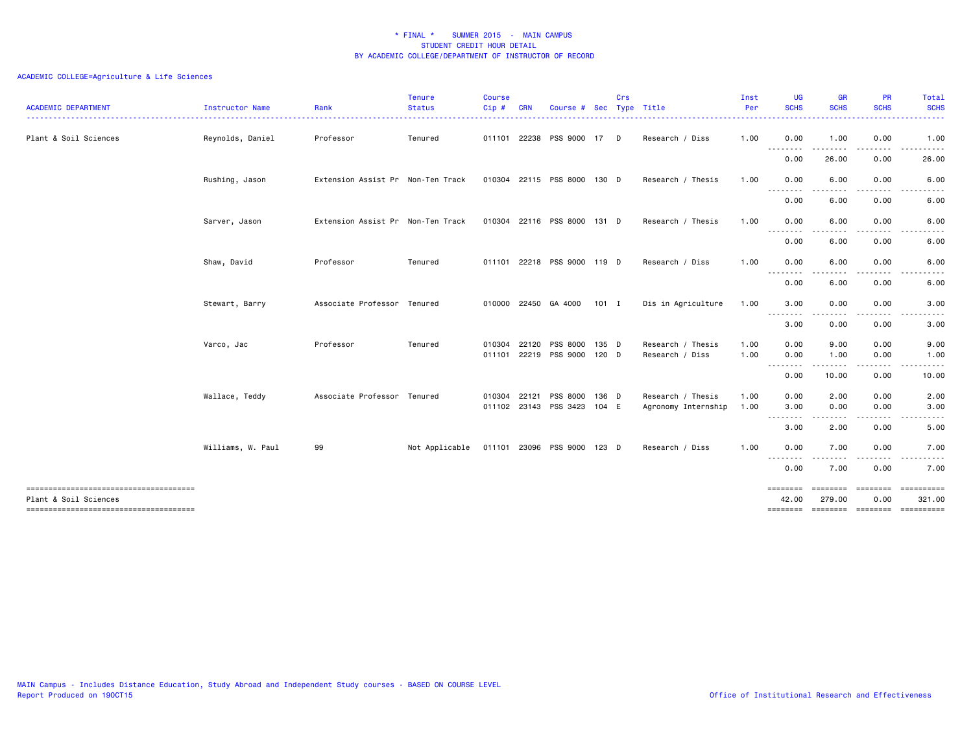| <b>ACADEMIC DEPARTMENT</b>                                     | <b>Instructor Name</b> | Rank                              | <b>Tenure</b><br><b>Status</b> | <b>Course</b><br>Cip# | <b>CRN</b> | Course #                    | <b>Sec</b> | Crs | Type Title          | Inst<br>Per | UG<br><b>SCHS</b>                 | <b>GR</b><br><b>SCHS</b>                                                                                                          | <b>PR</b><br><b>SCHS</b>                                                                                                                                                                                                                                                                                                                     | Total<br><b>SCHS</b><br>.                                                                                               |
|----------------------------------------------------------------|------------------------|-----------------------------------|--------------------------------|-----------------------|------------|-----------------------------|------------|-----|---------------------|-------------|-----------------------------------|-----------------------------------------------------------------------------------------------------------------------------------|----------------------------------------------------------------------------------------------------------------------------------------------------------------------------------------------------------------------------------------------------------------------------------------------------------------------------------------------|-------------------------------------------------------------------------------------------------------------------------|
| Plant & Soil Sciences                                          | Reynolds, Daniel       | Professor                         | Tenured                        | 011101                | 22238      | PSS 9000                    | 17         | D   | Research / Diss     | 1.00        | 0.00                              | 1.00                                                                                                                              | 0.00                                                                                                                                                                                                                                                                                                                                         | 1.00                                                                                                                    |
|                                                                |                        |                                   |                                |                       |            |                             |            |     |                     |             | $\frac{1}{2}$<br><u>.</u><br>0.00 | 26.00                                                                                                                             | 0.00                                                                                                                                                                                                                                                                                                                                         | 26.00                                                                                                                   |
|                                                                | Rushing, Jason         | Extension Assist Pr Non-Ten Track |                                |                       |            | 010304 22115 PSS 8000 130 D |            |     | Research / Thesis   | 1.00        | 0.00                              | 6.00                                                                                                                              | 0.00                                                                                                                                                                                                                                                                                                                                         | 6.00                                                                                                                    |
|                                                                |                        |                                   |                                |                       |            |                             |            |     |                     |             | .<br>0.00                         | 6.00                                                                                                                              | ----<br>0.00                                                                                                                                                                                                                                                                                                                                 | 6.00                                                                                                                    |
|                                                                | Sarver, Jason          | Extension Assist Pr Non-Ten Track |                                | 010304                | 22116      | PSS 8000                    | 131 D      |     | Research / Thesis   | 1.00        | 0.00                              | 6.00                                                                                                                              | 0.00                                                                                                                                                                                                                                                                                                                                         | 6.00                                                                                                                    |
|                                                                |                        |                                   |                                |                       |            |                             |            |     |                     |             | .<br>0.00                         | .<br>6.00                                                                                                                         | $\cdots$<br>0.00                                                                                                                                                                                                                                                                                                                             | $\begin{array}{cccccccccccccc} \bullet & \bullet & \bullet & \bullet & \bullet & \bullet & \bullet \end{array}$<br>6.00 |
|                                                                | Shaw, David            | Professor                         | Tenured                        |                       |            | 011101 22218 PSS 9000 119 D |            |     | Research / Diss     | 1.00        | 0.00                              | 6.00                                                                                                                              | 0.00                                                                                                                                                                                                                                                                                                                                         | 6.00                                                                                                                    |
|                                                                |                        |                                   |                                |                       |            |                             |            |     |                     |             | $ -$<br>- - - -<br>0.00           | 6.00                                                                                                                              | 0.00                                                                                                                                                                                                                                                                                                                                         | 6.00                                                                                                                    |
|                                                                | Stewart, Barry         | Associate Professor Tenured       |                                |                       |            | 010000 22450 GA 4000        | $101$ I    |     | Dis in Agriculture  | 1.00        | 3.00                              | 0.00                                                                                                                              | 0.00                                                                                                                                                                                                                                                                                                                                         | 3.00                                                                                                                    |
|                                                                |                        |                                   |                                |                       |            |                             |            |     |                     |             | --------<br>3.00                  | 0.00                                                                                                                              | 0.00                                                                                                                                                                                                                                                                                                                                         | 3.00                                                                                                                    |
|                                                                | Varco, Jac             | Professor                         | Tenured                        | 010304                | 22120      | PSS 8000                    | 135 D      |     | Research / Thesis   | 1.00        | 0.00                              | 9.00                                                                                                                              | 0.00                                                                                                                                                                                                                                                                                                                                         | 9.00                                                                                                                    |
|                                                                |                        |                                   |                                | 011101                |            | 22219 PSS 9000              | $120$ D    |     | Research / Diss     | 1.00        | 0.00                              | 1.00                                                                                                                              | 0.00                                                                                                                                                                                                                                                                                                                                         | 1.00                                                                                                                    |
|                                                                |                        |                                   |                                |                       |            |                             |            |     |                     |             | .<br>0.00                         | --------<br>10.00                                                                                                                 | $\frac{1}{2} \left( \begin{array}{ccc} 1 & 0 & 0 & 0 \\ 0 & 0 & 0 & 0 \\ 0 & 0 & 0 & 0 \\ 0 & 0 & 0 & 0 \\ 0 & 0 & 0 & 0 \\ 0 & 0 & 0 & 0 \\ 0 & 0 & 0 & 0 \\ 0 & 0 & 0 & 0 \\ 0 & 0 & 0 & 0 \\ 0 & 0 & 0 & 0 \\ 0 & 0 & 0 & 0 & 0 \\ 0 & 0 & 0 & 0 & 0 \\ 0 & 0 & 0 & 0 & 0 \\ 0 & 0 & 0 & 0 & 0 \\ 0 & 0 & 0 & 0 & 0 \\ 0 & 0 & 0$<br>0.00 | .<br>10.00                                                                                                              |
|                                                                | Wallace, Teddy         | Associate Professor Tenured       |                                | 010304                | 22121      | PSS 8000                    | 136 D      |     | Research / Thesis   | 1.00        | 0.00                              | 2.00                                                                                                                              | 0.00                                                                                                                                                                                                                                                                                                                                         | 2.00                                                                                                                    |
|                                                                |                        |                                   |                                |                       |            | 011102 23143 PSS 3423       | 104 E      |     | Agronomy Internship | 1.00        | 3.00<br>.                         | 0.00                                                                                                                              | 0.00                                                                                                                                                                                                                                                                                                                                         | 3.00                                                                                                                    |
|                                                                |                        |                                   |                                |                       |            |                             |            |     |                     |             | 3.00                              | 2.00                                                                                                                              | 0.00                                                                                                                                                                                                                                                                                                                                         | 5.00                                                                                                                    |
|                                                                | Williams, W. Paul      | 99                                | Not Applicable                 |                       |            | 011101 23096 PSS 9000       | 123 D      |     | Research / Diss     | 1.00        | 0.00                              | 7.00                                                                                                                              | 0.00                                                                                                                                                                                                                                                                                                                                         | 7.00                                                                                                                    |
|                                                                |                        |                                   |                                |                       |            |                             |            |     |                     |             | --------<br>0.00                  | $\frac{1}{2} \left( \frac{1}{2} \right) \left( \frac{1}{2} \right) \left( \frac{1}{2} \right) \left( \frac{1}{2} \right)$<br>7.00 | .<br>0.00                                                                                                                                                                                                                                                                                                                                    | . <b>.</b> .<br>7.00                                                                                                    |
| -------------------------------------<br>Plant & Soil Sciences |                        |                                   |                                |                       |            |                             |            |     |                     |             | ========<br>42.00                 | ========<br>279.00                                                                                                                | ========<br>0.00                                                                                                                                                                                                                                                                                                                             | 321.00                                                                                                                  |
|                                                                |                        |                                   |                                |                       |            |                             |            |     |                     |             | --------                          |                                                                                                                                   | --------- -------                                                                                                                                                                                                                                                                                                                            | ==========                                                                                                              |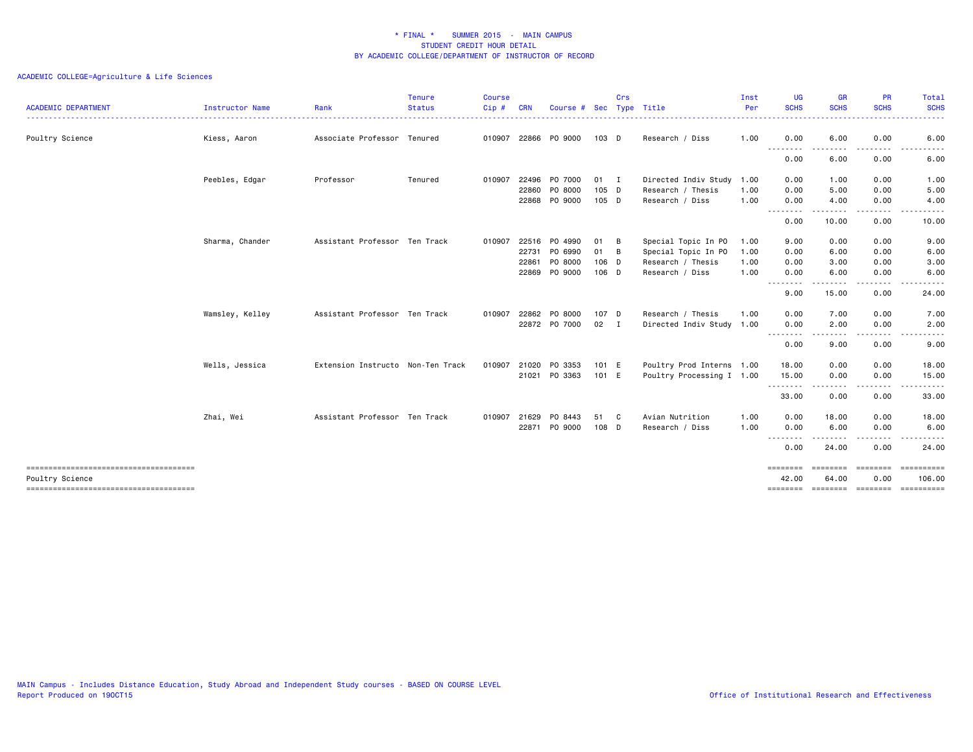| <b>ACADEMIC DEPARTMENT</b>            | Instructor Name | Rank                              | <b>Tenure</b><br><b>Status</b> | <b>Course</b><br>Cip# | <b>CRN</b> | Course #      | <b>Sec</b>   | Crs          | Type Title                | Inst<br>Per | <b>UG</b><br><b>SCHS</b> | <b>GR</b><br><b>SCHS</b> | <b>PR</b><br><b>SCHS</b> | Total<br><b>SCHS</b>                  |
|---------------------------------------|-----------------|-----------------------------------|--------------------------------|-----------------------|------------|---------------|--------------|--------------|---------------------------|-------------|--------------------------|--------------------------|--------------------------|---------------------------------------|
|                                       |                 |                                   |                                |                       |            |               |              |              |                           |             |                          |                          |                          |                                       |
| Poultry Science                       | Kiess, Aaron    | Associate Professor Tenured       |                                | 010907                | 22866      | PO 9000       | 103 D        |              | Research / Diss           | 1.00        | 0.00                     | 6.00                     | 0.00                     | 6.00                                  |
|                                       |                 |                                   |                                |                       |            |               |              |              |                           |             | .<br>0.00                | 6.00                     | 0.00                     | 6.00                                  |
|                                       | Peebles, Edgar  | Professor                         | Tenured                        | 010907                | 22496      | P0 7000       | $01 \quad I$ |              | Directed Indiv Study 1.00 |             | 0.00                     | 1.00                     | 0.00                     | 1.00                                  |
|                                       |                 |                                   |                                |                       | 22860      | PO 8000       | 105 D        |              | Research / Thesis         | 1.00        | 0.00                     | 5.00                     | 0.00                     | 5.00                                  |
|                                       |                 |                                   |                                |                       |            | 22868 PO 9000 | 105 D        |              | Research / Diss           | 1.00        | 0.00<br>.                | 4.00                     | 0.00<br>.                | 4.00                                  |
|                                       |                 |                                   |                                |                       |            |               |              |              |                           |             | 0.00                     | 10.00                    | 0.00                     | 10.00                                 |
|                                       | Sharma, Chander | Assistant Professor Ten Track     |                                | 010907                | 22516      | P0 4990       | 01           | B            | Special Topic In PO       | 1.00        | 9.00                     | 0.00                     | 0.00                     | 9.00                                  |
|                                       |                 |                                   |                                |                       | 22731      | PO 6990       | 01           | B            | Special Topic In PO       | 1.00        | 0.00                     | 6.00                     | 0.00                     | 6.00                                  |
|                                       |                 |                                   |                                |                       | 22861      | P0 8000       | 106 D        |              | Research / Thesis         | 1.00        | 0.00                     | 3.00                     | 0.00                     | 3.00                                  |
|                                       |                 |                                   |                                |                       | 22869      | PO 9000       | 106 D        |              | Research / Diss           | 1.00        | 0.00<br>.                | 6.00                     | 0.00                     | 6.00                                  |
|                                       |                 |                                   |                                |                       |            |               |              |              |                           |             | 9.00                     | 15.00                    | 0.00                     | 24.00                                 |
|                                       | Wamsley, Kelley | Assistant Professor Ten Track     |                                | 010907                | 22862      | PO 8000       | 107 D        |              | Research / Thesis         | 1.00        | 0.00                     | 7.00                     | 0.00                     | 7.00                                  |
|                                       |                 |                                   |                                |                       |            | 22872 PO 7000 | 02           | $\mathbf{I}$ | Directed Indiv Study 1.00 |             | 0.00<br>.                | 2.00<br>.                | 0.00<br>.                | 2.00<br>$\frac{1}{2}$                 |
|                                       |                 |                                   |                                |                       |            |               |              |              |                           |             | 0.00                     | 9.00                     | 0.00                     | 9.00                                  |
|                                       | Wells, Jessica  | Extension Instructo Non-Ten Track |                                | 010907                | 21020      | PO 3353       | 101 E        |              | Poultry Prod Interns 1.00 |             | 18.00                    | 0.00                     | 0.00                     | 18.00                                 |
|                                       |                 |                                   |                                |                       | 21021      | PO 3363       | 101 E        |              | Poultry Processing I 1.00 |             | 15.00                    | 0.00                     | 0.00                     | 15.00<br>$\cdots$                     |
|                                       |                 |                                   |                                |                       |            |               |              |              |                           |             | --------<br>33.00        | 0.00                     | .<br>0.00                | 33.00                                 |
|                                       | Zhai, Wei       | Assistant Professor Ten Track     |                                | 010907                | 21629      | PO 8443       | 51           | C            | Avian Nutrition           | 1.00        | 0.00                     | 18.00                    | 0.00                     | 18.00                                 |
|                                       |                 |                                   |                                |                       |            | 22871 PO 9000 | 108 D        |              | Research / Diss           | 1.00        | 0.00                     | 6.00                     | 0.00                     | 6.00                                  |
|                                       |                 |                                   |                                |                       |            |               |              |              |                           |             | $- - -$<br>.<br>0.00     | ------<br>24.00          | . <b>.</b><br>0.00       | . <b>.</b><br>24.00                   |
| Poultry Science                       |                 |                                   |                                |                       |            |               |              |              |                           |             | ========<br>42.00        | <b>EEEEEEE</b><br>64.00  | ========<br>0.00         | -----------<br>106.00                 |
| ------------------------------------- |                 |                                   |                                |                       |            |               |              |              |                           |             |                          |                          |                          | ======== ======== ======== ========== |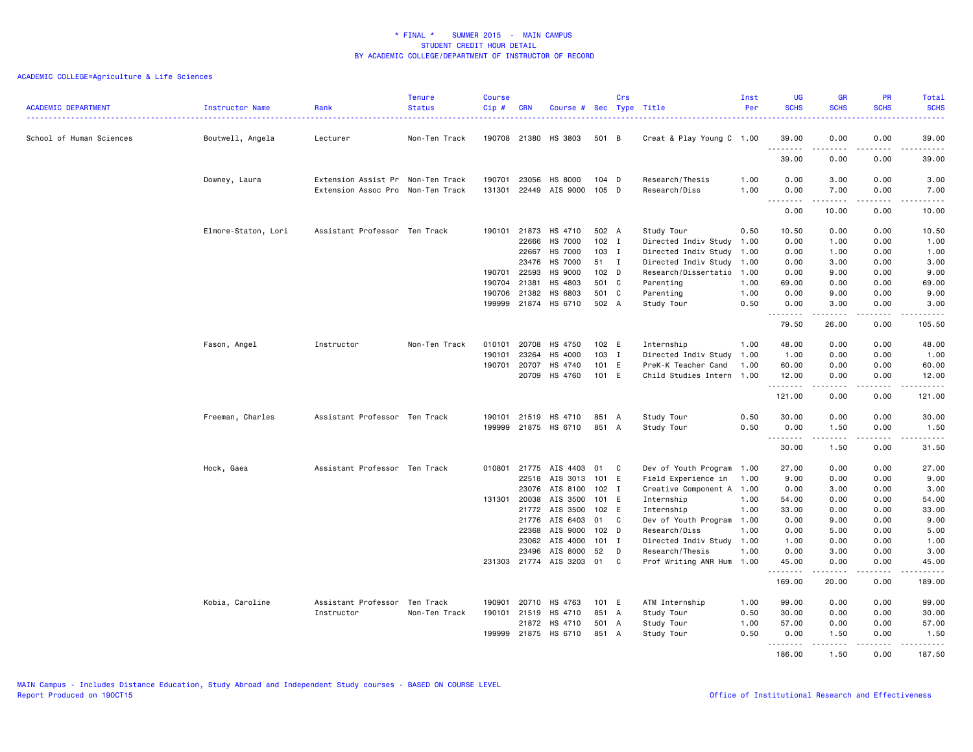| <b>ACADEMIC DEPARTMENT</b> | Instructor Name     | Rank                              | <b>Tenure</b><br><b>Status</b> | <b>Course</b><br>Cip# | <b>CRN</b>   | Course # Sec Type Title |                  | Crs          |                           | Inst<br>Per | <b>UG</b><br><b>SCHS</b> | <b>GR</b><br><b>SCHS</b>                                                                                                                                     | <b>PR</b><br><b>SCHS</b>     | Total<br><b>SCHS</b>                                                                                                                                          |
|----------------------------|---------------------|-----------------------------------|--------------------------------|-----------------------|--------------|-------------------------|------------------|--------------|---------------------------|-------------|--------------------------|--------------------------------------------------------------------------------------------------------------------------------------------------------------|------------------------------|---------------------------------------------------------------------------------------------------------------------------------------------------------------|
| School of Human Sciences   | Boutwell, Angela    | Lecturer                          | Non-Ten Track                  |                       |              | 190708 21380 HS 3803    | 501 B            |              | Creat & Play Young C 1.00 |             | 39.00                    | 0.00<br>-----                                                                                                                                                | 0.00<br>.                    | 39.00<br>.                                                                                                                                                    |
|                            |                     |                                   |                                |                       |              |                         |                  |              |                           |             | 39.00                    | 0.00                                                                                                                                                         | 0.00                         | 39.00                                                                                                                                                         |
|                            | Downey, Laura       | Extension Assist Pr Non-Ten Track |                                | 190701                | 23056        | HS 8000                 | $104$ D          |              | Research/Thesis           | 1.00        | 0.00                     | 3.00                                                                                                                                                         | 0.00                         | 3.00                                                                                                                                                          |
|                            |                     | Extension Assoc Pro               | Non-Ten Track                  |                       |              | 131301 22449 AIS 9000   | 105 D            |              | Research/Diss             | 1.00        | 0.00                     | 7.00<br>.                                                                                                                                                    | 0.00<br>.                    | 7.00<br>بالأبالات                                                                                                                                             |
|                            |                     |                                   |                                |                       |              |                         |                  |              |                           |             | 0.00                     | 10.00                                                                                                                                                        | 0.00                         | 10.00                                                                                                                                                         |
|                            | Elmore-Staton, Lori | Assistant Professor Ten Track     |                                |                       | 190101 21873 | HS 4710                 | 502 A            |              | Study Tour                | 0.50        | 10.50                    | 0.00                                                                                                                                                         | 0.00                         | 10.50                                                                                                                                                         |
|                            |                     |                                   |                                |                       | 22666        | <b>HS 7000</b>          | $102$ I          |              | Directed Indiv Study 1.00 |             | 0.00                     | 1.00                                                                                                                                                         | 0.00                         | 1.00                                                                                                                                                          |
|                            |                     |                                   |                                |                       | 22667        | HS 7000                 | 103 I            |              | Directed Indiv Study 1.00 |             | 0.00                     | 1.00                                                                                                                                                         | 0.00                         | 1.00                                                                                                                                                          |
|                            |                     |                                   |                                |                       | 23476        | <b>HS 7000</b>          | 51               | $\mathbf{I}$ | Directed Indiv Study 1.00 |             | 0.00                     | 3.00                                                                                                                                                         | 0.00                         | 3.00                                                                                                                                                          |
|                            |                     |                                   |                                |                       | 190701 22593 | HS 9000                 | 102 D            |              | Research/Dissertatio 1.00 |             | 0.00                     | 9.00                                                                                                                                                         | 0.00                         | 9.00                                                                                                                                                          |
|                            |                     |                                   |                                | 190704 21381          |              | HS 4803                 | 501 C            |              | Parenting                 | 1.00        | 69.00                    | 0.00                                                                                                                                                         | 0.00                         | 69.00                                                                                                                                                         |
|                            |                     |                                   |                                | 190706                | 21382        | HS 6803                 | 501 C            |              | Parenting                 | 1.00        | 0.00                     | 9.00                                                                                                                                                         | 0.00                         | 9.00                                                                                                                                                          |
|                            |                     |                                   |                                |                       |              | 199999 21874 HS 6710    | 502 A            |              | Study Tour                | 0.50        | 0.00<br>.                | 3.00<br>$\omega$ is a set of                                                                                                                                 | 0.00<br>.                    | 3.00<br>.                                                                                                                                                     |
|                            |                     |                                   |                                |                       |              |                         |                  |              |                           |             | 79.50                    | 26.00                                                                                                                                                        | 0.00                         | 105.50                                                                                                                                                        |
|                            | Fason, Angel        | Instructor                        | Non-Ten Track                  |                       | 010101 20708 | HS 4750                 | 102 E            |              | Internship                | 1.00        | 48.00                    | 0.00                                                                                                                                                         | 0.00                         | 48.00                                                                                                                                                         |
|                            |                     |                                   |                                | 190101                | 23264        | HS 4000                 | $103$ I          |              | Directed Indiv Study 1.00 |             | 1.00                     | 0.00                                                                                                                                                         | 0.00                         | 1.00                                                                                                                                                          |
|                            |                     |                                   |                                |                       | 190701 20707 | HS 4740                 | 101 E            |              | PreK-K Teacher Cand       | 1.00        | 60.00                    | 0.00                                                                                                                                                         | 0.00                         | 60.00                                                                                                                                                         |
|                            |                     |                                   |                                |                       | 20709        | HS 4760                 | 101 E            |              | Child Studies Intern 1.00 |             | 12.00<br>.               | 0.00<br>$\frac{1}{2} \left( \frac{1}{2} \right) \left( \frac{1}{2} \right) \left( \frac{1}{2} \right) \left( \frac{1}{2} \right) \left( \frac{1}{2} \right)$ | 0.00<br>.                    | 12.00<br>.                                                                                                                                                    |
|                            |                     |                                   |                                |                       |              |                         |                  |              |                           |             | 121.00                   | 0.00                                                                                                                                                         | 0.00                         | 121.00                                                                                                                                                        |
|                            | Freeman, Charles    | Assistant Professor Ten Track     |                                |                       |              | 190101 21519 HS 4710    | 851 A            |              | Study Tour                | 0.50        | 30.00                    | 0.00                                                                                                                                                         | 0.00                         | 30.00                                                                                                                                                         |
|                            |                     |                                   |                                |                       |              | 199999 21875 HS 6710    | 851 A            |              | Study Tour                | 0.50        | 0.00<br>.                | 1.50                                                                                                                                                         | 0.00<br>$\sim$ $\sim$ $\sim$ | 1.50                                                                                                                                                          |
|                            |                     |                                   |                                |                       |              |                         |                  |              |                           |             | 30.00                    | .<br>1.50                                                                                                                                                    | 0.00                         | $\frac{1}{2} \left( \frac{1}{2} \right) \left( \frac{1}{2} \right) \left( \frac{1}{2} \right) \left( \frac{1}{2} \right) \left( \frac{1}{2} \right)$<br>31.50 |
|                            | Hock, Gaea          | Assistant Professor Ten Track     |                                |                       |              | 010801 21775 AIS 4403   | 01               | C            | Dev of Youth Program 1.00 |             | 27.00                    | 0.00                                                                                                                                                         | 0.00                         | 27.00                                                                                                                                                         |
|                            |                     |                                   |                                |                       | 22518        | AIS 3013                | 101 E            |              | Field Experience in       | 1.00        | 9.00                     | 0.00                                                                                                                                                         | 0.00                         | 9.00                                                                                                                                                          |
|                            |                     |                                   |                                |                       | 23076        | AIS 8100                | 102 I            |              | Creative Component A 1.00 |             | 0.00                     | 3.00                                                                                                                                                         | 0.00                         | 3.00                                                                                                                                                          |
|                            |                     |                                   |                                |                       | 131301 20038 | AIS 3500                | 101              | E            | Internship                | 1.00        | 54.00                    | 0.00                                                                                                                                                         | 0.00                         | 54.00                                                                                                                                                         |
|                            |                     |                                   |                                |                       | 21772        | AIS 3500                | 102 E            |              | Internship                | 1.00        | 33.00                    | 0.00                                                                                                                                                         | 0.00                         | 33.00                                                                                                                                                         |
|                            |                     |                                   |                                |                       | 21776        | AIS 6403                | 01               | C            | Dev of Youth Program 1.00 |             | 0.00                     | 9.00                                                                                                                                                         | 0.00                         | 9.00                                                                                                                                                          |
|                            |                     |                                   |                                |                       | 22368        | AIS 9000                | 102 <sub>D</sub> |              | Research/Diss             | 1.00        | 0.00                     | 5.00                                                                                                                                                         | 0.00                         | 5.00                                                                                                                                                          |
|                            |                     |                                   |                                |                       | 23062        | AIS 4000                | $101$ I          |              | Directed Indiv Study 1.00 |             | 1.00                     | 0.00                                                                                                                                                         | 0.00                         | 1.00                                                                                                                                                          |
|                            |                     |                                   |                                |                       | 23496        | AIS 8000                | 52               | D            | Research/Thesis           | 1.00        | 0.00                     | 3.00                                                                                                                                                         | 0.00                         | 3.00                                                                                                                                                          |
|                            |                     |                                   |                                |                       |              | 231303 21774 AIS 3203   | 01               | C            | Prof Writing ANR Hum 1.00 |             | 45.00<br>.               | 0.00<br>$\frac{1}{2} \left( \frac{1}{2} \right) \left( \frac{1}{2} \right) \left( \frac{1}{2} \right) \left( \frac{1}{2} \right) \left( \frac{1}{2} \right)$ | 0.00<br>.                    | 45.00<br>.                                                                                                                                                    |
|                            |                     |                                   |                                |                       |              |                         |                  |              |                           |             | 169.00                   | 20.00                                                                                                                                                        | 0.00                         | 189.00                                                                                                                                                        |
|                            | Kobia, Caroline     | Assistant Professor Ten Track     |                                |                       | 190901 20710 | HS 4763                 | 101 E            |              | ATM Internship            | 1.00        | 99.00                    | 0.00                                                                                                                                                         | 0.00                         | 99.00                                                                                                                                                         |
|                            |                     | Instructor                        | Non-Ten Track                  |                       | 190101 21519 | HS 4710                 | 851 A            |              | Study Tour                | 0.50        | 30.00                    | 0.00                                                                                                                                                         | 0.00                         | 30.00                                                                                                                                                         |
|                            |                     |                                   |                                |                       | 21872        | HS 4710                 | 501 A            |              | Study Tour                | 1.00        | 57.00                    | 0.00                                                                                                                                                         | 0.00                         | 57.00                                                                                                                                                         |
|                            |                     |                                   |                                |                       |              | 199999 21875 HS 6710    | 851 A            |              | Study Tour                | 0.50        | 0.00<br>.                | 1.50<br>.                                                                                                                                                    | 0.00<br>.                    | 1.50                                                                                                                                                          |
|                            |                     |                                   |                                |                       |              |                         |                  |              |                           |             | 186.00                   | 1.50                                                                                                                                                         | 0.00                         | 187.50                                                                                                                                                        |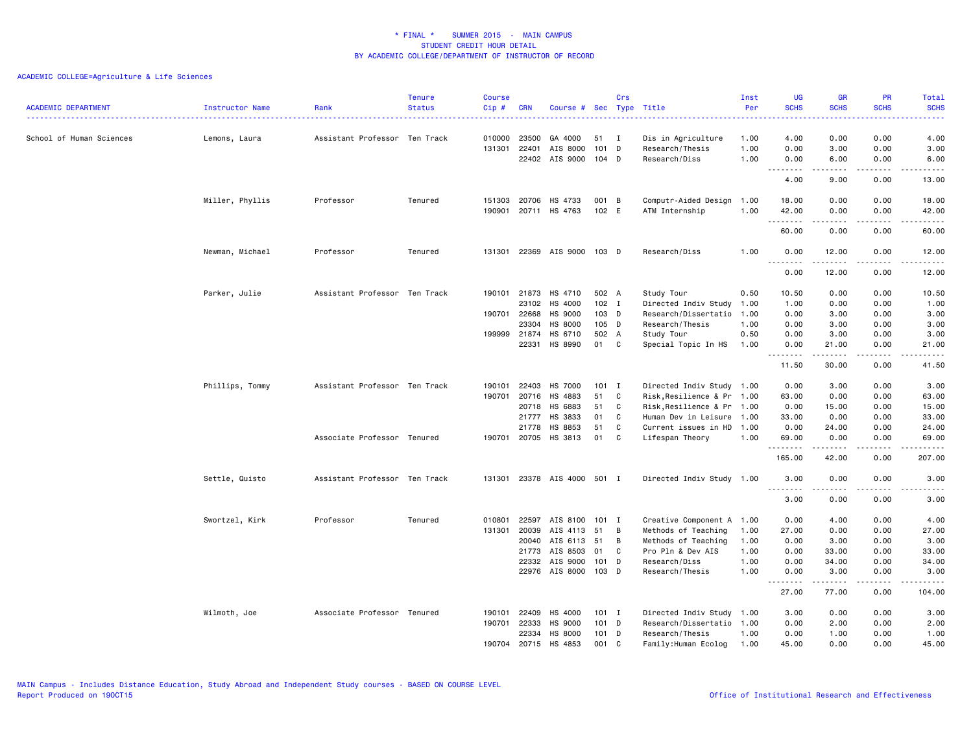| <b>ACADEMIC DEPARTMENT</b> | Instructor Name | Rank                          | <b>Tenure</b><br><b>Status</b> | Course<br>Cip# | <b>CRN</b>   | Course # Sec Type Title |         | Crs          |                            | Inst<br>Per | UG<br><b>SCHS</b> | <b>GR</b><br><b>SCHS</b> | <b>PR</b><br><b>SCHS</b>     | Total<br><b>SCHS</b> |
|----------------------------|-----------------|-------------------------------|--------------------------------|----------------|--------------|-------------------------|---------|--------------|----------------------------|-------------|-------------------|--------------------------|------------------------------|----------------------|
| School of Human Sciences   | Lemons, Laura   | Assistant Professor Ten Track |                                | 010000         | 23500        | GA 4000                 | 51      | $\mathbf{I}$ | Dis in Agriculture         | 1.00        | 4.00              | 0.00                     | 0.00                         | 4.00                 |
|                            |                 |                               |                                | 131301         | 22401        | AIS 8000                | 101 D   |              | Research/Thesis            | 1.00        | 0.00              | 3.00                     | 0.00                         | 3.00                 |
|                            |                 |                               |                                |                |              | 22402 AIS 9000          | 104 D   |              | Research/Diss              | 1.00        | 0.00              | 6.00                     | 0.00                         | 6.00                 |
|                            |                 |                               |                                |                |              |                         |         |              |                            |             | .<br>4.00         | .<br>9.00                | .<br>0.00                    | $    -$<br>13.00     |
|                            | Miller, Phyllis | Professor                     | Tenured                        | 151303         | 20706        | HS 4733                 | 001 B   |              | Computr-Aided Design       | 1.00        | 18.00             | 0.00                     | 0.00                         | 18.00                |
|                            |                 |                               |                                | 190901         | 20711        | HS 4763                 | 102 E   |              | ATM Internship             | 1.00        | 42.00             | 0.00                     | 0.00                         | 42.00                |
|                            |                 |                               |                                |                |              |                         |         |              |                            |             | .<br>60.00        | .<br>0.00                | $\frac{1}{2}$<br>0.00        | .<br>60.00           |
|                            | Newman, Michael | Professor                     | Tenured                        | 131301         |              | 22369 AIS 9000          | 103 D   |              | Research/Diss              | 1.00        | 0.00<br>.         | 12.00<br>.               | 0.00<br>$\sim$ $\sim$ $\sim$ | 12.00<br>.           |
|                            |                 |                               |                                |                |              |                         |         |              |                            |             | 0.00              | 12.00                    | 0.00                         | 12.00                |
|                            | Parker, Julie   | Assistant Professor Ten Track |                                | 190101         | 21873        | HS 4710                 | 502 A   |              | Study Tour                 | 0.50        | 10.50             | 0.00                     | 0.00                         | 10.50                |
|                            |                 |                               |                                |                | 23102        | HS 4000                 | $102$ I |              | Directed Indiv Study       | 1.00        | 1.00              | 0.00                     | 0.00                         | 1.00                 |
|                            |                 |                               |                                | 190701         | 22668        | HS 9000                 | 103 D   |              | Research/Dissertatio       | 1.00        | 0.00              | 3.00                     | 0.00                         | 3.00                 |
|                            |                 |                               |                                |                | 23304        | HS 8000                 | 105 D   |              | Research/Thesis            | 1.00        | 0.00              | 3.00                     | 0.00                         | 3.00                 |
|                            |                 |                               |                                |                | 199999 21874 | HS 6710                 | 502 A   |              | Study Tour                 | 0.50        | 0.00              | 3.00                     | 0.00                         | 3.00                 |
|                            |                 |                               |                                |                | 22331        | HS 8990                 | 01      | C            | Special Topic In HS        | 1.00        | 0.00<br>.         | 21.00<br>.               | 0.00<br>$   -$               | 21.00<br>د د د د د   |
|                            |                 |                               |                                |                |              |                         |         |              |                            |             | 11.50             | 30.00                    | 0.00                         | 41.50                |
|                            | Phillips, Tommy | Assistant Professor Ten Track |                                | 190101         | 22403        | HS 7000                 | $101$ I |              | Directed Indiv Study 1.00  |             | 0.00              | 3.00                     | 0.00                         | 3.00                 |
|                            |                 |                               |                                | 190701         | 20716        | HS 4883                 | 51      | C            | Risk, Resilience & Pr 1.00 |             | 63.00             | 0.00                     | 0.00                         | 63.00                |
|                            |                 |                               |                                |                | 20718        | HS 6883                 | 51      | C            | Risk, Resilience & Pr 1.00 |             | 0.00              | 15.00                    | 0.00                         | 15.00                |
|                            |                 |                               |                                |                | 21777        | HS 3833                 | 01      | C            | Human Dev in Leisure 1.00  |             | 33.00             | 0.00                     | 0.00                         | 33.00                |
|                            |                 |                               |                                |                | 21778        | HS 8853                 | 51      | C            | Current issues in HD 1.00  |             | 0.00              | 24.00                    | 0.00                         | 24.00                |
|                            |                 | Associate Professor Tenured   |                                | 190701         | 20705        | HS 3813                 | 01      | C            | Lifespan Theory            | 1.00        | 69.00<br>.        | 0.00<br>.                | 0.00<br>.                    | 69.00<br>.           |
|                            |                 |                               |                                |                |              |                         |         |              |                            |             | 165.00            | 42.00                    | 0.00                         | 207.00               |
|                            | Settle, Quisto  | Assistant Professor Ten Track |                                | 131301         |              | 23378 AIS 4000 501 I    |         |              | Directed Indiv Study 1.00  |             | 3.00              | 0.00                     | 0.00                         | 3.00                 |
|                            |                 |                               |                                |                |              |                         |         |              |                            |             | <b></b><br>3.00   | . <u>.</u><br>0.00       | $- - - -$<br>0.00            | -----<br>3.00        |
|                            | Swortzel, Kirk  | Professor                     | Tenured                        | 010801         | 22597        | AIS 8100                | 101 I   |              | Creative Component A 1.00  |             | 0.00              | 4.00                     | 0.00                         | 4.00                 |
|                            |                 |                               |                                | 131301         | 20039        | AIS 4113                | 51      | B            | Methods of Teaching        | 1.00        | 27.00             | 0.00                     | 0.00                         | 27.00                |
|                            |                 |                               |                                |                | 20040        | AIS 6113                | 51      | B            | Methods of Teaching        | 1.00        | 0.00              | 3.00                     | 0.00                         | 3.00                 |
|                            |                 |                               |                                |                | 21773        | AIS 8503                | 01      | C            | Pro Pln & Dev AIS          | 1.00        | 0.00              | 33.00                    | 0.00                         | 33.00                |
|                            |                 |                               |                                |                | 22332        | AIS 9000                | $101$ D |              | Research/Diss              | 1.00        | 0.00              | 34.00                    | 0.00                         | 34.00                |
|                            |                 |                               |                                |                |              | 22976 AIS 8000          | 103 D   |              | Research/Thesis            | 1.00        | 0.00              | 3.00                     | 0.00                         | 3.00                 |
|                            |                 |                               |                                |                |              |                         |         |              |                            |             | .<br>27.00        | .<br>77.00               | .<br>0.00                    | .<br>104.00          |
|                            | Wilmoth, Joe    | Associate Professor Tenured   |                                | 190101         | 22409        | HS 4000                 | 101 I   |              | Directed Indiv Study 1.00  |             | 3.00              | 0.00                     | 0.00                         | 3.00                 |
|                            |                 |                               |                                | 190701         | 22333        | HS 9000                 | $101$ D |              | Research/Dissertatio 1.00  |             | 0.00              | 2.00                     | 0.00                         | 2.00                 |
|                            |                 |                               |                                |                | 22334        | HS 8000                 | $101$ D |              | Research/Thesis            | 1.00        | 0.00              | 1.00                     | 0.00                         | 1.00                 |
|                            |                 |                               |                                | 190704         | 20715        | HS 4853                 | 001 C   |              | Family:Human Ecolog        | 1.00        | 45.00             | 0.00                     | 0.00                         | 45.00                |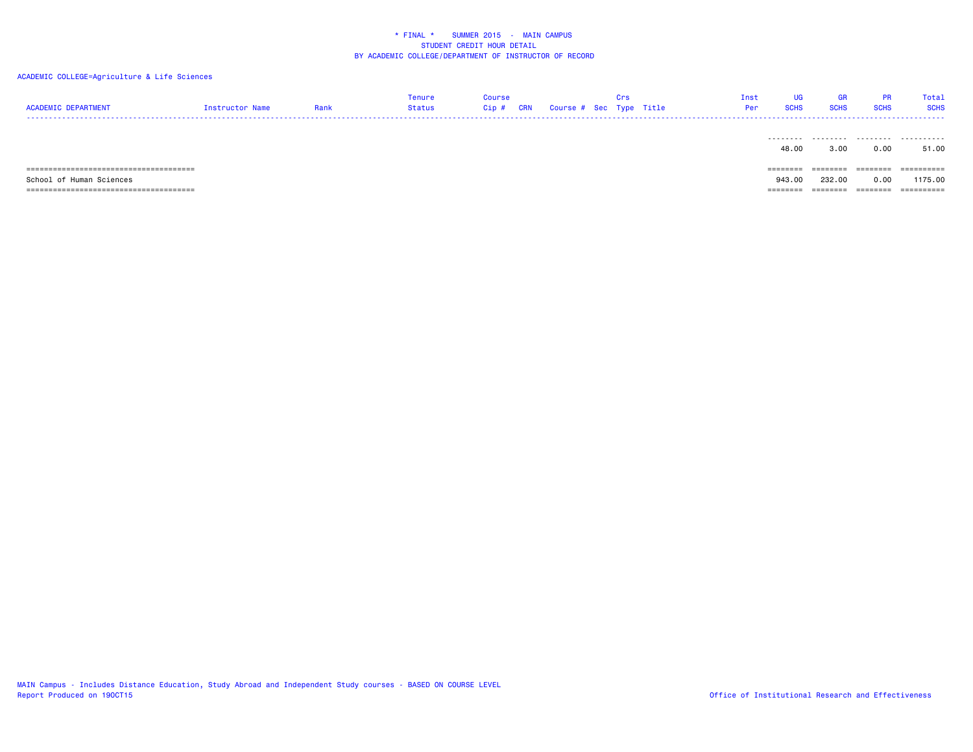| <b>ACADEMIC DEPARTMENT</b> | Instructor Name | Rank | Tenure<br>Status | <b>Course</b><br>Cip# | <b>CRN</b> |  | Crs<br>Course # Sec Type Title | Inst<br>Per | UG<br><b>SCHS</b> | GR<br><b>SCHS</b> | <b>PR</b><br><b>SCHS</b> | Total<br><b>SCHS</b> |
|----------------------------|-----------------|------|------------------|-----------------------|------------|--|--------------------------------|-------------|-------------------|-------------------|--------------------------|----------------------|
|                            |                 |      |                  |                       |            |  |                                |             | 48.00             | 3.00              | 0.00                     | 51.00                |
|                            |                 |      |                  |                       |            |  |                                |             | ========          | ========          | ========                 | ==========           |
| School of Human Sciences   |                 |      |                  |                       |            |  |                                |             | 943.00            | 232.00            | 0.00                     | 1175.00              |
|                            |                 |      |                  |                       |            |  |                                |             | ======            |                   | - ========               | ==========           |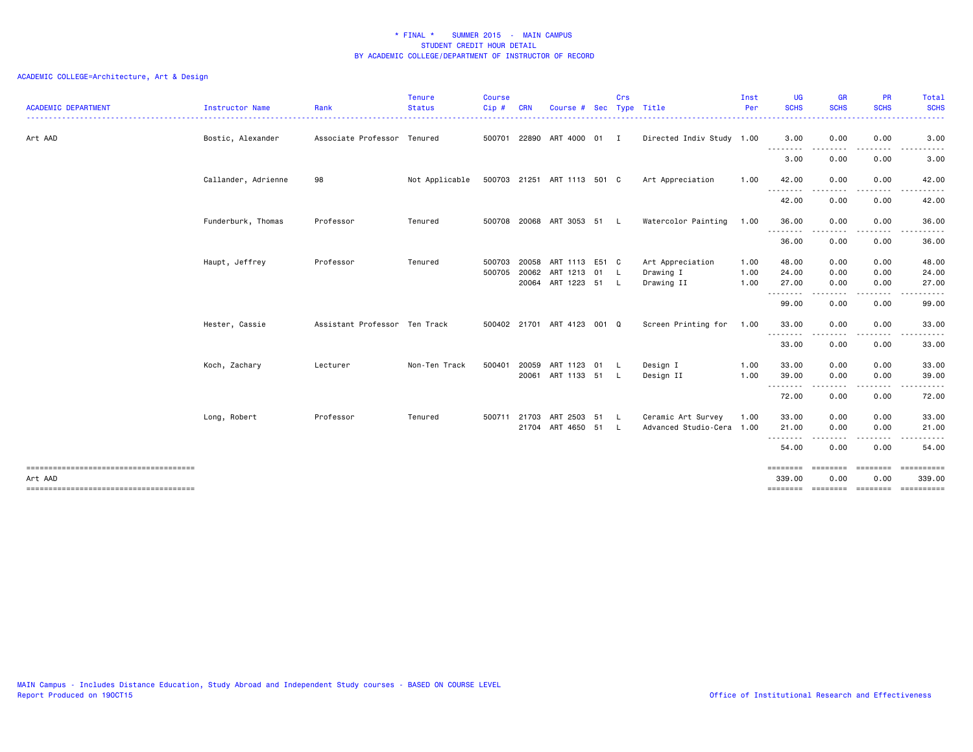| <b>ACADEMIC DEPARTMENT</b> | Instructor Name     | Rank                          | <b>Tenure</b><br><b>Status</b> | <b>Course</b><br>Cip# | <b>CRN</b>     | Course #                             | Sec | <b>Crs</b> | Type Title                                      | Inst<br>Per  | UG<br><b>SCHS</b><br>. | <b>GR</b><br><b>SCHS</b><br>. | <b>PR</b><br><b>SCHS</b><br>. <u>.</u> | Total<br><b>SCHS</b><br>.                                                                |
|----------------------------|---------------------|-------------------------------|--------------------------------|-----------------------|----------------|--------------------------------------|-----|------------|-------------------------------------------------|--------------|------------------------|-------------------------------|----------------------------------------|------------------------------------------------------------------------------------------|
| Art AAD                    | Bostic, Alexander   | Associate Professor Tenured   |                                |                       |                | 500701 22890 ART 4000 01 I           |     |            | Directed Indiv Study 1.00                       |              | 3.00<br>--------       | 0.00<br>.                     | 0.00<br>-----                          | 3.00<br>.                                                                                |
|                            |                     |                               |                                |                       |                |                                      |     |            |                                                 |              | 3.00                   | 0.00                          | 0.00                                   | 3.00                                                                                     |
|                            | Callander, Adrienne | 98                            | Not Applicable                 |                       |                | 500703 21251 ART 1113 501 C          |     |            | Art Appreciation                                | 1.00         | 42.00                  | 0.00                          | 0.00                                   | 42.00                                                                                    |
|                            |                     |                               |                                |                       |                |                                      |     |            |                                                 |              | --------<br>42.00      | 0.00                          | 0.00                                   | 42.00                                                                                    |
|                            | Funderburk, Thomas  | Professor                     | Tenured                        |                       |                | 500708 20068 ART 3053 51 L           |     |            | Watercolor Painting                             | 1.00         | 36.00<br>.             | 0.00<br>-----                 | 0.00<br>.                              | 36.00<br>.                                                                               |
|                            |                     |                               |                                |                       |                |                                      |     |            |                                                 |              | 36.00                  | 0.00                          | 0.00                                   | 36.00                                                                                    |
|                            | Haupt, Jeffrey      | Professor                     | Tenured                        | 500703<br>500705      | 20058<br>20062 | ART 1113 E51 C<br>ART 1213 01        |     | - L        | Art Appreciation<br>Drawing I                   | 1.00<br>1.00 | 48.00<br>24.00         | 0.00<br>0.00                  | 0.00<br>0.00                           | 48.00<br>24.00                                                                           |
|                            |                     |                               |                                |                       |                | 20064 ART 1223 51 L                  |     |            | Drawing II                                      | 1.00         | 27.00<br>.             | 0.00                          | 0.00                                   | 27.00                                                                                    |
|                            |                     |                               |                                |                       |                |                                      |     |            |                                                 |              | 99.00                  | 0.00                          | 0.00                                   | 99.00                                                                                    |
|                            | Hester, Cassie      | Assistant Professor Ten Track |                                |                       |                | 500402 21701 ART 4123 001 Q          |     |            | Screen Printing for                             | 1.00         | 33,00<br>--------      | 0.00                          | 0.00                                   | 33.00                                                                                    |
|                            |                     |                               |                                |                       |                |                                      |     |            |                                                 |              | 33.00                  | 0.00                          | 0.00                                   | 33.00                                                                                    |
|                            | Koch, Zachary       | Lecturer                      | Non-Ten Track                  | 500401                | 20059          | ART 1123 01 L<br>20061 ART 1133 51   |     | - L        | Design I<br>Design II                           | 1.00<br>1.00 | 33.00<br>39.00         | 0.00<br>0.00                  | 0.00<br>0.00                           | 33.00<br>39.00                                                                           |
|                            |                     |                               |                                |                       |                |                                      |     |            |                                                 |              | .<br>72.00             | -----<br>0.00                 | -----<br>0.00                          | .<br>72.00                                                                               |
|                            | Long, Robert        | Professor                     | Tenured                        | 500711 21703          |                | ART 2503 51 L<br>21704 ART 4650 51 L |     |            | Ceramic Art Survey<br>Advanced Studio-Cera 1.00 | 1.00         | 33.00<br>21.00         | 0.00<br>0.00                  | 0.00<br>0.00                           | 33.00<br>21.00                                                                           |
|                            |                     |                               |                                |                       |                |                                      |     |            |                                                 |              | 54.00                  | ----<br>0.00                  | .<br>0.00                              | 54.00                                                                                    |
| Art AAD                    |                     |                               |                                |                       |                |                                      |     |            |                                                 |              | 339.00                 | 0.00                          | 0.00                                   | ======== ======== ======== ==========<br>339.00<br>======== ======== ======== ========== |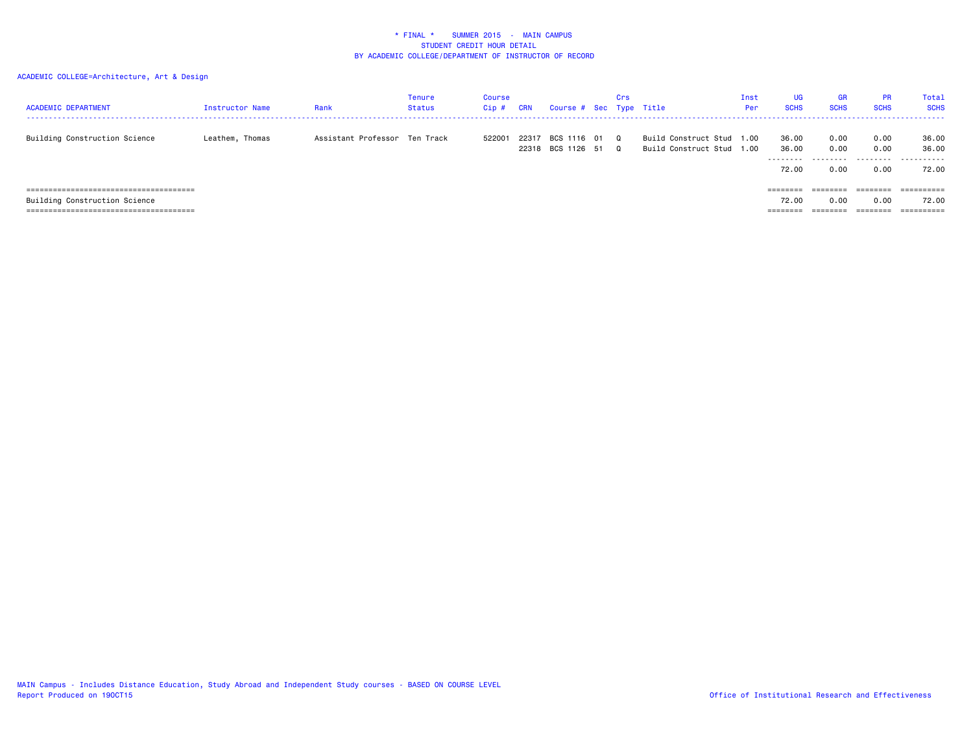| <b>ACADEMIC DEPARTMENT</b>    | Instructor Name | Rank                          | Tenure<br><b>Status</b> | Course<br>Cip# | <b>CRN</b> | Course # Sec Type Title          | Crs                  |                                                   | Inst<br>Per | <b>UG</b><br><b>SCHS</b>             | <b>GR</b><br><b>SCHS</b>  | <b>PR</b><br><b>SCHS</b>  | <b>Total</b><br><b>SCHS</b>  |
|-------------------------------|-----------------|-------------------------------|-------------------------|----------------|------------|----------------------------------|----------------------|---------------------------------------------------|-------------|--------------------------------------|---------------------------|---------------------------|------------------------------|
| Building Construction Science | Leathem, Thomas | Assistant Professor Ten Track |                         | 522001         | 22317      | BCS 1116 01<br>22318 BCS 1126 51 | $\Omega$<br>$\Omega$ | Build Construct Stud 1.00<br>Build Construct Stud | 1.00        | 36.00<br>36.00<br>---------<br>72.00 | 0.00<br>0.00<br>.<br>0.00 | 0.00<br>0.00<br>.<br>0.00 | 36.00<br>36.00<br>.<br>72.00 |
|                               |                 |                               |                         |                |            |                                  |                      |                                                   |             | ========                             | ========                  | ========                  | =========                    |
| Building Construction Science |                 |                               |                         |                |            |                                  |                      |                                                   |             | 72.00                                | 0.00                      | 0.00                      | 72.00                        |
|                               |                 |                               |                         |                |            |                                  |                      |                                                   |             | ========                             | ========                  | ========                  |                              |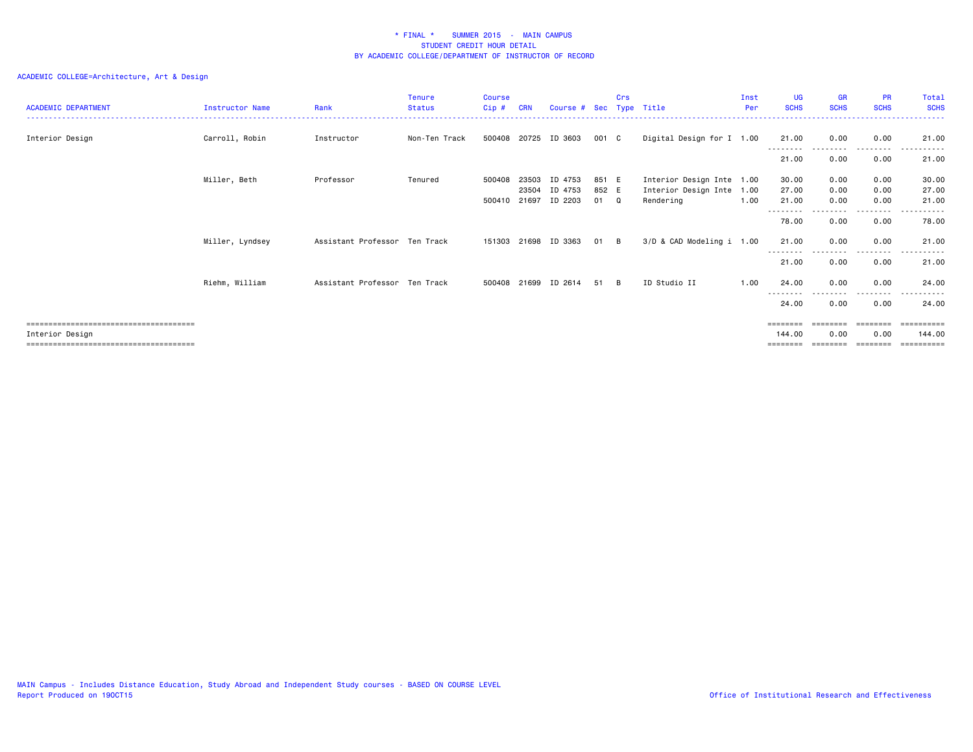| <b>ACADEMIC DEPARTMENT</b> | Instructor Name | Rank                          | <b>Tenure</b><br><b>Status</b> | <b>Course</b><br>Cip# | <b>CRN</b> | Course # Sec Type Title |       | Crs      |                           | Inst<br>Per | <b>UG</b><br><b>SCHS</b> | <b>GR</b><br><b>SCHS</b> | <b>PR</b><br><b>SCHS</b> | Total<br><b>SCHS</b> |
|----------------------------|-----------------|-------------------------------|--------------------------------|-----------------------|------------|-------------------------|-------|----------|---------------------------|-------------|--------------------------|--------------------------|--------------------------|----------------------|
|                            |                 |                               |                                |                       |            |                         |       |          |                           |             |                          |                          |                          |                      |
| Interior Design            | Carroll, Robin  | Instructor                    | Non-Ten Track                  | 500408 20725          |            | ID 3603                 | 001 C |          | Digital Design for I 1.00 |             | 21.00                    | 0.00                     | 0.00                     | 21.00                |
|                            |                 |                               |                                |                       |            |                         |       |          |                           |             | 21.00                    | 0.00                     | --------<br>0.00         | 21.00                |
|                            | Miller, Beth    | Professor                     | Tenured                        | 500408                | 23503      | ID 4753                 | 851 E |          | Interior Design Inte 1.00 |             | 30.00                    | 0.00                     | 0.00                     | 30.00                |
|                            |                 |                               |                                |                       | 23504      | ID 4753                 | 852 E |          | Interior Design Inte 1.00 |             | 27.00                    | 0.00                     | 0.00                     | 27.00                |
|                            |                 |                               |                                | 500410 21697          |            | ID 2203                 | 01 Q  |          | Rendering                 | 1.00        | 21.00                    | 0.00                     | 0.00                     | 21.00                |
|                            |                 |                               |                                |                       |            |                         |       |          |                           |             |                          |                          |                          |                      |
|                            |                 |                               |                                |                       |            |                         |       |          |                           |             | 78.00                    | 0.00                     | 0.00                     | 78.00                |
|                            | Miller, Lyndsey | Assistant Professor Ten Track |                                | 151303 21698          |            | ID 3363                 | 01    | B.       | 3/D & CAD Modeling i 1.00 |             | 21.00                    | 0.00                     | 0.00<br>.                | 21.00                |
|                            |                 |                               |                                |                       |            |                         |       |          |                           |             | 21.00                    | 0.00                     | 0.00                     | 21.00                |
|                            | Riehm, William  | Assistant Professor Ten Track |                                | 500408 21699          |            | ID 2614                 | 51    | <b>B</b> | ID Studio II              | 1.00        | 24.00                    | 0.00                     | 0.00                     | 24.00                |
|                            |                 |                               |                                |                       |            |                         |       |          |                           |             | --------<br>24.00        | 0.00                     | -----<br>0.00            | 24.00                |
|                            |                 |                               |                                |                       |            |                         |       |          |                           |             | $=$ = = = = = = =        | ----                     | ========                 | ==========           |
| Interior Design            |                 |                               |                                |                       |            |                         |       |          |                           |             | 144.00                   | 0.00                     | 0.00                     | 144,00               |
|                            |                 |                               |                                |                       |            |                         |       |          |                           |             |                          |                          |                          | =======              |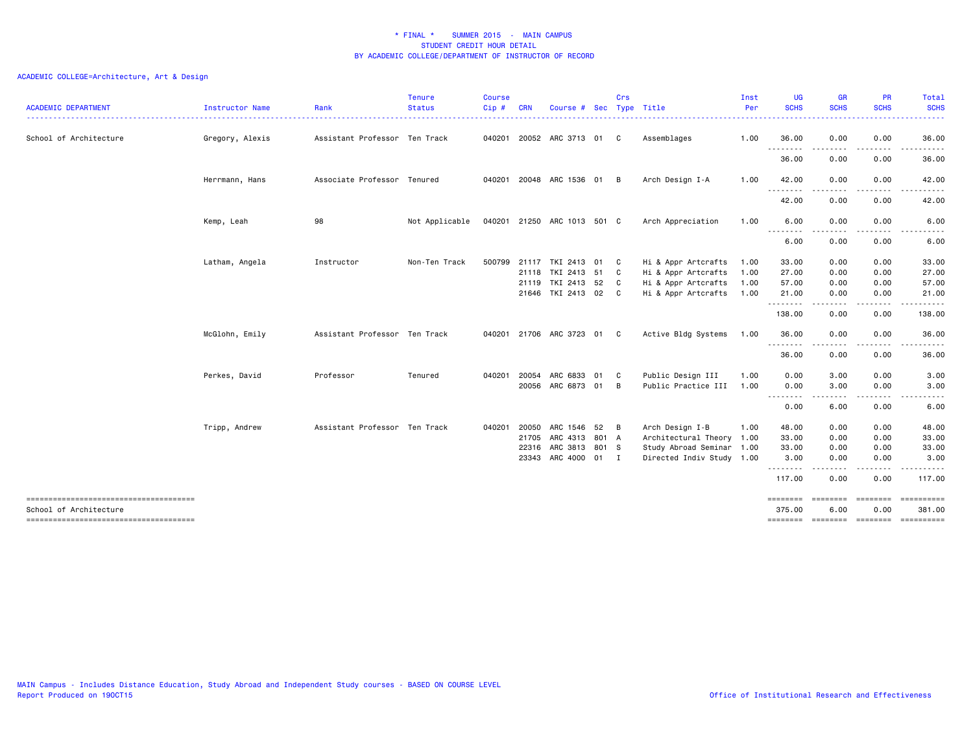| <b>ACADEMIC DEPARTMENT</b>            | Instructor Name | Rank                          | <b>Tenure</b><br><b>Status</b> | <b>Course</b><br>Cip# | <b>CRN</b> | Course #                    | Sec | Crs | Type Title                | Inst<br>Per | UG<br><b>SCHS</b>  | <b>GR</b><br><b>SCHS</b> | <b>PR</b><br><b>SCHS</b> | Total<br><b>SCHS</b>                                                                                                               |
|---------------------------------------|-----------------|-------------------------------|--------------------------------|-----------------------|------------|-----------------------------|-----|-----|---------------------------|-------------|--------------------|--------------------------|--------------------------|------------------------------------------------------------------------------------------------------------------------------------|
| School of Architecture                | Gregory, Alexis | Assistant Professor Ten Track |                                |                       |            | 040201 20052 ARC 3713 01 C  |     |     | Assemblages               | 1.00        | 36.00              | 0.00                     | 0.00                     | $\frac{1}{2} \left( \frac{1}{2} \right) \left( \frac{1}{2} \right) \left( \frac{1}{2} \right) \left( \frac{1}{2} \right)$<br>36.00 |
|                                       |                 |                               |                                |                       |            |                             |     |     |                           |             | .<br>36.00         | . <b>.</b><br>0.00       | .<br>0.00                | .<br>36.00                                                                                                                         |
|                                       | Herrmann, Hans  | Associate Professor Tenured   |                                |                       |            | 040201 20048 ARC 1536 01 B  |     |     | Arch Design I-A           | 1.00        | 42.00              | 0.00                     | 0.00                     | 42.00                                                                                                                              |
|                                       |                 |                               |                                |                       |            |                             |     |     |                           |             | 42.00              | 0.00                     | 0.00                     | 42.00                                                                                                                              |
|                                       | Kemp, Leah      | 98                            | Not Applicable                 |                       |            | 040201 21250 ARC 1013 501 C |     |     | Arch Appreciation         | 1.00        | 6.00               | 0.00                     | 0.00                     | 6.00                                                                                                                               |
|                                       |                 |                               |                                |                       |            |                             |     |     |                           |             | 6.00               | 0.00                     | 0.00                     | 6.00                                                                                                                               |
|                                       | Latham, Angela  | Instructor                    | Non-Ten Track                  |                       |            | 500799 21117 TKI 2413 01 C  |     |     | Hi & Appr Artcrafts       | 1.00        | 33.00              | 0.00                     | 0.00                     | 33.00                                                                                                                              |
|                                       |                 |                               |                                |                       |            | 21118 TKI 2413 51           |     | C   | Hi & Appr Artcrafts       | 1.00        | 27.00              | 0.00                     | 0.00                     | 27.00                                                                                                                              |
|                                       |                 |                               |                                |                       |            | 21119 TKI 2413 52 C         |     |     | Hi & Appr Artcrafts       | 1.00        | 57.00              | 0.00                     | 0.00                     | 57.00                                                                                                                              |
|                                       |                 |                               |                                |                       |            | 21646 TKI 2413 02 C         |     |     | Hi & Appr Artcrafts       | 1.00        | 21.00<br>.         | 0.00<br>.                | 0.00<br>.                | 21.00<br>.                                                                                                                         |
|                                       |                 |                               |                                |                       |            |                             |     |     |                           |             | 138.00             | 0.00                     | 0.00                     | 138.00                                                                                                                             |
|                                       | McGlohn, Emily  | Assistant Professor Ten Track |                                |                       |            | 040201 21706 ARC 3723 01    |     | C.  | Active Bldg Systems       | 1.00        | 36.00<br>--------  | 0.00                     | 0.00                     | 36.00                                                                                                                              |
|                                       |                 |                               |                                |                       |            |                             |     |     |                           |             | 36.00              | 0.00                     | 0.00                     | 36.00                                                                                                                              |
|                                       | Perkes, David   | Professor                     | Tenured                        | 040201                | 20054      | ARC 6833                    | 01  | C   | Public Design III         | 1.00        | 0.00               | 3.00                     | 0.00                     | 3.00                                                                                                                               |
|                                       |                 |                               |                                |                       |            | 20056 ARC 6873 01           |     | B   | Public Practice III       | 1.00        | 0.00               | 3.00                     | 0.00                     | 3.00                                                                                                                               |
|                                       |                 |                               |                                |                       |            |                             |     |     |                           |             | --------<br>0.00   | 6.00                     | -----<br>0.00            | .<br>6.00                                                                                                                          |
|                                       | Tripp, Andrew   | Assistant Professor Ten Track |                                | 040201                | 20050      | ARC 1546 52 B               |     |     | Arch Design I-B           | 1.00        | 48.00              | 0.00                     | 0.00                     | 48.00                                                                                                                              |
|                                       |                 |                               |                                |                       | 21705      | ARC 4313 801 A              |     |     | Architectural Theory 1.00 |             | 33.00              | 0.00                     | 0.00                     | 33.00                                                                                                                              |
|                                       |                 |                               |                                |                       |            | 22316 ARC 3813 801 S        |     |     | Study Abroad Seminar 1.00 |             | 33.00              | 0.00                     | 0.00                     | 33.00                                                                                                                              |
|                                       |                 |                               |                                |                       |            | 23343 ARC 4000 01 I         |     |     | Directed Indiv Study 1.00 |             | 3.00               | 0.00                     | 0.00                     | 3.00                                                                                                                               |
|                                       |                 |                               |                                |                       |            |                             |     |     |                           |             | --------<br>117.00 | .<br>0.00                | .<br>0.00                | .<br>117.00                                                                                                                        |
| ------------------------------------- |                 |                               |                                |                       |            |                             |     |     |                           |             |                    |                          | ========                 |                                                                                                                                    |
| School of Architecture                |                 |                               |                                |                       |            |                             |     |     |                           |             | 375.00             | 6.00                     | 0.00                     | 381.00<br>======== ======== ======== =========                                                                                     |
|                                       |                 |                               |                                |                       |            |                             |     |     |                           |             |                    |                          |                          |                                                                                                                                    |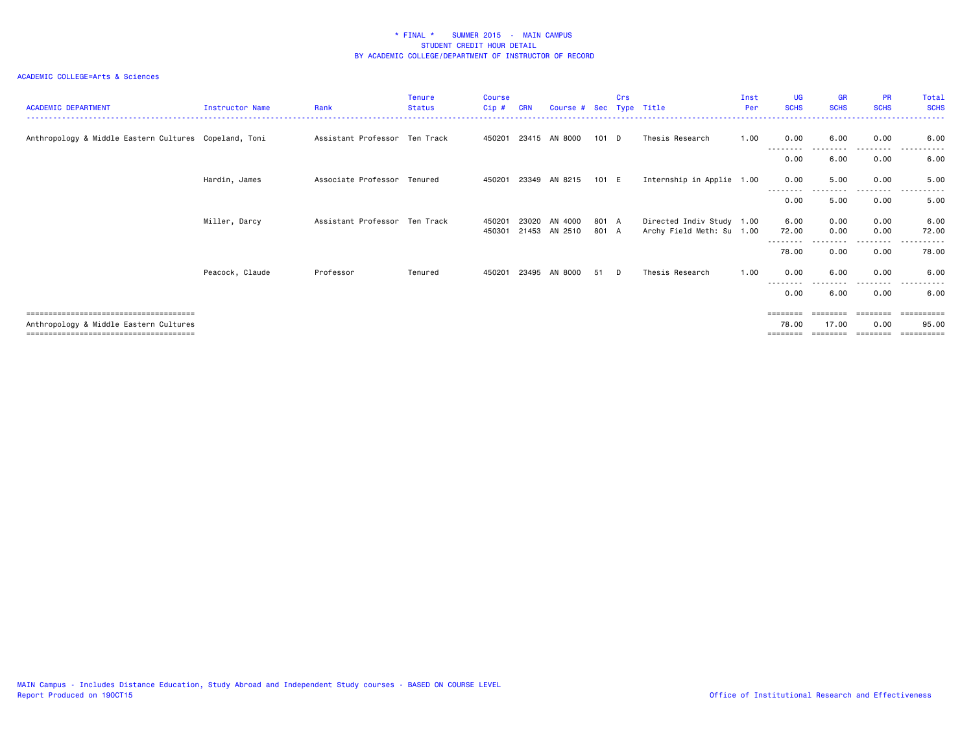#### ACADEMIC COLLEGE=Arts & Sciences

| <b>ACADEMIC DEPARTMENT</b>                            | Instructor Name | Rank                          | <b>Tenure</b><br><b>Status</b> | <b>Course</b><br>Cip# | <b>CRN</b> | Course # Sec Type Title  |                | Crs |                                                        | Inst<br>Per | <b>UG</b><br><b>SCHS</b>      | <b>GR</b><br><b>SCHS</b> | <b>PR</b><br><b>SCHS</b> | Total<br><b>SCHS</b> |
|-------------------------------------------------------|-----------------|-------------------------------|--------------------------------|-----------------------|------------|--------------------------|----------------|-----|--------------------------------------------------------|-------------|-------------------------------|--------------------------|--------------------------|----------------------|
| Anthropology & Middle Eastern Cultures Copeland, Toni |                 | Assistant Professor Ten Track |                                |                       |            | 450201 23415 AN 8000     | 101 D          |     | Thesis Research                                        | 1.00        | 0.00                          | 6.00                     | 0.00                     | 6.00                 |
|                                                       |                 |                               |                                |                       |            |                          |                |     |                                                        |             | --------<br>0.00              | 6.00                     | 0.00                     | .<br>6.00            |
|                                                       | Hardin, James   | Associate Professor Tenured   |                                | 450201                |            | 23349 AN 8215            | 101 E          |     | Internship in Applie 1.00                              |             | 0.00                          | 5.00                     | 0.00                     | 5.00                 |
|                                                       |                 |                               |                                |                       |            |                          |                |     |                                                        |             | 0.00                          | 5.00                     | 0.00                     | 5.00                 |
|                                                       | Miller, Darcy   | Assistant Professor Ten Track |                                | 450201<br>450301      | 23020      | AN 4000<br>21453 AN 2510 | 801 A<br>801 A |     | Directed Indiv Study 1.00<br>Archy Field Meth: Su 1.00 |             | 6.00<br>72.00                 | 0.00<br>0.00             | 0.00<br>0.00             | 6.00<br>72.00        |
|                                                       |                 |                               |                                |                       |            |                          |                |     |                                                        |             | - - - - - - - -<br>78.00      | 0.00                     | 0.00                     | 78.00                |
|                                                       | Peacock, Claude | Professor                     | Tenured                        | 450201                |            | 23495 AN 8000            | 51             | D   | Thesis Research                                        | 1.00        | 0.00                          | 6.00                     | 0.00                     | 6.00                 |
|                                                       |                 |                               |                                |                       |            |                          |                |     |                                                        |             | 0.00                          | 6.00                     | 0.00                     | 6.00                 |
| Anthropology & Middle Eastern Cultures                |                 |                               |                                |                       |            |                          |                |     |                                                        |             | ========<br>78.00<br>======== | 17.00                    | 0.00                     | eeeeeeee<br>95.00    |
|                                                       |                 |                               |                                |                       |            |                          |                |     |                                                        |             | - - - - - - - -<br>--------   |                          |                          |                      |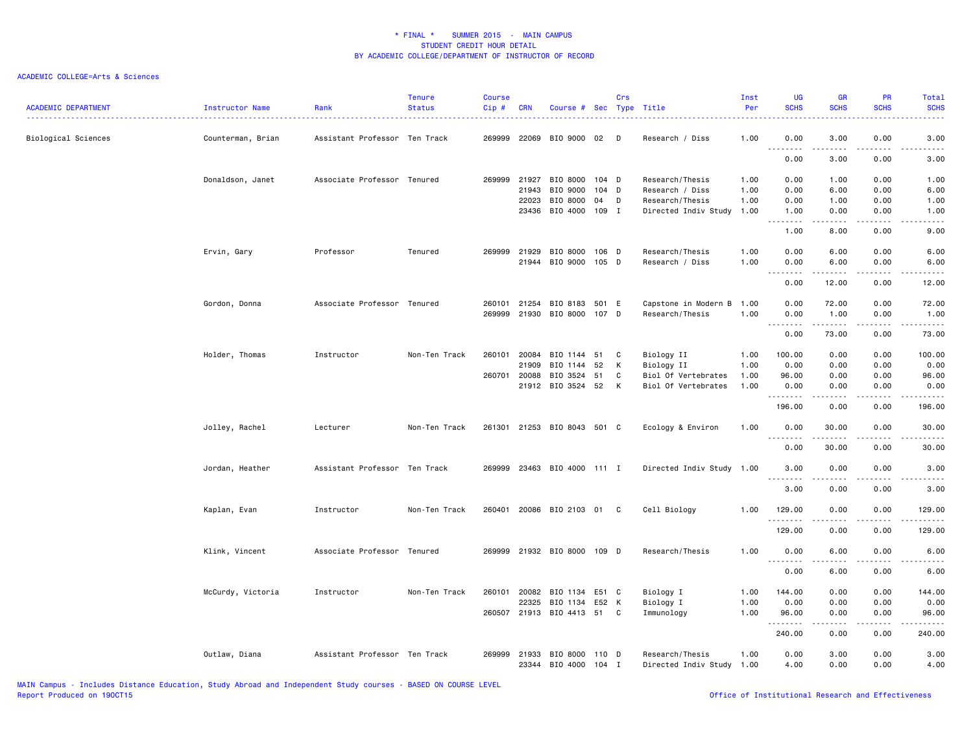#### ACADEMIC COLLEGE=Arts & Sciences

| <b>ACADEMIC DEPARTMENT</b> | Instructor Name   | Rank                          | <b>Tenure</b><br><b>Status</b> | <b>Course</b><br>Cip# | <b>CRN</b>   | Course # Sec Type Title     |       | Crs |                           | Inst<br>Per | <b>UG</b><br><b>SCHS</b>          | <b>GR</b><br><b>SCHS</b> | PR<br><b>SCHS</b> | Total<br><b>SCHS</b> |
|----------------------------|-------------------|-------------------------------|--------------------------------|-----------------------|--------------|-----------------------------|-------|-----|---------------------------|-------------|-----------------------------------|--------------------------|-------------------|----------------------|
| Biological Sciences        | Counterman, Brian | Assistant Professor Ten Track |                                | 269999                |              | 22069 BIO 9000              | 02 D  |     | Research / Diss           | 1.00        | 0.00                              | 3.00                     | 0.00              | 3.00                 |
|                            |                   |                               |                                |                       |              |                             |       |     |                           |             | $\sim$ $\sim$<br>0.00             | ----<br>3.00             | 0.00              | 3.00                 |
|                            | Donaldson, Janet  | Associate Professor Tenured   |                                | 269999                | 21927        | BIO 8000                    | 104 D |     | Research/Thesis           | 1.00        | 0.00                              | 1.00                     | 0.00              | 1.00                 |
|                            |                   |                               |                                |                       | 21943        | BIO 9000                    | 104 D |     | Research / Diss           | 1.00        | 0.00                              | 6.00                     | 0.00              | 6.00                 |
|                            |                   |                               |                                |                       | 22023        | BIO 8000                    | 04    | D   | Research/Thesis           | 1.00        | 0.00                              | 1.00                     | 0.00              | 1.00                 |
|                            |                   |                               |                                |                       | 23436        | BIO 4000                    | 109 I |     | Directed Indiv Study 1.00 |             | 1.00<br><b><i><u></u></i></b>     | 0.00<br>.                | 0.00<br>.         | 1.00<br>.            |
|                            |                   |                               |                                |                       |              |                             |       |     |                           |             | 1.00                              | 8.00                     | 0.00              | 9.00                 |
|                            | Ervin, Gary       | Professor                     | Tenured                        | 269999                | 21929        | BIO 8000                    | 106 D |     | Research/Thesis           | 1.00        | 0.00                              | 6.00                     | 0.00              | 6.00                 |
|                            |                   |                               |                                |                       |              | 21944 BIO 9000              | 105 D |     | Research / Diss           | 1.00        | 0.00<br>$\sim$ $\sim$<br>$- - -$  | 6.00<br>-----            | 0.00              | 6.00                 |
|                            |                   |                               |                                |                       |              |                             |       |     |                           |             | 0.00                              | 12.00                    | 0.00              | 12.00                |
|                            | Gordon, Donna     | Associate Professor Tenured   |                                | 260101                | 21254        | BIO 8183 501 E              |       |     | Capstone in Modern B      | 1.00        | 0.00                              | 72.00                    | 0.00              | 72.00                |
|                            |                   |                               |                                | 269999                |              | 21930 BIO 8000 107 D        |       |     | Research/Thesis           | 1.00        | 0.00<br>.<br>$\sim$ $\sim$ $\sim$ | 1.00<br>.                | 0.00<br>.         | 1.00<br>.            |
|                            |                   |                               |                                |                       |              |                             |       |     |                           |             | 0.00                              | 73.00                    | 0.00              | 73.00                |
|                            | Holder, Thomas    | Instructor                    | Non-Ten Track                  | 260101                | 20084        | BIO 1144                    | 51    | C   | Biology II                | 1.00        | 100.00                            | 0.00                     | 0.00              | 100.00               |
|                            |                   |                               |                                |                       | 21909        | BIO 1144 52                 |       | к   | Biology II                | 1.00        | 0.00                              | 0.00                     | 0.00              | 0.00                 |
|                            |                   |                               |                                |                       | 260701 20088 | BIO 3524 51                 |       | C   | Biol Of Vertebrates       | 1.00        | 96.00                             | 0.00                     | 0.00              | 96.00                |
|                            |                   |                               |                                |                       |              | 21912 BIO 3524 52           |       | К   | Biol Of Vertebrates       | 1.00        | 0.00                              | 0.00<br>----             | 0.00              | 0.00                 |
|                            |                   |                               |                                |                       |              |                             |       |     |                           |             | 196.00                            | 0.00                     | 0.00              | 196.00               |
|                            | Jolley, Rachel    | Lecturer                      | Non-Ten Track                  |                       |              | 261301 21253 BIO 8043 501 C |       |     | Ecology & Environ         | 1.00        | 0.00<br>.                         | 30.00<br>.               | 0.00<br>.         | 30.00<br>.           |
|                            |                   |                               |                                |                       |              |                             |       |     |                           |             | 0.00                              | 30.00                    | 0.00              | 30.00                |
|                            | Jordan, Heather   | Assistant Professor Ten Track |                                | 269999                |              | 23463 BIO 4000 111 I        |       |     | Directed Indiv Study 1.00 |             | 3.00                              | 0.00                     | 0.00              | 3.00                 |
|                            |                   |                               |                                |                       |              |                             |       |     |                           |             | 3.00                              | 0.00                     | 0.00              | 3.00                 |
|                            | Kaplan, Evan      | Instructor                    | Non-Ten Track                  | 260401                |              | 20086 BIO 2103 01 C         |       |     | Cell Biology              | 1.00        | 129.00<br>.                       | 0.00                     | 0.00              | 129.00               |
|                            |                   |                               |                                |                       |              |                             |       |     |                           |             | 129.00                            | 0.00                     | 0.00              | 129.00               |
|                            | Klink, Vincent    | Associate Professor Tenured   |                                | 269999                |              | 21932 BIO 8000              | 109 D |     | Research/Thesis           | 1.00        | 0.00                              | 6.00                     | 0.00              | 6.00                 |
|                            |                   |                               |                                |                       |              |                             |       |     |                           |             | .<br>0.00                         | .<br>6.00                | .<br>0.00         | $- - - -$<br>6.00    |
|                            | McCurdy, Victoria | Instructor                    | Non-Ten Track                  | 260101                | 20082        | BIO 1134                    | E51 C |     | Biology I                 | 1.00        | 144.00                            | 0.00                     | 0.00              | 144.00               |
|                            |                   |                               |                                |                       | 22325        | BIO 1134                    | E52 K |     | Biology I                 | 1.00        | 0.00                              | 0.00                     | 0.00              | 0.00                 |
|                            |                   |                               |                                | 260507                |              | 21913 BIO 4413 51           |       | C   | Immunology                | 1.00        | 96.00<br><b></b>                  | 0.00<br>.                | 0.00<br>.         | 96.00<br>.           |
|                            |                   |                               |                                |                       |              |                             |       |     |                           |             | 240.00                            | 0.00                     | 0.00              | 240.00               |
|                            | Outlaw, Diana     | Assistant Professor Ten Track |                                | 269999                | 21933        | BIO 8000 110 D              |       |     | Research/Thesis           | 1.00        | 0.00                              | 3.00                     | 0.00              | 3.00                 |
|                            |                   |                               |                                |                       | 23344        | BIO 4000                    | 104 I |     | Directed Indiv Study 1.00 |             | 4.00                              | 0.00                     | 0.00              | 4.00                 |

MAIN Campus - Includes Distance Education, Study Abroad and Independent Study courses - BASED ON COURSE LEVEL

Office of Institutional Research and Effectiveness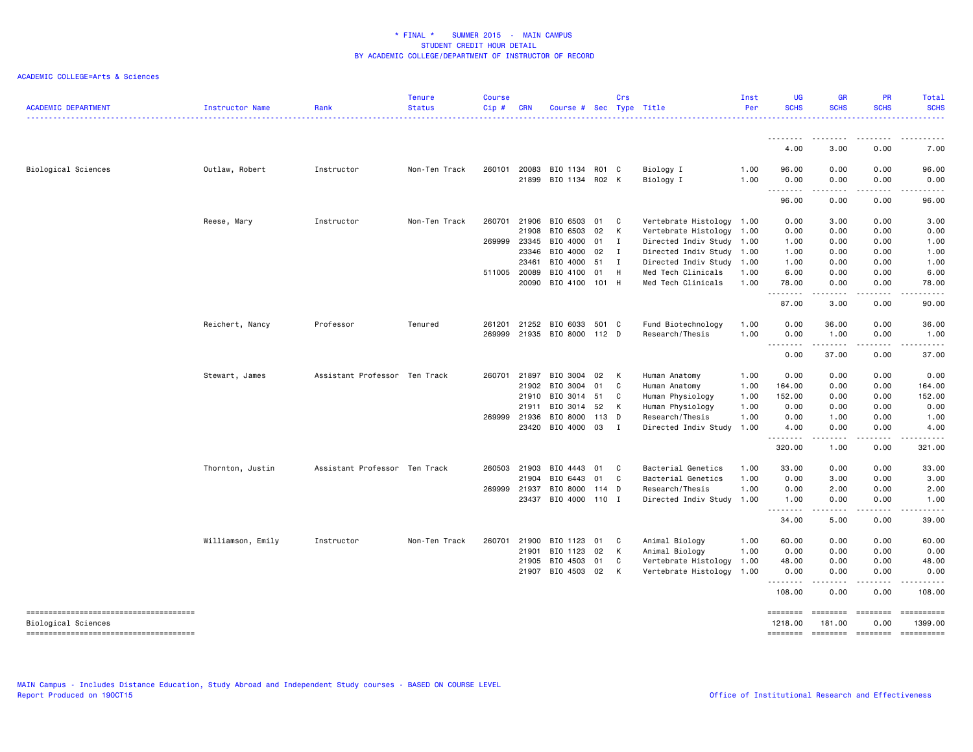#### ACADEMIC COLLEGE=Arts & Sciences

| <b>ACADEMIC DEPARTMENT</b>             | Instructor Name   | Rank                          | <b>Tenure</b><br><b>Status</b> | <b>Course</b><br>Cip# | <b>CRN</b>   | Course #             | Sec   | Crs | Type Title                | Inst<br>Per | <b>UG</b><br><b>SCHS</b>                             | <b>GR</b><br><b>SCHS</b> | <b>PR</b><br><b>SCHS</b> | Total<br><b>SCHS</b>                                                                                                                                         |
|----------------------------------------|-------------------|-------------------------------|--------------------------------|-----------------------|--------------|----------------------|-------|-----|---------------------------|-------------|------------------------------------------------------|--------------------------|--------------------------|--------------------------------------------------------------------------------------------------------------------------------------------------------------|
|                                        |                   |                               |                                |                       |              |                      |       |     |                           |             |                                                      |                          |                          |                                                                                                                                                              |
|                                        |                   |                               |                                |                       |              |                      |       |     |                           |             | 4.00                                                 | 3.00                     | 0.00                     | 7.00                                                                                                                                                         |
| <b>Biological Sciences</b>             | Outlaw, Robert    | Instructor                    | Non-Ten Track                  | 260101                | 20083        | BIO 1134 R01 C       |       |     | Biology I                 | 1.00        | 96.00                                                | 0.00                     | 0.00                     | 96.00                                                                                                                                                        |
|                                        |                   |                               |                                |                       | 21899        | BIO 1134 RO2 K       |       |     | Biology I                 | 1.00        | 0.00<br>.                                            | 0.00<br>المالما ماليا    | 0.00<br>.                | 0.00<br>$\cdots$                                                                                                                                             |
|                                        |                   |                               |                                |                       |              |                      |       |     |                           |             | 96.00                                                | 0.00                     | 0.00                     | 96.00                                                                                                                                                        |
|                                        | Reese, Mary       | Instructor                    | Non-Ten Track                  | 260701                | 21906        | BIO 6503             | 01    | C   | Vertebrate Histology 1.00 |             | 0.00                                                 | 3.00                     | 0.00                     | 3.00                                                                                                                                                         |
|                                        |                   |                               |                                |                       | 21908        | BIO 6503             | 02    | К   | Vertebrate Histology 1.00 |             | 0.00                                                 | 0.00                     | 0.00                     | 0.00                                                                                                                                                         |
|                                        |                   |                               |                                |                       | 269999 23345 | BIO 4000 01          |       | Ι.  | Directed Indiv Study 1.00 |             | 1.00                                                 | 0.00                     | 0.00                     | 1.00                                                                                                                                                         |
|                                        |                   |                               |                                |                       | 23346        | BIO 4000             | 02    | Ι.  | Directed Indiv Study 1.00 |             | 1.00                                                 | 0.00                     | 0.00                     | 1.00                                                                                                                                                         |
|                                        |                   |                               |                                |                       | 23461        | BIO 4000             | 51    | I   | Directed Indiv Study 1.00 |             | 1.00                                                 | 0.00                     | 0.00                     | 1.00                                                                                                                                                         |
|                                        |                   |                               |                                |                       | 511005 20089 | BIO 4100             | 01    | H   | Med Tech Clinicals        | 1.00        | 6.00                                                 | 0.00                     | 0.00                     | 6.00                                                                                                                                                         |
|                                        |                   |                               |                                |                       | 20090        | BIO 4100 101 H       |       |     | Med Tech Clinicals        | 1.00        | 78.00<br>$\omega$ $\omega$ .<br>.                    | 0.00<br>$\frac{1}{2}$    | 0.00<br>$- - - -$        | 78.00                                                                                                                                                        |
|                                        |                   |                               |                                |                       |              |                      |       |     |                           |             | 87.00                                                | 3.00                     | 0.00                     | 90.00                                                                                                                                                        |
|                                        | Reichert, Nancy   | Professor                     | Tenured                        | 261201                | 21252        | BIO 6033             | 501 C |     | Fund Biotechnology        | 1.00        | 0.00                                                 | 36.00                    | 0.00                     | 36.00                                                                                                                                                        |
|                                        |                   |                               |                                | 269999                |              | 21935 BIO 8000 112 D |       |     | Research/Thesis           | 1.00        | 0.00                                                 | 1.00                     | 0.00                     | 1.00                                                                                                                                                         |
|                                        |                   |                               |                                |                       |              |                      |       |     |                           |             | $\sim$ $\sim$ $\sim$<br>$\sim$ $\sim$ $\sim$<br>0.00 | -----<br>37.00           | $   -$<br>0.00           | 37.00                                                                                                                                                        |
|                                        | Stewart, James    | Assistant Professor Ten Track |                                | 260701                | 21897        | BIO 3004             | 02    | K   | Human Anatomy             | 1.00        | 0.00                                                 | 0.00                     | 0.00                     | 0.00                                                                                                                                                         |
|                                        |                   |                               |                                |                       | 21902        | BIO 3004             | 01    | C   | Human Anatomy             | 1.00        | 164.00                                               | 0.00                     | 0.00                     | 164.00                                                                                                                                                       |
|                                        |                   |                               |                                |                       | 21910        | BIO 3014 51          |       | C   | Human Physiology          | 1.00        | 152.00                                               | 0.00                     | 0.00                     | 152.00                                                                                                                                                       |
|                                        |                   |                               |                                |                       | 21911        | BIO 3014 52          |       | K   | Human Physiology          | 1.00        | 0.00                                                 | 0.00                     | 0.00                     | 0.00                                                                                                                                                         |
|                                        |                   |                               |                                | 269999                | 21936        | BIO 8000             | 113 D |     | Research/Thesis           | 1.00        | 0.00                                                 | 1.00                     | 0.00                     | 1.00                                                                                                                                                         |
|                                        |                   |                               |                                |                       | 23420        | BIO 4000             | 03    | Ι.  | Directed Indiv Study      | 1.00        | 4.00                                                 | 0.00                     | 0.00                     | 4.00                                                                                                                                                         |
|                                        |                   |                               |                                |                       |              |                      |       |     |                           |             | 320.00                                               | 1.00                     | 0.00                     | 321.00                                                                                                                                                       |
|                                        | Thornton, Justin  | Assistant Professor Ten Track |                                | 260503                | 21903        | BIO 4443             | 01    | C.  | Bacterial Genetics        | 1.00        | 33.00                                                | 0.00                     | 0.00                     | 33.00                                                                                                                                                        |
|                                        |                   |                               |                                |                       | 21904        | BIO 6443             | 01    | C   | Bacterial Genetics        | 1.00        | 0.00                                                 | 3.00                     | 0.00                     | 3.00                                                                                                                                                         |
|                                        |                   |                               |                                | 269999                | 21937        | BIO 8000 114 D       |       |     | Research/Thesis           | 1.00        | 0.00                                                 | 2.00                     | 0.00                     | 2.00                                                                                                                                                         |
|                                        |                   |                               |                                |                       | 23437        | BIO 4000 110 I       |       |     | Directed Indiv Study 1.00 |             | 1.00<br>.                                            | 0.00<br>المالما ماليا    | 0.00<br>.                | 1.00<br>$\cdots$                                                                                                                                             |
|                                        |                   |                               |                                |                       |              |                      |       |     |                           |             | 34.00                                                | 5.00                     | 0.00                     | 39.00                                                                                                                                                        |
|                                        | Williamson, Emily | Instructor                    | Non-Ten Track                  | 260701                | 21900        | BIO 1123             | 01    | C   | Animal Biology            | 1.00        | 60.00                                                | 0.00                     | 0.00                     | 60.00                                                                                                                                                        |
|                                        |                   |                               |                                |                       | 21901        | BIO 1123             | 02    | к   | Animal Biology            | 1.00        | 0.00                                                 | 0.00                     | 0.00                     | 0.00                                                                                                                                                         |
|                                        |                   |                               |                                |                       | 21905        | BIO 4503             | 01    | C   | Vertebrate Histology      | 1.00        | 48.00                                                | 0.00                     | 0.00                     | 48.00                                                                                                                                                        |
|                                        |                   |                               |                                |                       |              | 21907 BIO 4503 02    |       | K   | Vertebrate Histology      | 1.00        | 0.00<br>--------                                     | 0.00<br>د د د د          | 0.00<br>.                | 0.00<br>$\frac{1}{2} \left( \frac{1}{2} \right) \left( \frac{1}{2} \right) \left( \frac{1}{2} \right) \left( \frac{1}{2} \right) \left( \frac{1}{2} \right)$ |
|                                        |                   |                               |                                |                       |              |                      |       |     |                           |             | 108.00                                               | 0.00                     | 0.00                     | 108.00                                                                                                                                                       |
| Biological Sciences                    |                   |                               |                                |                       |              |                      |       |     |                           |             | ========<br>1218.00                                  | ========<br>181.00       | <b>EBBEBBEB</b><br>0.00  | ==========<br>1399.00                                                                                                                                        |
| -------------------------------------- |                   |                               |                                |                       |              |                      |       |     |                           |             | ========                                             | ========                 | ========                 | ==========                                                                                                                                                   |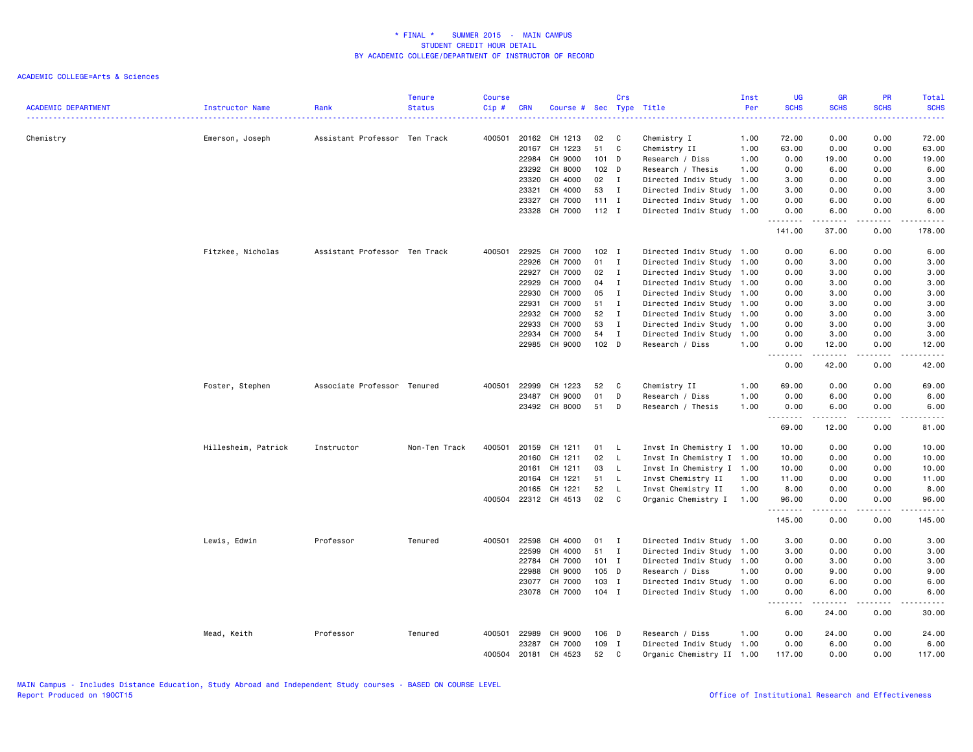| <b>ACADEMIC DEPARTMENT</b> | Instructor Name     | Rank                          | <b>Tenure</b><br><b>Status</b> | <b>Course</b><br>Cip# | <b>CRN</b>   | Course # Sec Type Title |         | Crs          |                           | Inst<br>Per | <b>UG</b><br><b>SCHS</b>   | <b>GR</b><br><b>SCHS</b> | <b>PR</b><br><b>SCHS</b> | Total<br><b>SCHS</b> |
|----------------------------|---------------------|-------------------------------|--------------------------------|-----------------------|--------------|-------------------------|---------|--------------|---------------------------|-------------|----------------------------|--------------------------|--------------------------|----------------------|
| Chemistry                  | Emerson, Joseph     | Assistant Professor Ten Track |                                | 400501                | 20162        | CH 1213                 | 02      | C            | Chemistry I               | 1.00        | 72.00                      | 0.00                     | 0.00                     | 72.00                |
|                            |                     |                               |                                |                       | 20167        | CH 1223                 | 51      | C            | Chemistry II              | 1.00        | 63.00                      | 0.00                     | 0.00                     | 63.00                |
|                            |                     |                               |                                |                       | 22984        | CH 9000                 | $101$ D |              | Research / Diss           | 1.00        | 0.00                       | 19.00                    | 0.00                     | 19.00                |
|                            |                     |                               |                                |                       | 23292        | CH 8000                 | $102$ D |              | Research / Thesis         | 1.00        | 0.00                       | 6.00                     | 0.00                     | 6.00                 |
|                            |                     |                               |                                |                       | 23320        | CH 4000                 | 02      | $\mathbf{I}$ | Directed Indiv Study 1.00 |             | 3.00                       | 0.00                     | 0.00                     | 3.00                 |
|                            |                     |                               |                                |                       | 23321        | CH 4000                 | 53      | $\mathbf{I}$ | Directed Indiv Study 1.00 |             | 3.00                       | 0.00                     | 0.00                     | 3.00                 |
|                            |                     |                               |                                |                       | 23327        | CH 7000                 | $111$ I |              | Directed Indiv Study 1.00 |             | 0.00                       | 6.00                     | 0.00                     | 6.00                 |
|                            |                     |                               |                                |                       | 23328        | CH 7000                 | $112$ I |              | Directed Indiv Study 1.00 |             | 0.00<br>.                  | 6.00                     | 0.00<br>$\cdots$         | 6.00                 |
|                            |                     |                               |                                |                       |              |                         |         |              |                           |             | 141.00                     | 37.00                    | 0.00                     | 178.00               |
|                            | Fitzkee, Nicholas   | Assistant Professor Ten Track |                                | 400501                | 22925        | CH 7000                 | $102$ I |              | Directed Indiv Study 1.00 |             | 0.00                       | 6.00                     | 0.00                     | 6.00                 |
|                            |                     |                               |                                |                       | 22926        | CH 7000                 | 01      | $\mathbf I$  | Directed Indiv Study 1.00 |             | 0.00                       | 3.00                     | 0.00                     | 3.00                 |
|                            |                     |                               |                                |                       | 22927        | CH 7000                 | 02      | $\mathbf{I}$ | Directed Indiv Study 1.00 |             | 0.00                       | 3.00                     | 0.00                     | 3.00                 |
|                            |                     |                               |                                |                       | 22929        | CH 7000                 | 04      | $\mathbf{I}$ | Directed Indiv Study 1.00 |             | 0.00                       | 3.00                     | 0.00                     | 3.00                 |
|                            |                     |                               |                                |                       | 22930        | CH 7000                 | 05      | $\mathbf{I}$ | Directed Indiv Study 1.00 |             | 0.00                       | 3.00                     | 0.00                     | 3.00                 |
|                            |                     |                               |                                |                       | 22931        | CH 7000                 | 51      | $\mathbf I$  | Directed Indiv Study 1.00 |             | 0.00                       | 3.00                     | 0.00                     | 3.00                 |
|                            |                     |                               |                                |                       | 22932        | CH 7000                 | 52      | $\mathbf{I}$ | Directed Indiv Study 1.00 |             | 0.00                       | 3.00                     | 0.00                     | 3.00                 |
|                            |                     |                               |                                |                       | 22933        | CH 7000                 | 53      | $\mathbf{I}$ | Directed Indiv Study 1.00 |             | 0.00                       | 3.00                     | 0.00                     | 3.00                 |
|                            |                     |                               |                                |                       | 22934        | CH 7000                 | 54      | $\mathbf{I}$ | Directed Indiv Study 1.00 |             | 0.00                       | 3.00                     | 0.00                     | 3.00                 |
|                            |                     |                               |                                |                       |              | 22985 CH 9000           | 102 D   |              | Research / Diss           | 1.00        | 0.00<br>.<br>$\frac{1}{2}$ | 12.00<br>.               | 0.00<br>.                | 12.00<br>.           |
|                            |                     |                               |                                |                       |              |                         |         |              |                           |             | 0.00                       | 42.00                    | 0.00                     | 42.00                |
|                            | Foster, Stephen     | Associate Professor Tenured   |                                | 400501                | 22999        | CH 1223                 | 52      | C            | Chemistry II              | 1.00        | 69.00                      | 0.00                     | 0.00                     | 69.00                |
|                            |                     |                               |                                |                       | 23487        | CH 9000                 | 01      | D            | Research / Diss           | 1.00        | 0.00                       | 6.00                     | 0.00                     | 6.00                 |
|                            |                     |                               |                                |                       | 23492        | CH 8000                 | 51      | D            | Research / Thesis         | 1.00        | 0.00<br>.                  | 6.00<br>المتمامين        | 0.00<br>الدامات ب        | 6.00<br>المتمامين    |
|                            |                     |                               |                                |                       |              |                         |         |              |                           |             | 69.00                      | 12.00                    | 0.00                     | 81.00                |
|                            | Hillesheim, Patrick | Instructor                    | Non-Ten Track                  | 400501                | 20159        | CH 1211                 | 01      | L            | Invst In Chemistry I 1.00 |             | 10.00                      | 0.00                     | 0.00                     | 10.00                |
|                            |                     |                               |                                |                       | 20160        | CH 1211                 | 02      | L.           | Invst In Chemistry I 1.00 |             | 10.00                      | 0.00                     | 0.00                     | 10.00                |
|                            |                     |                               |                                |                       | 20161        | CH 1211                 | 03      | L.           | Invst In Chemistry I 1.00 |             | 10.00                      | 0.00                     | 0.00                     | 10.00                |
|                            |                     |                               |                                |                       | 20164        | CH 1221                 | 51      | L.           | Invst Chemistry II        | 1.00        | 11.00                      | 0.00                     | 0.00                     | 11.00                |
|                            |                     |                               |                                |                       | 20165        | CH 1221                 | 52      | L.           | Invst Chemistry II        | 1.00        | 8.00                       | 0.00                     | 0.00                     | 8.00                 |
|                            |                     |                               |                                |                       | 400504 22312 | CH 4513                 | 02      | C            | Organic Chemistry I 1.00  |             | 96.00<br>.                 | 0.00                     | 0.00                     | 96.00                |
|                            |                     |                               |                                |                       |              |                         |         |              |                           |             | 145.00                     | 0.00                     | 0.00                     | 145.00               |
|                            | Lewis, Edwin        | Professor                     | Tenured                        | 400501                | 22598        | CH 4000                 | 01      | I            | Directed Indiv Study 1.00 |             | 3.00                       | 0.00                     | 0.00                     | 3.00                 |
|                            |                     |                               |                                |                       | 22599        | CH 4000                 | 51      | I            | Directed Indiv Study 1.00 |             | 3.00                       | 0.00                     | 0.00                     | 3.00                 |
|                            |                     |                               |                                |                       | 22784        | CH 7000                 | $101$ I |              | Directed Indiv Study 1.00 |             | 0.00                       | 3.00                     | 0.00                     | 3.00                 |
|                            |                     |                               |                                |                       | 22988        | CH 9000                 | 105 D   |              | Research / Diss           | 1.00        | 0.00                       | 9.00                     | 0.00                     | 9.00                 |
|                            |                     |                               |                                |                       | 23077        | CH 7000                 | 103 I   |              | Directed Indiv Study 1.00 |             | 0.00                       | 6.00                     | 0.00                     | 6.00                 |
|                            |                     |                               |                                |                       |              | 23078 CH 7000           | 104 I   |              | Directed Indiv Study 1.00 |             | 0.00                       | 6.00                     | 0.00                     | 6.00                 |
|                            |                     |                               |                                |                       |              |                         |         |              |                           |             | 6.00                       | 24.00                    | 0.00                     | 30.00                |
|                            | Mead, Keith         | Professor                     | Tenured                        | 400501                | 22989        | CH 9000                 | 106 D   |              | Research / Diss           | 1.00        | 0.00                       | 24.00                    | 0.00                     | 24.00                |
|                            |                     |                               |                                |                       | 23287        | CH 7000                 | 109     | $\mathbf{I}$ | Directed Indiv Study 1.00 |             | 0.00                       | 6.00                     | 0.00                     | 6.00                 |
|                            |                     |                               |                                | 400504                | 20181        | CH 4523                 | 52      | C            | Organic Chemistry II 1.00 |             | 117.00                     | 0.00                     | 0.00                     | 117.00               |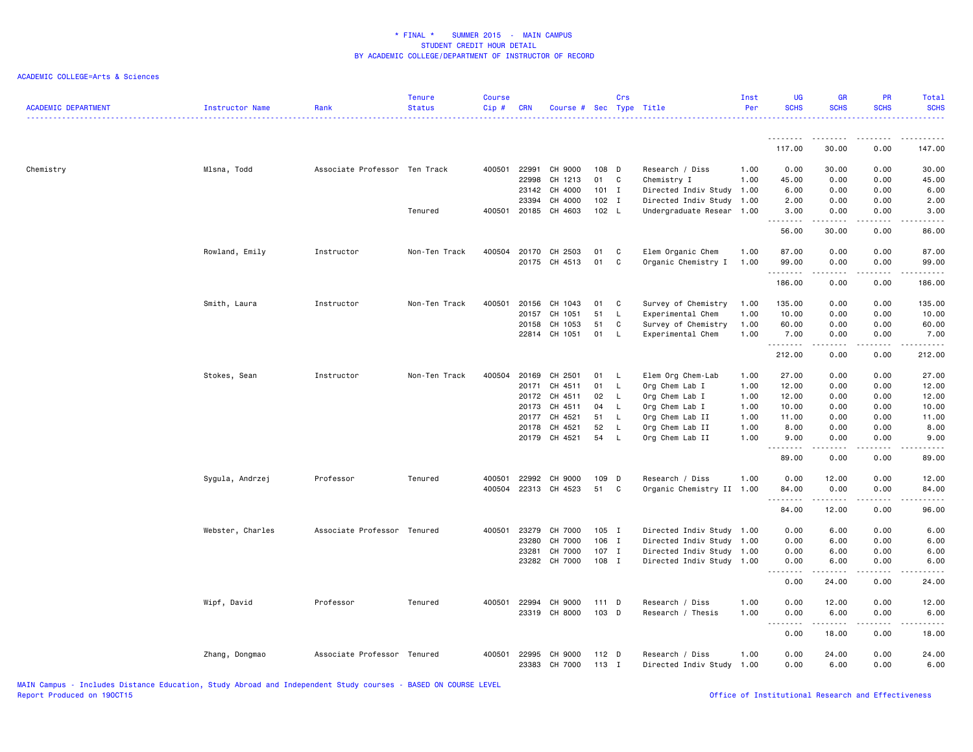### ACADEMIC COLLEGE=Arts & Sciences

| <b>ACADEMIC DEPARTMENT</b> | <b>Instructor Name</b> | Rank                          | <b>Tenure</b><br><b>Status</b> | <b>Course</b><br>Cip# | <b>CRN</b> | Course # Sec Type Title |         | Crs          |                           | Inst<br>Per | <b>UG</b><br><b>SCHS</b>                                                                                                                                     | <b>GR</b><br><b>SCHS</b>                                                                                                                                     | <b>PR</b><br><b>SCHS</b> | Total<br><b>SCHS</b>                                                                                                              |
|----------------------------|------------------------|-------------------------------|--------------------------------|-----------------------|------------|-------------------------|---------|--------------|---------------------------|-------------|--------------------------------------------------------------------------------------------------------------------------------------------------------------|--------------------------------------------------------------------------------------------------------------------------------------------------------------|--------------------------|-----------------------------------------------------------------------------------------------------------------------------------|
|                            |                        |                               |                                |                       |            |                         |         |              |                           |             | 117.00                                                                                                                                                       | 30.00                                                                                                                                                        | 0.00                     | 147.00                                                                                                                            |
|                            |                        |                               |                                |                       |            |                         |         |              |                           |             |                                                                                                                                                              |                                                                                                                                                              |                          |                                                                                                                                   |
| Chemistry                  | Mlsna, Todd            | Associate Professor Ten Track |                                | 400501                | 22991      | CH 9000                 | 108 D   |              | Research / Diss           | 1.00        | 0.00                                                                                                                                                         | 30.00                                                                                                                                                        | 0.00                     | 30.00                                                                                                                             |
|                            |                        |                               |                                |                       | 22998      | CH 1213                 | 01      | C            | Chemistry I               | 1.00        | 45.00                                                                                                                                                        | 0.00                                                                                                                                                         | 0.00                     | 45.00                                                                                                                             |
|                            |                        |                               |                                |                       | 23142      | CH 4000                 | 101     | $\mathbf{I}$ | Directed Indiv Study 1.00 |             | 6.00                                                                                                                                                         | 0.00                                                                                                                                                         | 0.00                     | 6.00                                                                                                                              |
|                            |                        |                               |                                |                       | 23394      | CH 4000                 | $102$ I |              | Directed Indiv Study 1.00 |             | 2.00                                                                                                                                                         | 0.00                                                                                                                                                         | 0.00                     | 2.00                                                                                                                              |
|                            |                        |                               | Tenured                        | 400501                | 20185      | CH 4603                 | 102 L   |              | Undergraduate Resear 1.00 |             | 3.00<br>$\frac{1}{2} \left( \frac{1}{2} \right) \left( \frac{1}{2} \right) \left( \frac{1}{2} \right) \left( \frac{1}{2} \right) \left( \frac{1}{2} \right)$ | 0.00<br>$   -$                                                                                                                                               | 0.00<br>.                | 3.00<br>$\frac{1}{2} \left( \frac{1}{2} \right) \left( \frac{1}{2} \right) \left( \frac{1}{2} \right) \left( \frac{1}{2} \right)$ |
|                            |                        |                               |                                |                       |            |                         |         |              |                           |             | 56.00                                                                                                                                                        | 30.00                                                                                                                                                        | 0.00                     | 86.00                                                                                                                             |
|                            | Rowland, Emily         | Instructor                    | Non-Ten Track                  | 400504                | 20170      | CH 2503                 | 01      | C            | Elem Organic Chem         | 1.00        | 87.00                                                                                                                                                        | 0.00                                                                                                                                                         | 0.00                     | 87.00                                                                                                                             |
|                            |                        |                               |                                |                       | 20175      | CH 4513                 | 01      | C            | Organic Chemistry I       | 1.00        | 99.00                                                                                                                                                        | 0.00                                                                                                                                                         | 0.00                     | 99.00                                                                                                                             |
|                            |                        |                               |                                |                       |            |                         |         |              |                           |             | .                                                                                                                                                            | $\frac{1}{2} \left( \frac{1}{2} \right) \left( \frac{1}{2} \right) \left( \frac{1}{2} \right) \left( \frac{1}{2} \right) \left( \frac{1}{2} \right)$         | .                        | .                                                                                                                                 |
|                            |                        |                               |                                |                       |            |                         |         |              |                           |             | 186.00                                                                                                                                                       | 0.00                                                                                                                                                         | 0.00                     | 186.00                                                                                                                            |
|                            | Smith, Laura           | Instructor                    | Non-Ten Track                  | 400501                | 20156      | CH 1043                 | 01      | C            | Survey of Chemistry       | 1.00        | 135.00                                                                                                                                                       | 0.00                                                                                                                                                         | 0.00                     | 135.00                                                                                                                            |
|                            |                        |                               |                                |                       | 20157      | CH 1051                 | 51      | L            | Experimental Chem         | 1.00        | 10.00                                                                                                                                                        | 0.00                                                                                                                                                         | 0.00                     | 10.00                                                                                                                             |
|                            |                        |                               |                                |                       | 20158      | CH 1053                 | 51      | C            | Survey of Chemistry       | 1.00        | 60.00                                                                                                                                                        | 0.00                                                                                                                                                         | 0.00                     | 60.00                                                                                                                             |
|                            |                        |                               |                                |                       |            | 22814 CH 1051           | 01      | L            | Experimental Chem         | 1.00        | 7.00                                                                                                                                                         | 0.00                                                                                                                                                         | 0.00                     | 7.00                                                                                                                              |
|                            |                        |                               |                                |                       |            |                         |         |              |                           |             | .<br>212.00                                                                                                                                                  | $\frac{1}{2} \left( \frac{1}{2} \right) \left( \frac{1}{2} \right) \left( \frac{1}{2} \right) \left( \frac{1}{2} \right) \left( \frac{1}{2} \right)$<br>0.00 | .<br>0.00                | $- - - - - -$<br>212.00                                                                                                           |
|                            | Stokes, Sean           | Instructor                    | Non-Ten Track                  | 400504                | 20169      | CH 2501                 | 01      | L,           | Elem Org Chem-Lab         | 1.00        | 27.00                                                                                                                                                        | 0.00                                                                                                                                                         | 0.00                     | 27.00                                                                                                                             |
|                            |                        |                               |                                |                       | 20171      | CH 4511                 | 01      | L            | Org Chem Lab I            | 1.00        | 12.00                                                                                                                                                        | 0.00                                                                                                                                                         | 0.00                     | 12.00                                                                                                                             |
|                            |                        |                               |                                |                       | 20172      | CH 4511                 | 02      | L            | Org Chem Lab I            | 1.00        | 12.00                                                                                                                                                        | 0.00                                                                                                                                                         | 0.00                     | 12.00                                                                                                                             |
|                            |                        |                               |                                |                       | 20173      | CH 4511                 | 04      | L.           | Org Chem Lab I            | 1.00        | 10.00                                                                                                                                                        | 0.00                                                                                                                                                         | 0.00                     | 10.00                                                                                                                             |
|                            |                        |                               |                                |                       | 20177      | CH 4521                 | 51      | L            | Org Chem Lab II           | 1.00        | 11.00                                                                                                                                                        | 0.00                                                                                                                                                         | 0.00                     | 11.00                                                                                                                             |
|                            |                        |                               |                                |                       | 20178      | CH 4521                 | 52      | L            | Org Chem Lab II           | 1.00        | 8.00                                                                                                                                                         | 0.00                                                                                                                                                         | 0.00                     | 8.00                                                                                                                              |
|                            |                        |                               |                                |                       | 20179      | CH 4521                 | 54      | L            | Org Chem Lab II           | 1.00        | 9.00                                                                                                                                                         | 0.00                                                                                                                                                         | 0.00                     | 9.00                                                                                                                              |
|                            |                        |                               |                                |                       |            |                         |         |              |                           |             | .<br>89.00                                                                                                                                                   | .<br>0.00                                                                                                                                                    | $- - - -$<br>0.00        | $\omega$ is $\omega$ in .<br>89.00                                                                                                |
|                            | Sygula, Andrzej        | Professor                     | Tenured                        | 400501                | 22992      | CH 9000                 | 109     | D            | Research / Diss           | 1.00        | 0.00                                                                                                                                                         | 12.00                                                                                                                                                        | 0.00                     | 12.00                                                                                                                             |
|                            |                        |                               |                                | 400504                | 22313      | CH 4523                 | 51      | C            | Organic Chemistry II 1.00 |             | 84.00                                                                                                                                                        | 0.00                                                                                                                                                         | 0.00                     | 84.00                                                                                                                             |
|                            |                        |                               |                                |                       |            |                         |         |              |                           |             | <u>.</u>                                                                                                                                                     | .                                                                                                                                                            | .                        | .                                                                                                                                 |
|                            |                        |                               |                                |                       |            |                         |         |              |                           |             | 84.00                                                                                                                                                        | 12.00                                                                                                                                                        | 0.00                     | 96.00                                                                                                                             |
|                            | Webster, Charles       | Associate Professor Tenured   |                                | 400501                | 23279      | CH 7000                 | 105 I   |              | Directed Indiv Study 1.00 |             | 0.00                                                                                                                                                         | 6.00                                                                                                                                                         | 0.00                     | 6.00                                                                                                                              |
|                            |                        |                               |                                |                       | 23280      | CH 7000                 | 106 I   |              | Directed Indiv Study 1.00 |             | 0.00                                                                                                                                                         | 6.00                                                                                                                                                         | 0.00                     | 6.00                                                                                                                              |
|                            |                        |                               |                                |                       | 23281      | CH 7000                 | 107 I   |              | Directed Indiv Study 1.00 |             | 0.00                                                                                                                                                         | 6.00                                                                                                                                                         | 0.00                     | 6.00                                                                                                                              |
|                            |                        |                               |                                |                       | 23282      | CH 7000                 | 108 I   |              | Directed Indiv Study 1.00 |             | 0.00                                                                                                                                                         | 6.00                                                                                                                                                         | 0.00                     | 6.00                                                                                                                              |
|                            |                        |                               |                                |                       |            |                         |         |              |                           |             | .<br>$\sim$ $\sim$ $\sim$<br>0.00                                                                                                                            | .<br>24.00                                                                                                                                                   | .<br>0.00                | .<br>24.00                                                                                                                        |
|                            | Wipf, David            | Professor                     | Tenured                        | 400501                | 22994      | CH 9000                 | 111 D   |              | Research / Diss           | 1.00        | 0.00                                                                                                                                                         | 12.00                                                                                                                                                        | 0.00                     | 12.00                                                                                                                             |
|                            |                        |                               |                                |                       | 23319      | CH 8000                 | 103 D   |              | Research / Thesis         | 1.00        | 0.00                                                                                                                                                         | 6.00                                                                                                                                                         | 0.00                     | 6.00                                                                                                                              |
|                            |                        |                               |                                |                       |            |                         |         |              |                           |             | $\sim$ $\sim$<br>$\frac{1}{2} \left( \frac{1}{2} \right) \left( \frac{1}{2} \right) \left( \frac{1}{2} \right) \left( \frac{1}{2} \right)$                   | .                                                                                                                                                            | د د د د                  | $\frac{1}{2} \left( \frac{1}{2} \right) \left( \frac{1}{2} \right) \left( \frac{1}{2} \right) \left( \frac{1}{2} \right)$         |
|                            |                        |                               |                                |                       |            |                         |         |              |                           |             | 0.00                                                                                                                                                         | 18.00                                                                                                                                                        | 0.00                     | 18.00                                                                                                                             |
|                            | Zhang, Dongmao         | Associate Professor Tenured   |                                | 400501                | 22995      | CH 9000                 | $112$ D |              | Research / Diss           | 1.00        | 0.00                                                                                                                                                         | 24.00                                                                                                                                                        | 0.00                     | 24.00                                                                                                                             |
|                            |                        |                               |                                |                       | 23383      | CH 7000                 | 113 I   |              | Directed Indiv Study 1.00 |             | 0.00                                                                                                                                                         | 6.00                                                                                                                                                         | 0.00                     | 6.00                                                                                                                              |

MAIN Campus - Includes Distance Education, Study Abroad and Independent Study courses - BASED ON COURSE LEVEL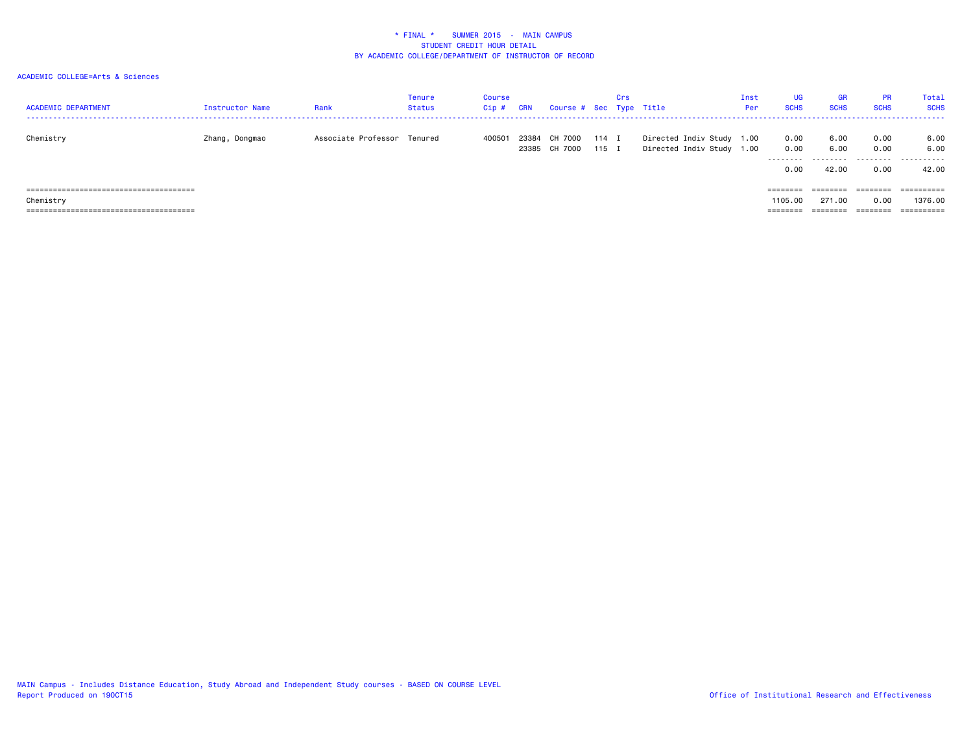| <b>ACADEMIC DEPARTMENT</b> | Instructor Name | Rank                        | <b>Tenure</b><br><b>Status</b> | Course<br>Cip# | CRN | Course # Sec Type Title              |       | Crs |                                                        | Inst<br>Per | UG<br><b>SCHS</b>                | <b>GR</b><br><b>SCHS</b> | <b>PR</b><br><b>SCHS</b>  | Total<br><b>SCHS</b>       |
|----------------------------|-----------------|-----------------------------|--------------------------------|----------------|-----|--------------------------------------|-------|-----|--------------------------------------------------------|-------------|----------------------------------|--------------------------|---------------------------|----------------------------|
| Chemistry                  | Zhang, Dongmao  | Associate Professor Tenured |                                | 400501         |     | 23384 CH 7000<br>23385 CH 7000 115 I | 114 I |     | Directed Indiv Study 1.00<br>Directed Indiv Study 1.00 |             | 0.00<br>0.00<br>--------<br>0.00 | 6.00<br>6.00<br>42.00    | 0.00<br>0.00<br>.<br>0.00 | 6.00<br>6.00<br>.<br>42.00 |
|                            |                 |                             |                                |                |     |                                      |       |     |                                                        |             | ========                         | ========                 | ========                  | $=$ = = = = = = = = $=$    |
| Chemistry                  |                 |                             |                                |                |     |                                      |       |     |                                                        |             | 1105.00                          | 271.00                   | 0.00                      | 1376.00                    |
|                            |                 |                             |                                |                |     |                                      |       |     |                                                        |             | ========                         |                          | =====                     | ==========                 |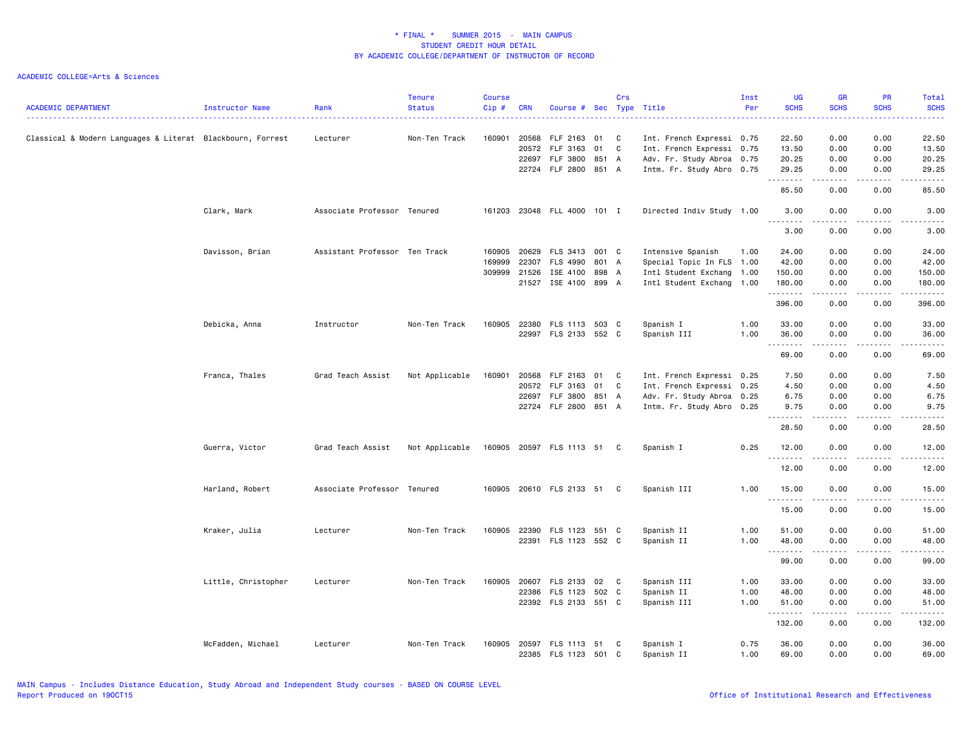| <b>ACADEMIC DEPARTMENT</b>                                 | Instructor Name     | Rank                          | <b>Tenure</b><br><b>Status</b> | <b>Course</b><br>Cip# | <b>CRN</b> | Course # Sec Type Title    |       | Crs |                           | Inst<br>Per | <b>UG</b><br><b>SCHS</b>                     | <b>GR</b><br><b>SCHS</b>                                                                                  | <b>PR</b><br><b>SCHS</b>                                                                                                  | Total<br><b>SCHS</b>      |
|------------------------------------------------------------|---------------------|-------------------------------|--------------------------------|-----------------------|------------|----------------------------|-------|-----|---------------------------|-------------|----------------------------------------------|-----------------------------------------------------------------------------------------------------------|---------------------------------------------------------------------------------------------------------------------------|---------------------------|
| Classical & Modern Languages & Literat Blackbourn, Forrest |                     | Lecturer                      | Non-Ten Track                  | 160901                | 20568      | FLF 2163                   | 01    | C   | Int. French Expressi 0.75 |             | 22.50                                        | 0.00                                                                                                      | 0.00                                                                                                                      | 22.50                     |
|                                                            |                     |                               |                                |                       | 20572      | FLF 3163                   | 01    | C   | Int. French Expressi 0.75 |             | 13.50                                        | 0.00                                                                                                      | 0.00                                                                                                                      | 13.50                     |
|                                                            |                     |                               |                                |                       | 22697      | FLF 3800                   | 851 A |     | Adv. Fr. Study Abroa 0.75 |             | 20.25                                        | 0.00                                                                                                      | 0.00                                                                                                                      | 20.25                     |
|                                                            |                     |                               |                                |                       |            | 22724 FLF 2800 851 A       |       |     | Intm. Fr. Study Abro 0.75 |             | 29.25<br>.                                   | 0.00<br>.                                                                                                 | 0.00<br>.                                                                                                                 | 29.25<br>$- - - -$        |
|                                                            |                     |                               |                                |                       |            |                            |       |     |                           |             | 85.50                                        | 0.00                                                                                                      | 0.00                                                                                                                      | 85.50                     |
|                                                            | Clark, Mark         | Associate Professor Tenured   |                                | 161203                |            | 23048 FLL 4000 101 I       |       |     | Directed Indiv Study 1.00 |             | 3.00<br>$\sim$ $\sim$ $\sim$<br>. <u>.</u> . | 0.00                                                                                                      | 0.00                                                                                                                      | 3.00                      |
|                                                            |                     |                               |                                |                       |            |                            |       |     |                           |             | 3.00                                         | 0.00                                                                                                      | 0.00                                                                                                                      | 3.00                      |
|                                                            | Davisson, Brian     | Assistant Professor Ten Track |                                | 160905                | 20629      | FLS 3413                   | 001 C |     | Intensive Spanish         | 1.00        | 24.00                                        | 0.00                                                                                                      | 0.00                                                                                                                      | 24.00                     |
|                                                            |                     |                               |                                | 169999                | 22307      | <b>FLS 4990</b>            | 801 A |     | Special Topic In FLS 1.00 |             | 42.00                                        | 0.00                                                                                                      | 0.00                                                                                                                      | 42.00                     |
|                                                            |                     |                               |                                | 309999 21526          |            | ISE 4100                   | 898 A |     | Intl Student Exchang 1.00 |             | 150.00                                       | 0.00                                                                                                      | 0.00                                                                                                                      | 150.00                    |
|                                                            |                     |                               |                                |                       | 21527      | ISE 4100 899 A             |       |     | Intl Student Exchang 1.00 |             | 180.00<br>.                                  | 0.00                                                                                                      | 0.00<br>.                                                                                                                 | 180.00<br>.               |
|                                                            |                     |                               |                                |                       |            |                            |       |     |                           |             | 396.00                                       | .<br>0.00                                                                                                 | 0.00                                                                                                                      | 396.00                    |
|                                                            | Debicka, Anna       | Instructor                    | Non-Ten Track                  | 160905                | 22380      | FLS 1113 503 C             |       |     | Spanish I                 | 1.00        | 33.00                                        | 0.00                                                                                                      | 0.00                                                                                                                      | 33.00                     |
|                                                            |                     |                               |                                |                       |            | 22997 FLS 2133 552 C       |       |     | Spanish III               | 1.00        | 36.00<br>.                                   | 0.00<br>.                                                                                                 | 0.00                                                                                                                      | 36.00<br>-----            |
|                                                            |                     |                               |                                |                       |            |                            |       |     |                           |             | 69.00                                        | 0.00                                                                                                      | 0.00                                                                                                                      | 69.00                     |
|                                                            | Franca, Thales      | Grad Teach Assist             | Not Applicable                 | 160901                | 20568      | FLF 2163                   | 01 C  |     | Int. French Expressi 0.25 |             | 7.50                                         | 0.00                                                                                                      | 0.00                                                                                                                      | 7.50                      |
|                                                            |                     |                               |                                |                       | 20572      | FLF 3163                   | 01    | C   | Int. French Expressi 0.25 |             | 4.50                                         | 0.00                                                                                                      | 0.00                                                                                                                      | 4.50                      |
|                                                            |                     |                               |                                |                       | 22697      | FLF 3800                   | 851 A |     | Adv. Fr. Study Abroa 0.25 |             | 6.75                                         | 0.00                                                                                                      | 0.00                                                                                                                      | 6.75                      |
|                                                            |                     |                               |                                |                       |            | 22724 FLF 2800 851 A       |       |     | Intm. Fr. Study Abro 0.25 |             | 9.75<br>.                                    | 0.00<br>.                                                                                                 | 0.00<br>.                                                                                                                 | 9.75<br>$\omega$ is a set |
|                                                            |                     |                               |                                |                       |            |                            |       |     |                           |             | 28.50                                        | 0.00                                                                                                      | 0.00                                                                                                                      | 28.50                     |
|                                                            | Guerra, Victor      | Grad Teach Assist             | Not Applicable                 |                       |            | 160905 20597 FLS 1113 51 C |       |     | Spanish I                 | 0.25        | 12.00                                        | 0.00                                                                                                      | 0.00                                                                                                                      | 12.00                     |
|                                                            |                     |                               |                                |                       |            |                            |       |     |                           |             | 12.00                                        | 0.00                                                                                                      | 0.00                                                                                                                      | 12.00                     |
|                                                            | Harland, Robert     | Associate Professor Tenured   |                                | 160905                |            | 20610 FLS 2133 51 C        |       |     | Spanish III               | 1.00        | 15.00                                        | 0.00                                                                                                      | 0.00                                                                                                                      | 15.00                     |
|                                                            |                     |                               |                                |                       |            |                            |       |     |                           |             | .<br>15.00                                   | .<br>0.00                                                                                                 | .<br>0.00                                                                                                                 | .<br>15.00                |
|                                                            | Kraker, Julia       | Lecturer                      | Non-Ten Track                  | 160905                | 22390      | FLS 1123                   | 551 C |     | Spanish II                | 1.00        | 51.00                                        | 0.00                                                                                                      | 0.00                                                                                                                      | 51.00                     |
|                                                            |                     |                               |                                |                       |            | 22391 FLS 1123 552 C       |       |     | Spanish II                | 1.00        | 48.00                                        | 0.00                                                                                                      | 0.00                                                                                                                      | 48.00                     |
|                                                            |                     |                               |                                |                       |            |                            |       |     |                           |             | .                                            | .                                                                                                         | $\frac{1}{2} \left( \frac{1}{2} \right) \left( \frac{1}{2} \right) \left( \frac{1}{2} \right) \left( \frac{1}{2} \right)$ | .                         |
|                                                            |                     |                               |                                |                       |            |                            |       |     |                           |             | 99.00                                        | 0.00                                                                                                      | 0.00                                                                                                                      | 99.00                     |
|                                                            | Little, Christopher | Lecturer                      | Non-Ten Track                  | 160905                | 20607      | FLS 2133                   | 02    | C   | Spanish III               | 1.00        | 33.00                                        | 0.00                                                                                                      | 0.00                                                                                                                      | 33.00                     |
|                                                            |                     |                               |                                |                       | 22386      | FLS 1123                   | 502 C |     | Spanish II                | 1.00        | 48.00                                        | 0.00                                                                                                      | 0.00                                                                                                                      | 48.00                     |
|                                                            |                     |                               |                                |                       |            | 22392 FLS 2133 551 C       |       |     | Spanish III               | 1.00        | 51.00<br>.                                   | 0.00<br>$\frac{1}{2} \frac{1}{2} \frac{1}{2} \frac{1}{2} \frac{1}{2} \frac{1}{2} \frac{1}{2} \frac{1}{2}$ | 0.00<br>د د د د                                                                                                           | 51.00<br>.                |
|                                                            |                     |                               |                                |                       |            |                            |       |     |                           |             | 132.00                                       | 0.00                                                                                                      | 0.00                                                                                                                      | 132.00                    |
|                                                            | McFadden, Michael   | Lecturer                      | Non-Ten Track                  | 160905                |            | 20597 FLS 1113 51          |       | C   | Spanish I                 | 0.75        | 36.00                                        | 0.00                                                                                                      | 0.00                                                                                                                      | 36.00                     |
|                                                            |                     |                               |                                |                       |            | 22385 FLS 1123 501 C       |       |     | Spanish II                | 1.00        | 69.00                                        | 0.00                                                                                                      | 0.00                                                                                                                      | 69.00                     |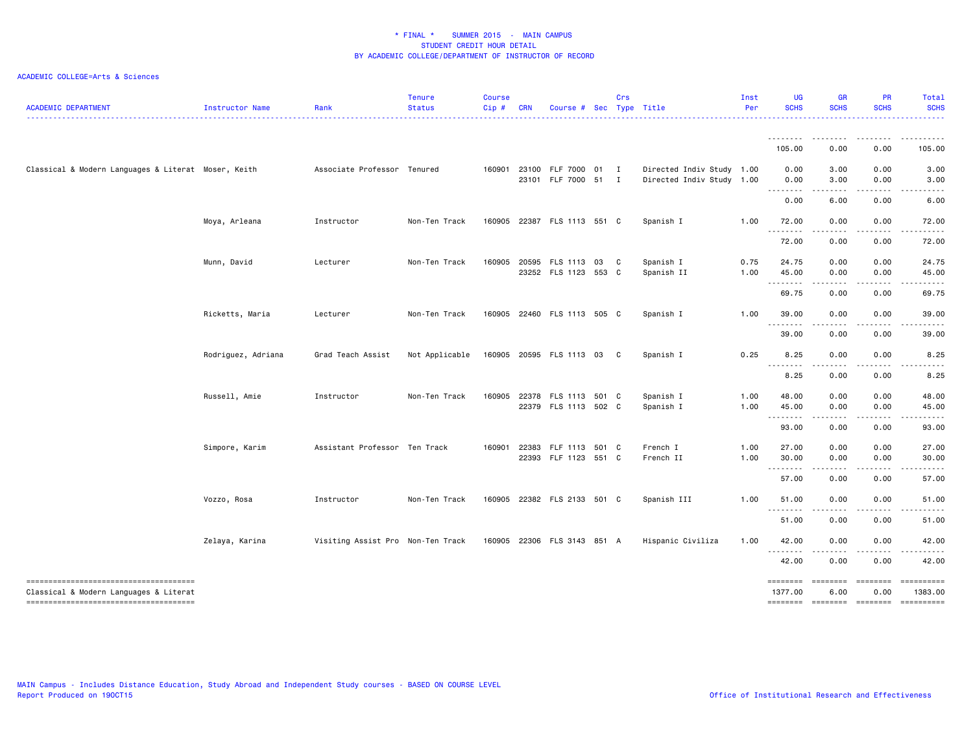| <b>ACADEMIC DEPARTMENT</b>                                                                                                 | Instructor Name    | Rank                              | <b>Tenure</b><br><b>Status</b> | <b>Course</b><br>Cip# | <b>CRN</b> | Course #                                     | Sec            | Crs          | Type Title                                             | Inst<br>Per  | <b>UG</b><br><b>SCHS</b>                                                                                                                                                                                                                                                                                                                                                                                                                                                                        | <b>GR</b><br><b>SCHS</b>                                                                                                          | PR<br><b>SCHS</b>            | Total<br><b>SCHS</b>                                                                                                                                         |
|----------------------------------------------------------------------------------------------------------------------------|--------------------|-----------------------------------|--------------------------------|-----------------------|------------|----------------------------------------------|----------------|--------------|--------------------------------------------------------|--------------|-------------------------------------------------------------------------------------------------------------------------------------------------------------------------------------------------------------------------------------------------------------------------------------------------------------------------------------------------------------------------------------------------------------------------------------------------------------------------------------------------|-----------------------------------------------------------------------------------------------------------------------------------|------------------------------|--------------------------------------------------------------------------------------------------------------------------------------------------------------|
|                                                                                                                            |                    |                                   |                                |                       |            |                                              |                |              |                                                        |              |                                                                                                                                                                                                                                                                                                                                                                                                                                                                                                 |                                                                                                                                   |                              |                                                                                                                                                              |
|                                                                                                                            |                    |                                   |                                |                       |            |                                              |                |              |                                                        |              | 105.00                                                                                                                                                                                                                                                                                                                                                                                                                                                                                          | 0.00                                                                                                                              | 0.00                         | 105.00                                                                                                                                                       |
| Classical & Modern Languages & Literat Moser, Keith                                                                        |                    | Associate Professor Tenured       |                                |                       |            | 160901 23100 FLF 7000 01 I<br>23101 FLF 7000 | 51             | I            | Directed Indiv Study 1.00<br>Directed Indiv Study 1.00 |              | 0.00<br>0.00                                                                                                                                                                                                                                                                                                                                                                                                                                                                                    | 3.00<br>3.00                                                                                                                      | 0.00<br>0.00                 | 3.00<br>3.00                                                                                                                                                 |
|                                                                                                                            |                    |                                   |                                |                       |            |                                              |                |              |                                                        |              | $\begin{array}{cccccccccccccc} \multicolumn{2}{c}{} & \multicolumn{2}{c}{} & \multicolumn{2}{c}{} & \multicolumn{2}{c}{} & \multicolumn{2}{c}{} & \multicolumn{2}{c}{} & \multicolumn{2}{c}{} & \multicolumn{2}{c}{} & \multicolumn{2}{c}{} & \multicolumn{2}{c}{} & \multicolumn{2}{c}{} & \multicolumn{2}{c}{} & \multicolumn{2}{c}{} & \multicolumn{2}{c}{} & \multicolumn{2}{c}{} & \multicolumn{2}{c}{} & \multicolumn{2}{c}{} & \multicolumn{2}{c}{} & \multicolumn{2}{c}{} & \$<br>0.00  | .<br>6.00                                                                                                                         | -----<br>0.00                | $\frac{1}{2} \left( \frac{1}{2} \right) \left( \frac{1}{2} \right) \left( \frac{1}{2} \right) \left( \frac{1}{2} \right) \left( \frac{1}{2} \right)$<br>6.00 |
|                                                                                                                            | Moya, Arleana      | Instructor                        | Non-Ten Track                  | 160905                |            | 22387 FLS 1113 551 C                         |                |              | Spanish I                                              | 1.00         | 72.00                                                                                                                                                                                                                                                                                                                                                                                                                                                                                           | 0.00                                                                                                                              | 0.00                         | 72.00                                                                                                                                                        |
|                                                                                                                            |                    |                                   |                                |                       |            |                                              |                |              |                                                        |              | $\begin{array}{cccccccccccccc} \multicolumn{2}{c}{} & \multicolumn{2}{c}{} & \multicolumn{2}{c}{} & \multicolumn{2}{c}{} & \multicolumn{2}{c}{} & \multicolumn{2}{c}{} & \multicolumn{2}{c}{} & \multicolumn{2}{c}{} & \multicolumn{2}{c}{} & \multicolumn{2}{c}{} & \multicolumn{2}{c}{} & \multicolumn{2}{c}{} & \multicolumn{2}{c}{} & \multicolumn{2}{c}{} & \multicolumn{2}{c}{} & \multicolumn{2}{c}{} & \multicolumn{2}{c}{} & \multicolumn{2}{c}{} & \multicolumn{2}{c}{} & \$<br>72.00 | 0.00                                                                                                                              | 0.00                         | 72.00                                                                                                                                                        |
|                                                                                                                            | Munn, David        | Lecturer                          | Non-Ten Track                  | 160905                | 20595      | FLS 1113<br>23252 FLS 1123 553 C             | 03             | $\mathbf{C}$ | Spanish I<br>Spanish II                                | 0.75<br>1.00 | 24.75<br>45.00                                                                                                                                                                                                                                                                                                                                                                                                                                                                                  | 0.00<br>0.00                                                                                                                      | 0.00<br>0.00                 | 24.75<br>45.00                                                                                                                                               |
|                                                                                                                            |                    |                                   |                                |                       |            |                                              |                |              |                                                        |              | --------<br>69.75                                                                                                                                                                                                                                                                                                                                                                                                                                                                               | $\frac{1}{2} \left( \frac{1}{2} \right) \left( \frac{1}{2} \right) \left( \frac{1}{2} \right) \left( \frac{1}{2} \right)$<br>0.00 | .<br>0.00                    | .<br>69.75                                                                                                                                                   |
|                                                                                                                            | Ricketts, Maria    | Lecturer                          | Non-Ten Track                  |                       |            | 160905 22460 FLS 1113 505 C                  |                |              | Spanish I                                              | 1.00         | 39.00                                                                                                                                                                                                                                                                                                                                                                                                                                                                                           | 0.00                                                                                                                              | 0.00                         | 39.00                                                                                                                                                        |
|                                                                                                                            |                    |                                   |                                |                       |            |                                              |                |              |                                                        |              | 39.00                                                                                                                                                                                                                                                                                                                                                                                                                                                                                           | $\sim$ $\sim$ $\sim$<br>0.00                                                                                                      | .<br>0.00                    | .<br>39.00                                                                                                                                                   |
|                                                                                                                            | Rodriguez, Adriana | Grad Teach Assist                 | Not Applicable                 |                       |            | 160905 20595 FLS 1113 03 C                   |                |              | Spanish I                                              | 0.25         | 8.25                                                                                                                                                                                                                                                                                                                                                                                                                                                                                            | 0.00                                                                                                                              | 0.00                         | 8.25                                                                                                                                                         |
|                                                                                                                            |                    |                                   |                                |                       |            |                                              |                |              |                                                        |              | 8.25                                                                                                                                                                                                                                                                                                                                                                                                                                                                                            | $\frac{1}{2} \left( \frac{1}{2} \right) \left( \frac{1}{2} \right) \left( \frac{1}{2} \right) \left( \frac{1}{2} \right)$<br>0.00 | .<br>0.00                    | $- - - -$<br>8.25                                                                                                                                            |
|                                                                                                                            | Russell, Amie      | Instructor                        | Non-Ten Track                  | 160905                | 22378      | FLS 1113<br>22379 FLS 1113 502 C             | 501 C          |              | Spanish I<br>Spanish I                                 | 1.00<br>1.00 | 48.00<br>45.00                                                                                                                                                                                                                                                                                                                                                                                                                                                                                  | 0.00<br>0.00                                                                                                                      | 0.00<br>0.00                 | 48.00<br>45.00                                                                                                                                               |
|                                                                                                                            |                    |                                   |                                |                       |            |                                              |                |              |                                                        |              | $\frac{1}{2}$<br>.<br>93.00                                                                                                                                                                                                                                                                                                                                                                                                                                                                     | 0.00                                                                                                                              | 0.00                         | 93.00                                                                                                                                                        |
|                                                                                                                            | Simpore, Karim     | Assistant Professor Ten Track     |                                | 160901                | 22383      | FLF 1113<br>22393 FLF 1123                   | 501 C<br>551 C |              | French I<br>French II                                  | 1.00<br>1.00 | 27.00<br>30.00                                                                                                                                                                                                                                                                                                                                                                                                                                                                                  | 0.00<br>0.00                                                                                                                      | 0.00<br>0.00                 | 27.00<br>30.00                                                                                                                                               |
|                                                                                                                            |                    |                                   |                                |                       |            |                                              |                |              |                                                        |              | --------<br>57.00                                                                                                                                                                                                                                                                                                                                                                                                                                                                               | .<br>0.00                                                                                                                         | .<br>0.00                    | .<br>57.00                                                                                                                                                   |
|                                                                                                                            | Vozzo, Rosa        | Instructor                        | Non-Ten Track                  |                       |            | 160905 22382 FLS 2133 501 C                  |                |              | Spanish III                                            | 1.00         | 51.00                                                                                                                                                                                                                                                                                                                                                                                                                                                                                           | 0.00                                                                                                                              | 0.00                         | 51.00                                                                                                                                                        |
|                                                                                                                            |                    |                                   |                                |                       |            |                                              |                |              |                                                        |              | .<br>51.00                                                                                                                                                                                                                                                                                                                                                                                                                                                                                      | .<br>0.00                                                                                                                         | .<br>0.00                    | .<br>51.00                                                                                                                                                   |
|                                                                                                                            | Zelaya, Karina     | Visiting Assist Pro Non-Ten Track |                                |                       |            | 160905 22306 FLS 3143 851 A                  |                |              | Hispanic Civiliza                                      | 1.00         | 42.00                                                                                                                                                                                                                                                                                                                                                                                                                                                                                           | 0.00                                                                                                                              | 0.00                         | 42.00                                                                                                                                                        |
|                                                                                                                            |                    |                                   |                                |                       |            |                                              |                |              |                                                        |              | .<br>42.00                                                                                                                                                                                                                                                                                                                                                                                                                                                                                      | .<br>0.00                                                                                                                         | .<br>0.00                    | .<br>42.00                                                                                                                                                   |
| --------------------------------------<br>Classical & Modern Languages & Literat<br>-------------------------------------- |                    |                                   |                                |                       |            |                                              |                |              |                                                        |              | ========<br>1377.00<br>-------- -------                                                                                                                                                                                                                                                                                                                                                                                                                                                         | ========<br>6.00                                                                                                                  | ========<br>0.00<br>======== | ==========<br>1383.00                                                                                                                                        |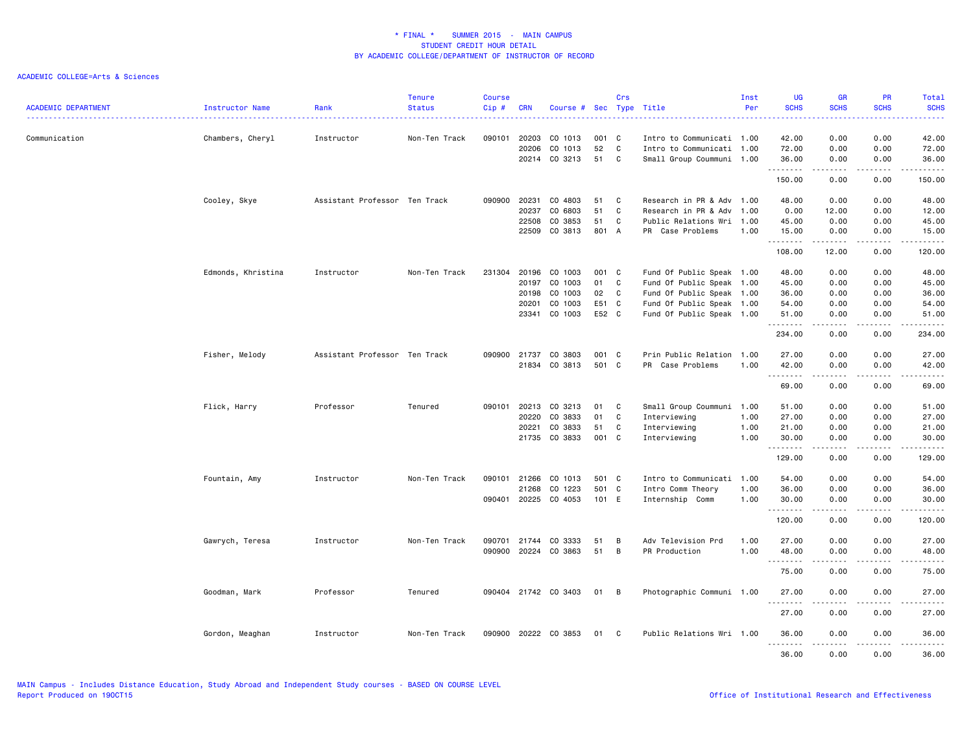| <b>ACADEMIC DEPARTMENT</b> | Instructor Name    | Rank                          | <b>Tenure</b><br><b>Status</b> | <b>Course</b><br>Cip# | <b>CRN</b>                                | Course # Sec Type Title                             |                                 | Crs              |                                                                                                                                               | Inst<br>Per          | <b>UG</b><br><b>SCHS</b>                       | <b>GR</b><br><b>SCHS</b>                                                                                                                                                                | <b>PR</b><br><b>SCHS</b>                  | Total<br><b>SCHS</b>                           |
|----------------------------|--------------------|-------------------------------|--------------------------------|-----------------------|-------------------------------------------|-----------------------------------------------------|---------------------------------|------------------|-----------------------------------------------------------------------------------------------------------------------------------------------|----------------------|------------------------------------------------|-----------------------------------------------------------------------------------------------------------------------------------------------------------------------------------------|-------------------------------------------|------------------------------------------------|
| Communication              | Chambers, Cheryl   | Instructor                    | Non-Ten Track                  | 090101                | 20203<br>20206                            | CO 1013<br>CO 1013<br>20214 CO 3213                 | 001<br>52<br>51                 | C<br>C<br>C      | Intro to Communicati 1.00<br>Intro to Communicati 1.00<br>Small Group Coummuni 1.00                                                           |                      | 42.00<br>72.00<br>36.00<br>.                   | 0.00<br>0.00<br>0.00<br>.                                                                                                                                                               | 0.00<br>0.00<br>0.00<br>.                 | 42.00<br>72.00<br>36.00<br>.                   |
|                            |                    |                               |                                |                       |                                           |                                                     |                                 |                  |                                                                                                                                               |                      | 150.00                                         | 0.00                                                                                                                                                                                    | 0.00                                      | 150.00                                         |
|                            | Cooley, Skye       | Assistant Professor Ten Track |                                | 090900                | 20231<br>20237<br>22508<br>22509          | CO 4803<br>CO 6803<br>CO 3853<br>CO 3813            | 51<br>51<br>51<br>801 A         | C<br>C<br>C      | Research in PR & Adv 1.00<br>Research in PR & Adv<br>Public Relations Wri 1.00<br>PR Case Problems                                            | 1.00<br>1.00         | 48.00<br>0.00<br>45.00<br>15.00<br>.           | 0.00<br>12.00<br>0.00<br>0.00<br><u>.</u>                                                                                                                                               | 0.00<br>0.00<br>0.00<br>0.00<br>.         | 48.00<br>12.00<br>45.00<br>15.00<br>.          |
|                            |                    |                               |                                |                       |                                           |                                                     |                                 |                  |                                                                                                                                               |                      | 108.00                                         | 12.00                                                                                                                                                                                   | 0.00                                      | 120.00                                         |
|                            | Edmonds, Khristina | Instructor                    | Non-Ten Track                  | 231304                | 20196<br>20197<br>20198<br>20201<br>23341 | CO 1003<br>CO 1003<br>CO 1003<br>CO 1003<br>CO 1003 | 001<br>01<br>02<br>E51<br>E52 C | C<br>C<br>C<br>C | Fund Of Public Speak 1.00<br>Fund Of Public Speak 1.00<br>Fund Of Public Speak 1.00<br>Fund Of Public Speak 1.00<br>Fund Of Public Speak 1.00 |                      | 48.00<br>45.00<br>36.00<br>54.00<br>51.00<br>. | 0.00<br>0.00<br>0.00<br>0.00<br>0.00<br>.                                                                                                                                               | 0.00<br>0.00<br>0.00<br>0.00<br>0.00<br>. | 48.00<br>45.00<br>36.00<br>54.00<br>51.00<br>. |
|                            |                    |                               |                                |                       |                                           |                                                     |                                 |                  |                                                                                                                                               |                      | 234.00                                         | 0.00                                                                                                                                                                                    | 0.00                                      | 234.00                                         |
|                            | Fisher, Melody     | Assistant Professor Ten Track |                                | 090900                | 21737<br>21834                            | CO 3803<br>CO 3813                                  | 001<br>501 C                    | C                | Prin Public Relation 1.00<br>PR Case Problems                                                                                                 | 1.00                 | 27.00<br>42.00                                 | 0.00<br>0.00                                                                                                                                                                            | 0.00<br>0.00                              | 27.00<br>42.00                                 |
|                            |                    |                               |                                |                       |                                           |                                                     |                                 |                  |                                                                                                                                               |                      | .<br>69.00                                     | -----<br>0.00                                                                                                                                                                           | .<br>0.00                                 | .<br>69.00                                     |
|                            | Flick, Harry       | Professor                     | Tenured                        |                       | 090101 20213<br>20220<br>20221<br>21735   | CO 3213<br>CO 3833<br>CO 3833<br>CO 3833            | 01<br>01<br>51<br>001 C         | C<br>C<br>C      | Small Group Coummuni 1.00<br>Interviewing<br>Interviewing<br>Interviewing                                                                     | 1.00<br>1.00<br>1.00 | 51.00<br>27.00<br>21.00<br>30.00<br>.          | 0.00<br>0.00<br>0.00<br>0.00                                                                                                                                                            | 0.00<br>0.00<br>0.00<br>0.00<br>.         | 51.00<br>27.00<br>21.00<br>30.00<br>.          |
|                            |                    |                               |                                |                       |                                           |                                                     |                                 |                  |                                                                                                                                               |                      | 129.00                                         | $\frac{1}{2} \left( \frac{1}{2} \right) \left( \frac{1}{2} \right) \left( \frac{1}{2} \right) \left( \frac{1}{2} \right) \left( \frac{1}{2} \right) \left( \frac{1}{2} \right)$<br>0.00 | 0.00                                      | 129.00                                         |
|                            | Fountain, Amy      | Instructor                    | Non-Ten Track                  | 090101<br>090401      | 21266<br>21268<br>20225                   | CO 1013<br>CO 1223<br>CO 4053                       | 501 C<br>501<br>101 E           | C                | Intro to Communicati 1.00<br>Intro Comm Theory<br>Internship Comm                                                                             | 1.00<br>1.00         | 54.00<br>36.00<br>30.00<br>.                   | 0.00<br>0.00<br>0.00<br>.                                                                                                                                                               | 0.00<br>0.00<br>0.00<br>.                 | 54.00<br>36.00<br>30.00<br>.                   |
|                            |                    |                               |                                |                       |                                           |                                                     |                                 |                  |                                                                                                                                               |                      | 120.00                                         | 0.00                                                                                                                                                                                    | 0.00                                      | 120.00                                         |
|                            | Gawrych, Teresa    | Instructor                    | Non-Ten Track                  | 090701 21744          | 090900 20224                              | CO 3333<br>CO 3863                                  | 51<br>51                        | В<br>B           | Adv Television Prd<br>PR Production                                                                                                           | 1.00<br>1.00         | 27.00<br>48.00<br>.                            | 0.00<br>0.00<br>$\frac{1}{2} \left( \frac{1}{2} \right) \left( \frac{1}{2} \right) \left( \frac{1}{2} \right) \left( \frac{1}{2} \right) \left( \frac{1}{2} \right)$                    | 0.00<br>0.00<br>.                         | 27.00<br>48.00<br>.                            |
|                            |                    |                               |                                |                       |                                           |                                                     |                                 |                  |                                                                                                                                               |                      | 75.00                                          | 0.00                                                                                                                                                                                    | 0.00                                      | 75.00                                          |
|                            | Goodman, Mark      | Professor                     | Tenured                        |                       |                                           | 090404 21742 CO 3403                                | 01                              | B                | Photographic Communi 1.00                                                                                                                     |                      | 27.00<br>.                                     | 0.00                                                                                                                                                                                    | 0.00                                      | 27.00                                          |
|                            |                    |                               |                                |                       |                                           |                                                     |                                 |                  |                                                                                                                                               |                      | 27.00                                          | 0.00                                                                                                                                                                                    | 0.00                                      | 27.00                                          |
|                            | Gordon, Meaghan    | Instructor                    | Non-Ten Track                  |                       |                                           | 090900 20222 CO 3853                                | 01                              | C                | Public Relations Wri 1.00                                                                                                                     |                      | 36.00<br>.                                     | 0.00                                                                                                                                                                                    | 0.00                                      | 36.00                                          |
|                            |                    |                               |                                |                       |                                           |                                                     |                                 |                  |                                                                                                                                               |                      | 36.00                                          | -----<br>0.00                                                                                                                                                                           | $- - -$<br>0.00                           | .<br>36.00                                     |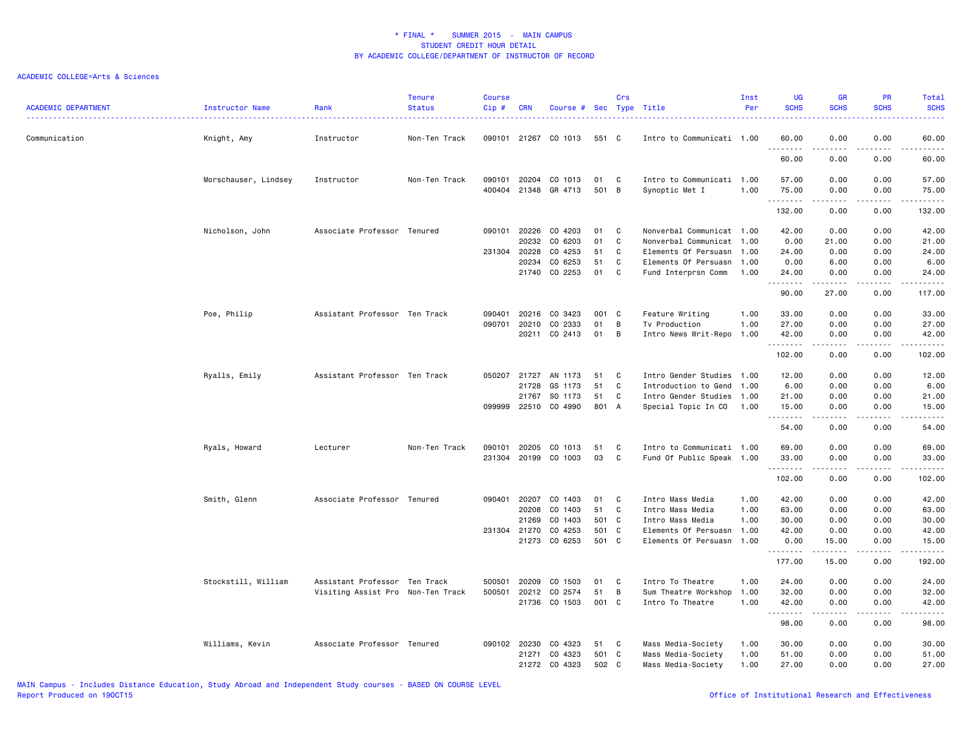### ACADEMIC COLLEGE=Arts & Sciences

| <b>ACADEMIC DEPARTMENT</b> | Instructor Name      | Rank                              | <b>Tenure</b><br><b>Status</b> | <b>Course</b><br>Cip# | <b>CRN</b>   | Course # Sec Type Title  |             | Crs |                                             | Inst<br>Per | <b>UG</b><br><b>SCHS</b> | <b>GR</b><br><b>SCHS</b>                                                                                                                                                                                                                                                                                                             | <b>PR</b><br><b>SCHS</b>     | Total<br><b>SCHS</b>                                                                                                                                          |
|----------------------------|----------------------|-----------------------------------|--------------------------------|-----------------------|--------------|--------------------------|-------------|-----|---------------------------------------------|-------------|--------------------------|--------------------------------------------------------------------------------------------------------------------------------------------------------------------------------------------------------------------------------------------------------------------------------------------------------------------------------------|------------------------------|---------------------------------------------------------------------------------------------------------------------------------------------------------------|
| Communication              | Knight, Amy          | Instructor                        | Non-Ten Track                  |                       | 090101 21267 | CO 1013                  | 551 C       |     | Intro to Communicati 1.00                   |             | 60.00<br>.               | 0.00                                                                                                                                                                                                                                                                                                                                 | 0.00<br>.                    | 60.00<br>$\frac{1}{2}$                                                                                                                                        |
|                            |                      |                                   |                                |                       |              |                          |             |     |                                             |             | 60.00                    | 0.00                                                                                                                                                                                                                                                                                                                                 | 0.00                         | 60,00                                                                                                                                                         |
|                            | Morschauser, Lindsey | Instructor                        | Non-Ten Track                  | 090101                | 400404 21348 | 20204 CO 1013<br>GR 4713 | 01<br>501 B | C   | Intro to Communicati 1.00<br>Synoptic Met I | 1.00        | 57.00<br>75.00           | 0.00<br>0.00                                                                                                                                                                                                                                                                                                                         | 0.00<br>0.00                 | 57.00<br>75.00                                                                                                                                                |
|                            |                      |                                   |                                |                       |              |                          |             |     |                                             |             | .<br>132.00              | 0.00                                                                                                                                                                                                                                                                                                                                 | . <b>.</b> .<br>0.00         | .<br>132.00                                                                                                                                                   |
|                            |                      | Associate Professor Tenured       |                                |                       | 090101 20226 | CO 4203                  | 01          |     |                                             |             |                          |                                                                                                                                                                                                                                                                                                                                      |                              |                                                                                                                                                               |
|                            | Nicholson, John      |                                   |                                |                       |              |                          |             | C   | Nonverbal Communicat 1.00                   |             | 42.00                    | 0.00                                                                                                                                                                                                                                                                                                                                 | 0.00                         | 42.00                                                                                                                                                         |
|                            |                      |                                   |                                |                       | 20232        | CO 6203                  | 01          | C   | Nonverbal Communicat 1.00                   |             | 0.00                     | 21.00                                                                                                                                                                                                                                                                                                                                | 0.00                         | 21.00                                                                                                                                                         |
|                            |                      |                                   |                                |                       | 231304 20228 | CO 4253                  | 51          | C   | Elements Of Persuasn 1.00                   |             | 24.00                    | 0.00                                                                                                                                                                                                                                                                                                                                 | 0.00                         | 24.00                                                                                                                                                         |
|                            |                      |                                   |                                |                       | 20234        | CO 6253                  | 51          | C   | Elements Of Persuasn 1.00                   |             | 0.00                     | 6.00                                                                                                                                                                                                                                                                                                                                 | 0.00                         | 6.00                                                                                                                                                          |
|                            |                      |                                   |                                |                       | 21740        | CO 2253                  | 01          | C   | Fund Interprsn Comm                         | 1.00        | 24.00<br>.               | 0.00<br>$\begin{array}{cccccccccccccc} \bullet & \bullet & \bullet & \bullet & \bullet & \bullet & \bullet \end{array}$                                                                                                                                                                                                              | 0.00<br>.                    | 24.00<br>.                                                                                                                                                    |
|                            |                      |                                   |                                |                       |              |                          |             |     |                                             |             | 90.00                    | 27.00                                                                                                                                                                                                                                                                                                                                | 0.00                         | 117.00                                                                                                                                                        |
|                            | Poe, Philip          | Assistant Professor Ten Track     |                                | 090401                | 20216        | CO 3423                  | 001         | C   | Feature Writing                             | 1.00        | 33.00                    | 0.00                                                                                                                                                                                                                                                                                                                                 | 0.00                         | 33.00                                                                                                                                                         |
|                            |                      |                                   |                                | 090701                | 20210        | CO 2333                  | 01          | B   | Tv Production                               | 1.00        | 27.00                    | 0.00                                                                                                                                                                                                                                                                                                                                 | 0.00                         | 27.00                                                                                                                                                         |
|                            |                      |                                   |                                |                       |              | 20211 CO 2413            | 01          | B   | Intro News Writ-Repo 1.00                   |             | 42.00                    | 0.00                                                                                                                                                                                                                                                                                                                                 | 0.00                         | 42.00                                                                                                                                                         |
|                            |                      |                                   |                                |                       |              |                          |             |     |                                             |             | .                        | $\frac{1}{2} \left( \begin{array}{ccc} 1 & 0 & 0 & 0 \\ 0 & 0 & 0 & 0 \\ 0 & 0 & 0 & 0 \\ 0 & 0 & 0 & 0 \\ 0 & 0 & 0 & 0 \\ 0 & 0 & 0 & 0 \\ 0 & 0 & 0 & 0 \\ 0 & 0 & 0 & 0 \\ 0 & 0 & 0 & 0 \\ 0 & 0 & 0 & 0 \\ 0 & 0 & 0 & 0 & 0 \\ 0 & 0 & 0 & 0 & 0 \\ 0 & 0 & 0 & 0 & 0 \\ 0 & 0 & 0 & 0 & 0 \\ 0 & 0 & 0 & 0 & 0 \\ 0 & 0 & 0$ | .                            | .                                                                                                                                                             |
|                            |                      |                                   |                                |                       |              |                          |             |     |                                             |             | 102.00                   | 0.00                                                                                                                                                                                                                                                                                                                                 | 0.00                         | 102.00                                                                                                                                                        |
|                            | Ryalls, Emily        | Assistant Professor Ten Track     |                                | 050207                | 21727        | AN 1173                  | 51          | C   | Intro Gender Studies 1.00                   |             | 12.00                    | 0.00                                                                                                                                                                                                                                                                                                                                 | 0.00                         | 12.00                                                                                                                                                         |
|                            |                      |                                   |                                |                       | 21728        | GS 1173                  | 51          | C   | Introduction to Gend 1.00                   |             | 6.00                     | 0.00                                                                                                                                                                                                                                                                                                                                 | 0.00                         | 6.00                                                                                                                                                          |
|                            |                      |                                   |                                |                       | 21767        | SO 1173                  | 51          | C   | Intro Gender Studies 1.00                   |             | 21.00                    | 0.00                                                                                                                                                                                                                                                                                                                                 | 0.00                         | 21.00                                                                                                                                                         |
|                            |                      |                                   |                                |                       | 099999 22510 | CO 4990                  | 801 A       |     | Special Topic In CO                         | 1.00        | 15.00                    | 0.00                                                                                                                                                                                                                                                                                                                                 | 0.00<br>$\sim$ $\sim$ $\sim$ | 15.00<br>$\frac{1}{2} \left( \frac{1}{2} \right) \left( \frac{1}{2} \right) \left( \frac{1}{2} \right) \left( \frac{1}{2} \right) \left( \frac{1}{2} \right)$ |
|                            |                      |                                   |                                |                       |              |                          |             |     |                                             |             | .<br>54.00               | 0.00                                                                                                                                                                                                                                                                                                                                 | 0.00                         | 54.00                                                                                                                                                         |
|                            | Ryals, Howard        | Lecturer                          | Non-Ten Track                  | 090101                | 20205        | CO 1013                  | 51          | C   | Intro to Communicati 1.00                   |             | 69.00                    | 0.00                                                                                                                                                                                                                                                                                                                                 | 0.00                         | 69.00                                                                                                                                                         |
|                            |                      |                                   |                                |                       |              | 231304 20199 CO 1003     | 03          | C.  | Fund Of Public Speak 1.00                   |             | 33.00                    | 0.00                                                                                                                                                                                                                                                                                                                                 | 0.00                         | 33.00                                                                                                                                                         |
|                            |                      |                                   |                                |                       |              |                          |             |     |                                             |             | .                        | $- - - - -$                                                                                                                                                                                                                                                                                                                          | .                            | .                                                                                                                                                             |
|                            |                      |                                   |                                |                       |              |                          |             |     |                                             |             | 102.00                   | 0.00                                                                                                                                                                                                                                                                                                                                 | 0.00                         | 102.00                                                                                                                                                        |
|                            | Smith, Glenn         | Associate Professor Tenured       |                                | 090401                | 20207        | CO 1403                  | 01          | C   | Intro Mass Media                            | 1.00        | 42.00                    | 0.00                                                                                                                                                                                                                                                                                                                                 | 0.00                         | 42.00                                                                                                                                                         |
|                            |                      |                                   |                                |                       | 20208        | CO 1403                  | 51          | C   | Intro Mass Media                            | 1.00        | 63.00                    | 0.00                                                                                                                                                                                                                                                                                                                                 | 0.00                         | 63.00                                                                                                                                                         |
|                            |                      |                                   |                                |                       | 21269        | CO 1403                  | 501 C       |     | Intro Mass Media                            | 1.00        | 30.00                    | 0.00                                                                                                                                                                                                                                                                                                                                 | 0.00                         | 30.00                                                                                                                                                         |
|                            |                      |                                   |                                |                       | 231304 21270 | CO 4253                  | 501         | C   | Elements Of Persuasn 1.00                   |             | 42.00                    | 0.00                                                                                                                                                                                                                                                                                                                                 | 0.00                         | 42.00                                                                                                                                                         |
|                            |                      |                                   |                                |                       |              | 21273 CO 6253            | 501 C       |     | Elements Of Persuasn 1.00                   |             | 0.00                     | 15.00                                                                                                                                                                                                                                                                                                                                | 0.00                         | 15.00                                                                                                                                                         |
|                            |                      |                                   |                                |                       |              |                          |             |     |                                             |             | .<br>177.00              | $\frac{1}{2} \left( \frac{1}{2} \right) \left( \frac{1}{2} \right) \left( \frac{1}{2} \right) \left( \frac{1}{2} \right) \left( \frac{1}{2} \right)$<br>15.00                                                                                                                                                                        | $\frac{1}{2}$<br>0.00        | .<br>192.00                                                                                                                                                   |
|                            | Stockstill, William  | Assistant Professor Ten Track     |                                | 500501                | 20209        | CO 1503                  | 01          | C   | Intro To Theatre                            | 1.00        | 24.00                    | 0.00                                                                                                                                                                                                                                                                                                                                 | 0.00                         | 24.00                                                                                                                                                         |
|                            |                      | Visiting Assist Pro Non-Ten Track |                                | 500501                | 20212        | CO 2574                  | 51          | B   | Sum Theatre Workshop                        | 1.00        | 32.00                    | 0.00                                                                                                                                                                                                                                                                                                                                 | 0.00                         | 32.00                                                                                                                                                         |
|                            |                      |                                   |                                |                       |              | 21736 CO 1503            | 001 C       |     | Intro To Theatre                            | 1.00        | 42.00                    | 0.00                                                                                                                                                                                                                                                                                                                                 | 0.00                         | 42.00                                                                                                                                                         |
|                            |                      |                                   |                                |                       |              |                          |             |     |                                             |             | .<br>98.00               | 0.00                                                                                                                                                                                                                                                                                                                                 | 0.00                         | .<br>98.00                                                                                                                                                    |
|                            | Williams, Kevin      | Associate Professor Tenured       |                                |                       | 090102 20230 | CO 4323                  | 51          | C   | Mass Media-Society                          | 1.00        | 30.00                    | 0.00                                                                                                                                                                                                                                                                                                                                 | 0.00                         | 30.00                                                                                                                                                         |
|                            |                      |                                   |                                |                       | 21271        | CO 4323                  | 501 C       |     | Mass Media-Society                          | 1.00        | 51.00                    | 0.00                                                                                                                                                                                                                                                                                                                                 | 0.00                         | 51.00                                                                                                                                                         |
|                            |                      |                                   |                                |                       |              | 21272 CO 4323            | 502 C       |     | Mass Media-Society                          | 1.00        | 27.00                    | 0.00                                                                                                                                                                                                                                                                                                                                 | 0.00                         | 27.00                                                                                                                                                         |
|                            |                      |                                   |                                |                       |              |                          |             |     |                                             |             |                          |                                                                                                                                                                                                                                                                                                                                      |                              |                                                                                                                                                               |

MAIN Campus - Includes Distance Education, Study Abroad and Independent Study courses - BASED ON COURSE LEVEL

Office of Institutional Research and Effectiveness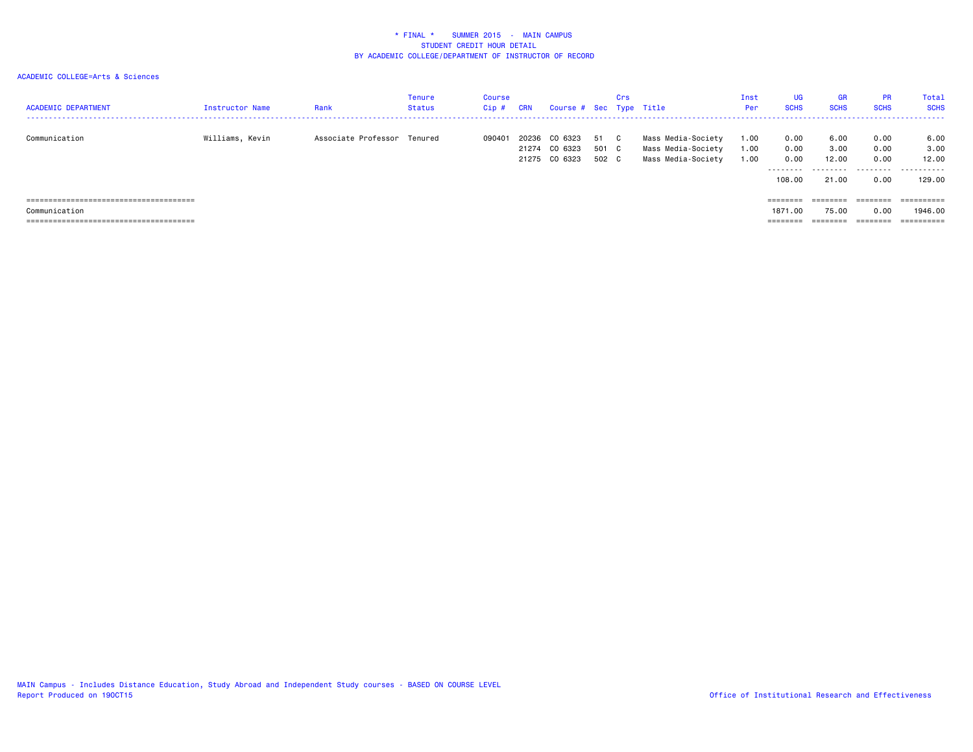### ACADEMIC COLLEGE=Arts & Sciences

| <b>ACADEMIC DEPARTMENT</b>                                              | Instructor Name | Rank                        | <b>Tenure</b><br><b>Status</b> | Course<br>Cip# | CRN   | Course # Sec Type Title                   |                        | Crs |                                                                | Inst<br>Per          | UG.<br><b>SCHS</b>                          | <b>GR</b><br><b>SCHS</b>            | <b>PR</b><br><b>SCHS</b>          | Total<br><b>SCHS</b>                 |
|-------------------------------------------------------------------------|-----------------|-----------------------------|--------------------------------|----------------|-------|-------------------------------------------|------------------------|-----|----------------------------------------------------------------|----------------------|---------------------------------------------|-------------------------------------|-----------------------------------|--------------------------------------|
| Communication                                                           | Williams, Kevin | Associate Professor Tenured |                                | 090401         | 20236 | CO 6323<br>21274 CO 6323<br>21275 CO 6323 | 51 C<br>501 C<br>502 C |     | Mass Media-Society<br>Mass Media-Society<br>Mass Media-Society | 1.00<br>1.00<br>1.00 | 0.00<br>0.00<br>0.00<br>---------<br>108.00 | 6.00<br>3.00<br>12.00<br>.<br>21,00 | 0.00<br>0.00<br>0.00<br>.<br>0.00 | 6.00<br>3.00<br>12.00<br>.<br>129.00 |
|                                                                         |                 |                             |                                |                |       |                                           |                        |     |                                                                |                      | $=$ =======                                 | ========                            |                                   | ==========                           |
| Communication                                                           |                 |                             |                                |                |       |                                           |                        |     |                                                                |                      | 1871.00                                     | 75.00                               | 0.00                              | 1946.00                              |
| ---------------------------------<br>---------------------------------- |                 |                             |                                |                |       |                                           |                        |     |                                                                |                      |                                             |                                     | --------                          |                                      |

MAIN Campus - Includes Distance Education, Study Abroad and Independent Study courses - BASED ON COURSE LEVEL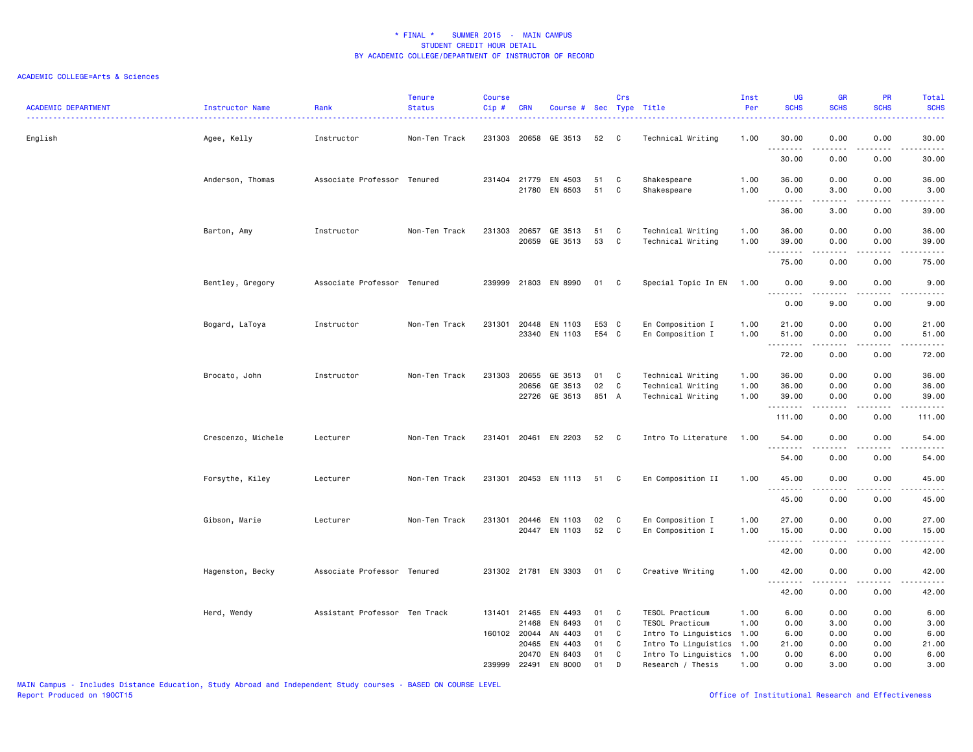### ACADEMIC COLLEGE=Arts & Sciences

| ACADEMIC DEPARTMENT | <b>Instructor Name</b> | Rank                          | <b>Tenure</b><br><b>Status</b> | <b>Course</b><br>Cip# | <b>CRN</b>                                     | Course # Sec Type Title                  |                      | Crs              |                                                                                              | Inst<br>Per          | <b>UG</b><br><b>SCHS</b>      | <b>GR</b><br><b>SCHS</b>                                                                                                                                     | PR<br><b>SCHS</b>                                                                                                                 | Total<br><b>SCHS</b><br>$\frac{1}{2} \left( \frac{1}{2} \right) \left( \frac{1}{2} \right) \left( \frac{1}{2} \right) \left( \frac{1}{2} \right) \left( \frac{1}{2} \right)$ |
|---------------------|------------------------|-------------------------------|--------------------------------|-----------------------|------------------------------------------------|------------------------------------------|----------------------|------------------|----------------------------------------------------------------------------------------------|----------------------|-------------------------------|--------------------------------------------------------------------------------------------------------------------------------------------------------------|-----------------------------------------------------------------------------------------------------------------------------------|------------------------------------------------------------------------------------------------------------------------------------------------------------------------------|
| English             | Agee, Kelly            | Instructor                    | Non-Ten Track                  |                       |                                                | 231303 20658 GE 3513                     | 52                   | $\mathbf{C}$     | Technical Writing                                                                            | 1.00                 | 30.00<br>.                    | 0.00<br><u>.</u>                                                                                                                                             | 0.00<br>.                                                                                                                         | 30.00<br>.                                                                                                                                                                   |
|                     |                        |                               |                                |                       |                                                |                                          |                      |                  |                                                                                              |                      | 30.00                         | 0.00                                                                                                                                                         | 0.00                                                                                                                              | 30.00                                                                                                                                                                        |
|                     | Anderson, Thomas       | Associate Professor Tenured   |                                |                       |                                                | 231404 21779 EN 4503<br>21780 EN 6503    | 51<br>51             | C<br>C           | Shakespeare<br>Shakespeare                                                                   | 1.00<br>1.00         | 36.00<br>0.00                 | 0.00<br>3.00                                                                                                                                                 | 0.00<br>0.00                                                                                                                      | 36.00<br>3.00                                                                                                                                                                |
|                     |                        |                               |                                |                       |                                                |                                          |                      |                  |                                                                                              |                      | . <b>.</b><br>36.00           | $\frac{1}{2} \left( \frac{1}{2} \right) \left( \frac{1}{2} \right) \left( \frac{1}{2} \right) \left( \frac{1}{2} \right) \left( \frac{1}{2} \right)$<br>3.00 | د د د د<br>0.00                                                                                                                   | .<br>39.00                                                                                                                                                                   |
|                     | Barton, Amy            | Instructor                    | Non-Ten Track                  | 231303                | 20657<br>20659                                 | GE 3513<br>GE 3513                       | 51<br>53             | C<br>C           | Technical Writing<br>Technical Writing                                                       | 1.00<br>1.00         | 36.00<br>39.00                | 0.00<br>0.00                                                                                                                                                 | 0.00<br>0.00                                                                                                                      | 36.00<br>39.00                                                                                                                                                               |
|                     |                        |                               |                                |                       |                                                |                                          |                      |                  |                                                                                              |                      | .<br>75.00                    | 0.00                                                                                                                                                         | 0.00                                                                                                                              | 75.00                                                                                                                                                                        |
|                     | Bentley, Gregory       | Associate Professor Tenured   |                                |                       |                                                | 239999 21803 EN 8990                     | 01                   | $\mathbf{C}$     | Special Topic In EN                                                                          | 1.00                 | 0.00<br>.                     | 9.00<br>.                                                                                                                                                    | 0.00<br>$\frac{1}{2}$                                                                                                             | 9.00<br><u>.</u>                                                                                                                                                             |
|                     |                        |                               |                                |                       |                                                |                                          |                      |                  |                                                                                              |                      | 0.00                          | 9.00                                                                                                                                                         | 0.00                                                                                                                              | 9.00                                                                                                                                                                         |
|                     | Bogard, LaToya         | Instructor                    | Non-Ten Track                  |                       | 231301 20448<br>23340                          | EN 1103<br>EN 1103                       | E53 C<br>E54 C       |                  | En Composition I<br>En Composition I                                                         | 1.00<br>1.00         | 21.00<br>51.00                | 0.00<br>0.00                                                                                                                                                 | 0.00<br>0.00                                                                                                                      | 21.00<br>51.00                                                                                                                                                               |
|                     |                        |                               |                                |                       |                                                |                                          |                      |                  |                                                                                              |                      | . <b>.</b><br>72.00           | 0.00                                                                                                                                                         | 0.00                                                                                                                              | $\frac{1}{2} \left( \frac{1}{2} \right) \left( \frac{1}{2} \right) \left( \frac{1}{2} \right) \left( \frac{1}{2} \right) \left( \frac{1}{2} \right)$<br>72.00                |
|                     | Brocato, John          | Instructor                    | Non-Ten Track                  | 231303                | 20655<br>20656<br>22726                        | GE 3513<br>GE 3513<br>GE 3513            | 01<br>02<br>851 A    | C<br>C           | Technical Writing<br>Technical Writing<br>Technical Writing                                  | 1.00<br>1.00<br>1.00 | 36.00<br>36.00<br>39.00       | 0.00<br>0.00<br>0.00                                                                                                                                         | 0.00<br>0.00<br>0.00                                                                                                              | 36.00<br>36.00<br>39.00                                                                                                                                                      |
|                     |                        |                               |                                |                       |                                                |                                          |                      |                  |                                                                                              |                      | .<br>111.00                   | 0.00                                                                                                                                                         | 0.00                                                                                                                              | 111.00                                                                                                                                                                       |
|                     | Crescenzo, Michele     | Lecturer                      | Non-Ten Track                  |                       |                                                | 231401 20461 EN 2203                     | 52                   | $\mathbf{C}$     | Intro To Literature                                                                          | 1.00                 | 54.00<br>.                    | 0.00                                                                                                                                                         | 0.00                                                                                                                              | 54.00<br>.                                                                                                                                                                   |
|                     |                        |                               |                                |                       |                                                |                                          |                      |                  |                                                                                              |                      | 54.00                         | .<br>0.00                                                                                                                                                    | $\frac{1}{2} \left( \frac{1}{2} \right) \left( \frac{1}{2} \right) \left( \frac{1}{2} \right) \left( \frac{1}{2} \right)$<br>0.00 | 54.00                                                                                                                                                                        |
|                     | Forsythe, Kiley        | Lecturer                      | Non-Ten Track                  |                       |                                                | 231301 20453 EN 1113                     | 51 C                 |                  | En Composition II                                                                            | 1.00                 | 45.00<br>. <b>.</b>           | 0.00<br>$\frac{1}{2} \left( \frac{1}{2} \right) \left( \frac{1}{2} \right) \left( \frac{1}{2} \right) \left( \frac{1}{2} \right) \left( \frac{1}{2} \right)$ | 0.00<br>.                                                                                                                         | 45.00<br>.                                                                                                                                                                   |
|                     |                        |                               |                                |                       |                                                |                                          |                      |                  |                                                                                              |                      | 45.00                         | 0.00                                                                                                                                                         | 0.00                                                                                                                              | 45.00                                                                                                                                                                        |
|                     | Gibson, Marie          | Lecturer                      | Non-Ten Track                  | 231301                | 20446                                          | EN 1103<br>20447 EN 1103                 | 02<br>52             | C<br>$\mathbf c$ | En Composition I<br>En Composition I                                                         | 1.00<br>1.00         | 27.00<br>15.00                | 0.00<br>0.00                                                                                                                                                 | 0.00<br>0.00                                                                                                                      | 27.00<br>15.00                                                                                                                                                               |
|                     |                        |                               |                                |                       |                                                |                                          |                      |                  |                                                                                              |                      | .<br>42.00                    | $\frac{1}{2} \left( \frac{1}{2} \right) \left( \frac{1}{2} \right) \left( \frac{1}{2} \right) \left( \frac{1}{2} \right) \left( \frac{1}{2} \right)$<br>0.00 | .<br>0.00                                                                                                                         | .<br>42.00                                                                                                                                                                   |
|                     | Hagenston, Becky       | Associate Professor Tenured   |                                |                       |                                                | 231302 21781 EN 3303                     | 01 C                 |                  | Creative Writing                                                                             | 1.00                 | 42.00<br>.                    | 0.00<br>$- - - - -$                                                                                                                                          | 0.00<br>.                                                                                                                         | 42.00<br>.                                                                                                                                                                   |
|                     |                        |                               |                                |                       |                                                |                                          |                      |                  |                                                                                              |                      | 42.00                         | 0.00                                                                                                                                                         | 0.00                                                                                                                              | 42.00                                                                                                                                                                        |
|                     | Herd, Wendy            | Assistant Professor Ten Track |                                |                       | 131401 21465<br>21468<br>160102 20044<br>20465 | EN 4493<br>EN 6493<br>AN 4403<br>EN 4403 | 01<br>01<br>01<br>01 | C<br>C<br>C<br>C | TESOL Practicum<br>TESOL Practicum<br>Intro To Linguistics 1.00<br>Intro To Linguistics 1.00 | 1.00<br>1.00         | 6.00<br>0.00<br>6.00<br>21.00 | 0.00<br>3.00<br>0.00<br>0.00                                                                                                                                 | 0.00<br>0.00<br>0.00<br>0.00                                                                                                      | 6.00<br>3.00<br>6.00<br>21.00                                                                                                                                                |
|                     |                        |                               |                                |                       | 239999 22491                                   | 20470 EN 6403<br>EN 8000                 | 01<br>01             | C                | Intro To Linguistics 1.00                                                                    |                      | 0.00<br>0.00                  | 6.00<br>3.00                                                                                                                                                 | 0.00<br>0.00                                                                                                                      | 6.00<br>3.00                                                                                                                                                                 |
|                     |                        |                               |                                |                       |                                                |                                          |                      | D                | Research / Thesis                                                                            | 1.00                 |                               |                                                                                                                                                              |                                                                                                                                   |                                                                                                                                                                              |

MAIN Campus - Includes Distance Education, Study Abroad and Independent Study courses - BASED ON COURSE LEVEL

Office of Institutional Research and Effectiveness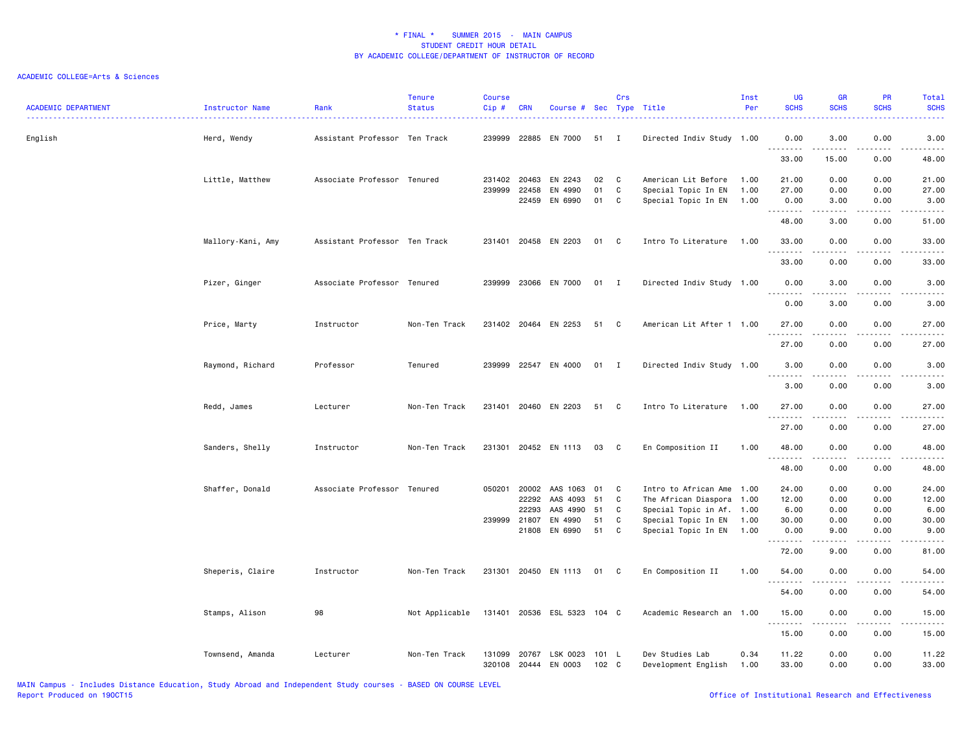### ACADEMIC COLLEGE=Arts & Sciences

| <b>ACADEMIC DEPARTMENT</b> | <b>Instructor Name</b> | Rank                          | <b>Tenure</b><br><b>Status</b> | <b>Course</b><br>Cip # | <b>CRN</b>            | Course # Sec Type Title     |                | Crs    |                                                      | Inst<br>Per  | <b>UG</b><br><b>SCHS</b>                         | <b>GR</b><br><b>SCHS</b> | PR<br><b>SCHS</b>             | Total<br><b>SCHS</b>                                                                                                                       |
|----------------------------|------------------------|-------------------------------|--------------------------------|------------------------|-----------------------|-----------------------------|----------------|--------|------------------------------------------------------|--------------|--------------------------------------------------|--------------------------|-------------------------------|--------------------------------------------------------------------------------------------------------------------------------------------|
| English                    | Herd, Wendy            | Assistant Professor Ten Track |                                | 239999                 | 22885                 | EN 7000                     | 51 I           |        | Directed Indiv Study 1.00                            |              | 0.00<br>$\sim$ $\sim$ $\sim$<br>.                | 3.00                     | 0.00                          | 3.00                                                                                                                                       |
|                            |                        |                               |                                |                        |                       |                             |                |        |                                                      |              | 33.00                                            | 15.00                    | 0.00                          | 48.00                                                                                                                                      |
|                            | Little, Matthew        | Associate Professor Tenured   |                                |                        | 231402 20463          | EN 2243                     | 02             | C      | American Lit Before                                  | 1.00         | 21.00                                            | 0.00                     | 0.00                          | 21.00                                                                                                                                      |
|                            |                        |                               |                                | 239999                 | 22458<br>22459        | EN 4990<br>EN 6990          | 01<br>01       | C<br>C | Special Topic In EN<br>Special Topic In EN           | 1.00<br>1.00 | 27.00<br>0.00<br>.                               | 0.00<br>3.00<br>د د د د  | 0.00<br>0.00<br>$\frac{1}{2}$ | 27.00<br>3.00<br>$\frac{1}{2} \left( \frac{1}{2} \right) \left( \frac{1}{2} \right) \left( \frac{1}{2} \right) \left( \frac{1}{2} \right)$ |
|                            |                        |                               |                                |                        |                       |                             |                |        |                                                      |              | 48.00                                            | 3.00                     | 0.00                          | 51.00                                                                                                                                      |
|                            | Mallory-Kani, Amy      | Assistant Professor Ten Track |                                |                        |                       | 231401 20458 EN 2203        | 01             | C.     | Intro To Literature 1.00                             |              | 33.00<br>.                                       | 0.00<br>د د د د          | 0.00<br>$\frac{1}{2}$         | 33.00<br>.                                                                                                                                 |
|                            |                        |                               |                                |                        |                       |                             |                |        |                                                      |              | 33.00                                            | 0.00                     | 0.00                          | 33.00                                                                                                                                      |
|                            | Pizer, Ginger          | Associate Professor Tenured   |                                | 239999                 |                       | 23066 EN 7000               | 01 I           |        | Directed Indiv Study 1.00                            |              | 0.00<br>.                                        | 3.00                     | 0.00                          | 3.00                                                                                                                                       |
|                            |                        |                               |                                |                        |                       |                             |                |        |                                                      |              | 0.00                                             | 3.00                     | 0.00                          | 3.00                                                                                                                                       |
|                            | Price, Marty           | Instructor                    | Non-Ten Track                  |                        |                       | 231402 20464 EN 2253        | 51             | C      | American Lit After 1 1.00                            |              | 27.00<br>.                                       | 0.00<br>$\frac{1}{2}$    | 0.00<br>.                     | 27.00<br>$\frac{1}{2}$                                                                                                                     |
|                            |                        |                               |                                |                        |                       |                             |                |        |                                                      |              | 27.00                                            | 0.00                     | 0.00                          | 27.00                                                                                                                                      |
|                            | Raymond, Richard       | Professor                     | Tenured                        | 239999                 |                       | 22547 EN 4000               | 01 I           |        | Directed Indiv Study 1.00                            |              | 3.00<br>.                                        | 0.00<br>د د د د          | 0.00<br>.                     | 3.00                                                                                                                                       |
|                            |                        |                               |                                |                        |                       |                             |                |        |                                                      |              | 3.00                                             | 0.00                     | 0.00                          | 3.00                                                                                                                                       |
|                            | Redd, James            | Lecturer                      | Non-Ten Track                  | 231401                 |                       | 20460 EN 2203               | 51 C           |        | Intro To Literature                                  | 1.00         | 27.00<br>$\sim$ $\sim$ $\sim$<br>$\sim$ $\sim$ . | 0.00                     | 0.00                          | 27.00                                                                                                                                      |
|                            |                        |                               |                                |                        |                       |                             |                |        |                                                      |              | 27.00                                            | 0.00                     | 0.00                          | 27.00                                                                                                                                      |
|                            | Sanders, Shelly        | Instructor                    | Non-Ten Track                  |                        |                       | 231301 20452 EN 1113        | 03             | C      | En Composition II                                    | 1.00         | 48.00<br>.                                       | 0.00<br>.                | 0.00<br>$\frac{1}{2}$         | 48.00<br>.                                                                                                                                 |
|                            |                        |                               |                                |                        |                       |                             |                |        |                                                      |              | 48.00                                            | 0.00                     | 0.00                          | 48.00                                                                                                                                      |
|                            | Shaffer, Donald        | Associate Professor Tenured   |                                |                        | 050201 20002          | AAS 1063                    | 01 C           |        | Intro to African Ame 1.00                            |              | 24.00                                            | 0.00                     | 0.00                          | 24.00                                                                                                                                      |
|                            |                        |                               |                                |                        | 22292                 | AAS 4093                    | 51             | C      | The African Diaspora 1.00                            |              | 12.00                                            | 0.00                     | 0.00                          | 12.00                                                                                                                                      |
|                            |                        |                               |                                |                        | 22293<br>239999 21807 | AAS 4990<br>EN 4990         | 51<br>51       | C      | Special Topic in Af. 1.00                            |              | 6.00                                             | 0.00<br>0.00             | 0.00<br>0.00                  | 6.00                                                                                                                                       |
|                            |                        |                               |                                |                        | 21808                 | EN 6990                     | 51             | C<br>C | Special Topic In EN 1.00<br>Special Topic In EN 1.00 |              | 30.00<br>0.00                                    | 9.00                     | 0.00                          | 30.00<br>9.00                                                                                                                              |
|                            |                        |                               |                                |                        |                       |                             |                |        |                                                      |              | $  -$<br>.<br>72.00                              | 9.00                     | 0.00                          | ----<br>81.00                                                                                                                              |
|                            | Sheperis, Claire       | Instructor                    | Non-Ten Track                  |                        |                       | 231301 20450 EN 1113        | 01             | C      | En Composition II                                    | 1.00         | 54.00<br>.                                       | 0.00                     | 0.00                          | 54.00<br>-----                                                                                                                             |
|                            |                        |                               |                                |                        |                       |                             |                |        |                                                      |              | 54.00                                            | 0.00                     | 0.00                          | 54.00                                                                                                                                      |
|                            | Stamps, Alison         | 98                            | Not Applicable                 |                        |                       | 131401 20536 ESL 5323 104 C |                |        | Academic Research an 1.00                            |              | 15.00<br>.                                       | 0.00<br>.                | 0.00<br>.                     | 15.00<br>.                                                                                                                                 |
|                            |                        |                               |                                |                        |                       |                             |                |        |                                                      |              | 15.00                                            | 0.00                     | 0.00                          | 15.00                                                                                                                                      |
|                            | Townsend, Amanda       | Lecturer                      | Non-Ten Track                  | 131099<br>320108       | 20767                 | LSK 0023<br>20444 EN 0003   | 101 L<br>102 C |        | Dev Studies Lab<br>Development English               | 0.34<br>1.00 | 11.22<br>33.00                                   | 0.00<br>0.00             | 0.00<br>0.00                  | 11.22<br>33.00                                                                                                                             |

MAIN Campus - Includes Distance Education, Study Abroad and Independent Study courses - BASED ON COURSE LEVEL

Office of Institutional Research and Effectiveness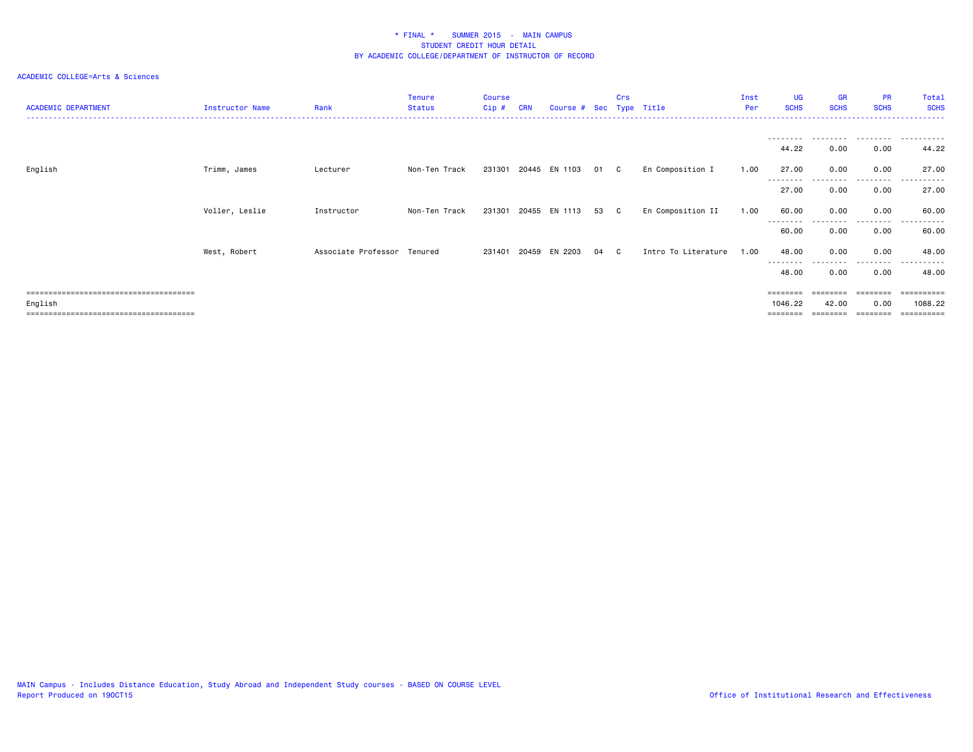| <b>ACADEMIC DEPARTMENT</b>            | Instructor Name | Rank                        | Tenure<br><b>Status</b> | <b>Course</b><br>Cip# | <b>CRN</b> | Course # Sec Type Title |    | Crs          |                     | Inst<br>Per | <b>UG</b><br><b>SCHS</b> | <b>GR</b><br><b>SCHS</b> | <b>PR</b><br><b>SCHS</b> | Total<br><b>SCHS</b>  |
|---------------------------------------|-----------------|-----------------------------|-------------------------|-----------------------|------------|-------------------------|----|--------------|---------------------|-------------|--------------------------|--------------------------|--------------------------|-----------------------|
|                                       |                 |                             |                         |                       |            |                         |    |              |                     |             | .                        |                          | .                        | .                     |
|                                       |                 |                             |                         |                       |            |                         |    |              |                     |             | 44.22                    | 0.00                     | 0.00                     | 44.22                 |
| English                               | Trimm, James    | Lecturer                    | Non-Ten Track           |                       |            | 231301 20445 EN 1103    | 01 | $\mathbf{C}$ | En Composition I    | 1.00        | 27.00                    | 0.00                     | 0.00<br>--------         | 27.00                 |
|                                       |                 |                             |                         |                       |            |                         |    |              |                     |             | --------<br>27.00        | 0.00                     | 0.00                     | 27.00                 |
|                                       | Voller, Leslie  | Instructor                  | Non-Ten Track           | 231301                |            | 20455 EN 1113           | 53 | C            | En Composition II   | 1.00        | 60.00                    | 0.00                     | 0.00                     | 60.00                 |
|                                       |                 |                             |                         |                       |            |                         |    |              |                     |             | --------<br>60.00        | 0.00                     | --------<br>0.00         | ------<br>60.00       |
|                                       | West, Robert    | Associate Professor Tenured |                         |                       |            | 231401 20459 EN 2203    | 04 | C.           | Intro To Literature | 1.00        | 48.00                    | 0.00                     | 0.00                     | 48.00                 |
|                                       |                 |                             |                         |                       |            |                         |    |              |                     |             | --------<br>48.00        | 0.00                     | 0.00                     | 48.00                 |
|                                       |                 |                             |                         |                       |            |                         |    |              |                     |             | ========                 | $=$ = = = = = = =        | ========                 | ==========            |
| English<br>,,,,,,,,,,,,,,,,,,,,,,,,,, |                 |                             |                         |                       |            |                         |    |              |                     |             | 1046.22<br>=======       | 42.00                    | 0.00                     | 1088.22<br>========== |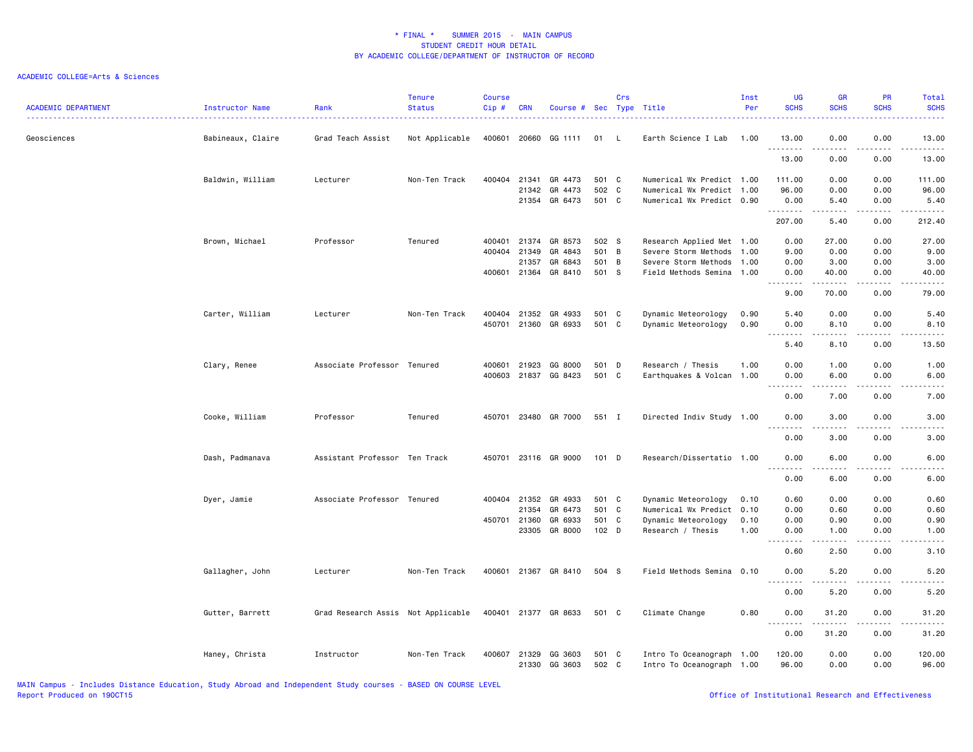### ACADEMIC COLLEGE=Arts & Sciences

| <b>ACADEMIC DEPARTMENT</b> | Instructor Name   | Rank                               | <b>Tenure</b><br><b>Status</b> | <b>Course</b><br>Cip# | <b>CRN</b>   | Course # Sec Type Title  |                | Crs            |                                                        | Inst<br>Per | <b>UG</b><br><b>SCHS</b>                                                                                                                                                             | <b>GR</b><br><b>SCHS</b>                                                                                                                                     | PR<br><b>SCHS</b> | Total<br><b>SCHS</b>                                                                                                                                          |
|----------------------------|-------------------|------------------------------------|--------------------------------|-----------------------|--------------|--------------------------|----------------|----------------|--------------------------------------------------------|-------------|--------------------------------------------------------------------------------------------------------------------------------------------------------------------------------------|--------------------------------------------------------------------------------------------------------------------------------------------------------------|-------------------|---------------------------------------------------------------------------------------------------------------------------------------------------------------|
| Geosciences                | Babineaux, Claire | Grad Teach Assist                  | Not Applicable                 | 400601                | 20660        | GG 1111                  | 01             | L.             | Earth Science I Lab                                    | 1.00        | 13.00                                                                                                                                                                                | 0.00                                                                                                                                                         | 0.00<br>.         | 13.00                                                                                                                                                         |
|                            |                   |                                    |                                |                       |              |                          |                |                |                                                        |             | .<br>13.00                                                                                                                                                                           | $\frac{1}{2} \left( \frac{1}{2} \right) \left( \frac{1}{2} \right) \left( \frac{1}{2} \right) \left( \frac{1}{2} \right) \left( \frac{1}{2} \right)$<br>0.00 | 0.00              | .<br>13.00                                                                                                                                                    |
|                            | Baldwin, William  | Lecturer                           | Non-Ten Track                  |                       |              | 400404 21341 GR 4473     | 501 C          |                | Numerical Wx Predict 1.00                              |             | 111.00                                                                                                                                                                               | 0.00                                                                                                                                                         | 0.00              | 111.00                                                                                                                                                        |
|                            |                   |                                    |                                |                       | 21342        | GR 4473<br>21354 GR 6473 | 502 C<br>501 C |                | Numerical Wx Predict 1.00<br>Numerical Wx Predict 0.90 |             | 96.00<br>0.00                                                                                                                                                                        | 0.00<br>5.40                                                                                                                                                 | 0.00<br>0.00      | 96.00<br>5.40                                                                                                                                                 |
|                            |                   |                                    |                                |                       |              |                          |                |                |                                                        |             | .<br>207.00                                                                                                                                                                          | .<br>5.40                                                                                                                                                    | .<br>0.00         | .<br>212.40                                                                                                                                                   |
|                            | Brown, Michael    | Professor                          | Tenured                        |                       | 400401 21374 | GR 8573                  | 502 S          |                | Research Applied Met 1.00                              |             | 0.00                                                                                                                                                                                 | 27.00                                                                                                                                                        | 0.00              | 27.00                                                                                                                                                         |
|                            |                   |                                    |                                | 400404                | 21349        | GR 4843                  | 501            | $\overline{B}$ | Severe Storm Methods 1.00                              |             | 9.00                                                                                                                                                                                 | 0.00                                                                                                                                                         | 0.00              | 9.00                                                                                                                                                          |
|                            |                   |                                    |                                |                       | 21357        | GR 6843                  | 501 B          |                | Severe Storm Methods                                   | 1.00        | 0.00                                                                                                                                                                                 | 3.00                                                                                                                                                         | 0.00              | 3.00                                                                                                                                                          |
|                            |                   |                                    |                                |                       |              | 400601 21364 GR 8410     | 501 S          |                | Field Methods Semina 1.00                              |             | 0.00                                                                                                                                                                                 | 40.00                                                                                                                                                        | 0.00              | 40.00                                                                                                                                                         |
|                            |                   |                                    |                                |                       |              |                          |                |                |                                                        |             | .<br>9.00                                                                                                                                                                            | .<br>70.00                                                                                                                                                   | .<br>0.00         | .<br>79.00                                                                                                                                                    |
|                            | Carter, William   | Lecturer                           | Non-Ten Track                  | 400404                | 21352        | GR 4933                  | 501 C          |                | Dynamic Meteorology                                    | 0.90        | 5.40                                                                                                                                                                                 | 0.00                                                                                                                                                         | 0.00              | 5.40                                                                                                                                                          |
|                            |                   |                                    |                                | 450701                |              | 21360 GR 6933            | 501 C          |                | Dynamic Meteorology                                    | 0.90        | 0.00                                                                                                                                                                                 | 8.10                                                                                                                                                         | 0.00              | 8.10                                                                                                                                                          |
|                            |                   |                                    |                                |                       |              |                          |                |                |                                                        |             | $\frac{1}{2}$<br>$\frac{1}{2}$<br>5.40                                                                                                                                               | .<br>8.10                                                                                                                                                    | 0.00              | $\frac{1}{2} \left( \frac{1}{2} \right) \left( \frac{1}{2} \right) \left( \frac{1}{2} \right) \left( \frac{1}{2} \right) \left( \frac{1}{2} \right)$<br>13.50 |
|                            | Clary, Renee      | Associate Professor Tenured        |                                |                       | 400601 21923 | GG 8000                  | 501 D          |                | Research / Thesis                                      | 1.00        | 0.00                                                                                                                                                                                 | 1.00                                                                                                                                                         | 0.00              | 1.00                                                                                                                                                          |
|                            |                   |                                    |                                | 400603                | 21837        | GG 8423                  | 501 C          |                | Earthquakes & Volcan 1.00                              |             | 0.00                                                                                                                                                                                 | 6.00                                                                                                                                                         | 0.00              | 6.00                                                                                                                                                          |
|                            |                   |                                    |                                |                       |              |                          |                |                |                                                        |             | $\sim$ $\sim$ $\sim$ $\sim$<br>0.00                                                                                                                                                  | 7.00                                                                                                                                                         | 0.00              | 7.00                                                                                                                                                          |
|                            | Cooke, William    | Professor                          | Tenured                        | 450701                |              | 23480 GR 7000            | 551 I          |                | Directed Indiv Study 1.00                              |             | 0.00                                                                                                                                                                                 | 3.00                                                                                                                                                         | 0.00              | 3.00                                                                                                                                                          |
|                            |                   |                                    |                                |                       |              |                          |                |                |                                                        |             | $\sim$ $\sim$ $\sim$<br>.                                                                                                                                                            | .                                                                                                                                                            |                   | .                                                                                                                                                             |
|                            |                   |                                    |                                |                       |              |                          |                |                |                                                        |             | 0.00                                                                                                                                                                                 | 3.00                                                                                                                                                         | 0.00              | 3.00                                                                                                                                                          |
|                            | Dash, Padmanava   | Assistant Professor Ten Track      |                                |                       |              | 450701 23116 GR 9000     | $101$ D        |                | Research/Dissertatio 1.00                              |             | 0.00<br>.                                                                                                                                                                            | 6.00<br>$\frac{1}{2}$                                                                                                                                        | 0.00<br>.         | 6.00<br>$\frac{1}{2}$                                                                                                                                         |
|                            |                   |                                    |                                |                       |              |                          |                |                |                                                        |             | 0.00                                                                                                                                                                                 | 6.00                                                                                                                                                         | 0.00              | 6.00                                                                                                                                                          |
|                            | Dyer, Jamie       | Associate Professor Tenured        |                                | 400404                | 21352        | GR 4933                  | 501 C          |                | Dynamic Meteorology                                    | 0.10        | 0.60                                                                                                                                                                                 | 0.00                                                                                                                                                         | 0.00              | 0.60                                                                                                                                                          |
|                            |                   |                                    |                                |                       | 21354        | GR 6473                  | 501 C          |                | Numerical Wx Predict 0.10                              |             | 0.00                                                                                                                                                                                 | 0.60                                                                                                                                                         | 0.00              | 0.60                                                                                                                                                          |
|                            |                   |                                    |                                |                       | 450701 21360 | GR 6933                  | 501 C          |                | Dynamic Meteorology                                    | 0.10        | 0.00                                                                                                                                                                                 | 0.90                                                                                                                                                         | 0.00              | 0.90                                                                                                                                                          |
|                            |                   |                                    |                                |                       | 23305        | GR 8000                  | $102$ D        |                | Research / Thesis                                      | 1.00        | 0.00<br>$\sim$ $\sim$<br>$\frac{1}{2} \left( \frac{1}{2} \right) \left( \frac{1}{2} \right) \left( \frac{1}{2} \right) \left( \frac{1}{2} \right)$                                   | 1.00<br>.                                                                                                                                                    | 0.00<br>$\cdots$  | 1.00<br>.                                                                                                                                                     |
|                            |                   |                                    |                                |                       |              |                          |                |                |                                                        |             | 0.60                                                                                                                                                                                 | 2.50                                                                                                                                                         | 0.00              | 3.10                                                                                                                                                          |
|                            | Gallagher, John   | Lecturer                           | Non-Ten Track                  | 400601                |              | 21367 GR 8410            | 504 S          |                | Field Methods Semina 0.10                              |             | 0.00<br>$\frac{1}{2}$<br>$\frac{1}{2}$                                                                                                                                               | 5.20                                                                                                                                                         | 0.00              | 5.20                                                                                                                                                          |
|                            |                   |                                    |                                |                       |              |                          |                |                |                                                        |             | 0.00                                                                                                                                                                                 | 5.20                                                                                                                                                         | 0.00              | 5.20                                                                                                                                                          |
|                            | Gutter, Barrett   | Grad Research Assis Not Applicable |                                |                       |              | 400401 21377 GR 8633     | 501 C          |                | Climate Change                                         | 0.80        | 0.00<br>$\sim$ $\sim$ $\sim$<br>$\frac{1}{2} \left( \frac{1}{2} \right) \left( \frac{1}{2} \right) \left( \frac{1}{2} \right) \left( \frac{1}{2} \right) \left( \frac{1}{2} \right)$ | 31.20<br>------                                                                                                                                              | 0.00<br>.         | 31.20<br>.                                                                                                                                                    |
|                            |                   |                                    |                                |                       |              |                          |                |                |                                                        |             | 0.00                                                                                                                                                                                 | 31.20                                                                                                                                                        | 0.00              | 31.20                                                                                                                                                         |
|                            | Haney, Christa    | Instructor                         | Non-Ten Track                  | 400607                | 21329        | GG 3603<br>21330 GG 3603 | 501 C<br>502 C |                | Intro To Oceanograph 1.00<br>Intro To Oceanograph 1.00 |             | 120.00<br>96.00                                                                                                                                                                      | 0.00<br>0.00                                                                                                                                                 | 0.00<br>0.00      | 120.00<br>96.00                                                                                                                                               |

MAIN Campus - Includes Distance Education, Study Abroad and Independent Study courses - BASED ON COURSE LEVEL

Office of Institutional Research and Effectiveness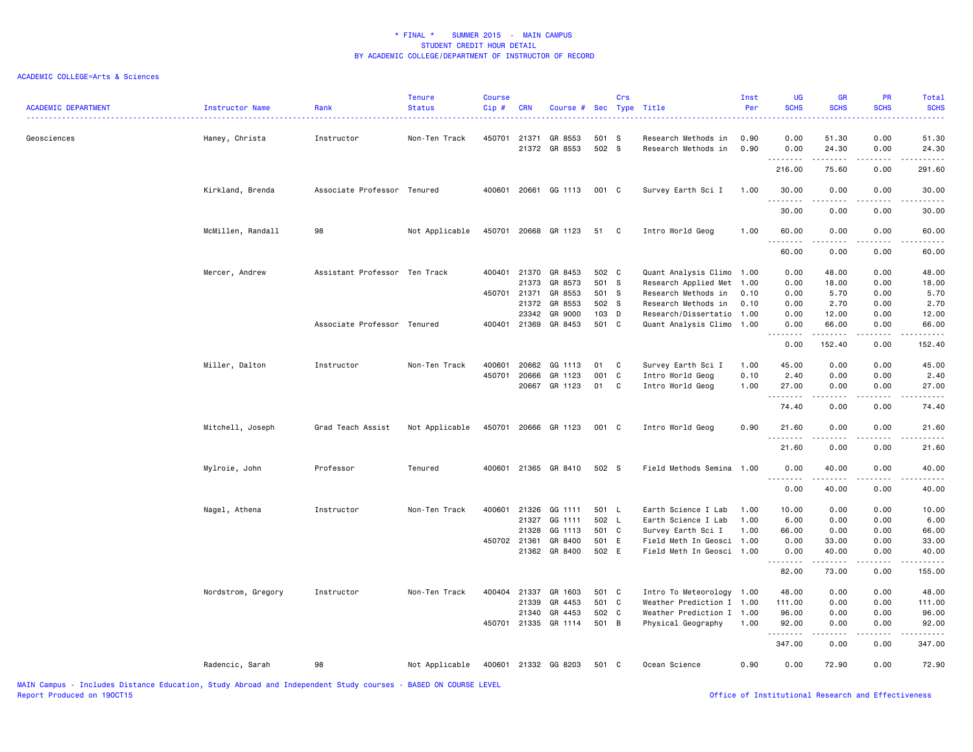| <b>ACADEMIC DEPARTMENT</b> | Instructor Name    | Rank                          | <b>Tenure</b><br><b>Status</b> | <b>Course</b><br>Cip# | <b>CRN</b> | Course #                 |                | Crs | Sec Type Title                             | Inst<br>Per  | <b>UG</b><br><b>SCHS</b> | <b>GR</b><br><b>SCHS</b> | PR<br><b>SCHS</b> | Total<br><b>SCHS</b> |
|----------------------------|--------------------|-------------------------------|--------------------------------|-----------------------|------------|--------------------------|----------------|-----|--------------------------------------------|--------------|--------------------------|--------------------------|-------------------|----------------------|
| Geosciences                | Haney, Christa     | Instructor                    | Non-Ten Track                  | 450701                | 21371      | GR 8553<br>21372 GR 8553 | 501 S<br>502 S |     | Research Methods in<br>Research Methods in | 0.90<br>0.90 | 0.00<br>0.00             | 51.30<br>24.30           | 0.00<br>0.00      | 51.30<br>24.30       |
|                            |                    |                               |                                |                       |            |                          |                |     |                                            |              | .<br>216.00              | .<br>75.60               | .<br>0.00         | 291.60               |
|                            | Kirkland, Brenda   | Associate Professor Tenured   |                                | 400601                | 20661      | GG 1113                  | 001 C          |     | Survey Earth Sci I                         | 1.00         | 30.00                    | 0.00                     | 0.00              | 30.00                |
|                            |                    |                               |                                |                       |            |                          |                |     |                                            |              | .<br>30.00               | .<br>0.00                | .<br>0.00         | 30.00                |
|                            | McMillen, Randall  | 98                            | Not Applicable                 | 450701                |            | 20668 GR 1123            | 51             | C   | Intro World Geog                           | 1.00         | 60.00                    | 0.00                     | 0.00              | 60.00                |
|                            |                    |                               |                                |                       |            |                          |                |     |                                            |              | 60.00                    | 0.00                     | 0.00              | 60.00                |
|                            | Mercer, Andrew     | Assistant Professor Ten Track |                                | 400401                | 21370      | GR 8453                  | 502 C          |     | Quant Analysis Climo 1.00                  |              | 0.00                     | 48.00                    | 0.00              | 48.00                |
|                            |                    |                               |                                |                       | 21373      | GR 8573                  | 501 S          |     | Research Applied Met                       | 1.00         | 0.00                     | 18.00                    | 0.00              | 18.00                |
|                            |                    |                               |                                | 450701                | 21371      | GR 8553                  | 501 S          |     | Research Methods in                        | 0.10         | 0.00                     | 5.70                     | 0.00              | 5.70                 |
|                            |                    |                               |                                |                       | 21372      | GR 8553                  | 502 S          |     | Research Methods in                        | 0.10         | 0.00                     | 2.70                     | 0.00              | 2.70                 |
|                            |                    |                               |                                |                       | 23342      | GR 9000                  | 103 D          |     | Research/Dissertatio                       | 1.00         | 0.00                     | 12.00                    | 0.00              | 12.00                |
|                            |                    | Associate Professor Tenured   |                                | 400401                | 21369      | GR 8453                  | 501 C          |     | Quant Analysis Climo                       | 1.00         | 0.00<br><b></b>          | 66.00<br>.               | 0.00<br>.         | 66.00<br>.           |
|                            |                    |                               |                                |                       |            |                          |                |     |                                            |              | 0.00                     | 152.40                   | 0.00              | 152.40               |
|                            | Miller, Dalton     | Instructor                    | Non-Ten Track                  | 400601                | 20662      | GG 1113                  | 01             | C   | Survey Earth Sci I                         | 1.00         | 45.00                    | 0.00                     | 0.00              | 45.00                |
|                            |                    |                               |                                | 450701                | 20666      | GR 1123                  | 001            | C   | Intro World Geog                           | 0.10         | 2.40                     | 0.00                     | 0.00              | 2.40                 |
|                            |                    |                               |                                |                       | 20667      | GR 1123                  | 01             | C   | Intro World Geog                           | 1.00         | 27.00                    | 0.00                     | 0.00              | 27.00                |
|                            |                    |                               |                                |                       |            |                          |                |     |                                            |              | .<br>74.40               | .<br>0.00                | .<br>0.00         | وبالمنابذ<br>74.40   |
|                            | Mitchell, Joseph   | Grad Teach Assist             | Not Applicable                 | 450701                |            | 20666 GR 1123            | 001 C          |     | Intro World Geog                           | 0.90         | 21.60                    | 0.00                     | 0.00              | 21.60                |
|                            |                    |                               |                                |                       |            |                          |                |     |                                            |              | <u>.</u>                 | .                        |                   |                      |
|                            |                    |                               |                                |                       |            |                          |                |     |                                            |              | 21.60                    | 0.00                     | 0.00              | 21.60                |
|                            | Mylroie, John      | Professor                     | Tenured                        | 400601                |            | 21365 GR 8410            | 502 S          |     | Field Methods Semina                       | 1.00         | 0.00<br><b></b>          | 40.00                    | 0.00              | 40.00                |
|                            |                    |                               |                                |                       |            |                          |                |     |                                            |              | 0.00                     | 40.00                    | 0.00              | 40.00                |
|                            | Nagel, Athena      | Instructor                    | Non-Ten Track                  | 400601                | 21326      | GG 1111                  | 501 L          |     | Earth Science I Lab                        | 1.00         | 10.00                    | 0.00                     | 0.00              | 10.00                |
|                            |                    |                               |                                |                       | 21327      | GG 1111                  | 502 L          |     | Earth Science I Lab                        | 1.00         | 6.00                     | 0.00                     | 0.00              | 6.00                 |
|                            |                    |                               |                                |                       | 21328      | GG 1113                  | 501 C          |     | Survey Earth Sci I                         | 1.00         | 66.00                    | 0.00                     | 0.00              | 66.00                |
|                            |                    |                               |                                | 450702 21361          |            | GR 8400                  | 501 E          |     | Field Meth In Geosci 1.00                  |              | 0.00                     | 33.00                    | 0.00              | 33.00                |
|                            |                    |                               |                                |                       |            | 21362 GR 8400            | 502 E          |     | Field Meth In Geosci 1.00                  |              | 0.00                     | 40.00                    | 0.00              | 40.00                |
|                            |                    |                               |                                |                       |            |                          |                |     |                                            |              | . <b>.</b><br>82.00      | .<br>73.00               | .<br>0.00         | <u>.</u><br>155.00   |
|                            | Nordstrom, Gregory | Instructor                    | Non-Ten Track                  | 400404 21337          |            | GR 1603                  | 501 C          |     | Intro To Meteorology 1.00                  |              | 48.00                    | 0.00                     | 0.00              | 48.00                |
|                            |                    |                               |                                |                       | 21339      | GR 4453                  | 501 C          |     | Weather Prediction I 1.00                  |              | 111.00                   | 0.00                     | 0.00              | 111.00               |
|                            |                    |                               |                                |                       | 21340      | GR 4453                  | 502 C          |     | Weather Prediction I 1.00                  |              | 96.00                    | 0.00                     | 0.00              | 96.00                |
|                            |                    |                               |                                | 450701                | 21335      | GR 1114                  | 501 B          |     | Physical Geography                         | 1.00         | 92.00<br>.               | 0.00<br>.                | 0.00<br>.         | 92.00                |
|                            |                    |                               |                                |                       |            |                          |                |     |                                            |              | 347.00                   | 0.00                     | 0.00              | 347.00               |
|                            | Radencic, Sarah    | 98                            | Not Applicable                 | 400601                |            | 21332 GG 8203            | 501 C          |     | Ocean Science                              | 0.90         | 0.00                     | 72.90                    | 0.00              | 72.90                |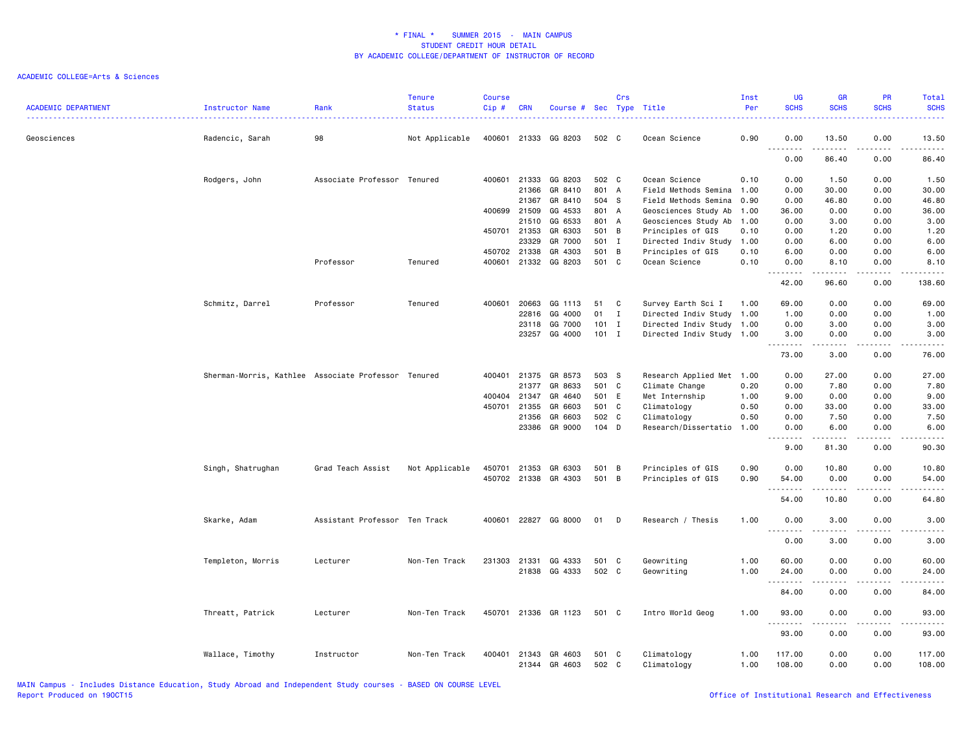| <b>ACADEMIC DEPARTMENT</b> | Instructor Name                                     | Rank                          | <b>Tenure</b><br><b>Status</b> | <b>Course</b><br>Cip# | <b>CRN</b>   | Course # Sec Type Title |         | Crs |                           | Inst<br>Per | <b>UG</b><br><b>SCHS</b>                                                                                                                                      | <b>GR</b><br><b>SCHS</b>            | <b>PR</b><br><b>SCHS</b> | Total<br><b>SCHS</b>                |
|----------------------------|-----------------------------------------------------|-------------------------------|--------------------------------|-----------------------|--------------|-------------------------|---------|-----|---------------------------|-------------|---------------------------------------------------------------------------------------------------------------------------------------------------------------|-------------------------------------|--------------------------|-------------------------------------|
| Geosciences                | Radencic, Sarah                                     | 98                            | Not Applicable                 | 400601                |              | 21333 GG 8203           | 502 C   |     | Ocean Science             | 0.90        | 0.00                                                                                                                                                          | 13.50                               | 0.00                     | 13.50                               |
|                            |                                                     |                               |                                |                       |              |                         |         |     |                           |             | $\sim$ $\sim$<br>0.00                                                                                                                                         | 86.40                               | 0.00                     | 86.40                               |
|                            | Rodgers, John                                       | Associate Professor Tenured   |                                | 400601                | 21333        | GG 8203                 | 502 C   |     | Ocean Science             | 0.10        | 0.00                                                                                                                                                          | 1.50                                | 0.00                     | 1.50                                |
|                            |                                                     |                               |                                |                       | 21366        | GR 8410                 | 801 A   |     | Field Methods Semina      | 1.00        | 0.00                                                                                                                                                          | 30.00                               | 0.00                     | 30.00                               |
|                            |                                                     |                               |                                |                       | 21367        | GR 8410                 | 504 S   |     | Field Methods Semina      | 0.90        | 0.00                                                                                                                                                          | 46.80                               | 0.00                     | 46.80                               |
|                            |                                                     |                               |                                |                       | 400699 21509 | GG 4533                 | 801 A   |     | Geosciences Study Ab      | 1.00        | 36.00                                                                                                                                                         | 0.00                                | 0.00                     | 36.00                               |
|                            |                                                     |                               |                                |                       | 21510        | GG 6533                 | 801 A   |     | Geosciences Study Ab      | 1.00        | 0.00                                                                                                                                                          | 3.00                                | 0.00                     | 3.00                                |
|                            |                                                     |                               |                                |                       | 450701 21353 | GR 6303                 | 501 B   |     | Principles of GIS         | 0.10        | 0.00                                                                                                                                                          | 1.20                                | 0.00                     | 1.20                                |
|                            |                                                     |                               |                                |                       | 23329        | GR 7000                 | 501 I   |     | Directed Indiv Study      | 1.00        | 0.00                                                                                                                                                          | 6.00                                | 0.00                     | 6.00                                |
|                            |                                                     |                               |                                |                       | 450702 21338 | GR 4303                 | 501 B   |     | Principles of GIS         | 0.10        | 6.00                                                                                                                                                          | 0.00                                | 0.00                     | 6.00                                |
|                            |                                                     | Professor                     | Tenured                        | 400601                | 21332        | GG 8203                 | 501 C   |     | Ocean Science             | 0.10        | 0.00                                                                                                                                                          | 8.10                                | 0.00                     | 8.10                                |
|                            |                                                     |                               |                                |                       |              |                         |         |     |                           |             | .<br>42.00                                                                                                                                                    | .<br>96.60                          | 0.00                     | 138.60                              |
|                            | Schmitz, Darrel                                     | Professor                     | Tenured                        | 400601                | 20663        | GG 1113                 | 51      | C   | Survey Earth Sci I        | 1.00        | 69.00                                                                                                                                                         | 0.00                                | 0.00                     | 69.00                               |
|                            |                                                     |                               |                                |                       | 22816        | GG 4000                 | 01      | I   | Directed Indiv Study      | 1.00        | 1.00                                                                                                                                                          | 0.00                                | 0.00                     | 1.00                                |
|                            |                                                     |                               |                                |                       | 23118        | GG 7000                 | $101$ I |     | Directed Indiv Study 1.00 |             | 0.00                                                                                                                                                          | 3.00                                | 0.00                     | 3.00                                |
|                            |                                                     |                               |                                |                       | 23257        | GG 4000                 | $101$ I |     | Directed Indiv Study 1.00 |             | 3.00                                                                                                                                                          | 0.00                                | 0.00                     | 3.00                                |
|                            |                                                     |                               |                                |                       |              |                         |         |     |                           |             | $\frac{1}{2} \left( \frac{1}{2} \right) \left( \frac{1}{2} \right) \left( \frac{1}{2} \right) \left( \frac{1}{2} \right) \left( \frac{1}{2} \right)$<br>73.00 | $\omega$ is $\omega$ in<br>3.00     | $   -$<br>0.00           | 76.00                               |
|                            | Sherman-Morris, Kathlee Associate Professor Tenured |                               |                                | 400401                | 21375        | GR 8573                 | 503 S   |     | Research Applied Met 1.00 |             | 0.00                                                                                                                                                          | 27.00                               | 0.00                     | 27.00                               |
|                            |                                                     |                               |                                |                       | 21377        | GR 8633                 | 501 C   |     | Climate Change            | 0.20        | 0.00                                                                                                                                                          | 7.80                                | 0.00                     | 7.80                                |
|                            |                                                     |                               |                                |                       | 400404 21347 | GR 4640                 | 501 E   |     | Met Internship            | 1.00        | 9.00                                                                                                                                                          | 0.00                                | 0.00                     | 9.00                                |
|                            |                                                     |                               |                                | 450701                | 21355        | GR 6603                 | 501 C   |     | Climatology               | 0.50        | 0.00                                                                                                                                                          | 33.00                               | 0.00                     | 33.00                               |
|                            |                                                     |                               |                                |                       | 21356        | GR 6603                 | 502 C   |     | Climatology               | 0.50        | 0.00                                                                                                                                                          | 7.50                                | 0.00                     | 7.50                                |
|                            |                                                     |                               |                                |                       | 23386        | GR 9000                 | 104 D   |     | Research/Dissertatio      | 1.00        | 0.00<br>.                                                                                                                                                     | 6.00<br>.                           | 0.00<br>.                | 6.00<br>$\sim$ $\sim$ $\sim$ $\sim$ |
|                            |                                                     |                               |                                |                       |              |                         |         |     |                           |             | 9.00                                                                                                                                                          | 81.30                               | 0.00                     | 90.30                               |
|                            | Singh, Shatrughan                                   | Grad Teach Assist             | Not Applicable                 | 450701                | 21353        | GR 6303                 | 501     | B   | Principles of GIS         | 0.90        | 0.00                                                                                                                                                          | 10.80                               | 0.00                     | 10.80                               |
|                            |                                                     |                               |                                |                       |              | 450702 21338 GR 4303    | 501 B   |     | Principles of GIS         | 0.90        | 54.00<br>.                                                                                                                                                    | 0.00<br>.                           | 0.00                     | 54.00                               |
|                            |                                                     |                               |                                |                       |              |                         |         |     |                           |             | 54.00                                                                                                                                                         | 10.80                               | 0.00                     | 64.80                               |
|                            | Skarke, Adam                                        | Assistant Professor Ten Track |                                | 400601                |              | 22827 GG 8000           | 01      | D   | Research / Thesis         | 1.00        | 0.00<br>$\frac{1}{2} \left( \frac{1}{2} \right) \left( \frac{1}{2} \right) \left( \frac{1}{2} \right) \left( \frac{1}{2} \right)$                             | 3.00<br>$\sim$ $\sim$ $\sim$ $\sim$ | 0.00                     | 3.00                                |
|                            |                                                     |                               |                                |                       |              |                         |         |     |                           |             | 0.00                                                                                                                                                          | 3.00                                | 0.00                     | 3.00                                |
|                            | Templeton, Morris                                   | Lecturer                      | Non-Ten Track                  | 231303                | 21331        | GG 4333                 | 501     | C   | Geowriting                | 1.00        | 60.00                                                                                                                                                         | 0.00                                | 0.00                     | 60.00                               |
|                            |                                                     |                               |                                |                       |              | 21838 GG 4333           | 502 C   |     | Geowriting                | 1.00        | 24.00                                                                                                                                                         | 0.00                                | 0.00                     | 24.00                               |
|                            |                                                     |                               |                                |                       |              |                         |         |     |                           |             | .                                                                                                                                                             | .                                   |                          |                                     |
|                            |                                                     |                               |                                |                       |              |                         |         |     |                           |             | 84.00                                                                                                                                                         | 0.00                                | 0.00                     | 84.00                               |
|                            | Threatt, Patrick                                    | Lecturer                      | Non-Ten Track                  | 450701                |              | 21336 GR 1123           | 501 C   |     | Intro World Geog          | 1.00        | 93.00<br>.                                                                                                                                                    | 0.00<br>بالمحاد                     | 0.00<br>.                | 93.00<br>.                          |
|                            |                                                     |                               |                                |                       |              |                         |         |     |                           |             | 93.00                                                                                                                                                         | 0.00                                | 0.00                     | 93.00                               |
|                            | Wallace, Timothy                                    | Instructor                    | Non-Ten Track                  | 400401                | 21343        | GR 4603                 | 501 C   |     | Climatology               | 1.00        | 117.00                                                                                                                                                        | 0.00                                | 0.00                     | 117.00                              |
|                            |                                                     |                               |                                |                       |              | 21344 GR 4603           | 502 C   |     | Climatology               | 1.00        | 108.00                                                                                                                                                        | 0.00                                | 0.00                     | 108.00                              |
|                            |                                                     |                               |                                |                       |              |                         |         |     |                           |             |                                                                                                                                                               |                                     |                          |                                     |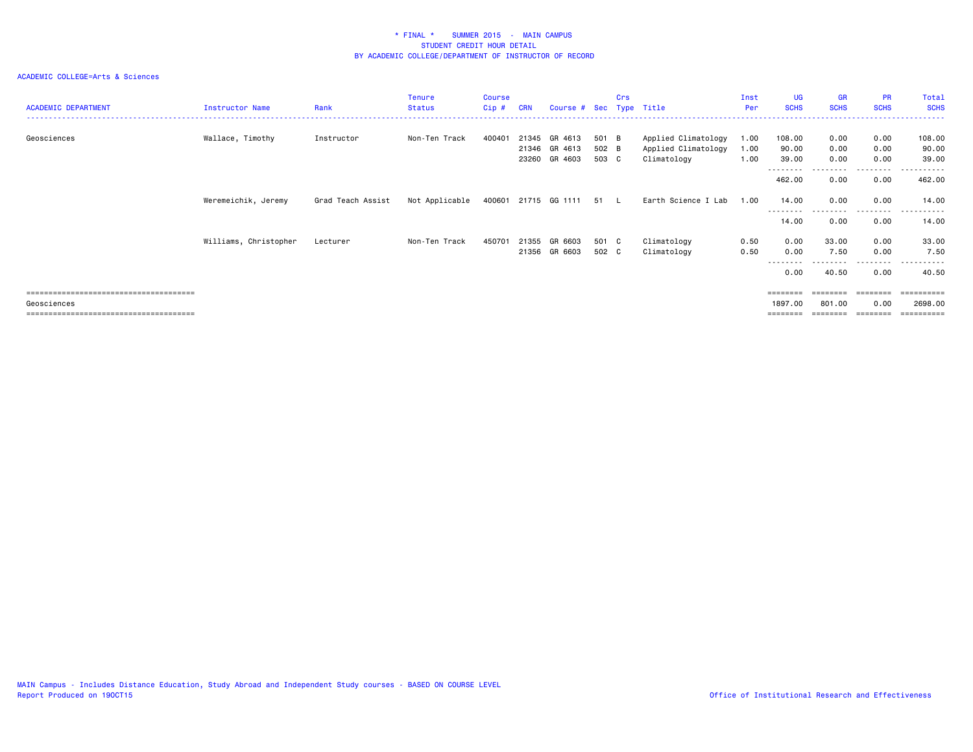| <b>ACADEMIC DEPARTMENT</b> | Instructor Name       | Rank              | <b>Tenure</b><br><b>Status</b> | Course<br>Cip # | <b>CRN</b>     | Course # Sec Type Title             |                         | Crs |                                                           | Inst<br>Per          | <b>UG</b><br><b>SCHS</b>     | <b>GR</b><br><b>SCHS</b>   | <b>PR</b><br><b>SCHS</b> | Total<br><b>SCHS</b>     |
|----------------------------|-----------------------|-------------------|--------------------------------|-----------------|----------------|-------------------------------------|-------------------------|-----|-----------------------------------------------------------|----------------------|------------------------------|----------------------------|--------------------------|--------------------------|
| Geosciences                | Wallace, Timothy      | Instructor        | Non-Ten Track                  | 400401          | 21345<br>23260 | GR 4613<br>21346 GR 4613<br>GR 4603 | 501 B<br>502 B<br>503 C |     | Applied Climatology<br>Applied Climatology<br>Climatology | 1.00<br>1.00<br>1.00 | 108.00<br>90.00<br>39.00     | 0.00<br>0.00<br>0.00       | 0.00<br>0.00<br>0.00     | 108.00<br>90.00<br>39.00 |
|                            |                       |                   |                                |                 |                |                                     |                         |     |                                                           |                      | --------<br>462.00           | 0.00                       | .<br>0.00                | -------<br>462.00        |
|                            | Weremeichik, Jeremy   | Grad Teach Assist | Not Applicable                 |                 |                | 400601 21715 GG 1111                | 51 L                    |     | Earth Science I Lab                                       | 1.00                 | 14.00<br>--------            | 0.00<br>---------          | 0.00<br>---------        | 14.00<br>.<br>$  -$      |
|                            |                       |                   |                                |                 |                |                                     |                         |     |                                                           |                      | 14.00                        | 0.00                       | 0.00                     | 14.00                    |
|                            | Williams, Christopher | Lecturer          | Non-Ten Track                  | 450701          |                | 21355 GR 6603<br>21356 GR 6603      | 501 C<br>502 C          |     | Climatology<br>Climatology                                | 0.50<br>0.50         | 0.00<br>0.00<br>--------     | 33.00<br>7.50<br>--------- | 0.00<br>0.00<br>.        | 33.00<br>7.50<br>.       |
|                            |                       |                   |                                |                 |                |                                     |                         |     |                                                           |                      | 0.00                         | 40.50                      | 0.00                     | 40.50                    |
| Geosciences                |                       |                   |                                |                 |                |                                     |                         |     |                                                           |                      | $=$ = = = = = = =<br>1897.00 | ========<br>801.00         | 0.00                     | 2698.00<br>==========    |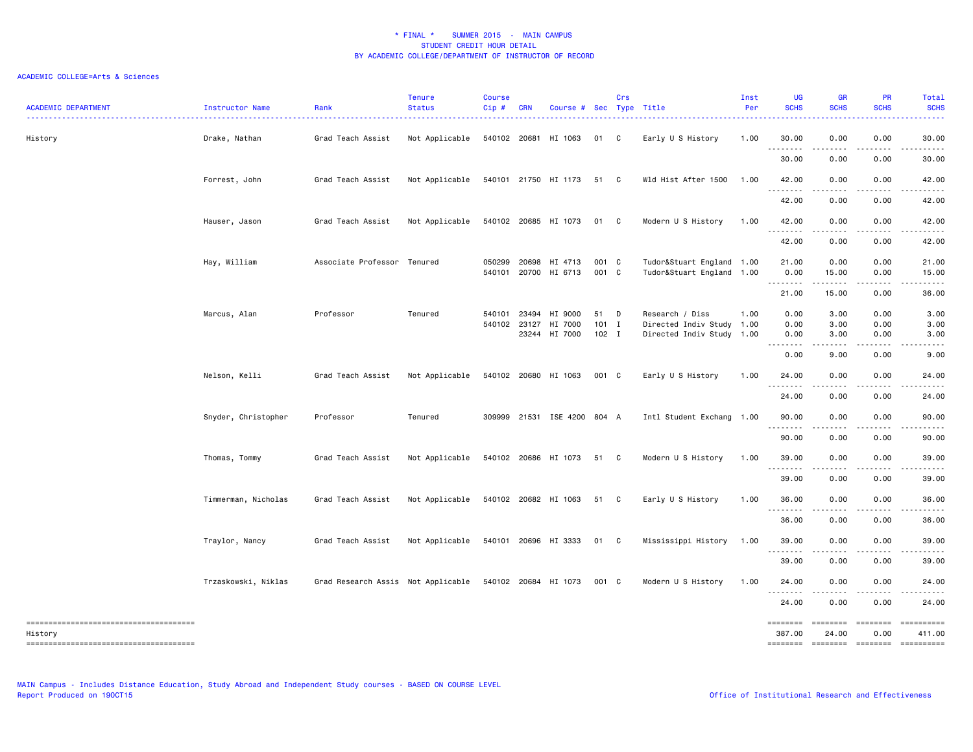### ACADEMIC COLLEGE=Arts & Sciences

| <b>ACADEMIC DEPARTMENT</b>             | Instructor Name     | Rank                               | <b>Tenure</b><br><b>Status</b> | <b>Course</b><br>Cip# | <b>CRN</b> | Course # Sec Type Title     |                    | Crs          |                                                        | Inst<br>Per | <b>UG</b><br><b>SCHS</b> | <b>GR</b><br><b>SCHS</b>            | <b>PR</b><br><b>SCHS</b> | Total<br><b>SCHS</b> |
|----------------------------------------|---------------------|------------------------------------|--------------------------------|-----------------------|------------|-----------------------------|--------------------|--------------|--------------------------------------------------------|-------------|--------------------------|-------------------------------------|--------------------------|----------------------|
| History                                | Drake, Nathan       | Grad Teach Assist                  | Not Applicable                 |                       |            | 540102 20681 HI 1063        | 01 C               |              | Early U S History                                      | 1.00        | 30.00<br>.               | 0.00<br>.                           | 0.00<br>.                | 30.00<br>.           |
|                                        |                     |                                    |                                |                       |            |                             |                    |              |                                                        |             | 30.00                    | 0.00                                | 0.00                     | 30.00                |
|                                        | Forrest, John       | Grad Teach Assist                  | Not Applicable                 |                       |            | 540101 21750 HI 1173        | 51                 | $\mathbf{C}$ | Wld Hist After 1500                                    | 1.00        | 42.00                    | 0.00                                | 0.00                     | 42.00                |
|                                        |                     |                                    |                                |                       |            |                             |                    |              |                                                        |             | 42.00                    | 0.00                                | 0.00                     | 42.00                |
|                                        | Hauser, Jason       | Grad Teach Assist                  | Not Applicable                 |                       |            | 540102 20685 HI 1073        | 01 C               |              | Modern U S History                                     | 1.00        | 42.00<br>.               | 0.00<br>$\sim$ $\sim$ $\sim$ $\sim$ | 0.00                     | 42.00                |
|                                        |                     |                                    |                                |                       |            |                             |                    |              |                                                        |             | 42.00                    | 0.00                                | 0.00                     | 42.00                |
|                                        | Hay, William        | Associate Professor Tenured        |                                | 050299                | 20698      | HI 4713                     | 001 C              |              | Tudor&Stuart England 1.00                              |             | 21.00                    | 0.00                                | 0.00                     | 21.00                |
|                                        |                     |                                    |                                |                       |            | 540101 20700 HI 6713        | 001 C              |              | Tudor&Stuart England 1.00                              |             | 0.00<br>.                | 15.00<br>------                     | 0.00<br>.                | 15.00<br>.           |
|                                        |                     |                                    |                                |                       |            |                             |                    |              |                                                        |             | 21.00                    | 15.00                               | 0.00                     | 36.00                |
|                                        | Marcus, Alan        | Professor                          | Tenured                        | 540101                | 23494      | HI 9000                     | 51                 | D            | Research / Diss                                        | 1.00        | 0.00                     | 3.00                                | 0.00                     | 3.00                 |
|                                        |                     |                                    |                                | 540102 23127          |            | HI 7000<br>23244 HI 7000    | $101$ I<br>$102$ I |              | Directed Indiv Study 1.00<br>Directed Indiv Study 1.00 |             | 0.00<br>0.00             | 3.00<br>3.00                        | 0.00<br>0.00             | 3.00<br>3.00         |
|                                        |                     |                                    |                                |                       |            |                             |                    |              |                                                        |             | .<br>$\sim$ $\sim$       | .                                   | المتحدث والمنا           |                      |
|                                        |                     |                                    |                                |                       |            |                             |                    |              |                                                        |             | 0.00                     | 9.00                                | 0.00                     | 9.00                 |
|                                        | Nelson, Kelli       | Grad Teach Assist                  | Not Applicable                 |                       |            | 540102 20680 HI 1063        | 001 C              |              | Early U S History                                      | 1.00        | 24.00<br>---------       | 0.00<br>. <b>.</b>                  | 0.00                     | 24.00                |
|                                        |                     |                                    |                                |                       |            |                             |                    |              |                                                        |             | 24.00                    | 0.00                                | 0.00                     | 24.00                |
|                                        | Snyder, Christopher | Professor                          | Tenured                        |                       |            | 309999 21531 ISE 4200 804 A |                    |              | Intl Student Exchang 1.00                              |             | 90.00<br>.               | 0.00<br>.                           | 0.00<br>.                | 90.00<br>.           |
|                                        |                     |                                    |                                |                       |            |                             |                    |              |                                                        |             | 90.00                    | 0.00                                | 0.00                     | 90.00                |
|                                        | Thomas, Tommy       | Grad Teach Assist                  | Not Applicable                 |                       |            | 540102 20686 HI 1073        | 51                 | C            | Modern U S History                                     | 1.00        | 39.00<br>.               | 0.00                                | 0.00                     | 39.00                |
|                                        |                     |                                    |                                |                       |            |                             |                    |              |                                                        |             | 39.00                    | 0.00                                | 0.00                     | 39.00                |
|                                        | Timmerman, Nicholas | Grad Teach Assist                  | Not Applicable                 |                       |            | 540102 20682 HI 1063        | 51 C               |              | Early U S History                                      | 1.00        | 36.00<br><u>.</u>        | 0.00<br>$- - - -$                   | 0.00                     | 36.00                |
|                                        |                     |                                    |                                |                       |            |                             |                    |              |                                                        |             | 36.00                    | 0.00                                | .<br>0.00                | 36.00                |
|                                        | Traylor, Nancy      | Grad Teach Assist                  | Not Applicable                 |                       |            | 540101 20696 HI 3333        | 01 C               |              | Mississippi History                                    | 1.00        | 39.00                    | 0.00                                | 0.00                     | 39.00                |
|                                        |                     |                                    |                                |                       |            |                             |                    |              |                                                        |             | .<br>39.00               | .<br>0.00                           | .<br>0.00                | 39.00                |
|                                        | Trzaskowski, Niklas | Grad Research Assis Not Applicable |                                |                       |            | 540102 20684 HI 1073        | 001 C              |              | Modern U S History                                     | 1.00        | 24.00                    | 0.00                                | 0.00                     | 24.00                |
|                                        |                     |                                    |                                |                       |            |                             |                    |              |                                                        |             | .<br>24.00               | 0.00                                | .<br>0.00                | .<br>24.00           |
|                                        |                     |                                    |                                |                       |            |                             |                    |              |                                                        |             | <b>SESSESSE</b>          | <b>ESSESSE</b>                      |                          | ==========           |
| History                                |                     |                                    |                                |                       |            |                             |                    |              |                                                        |             | 387.00                   | 24.00                               | 0.00                     | 411.00               |
| -------------------------------------- |                     |                                    |                                |                       |            |                             |                    |              |                                                        |             | ========                 |                                     | --------- --------       | ==========           |

MAIN Campus - Includes Distance Education, Study Abroad and Independent Study courses - BASED ON COURSE LEVEL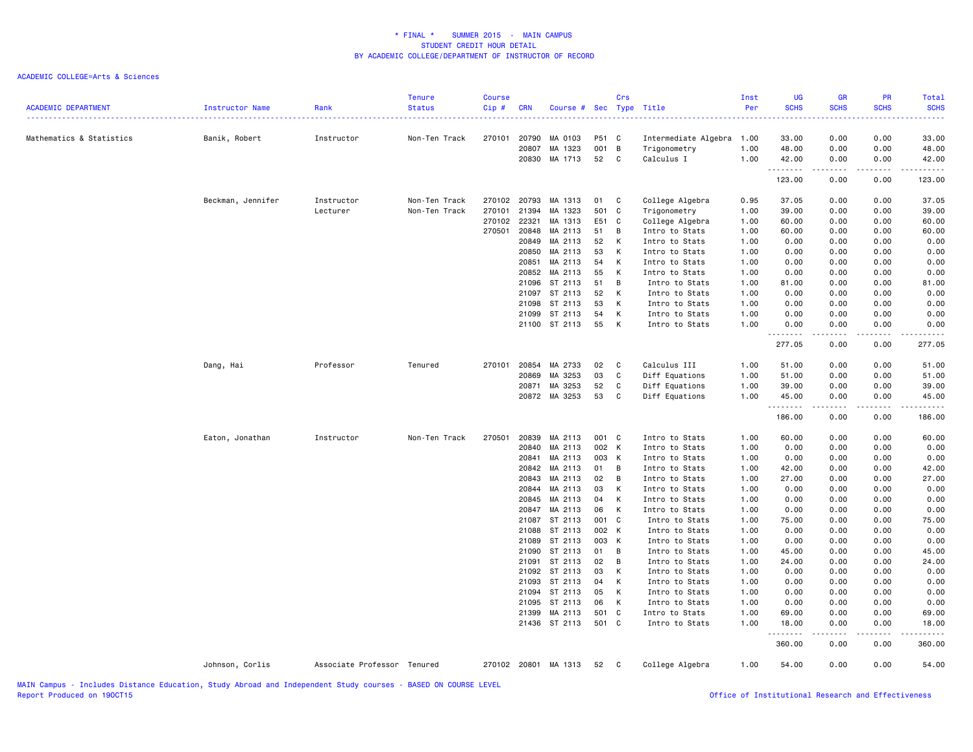| <b>ACADEMIC DEPARTMENT</b> | Instructor Name   | Rank<br><u>.</u>            | <b>Tenure</b><br><b>Status</b> | <b>Course</b><br>Cip# | <b>CRN</b>   | Course # Sec Type Title |       | Crs          |                      | Inst<br>Per | <b>UG</b><br><b>SCHS</b> | <b>GR</b><br><b>SCHS</b>            | <b>PR</b><br><b>SCHS</b> | Total<br><b>SCHS</b> |
|----------------------------|-------------------|-----------------------------|--------------------------------|-----------------------|--------------|-------------------------|-------|--------------|----------------------|-------------|--------------------------|-------------------------------------|--------------------------|----------------------|
| Mathematics & Statistics   | Banik, Robert     | Instructor                  | Non-Ten Track                  | 270101                | 20790        | MA 0103                 | P51 C |              | Intermediate Algebra | 1.00        | 33.00                    | 0.00                                | 0.00                     | 33.00                |
|                            |                   |                             |                                |                       | 20807        | MA 1323                 | 001   | B            | Trigonometry         | 1.00        | 48.00                    | 0.00                                | 0.00                     | 48.00                |
|                            |                   |                             |                                |                       |              | 20830 MA 1713           | 52    | C            | Calculus I           | 1.00        | 42.00                    | 0.00                                | 0.00                     | 42.00                |
|                            |                   |                             |                                |                       |              |                         |       |              |                      |             | .<br>123.00              | $\sim$ $\sim$ $\sim$ $\sim$<br>0.00 | 0.00                     | 123.00               |
|                            | Beckman, Jennifer | Instructor                  | Non-Ten Track                  |                       | 270102 20793 | MA 1313                 | 01    | C            | College Algebra      | 0.95        | 37.05                    | 0.00                                | 0.00                     | 37.05                |
|                            |                   | Lecturer                    | Non-Ten Track                  | 270101                | 21394        | MA 1323                 | 501   | C            | Trigonometry         | 1.00        | 39.00                    | 0.00                                | 0.00                     | 39.00                |
|                            |                   |                             |                                | 270102                | 22321        | MA 1313                 | E51   | C            | College Algebra      | 1.00        | 60.00                    | 0.00                                | 0.00                     | 60.00                |
|                            |                   |                             |                                | 270501                | 20848        | MA 2113                 | 51    | B            | Intro to Stats       | 1.00        | 60.00                    | 0.00                                | 0.00                     | 60.00                |
|                            |                   |                             |                                |                       | 20849        | MA 2113                 | 52    | К            | Intro to Stats       | 1.00        | 0.00                     | 0.00                                | 0.00                     | 0.00                 |
|                            |                   |                             |                                |                       | 20850        | MA 2113                 | 53    | К            | Intro to Stats       | 1.00        | 0.00                     | 0.00                                | 0.00                     | 0.00                 |
|                            |                   |                             |                                |                       | 20851        | MA 2113                 | 54    | К            | Intro to Stats       | 1.00        | 0.00                     | 0.00                                | 0.00                     | 0.00                 |
|                            |                   |                             |                                |                       | 20852        | MA 2113                 | 55    | К            | Intro to Stats       | 1.00        | 0.00                     | 0.00                                | 0.00                     | 0.00                 |
|                            |                   |                             |                                |                       | 21096        | ST 2113                 | 51    | В            | Intro to Stats       | 1.00        | 81.00                    | 0.00                                | 0.00                     | 81.00                |
|                            |                   |                             |                                |                       | 21097        | ST 2113                 | 52    | К            | Intro to Stats       | 1.00        | 0.00                     | 0.00                                | 0.00                     | 0.00                 |
|                            |                   |                             |                                |                       | 21098        | ST 2113                 | 53    | К            | Intro to Stats       | 1.00        | 0.00                     | 0.00                                | 0.00                     | 0.00                 |
|                            |                   |                             |                                |                       | 21099        | ST 2113                 | 54    | К            | Intro to Stats       | 1.00        | 0.00                     | 0.00                                | 0.00                     | 0.00                 |
|                            |                   |                             |                                |                       |              | 21100 ST 2113           | 55    | К            | Intro to Stats       | 1.00        | 0.00                     | 0.00                                | 0.00                     | 0.00                 |
|                            |                   |                             |                                |                       |              |                         |       |              |                      |             | 277.05                   | 0.00                                | 0.00                     | 277.05               |
|                            | Dang, Hai         | Professor                   | Tenured                        | 270101                | 20854        | MA 2733                 | 02    | C            | Calculus III         | 1.00        | 51.00                    | 0.00                                | 0.00                     | 51.00                |
|                            |                   |                             |                                |                       | 20869        | MA 3253                 | 03    | C            | Diff Equations       | 1.00        | 51.00                    | 0.00                                | 0.00                     | 51.00                |
|                            |                   |                             |                                |                       | 20871        | MA 3253                 | 52    | C            | Diff Equations       | 1.00        | 39.00                    | 0.00                                | 0.00                     | 39.00                |
|                            |                   |                             |                                |                       |              | 20872 MA 3253           | 53    | C            | Diff Equations       | 1.00        | 45.00                    | 0.00                                | 0.00                     | 45.00                |
|                            |                   |                             |                                |                       |              |                         |       |              |                      |             | <u>.</u><br>186.00       | $- - - - -$<br>0.00                 | .<br>0.00                | .<br>186.00          |
|                            | Eaton, Jonathan   | Instructor                  | Non-Ten Track                  | 270501                | 20839        | MA 2113                 | 001 C |              | Intro to Stats       | 1.00        | 60.00                    | 0.00                                | 0.00                     | 60.00                |
|                            |                   |                             |                                |                       | 20840        | MA 2113                 | 002 K |              | Intro to Stats       | 1.00        | 0.00                     | 0.00                                | 0.00                     | 0.00                 |
|                            |                   |                             |                                |                       | 20841        | MA 2113                 | 003   | K            | Intro to Stats       | 1.00        | 0.00                     | 0.00                                | 0.00                     | 0.00                 |
|                            |                   |                             |                                |                       | 20842        | MA 2113                 | 01    | B            | Intro to Stats       | 1.00        | 42.00                    | 0.00                                | 0.00                     | 42.00                |
|                            |                   |                             |                                |                       | 20843        | MA 2113                 | 02    | В            | Intro to Stats       | 1.00        | 27.00                    | 0.00                                | 0.00                     | 27.00                |
|                            |                   |                             |                                |                       | 20844        | MA 2113                 | 03    | К            | Intro to Stats       | 1.00        | 0.00                     | 0.00                                | 0.00                     | 0.00                 |
|                            |                   |                             |                                |                       | 20845        | MA 2113                 | 04    | К            | Intro to Stats       | 1.00        | 0.00                     | 0.00                                | 0.00                     | 0.00                 |
|                            |                   |                             |                                |                       | 20847        | MA 2113                 | 06    | К            | Intro to Stats       | 1.00        | 0.00                     | 0.00                                | 0.00                     | 0.00                 |
|                            |                   |                             |                                |                       |              | 21087 ST 2113           | 001   | $\mathbf{C}$ | Intro to Stats       | 1.00        | 75.00                    | 0.00                                | 0.00                     | 75.00                |
|                            |                   |                             |                                |                       | 21088        | ST 2113                 | 002 K |              | Intro to Stats       | 1.00        | 0.00                     | 0.00                                | 0.00                     | 0.00                 |
|                            |                   |                             |                                |                       | 21089        | ST 2113                 | 003   | K            | Intro to Stats       | 1.00        | 0.00                     | 0.00                                | 0.00                     | 0.00                 |
|                            |                   |                             |                                |                       | 21090        | ST 2113                 | 01    | В            | Intro to Stats       | 1.00        | 45.00                    | 0.00                                | 0.00                     | 45.00                |
|                            |                   |                             |                                |                       | 21091        | ST 2113                 | 02    | B            | Intro to Stats       | 1.00        | 24.00                    | 0.00                                | 0.00                     | 24.00                |
|                            |                   |                             |                                |                       |              | 21092 ST 2113           | 03    | К            | Intro to Stats       | 1.00        | 0.00                     | 0.00                                | 0.00                     | 0.00                 |
|                            |                   |                             |                                |                       | 21093        | ST 2113                 | 04    | Κ            | Intro to Stats       | 1.00        | 0.00                     | 0.00                                | 0.00                     | 0.00                 |
|                            |                   |                             |                                |                       | 21094        | ST 2113                 | 05    | К            | Intro to Stats       | 1.00        | 0.00                     | 0.00                                | 0.00                     | 0.00                 |
|                            |                   |                             |                                |                       | 21095        | ST 2113                 | 06    | К            | Intro to Stats       | 1.00        | 0.00                     | 0.00                                | 0.00                     | 0.00                 |
|                            |                   |                             |                                |                       | 21399        | MA 2113                 | 501   | $\mathbf{C}$ | Intro to Stats       | 1.00        | 69.00                    | 0.00                                | 0.00                     | 69.00                |
|                            |                   |                             |                                |                       |              | 21436 ST 2113           | 501 C |              | Intro to Stats       | 1.00        | 18.00<br>.               | 0.00<br>.                           | 0.00                     | 18.00                |
|                            |                   |                             |                                |                       |              |                         |       |              |                      |             | 360.00                   | 0.00                                | 0.00                     | 360.00               |
|                            | Johnson, Corlis   | Associate Professor Tenured |                                |                       |              | 270102 20801 MA 1313    | 52    | C            | College Algebra      | 1.00        | 54.00                    | 0.00                                | 0.00                     | 54.00                |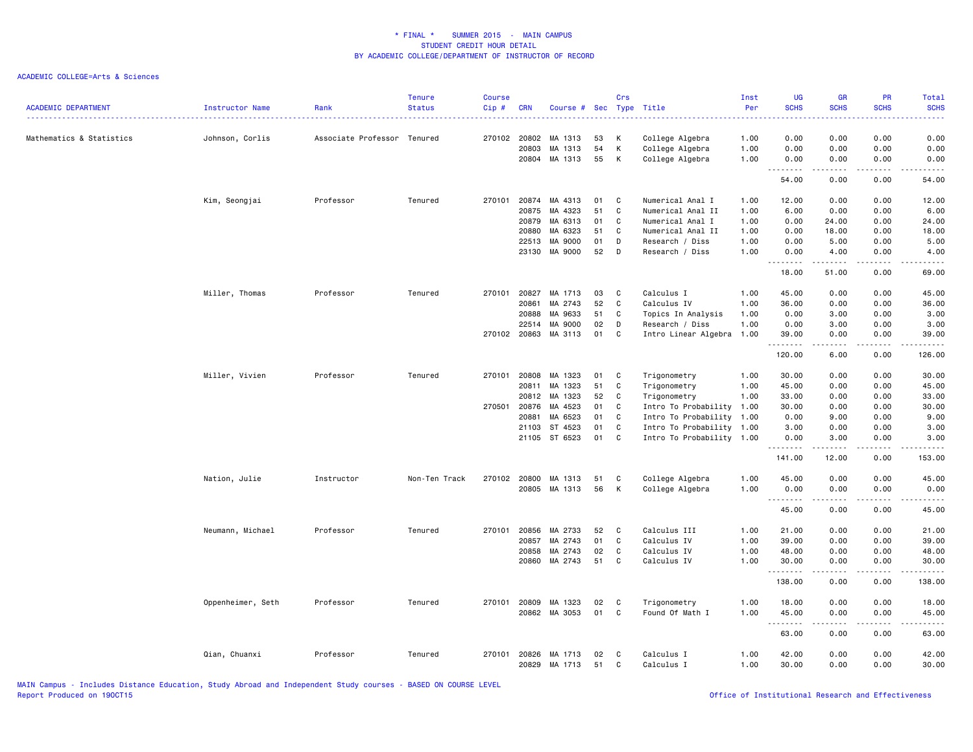### ACADEMIC COLLEGE=Arts & Sciences

| <b>ACADEMIC DEPARTMENT</b> | Instructor Name   | Rank                | <b>Tenure</b><br><b>Status</b> | <b>Course</b><br>Cip# | <b>CRN</b>                                                  | Course # Sec Type Title                                                   |                                        | Crs                             |                                                                                                                                                                  | Inst<br>Per                          | UG<br><b>SCHS</b><br>----                                               | <b>GR</b><br><b>SCHS</b>                                          | <b>PR</b><br><b>SCHS</b>                                                  | Total<br><b>SCHS</b>                                                    |
|----------------------------|-------------------|---------------------|--------------------------------|-----------------------|-------------------------------------------------------------|---------------------------------------------------------------------------|----------------------------------------|---------------------------------|------------------------------------------------------------------------------------------------------------------------------------------------------------------|--------------------------------------|-------------------------------------------------------------------------|-------------------------------------------------------------------|---------------------------------------------------------------------------|-------------------------------------------------------------------------|
| Mathematics & Statistics   | Johnson, Corlis   | Associate Professor | Tenured                        |                       | 270102 20802<br>20803<br>20804                              | MA 1313<br>MA 1313<br>MA 1313                                             | 53<br>54<br>55                         | K<br>К<br>К                     | College Algebra<br>College Algebra<br>College Algebra                                                                                                            | 1.00<br>1.00<br>1.00                 | 0.00<br>0.00<br>0.00                                                    | 0.00<br>0.00<br>0.00                                              | 0.00<br>0.00<br>0.00                                                      | 0.00<br>0.00<br>0.00                                                    |
|                            |                   |                     |                                |                       |                                                             |                                                                           |                                        |                                 |                                                                                                                                                                  |                                      | .<br>54.00                                                              | .<br>0.00                                                         | د د د د<br>0.00                                                           | $\omega$ is a set<br>54.00                                              |
|                            | Kim, Seongjai     | Professor           | Tenured                        | 270101                | 20874<br>20875<br>20879<br>20880<br>22513                   | MA 4313<br>MA 4323<br>MA 6313<br>MA 6323<br>MA 9000                       | 01<br>51<br>01<br>51<br>01             | C<br>C<br>C<br>C<br>D           | Numerical Anal I<br>Numerical Anal II<br>Numerical Anal I<br>Numerical Anal II<br>Research / Diss                                                                | 1.00<br>1.00<br>1.00<br>1.00<br>1.00 | 12.00<br>6.00<br>0.00<br>0.00<br>0.00                                   | 0.00<br>0.00<br>24.00<br>18.00<br>5.00                            | 0.00<br>0.00<br>0.00<br>0.00<br>0.00                                      | 12.00<br>6.00<br>24.00<br>18.00<br>5.00                                 |
|                            |                   |                     |                                |                       | 23130                                                       | MA 9000                                                                   | 52                                     | D                               | Research / Diss                                                                                                                                                  | 1.00                                 | 0.00<br>.<br>$\overline{\phantom{a}}$                                   | 4.00                                                              | 0.00<br>$\frac{1}{2}$                                                     | 4.00<br>$\frac{1}{2}$                                                   |
|                            | Miller, Thomas    | Professor           | Tenured                        | 270101                | 20827<br>20861<br>20888<br>22514<br>270102 20863            | MA 1713<br>MA 2743<br>MA 9633<br>MA 9000<br>MA 3113                       | 03<br>52<br>51<br>02<br>01             | C<br>C<br>C<br>D<br>C           | Calculus I<br>Calculus IV<br>Topics In Analysis<br>Research / Diss<br>Intro Linear Algebra 1.00                                                                  | 1.00<br>1.00<br>1.00<br>1.00         | 18.00<br>45.00<br>36.00<br>0.00<br>0.00<br>39.00<br>.                   | 51.00<br>0.00<br>0.00<br>3.00<br>3.00<br>0.00<br>-----            | 0.00<br>0.00<br>0.00<br>0.00<br>0.00<br>0.00<br>.                         | 69.00<br>45.00<br>36.00<br>3.00<br>3.00<br>39.00<br>.                   |
|                            | Miller, Vivien    | Professor           | Tenured                        | 270101<br>270501      | 20808<br>20811<br>20812<br>20876<br>20881<br>21103<br>21105 | MA 1323<br>MA 1323<br>MA 1323<br>MA 4523<br>MA 6523<br>ST 4523<br>ST 6523 | 01<br>51<br>52<br>01<br>01<br>01<br>01 | C<br>C<br>C<br>C<br>C<br>C<br>C | Trigonometry<br>Trigonometry<br>Trigonometry<br>Intro To Probability 1.00<br>Intro To Probability 1.00<br>Intro To Probability 1.00<br>Intro To Probability 1.00 | 1.00<br>1.00<br>1.00                 | 120.00<br>30.00<br>45.00<br>33.00<br>30.00<br>0.00<br>3.00<br>0.00<br>. | 6.00<br>0.00<br>0.00<br>0.00<br>0.00<br>9.00<br>0.00<br>3.00<br>. | 0.00<br>0.00<br>0.00<br>0.00<br>0.00<br>0.00<br>0.00<br>0.00<br>الدامات ب | 126.00<br>30.00<br>45.00<br>33.00<br>30.00<br>9.00<br>3.00<br>3.00<br>. |
|                            | Nation, Julie     | Instructor          | Non-Ten Track                  | 270102                | 20800<br>20805                                              | MA 1313<br>MA 1313                                                        | 51<br>56                               | C<br>к                          | College Algebra<br>College Algebra                                                                                                                               | 1.00<br>1.00                         | 141.00<br>45.00<br>0.00<br><u>.</u>                                     | 12.00<br>0.00<br>0.00<br>.                                        | 0.00<br>0.00<br>0.00<br>.                                                 | 153.00<br>45.00<br>0.00<br>.                                            |
|                            | Neumann, Michael  | Professor           | Tenured                        | 270101                | 20856<br>20857<br>20858<br>20860                            | MA 2733<br>MA 2743<br>MA 2743<br>MA 2743                                  | 52<br>01<br>02<br>51                   | C<br>C<br>$\mathbb{C}$<br>C     | Calculus III<br>Calculus IV<br>Calculus IV<br>Calculus IV                                                                                                        | 1.00<br>1.00<br>1.00<br>1.00         | 45.00<br>21.00<br>39.00<br>48.00<br>30.00<br>.                          | 0.00<br>0.00<br>0.00<br>0.00<br>0.00<br><u>.</u>                  | 0.00<br>0.00<br>0.00<br>0.00<br>0.00<br>.                                 | 45.00<br>21.00<br>39.00<br>48.00<br>30.00<br>.                          |
|                            | Oppenheimer, Seth | Professor           | Tenured                        | 270101                | 20809                                                       | MA 1323<br>20862 MA 3053                                                  | 02<br>01                               | C<br>C                          | Trigonometry<br>Found Of Math I                                                                                                                                  | 1.00<br>1.00                         | 138.00<br>18.00<br>45.00<br>.                                           | 0.00<br>0.00<br>0.00<br>.                                         | 0.00<br>0.00<br>0.00<br>$\sim$ $\sim$ $\sim$                              | 138.00<br>18.00<br>45.00<br>$\sim$ $\sim$ $\sim$ $\sim$ $\sim$          |
|                            | Qian, Chuanxi     | Professor           | Tenured                        | 270101                | 20826<br>20829                                              | MA 1713<br>MA 1713                                                        | 02<br>51                               | C<br>C                          | Calculus I<br>Calculus I                                                                                                                                         | 1.00<br>1.00                         | 63.00<br>42.00<br>30.00                                                 | 0.00<br>0.00<br>0.00                                              | 0.00<br>0.00<br>0.00                                                      | 63.00<br>42.00<br>30.00                                                 |

MAIN Campus - Includes Distance Education, Study Abroad and Independent Study courses - BASED ON COURSE LEVEL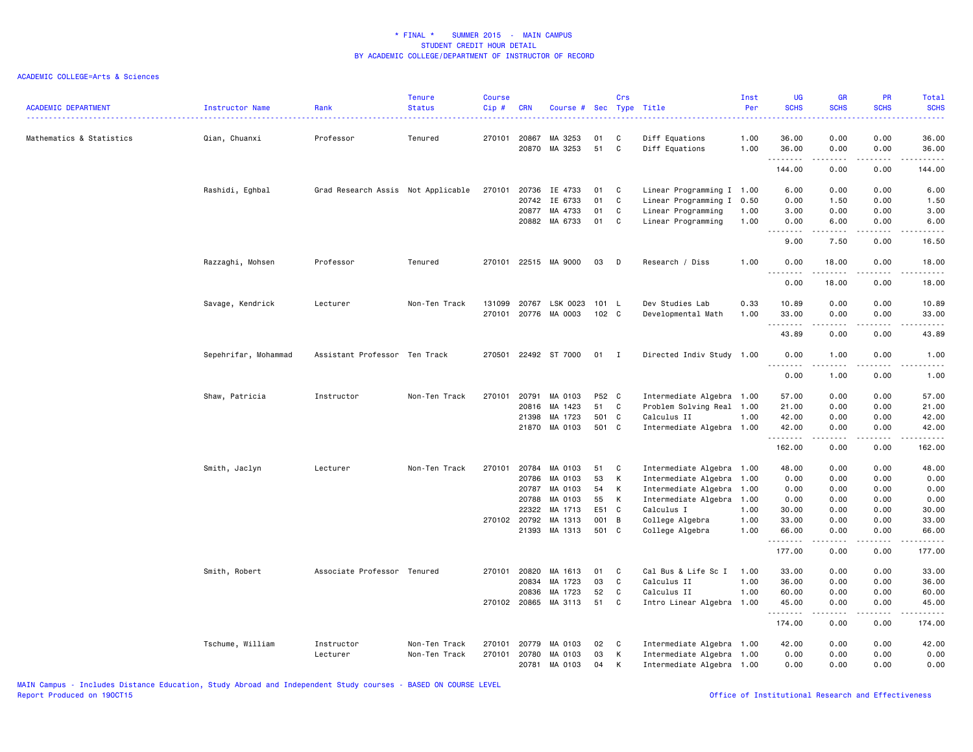### ACADEMIC COLLEGE=Arts & Sciences

| <b>ACADEMIC DEPARTMENT</b> | Instructor Name      | Rank                               | <b>Tenure</b><br><b>Status</b> | <b>Course</b><br>Cip# | <b>CRN</b>   | Course # Sec Type Title |       | Crs |                           | Inst<br>Per | <b>UG</b><br><b>SCHS</b>               | <b>GR</b><br><b>SCHS</b>                                                                               | PR<br><b>SCHS</b> | Total<br><b>SCHS</b> |
|----------------------------|----------------------|------------------------------------|--------------------------------|-----------------------|--------------|-------------------------|-------|-----|---------------------------|-------------|----------------------------------------|--------------------------------------------------------------------------------------------------------|-------------------|----------------------|
| Mathematics & Statistics   | Qian, Chuanxi        | Professor                          | Tenured                        | 270101                | 20867        | MA 3253                 | 01    | C   | Diff Equations            | 1.00        | 36.00                                  | 0.00                                                                                                   | 0.00              | 36.00                |
|                            |                      |                                    |                                |                       | 20870        | MA 3253                 | 51    | C   | Diff Equations            | 1.00        | 36.00<br>.                             | 0.00<br>.                                                                                              | 0.00<br>.         | 36.00<br>.           |
|                            |                      |                                    |                                |                       |              |                         |       |     |                           |             | 144.00                                 | 0.00                                                                                                   | 0.00              | 144.00               |
|                            | Rashidi, Eghbal      | Grad Research Assis Not Applicable |                                | 270101                | 20736        | IE 4733                 | 01    | C   | Linear Programming I 1.00 |             | 6.00                                   | 0.00                                                                                                   | 0.00              | 6.00                 |
|                            |                      |                                    |                                |                       | 20742        | IE 6733                 | 01    | C   | Linear Programming I 0.50 |             | 0.00                                   | 1.50                                                                                                   | 0.00              | 1.50                 |
|                            |                      |                                    |                                |                       | 20877        | MA 4733                 | 01    | C   | Linear Programming        | 1.00        | 3.00                                   | 0.00                                                                                                   | 0.00              | 3.00                 |
|                            |                      |                                    |                                |                       |              | 20882 MA 6733           | 01    | C   | Linear Programming        | 1.00        | 0.00<br>$\frac{1}{2}$<br>$\sim$ $\sim$ | 6.00<br>.                                                                                              | 0.00              | 6.00                 |
|                            |                      |                                    |                                |                       |              |                         |       |     |                           |             | 9.00                                   | 7.50                                                                                                   | 0.00              | 16.50                |
|                            | Razzaghi, Mohsen     | Professor                          | Tenured                        |                       |              | 270101 22515 MA 9000    | 03    | D   | Research / Diss           | 1.00        | 0.00<br>$\sim$ $\sim$                  | 18.00<br>.                                                                                             | 0.00              | 18.00                |
|                            |                      |                                    |                                |                       |              |                         |       |     |                           |             | 0.00                                   | 18.00                                                                                                  | 0.00              | 18.00                |
|                            | Savage, Kendrick     | Lecturer                           | Non-Ten Track                  | 131099                |              | 20767 LSK 0023          | 101 L |     | Dev Studies Lab           | 0.33        | 10.89                                  | 0.00                                                                                                   | 0.00              | 10.89                |
|                            |                      |                                    |                                | 270101                |              | 20776 MA 0003           | 102 C |     | Developmental Math        | 1.00        | 33.00<br>.                             | 0.00<br>.                                                                                              | 0.00<br>.         | 33.00                |
|                            |                      |                                    |                                |                       |              |                         |       |     |                           |             | 43.89                                  | 0.00                                                                                                   | 0.00              | 43.89                |
|                            | Sepehrifar, Mohammad | Assistant Professor Ten Track      |                                |                       |              | 270501 22492 ST 7000    | 01    | I   | Directed Indiv Study 1.00 |             | 0.00<br><u>.</u>                       | 1.00<br>22222                                                                                          | 0.00<br>.         | 1.00<br>.            |
|                            |                      |                                    |                                |                       |              |                         |       |     |                           |             | 0.00                                   | 1.00                                                                                                   | 0.00              | 1.00                 |
|                            | Shaw, Patricia       | Instructor                         | Non-Ten Track                  |                       | 270101 20791 | MA 0103                 | P52 C |     | Intermediate Algebra 1.00 |             | 57.00                                  | 0.00                                                                                                   | 0.00              | 57.00                |
|                            |                      |                                    |                                |                       | 20816        | MA 1423                 | 51    | C   | Problem Solving Real 1.00 |             | 21.00                                  | 0.00                                                                                                   | 0.00              | 21.00                |
|                            |                      |                                    |                                |                       | 21398        | MA 1723                 | 501 C |     | Calculus II               | 1.00        | 42.00                                  | 0.00                                                                                                   | 0.00              | 42.00                |
|                            |                      |                                    |                                |                       |              | 21870 MA 0103           | 501 C |     | Intermediate Algebra 1.00 |             | 42.00<br>.                             | 0.00<br>$\frac{1}{2} \left( \frac{1}{2} \right) \left( \frac{1}{2} \right) \left( \frac{1}{2} \right)$ | 0.00<br>.         | 42.00<br>.           |
|                            |                      |                                    |                                |                       |              |                         |       |     |                           |             | 162.00                                 | 0.00                                                                                                   | 0.00              | 162.00               |
|                            | Smith, Jaclyn        | Lecturer                           | Non-Ten Track                  | 270101                | 20784        | MA 0103                 | 51    | C   | Intermediate Algebra 1.00 |             | 48.00                                  | 0.00                                                                                                   | 0.00              | 48.00                |
|                            |                      |                                    |                                |                       | 20786        | MA 0103                 | 53    | К   | Intermediate Algebra 1.00 |             | 0.00                                   | 0.00                                                                                                   | 0.00              | 0.00                 |
|                            |                      |                                    |                                |                       | 20787        | MA 0103                 | 54    | K   | Intermediate Algebra 1.00 |             | 0.00                                   | 0.00                                                                                                   | 0.00              | 0.00                 |
|                            |                      |                                    |                                |                       | 20788        | MA 0103                 | 55    | К   | Intermediate Algebra 1.00 |             | 0.00                                   | 0.00                                                                                                   | 0.00              | 0.00                 |
|                            |                      |                                    |                                |                       | 22322        | MA 1713                 | E51 C |     | Calculus I                | 1.00        | 30.00                                  | 0.00                                                                                                   | 0.00              | 30.00                |
|                            |                      |                                    |                                |                       | 270102 20792 | MA 1313                 | 001 B |     | College Algebra           | 1.00        | 33.00                                  | 0.00                                                                                                   | 0.00              | 33.00                |
|                            |                      |                                    |                                |                       | 21393        | MA 1313                 | 501 C |     | College Algebra           | 1.00        | 66.00<br>.                             | 0.00                                                                                                   | 0.00              | 66.00                |
|                            |                      |                                    |                                |                       |              |                         |       |     |                           |             | 177.00                                 | 0.00                                                                                                   | 0.00              | 177.00               |
|                            | Smith, Robert        | Associate Professor Tenured        |                                | 270101                | 20820        | MA 1613                 | 01    | C   | Cal Bus & Life Sc I       | 1.00        | 33.00                                  | 0.00                                                                                                   | 0.00              | 33.00                |
|                            |                      |                                    |                                |                       | 20834        | MA 1723                 | 03    | C   | Calculus II               | 1.00        | 36.00                                  | 0.00                                                                                                   | 0.00              | 36.00                |
|                            |                      |                                    |                                |                       | 20836        | MA 1723                 | 52    | C   | Calculus II               | 1.00        | 60.00                                  | 0.00                                                                                                   | 0.00              | 60.00                |
|                            |                      |                                    |                                |                       |              | 270102 20865 MA 3113    | 51    | C   | Intro Linear Algebra 1.00 |             | 45.00<br>.                             | 0.00<br>.                                                                                              | 0.00<br>.         | 45.00<br>.           |
|                            |                      |                                    |                                |                       |              |                         |       |     |                           |             | 174.00                                 | 0.00                                                                                                   | 0.00              | 174.00               |
|                            | Tschume, William     | Instructor                         | Non-Ten Track                  | 270101                | 20779        | MA 0103                 | 02    | C   | Intermediate Algebra 1.00 |             | 42.00                                  | 0.00                                                                                                   | 0.00              | 42.00                |
|                            |                      | Lecturer                           | Non-Ten Track                  | 270101                | 20780        | MA 0103                 | 03    | К   | Intermediate Algebra 1.00 |             | 0.00                                   | 0.00                                                                                                   | 0.00              | 0.00                 |
|                            |                      |                                    |                                |                       | 20781        | MA 0103                 | 04    | к   | Intermediate Algebra 1.00 |             | 0.00                                   | 0.00                                                                                                   | 0.00              | 0.00                 |

MAIN Campus - Includes Distance Education, Study Abroad and Independent Study courses - BASED ON COURSE LEVEL

Office of Institutional Research and Effectiveness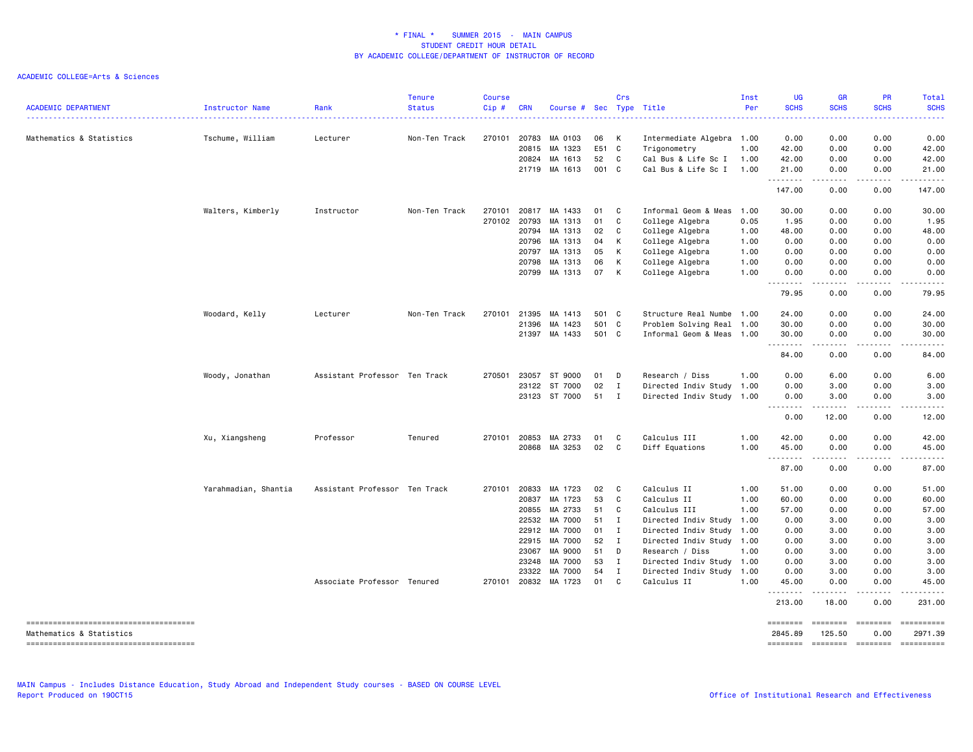| <b>ACADEMIC DEPARTMENT</b>                                         | Instructor Name      | Rank                          | <b>Tenure</b><br><b>Status</b> | <b>Course</b><br>Cip# | <b>CRN</b> | Course # Sec Type Title  |          | Crs          |                                     | Inst<br>Per  | <b>UG</b><br><b>SCHS</b><br>. | <b>GR</b><br><b>SCHS</b>                                                                                                                                      | <b>PR</b><br><b>SCHS</b> | Total<br><b>SCHS</b>  |
|--------------------------------------------------------------------|----------------------|-------------------------------|--------------------------------|-----------------------|------------|--------------------------|----------|--------------|-------------------------------------|--------------|-------------------------------|---------------------------------------------------------------------------------------------------------------------------------------------------------------|--------------------------|-----------------------|
| Mathematics & Statistics                                           | Tschume, William     | Lecturer                      | Non-Ten Track                  | 270101                | 20783      | MA 0103                  | 06       | К            | Intermediate Algebra 1.00           |              | 0.00                          | 0.00                                                                                                                                                          | 0.00                     | 0.00                  |
|                                                                    |                      |                               |                                |                       | 20815      | MA 1323                  | E51      | C            | Trigonometry                        | 1.00         | 42.00                         | 0.00                                                                                                                                                          | 0.00                     | 42.00                 |
|                                                                    |                      |                               |                                |                       |            | 20824 MA 1613            | 52       | C            | Cal Bus & Life Sc I                 | 1.00         | 42.00                         | 0.00                                                                                                                                                          | 0.00                     | 42.00                 |
|                                                                    |                      |                               |                                |                       | 21719      | MA 1613                  | 001 C    |              | Cal Bus & Life Sc I                 | 1.00         | 21.00<br>.                    | 0.00<br>.                                                                                                                                                     | 0.00<br>.                | 21.00<br>.            |
|                                                                    |                      |                               |                                |                       |            |                          |          |              |                                     |              | 147.00                        | 0.00                                                                                                                                                          | 0.00                     | 147.00                |
|                                                                    | Walters, Kimberly    | Instructor                    | Non-Ten Track                  | 270101                | 20817      | MA 1433                  | 01       | C            | Informal Geom & Meas                | 1.00         | 30.00                         | 0.00                                                                                                                                                          | 0.00                     | 30.00                 |
|                                                                    |                      |                               |                                | 270102 20793          |            | MA 1313                  | 01       | C            | College Algebra                     | 0.05         | 1.95                          | 0.00                                                                                                                                                          | 0.00                     | 1.95                  |
|                                                                    |                      |                               |                                |                       | 20794      | MA 1313                  | 02       | C            | College Algebra                     | 1.00         | 48.00                         | 0.00                                                                                                                                                          | 0.00                     | 48.00                 |
|                                                                    |                      |                               |                                |                       | 20796      | MA 1313                  | 04       | К            | College Algebra                     | 1.00         | 0.00                          | 0.00                                                                                                                                                          | 0.00                     | 0.00                  |
|                                                                    |                      |                               |                                |                       | 20797      | MA 1313                  | 05       | К            | College Algebra                     | 1.00         | 0.00                          | 0.00                                                                                                                                                          | 0.00                     | 0.00                  |
|                                                                    |                      |                               |                                |                       | 20798      | MA 1313                  | 06       | К            | College Algebra                     | 1.00         | 0.00                          | 0.00                                                                                                                                                          | 0.00                     | 0.00                  |
|                                                                    |                      |                               |                                |                       | 20799      | MA 1313                  | 07       | K            | College Algebra                     | 1.00         | 0.00<br>.                     | 0.00<br>$\sim$ $\sim$ $\sim$                                                                                                                                  | 0.00<br>.                | 0.00                  |
|                                                                    |                      |                               |                                |                       |            |                          |          |              |                                     |              | 79.95                         | 0.00                                                                                                                                                          | 0.00                     | 79.95                 |
|                                                                    | Woodard, Kelly       | Lecturer                      | Non-Ten Track                  | 270101                | 21395      | MA 1413                  | 501 C    |              | Structure Real Numbe                | 1.00         | 24.00                         | 0.00                                                                                                                                                          | 0.00                     | 24.00                 |
|                                                                    |                      |                               |                                |                       | 21396      | MA 1423                  | 501 C    |              | Problem Solving Real                | 1.00         | 30.00                         | 0.00                                                                                                                                                          | 0.00                     | 30.00                 |
|                                                                    |                      |                               |                                |                       |            | 21397 MA 1433            | 501 C    |              | Informal Geom & Meas                | 1.00         | 30.00<br><u>.</u>             | 0.00<br>.                                                                                                                                                     | 0.00                     | 30.00                 |
|                                                                    |                      |                               |                                |                       |            |                          |          |              |                                     |              | 84.00                         | 0.00                                                                                                                                                          | .<br>0.00                | .<br>84.00            |
|                                                                    | Woody, Jonathan      | Assistant Professor Ten Track |                                | 270501                | 23057      | ST 9000                  | 01       | D            | Research / Diss                     | 1.00         | 0.00                          | 6.00                                                                                                                                                          | 0.00                     | 6.00                  |
|                                                                    |                      |                               |                                |                       | 23122      | ST 7000                  | 02       | $\mathbf I$  | Directed Indiv Study 1.00           |              | 0.00                          | 3.00                                                                                                                                                          | 0.00                     | 3.00                  |
|                                                                    |                      |                               |                                |                       |            | 23123 ST 7000            | 51       | $\mathbf{I}$ | Directed Indiv Study 1.00           |              | 0.00                          | 3.00                                                                                                                                                          | 0.00                     | 3.00                  |
|                                                                    |                      |                               |                                |                       |            |                          |          |              |                                     |              | 0.00                          | 12.00                                                                                                                                                         | 0.00                     | 12.00                 |
|                                                                    | Xu, Xiangsheng       | Professor                     | Tenured                        | 270101                | 20853      | MA 2733                  | 01       | C            | Calculus III                        | 1.00         | 42.00                         | 0.00                                                                                                                                                          | 0.00                     | 42.00                 |
|                                                                    |                      |                               |                                |                       |            | 20868 MA 3253            | 02       | C            | Diff Equations                      | 1.00         | 45.00<br>.                    | 0.00<br>.                                                                                                                                                     | 0.00<br>.                | 45.00<br>. <u>.</u> . |
|                                                                    |                      |                               |                                |                       |            |                          |          |              |                                     |              | 87.00                         | 0.00                                                                                                                                                          | 0.00                     | 87.00                 |
|                                                                    | Yarahmadian, Shantia | Assistant Professor Ten Track |                                | 270101                | 20833      | MA 1723                  | 02       | C            | Calculus II                         | 1.00         | 51.00                         | 0.00                                                                                                                                                          | 0.00                     | 51.00                 |
|                                                                    |                      |                               |                                |                       | 20837      | MA 1723                  | 53       | C            | Calculus II                         | 1.00         | 60.00                         | 0.00                                                                                                                                                          | 0.00                     | 60.00                 |
|                                                                    |                      |                               |                                |                       | 20855      | MA 2733                  | 51       | C            | Calculus III                        | 1.00         | 57.00                         | 0.00                                                                                                                                                          | 0.00                     | 57.00                 |
|                                                                    |                      |                               |                                |                       | 22532      | MA 7000                  | 51       | $\mathbf{I}$ | Directed Indiv Study                | 1.00         | 0.00                          | 3.00                                                                                                                                                          | 0.00                     | 3.00                  |
|                                                                    |                      |                               |                                |                       | 22912      | MA 7000                  | 01       | $\mathbf I$  | Directed Indiv Study                | 1.00         | 0.00                          | 3.00                                                                                                                                                          | 0.00                     | 3.00                  |
|                                                                    |                      |                               |                                |                       | 22915      | MA 7000                  | 52       | I            | Directed Indiv Study                | 1.00         | 0.00                          | 3.00                                                                                                                                                          | 0.00                     | 3.00                  |
|                                                                    |                      |                               |                                |                       | 23067      | MA 9000                  | 51       | D            | Research / Diss                     | 1.00         | 0.00                          | 3.00                                                                                                                                                          | 0.00                     | 3.00                  |
|                                                                    |                      |                               |                                |                       | 23248      | MA 7000                  | 53       | $\mathbf{I}$ | Directed Indiv Study                | 1.00         | 0.00                          | 3.00                                                                                                                                                          | 0.00                     | 3.00                  |
|                                                                    |                      | Associate Professor Tenured   |                                | 270101                | 23322      | MA 7000<br>20832 MA 1723 | 54<br>01 | I<br>C       | Directed Indiv Study<br>Calculus II | 1.00<br>1.00 | 0.00<br>45.00                 | 3.00<br>0.00                                                                                                                                                  | 0.00<br>0.00             | 3.00<br>45.00         |
|                                                                    |                      |                               |                                |                       |            |                          |          |              |                                     |              | .<br>213.00                   | $\frac{1}{2} \left( \frac{1}{2} \right) \left( \frac{1}{2} \right) \left( \frac{1}{2} \right) \left( \frac{1}{2} \right) \left( \frac{1}{2} \right)$<br>18.00 | .<br>0.00                | 231.00                |
|                                                                    |                      |                               |                                |                       |            |                          |          |              |                                     |              | ========                      |                                                                                                                                                               |                          |                       |
| Mathematics & Statistics<br>-------------------------------------- |                      |                               |                                |                       |            |                          |          |              |                                     |              | 2845.89<br><b>SEBSEBED</b>    | 125.50<br><b>EDEDEDED</b>                                                                                                                                     | 0.00<br>========         | 2971.39               |
|                                                                    |                      |                               |                                |                       |            |                          |          |              |                                     |              |                               |                                                                                                                                                               |                          |                       |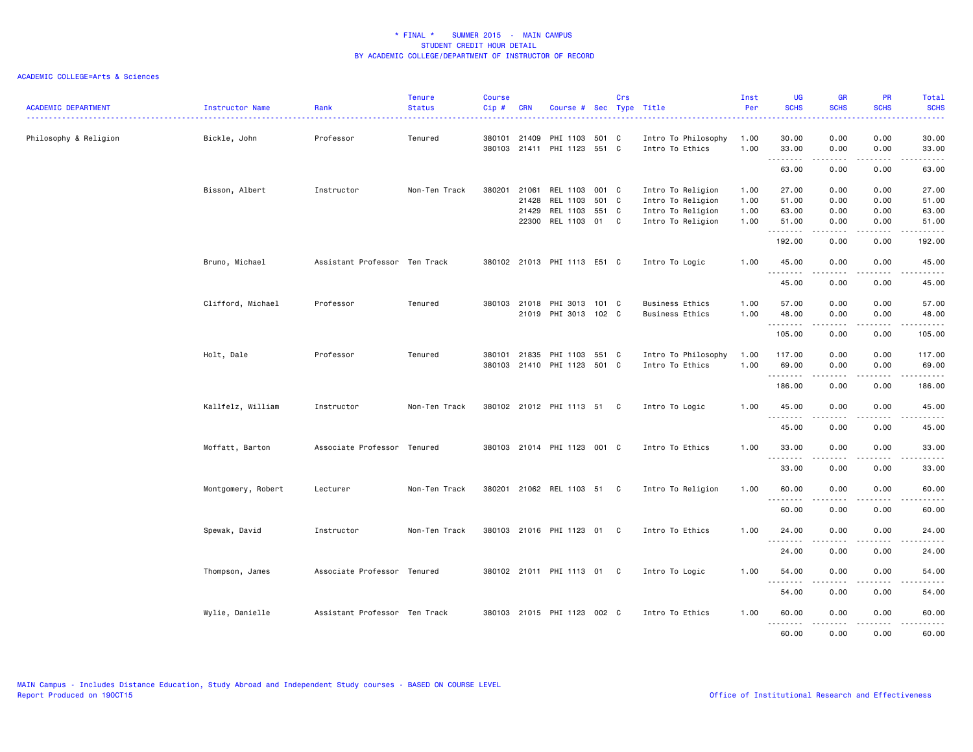| <b>ACADEMIC DEPARTMENT</b> | <b>Instructor Name</b> | Rank                          | <b>Tenure</b><br><b>Status</b> | <b>Course</b><br>Cip# | <b>CRN</b>                     | Course # Sec Type Title                             |                                 | Crs |                                                                                  | Inst<br>Per                  | <b>UG</b><br><b>SCHS</b>         | <b>GR</b><br><b>SCHS</b>                                                                                                                                             | PR<br><b>SCHS</b>            | Total<br><b>SCHS</b><br>$\frac{1}{2} \left( \frac{1}{2} \right) \left( \frac{1}{2} \right) \left( \frac{1}{2} \right) \left( \frac{1}{2} \right)$ |
|----------------------------|------------------------|-------------------------------|--------------------------------|-----------------------|--------------------------------|-----------------------------------------------------|---------------------------------|-----|----------------------------------------------------------------------------------|------------------------------|----------------------------------|----------------------------------------------------------------------------------------------------------------------------------------------------------------------|------------------------------|---------------------------------------------------------------------------------------------------------------------------------------------------|
| Philosophy & Religion      | Bickle, John           | Professor                     | Tenured                        |                       | 380101 21409                   | PHI 1103<br>380103 21411 PHI 1123                   | 501 C<br>551 C                  |     | Intro To Philosophy<br>Intro To Ethics                                           | 1.00<br>1.00                 | 30.00<br>33.00                   | 0.00<br>0.00                                                                                                                                                         | 0.00<br>0.00                 | 30.00<br>33.00                                                                                                                                    |
|                            |                        |                               |                                |                       |                                |                                                     |                                 |     |                                                                                  |                              | .<br>63.00                       | 0.00                                                                                                                                                                 | 0.00                         | 63.00                                                                                                                                             |
|                            | Bisson, Albert         | Instructor                    | Non-Ten Track                  |                       | 380201 21061<br>21428<br>21429 | REL 1103<br>REL 1103<br>REL 1103<br>22300 REL 1103  | 001 C<br>501 C<br>551 C<br>01 C |     | Intro To Religion<br>Intro To Religion<br>Intro To Religion<br>Intro To Religion | 1.00<br>1.00<br>1.00<br>1.00 | 27.00<br>51.00<br>63.00<br>51.00 | 0.00<br>0.00<br>0.00<br>0.00                                                                                                                                         | 0.00<br>0.00<br>0.00<br>0.00 | 27.00<br>51.00<br>63.00<br>51.00                                                                                                                  |
|                            |                        |                               |                                |                       |                                |                                                     |                                 |     |                                                                                  |                              | . <b>.</b><br>192.00             | 0.00                                                                                                                                                                 | 0.00                         | .<br>192.00                                                                                                                                       |
|                            | Bruno, Michael         | Assistant Professor Ten Track |                                |                       |                                | 380102 21013 PHI 1113 E51 C                         |                                 |     | Intro To Logic                                                                   | 1.00                         | 45.00                            | 0.00                                                                                                                                                                 | 0.00                         | 45.00                                                                                                                                             |
|                            |                        |                               |                                |                       |                                |                                                     |                                 |     |                                                                                  |                              | .<br>45.00                       | .<br>0.00                                                                                                                                                            | د د د د<br>0.00              | .<br>45.00                                                                                                                                        |
|                            | Clifford, Michael      | Professor                     | Tenured                        |                       |                                | 380103 21018 PHI 3013 101 C<br>21019 PHI 3013 102 C |                                 |     | <b>Business Ethics</b><br><b>Business Ethics</b>                                 | 1.00<br>1.00                 | 57.00<br>48.00                   | 0.00<br>0.00<br>$\frac{1}{2} \left( \frac{1}{2} \right) \left( \frac{1}{2} \right) \left( \frac{1}{2} \right) \left( \frac{1}{2} \right) \left( \frac{1}{2} \right)$ | 0.00<br>0.00<br>.            | 57.00<br>48.00<br>.                                                                                                                               |
|                            |                        |                               |                                |                       |                                |                                                     |                                 |     |                                                                                  |                              | 105.00                           | 0.00                                                                                                                                                                 | 0.00                         | 105.00                                                                                                                                            |
|                            | Holt, Dale             | Professor                     | Tenured                        |                       | 380101 21835                   | PHI 1103<br>380103 21410 PHI 1123 501 C             | 551 C                           |     | Intro To Philosophy<br>Intro To Ethics                                           | 1.00<br>1.00                 | 117.00<br>69.00                  | 0.00<br>0.00                                                                                                                                                         | 0.00<br>0.00                 | 117.00<br>69.00                                                                                                                                   |
|                            |                        |                               |                                |                       |                                |                                                     |                                 |     |                                                                                  |                              | .<br>186.00                      | .<br>0.00                                                                                                                                                            | .<br>0.00                    | $\begin{array}{cccccccccc} \bullet & \bullet & \bullet & \bullet & \bullet & \bullet & \bullet & \bullet \end{array}$<br>186.00                   |
|                            | Kallfelz, William      | Instructor                    | Non-Ten Track                  |                       |                                | 380102 21012 PHI 1113 51 C                          |                                 |     | Intro To Logic                                                                   | 1.00                         | 45.00<br>.                       | 0.00<br>$  -$                                                                                                                                                        | 0.00<br>.                    | 45.00<br>$\begin{array}{cccccccccccccc} \bullet & \bullet & \bullet & \bullet & \bullet & \bullet & \bullet \end{array}$                          |
|                            |                        |                               |                                |                       |                                |                                                     |                                 |     |                                                                                  |                              | 45.00                            | 0.00                                                                                                                                                                 | 0.00                         | 45.00                                                                                                                                             |
|                            | Moffatt, Barton        | Associate Professor Tenured   |                                |                       |                                | 380103 21014 PHI 1123 001 C                         |                                 |     | Intro To Ethics                                                                  | 1.00                         | 33.00<br><u>.</u>                | 0.00                                                                                                                                                                 | 0.00                         | 33.00                                                                                                                                             |
|                            |                        |                               |                                |                       |                                |                                                     |                                 |     |                                                                                  |                              | 33.00                            | 0.00                                                                                                                                                                 | 0.00                         | 33.00                                                                                                                                             |
|                            | Montgomery, Robert     | Lecturer                      | Non-Ten Track                  |                       |                                | 380201 21062 REL 1103 51 C                          |                                 |     | Intro To Religion                                                                | 1.00                         | 60.00                            | 0.00<br>-----                                                                                                                                                        | 0.00<br>.                    | 60.00<br>.                                                                                                                                        |
|                            |                        |                               |                                |                       |                                |                                                     |                                 |     |                                                                                  |                              | 60.00                            | 0.00                                                                                                                                                                 | 0.00                         | 60.00                                                                                                                                             |
|                            | Spewak, David          | Instructor                    | Non-Ten Track                  |                       |                                | 380103 21016 PHI 1123                               | 01 C                            |     | Intro To Ethics                                                                  | 1.00                         | 24.00<br>. <b>.</b>              | 0.00<br>$\frac{1}{2}$                                                                                                                                                | 0.00                         | 24.00<br>$\frac{1}{2}$                                                                                                                            |
|                            |                        |                               |                                |                       |                                |                                                     |                                 |     |                                                                                  |                              | 24.00                            | 0.00                                                                                                                                                                 | 0.00                         | 24.00                                                                                                                                             |
|                            | Thompson, James        | Associate Professor Tenured   |                                |                       |                                | 380102 21011 PHI 1113 01 C                          |                                 |     | Intro To Logic                                                                   | 1.00                         | 54.00<br><u>.</u>                | 0.00                                                                                                                                                                 | 0.00                         | 54.00                                                                                                                                             |
|                            |                        |                               |                                |                       |                                |                                                     |                                 |     |                                                                                  |                              | 54.00                            | 0.00                                                                                                                                                                 | 0.00                         | 54.00                                                                                                                                             |
|                            | Wylie, Danielle        | Assistant Professor Ten Track |                                |                       |                                | 380103 21015 PHI 1123 002 C                         |                                 |     | Intro To Ethics                                                                  | 1.00                         | 60.00<br>.                       | 0.00<br>-----                                                                                                                                                        | 0.00<br>.                    | 60.00<br>.                                                                                                                                        |
|                            |                        |                               |                                |                       |                                |                                                     |                                 |     |                                                                                  |                              | 60.00                            | 0.00                                                                                                                                                                 | 0.00                         | 60.00                                                                                                                                             |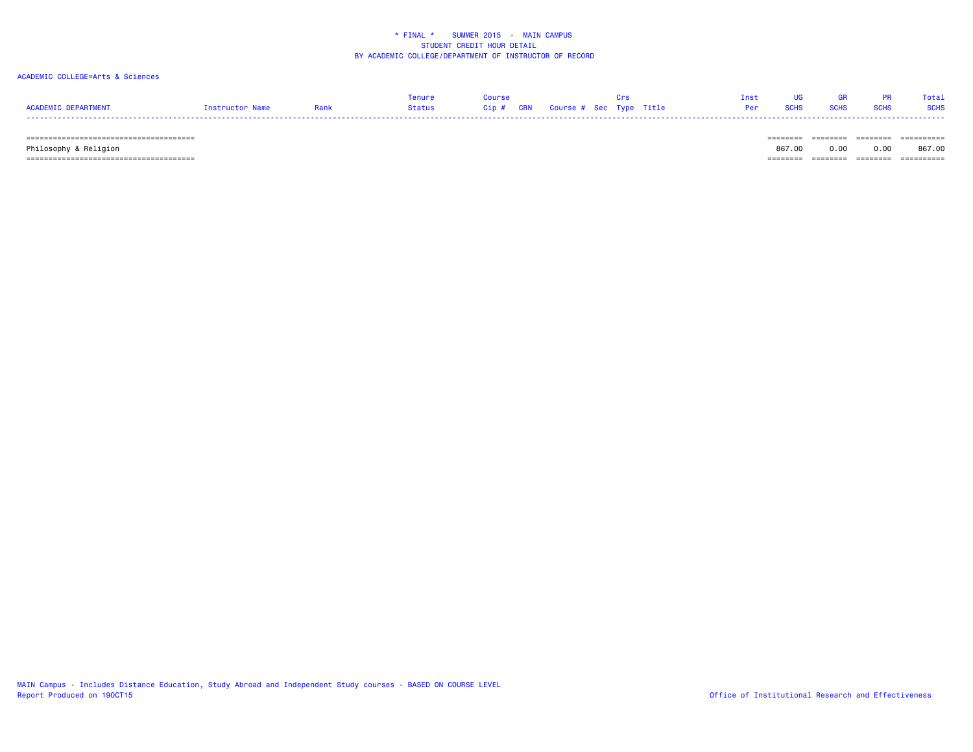### ACADEMIC COLLEGE=Arts & Sciences

|                     |                 |        | Course |                                       |  | Inst UG GR PR Total          |  |
|---------------------|-----------------|--------|--------|---------------------------------------|--|------------------------------|--|
| ACADEMIC DEPARTMENT | Instructor Name | Status |        | Cip # CRN   Course # Sec  Type  Title |  | Per SCHS SCHS SCHS SCHS SCHS |  |
|                     |                 |        |        |                                       |  |                              |  |

====================================== ======== ======== ======== ==========

Philosophy & Religion 867.00 0.00 0.00 867.00

====================================== ======== ======== ======== ==========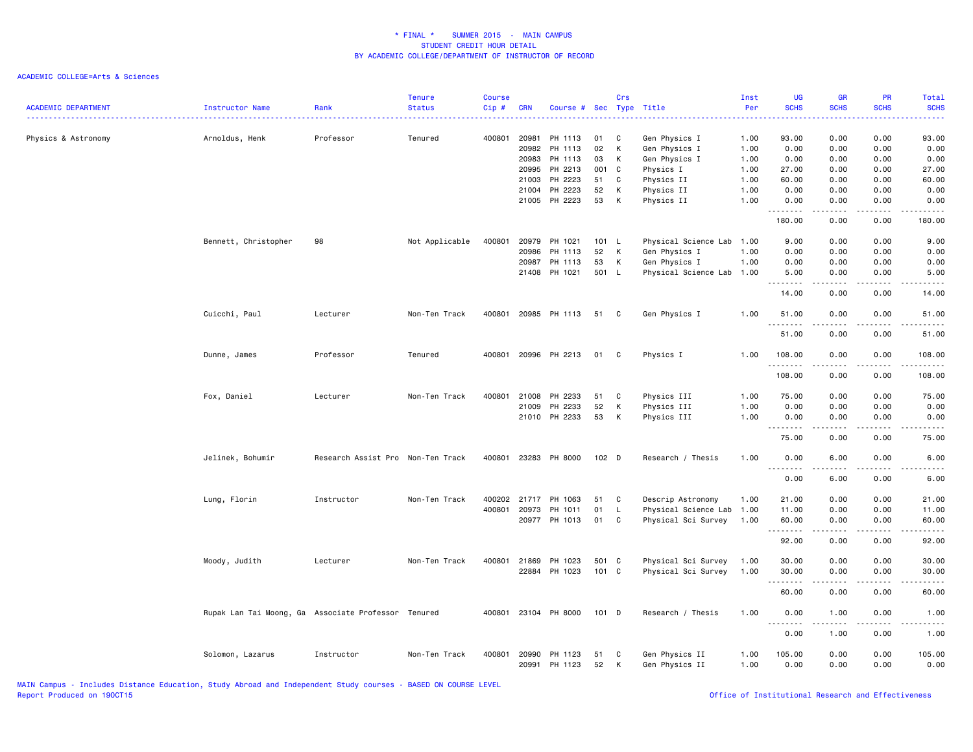### ACADEMIC COLLEGE=Arts & Sciences

| <b>ACADEMIC DEPARTMENT</b> | <b>Instructor Name</b>                              | Rank                              | <b>Tenure</b><br><b>Status</b> | <b>Course</b><br>Cip# | <b>CRN</b>     | Course # Sec         |          | Crs    | Type Title                       | Inst<br>Per  | <b>UG</b><br><b>SCHS</b>                                                                                                                                                                                           | <b>GR</b><br><b>SCHS</b> | PR<br><b>SCHS</b>    | Total<br><b>SCHS</b>                                                                                                      |
|----------------------------|-----------------------------------------------------|-----------------------------------|--------------------------------|-----------------------|----------------|----------------------|----------|--------|----------------------------------|--------------|--------------------------------------------------------------------------------------------------------------------------------------------------------------------------------------------------------------------|--------------------------|----------------------|---------------------------------------------------------------------------------------------------------------------------|
| Physics & Astronomy        | Arnoldus, Henk                                      | Professor                         | Tenured                        | 400801                | 20981          | PH 1113              | 01       | C      | Gen Physics I                    | 1.00         | 93.00                                                                                                                                                                                                              | 0.00                     | 0.00                 | 93.00                                                                                                                     |
|                            |                                                     |                                   |                                |                       | 20982          | PH 1113              | 02       | К      | Gen Physics I                    | 1.00         | 0.00                                                                                                                                                                                                               | 0.00                     | 0.00                 | 0.00                                                                                                                      |
|                            |                                                     |                                   |                                |                       | 20983          | PH 1113              | 03       | К      | Gen Physics I                    | 1.00         | 0.00                                                                                                                                                                                                               | 0.00                     | 0.00                 | 0.00                                                                                                                      |
|                            |                                                     |                                   |                                |                       | 20995          | PH 2213              | 001      | C      | Physics I                        | 1.00         | 27.00                                                                                                                                                                                                              | 0.00                     | 0.00                 | 27.00                                                                                                                     |
|                            |                                                     |                                   |                                |                       | 21003          | PH 2223              | 51       | C      | Physics II                       | 1.00         | 60.00                                                                                                                                                                                                              | 0.00                     | 0.00                 | 60.00                                                                                                                     |
|                            |                                                     |                                   |                                |                       | 21004          | PH 2223              | 52       | К      | Physics II                       | 1.00         | 0.00                                                                                                                                                                                                               | 0.00                     | 0.00                 | 0.00                                                                                                                      |
|                            |                                                     |                                   |                                |                       |                | 21005 PH 2223        | 53       | К      | Physics II                       | 1.00         | 0.00<br>.                                                                                                                                                                                                          | 0.00<br>د د د د          | 0.00<br>.            | 0.00<br>$\frac{1}{2}$                                                                                                     |
|                            |                                                     |                                   |                                |                       |                |                      |          |        |                                  |              | 180.00                                                                                                                                                                                                             | 0.00                     | 0.00                 | 180.00                                                                                                                    |
|                            | Bennett, Christopher                                | 98                                | Not Applicable                 | 400801                | 20979          | PH 1021              | 101 L    |        | Physical Science Lab 1.00        |              | 9.00                                                                                                                                                                                                               | 0.00                     | 0.00                 | 9.00                                                                                                                      |
|                            |                                                     |                                   |                                |                       | 20986          | PH 1113              | 52       | К      | Gen Physics I                    | 1.00         | 0.00                                                                                                                                                                                                               | 0.00                     | 0.00                 | 0.00                                                                                                                      |
|                            |                                                     |                                   |                                |                       | 20987          | PH 1113              | 53       | к      | Gen Physics I                    | 1.00         | 0.00                                                                                                                                                                                                               | 0.00                     | 0.00                 | 0.00                                                                                                                      |
|                            |                                                     |                                   |                                |                       |                | 21408 PH 1021        | 501 L    |        | Physical Science Lab 1.00        |              | 5.00<br>$\frac{1}{2} \left( \frac{1}{2} \right) \left( \frac{1}{2} \right) \left( \frac{1}{2} \right) \left( \frac{1}{2} \right) \left( \frac{1}{2} \right) \left( \frac{1}{2} \right) \left( \frac{1}{2} \right)$ | 0.00<br>.                | 0.00<br>.            | 5.00<br>.                                                                                                                 |
|                            |                                                     |                                   |                                |                       |                |                      |          |        |                                  |              | 14.00                                                                                                                                                                                                              | 0.00                     | 0.00                 | 14.00                                                                                                                     |
|                            | Cuicchi, Paul                                       | Lecturer                          | Non-Ten Track                  | 400801                |                | 20985 PH 1113        | 51       | C      | Gen Physics I                    | 1.00         | 51.00                                                                                                                                                                                                              | 0.00                     | 0.00                 | 51.00                                                                                                                     |
|                            |                                                     |                                   |                                |                       |                |                      |          |        |                                  |              | 51.00                                                                                                                                                                                                              | 0.00                     | 0.00                 | 51.00                                                                                                                     |
|                            | Dunne, James                                        | Professor                         | Tenured                        | 400801                |                | 20996 PH 2213        | 01       | C      | Physics I                        | 1.00         | 108.00                                                                                                                                                                                                             | 0.00                     | 0.00                 | 108.00                                                                                                                    |
|                            |                                                     |                                   |                                |                       |                |                      |          |        |                                  |              | <b></b><br>108.00                                                                                                                                                                                                  | 0.00                     | 0.00                 | .<br>108.00                                                                                                               |
|                            | Fox, Daniel                                         | Lecturer                          | Non-Ten Track                  | 400801                | 21008          | PH 2233              | 51       | C      | Physics III                      | 1.00         | 75.00                                                                                                                                                                                                              | 0.00                     | 0.00                 | 75.00                                                                                                                     |
|                            |                                                     |                                   |                                |                       | 21009          | PH 2233              | 52       | Κ      | Physics III                      | 1.00         | 0.00                                                                                                                                                                                                               | 0.00                     | 0.00                 | 0.00                                                                                                                      |
|                            |                                                     |                                   |                                |                       |                | 21010 PH 2233        | 53       | к      | Physics III                      | 1.00         | 0.00                                                                                                                                                                                                               | 0.00                     | 0.00                 | 0.00                                                                                                                      |
|                            |                                                     |                                   |                                |                       |                |                      |          |        |                                  |              | .<br>75.00                                                                                                                                                                                                         | .<br>0.00                | 0.00                 | $- - - -$<br>75.00                                                                                                        |
|                            | Jelinek, Bohumir                                    | Research Assist Pro Non-Ten Track |                                | 400801                |                | 23283 PH 8000        | 102 D    |        | Research / Thesis                | 1.00         | 0.00                                                                                                                                                                                                               | 6.00                     | 0.00                 | 6.00                                                                                                                      |
|                            |                                                     |                                   |                                |                       |                |                      |          |        |                                  |              | .<br>0.00                                                                                                                                                                                                          | ----<br>6.00             | . <u>. .</u><br>0.00 | 6.00                                                                                                                      |
|                            | Lung, Florin                                        | Instructor                        | Non-Ten Track                  | 400202                | 21717          | PH 1063              | 51       | C      | Descrip Astronomy                | 1.00         | 21.00                                                                                                                                                                                                              | 0.00                     | 0.00                 | 21.00                                                                                                                     |
|                            |                                                     |                                   |                                | 400801                | 20973          | PH 1011              | 01       | L      | Physical Science Lab 1.00        |              | 11.00                                                                                                                                                                                                              | 0.00                     | 0.00                 | 11.00                                                                                                                     |
|                            |                                                     |                                   |                                |                       |                | 20977 PH 1013        | 01       | C      | Physical Sci Survey              | 1.00         | 60.00                                                                                                                                                                                                              | 0.00                     | 0.00<br>.            | 60.00<br>.                                                                                                                |
|                            |                                                     |                                   |                                |                       |                |                      |          |        |                                  |              | .<br>92.00                                                                                                                                                                                                         | المتمالين<br>0.00        | 0.00                 | 92.00                                                                                                                     |
|                            | Moody, Judith                                       | Lecturer                          | Non-Ten Track                  | 400801                | 21869          | PH 1023              | 501 C    |        | Physical Sci Survey              | 1.00         | 30.00                                                                                                                                                                                                              | 0.00                     | 0.00                 | 30.00                                                                                                                     |
|                            |                                                     |                                   |                                |                       |                | 22884 PH 1023        | 101 C    |        | Physical Sci Survey              | 1.00         | 30.00                                                                                                                                                                                                              | 0.00                     | 0.00                 | 30.00                                                                                                                     |
|                            |                                                     |                                   |                                |                       |                |                      |          |        |                                  |              | .                                                                                                                                                                                                                  | . <b>.</b>               |                      | $\frac{1}{2} \left( \frac{1}{2} \right) \left( \frac{1}{2} \right) \left( \frac{1}{2} \right) \left( \frac{1}{2} \right)$ |
|                            |                                                     |                                   |                                |                       |                |                      |          |        |                                  |              | 60.00                                                                                                                                                                                                              | 0.00                     | 0.00                 | 60.00                                                                                                                     |
|                            | Rupak Lan Tai Moong, Ga Associate Professor Tenured |                                   |                                |                       |                | 400801 23104 PH 8000 | 101 D    |        | Research / Thesis                | 1.00         | 0.00<br>.                                                                                                                                                                                                          | 1.00<br>-----            | 0.00<br>.            | 1.00<br>د د د د                                                                                                           |
|                            |                                                     |                                   |                                |                       |                |                      |          |        |                                  |              | 0.00                                                                                                                                                                                                               | 1.00                     | 0.00                 | 1.00                                                                                                                      |
|                            | Solomon, Lazarus                                    | Instructor                        | Non-Ten Track                  | 400801                | 20990<br>20991 | PH 1123<br>PH 1123   | 51<br>52 | C<br>К | Gen Physics II<br>Gen Physics II | 1.00<br>1.00 | 105.00<br>0.00                                                                                                                                                                                                     | 0.00<br>0.00             | 0.00<br>0.00         | 105.00<br>0.00                                                                                                            |

MAIN Campus - Includes Distance Education, Study Abroad and Independent Study courses - BASED ON COURSE LEVEL

Office of Institutional Research and Effectiveness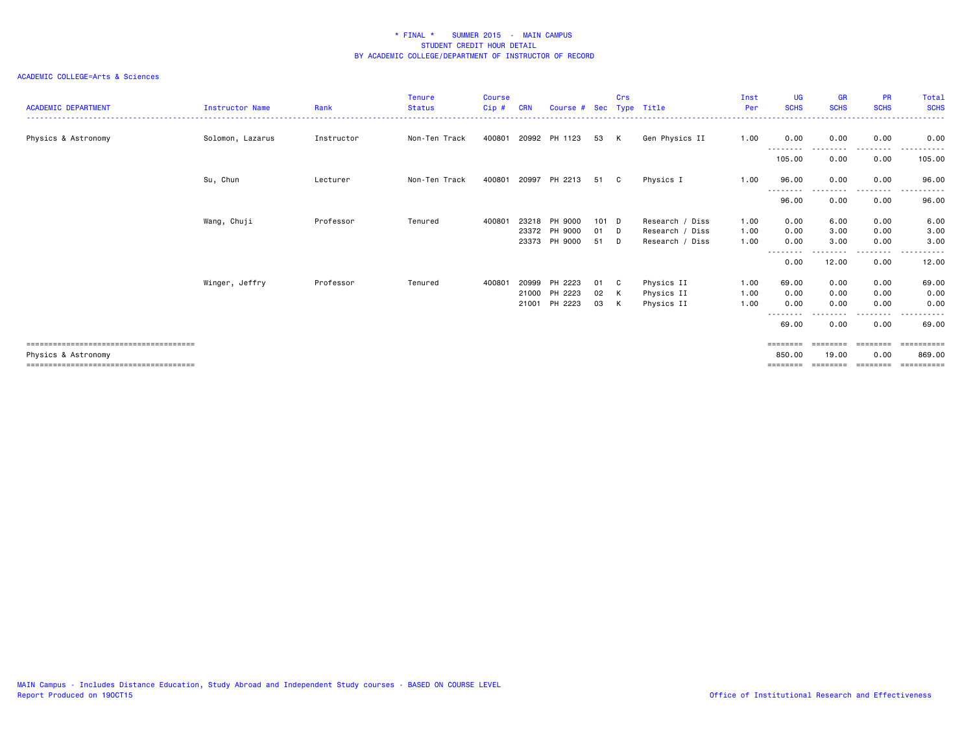| <b>ACADEMIC DEPARTMENT</b> | Instructor Name  | Rank       | <b>Tenure</b><br><b>Status</b> | <b>Course</b><br>Cip# | <b>CRN</b> | Course # Sec Type Title |       | Crs |                 | Inst<br>Per | <b>UG</b><br><b>SCHS</b> | <b>GR</b><br><b>SCHS</b> | PR<br><b>SCHS</b>  | Total<br><b>SCHS</b><br>------ |
|----------------------------|------------------|------------|--------------------------------|-----------------------|------------|-------------------------|-------|-----|-----------------|-------------|--------------------------|--------------------------|--------------------|--------------------------------|
| Physics & Astronomy        | Solomon, Lazarus | Instructor | Non-Ten Track                  | 400801                |            | 20992 PH 1123           | 53    | K   | Gen Physics II  | 1.00        | 0.00<br>---------        | 0.00                     | 0.00<br>.          | 0.00                           |
|                            |                  |            |                                |                       |            |                         |       |     |                 |             | 105.00                   | 0.00                     | 0.00               | 105.00                         |
|                            | Su, Chun         | Lecturer   | Non-Ten Track                  | 400801                | 20997      | PH 2213                 | 51    | C   | Physics I       | 1.00        | 96.00<br>--------        | 0.00                     | 0.00<br>.          | 96.00<br>.                     |
|                            |                  |            |                                |                       |            |                         |       |     |                 |             | 96.00                    | 0.00                     | 0.00               | 96.00                          |
|                            | Wang, Chuji      | Professor  | Tenured                        | 400801                | 23218      | PH 9000                 | 101 D |     | Research / Diss | 1.00        | 0.00                     | 6.00                     | 0.00               | 6.00                           |
|                            |                  |            |                                |                       |            | 23372 PH 9000           | 01    | D   | Research / Diss | 1.00        | 0.00                     | 3.00                     | 0.00               | 3.00                           |
|                            |                  |            |                                |                       |            | 23373 PH 9000           | 51    | D   | Research / Diss | 1.00        | 0.00                     | 3.00                     | 0.00<br>. <b>.</b> | 3.00<br>.                      |
|                            |                  |            |                                |                       |            |                         |       |     |                 |             | --------<br>0.00         | 12.00                    | 0.00               | 12.00                          |
|                            | Winger, Jeffry   | Professor  | Tenured                        | 400801                | 20999      | PH 2223                 | 01    | C   | Physics II      | 1.00        | 69.00                    | 0.00                     | 0.00               | 69.00                          |
|                            |                  |            |                                |                       |            | 21000 PH 2223           | 02    | K   | Physics II      | 1.00        | 0.00                     | 0.00                     | 0.00               | 0.00                           |
|                            |                  |            |                                |                       |            | 21001 PH 2223           | 03    | K   | Physics II      | 1.00        | 0.00                     | 0.00                     | 0.00               | 0.00                           |
|                            |                  |            |                                |                       |            |                         |       |     |                 |             | --------<br>69.00        | 0.00                     | ------<br>0.00     | ------<br>69.00                |
|                            |                  |            |                                |                       |            |                         |       |     |                 |             | =======                  |                          | ========           |                                |
| Physics & Astronomy        |                  |            |                                |                       |            |                         |       |     |                 |             | 850,00                   | 19.00                    | 0.00               | 869,00                         |
|                            |                  |            |                                |                       |            |                         |       |     |                 |             | ========                 | ========                 | ========           | ==========                     |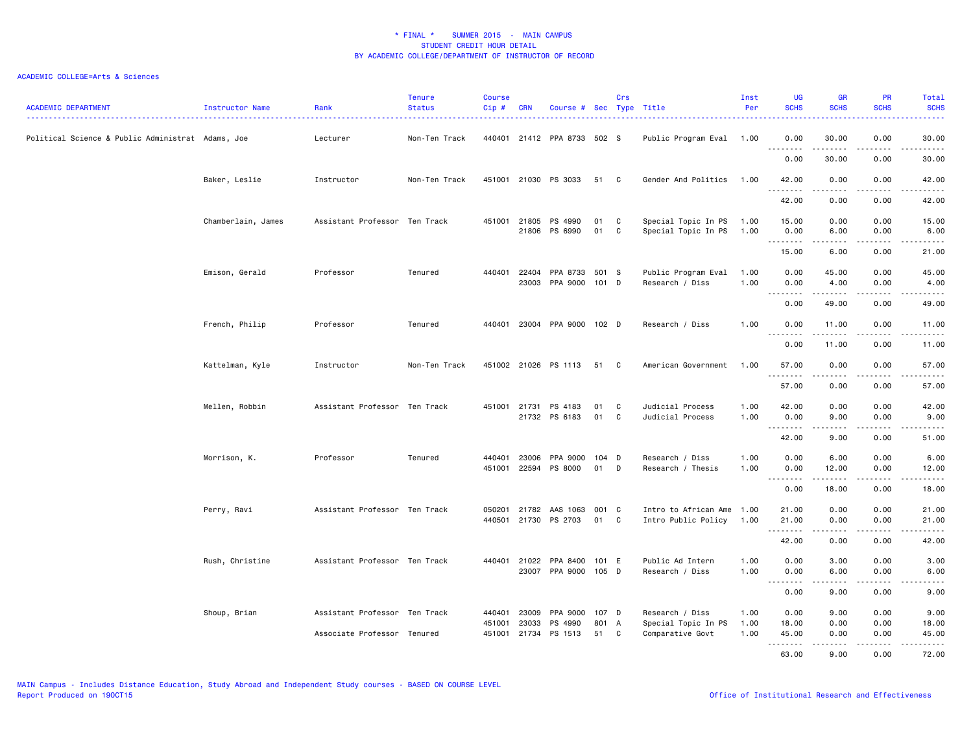| <b>ACADEMIC DEPARTMENT</b>                        | Instructor Name    | Rank                          | <b>Tenure</b><br><b>Status</b> | <b>Course</b><br>Cip# | <b>CRN</b>     | Course # Sec Type Title          |                | Crs    |                                                  | Inst<br>Per  | <b>UG</b><br><b>SCHS</b>                                                                                                                                                             | <b>GR</b><br><b>SCHS</b>                                                                                                                                     | <b>PR</b><br><b>SCHS</b> | Total<br><b>SCHS</b><br>. |
|---------------------------------------------------|--------------------|-------------------------------|--------------------------------|-----------------------|----------------|----------------------------------|----------------|--------|--------------------------------------------------|--------------|--------------------------------------------------------------------------------------------------------------------------------------------------------------------------------------|--------------------------------------------------------------------------------------------------------------------------------------------------------------|--------------------------|---------------------------|
| Political Science & Public Administrat Adams, Joe |                    | Lecturer                      | Non-Ten Track                  |                       |                | 440401 21412 PPA 8733 502 S      |                |        | Public Program Eval 1.00                         |              | 0.00<br>.                                                                                                                                                                            | 30.00<br>.                                                                                                                                                   | 0.00<br>د د د د          | 30.00<br>.                |
|                                                   |                    |                               |                                |                       |                |                                  |                |        |                                                  |              | 0.00                                                                                                                                                                                 | 30.00                                                                                                                                                        | 0.00                     | 30.00                     |
|                                                   | Baker, Leslie      | Instructor                    | Non-Ten Track                  |                       | 451001 21030   | PS 3033                          | 51 C           |        | Gender And Politics                              | 1.00         | 42.00                                                                                                                                                                                | 0.00                                                                                                                                                         | 0.00                     | 42.00<br>.                |
|                                                   |                    |                               |                                |                       |                |                                  |                |        |                                                  |              | .<br>42.00                                                                                                                                                                           | 0.00                                                                                                                                                         | 0.00                     | 42.00                     |
|                                                   | Chamberlain, James | Assistant Professor Ten Track |                                | 451001                | 21805<br>21806 | PS 4990<br>PS 6990               | 01<br>01       | C<br>C | Special Topic In PS<br>Special Topic In PS       | 1.00<br>1.00 | 15.00<br>0.00                                                                                                                                                                        | 0.00<br>6.00                                                                                                                                                 | 0.00<br>0.00<br>$  -$    | 15.00<br>6.00             |
|                                                   |                    |                               |                                |                       |                |                                  |                |        |                                                  |              | .<br>15.00                                                                                                                                                                           | .<br>6.00                                                                                                                                                    | 0.00                     | .<br>21.00                |
|                                                   | Emison, Gerald     | Professor                     | Tenured                        | 440401                | 22404<br>23003 | PPA 8733<br>PPA 9000 101 D       | 501 S          |        | Public Program Eval<br>Research / Diss           | 1.00<br>1.00 | 0.00<br>0.00                                                                                                                                                                         | 45.00<br>4.00                                                                                                                                                | 0.00<br>0.00             | 45.00<br>4.00             |
|                                                   |                    |                               |                                |                       |                |                                  |                |        |                                                  |              | .<br>0.00                                                                                                                                                                            | $\cdots \cdots \cdots$<br>49.00                                                                                                                              | .<br>0.00                | .<br>49.00                |
|                                                   | French, Philip     | Professor                     | Tenured                        | 440401                |                | 23004 PPA 9000 102 D             |                |        | Research / Diss                                  | 1.00         | 0.00                                                                                                                                                                                 | 11.00                                                                                                                                                        | 0.00                     | 11.00                     |
|                                                   |                    |                               |                                |                       |                |                                  |                |        |                                                  |              | .<br>0.00                                                                                                                                                                            | . <b>.</b> .<br>11.00                                                                                                                                        | 0.00                     | .<br>11.00                |
|                                                   | Kattelman, Kyle    | Instructor                    | Non-Ten Track                  |                       |                | 451002 21026 PS 1113             | 51             | C      | American Government                              | 1.00         | 57.00                                                                                                                                                                                | 0.00                                                                                                                                                         | 0.00                     | 57.00                     |
|                                                   |                    |                               |                                |                       |                |                                  |                |        |                                                  |              | $\sim$ $\sim$ $\sim$<br>د د د د<br>57.00                                                                                                                                             | 0.00                                                                                                                                                         | د د د د<br>0.00          | 57.00                     |
|                                                   | Mellen, Robbin     | Assistant Professor Ten Track |                                | 451001                | 21731          | PS 4183<br>21732 PS 6183         | 01<br>01       | C<br>C | Judicial Process<br>Judicial Process             | 1.00<br>1.00 | 42.00<br>0.00                                                                                                                                                                        | 0.00<br>9.00                                                                                                                                                 | 0.00<br>0.00             | 42.00<br>9.00             |
|                                                   |                    |                               |                                |                       |                |                                  |                |        |                                                  |              | .<br>42.00                                                                                                                                                                           | $\frac{1}{2} \left( \frac{1}{2} \right) \left( \frac{1}{2} \right) \left( \frac{1}{2} \right) \left( \frac{1}{2} \right) \left( \frac{1}{2} \right)$<br>9.00 | .<br>0.00                | .<br>51.00                |
|                                                   | Morrison, K.       | Professor                     | Tenured                        | 440401<br>451001      | 23006<br>22594 | PPA 9000<br>PS 8000              | $104$ D<br>01  | D      | Research / Diss<br>Research / Thesis             | 1.00<br>1.00 | 0.00<br>0.00                                                                                                                                                                         | 6.00<br>12.00                                                                                                                                                | 0.00<br>0.00             | 6.00<br>12.00             |
|                                                   |                    |                               |                                |                       |                |                                  |                |        |                                                  |              | .<br>0.00                                                                                                                                                                            | 18.00                                                                                                                                                        | 0.00                     | .<br>18.00                |
|                                                   | Perry, Ravi        | Assistant Professor Ten Track |                                | 050201<br>440501      | 21782<br>21730 | AAS 1063<br>PS 2703              | 001 C<br>01    | C      | Intro to African Ame 1.00<br>Intro Public Policy | 1.00         | 21.00<br>21.00                                                                                                                                                                       | 0.00<br>0.00                                                                                                                                                 | 0.00<br>0.00             | 21.00<br>21.00            |
|                                                   |                    |                               |                                |                       |                |                                  |                |        |                                                  |              | .<br>42.00                                                                                                                                                                           | $\frac{1}{2} \left( \frac{1}{2} \right) \left( \frac{1}{2} \right) \left( \frac{1}{2} \right) \left( \frac{1}{2} \right) \left( \frac{1}{2} \right)$<br>0.00 | .<br>0.00                | .<br>42.00                |
|                                                   | Rush, Christine    | Assistant Professor Ten Track |                                |                       | 440401 21022   | PPA 8400<br>23007 PPA 9000 105 D | 101 E          |        | Public Ad Intern<br>Research / Diss              | 1.00<br>1.00 | 0.00<br>0.00                                                                                                                                                                         | 3.00<br>6.00                                                                                                                                                 | 0.00<br>0.00             | 3.00<br>6.00              |
|                                                   |                    |                               |                                |                       |                |                                  |                |        |                                                  |              | $\sim$ $\sim$ $\sim$<br>$\frac{1}{2} \left( \frac{1}{2} \right) \left( \frac{1}{2} \right) \left( \frac{1}{2} \right) \left( \frac{1}{2} \right) \left( \frac{1}{2} \right)$<br>0.00 | <u>.</u><br>9.00                                                                                                                                             | .<br>0.00                | $\frac{1}{2}$<br>9.00     |
|                                                   | Shoup, Brian       | Assistant Professor Ten Track |                                | 440401<br>451001      | 23009<br>23033 | PPA 9000<br>PS 4990              | 107 D<br>801 A |        | Research / Diss<br>Special Topic In PS           | 1.00<br>1.00 | 0.00<br>18.00                                                                                                                                                                        | 9.00<br>0.00                                                                                                                                                 | 0.00<br>0.00             | 9.00<br>18.00             |
|                                                   |                    | Associate Professor Tenured   |                                | 451001                | 21734          | PS 1513                          | 51             | C      | Comparative Govt                                 | 1.00         | 45.00<br>.                                                                                                                                                                           | 0.00<br>-----                                                                                                                                                | 0.00<br>$\sim$ - - -     | 45.00<br>.                |
|                                                   |                    |                               |                                |                       |                |                                  |                |        |                                                  |              | 63.00                                                                                                                                                                                | 9.00                                                                                                                                                         | 0.00                     | 72.00                     |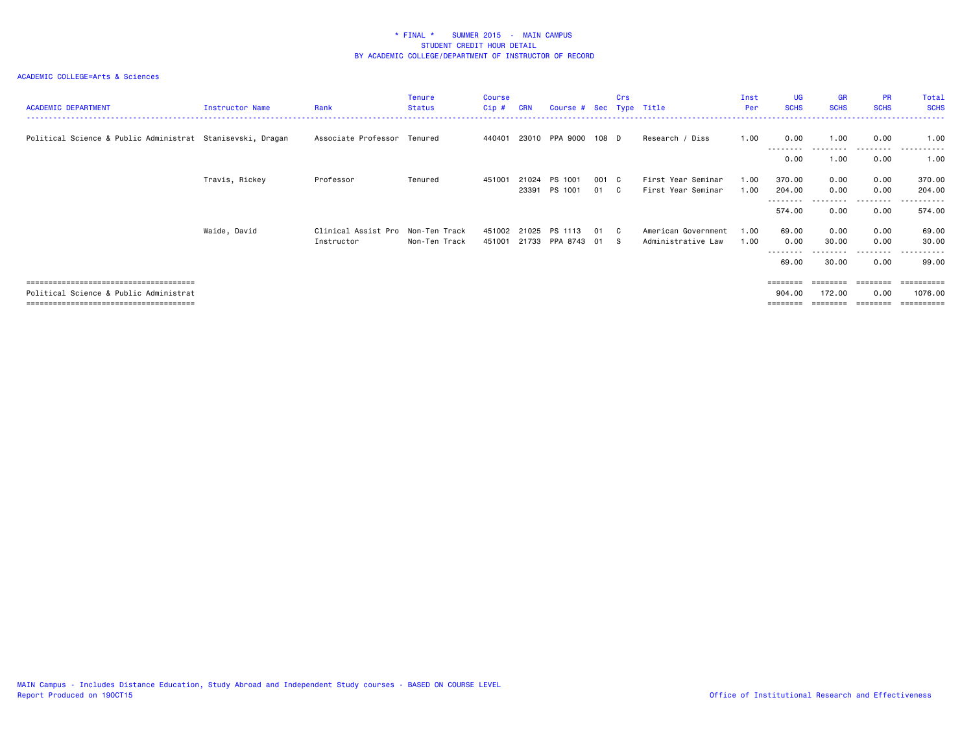| <b>ACADEMIC DEPARTMENT</b>                                 | Instructor Name | Rank                              | <b>Tenure</b><br><b>Status</b> | <b>Course</b><br>Cip# | <b>CRN</b> | Course # Sec Type Title |       | Crs          |                     | Inst<br>Per | <b>UG</b><br><b>SCHS</b> | <b>GR</b><br><b>SCHS</b> | <b>PR</b><br><b>SCHS</b> | Total<br><b>SCHS</b>  |
|------------------------------------------------------------|-----------------|-----------------------------------|--------------------------------|-----------------------|------------|-------------------------|-------|--------------|---------------------|-------------|--------------------------|--------------------------|--------------------------|-----------------------|
| Political Science & Public Administrat Stanisevski, Dragan |                 | Associate Professor Tenured       |                                | 440401                |            | 23010 PPA 9000          | 108 D |              | Research / Diss     | 1.00        | 0.00<br>--------         | 1.00                     | 0.00<br>---------        | 1.00<br>.             |
|                                                            |                 |                                   |                                |                       |            |                         |       |              |                     |             | 0.00                     | 1.00                     | 0.00                     | 1.00                  |
|                                                            | Travis, Rickey  | Professor                         | Tenured                        | 451001                | 21024      | PS 1001                 | 001   | $\mathbf{C}$ | First Year Seminar  | 1.00        | 370.00                   | 0.00                     | 0.00                     | 370.00                |
|                                                            |                 |                                   |                                |                       |            | 23391 PS 1001           | 01    | C.           | First Year Seminar  | 1.00        | 204.00                   | 0.00                     | 0.00<br>---------        | 204.00                |
|                                                            |                 |                                   |                                |                       |            |                         |       |              |                     |             | 574.00                   | 0.00                     | 0.00                     | 574.00                |
|                                                            | Waide, David    | Clinical Assist Pro Non-Ten Track |                                | 451002                | 21025      | PS 1113                 | 01    | $\mathbf{C}$ | American Government | 1.00        | 69.00                    | 0.00                     | 0.00                     | 69.00                 |
|                                                            |                 | Instructor                        | Non-Ten Track                  | 451001                | 21733      | PPA 8743 01             |       | - S          | Administrative Law  | 1.00        | 0.00                     | 30.00                    | 0.00                     | 30.00                 |
|                                                            |                 |                                   |                                |                       |            |                         |       |              |                     |             | --------<br>69.00        | 30.00                    | --------<br>0.00         | . <b>.</b> .<br>99.00 |
|                                                            |                 |                                   |                                |                       |            |                         |       |              |                     |             | ========                 |                          |                          | =======               |
| Political Science & Public Administrat                     |                 |                                   |                                |                       |            |                         |       |              |                     |             | 904.00                   | 172.00                   | 0.00                     | 1076.00               |
|                                                            |                 |                                   |                                |                       |            |                         |       |              |                     |             |                          |                          |                          | =========             |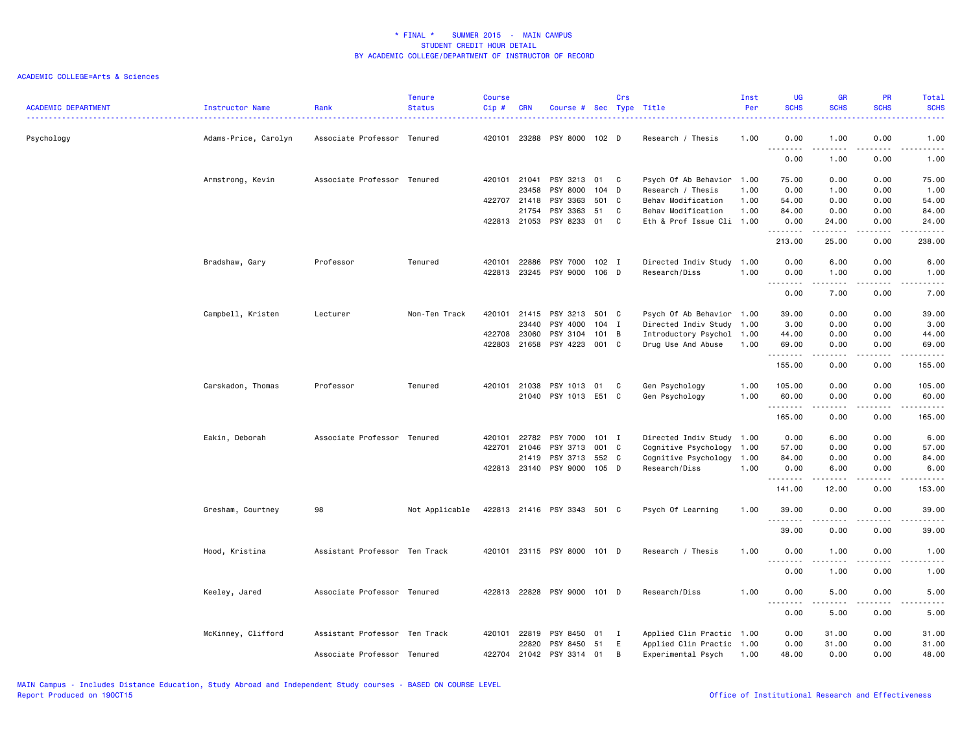| <b>ACADEMIC DEPARTMENT</b> | Instructor Name      | Rank                          | <b>Tenure</b><br><b>Status</b> | <b>Course</b><br>Cip# | <b>CRN</b>   | Course # Sec Type Title     |         | Crs          |                           | Inst<br>Per | <b>UG</b><br><b>SCHS</b>                | <b>GR</b><br><b>SCHS</b> | <b>PR</b><br><b>SCHS</b> | <b>Total</b><br><b>SCHS</b>                                                                                                                                  |
|----------------------------|----------------------|-------------------------------|--------------------------------|-----------------------|--------------|-----------------------------|---------|--------------|---------------------------|-------------|-----------------------------------------|--------------------------|--------------------------|--------------------------------------------------------------------------------------------------------------------------------------------------------------|
| Psychology                 | Adams-Price, Carolyn | Associate Professor Tenured   |                                | 420101                | 23288        | PSY 8000 102 D              |         |              | Research / Thesis         | 1.00        | 0.00<br>$\sim$ $\sim$<br>$\frac{1}{2}$  | 1.00<br>$\frac{1}{2}$    | 0.00<br>. <u>. .</u>     | 1.00<br>$\frac{1}{2}$                                                                                                                                        |
|                            |                      |                               |                                |                       |              |                             |         |              |                           |             | 0.00                                    | 1.00                     | 0.00                     | 1.00                                                                                                                                                         |
|                            | Armstrong, Kevin     | Associate Professor Tenured   |                                | 420101                | 21041        | PSY 3213 01                 |         | C            | Psych Of Ab Behavior 1.00 |             | 75.00                                   | 0.00                     | 0.00                     | 75.00                                                                                                                                                        |
|                            |                      |                               |                                |                       | 23458        | PSY 8000                    | 104 D   |              | Research / Thesis         | 1.00        | 0.00                                    | 1.00                     | 0.00                     | 1.00                                                                                                                                                         |
|                            |                      |                               |                                |                       | 422707 21418 | PSY 3363                    | 501     | C            | Behav Modification        | 1.00        | 54.00                                   | 0.00                     | 0.00                     | 54.00                                                                                                                                                        |
|                            |                      |                               |                                |                       | 21754        | PSY 3363                    | 51      | C            | Behav Modification        | 1.00        | 84.00                                   | 0.00                     | 0.00                     | 84.00                                                                                                                                                        |
|                            |                      |                               |                                |                       | 422813 21053 | PSY 8233                    | 01      | C            | Eth & Prof Issue Cli 1.00 |             | 0.00<br>.                               | 24.00<br>د د د د د       | 0.00<br>د د د د          | 24.00<br>.                                                                                                                                                   |
|                            |                      |                               |                                |                       |              |                             |         |              |                           |             | 213.00                                  | 25.00                    | 0.00                     | 238.00                                                                                                                                                       |
|                            | Bradshaw, Gary       | Professor                     | Tenured                        | 420101                | 22886        | PSY 7000 102 I              |         |              | Directed Indiv Study 1.00 |             | 0.00                                    | 6.00                     | 0.00                     | 6.00                                                                                                                                                         |
|                            |                      |                               |                                | 422813                | 23245        | PSY 9000 106 D              |         |              | Research/Diss             | 1.00        | 0.00<br>.                               | 1.00<br>.                | 0.00                     | 1.00<br>$\frac{1}{2}$                                                                                                                                        |
|                            |                      |                               |                                |                       |              |                             |         |              |                           |             | 0.00                                    | 7.00                     | 0.00                     | 7.00                                                                                                                                                         |
|                            | Campbell, Kristen    | Lecturer                      | Non-Ten Track                  |                       | 420101 21415 | PSY 3213                    | 501 C   |              | Psych Of Ab Behavior 1.00 |             | 39.00                                   | 0.00                     | 0.00                     | 39.00                                                                                                                                                        |
|                            |                      |                               |                                |                       | 23440        | PSY 4000                    | $104$ I |              | Directed Indiv Study 1.00 |             | 3.00                                    | 0.00                     | 0.00                     | 3.00                                                                                                                                                         |
|                            |                      |                               |                                | 422708                | 23060        | PSY 3104                    | 101 B   |              | Introductory Psychol 1.00 |             | 44.00                                   | 0.00                     | 0.00                     | 44.00                                                                                                                                                        |
|                            |                      |                               |                                | 422803                | 21658        | PSY 4223                    | 001 C   |              | Drug Use And Abuse        | 1.00        | 69.00<br>.                              | 0.00<br>.                | 0.00<br>.                | 69.00<br>.                                                                                                                                                   |
|                            |                      |                               |                                |                       |              |                             |         |              |                           |             | 155.00                                  | 0.00                     | 0.00                     | 155.00                                                                                                                                                       |
|                            | Carskadon, Thomas    | Professor                     | Tenured                        | 420101                | 21038        | PSY 1013 01                 |         | C            | Gen Psychology            | 1.00        | 105.00                                  | 0.00                     | 0.00                     | 105.00                                                                                                                                                       |
|                            |                      |                               |                                |                       | 21040        | PSY 1013 E51 C              |         |              | Gen Psychology            | 1.00        | 60.00<br>.                              | 0.00<br>.                | 0.00<br>$\cdots$         | 60.00<br>.                                                                                                                                                   |
|                            |                      |                               |                                |                       |              |                             |         |              |                           |             | 165.00                                  | 0.00                     | 0.00                     | 165.00                                                                                                                                                       |
|                            | Eakin, Deborah       | Associate Professor Tenured   |                                | 420101                | 22782        | PSY 7000                    | $101$ I |              | Directed Indiv Study 1.00 |             | 0.00                                    | 6.00                     | 0.00                     | 6.00                                                                                                                                                         |
|                            |                      |                               |                                | 422701                | 21046        | PSY 3713                    | 001     | C.           | Cognitive Psychology      | 1.00        | 57.00                                   | 0.00                     | 0.00                     | 57.00                                                                                                                                                        |
|                            |                      |                               |                                |                       | 21419        | PSY 3713                    | 552 C   |              | Cognitive Psychology 1.00 |             | 84.00                                   | 0.00                     | 0.00                     | 84.00                                                                                                                                                        |
|                            |                      |                               |                                |                       | 422813 23140 | PSY 9000 105 D              |         |              | Research/Diss             | 1.00        | 0.00<br>.                               | 6.00<br>.                | 0.00<br>.                | 6.00<br>.                                                                                                                                                    |
|                            |                      |                               |                                |                       |              |                             |         |              |                           |             | 141.00                                  | 12.00                    | 0.00                     | 153.00                                                                                                                                                       |
|                            | Gresham, Courtney    | 98                            | Not Applicable                 |                       |              | 422813 21416 PSY 3343 501 C |         |              | Psych Of Learning         | 1.00        | 39.00                                   | 0.00                     | 0.00                     | 39.00                                                                                                                                                        |
|                            |                      |                               |                                |                       |              |                             |         |              |                           |             | 39.00                                   | 0.00                     | 0.00                     | 39.00                                                                                                                                                        |
|                            | Hood, Kristina       | Assistant Professor Ten Track |                                |                       |              | 420101 23115 PSY 8000 101 D |         |              | Research / Thesis         | 1.00        | 0.00                                    | 1.00                     | 0.00                     | 1.00                                                                                                                                                         |
|                            |                      |                               |                                |                       |              |                             |         |              |                           |             | $\sim$ $\sim$ $\sim$<br>د د د د<br>0.00 | .<br>1.00                | .<br>0.00                | $\frac{1}{2} \left( \frac{1}{2} \right) \left( \frac{1}{2} \right) \left( \frac{1}{2} \right) \left( \frac{1}{2} \right) \left( \frac{1}{2} \right)$<br>1.00 |
|                            | Keeley, Jared        | Associate Professor Tenured   |                                | 422813                |              | 22828 PSY 9000 101 D        |         |              | Research/Diss             | 1.00        | 0.00                                    | 5.00                     | 0.00                     | 5.00                                                                                                                                                         |
|                            |                      |                               |                                |                       |              |                             |         |              |                           |             | 0.00                                    | 5.00                     | 0.00                     | 5.00                                                                                                                                                         |
|                            | McKinney, Clifford   | Assistant Professor Ten Track |                                | 420101                | 22819        | PSY 8450                    | 01      | $\mathbf{I}$ | Applied Clin Practic 1.00 |             | 0.00                                    | 31.00                    | 0.00                     | 31.00                                                                                                                                                        |
|                            |                      |                               |                                |                       | 22820        | PSY 8450                    | 51      | E            | Applied Clin Practic 1.00 |             | 0.00                                    | 31.00                    | 0.00                     | 31.00                                                                                                                                                        |
|                            |                      | Associate Professor Tenured   |                                | 422704                | 21042        | PSY 3314 01                 |         | B            | Experimental Psych        | 1.00        | 48.00                                   | 0.00                     | 0.00                     | 48.00                                                                                                                                                        |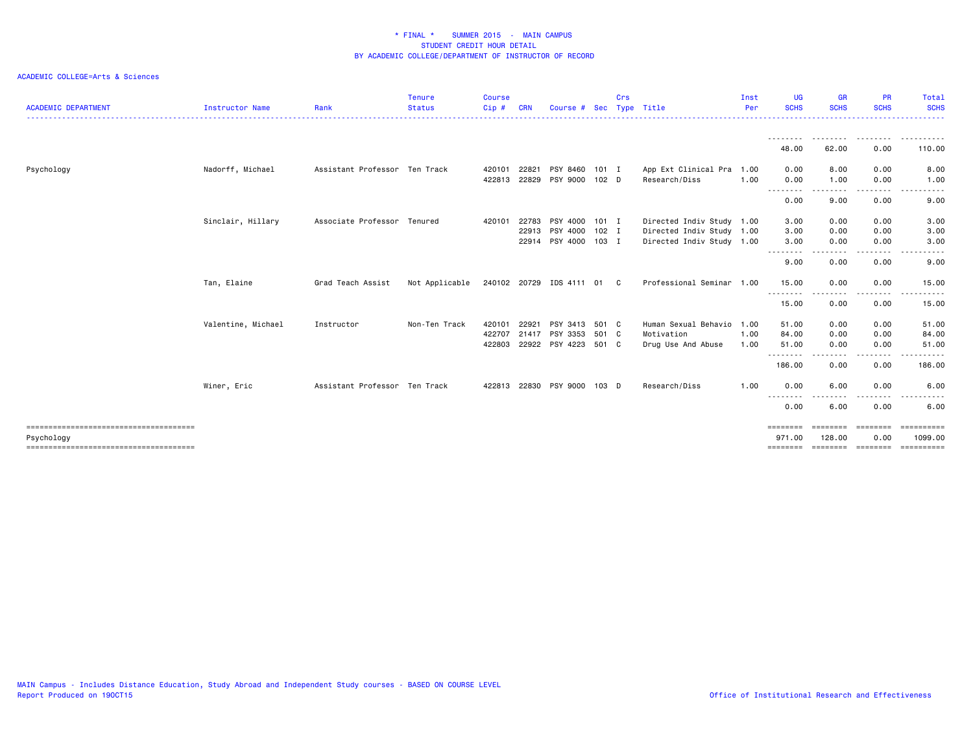| <b>ACADEMIC DEPARTMENT</b> | <b>Instructor Name</b> | Rank                          | <b>Tenure</b><br><b>Status</b> | <b>Course</b><br>Cip#      | <b>CRN</b>              | Course #                                     |                             | Crs | Sec Type Title                                                                      | Inst<br>Per          | <b>UG</b><br><b>SCHS</b>                      | <b>GR</b><br><b>SCHS</b>             | <b>PR</b><br><b>SCHS</b>          | Total<br><b>SCHS</b>                   |
|----------------------------|------------------------|-------------------------------|--------------------------------|----------------------------|-------------------------|----------------------------------------------|-----------------------------|-----|-------------------------------------------------------------------------------------|----------------------|-----------------------------------------------|--------------------------------------|-----------------------------------|----------------------------------------|
|                            |                        |                               |                                |                            |                         |                                              |                             |     |                                                                                     |                      | 48.00                                         | 62.00                                | 0.00                              | 110.00                                 |
| Psychology                 | Nadorff, Michael       | Assistant Professor Ten Track |                                | 420101<br>422813           | 22821<br>22829          | PSY 8460 101 I<br>PSY 9000                   | 102 <sub>D</sub>            |     | App Ext Clinical Pra 1.00<br>Research/Diss                                          | 1.00                 | 0.00<br>0.00                                  | 8.00<br>1.00                         | 0.00<br>0.00                      | 8.00<br>1.00                           |
|                            |                        |                               |                                |                            |                         |                                              |                             |     |                                                                                     |                      | 0.00                                          | $\cdots$<br>9.00                     | $\cdots$<br>0.00                  | -----<br>9.00                          |
|                            | Sinclair, Hillary      | Associate Professor Tenured   |                                | 420101                     | 22783<br>22913<br>22914 | PSY 4000<br>PSY 4000<br>PSY 4000             | 101 I<br>$102$ I<br>$103$ I |     | Directed Indiv Study 1.00<br>Directed Indiv Study 1.00<br>Directed Indiv Study 1.00 |                      | 3.00<br>3.00<br>3.00<br>$\cdots$<br>.<br>9.00 | 0.00<br>0.00<br>0.00<br>0.00         | 0.00<br>0.00<br>0.00<br>0.00      | 3.00<br>3.00<br>3.00<br>9.00           |
|                            | Tan, Elaine            | Grad Teach Assist             | Not Applicable                 |                            |                         | 240102 20729 IDS 4111 01 C                   |                             |     | Professional Seminar 1.00                                                           |                      | 15.00<br>.<br>15.00                           | 0.00<br>0.00                         | 0.00<br>----<br>0.00              | 15.00<br>$\frac{1}{2}$<br>15.00        |
|                            | Valentine, Michael     | Instructor                    | Non-Ten Track                  | 420101<br>422707<br>422803 | 22921<br>21417          | PSY 3413<br>PSY 3353<br>22922 PSY 4223 501 C | 501 C<br>501 C              |     | Human Sexual Behavio<br>Motivation<br>Drug Use And Abuse                            | 1.00<br>1.00<br>1.00 | 51.00<br>84.00<br>51.00<br>--------           | 0.00<br>0.00<br>0.00                 | 0.00<br>0.00<br>0.00<br>$- - - -$ | 51.00<br>84.00<br>51.00<br>- - - - - - |
|                            |                        |                               |                                |                            |                         |                                              |                             |     |                                                                                     |                      | 186.00                                        | 0.00                                 | 0.00                              | 186.00                                 |
|                            | Winer, Eric            | Assistant Professor Ten Track |                                | 422813 22830               |                         | PSY 9000 103 D                               |                             |     | Research/Diss                                                                       | 1.00                 | 0.00<br>- - - - - - - -<br>0.00               | 6.00<br>- - - -<br>6.00              | 0.00<br>----<br>0.00              | 6.00<br>6.00                           |
| Psychology                 |                        |                               |                                |                            |                         |                                              |                             |     |                                                                                     |                      | ========<br>971.00<br>========                | <b>EEEEEEE</b><br>128.00<br>======== | ========<br>0.00<br>========      | ==========<br>1099.00<br>-----------   |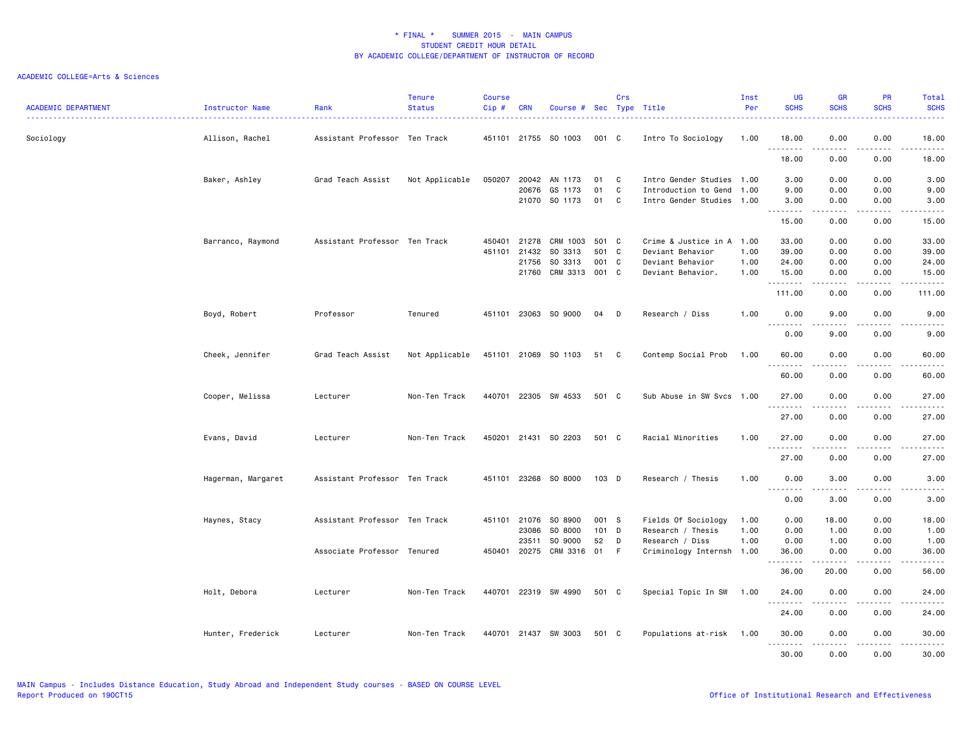| <b>ACADEMIC DEPARTMENT</b> | Instructor Name    | Rank                          | <b>Tenure</b><br><b>Status</b> | <b>Course</b><br>Cip# | <b>CRN</b>     | Course # Sec Type Title |          | Crs          |                                              | Inst<br>Per  | <b>UG</b><br><b>SCHS</b> | <b>GR</b><br><b>SCHS</b>                                                                                                                                     | <b>PR</b><br><b>SCHS</b> | Total<br><b>SCHS</b> |
|----------------------------|--------------------|-------------------------------|--------------------------------|-----------------------|----------------|-------------------------|----------|--------------|----------------------------------------------|--------------|--------------------------|--------------------------------------------------------------------------------------------------------------------------------------------------------------|--------------------------|----------------------|
| Sociology                  | Allison, Rachel    | Assistant Professor Ten Track |                                |                       |                | 451101 21755 SO 1003    | 001 C    |              | Intro To Sociology                           | 1.00         | 18.00<br>.               | 0.00<br><u>.</u>                                                                                                                                             | 0.00<br>.                | 18.00<br>.           |
|                            |                    |                               |                                |                       |                |                         |          |              |                                              |              | 18.00                    | 0.00                                                                                                                                                         | 0.00                     | 18.00                |
|                            | Baker, Ashley      | Grad Teach Assist             | Not Applicable                 | 050207                | 20042          | AN 1173                 | 01       | C.           | Intro Gender Studies 1.00                    |              | 3.00                     | 0.00                                                                                                                                                         | 0.00                     | 3.00                 |
|                            |                    |                               |                                |                       | 20676<br>21070 | GS 1173<br>SO 1173      | 01<br>01 | C<br>C       | Introduction to Gend<br>Intro Gender Studies | 1.00<br>1.00 | 9.00<br>3.00             | 0.00<br>0.00                                                                                                                                                 | 0.00<br>0.00             | 9.00<br>3.00         |
|                            |                    |                               |                                |                       |                |                         |          |              |                                              |              | .<br>15.00               | $\frac{1}{2} \left( \frac{1}{2} \right) \left( \frac{1}{2} \right) \left( \frac{1}{2} \right) \left( \frac{1}{2} \right) \left( \frac{1}{2} \right)$<br>0.00 | .<br>0.00                | .<br>15.00           |
|                            | Barranco, Raymond  | Assistant Professor Ten Track |                                | 450401                | 21278          | CRM 1003                | 501 C    |              | Crime & Justice in A 1.00                    |              | 33.00                    | 0.00                                                                                                                                                         | 0.00                     | 33.00                |
|                            |                    |                               |                                | 451101                | 21432          | SO 3313                 | 501      | C            | Deviant Behavior                             | 1.00         | 39.00                    | 0.00                                                                                                                                                         | 0.00                     | 39.00                |
|                            |                    |                               |                                |                       | 21756          | SO 3313                 | 001      | $\mathbf{C}$ | Deviant Behavior                             | 1.00         | 24.00                    | 0.00                                                                                                                                                         | 0.00                     | 24.00                |
|                            |                    |                               |                                |                       | 21760          | CRM 3313                | 001 C    |              | Deviant Behavior.                            | 1.00         | 15.00<br>.               | 0.00<br>.                                                                                                                                                    | 0.00                     | 15.00<br>.           |
|                            |                    |                               |                                |                       |                |                         |          |              |                                              |              | 111.00                   | 0.00                                                                                                                                                         | 0.00                     | 111.00               |
|                            | Boyd, Robert       | Professor                     | Tenured                        |                       |                | 451101 23063 SO 9000    | 04       | D            | Research / Diss                              | 1.00         | 0.00                     | 9.00                                                                                                                                                         | 0.00<br>.                | 9.00                 |
|                            |                    |                               |                                |                       |                |                         |          |              |                                              |              | .<br>0.00                | .<br>9.00                                                                                                                                                    | 0.00                     | .<br>9.00            |
|                            | Cheek, Jennifer    | Grad Teach Assist             | Not Applicable                 |                       |                | 451101 21069 SO 1103    | 51 C     |              | Contemp Social Prob                          | 1.00         | 60.00                    | 0.00                                                                                                                                                         | 0.00                     | 60.00                |
|                            |                    |                               |                                |                       |                |                         |          |              |                                              |              | <u>.</u><br>60.00        | 0.00                                                                                                                                                         | 0.00                     | 60.00                |
|                            | Cooper, Melissa    | Lecturer                      | Non-Ten Track                  | 440701                |                | 22305 SW 4533           | 501 C    |              | Sub Abuse in SW Svcs 1.00                    |              | 27.00                    | 0.00                                                                                                                                                         | 0.00                     | 27.00                |
|                            |                    |                               |                                |                       |                |                         |          |              |                                              |              | .<br>27.00               | .<br>0.00                                                                                                                                                    | .<br>0.00                | .<br>27.00           |
|                            | Evans, David       | Lecturer                      | Non-Ten Track                  | 450201                |                | 21431 SO 2203           | 501 C    |              | Racial Minorities                            | 1.00         | 27.00                    | 0.00                                                                                                                                                         | 0.00                     | 27.00                |
|                            |                    |                               |                                |                       |                |                         |          |              |                                              |              | .<br>27.00               | 0.00                                                                                                                                                         | 0.00                     | 27.00                |
|                            | Hagerman, Margaret | Assistant Professor Ten Track |                                | 451101 23268          |                | SO 8000                 | $103$ D  |              | Research / Thesis                            | 1.00         | 0.00                     | 3.00                                                                                                                                                         | 0.00                     | 3.00                 |
|                            |                    |                               |                                |                       |                |                         |          |              |                                              |              | .<br>0.00                | $\cdots$<br>3.00                                                                                                                                             | .<br>0.00                | $- - - - -$<br>3.00  |
|                            | Haynes, Stacy      | Assistant Professor Ten Track |                                | 451101 21076          |                | SO 8900                 | 001 S    |              | Fields Of Sociology                          | 1.00         | 0.00                     | 18.00                                                                                                                                                        | 0.00                     | 18.00                |
|                            |                    |                               |                                |                       | 23086          | SO 8000                 | 101      | D            | Research / Thesis                            | 1.00         | 0.00                     | 1.00                                                                                                                                                         | 0.00                     | 1.00                 |
|                            |                    |                               |                                |                       | 23511          | SO 9000                 | 52       | D            | Research / Diss                              | 1.00         | 0.00                     | 1.00                                                                                                                                                         | 0.00                     | 1.00                 |
|                            |                    | Associate Professor Tenured   |                                | 450401                | 20275          | CRM 3316 01             |          | F            | Criminology Internsh 1.00                    |              | 36.00<br>.               | 0.00<br>.                                                                                                                                                    | 0.00<br>.                | 36.00<br>د د د د د . |
|                            |                    |                               |                                |                       |                |                         |          |              |                                              |              | 36.00                    | 20.00                                                                                                                                                        | 0.00                     | 56.00                |
|                            | Holt, Debora       | Lecturer                      | Non-Ten Track                  |                       |                | 440701 22319 SW 4990    | 501 C    |              | Special Topic In SW                          | 1.00         | 24.00                    | 0.00                                                                                                                                                         | 0.00                     | 24.00                |
|                            |                    |                               |                                |                       |                |                         |          |              |                                              |              | .<br>24.00               | 0.00                                                                                                                                                         | 0.00                     | 24.00                |
|                            | Hunter, Frederick  | Lecturer                      | Non-Ten Track                  |                       |                | 440701 21437 SW 3003    | 501 C    |              | Populations at-risk 1.00                     |              | 30.00                    | 0.00                                                                                                                                                         | 0.00                     | 30.00                |
|                            |                    |                               |                                |                       |                |                         |          |              |                                              |              | <u>.</u><br>30.00        | -----<br>0.00                                                                                                                                                | .<br>0.00                | .<br>30.00           |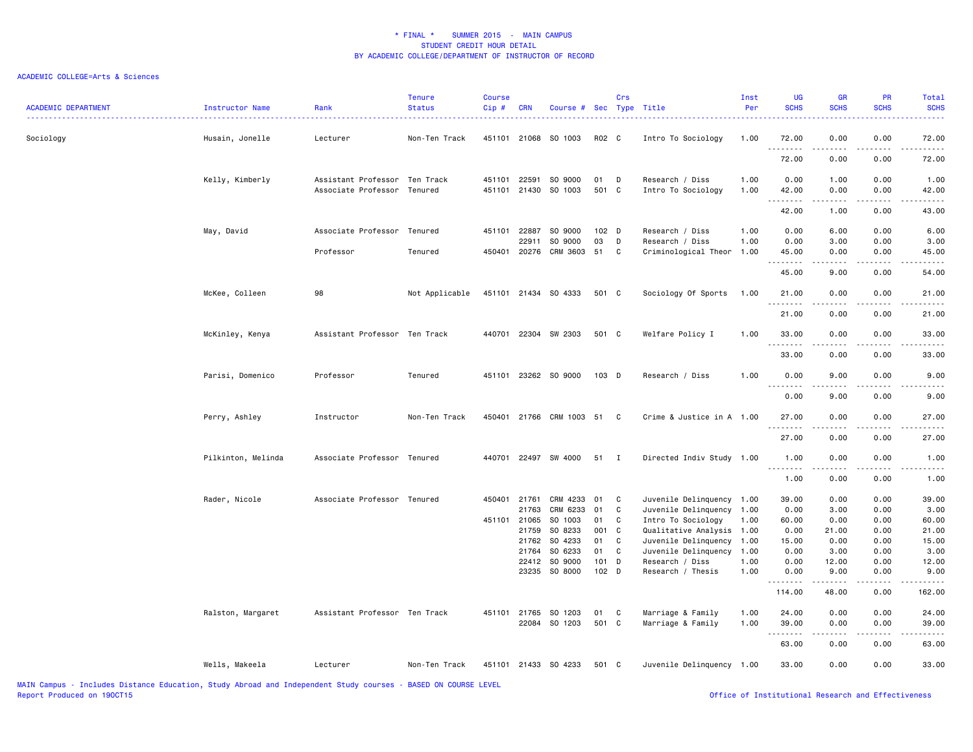### ACADEMIC COLLEGE=Arts & Sciences

| <b>ACADEMIC DEPARTMENT</b> | Instructor Name    | Rank                                                         | <b>Tenure</b><br><b>Status</b> | Course<br>$Cip$ #      | <b>CRN</b>                                         | Course # Sec Type Title                                                                      |                                                       | Crs                                  |                                                                                                                                                                                                             | Inst<br>Per          | <b>UG</b><br><b>SCHS</b>                                        | <b>GR</b><br><b>SCHS</b>                                                                                                                                     | PR<br><b>SCHS</b>                                            | Total<br><b>SCHS</b>                                                                                                              |
|----------------------------|--------------------|--------------------------------------------------------------|--------------------------------|------------------------|----------------------------------------------------|----------------------------------------------------------------------------------------------|-------------------------------------------------------|--------------------------------------|-------------------------------------------------------------------------------------------------------------------------------------------------------------------------------------------------------------|----------------------|-----------------------------------------------------------------|--------------------------------------------------------------------------------------------------------------------------------------------------------------|--------------------------------------------------------------|-----------------------------------------------------------------------------------------------------------------------------------|
| Sociology                  | Husain, Jonelle    | Lecturer                                                     | Non-Ten Track                  |                        |                                                    | 451101 21068 SO 1003                                                                         | R02 C                                                 |                                      | Intro To Sociology                                                                                                                                                                                          | 1.00                 | 72.00<br>.                                                      | 0.00<br>$\frac{1}{2} \left( \frac{1}{2} \right) \left( \frac{1}{2} \right) \left( \frac{1}{2} \right) \left( \frac{1}{2} \right) \left( \frac{1}{2} \right)$ | 0.00<br>المتمامين                                            | 72.00<br>.                                                                                                                        |
|                            |                    |                                                              |                                |                        |                                                    |                                                                                              |                                                       |                                      |                                                                                                                                                                                                             |                      | 72.00                                                           | 0.00                                                                                                                                                         | 0.00                                                         | 72.00                                                                                                                             |
|                            | Kelly, Kimberly    | Assistant Professor Ten Track<br>Associate Professor Tenured |                                | 451101<br>451101       | 22591<br>21430                                     | SO 9000<br>SO 1003                                                                           | 01<br>501 C                                           | D                                    | Research / Diss<br>Intro To Sociology                                                                                                                                                                       | 1.00<br>1.00         | 0.00<br>42.00                                                   | 1.00<br>0.00                                                                                                                                                 | 0.00<br>0.00                                                 | 1.00<br>42.00                                                                                                                     |
|                            |                    |                                                              |                                |                        |                                                    |                                                                                              |                                                       |                                      |                                                                                                                                                                                                             |                      | <u>.</u><br>42.00                                               | .<br>1.00                                                                                                                                                    | .<br>0.00                                                    | .<br>43.00                                                                                                                        |
|                            | May, David         | Associate Professor Tenured                                  |                                | 451101                 | 22887<br>22911                                     | SO 9000<br>SO 9000                                                                           | $102$ D<br>03                                         | D                                    | Research / Diss<br>Research / Diss                                                                                                                                                                          | 1.00<br>1.00         | 0.00<br>0.00                                                    | 6.00<br>3.00                                                                                                                                                 | 0.00<br>0.00                                                 | 6.00<br>3.00                                                                                                                      |
|                            |                    | Professor                                                    | Tenured                        |                        | 450401 20276                                       | CRM 3603                                                                                     | 51                                                    | C                                    | Criminological Theor 1.00                                                                                                                                                                                   |                      | 45.00<br>.                                                      | 0.00<br>.                                                                                                                                                    | 0.00<br>.                                                    | 45.00<br>.                                                                                                                        |
|                            |                    |                                                              |                                |                        |                                                    |                                                                                              |                                                       |                                      |                                                                                                                                                                                                             |                      | 45.00                                                           | 9.00                                                                                                                                                         | 0.00                                                         | 54.00                                                                                                                             |
|                            | McKee, Colleen     | 98                                                           | Not Applicable                 |                        |                                                    | 451101 21434 SO 4333                                                                         | 501 C                                                 |                                      | Sociology Of Sports                                                                                                                                                                                         | 1.00                 | 21.00<br>.                                                      | 0.00                                                                                                                                                         | 0.00                                                         | 21.00                                                                                                                             |
|                            |                    |                                                              |                                |                        |                                                    |                                                                                              |                                                       |                                      |                                                                                                                                                                                                             |                      | 21.00                                                           | 0.00                                                                                                                                                         | 0.00                                                         | 21.00                                                                                                                             |
|                            | McKinley, Kenya    | Assistant Professor Ten Track                                |                                |                        |                                                    | 440701 22304 SW 2303                                                                         | 501 C                                                 |                                      | Welfare Policy I                                                                                                                                                                                            | 1.00                 | 33.00<br>.                                                      | 0.00                                                                                                                                                         | 0.00                                                         | 33.00                                                                                                                             |
|                            |                    |                                                              |                                |                        |                                                    |                                                                                              |                                                       |                                      |                                                                                                                                                                                                             |                      | 33.00                                                           | 0.00                                                                                                                                                         | 0.00                                                         | 33.00                                                                                                                             |
|                            | Parisi, Domenico   | Professor                                                    | Tenured                        |                        |                                                    | 451101 23262 SO 9000                                                                         | 103 D                                                 |                                      | Research / Diss                                                                                                                                                                                             | 1.00                 | 0.00<br>.                                                       | 9.00<br>$\frac{1}{2} \left( \frac{1}{2} \right) \left( \frac{1}{2} \right) \left( \frac{1}{2} \right) \left( \frac{1}{2} \right) \left( \frac{1}{2} \right)$ | 0.00<br>.                                                    | 9.00<br>$\frac{1}{2} \left( \frac{1}{2} \right) \left( \frac{1}{2} \right) \left( \frac{1}{2} \right) \left( \frac{1}{2} \right)$ |
|                            |                    |                                                              |                                |                        |                                                    |                                                                                              |                                                       |                                      |                                                                                                                                                                                                             |                      | 0.00                                                            | 9.00                                                                                                                                                         | 0.00                                                         | 9.00                                                                                                                              |
|                            | Perry, Ashley      | Instructor                                                   | Non-Ten Track                  |                        |                                                    | 450401 21766 CRM 1003 51                                                                     |                                                       | C                                    | Crime & Justice in A 1.00                                                                                                                                                                                   |                      | 27.00<br>.                                                      | 0.00<br>. <b>.</b> .                                                                                                                                         | 0.00<br>.                                                    | 27.00                                                                                                                             |
|                            |                    |                                                              |                                |                        |                                                    |                                                                                              |                                                       |                                      |                                                                                                                                                                                                             |                      | 27.00                                                           | 0.00                                                                                                                                                         | 0.00                                                         | 27.00                                                                                                                             |
|                            | Pilkinton, Melinda | Associate Professor Tenured                                  |                                | 440701                 |                                                    | 22497 SW 4000                                                                                | 51 I                                                  |                                      | Directed Indiv Study 1.00                                                                                                                                                                                   |                      | 1.00<br>.                                                       | 0.00<br>.                                                                                                                                                    | 0.00                                                         | 1.00<br>$\omega$ is a $\omega$                                                                                                    |
|                            |                    |                                                              |                                |                        |                                                    |                                                                                              |                                                       |                                      |                                                                                                                                                                                                             |                      | 1.00                                                            | 0.00                                                                                                                                                         | 0.00                                                         | 1.00                                                                                                                              |
|                            | Rader, Nicole      | Associate Professor Tenured                                  |                                | 450401<br>451101 21065 | 21761<br>21763<br>21759<br>21762<br>21764<br>22412 | CRM 4233<br>CRM 6233<br>SO 1003<br>SO 8233<br>SO 4233<br>SO 6233<br>SO 9000<br>23235 SO 8000 | 01<br>01<br>01<br>001<br>01<br>01<br>$101$ D<br>102 D | C<br>C<br>C<br>C<br>$\mathbf c$<br>C | Juvenile Delinquency 1.00<br>Juvenile Delinquency 1.00<br>Intro To Sociology<br>Qualitative Analysis 1.00<br>Juvenile Delinquency 1.00<br>Juvenile Delinquency 1.00<br>Research / Diss<br>Research / Thesis | 1.00<br>1.00<br>1.00 | 39.00<br>0.00<br>60.00<br>0.00<br>15.00<br>0.00<br>0.00<br>0.00 | 0.00<br>3.00<br>0.00<br>21.00<br>0.00<br>3.00<br>12.00<br>9.00                                                                                               | 0.00<br>0.00<br>0.00<br>0.00<br>0.00<br>0.00<br>0.00<br>0.00 | 39.00<br>3.00<br>60.00<br>21.00<br>15.00<br>3.00<br>12.00<br>9.00                                                                 |
|                            |                    |                                                              |                                |                        |                                                    |                                                                                              |                                                       |                                      |                                                                                                                                                                                                             |                      | .<br>114.00                                                     | .<br>48.00                                                                                                                                                   | .<br>0.00                                                    | .<br>162.00                                                                                                                       |
|                            | Ralston, Margaret  | Assistant Professor Ten Track                                |                                | 451101 21765           |                                                    | SO 1203<br>22084 SO 1203                                                                     | 01<br>501 C                                           | C                                    | Marriage & Family<br>Marriage & Family                                                                                                                                                                      | 1.00<br>1.00         | 24.00<br>39.00<br>.                                             | 0.00<br>0.00<br>.                                                                                                                                            | 0.00<br>0.00<br>.                                            | 24.00<br>39.00<br>.                                                                                                               |
|                            |                    |                                                              |                                |                        |                                                    |                                                                                              |                                                       |                                      |                                                                                                                                                                                                             |                      | 63.00                                                           | 0.00                                                                                                                                                         | 0.00                                                         | 63.00                                                                                                                             |
|                            | Wells, Makeela     | Lecturer                                                     | Non-Ten Track                  |                        |                                                    | 451101 21433 SO 4233                                                                         | 501 C                                                 |                                      | Juvenile Delinquency 1.00                                                                                                                                                                                   |                      | 33.00                                                           | 0.00                                                                                                                                                         | 0.00                                                         | 33.00                                                                                                                             |

MAIN Campus - Includes Distance Education, Study Abroad and Independent Study courses - BASED ON COURSE LEVEL

Office of Institutional Research and Effectiveness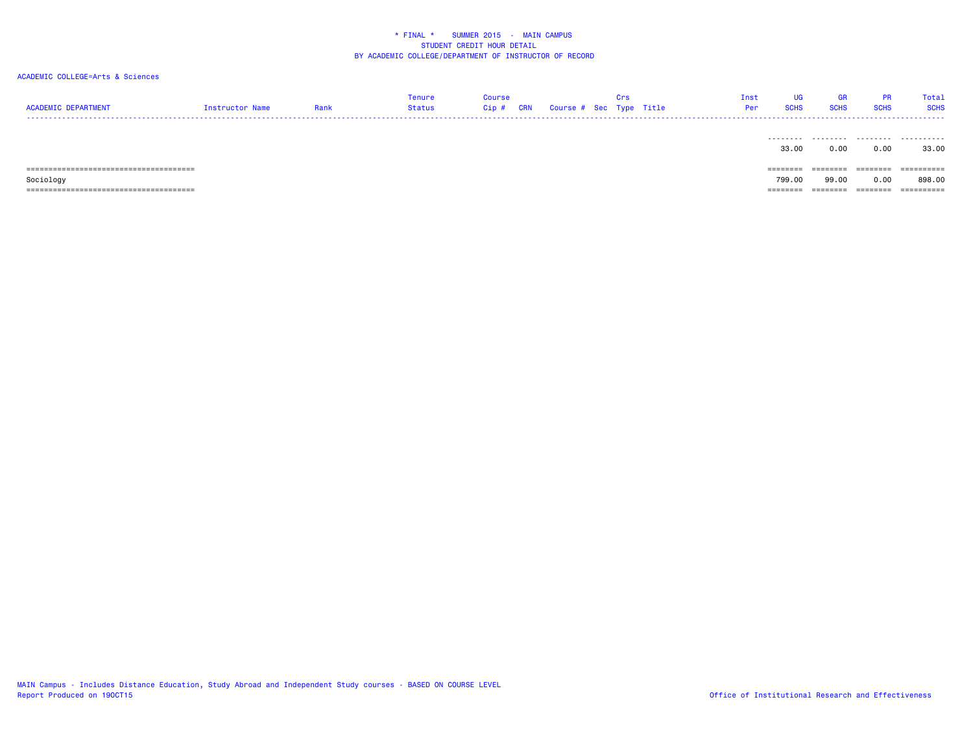| <b>ACADEMIC DEPARTMENT</b> | Instructor Name | Rank | Tenure<br><b>Status</b> | <b>Course</b><br>Cip# | <b>CRN</b> | Course # Sec Type Title | Cne<br><b>UI</b> 5 | Inst<br>Per | UG<br><b>SCHS</b> | GR<br><b>SCHS</b> | <b>PR</b><br><b>SCHS</b> | Total<br><b>SCHS</b> |
|----------------------------|-----------------|------|-------------------------|-----------------------|------------|-------------------------|--------------------|-------------|-------------------|-------------------|--------------------------|----------------------|
|                            |                 |      |                         |                       |            |                         |                    |             | 33.00             | 0.00              | 0.00                     | 33.00                |
|                            |                 |      |                         |                       |            |                         |                    |             | $=$ = = = = = = = | ========          | ========                 | ==========           |
| Sociology                  |                 |      |                         |                       |            |                         |                    |             | 799.00            | 99.00             | 0.00                     | 898.00               |
|                            |                 |      |                         |                       |            |                         |                    |             | ========          | ========          | ========                 |                      |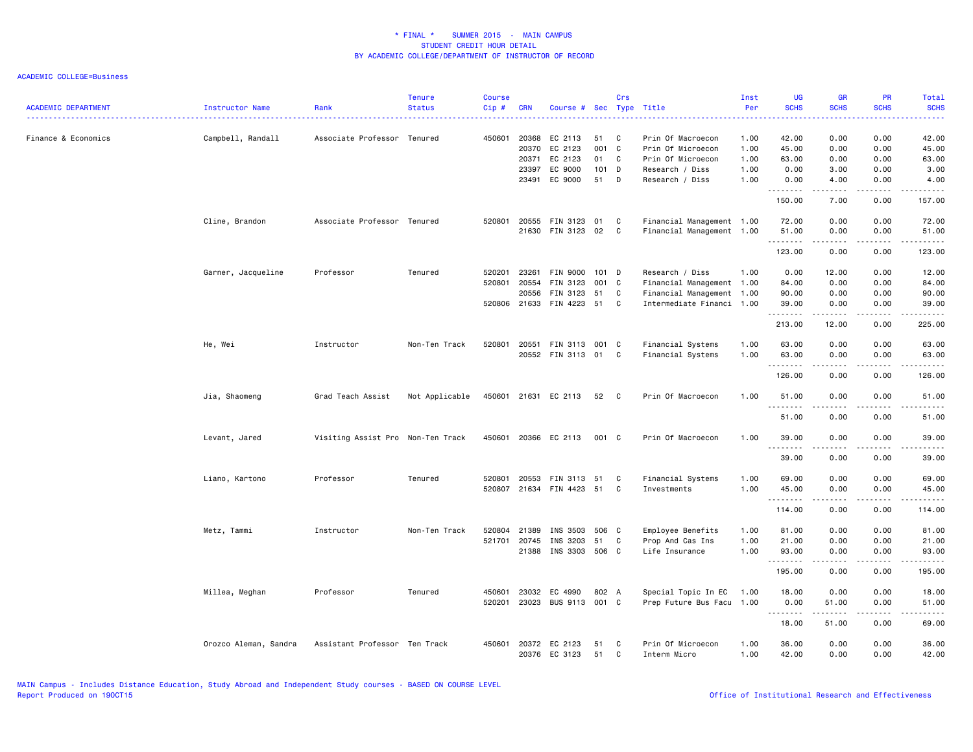| <b>ACADEMIC DEPARTMENT</b> | Instructor Name       | Rank                              | <b>Tenure</b><br><b>Status</b> | <b>Course</b><br>Cip#      | <b>CRN</b>                                | Course # Sec Type Title                             |                                | Crs              |                                                                                                        | Inst<br>Per<br>.                     | <b>UG</b><br><b>SCHS</b><br>.           | <b>GR</b><br><b>SCHS</b>             | <b>PR</b><br><b>SCHS</b>                                                                                                                  | Total<br><b>SCHS</b><br>.                                                                                                                                              |
|----------------------------|-----------------------|-----------------------------------|--------------------------------|----------------------------|-------------------------------------------|-----------------------------------------------------|--------------------------------|------------------|--------------------------------------------------------------------------------------------------------|--------------------------------------|-----------------------------------------|--------------------------------------|-------------------------------------------------------------------------------------------------------------------------------------------|------------------------------------------------------------------------------------------------------------------------------------------------------------------------|
| Finance & Economics        | Campbell, Randall     | Associate Professor Tenured       |                                | 450601                     | 20368<br>20370<br>20371<br>23397<br>23491 | EC 2113<br>EC 2123<br>EC 2123<br>EC 9000<br>EC 9000 | 51<br>001<br>01<br>101 D<br>51 | C<br>C<br>C<br>D | Prin Of Macroecon<br>Prin Of Microecon<br>Prin Of Microecon<br>Research / Diss<br>Research / Diss      | 1.00<br>1.00<br>1.00<br>1.00<br>1.00 | 42.00<br>45.00<br>63.00<br>0.00<br>0.00 | 0.00<br>0.00<br>0.00<br>3.00<br>4.00 | 0.00<br>0.00<br>0.00<br>0.00<br>0.00                                                                                                      | 42.00<br>45.00<br>63.00<br>3.00<br>4.00                                                                                                                                |
|                            |                       |                                   |                                |                            |                                           |                                                     |                                |                  |                                                                                                        |                                      | . <b>.</b><br>150.00                    | <u>.</u><br>7.00                     | $- - -$<br>0.00                                                                                                                           | .<br>157.00                                                                                                                                                            |
|                            | Cline, Brandon        | Associate Professor Tenured       |                                | 520801                     | 20555<br>21630                            | FIN 3123<br>FIN 3123                                | 01<br>02                       | C<br>C           | Financial Management 1.00<br>Financial Management 1.00                                                 |                                      | 72.00<br>51.00<br>.                     | 0.00<br>0.00<br>.                    | 0.00<br>0.00<br>.                                                                                                                         | 72.00<br>51.00<br>.                                                                                                                                                    |
|                            |                       |                                   |                                |                            |                                           |                                                     |                                |                  |                                                                                                        |                                      | 123.00                                  | 0.00                                 | 0.00                                                                                                                                      | 123.00                                                                                                                                                                 |
|                            | Garner, Jacqueline    | Professor                         | Tenured                        | 520201<br>520801<br>520806 | 23261<br>20554<br>20556<br>21633          | FIN 9000<br>FIN 3123<br>FIN 3123<br>FIN 4223        | $101$ D<br>001 C<br>51<br>51   | C<br>C           | Research / Diss<br>Financial Management 1.00<br>Financial Management 1.00<br>Intermediate Financi 1.00 | 1.00                                 | 0.00<br>84.00<br>90.00<br>39.00<br>.    | 12.00<br>0.00<br>0.00<br>0.00<br>.   | 0.00<br>0.00<br>0.00<br>0.00<br>.                                                                                                         | 12.00<br>84.00<br>90.00<br>39.00<br>.                                                                                                                                  |
|                            |                       |                                   |                                |                            |                                           |                                                     |                                |                  |                                                                                                        |                                      | 213.00                                  | 12.00                                | 0.00                                                                                                                                      | 225.00                                                                                                                                                                 |
|                            | He, Wei               | Instructor                        | Non-Ten Track                  | 520801                     | 20551                                     | FIN 3113 001 C<br>20552 FIN 3113                    | 01                             | C.               | Financial Systems<br>Financial Systems                                                                 | 1.00<br>1.00                         | 63.00<br>63.00<br>.                     | 0.00<br>0.00                         | 0.00<br>0.00                                                                                                                              | 63.00<br>63.00<br>المتماما                                                                                                                                             |
|                            |                       |                                   |                                |                            |                                           |                                                     |                                |                  |                                                                                                        |                                      | 126.00                                  | 0.00                                 | 0.00                                                                                                                                      | 126.00                                                                                                                                                                 |
|                            | Jia, Shaomeng         | Grad Teach Assist                 | Not Applicable                 |                            |                                           | 450601 21631 EC 2113                                | 52                             | C                | Prin Of Macroecon                                                                                      | 1.00                                 | 51.00<br>. <b>.</b>                     | 0.00                                 | 0.00                                                                                                                                      | 51.00<br>$\frac{1}{2} \left( \frac{1}{2} \right) \left( \frac{1}{2} \right) \left( \frac{1}{2} \right) \left( \frac{1}{2} \right) \left( \frac{1}{2} \right)$          |
|                            |                       |                                   |                                |                            |                                           |                                                     |                                |                  |                                                                                                        |                                      | 51.00                                   | 0.00                                 | 0.00                                                                                                                                      | 51.00                                                                                                                                                                  |
|                            | Levant, Jared         | Visiting Assist Pro Non-Ten Track |                                | 450601                     | 20366                                     | EC 2113                                             | 001 C                          |                  | Prin Of Macroecon                                                                                      | 1.00                                 | 39.00<br><u>.</u>                       | 0.00<br>.                            | 0.00<br>$\cdots$                                                                                                                          | 39.00<br>.                                                                                                                                                             |
|                            |                       |                                   |                                |                            |                                           |                                                     |                                |                  |                                                                                                        |                                      | 39.00                                   | 0.00                                 | 0.00                                                                                                                                      | 39.00                                                                                                                                                                  |
|                            | Liano, Kartono        | Professor                         | Tenured                        | 520801                     | 20553                                     | FIN 3113<br>520807 21634 FIN 4423                   | 51<br>51                       | C<br>C           | Financial Systems<br>Investments                                                                       | 1.00<br>1.00                         | 69.00<br>45.00                          | 0.00<br>0.00                         | 0.00<br>0.00                                                                                                                              | 69.00<br>45.00                                                                                                                                                         |
|                            |                       |                                   |                                |                            |                                           |                                                     |                                |                  |                                                                                                        |                                      | .<br>114.00                             | $- - - - -$<br>0.00                  | .<br>0.00                                                                                                                                 | .<br>114.00                                                                                                                                                            |
|                            | Metz, Tammi           | Instructor                        | Non-Ten Track                  | 520804<br>521701           | 21389<br>20745<br>21388                   | INS 3503<br>INS 3203<br>INS 3303 506 C              | 506 C<br>51                    | C                | Employee Benefits<br>Prop And Cas Ins<br>Life Insurance                                                | 1.00<br>1.00<br>1.00                 | 81.00<br>21.00<br>93.00<br>.            | 0.00<br>0.00<br>0.00<br>$- - - - -$  | 0.00<br>0.00<br>0.00<br>.                                                                                                                 | 81.00<br>21.00<br>93.00<br>.                                                                                                                                           |
|                            |                       |                                   |                                |                            |                                           |                                                     |                                |                  |                                                                                                        |                                      | 195.00                                  | 0.00                                 | 0.00                                                                                                                                      | 195.00                                                                                                                                                                 |
|                            | Millea, Meghan        | Professor                         | Tenured                        | 450601<br>520201           | 23032<br>23023                            | EC 4990<br>BUS 9113 001 C                           | 802 A                          |                  | Special Topic In EC<br>Prep Future Bus Facu 1.00                                                       | 1.00                                 | 18.00<br>0.00<br>.                      | 0.00<br>51.00                        | 0.00<br>0.00<br>$\frac{1}{2} \left( \frac{1}{2} \right) \left( \frac{1}{2} \right) \left( \frac{1}{2} \right) \left( \frac{1}{2} \right)$ | 18.00<br>51.00<br>$\frac{1}{2} \left( \frac{1}{2} \right) \left( \frac{1}{2} \right) \left( \frac{1}{2} \right) \left( \frac{1}{2} \right) \left( \frac{1}{2} \right)$ |
|                            |                       |                                   |                                |                            |                                           |                                                     |                                |                  |                                                                                                        |                                      | 18.00                                   | 51.00                                | 0.00                                                                                                                                      | 69.00                                                                                                                                                                  |
|                            | Orozco Aleman, Sandra | Assistant Professor Ten Track     |                                | 450601                     | 20372                                     | EC 2123<br>20376 EC 3123                            | 51<br>51                       | C<br>C           | Prin Of Microecon<br>Interm Micro                                                                      | 1.00<br>1.00                         | 36.00<br>42.00                          | 0.00<br>0.00                         | 0.00<br>0.00                                                                                                                              | 36.00<br>42.00                                                                                                                                                         |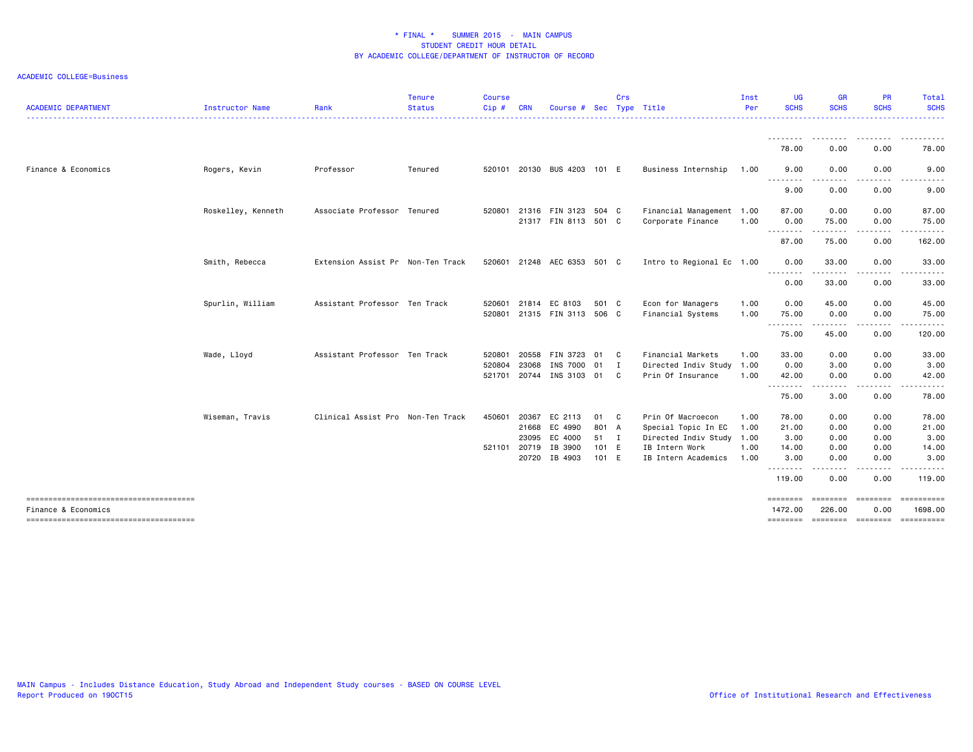| <b>ACADEMIC DEPARTMENT</b> | Instructor Name    | Rank                              | <b>Tenure</b><br><b>Status</b> | <b>Course</b><br>Cip# | <b>CRN</b> | Course #                    | Sec   | Crs          | Type Title                | Inst<br>Per | <b>UG</b><br><b>SCHS</b> | <b>GR</b><br><b>SCHS</b> | <b>PR</b><br><b>SCHS</b> | Total<br><b>SCHS</b>  |
|----------------------------|--------------------|-----------------------------------|--------------------------------|-----------------------|------------|-----------------------------|-------|--------------|---------------------------|-------------|--------------------------|--------------------------|--------------------------|-----------------------|
|                            |                    |                                   |                                |                       |            |                             |       |              |                           |             | ---------                | ---------                | .                        | .                     |
|                            |                    |                                   |                                |                       |            |                             |       |              |                           |             | 78.00                    | 0.00                     | 0.00                     | 78.00                 |
| Finance & Economics        | Rogers, Kevin      | Professor                         | Tenured                        |                       |            | 520101 20130 BUS 4203 101 E |       |              | Business Internship       | 1.00        | 9.00<br>--------         | 0.00                     | 0.00                     | 9.00                  |
|                            |                    |                                   |                                |                       |            |                             |       |              |                           |             | 9.00                     | 0.00                     | 0.00                     | 9.00                  |
|                            | Roskelley, Kenneth | Associate Professor Tenured       |                                | 520801                |            | 21316 FIN 3123              | 504 C |              | Financial Management 1.00 |             | 87.00                    | 0.00                     | 0.00                     | 87.00                 |
|                            |                    |                                   |                                |                       |            | 21317 FIN 8113 501 C        |       |              | Corporate Finance         | 1.00        | 0.00<br><b></b>          | 75.00<br>.               | 0.00<br>.                | 75.00<br>.            |
|                            |                    |                                   |                                |                       |            |                             |       |              |                           |             | 87.00                    | 75.00                    | 0.00                     | 162.00                |
|                            | Smith, Rebecca     | Extension Assist Pr Non-Ten Track |                                |                       |            | 520601 21248 AEC 6353 501 C |       |              | Intro to Regional Ec 1.00 |             | 0.00<br>--------         | 33.00<br>.               | 0.00                     | 33.00<br>.            |
|                            |                    |                                   |                                |                       |            |                             |       |              |                           |             | 0.00                     | 33.00                    | 0.00                     | 33.00                 |
|                            | Spurlin, William   | Assistant Professor Ten Track     |                                | 520601                |            | 21814 EC 8103               | 501 C |              | Econ for Managers         | 1.00        | 0.00                     | 45.00                    | 0.00                     | 45.00                 |
|                            |                    |                                   |                                | 520801                |            | 21315 FIN 3113 506 C        |       |              | Financial Systems         | 1.00        | 75.00<br>--------        | 0.00<br>.                | 0.00<br>.                | 75.00<br>.            |
|                            |                    |                                   |                                |                       |            |                             |       |              |                           |             | 75.00                    | 45.00                    | 0.00                     | 120.00                |
|                            | Wade, Lloyd        | Assistant Professor Ten Track     |                                | 520801                | 20558      | FIN 3723                    | - 01  | C.           | Financial Markets         | 1.00        | 33.00                    | 0.00                     | 0.00                     | 33.00                 |
|                            |                    |                                   |                                | 520804                | 23068      | INS 7000                    | 01    | I            | Directed Indiv Study 1.00 |             | 0.00                     | 3.00                     | 0.00                     | 3.00                  |
|                            |                    |                                   |                                |                       |            | 521701 20744 INS 3103 01    |       | C.           | Prin Of Insurance         | 1.00        | 42.00<br>--------        | 0.00<br>.                | 0.00<br>-----            | 42.00                 |
|                            |                    |                                   |                                |                       |            |                             |       |              |                           |             | 75.00                    | 3.00                     | 0.00                     | 78.00                 |
|                            | Wiseman, Travis    | Clinical Assist Pro Non-Ten Track |                                | 450601                | 20367      | EC 2113                     | 01    | $\mathbf{C}$ | Prin Of Macroecon         | 1.00        | 78.00                    | 0.00                     | 0.00                     | 78.00                 |
|                            |                    |                                   |                                |                       | 21668      | EC 4990                     | 801 A |              | Special Topic In EC       | 1.00        | 21.00                    | 0.00                     | 0.00                     | 21.00                 |
|                            |                    |                                   |                                |                       | 23095      | EC 4000                     | 51    | $\mathbf{I}$ | Directed Indiv Study 1.00 |             | 3.00                     | 0.00                     | 0.00                     | 3.00                  |
|                            |                    |                                   |                                | 521101 20719          |            | IB 3900                     | 101 E |              | IB Intern Work            | 1.00        | 14.00                    | 0.00                     | 0.00                     | 14.00                 |
|                            |                    |                                   |                                |                       | 20720      | IB 4903                     | 101 E |              | IB Intern Academics       | 1.00        | 3.00<br>--------         | 0.00                     | 0.00                     | 3.00                  |
|                            |                    |                                   |                                |                       |            |                             |       |              |                           |             | 119.00                   | 0.00                     | 0.00                     | 119.00                |
| Finance & Economics        |                    |                                   |                                |                       |            |                             |       |              |                           |             | ========<br>1472.00      | ========<br>226.00       | <b>EBBEEBBE</b><br>0.00  | ==========<br>1698.00 |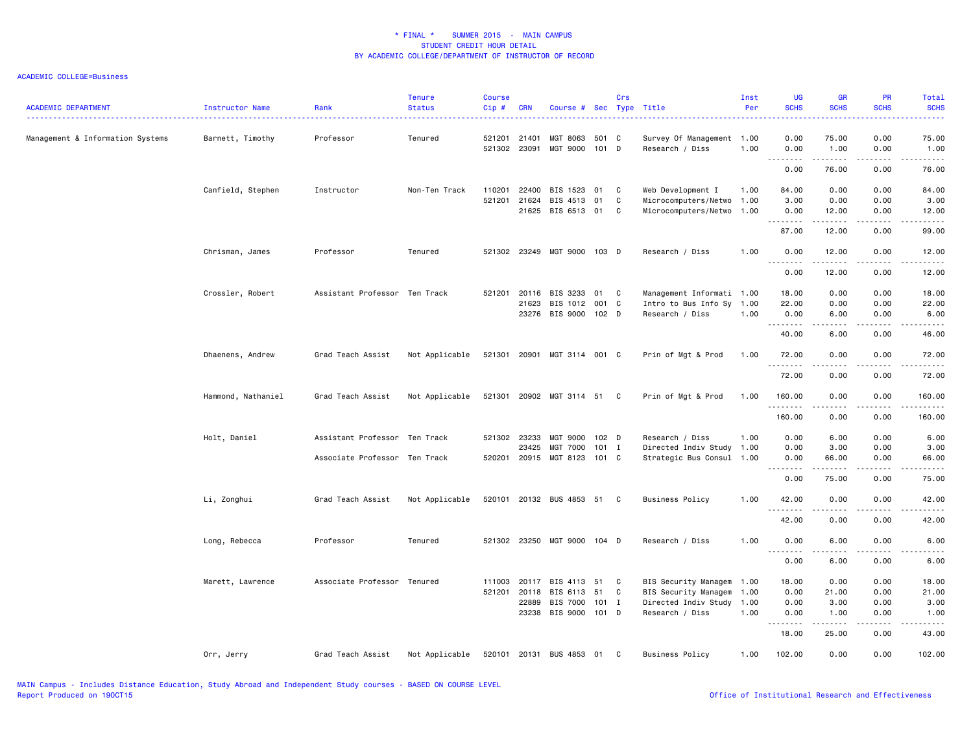| <b>ACADEMIC DEPARTMENT</b>       | Instructor Name    | Rank                          | <b>Tenure</b><br><b>Status</b> | <b>Course</b><br>Cip# | <b>CRN</b>                            | Course # Sec Type Title                                  |                   | Crs         |                                                                                                   | Inst<br>Per  | <b>UG</b><br><b>SCHS</b>       | <b>GR</b><br><b>SCHS</b>        | <b>PR</b><br><b>SCHS</b>                     | Total<br><b>SCHS</b>                                                                                                                                                           |
|----------------------------------|--------------------|-------------------------------|--------------------------------|-----------------------|---------------------------------------|----------------------------------------------------------|-------------------|-------------|---------------------------------------------------------------------------------------------------|--------------|--------------------------------|---------------------------------|----------------------------------------------|--------------------------------------------------------------------------------------------------------------------------------------------------------------------------------|
| Management & Information Systems | Barnett, Timothy   | Professor                     | Tenured                        |                       | 521201 21401<br>521302 23091          | MGT 8063<br>MGT 9000                                     | 501 C<br>101 D    |             | Survey Of Management 1.00<br>Research / Diss                                                      | 1.00         | 0.00<br>0.00                   | 75.00<br>1.00                   | 0.00<br>0.00                                 | 75.00<br>1.00                                                                                                                                                                  |
|                                  |                    |                               |                                |                       |                                       |                                                          |                   |             |                                                                                                   |              | <u>.</u><br>0.00               | .<br>76.00                      | .<br>0.00                                    | .<br>76.00                                                                                                                                                                     |
|                                  | Canfield, Stephen  | Instructor                    | Non-Ten Track                  | 110201                | 22400<br>521201 21624<br>21625        | BIS 1523<br>BIS 4513<br>BIS 6513                         | 01<br>01<br>01    | C<br>C<br>C | Web Development I<br>Microcomputers/Netwo 1.00<br>Microcomputers/Netwo 1.00                       | 1.00         | 84.00<br>3.00<br>0.00          | 0.00<br>0.00<br>12.00           | 0.00<br>0.00<br>0.00                         | 84.00<br>3.00<br>12.00                                                                                                                                                         |
|                                  |                    |                               |                                |                       |                                       |                                                          |                   |             |                                                                                                   |              | .<br>87.00                     | 12.00                           | 0.00                                         | 99.00                                                                                                                                                                          |
|                                  | Chrisman, James    | Professor                     | Tenured                        |                       |                                       | 521302 23249 MGT 9000 103 D                              |                   |             | Research / Diss                                                                                   | 1.00         | 0.00<br>$- - -$<br>$- - - - -$ | 12.00<br>$- - - - -$            | 0.00<br>$\frac{1}{2}$                        | 12.00<br>$- - - - -$                                                                                                                                                           |
|                                  |                    |                               |                                |                       |                                       |                                                          |                   |             |                                                                                                   |              | 0.00                           | 12.00                           | 0.00                                         | 12.00                                                                                                                                                                          |
|                                  | Crossler, Robert   | Assistant Professor Ten Track |                                | 521201                | 20116<br>21623                        | BIS 3233<br>BIS 1012<br>23276 BIS 9000 102 D             | 01<br>001 C       | C           | Management Informati 1.00<br>Intro to Bus Info Sy 1.00<br>Research / Diss                         | 1.00         | 18.00<br>22.00<br>0.00<br>.    | 0.00<br>0.00<br>6.00<br>د د د د | 0.00<br>0.00<br>0.00<br>$\sim$ $\sim$ $\sim$ | 18.00<br>22.00<br>6.00<br>$\frac{1}{2} \left( \frac{1}{2} \right) \left( \frac{1}{2} \right) \left( \frac{1}{2} \right) \left( \frac{1}{2} \right) \left( \frac{1}{2} \right)$ |
|                                  |                    |                               |                                |                       |                                       |                                                          |                   |             |                                                                                                   |              | 40.00                          | 6.00                            | 0.00                                         | 46.00                                                                                                                                                                          |
|                                  | Dhaenens, Andrew   | Grad Teach Assist             | Not Applicable                 |                       |                                       | 521301 20901 MGT 3114 001 C                              |                   |             | Prin of Mgt & Prod                                                                                | 1.00         | 72.00<br><u>.</u>              | 0.00<br>$- - - - -$             | 0.00<br>.                                    | 72.00<br>.                                                                                                                                                                     |
|                                  |                    |                               |                                |                       |                                       |                                                          |                   |             |                                                                                                   |              | 72.00                          | 0.00                            | 0.00                                         | 72.00                                                                                                                                                                          |
|                                  | Hammond, Nathaniel | Grad Teach Assist             | Not Applicable                 |                       |                                       | 521301 20902 MGT 3114 51 C                               |                   |             | Prin of Mgt & Prod                                                                                | 1.00         | 160.00<br>.                    | 0.00                            | 0.00                                         | 160.00<br>.                                                                                                                                                                    |
|                                  |                    |                               |                                |                       |                                       |                                                          |                   |             |                                                                                                   |              | 160.00                         | 0.00                            | 0.00                                         | 160.00                                                                                                                                                                         |
|                                  | Holt, Daniel       | Assistant Professor Ten Track |                                |                       | 521302 23233<br>23425                 | MGT 9000 102 D<br>MGT 7000                               | $101$ I           |             | Research / Diss<br>Directed Indiv Study                                                           | 1.00<br>1.00 | 0.00<br>0.00                   | 6.00<br>3.00                    | 0.00<br>0.00                                 | 6.00<br>3.00                                                                                                                                                                   |
|                                  |                    | Associate Professor Ten Track |                                |                       |                                       | 520201 20915 MGT 8123                                    | 101 C             |             | Strategic Bus Consul 1.00                                                                         |              | 0.00<br>.                      | 66.00<br>$- - - - -$            | 0.00<br>.                                    | 66.00<br>$\frac{1}{2}$                                                                                                                                                         |
|                                  |                    |                               |                                |                       |                                       |                                                          |                   |             |                                                                                                   |              | 0.00                           | 75.00                           | 0.00                                         | 75.00                                                                                                                                                                          |
|                                  | Li, Zonghui        | Grad Teach Assist             | Not Applicable                 |                       |                                       | 520101 20132 BUS 4853 51                                 |                   | C           | <b>Business Policy</b>                                                                            | 1.00         | 42.00<br>.                     | 0.00<br>.                       | 0.00<br>$\sim$ $\sim$ $\sim$ $\sim$          | 42.00<br>.                                                                                                                                                                     |
|                                  |                    |                               |                                |                       |                                       |                                                          |                   |             |                                                                                                   |              | 42.00                          | 0.00                            | 0.00                                         | 42.00                                                                                                                                                                          |
|                                  | Long, Rebecca      | Professor                     | Tenured                        |                       |                                       | 521302 23250 MGT 9000 104 D                              |                   |             | Research / Diss                                                                                   | 1.00         | 0.00                           | 6.00                            | 0.00                                         | 6.00                                                                                                                                                                           |
|                                  |                    |                               |                                |                       |                                       |                                                          |                   |             |                                                                                                   |              | 0.00                           | 6.00                            | 0.00                                         | 6.00                                                                                                                                                                           |
|                                  | Marett, Lawrence   | Associate Professor Tenured   |                                |                       | 111003 20117<br>521201 20118<br>22889 | BIS 4113<br>BIS 6113<br>BIS 7000<br>23238 BIS 9000 101 D | 51<br>51<br>101 I | C<br>C      | BIS Security Managem 1.00<br>BIS Security Managem<br>Directed Indiv Study 1.00<br>Research / Diss | 1.00<br>1.00 | 18.00<br>0.00<br>0.00<br>0.00  | 0.00<br>21.00<br>3.00<br>1.00   | 0.00<br>0.00<br>0.00<br>0.00                 | 18.00<br>21.00<br>3.00<br>1.00                                                                                                                                                 |
|                                  |                    |                               |                                |                       |                                       |                                                          |                   |             |                                                                                                   |              | . <b>.</b><br>18.00            | .<br>25.00                      | .<br>0.00                                    | .<br>43.00                                                                                                                                                                     |
|                                  | Orr, Jerry         | Grad Teach Assist             | Not Applicable                 |                       |                                       | 520101 20131 BUS 4853                                    | 01 C              |             | <b>Business Policy</b>                                                                            | 1.00         | 102.00                         | 0.00                            | 0.00                                         | 102.00                                                                                                                                                                         |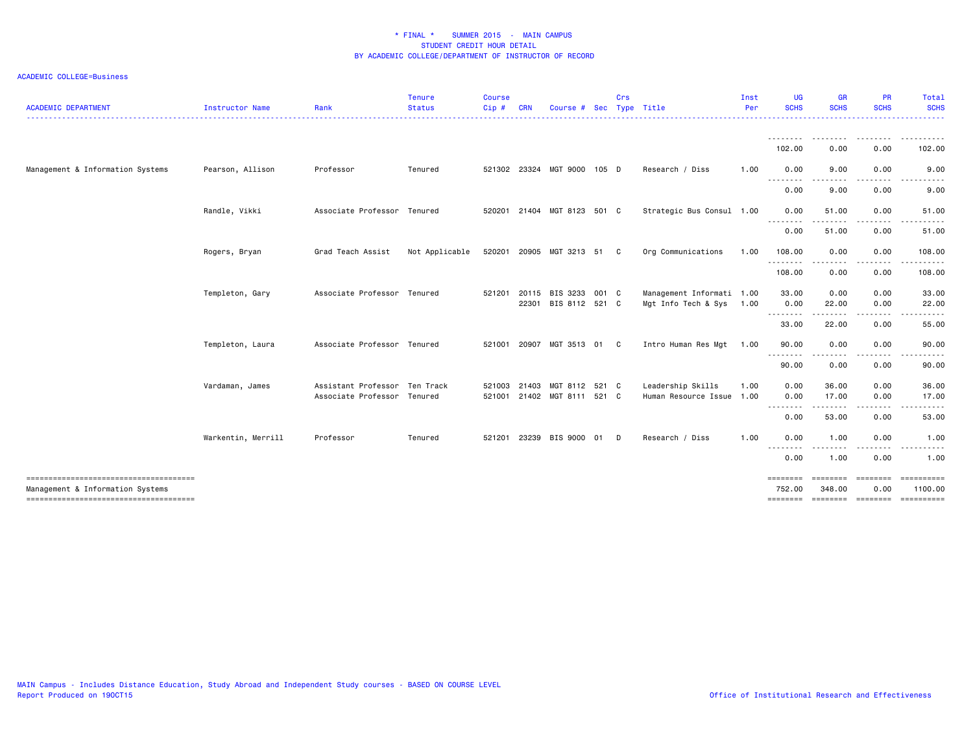| <b>ACADEMIC DEPARTMENT</b>       | Instructor Name    | Rank                                                         | <b>Tenure</b><br><b>Status</b> | <b>Course</b><br>Cip# | <b>CRN</b>     | Course #                                      | <b>Sec</b> | <b>Crs</b> | Type Title                                       | Inst<br>Per | UG<br><b>SCHS</b>               | <b>GR</b><br><b>SCHS</b> | <b>PR</b><br><b>SCHS</b> | Total<br><b>SCHS</b>                                           |
|----------------------------------|--------------------|--------------------------------------------------------------|--------------------------------|-----------------------|----------------|-----------------------------------------------|------------|------------|--------------------------------------------------|-------------|---------------------------------|--------------------------|--------------------------|----------------------------------------------------------------|
|                                  |                    |                                                              |                                |                       |                |                                               |            |            |                                                  |             | 102.00                          | .<br>0.00                | <u>.</u><br>0.00         | 102.00                                                         |
| Management & Information Systems | Pearson, Allison   | Professor                                                    | Tenured                        |                       |                | 521302 23324 MGT 9000 105 D                   |            |            | Research / Diss                                  | 1.00        | 0.00<br><u>.</u>                | 9.00<br>$- - -$          | 0.00<br>.                | 9.00                                                           |
|                                  |                    |                                                              |                                |                       |                |                                               |            |            |                                                  |             | 0.00                            | 9.00                     | 0.00                     | 9.00                                                           |
|                                  | Randle, Vikki      | Associate Professor Tenured                                  |                                |                       |                | 520201 21404 MGT 8123 501 C                   |            |            | Strategic Bus Consul 1.00                        |             | 0.00<br>-------                 | 51.00                    | 0.00                     | 51.00                                                          |
|                                  |                    |                                                              |                                |                       |                |                                               |            |            |                                                  |             | 0.00                            | 51.00                    | 0.00                     | 51.00                                                          |
|                                  | Rogers, Bryan      | Grad Teach Assist                                            | Not Applicable                 |                       |                | 520201 20905 MGT 3213 51                      |            | C.         | Org Communications                               | 1.00        | 108.00<br>--------              | 0.00<br>.                | 0.00<br>.                | 108.00<br>.                                                    |
|                                  |                    |                                                              |                                |                       |                |                                               |            |            |                                                  |             | 108.00                          | 0.00                     | 0.00                     | 108.00                                                         |
|                                  | Templeton, Gary    | Associate Professor Tenured                                  |                                | 521201                | 20115<br>22301 | BIS 3233<br>BIS 8112 521 C                    | 001 C      |            | Management Informati 1.00<br>Mgt Info Tech & Sys | 1.00        | 33.00<br>0.00                   | 0.00<br>22.00            | 0.00<br>0.00             | 33.00<br>22.00                                                 |
|                                  |                    |                                                              |                                |                       |                |                                               |            |            |                                                  |             | --------<br>33.00               | .<br>22.00               | .<br>0.00                | .<br>55.00                                                     |
|                                  | Templeton, Laura   | Associate Professor Tenured                                  |                                | 521001 20907          |                | MGT 3513 01                                   |            | C.         | Intro Human Res Mgt                              | 1.00        | 90.00                           | 0.00                     | 0.00                     | 90.00                                                          |
|                                  |                    |                                                              |                                |                       |                |                                               |            |            |                                                  |             | ---------<br>90.00              | ----<br>0.00             | .<br>0.00                | .<br>90.00                                                     |
|                                  | Vardaman, James    | Assistant Professor Ten Track<br>Associate Professor Tenured |                                | 521003                | 21403          | MGT 8112 521 C<br>521001 21402 MGT 8111 521 C |            |            | Leadership Skills<br>Human Resource Issue 1.00   | 1.00        | 0.00<br>0.00                    | 36.00<br>17.00           | 0.00<br>0.00             | 36.00<br>17.00                                                 |
|                                  |                    |                                                              |                                |                       |                |                                               |            |            |                                                  |             | 0.00                            | .<br>53.00               | .<br>0.00                | .<br>53.00                                                     |
|                                  | Warkentin, Merrill | Professor                                                    | Tenured                        | 521201                | 23239          | BIS 9000 01                                   |            | D          | Research / Diss                                  | 1.00        | 0.00                            | 1.00                     | 0.00                     | 1.00                                                           |
|                                  |                    |                                                              |                                |                       |                |                                               |            |            |                                                  |             | <u> - - - - - - - -</u><br>0.00 | 1.00                     | 0.00                     | 1.00                                                           |
| Management & Information Systems |                    |                                                              |                                |                       |                |                                               |            |            |                                                  |             | ========<br>752.00              | eeeeeee<br>348.00        | ========<br>0.00         | ==========<br>1100.00<br>======== ======== ======== ========== |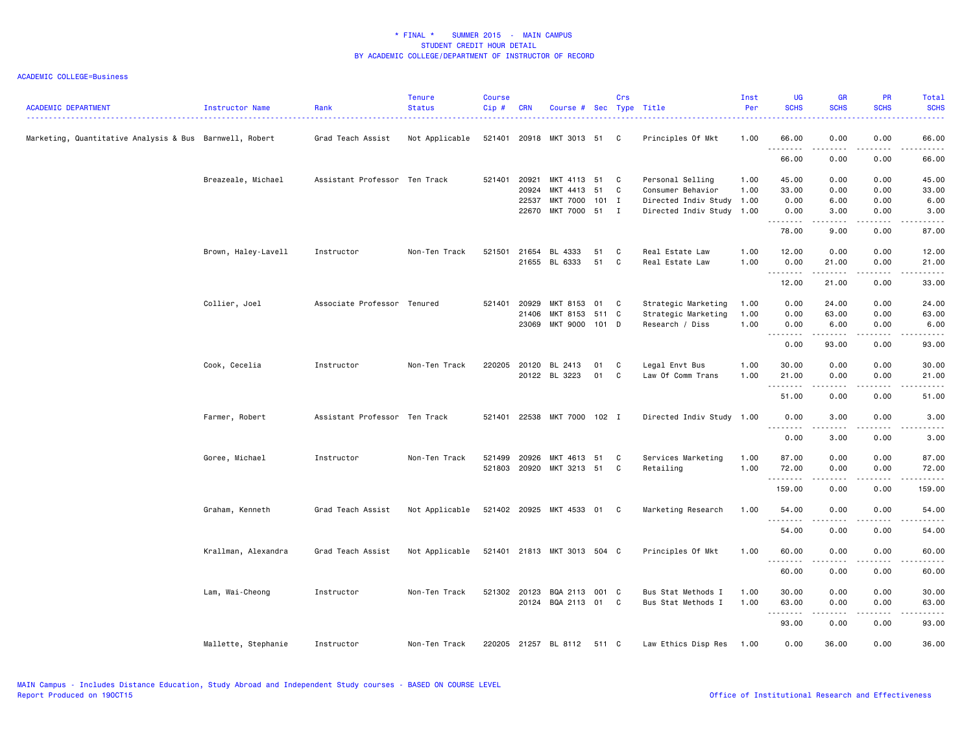| <b>ACADEMIC DEPARTMENT</b>                              | Instructor Name     | Rank                          | <b>Tenure</b><br><b>Status</b> | <b>Course</b><br>Cip# | <b>CRN</b>   | Course # Sec Type Title     |         | Crs |                           | Inst<br>Per | <b>UG</b><br><b>SCHS</b>          | <b>GR</b><br><b>SCHS</b>                                                                                                                                     | <b>PR</b><br><b>SCHS</b> | Total<br><b>SCHS</b>                                                                                                                                          |
|---------------------------------------------------------|---------------------|-------------------------------|--------------------------------|-----------------------|--------------|-----------------------------|---------|-----|---------------------------|-------------|-----------------------------------|--------------------------------------------------------------------------------------------------------------------------------------------------------------|--------------------------|---------------------------------------------------------------------------------------------------------------------------------------------------------------|
| Marketing, Quantitative Analysis & Bus Barnwell, Robert |                     | Grad Teach Assist             | Not Applicable                 | 521401                | 20918        | MKT 3013 51 C               |         |     | Principles Of Mkt         | 1.00        | 66.00<br>.                        | 0.00<br>$\frac{1}{2} \left( \frac{1}{2} \right) \left( \frac{1}{2} \right) \left( \frac{1}{2} \right) \left( \frac{1}{2} \right) \left( \frac{1}{2} \right)$ | 0.00<br>.                | 66.00<br>.                                                                                                                                                    |
|                                                         |                     |                               |                                |                       |              |                             |         |     |                           |             | 66.00                             | 0.00                                                                                                                                                         | 0.00                     | 66.00                                                                                                                                                         |
|                                                         | Breazeale, Michael  | Assistant Professor Ten Track |                                | 521401                | 20921        | MKT 4113 51                 |         | C   | Personal Selling          | 1.00        | 45.00                             | 0.00                                                                                                                                                         | 0.00                     | 45.00                                                                                                                                                         |
|                                                         |                     |                               |                                |                       | 20924        | MKT 4413                    | 51      | C   | Consumer Behavior         | 1.00        | 33.00                             | 0.00                                                                                                                                                         | 0.00                     | 33.00                                                                                                                                                         |
|                                                         |                     |                               |                                |                       | 22537        | MKT 7000                    | $101$ I |     | Directed Indiv Study 1.00 |             | 0.00                              | 6.00                                                                                                                                                         | 0.00                     | 6.00                                                                                                                                                          |
|                                                         |                     |                               |                                |                       | 22670        | MKT 7000 51 I               |         |     | Directed Indiv Study 1.00 |             | 0.00<br><u>.</u>                  | 3.00<br>.                                                                                                                                                    | 0.00<br>$- - - -$        | 3.00<br>$- - - - -$                                                                                                                                           |
|                                                         |                     |                               |                                |                       |              |                             |         |     |                           |             | 78.00                             | 9.00                                                                                                                                                         | 0.00                     | 87.00                                                                                                                                                         |
|                                                         | Brown, Haley-Lavell | Instructor                    | Non-Ten Track                  | 521501                | 21654        | BL 4333                     | 51      | C   | Real Estate Law           | 1.00        | 12.00                             | 0.00                                                                                                                                                         | 0.00                     | 12.00                                                                                                                                                         |
|                                                         |                     |                               |                                |                       | 21655        | BL 6333                     | 51      | C   | Real Estate Law           | 1.00        | 0.00<br>.                         | 21.00<br>-----                                                                                                                                               | 0.00                     | 21.00<br>.                                                                                                                                                    |
|                                                         |                     |                               |                                |                       |              |                             |         |     |                           |             | 12.00                             | 21.00                                                                                                                                                        | 0.00                     | 33.00                                                                                                                                                         |
|                                                         | Collier, Joel       | Associate Professor Tenured   |                                | 521401                | 20929        | MKT 8153                    | 01      | C   | Strategic Marketing       | 1.00        | 0.00                              | 24.00                                                                                                                                                        | 0.00                     | 24.00                                                                                                                                                         |
|                                                         |                     |                               |                                |                       | 21406        | MKT 8153                    | 511 C   |     | Strategic Marketing       | 1.00        | 0.00                              | 63.00                                                                                                                                                        | 0.00                     | 63.00                                                                                                                                                         |
|                                                         |                     |                               |                                |                       | 23069        | MKT 9000 101 D              |         |     | Research / Diss           | 1.00        | 0.00                              | 6.00                                                                                                                                                         | 0.00                     | 6.00                                                                                                                                                          |
|                                                         |                     |                               |                                |                       |              |                             |         |     |                           |             | $\sim$ $\sim$ $\sim$<br>.<br>0.00 | .<br>93.00                                                                                                                                                   | $  -$<br>0.00            | .<br>93.00                                                                                                                                                    |
|                                                         |                     |                               |                                |                       |              |                             |         |     |                           |             |                                   |                                                                                                                                                              |                          |                                                                                                                                                               |
|                                                         | Cook, Cecelia       | Instructor                    | Non-Ten Track                  | 220205                | 20120        | BL 2413                     | 01      | C   | Legal Envt Bus            | 1.00        | 30.00                             | 0.00                                                                                                                                                         | 0.00                     | 30.00                                                                                                                                                         |
|                                                         |                     |                               |                                |                       |              | 20122 BL 3223               | 01      | C   | Law Of Comm Trans         | 1.00        | 21.00<br>.                        | 0.00<br>.                                                                                                                                                    | 0.00                     | 21.00<br>$\frac{1}{2} \left( \frac{1}{2} \right) \left( \frac{1}{2} \right) \left( \frac{1}{2} \right) \left( \frac{1}{2} \right) \left( \frac{1}{2} \right)$ |
|                                                         |                     |                               |                                |                       |              |                             |         |     |                           |             | 51.00                             | 0.00                                                                                                                                                         | 0.00                     | 51.00                                                                                                                                                         |
|                                                         | Farmer, Robert      | Assistant Professor Ten Track |                                |                       |              | 521401 22538 MKT 7000 102 I |         |     | Directed Indiv Study 1.00 |             | 0.00<br>.                         | 3.00<br>-----                                                                                                                                                | 0.00<br>.                | 3.00<br>$\frac{1}{2} \left( \frac{1}{2} \right) \left( \frac{1}{2} \right) \left( \frac{1}{2} \right) \left( \frac{1}{2} \right) \left( \frac{1}{2} \right)$  |
|                                                         |                     |                               |                                |                       |              |                             |         |     |                           |             | 0.00                              | 3.00                                                                                                                                                         | 0.00                     | 3.00                                                                                                                                                          |
|                                                         | Goree, Michael      | Instructor                    | Non-Ten Track                  | 521499                | 20926        | MKT 4613 51                 |         | C   | Services Marketing        | 1.00        | 87.00                             | 0.00                                                                                                                                                         | 0.00                     | 87.00                                                                                                                                                         |
|                                                         |                     |                               |                                |                       | 521803 20920 | MKT 3213 51                 |         | C.  | Retailing                 | 1.00        | 72.00                             | 0.00                                                                                                                                                         | 0.00                     | 72.00                                                                                                                                                         |
|                                                         |                     |                               |                                |                       |              |                             |         |     |                           |             | .                                 | .                                                                                                                                                            | .                        | .                                                                                                                                                             |
|                                                         |                     |                               |                                |                       |              |                             |         |     |                           |             | 159.00                            | 0.00                                                                                                                                                         | 0.00                     | 159.00                                                                                                                                                        |
|                                                         | Graham, Kenneth     | Grad Teach Assist             | Not Applicable                 |                       |              | 521402 20925 MKT 4533 01 C  |         |     | Marketing Research        | 1.00        | 54.00                             | 0.00                                                                                                                                                         | 0.00                     | 54.00                                                                                                                                                         |
|                                                         |                     |                               |                                |                       |              |                             |         |     |                           |             | 54.00                             | 0.00                                                                                                                                                         | 0.00                     | 54.00                                                                                                                                                         |
|                                                         |                     |                               |                                |                       |              |                             |         |     |                           |             |                                   |                                                                                                                                                              |                          |                                                                                                                                                               |
|                                                         | Krallman, Alexandra | Grad Teach Assist             | Not Applicable                 |                       |              | 521401 21813 MKT 3013 504 C |         |     | Principles Of Mkt         | 1.00        | 60.00<br>.                        | 0.00<br>.                                                                                                                                                    | 0.00<br>.                | 60.00<br>.                                                                                                                                                    |
|                                                         |                     |                               |                                |                       |              |                             |         |     |                           |             | 60.00                             | 0.00                                                                                                                                                         | 0.00                     | 60.00                                                                                                                                                         |
|                                                         | Lam, Wai-Cheong     | Instructor                    | Non-Ten Track                  | 521302 20123          |              | BQA 2113                    | 001 C   |     | Bus Stat Methods I        | 1.00        | 30.00                             | 0.00                                                                                                                                                         | 0.00                     | 30.00                                                                                                                                                         |
|                                                         |                     |                               |                                |                       | 20124        | BQA 2113 01 C               |         |     | Bus Stat Methods I        | 1.00        | 63.00                             | 0.00                                                                                                                                                         | 0.00                     | 63.00                                                                                                                                                         |
|                                                         |                     |                               |                                |                       |              |                             |         |     |                           |             | $\sim$ $\sim$ $\sim$              |                                                                                                                                                              |                          |                                                                                                                                                               |
|                                                         |                     |                               |                                |                       |              |                             |         |     |                           |             | 93.00                             | 0.00                                                                                                                                                         | 0.00                     | 93.00                                                                                                                                                         |
|                                                         | Mallette, Stephanie | Instructor                    | Non-Ten Track                  |                       |              | 220205 21257 BL 8112        | 511 C   |     | Law Ethics Disp Res       | 1.00        | 0.00                              | 36.00                                                                                                                                                        | 0.00                     | 36.00                                                                                                                                                         |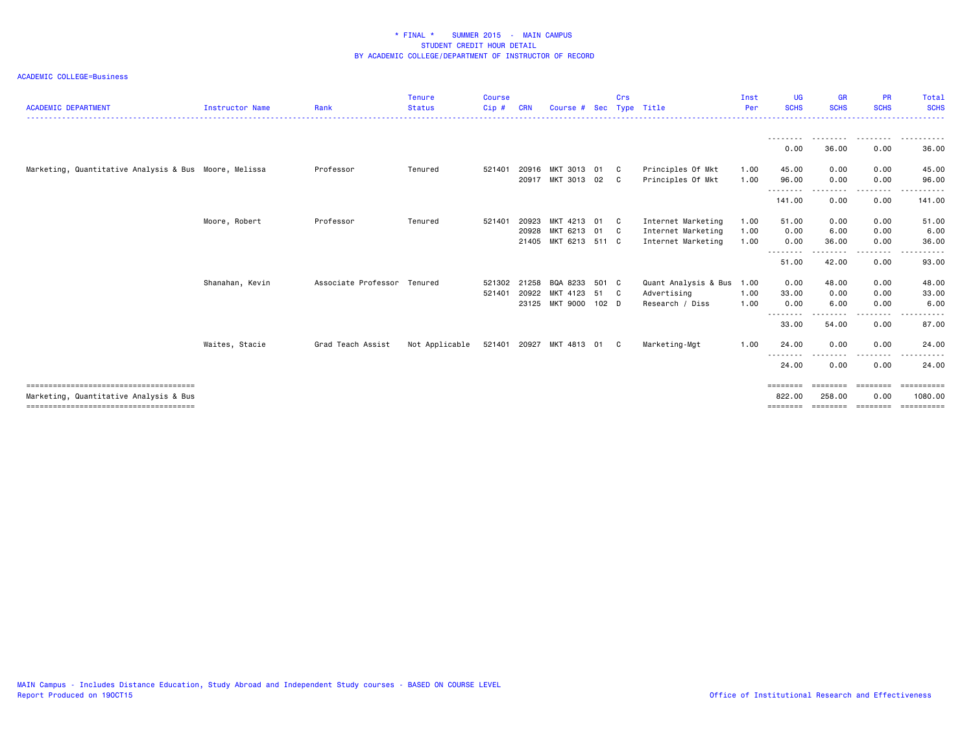#### ACADEMIC COLLEGE=Business

| <b>ACADEMIC DEPARTMENT</b>                            | Instructor Name | Rank                        | <b>Tenure</b><br><b>Status</b> | <b>Course</b><br>Cip# | <b>CRN</b>     | Course #                                          |                        | Crs | Sec Type Title                                                 | Inst<br>Per          | UG<br><b>SCHS</b>               | <b>GR</b><br><b>SCHS</b> | <b>PR</b><br><b>SCHS</b>              | Total<br><b>SCHS</b>                       |
|-------------------------------------------------------|-----------------|-----------------------------|--------------------------------|-----------------------|----------------|---------------------------------------------------|------------------------|-----|----------------------------------------------------------------|----------------------|---------------------------------|--------------------------|---------------------------------------|--------------------------------------------|
|                                                       |                 |                             |                                |                       |                |                                                   |                        |     |                                                                |                      | ---------<br>0.00               | .<br>36.00               | .<br>0.00                             | .<br>36.00                                 |
| Marketing, Quantitative Analysis & Bus Moore, Melissa |                 | Professor                   | Tenured                        | 521401                | 20916          | MKT 3013<br>20917 MKT 3013 02 C                   | 01                     | C . | Principles Of Mkt<br>Principles Of Mkt                         | 1.00<br>1.00         | 45.00<br>96.00                  | 0.00<br>0.00             | 0.00<br>0.00                          | 45.00<br>96.00                             |
|                                                       |                 |                             |                                |                       |                |                                                   |                        |     |                                                                |                      | --------<br>141.00              | $\cdots$<br>0.00         | .<br>0.00                             | .<br>141.00                                |
|                                                       | Moore, Robert   | Professor                   | Tenured                        | 521401                | 20923<br>20928 | MKT 4213<br>MKT 6213 01 C<br>21405 MKT 6213 511 C | 01                     | C . | Internet Marketing<br>Internet Marketing<br>Internet Marketing | 1.00<br>1.00<br>1.00 | 51.00<br>0.00<br>0.00           | 0.00<br>6.00<br>36.00    | 0.00<br>0.00<br>0.00                  | 51.00<br>6.00<br>36.00                     |
|                                                       |                 |                             |                                |                       |                |                                                   |                        |     |                                                                |                      | .<br>51.00                      | 42.00                    | 0.00                                  | 93.00                                      |
|                                                       | Shanahan, Kevin | Associate Professor Tenured |                                | 521302<br>521401      | 21258<br>20922 | BQA 8233<br>MKT 4123<br>23125 MKT 9000            | 501 C<br>51 C<br>102 D |     | Quant Analysis & Bus<br>Advertising<br>Research / Diss         | 1.00<br>1.00<br>1.00 | 0.00<br>33.00<br>0.00           | 48.00<br>0.00<br>6.00    | 0.00<br>0.00<br>0.00                  | 48.00<br>33.00<br>6.00                     |
|                                                       | Waites, Stacie  | Grad Teach Assist           | Not Applicable                 |                       |                | 521401 20927 MKT 4813 01                          |                        | C.  | Marketing-Mgt                                                  | 1.00                 | $\frac{1}{2}$<br>33.00<br>24.00 | 54.00<br>0.00            | 0.00<br>0.00                          | 87.00<br>24.00                             |
|                                                       |                 |                             |                                |                       |                |                                                   |                        |     |                                                                |                      | --------<br>24.00               | ----<br>0.00             | .<br>0.00                             | 24.00                                      |
| Marketing, Quantitative Analysis & Bus                |                 |                             |                                |                       |                |                                                   |                        |     |                                                                |                      | ========<br>822.00<br>========  | eeeeeee<br>258.00        | ========<br>0.00<br>================= | <b>EEEEEEEEE</b><br>1080.00<br>----------- |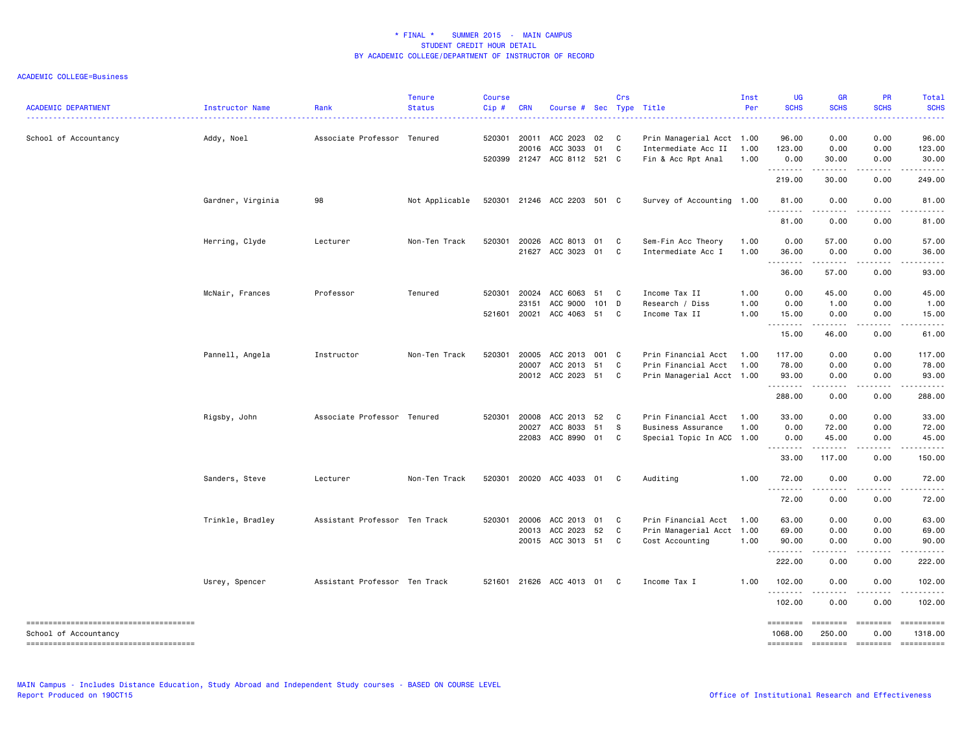ACADEMIC COLLEGE=Business

| <b>ACADEMIC DEPARTMENT</b>             | Instructor Name   | Rank                          | <b>Tenure</b><br><b>Status</b> | <b>Course</b><br>Cip# | <b>CRN</b> | Course # Sec Type Title     |     | Crs |                           | Inst<br>Per | UG<br><b>SCHS</b>         | <b>GR</b><br><b>SCHS</b>                                    | PR<br><b>SCHS</b> | Total<br><b>SCHS</b><br>. |
|----------------------------------------|-------------------|-------------------------------|--------------------------------|-----------------------|------------|-----------------------------|-----|-----|---------------------------|-------------|---------------------------|-------------------------------------------------------------|-------------------|---------------------------|
| School of Accountancy                  | Addy, Noel        | Associate Professor Tenured   |                                | 520301                | 20011      | ACC 2023                    | 02  | C   | Prin Managerial Acct 1.00 |             | 96.00                     | 0.00                                                        | 0.00              | 96.00                     |
|                                        |                   |                               |                                |                       | 20016      | ACC 3033                    | 01  | C   | Intermediate Acc II       | 1.00        | 123.00                    | 0.00                                                        | 0.00              | 123.00                    |
|                                        |                   |                               |                                |                       |            | 520399 21247 ACC 8112 521 C |     |     | Fin & Acc Rpt Anal        | 1.00        | 0.00<br>.                 | 30.00<br>.                                                  | 0.00<br>.         | 30.00                     |
|                                        |                   |                               |                                |                       |            |                             |     |     |                           |             | 219.00                    | 30.00                                                       | 0.00              | 249.00                    |
|                                        | Gardner, Virginia | 98                            | Not Applicable                 | 520301                |            | 21246 ACC 2203 501 C        |     |     | Survey of Accounting 1.00 |             | 81.00                     | 0.00                                                        | 0.00              | 81.00                     |
|                                        |                   |                               |                                |                       |            |                             |     |     |                           |             | 81.00                     | 0.00                                                        | 0.00              | 81.00                     |
|                                        | Herring, Clyde    | Lecturer                      | Non-Ten Track                  | 520301                | 20026      | ACC 8013 01                 |     | C   | Sem-Fin Acc Theory        | 1.00        | 0.00                      | 57.00                                                       | 0.00              | 57.00                     |
|                                        |                   |                               |                                |                       |            | 21627 ACC 3023 01           |     | C   | Intermediate Acc I        | 1.00        | 36.00                     | 0.00                                                        | 0.00              | 36.00                     |
|                                        |                   |                               |                                |                       |            |                             |     |     |                           |             | 36.00                     | 57.00                                                       | .<br>0.00         | .<br>93.00                |
|                                        | McNair, Frances   | Professor                     | Tenured                        | 520301                | 20024      | ACC 6063                    | 51  | C   | Income Tax II             | 1.00        | 0.00                      | 45.00                                                       | 0.00              | 45.00                     |
|                                        |                   |                               |                                |                       | 23151      | ACC 9000                    | 101 | D   | Research / Diss           | 1.00        | 0.00                      | 1.00                                                        | 0.00              | 1.00                      |
|                                        |                   |                               |                                | 521601                | 20021      | ACC 4063 51                 |     | C   | Income Tax II             | 1.00        | 15.00                     | 0.00                                                        | 0.00              | 15.00                     |
|                                        |                   |                               |                                |                       |            |                             |     |     |                           |             | .<br>15.00                | 46.00                                                       | 0.00              | 61.00                     |
|                                        | Pannell, Angela   | Instructor                    | Non-Ten Track                  | 520301                | 20005      | ACC 2013 001 C              |     |     | Prin Financial Acct       | 1.00        | 117.00                    | 0.00                                                        | 0.00              | 117.00                    |
|                                        |                   |                               |                                |                       | 20007      | ACC 2013                    | 51  | C   | Prin Financial Acct       | 1.00        | 78.00                     | 0.00                                                        | 0.00              | 78.00                     |
|                                        |                   |                               |                                |                       |            | 20012 ACC 2023 51           |     | C   | Prin Managerial Acct 1.00 |             | 93.00                     | 0.00                                                        | 0.00              | 93.00                     |
|                                        |                   |                               |                                |                       |            |                             |     |     |                           |             | 288.00                    | $\omega$ is a set of<br>0.00                                | .<br>0.00         | .<br>288.00               |
|                                        | Rigsby, John      | Associate Professor Tenured   |                                | 520301                | 20008      | ACC 2013 52                 |     | C   | Prin Financial Acct       | 1.00        | 33.00                     | 0.00                                                        | 0.00              | 33.00                     |
|                                        |                   |                               |                                |                       | 20027      | ACC 8033 51                 |     | s   | Business Assurance        | 1.00        | 0.00                      | 72.00                                                       | 0.00              | 72.00                     |
|                                        |                   |                               |                                |                       |            | 22083 ACC 8990 01           |     | C   | Special Topic In ACC 1.00 |             | 0.00                      | 45.00                                                       | 0.00              | 45.00                     |
|                                        |                   |                               |                                |                       |            |                             |     |     |                           |             | .<br>33.00                | <b></b><br>117.00                                           | .<br>0.00         | .<br>150.00               |
|                                        | Sanders, Steve    | Lecturer                      | Non-Ten Track                  | 520301                |            | 20020 ACC 4033 01           |     | C   | Auditing                  | 1.00        | 72.00                     | 0.00                                                        | 0.00              | 72.00                     |
|                                        |                   |                               |                                |                       |            |                             |     |     |                           |             | 72.00                     | 0.00                                                        | 0.00              | 72.00                     |
|                                        | Trinkle, Bradley  | Assistant Professor Ten Track |                                | 520301                | 20006      | ACC 2013 01                 |     | C   | Prin Financial Acct       | 1.00        | 63.00                     | 0.00                                                        | 0.00              | 63.00                     |
|                                        |                   |                               |                                |                       | 20013      | ACC 2023                    | 52  | C   | Prin Managerial Acct 1.00 |             | 69.00                     | 0.00                                                        | 0.00              | 69.00                     |
|                                        |                   |                               |                                |                       |            | 20015 ACC 3013 51           |     | C   | Cost Accounting           | 1.00        | 90.00                     | 0.00                                                        | 0.00              | 90.00                     |
|                                        |                   |                               |                                |                       |            |                             |     |     |                           |             | .<br>222.00               | 0.00                                                        | 0.00              | 222.00                    |
|                                        | Usrey, Spencer    | Assistant Professor Ten Track |                                |                       |            | 521601 21626 ACC 4013 01    |     | C   | Income Tax I              | 1.00        | 102.00                    | 0.00                                                        | 0.00              | 102.00                    |
|                                        |                   |                               |                                |                       |            |                             |     |     |                           |             | .<br>102.00               | .<br>0.00                                                   | .<br>0.00         | $- - - - - -$<br>102.00   |
| School of Accountancy                  |                   |                               |                                |                       |            |                             |     |     |                           |             | <b>EEEEEEE</b><br>1068.00 | $=$ =======<br>250.00                                       | 0.00              | ==========<br>1318.00     |
| -------------------------------------- |                   |                               |                                |                       |            |                             |     |     |                           |             | <b>EDESSERS</b>           | $\begin{array}{ccc}\n 255555556 \\ 265555566\n \end{array}$ | $=$ ========      | ==========                |

MAIN Campus - Includes Distance Education, Study Abroad and Independent Study courses - BASED ON COURSE LEVEL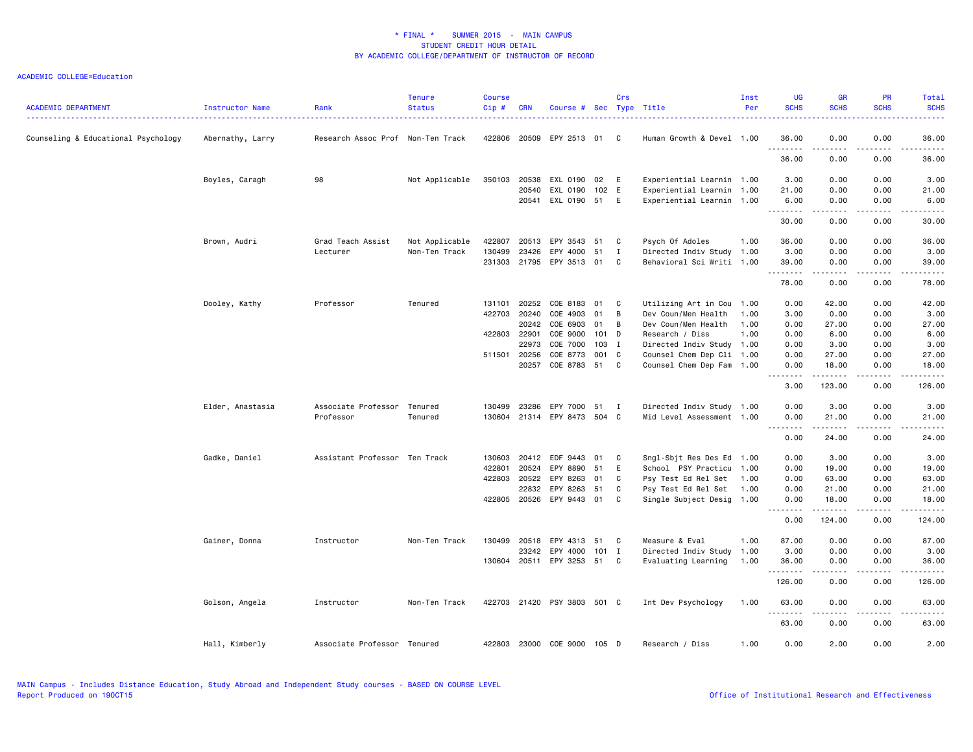| <b>ACADEMIC DEPARTMENT</b>          | <b>Instructor Name</b> | Rank                              | <b>Tenure</b><br><b>Status</b> | <b>Course</b><br>Cip# | <b>CRN</b>   | Course #             |         | Crs            | Sec Type Title            | Inst<br>Per | UG<br><b>SCHS</b> | <b>GR</b><br><b>SCHS</b>                                                                                                                                                                | <b>PR</b><br><b>SCHS</b> | Total<br><b>SCHS</b>                                                                                                                                          |
|-------------------------------------|------------------------|-----------------------------------|--------------------------------|-----------------------|--------------|----------------------|---------|----------------|---------------------------|-------------|-------------------|-----------------------------------------------------------------------------------------------------------------------------------------------------------------------------------------|--------------------------|---------------------------------------------------------------------------------------------------------------------------------------------------------------|
| Counseling & Educational Psychology | Abernathy, Larry       | Research Assoc Prof Non-Ten Track |                                | 422806                | 20509        | EPY 2513             | 01 C    |                | Human Growth & Devel 1.00 |             | 36.00<br>.        | 0.00<br>----                                                                                                                                                                            | 0.00<br>.                | 36.00<br>$\frac{1}{2} \left( \frac{1}{2} \right) \left( \frac{1}{2} \right) \left( \frac{1}{2} \right) \left( \frac{1}{2} \right)$                            |
|                                     |                        |                                   |                                |                       |              |                      |         |                |                           |             | 36.00             | 0.00                                                                                                                                                                                    | 0.00                     | 36.00                                                                                                                                                         |
|                                     | Boyles, Caragh         | 98                                | Not Applicable                 | 350103                | 20538        | EXL 0190             | 02      | - E            | Experiential Learnin 1.00 |             | 3.00              | 0.00                                                                                                                                                                                    | 0.00                     | 3.00                                                                                                                                                          |
|                                     |                        |                                   |                                |                       | 20540        | EXL 0190             | 102 E   |                | Experiential Learnin 1.00 |             | 21.00             | 0.00                                                                                                                                                                                    | 0.00                     | 21.00                                                                                                                                                         |
|                                     |                        |                                   |                                |                       | 20541        | EXL 0190 51          |         | E              | Experiential Learnin 1.00 |             | 6.00<br>.         | 0.00<br>$\frac{1}{2} \left( \frac{1}{2} \right) \left( \frac{1}{2} \right) \left( \frac{1}{2} \right) \left( \frac{1}{2} \right) \left( \frac{1}{2} \right) \left( \frac{1}{2} \right)$ | 0.00<br>.                | 6.00<br>$\sim$ $\sim$ $\sim$ $\sim$                                                                                                                           |
|                                     |                        |                                   |                                |                       |              |                      |         |                |                           |             | 30.00             | 0.00                                                                                                                                                                                    | 0.00                     | 30.00                                                                                                                                                         |
|                                     | Brown, Audri           | Grad Teach Assist                 | Not Applicable                 | 422807                | 20513        | EPY 3543             | 51      | C              | Psych Of Adoles           | 1.00        | 36.00             | 0.00                                                                                                                                                                                    | 0.00                     | 36.00                                                                                                                                                         |
|                                     |                        | Lecturer                          | Non-Ten Track                  | 130499                | 23426        | EPY 4000             | 51      | $\mathbf{I}$   | Directed Indiv Study 1.00 |             | 3.00              | 0.00                                                                                                                                                                                    | 0.00                     | 3.00                                                                                                                                                          |
|                                     |                        |                                   |                                | 231303                | 21795        | EPY 3513 01          |         | C              | Behavioral Sci Writi 1.00 |             | 39.00<br>.        | 0.00<br>.                                                                                                                                                                               | 0.00<br>. <u>. .</u>     | 39.00<br>$\frac{1}{2} \left( \frac{1}{2} \right) \left( \frac{1}{2} \right) \left( \frac{1}{2} \right) \left( \frac{1}{2} \right)$                            |
|                                     |                        |                                   |                                |                       |              |                      |         |                |                           |             | 78.00             | 0.00                                                                                                                                                                                    | 0.00                     | 78.00                                                                                                                                                         |
|                                     | Dooley, Kathy          | Professor                         | Tenured                        | 131101                | 20252        | COE 8183             | 01      | C              | Utilizing Art in Cou 1.00 |             | 0.00              | 42.00                                                                                                                                                                                   | 0.00                     | 42.00                                                                                                                                                         |
|                                     |                        |                                   |                                | 422703                | 20240        | COE 4903             | 01      | B              | Dev Coun/Men Health       | 1.00        | 3.00              | 0.00                                                                                                                                                                                    | 0.00                     | 3.00                                                                                                                                                          |
|                                     |                        |                                   |                                |                       | 20242        | COE 6903             | 01      | B              | Dev Coun/Men Health       | 1.00        | 0.00              | 27.00                                                                                                                                                                                   | 0.00                     | 27.00                                                                                                                                                         |
|                                     |                        |                                   |                                | 422803                | 22901        | COE 9000             | 101 D   |                | Research / Diss           | 1.00        | 0.00              | 6.00                                                                                                                                                                                    | 0.00                     | 6.00                                                                                                                                                          |
|                                     |                        |                                   |                                |                       | 22973        | COE 7000             | 103 I   |                | Directed Indiv Study 1.00 |             | 0.00              | 3.00                                                                                                                                                                                    | 0.00                     | 3.00                                                                                                                                                          |
|                                     |                        |                                   |                                |                       | 511501 20256 | COE 8773             | 001 C   |                | Counsel Chem Dep Cli 1.00 |             | 0.00              | 27.00                                                                                                                                                                                   | 0.00                     | 27.00                                                                                                                                                         |
|                                     |                        |                                   |                                |                       | 20257        | COE 8783             | 51      | C.             | Counsel Chem Dep Fam 1.00 |             | 0.00<br>.         | 18.00<br>.                                                                                                                                                                              | 0.00<br>.                | 18.00<br>.                                                                                                                                                    |
|                                     |                        |                                   |                                |                       |              |                      |         |                |                           |             | 3.00              | 123.00                                                                                                                                                                                  | 0.00                     | 126.00                                                                                                                                                        |
|                                     | Elder, Anastasia       | Associate Professor               | Tenured                        | 130499                | 23286        | EPY 7000             | 51      | $\blacksquare$ | Directed Indiv Study 1.00 |             | 0.00              | 3.00                                                                                                                                                                                    | 0.00                     | 3.00                                                                                                                                                          |
|                                     |                        | Professor                         | Tenured                        | 130604                |              | 21314 EPY 8473 504 C |         |                | Mid Level Assessment 1.00 |             | 0.00              | 21.00                                                                                                                                                                                   | 0.00                     | 21.00                                                                                                                                                         |
|                                     |                        |                                   |                                |                       |              |                      |         |                |                           |             | .<br>0.00         | .<br>24.00                                                                                                                                                                              | .<br>0.00                | .<br>24.00                                                                                                                                                    |
|                                     | Gadke, Daniel          | Assistant Professor Ten Track     |                                | 130603                | 20412        | EDF 9443             | 01      | C              | Sngl-Sbit Res Des Ed 1.00 |             | 0.00              | 3.00                                                                                                                                                                                    | 0.00                     | 3.00                                                                                                                                                          |
|                                     |                        |                                   |                                | 422801                | 20524        | EPY 8890             | 51      | E              | School PSY Practicu 1.00  |             | 0.00              | 19.00                                                                                                                                                                                   | 0.00                     | 19.00                                                                                                                                                         |
|                                     |                        |                                   |                                | 422803                | 20522        | EPY 8263             | 01      | C              | Psy Test Ed Rel Set       | 1.00        | 0.00              | 63.00                                                                                                                                                                                   | 0.00                     | 63.00                                                                                                                                                         |
|                                     |                        |                                   |                                |                       | 22832        | EPY 8263             | 51      | C              | Psy Test Ed Rel Set 1.00  |             | 0.00              | 21.00                                                                                                                                                                                   | 0.00                     | 21.00                                                                                                                                                         |
|                                     |                        |                                   |                                | 422805                | 20526        | EPY 9443 01          |         | C              | Single Subject Desig 1.00 |             | 0.00              | 18.00                                                                                                                                                                                   | 0.00                     | 18.00                                                                                                                                                         |
|                                     |                        |                                   |                                |                       |              |                      |         |                |                           |             | .<br>0.00         | .<br>124.00                                                                                                                                                                             | .<br>0.00                | .<br>124.00                                                                                                                                                   |
|                                     | Gainer, Donna          | Instructor                        | Non-Ten Track                  | 130499                | 20518        | EPY 4313             | 51      | C              | Measure & Eval            | 1.00        | 87.00             | 0.00                                                                                                                                                                                    | 0.00                     | 87.00                                                                                                                                                         |
|                                     |                        |                                   |                                |                       | 23242        | EPY 4000             | $101$ I |                | Directed Indiv Study 1.00 |             | 3.00              | 0.00                                                                                                                                                                                    | 0.00                     | 3.00                                                                                                                                                          |
|                                     |                        |                                   |                                |                       | 130604 20511 | EPY 3253 51          |         | C              | Evaluating Learning       | 1.00        | 36.00<br>.        | 0.00<br>.                                                                                                                                                                               | 0.00<br>.                | 36.00<br>.                                                                                                                                                    |
|                                     |                        |                                   |                                |                       |              |                      |         |                |                           |             | 126.00            | 0.00                                                                                                                                                                                    | 0.00                     | 126.00                                                                                                                                                        |
|                                     | Golson, Angela         | Instructor                        | Non-Ten Track                  | 422703                |              | 21420 PSY 3803 501 C |         |                | Int Dev Psychology        | 1.00        | 63.00             | 0.00                                                                                                                                                                                    | 0.00                     | 63.00                                                                                                                                                         |
|                                     |                        |                                   |                                |                       |              |                      |         |                |                           |             | .<br>63.00        | .<br>0.00                                                                                                                                                                               | $\frac{1}{2}$<br>0.00    | $\frac{1}{2} \left( \frac{1}{2} \right) \left( \frac{1}{2} \right) \left( \frac{1}{2} \right) \left( \frac{1}{2} \right) \left( \frac{1}{2} \right)$<br>63.00 |
|                                     | Hall, Kimberly         | Associate Professor Tenured       |                                | 422803                |              | 23000 COE 9000 105 D |         |                | Research / Diss           | 1.00        | 0.00              | 2.00                                                                                                                                                                                    | 0.00                     | 2.00                                                                                                                                                          |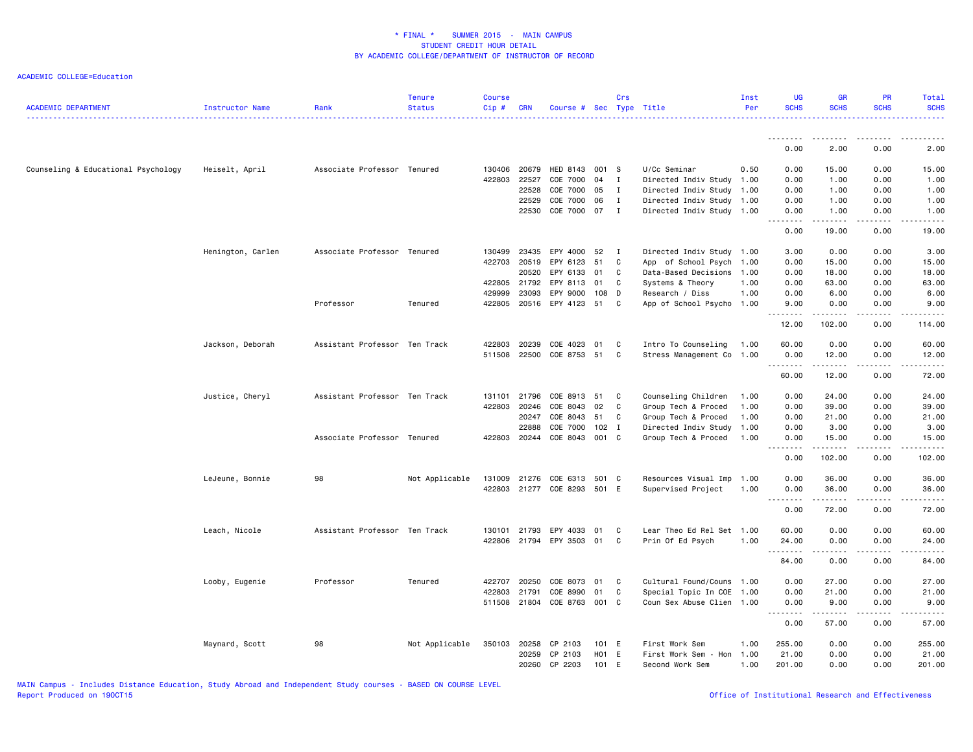| <b>ACADEMIC DEPARTMENT</b>          | Instructor Name   | Rank                          | <b>Tenure</b><br><b>Status</b> | <b>Course</b><br>Cip# | <b>CRN</b>     | Course # Sec Type Title     |                  | Crs            |                                              | Inst<br>Per | <b>UG</b><br><b>SCHS</b>                                                                                                                                                             | <b>GR</b><br><b>SCHS</b> | PR<br><b>SCHS</b> | Total<br><b>SCHS</b> |
|-------------------------------------|-------------------|-------------------------------|--------------------------------|-----------------------|----------------|-----------------------------|------------------|----------------|----------------------------------------------|-------------|--------------------------------------------------------------------------------------------------------------------------------------------------------------------------------------|--------------------------|-------------------|----------------------|
|                                     |                   |                               |                                |                       |                |                             |                  |                |                                              |             |                                                                                                                                                                                      |                          |                   |                      |
|                                     |                   |                               |                                |                       |                |                             |                  |                |                                              |             | 0.00                                                                                                                                                                                 | 2.00                     | 0.00              | 2.00                 |
| Counseling & Educational Psychology | Heiselt, April    | Associate Professor Tenured   |                                | 130406                | 20679          | HED 8143 001 S              |                  |                | U/Cc Seminar                                 | 0.50        | 0.00                                                                                                                                                                                 | 15.00                    | 0.00              | 15.00                |
|                                     |                   |                               |                                | 422803                | 22527          | COE 7000                    | 04               | I              | Directed Indiv Study 1.00                    |             | 0.00                                                                                                                                                                                 | 1.00                     | 0.00              | 1.00                 |
|                                     |                   |                               |                                |                       | 22528          | COE 7000                    | 05               | $\mathbf{I}$   | Directed Indiv Study 1.00                    |             | 0.00                                                                                                                                                                                 | 1.00                     | 0.00              | 1.00                 |
|                                     |                   |                               |                                |                       | 22529          | COE 7000                    | 06               | I              | Directed Indiv Study 1.00                    |             | 0.00                                                                                                                                                                                 | 1.00                     | 0.00              | 1.00                 |
|                                     |                   |                               |                                |                       | 22530          | COE 7000 07                 |                  | $\mathbf{I}$   | Directed Indiv Study 1.00                    |             | 0.00<br>.                                                                                                                                                                            | 1.00<br>.                | 0.00<br>.         | 1.00<br>$\cdots$     |
|                                     |                   |                               |                                |                       |                |                             |                  |                |                                              |             | 0.00                                                                                                                                                                                 | 19.00                    | 0.00              | 19.00                |
|                                     | Henington, Carlen | Associate Professor Tenured   |                                | 130499                | 23435          | EPY 4000                    | 52               | $\blacksquare$ | Directed Indiv Study 1.00                    |             | 3.00                                                                                                                                                                                 | 0.00                     | 0.00              | 3.00                 |
|                                     |                   |                               |                                | 422703                | 20519          | EPY 6123                    | 51               | C              | App of School Psych                          | 1.00        | 0.00                                                                                                                                                                                 | 15.00                    | 0.00              | 15.00                |
|                                     |                   |                               |                                |                       | 20520          | EPY 6133                    | 01               | C              | Data-Based Decisions                         | 1.00        | 0.00                                                                                                                                                                                 | 18.00                    | 0.00              | 18.00                |
|                                     |                   |                               |                                | 422805                | 21792          | EPY 8113                    | 01               | C              | Systems & Theory                             | 1.00        | 0.00                                                                                                                                                                                 | 63.00                    | 0.00              | 63.00                |
|                                     |                   | Professor                     | Tenured                        | 429999<br>422805      | 23093<br>20516 | EPY 9000<br>EPY 4123 51     | 108              | D<br>C         | Research / Diss<br>App of School Psycho 1.00 | 1.00        | 0.00<br>9.00                                                                                                                                                                         | 6.00<br>0.00             | 0.00<br>0.00      | 6.00<br>9.00         |
|                                     |                   |                               |                                |                       |                |                             |                  |                |                                              |             | $\sim$ $\sim$ $\sim$ $\sim$ $\sim$                                                                                                                                                   |                          | .                 |                      |
|                                     |                   |                               |                                |                       |                |                             |                  |                |                                              |             | 12.00                                                                                                                                                                                | 102.00                   | 0.00              | 114.00               |
|                                     | Jackson, Deborah  | Assistant Professor Ten Track |                                | 422803                | 20239          | COE 4023                    | 01               | C              | Intro To Counseling                          | 1.00        | 60.00                                                                                                                                                                                | 0.00                     | 0.00              | 60.00                |
|                                     |                   |                               |                                | 511508                | 22500          | COE 8753 51                 |                  | C              | Stress Management Co                         | 1.00        | 0.00                                                                                                                                                                                 | 12.00                    | 0.00              | 12.00                |
|                                     |                   |                               |                                |                       |                |                             |                  |                |                                              |             | <b></b><br>60.00                                                                                                                                                                     | .<br>12.00               | .<br>0.00         | $\cdots$<br>72.00    |
|                                     | Justice, Cheryl   | Assistant Professor Ten Track |                                | 131101                | 21796          | COE 8913 51                 |                  | C              | Counseling Children                          | 1.00        | 0.00                                                                                                                                                                                 | 24.00                    | 0.00              | 24.00                |
|                                     |                   |                               |                                | 422803                | 20246          | COE 8043                    | 02               | C              | Group Tech & Proced                          | 1.00        | 0.00                                                                                                                                                                                 | 39.00                    | 0.00              | 39.00                |
|                                     |                   |                               |                                |                       | 20247          | COE 8043                    | 51               | C              | Group Tech & Proced                          | 1.00        | 0.00                                                                                                                                                                                 | 21.00                    | 0.00              | 21.00                |
|                                     |                   |                               |                                |                       | 22888          | COE 7000                    | 102 I            |                | Directed Indiv Study 1.00                    |             | 0.00                                                                                                                                                                                 | 3.00                     | 0.00              | 3.00                 |
|                                     |                   | Associate Professor Tenured   |                                | 422803                | 20244          | COE 8043                    | 001 C            |                | Group Tech & Proced                          | 1.00        | 0.00<br>.                                                                                                                                                                            | 15.00<br>.               | 0.00<br>.         | 15.00                |
|                                     |                   |                               |                                |                       |                |                             |                  |                |                                              |             | 0.00                                                                                                                                                                                 | 102.00                   | 0.00              | 102.00               |
|                                     | LeJeune, Bonnie   | 98                            | Not Applicable                 | 131009                | 21276          | COE 6313                    | 501              | - C            | Resources Visual Imp                         | 1.00        | 0.00                                                                                                                                                                                 | 36.00                    | 0.00              | 36.00                |
|                                     |                   |                               |                                |                       |                | 422803 21277 COE 8293 501 E |                  |                | Supervised Project                           | 1.00        | 0.00<br>$\frac{1}{2} \left( \frac{1}{2} \right) \left( \frac{1}{2} \right) \left( \frac{1}{2} \right) \left( \frac{1}{2} \right) \left( \frac{1}{2} \right)$<br>$\sim$ $\sim$ $\sim$ | 36.00<br>------          | 0.00<br>.         | 36.00                |
|                                     |                   |                               |                                |                       |                |                             |                  |                |                                              |             | 0.00                                                                                                                                                                                 | 72.00                    | 0.00              | 72.00                |
|                                     | Leach, Nicole     | Assistant Professor Ten Track |                                | 130101                | 21793          | EPY 4033                    | 01               | C              | Lear Theo Ed Rel Set 1.00                    |             | 60.00                                                                                                                                                                                | 0.00                     | 0.00              | 60.00                |
|                                     |                   |                               |                                | 422806                | 21794          | EPY 3503                    | 01               | C              | Prin Of Ed Psych                             | 1.00        | 24.00                                                                                                                                                                                | 0.00                     | 0.00              | 24.00                |
|                                     |                   |                               |                                |                       |                |                             |                  |                |                                              |             | .<br>84.00                                                                                                                                                                           | 0.00                     | 0.00              | 84.00                |
|                                     |                   |                               |                                |                       |                |                             |                  |                |                                              |             |                                                                                                                                                                                      |                          |                   |                      |
|                                     | Looby, Eugenie    | Professor                     | Tenured                        | 422707                | 20250          | COE 8073                    | 01               | C              | Cultural Found/Couns 1.00                    |             | 0.00                                                                                                                                                                                 | 27.00                    | 0.00              | 27.00                |
|                                     |                   |                               |                                | 422803                | 21791          | COE 8990                    | 01               | C              | Special Topic In COE                         | 1.00        | 0.00                                                                                                                                                                                 | 21.00                    | 0.00              | 21.00                |
|                                     |                   |                               |                                | 511508 21804          |                | COE 8763 001 C              |                  |                | Coun Sex Abuse Clien 1.00                    |             | 0.00<br>$\sim$ $\sim$ $\sim$                                                                                                                                                         | 9.00                     | 0.00              | 9.00                 |
|                                     |                   |                               |                                |                       |                |                             |                  |                |                                              |             | 0.00                                                                                                                                                                                 | 57.00                    | 0.00              | 57.00                |
|                                     | Maynard, Scott    | 98                            | Not Applicable                 | 350103                | 20258          | CP 2103                     | 101 E            |                | First Work Sem                               | 1.00        | 255.00                                                                                                                                                                               | 0.00                     | 0.00              | 255.00               |
|                                     |                   |                               |                                |                       | 20259          | CP 2103                     | H <sub>0</sub> 1 | E              | First Work Sem - Hon                         | 1.00        | 21.00                                                                                                                                                                                | 0.00                     | 0.00              | 21.00                |
|                                     |                   |                               |                                |                       | 20260          | CP 2203                     | 101 E            |                | Second Work Sem                              | 1.00        | 201.00                                                                                                                                                                               | 0.00                     | 0.00              | 201.00               |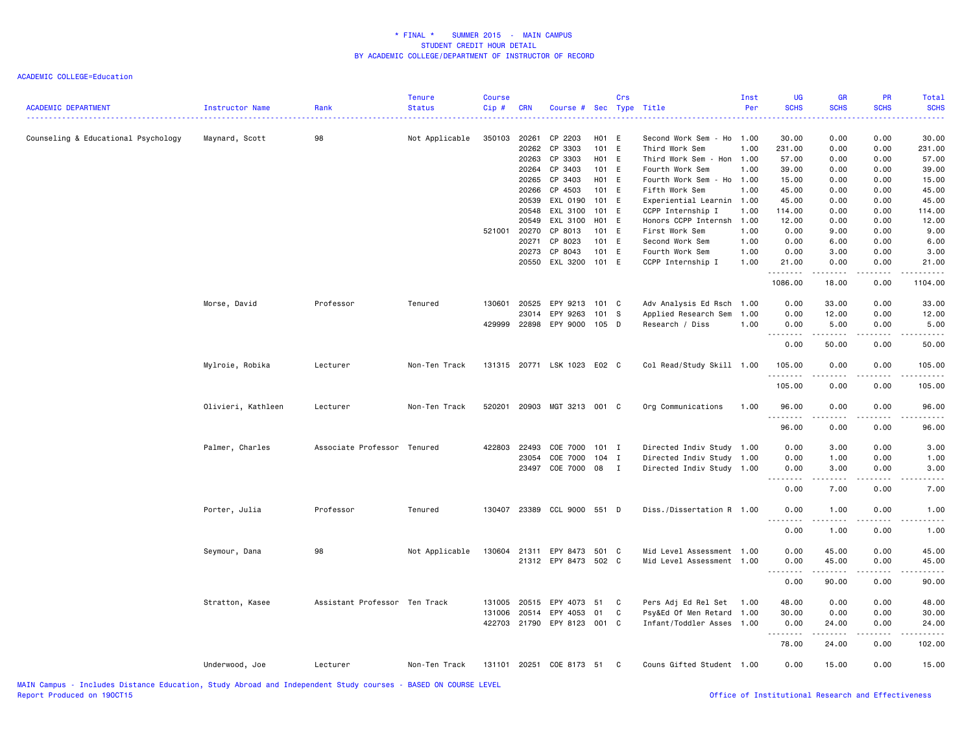| <b>ACADEMIC DEPARTMENT</b>          | Instructor Name    | Rank                          | <b>Tenure</b><br><b>Status</b> | <b>Course</b><br>Cip# | <b>CRN</b> | Course # Sec Type Title     |       | Crs          |                           | Inst<br>Per | UG<br><b>SCHS</b> | GR<br><b>SCHS</b> | PR<br><b>SCHS</b> | <b>Total</b><br><b>SCHS</b> |
|-------------------------------------|--------------------|-------------------------------|--------------------------------|-----------------------|------------|-----------------------------|-------|--------------|---------------------------|-------------|-------------------|-------------------|-------------------|-----------------------------|
| Counseling & Educational Psychology | Maynard, Scott     | 98                            | Not Applicable                 | 350103                | 20261      | CP 2203                     | H01 E |              | Second Work Sem - Ho 1.00 |             | 30.00             | 0.00              | 0.00              | 30.00                       |
|                                     |                    |                               |                                |                       |            | 20262 CP 3303               | 101 E |              | Third Work Sem            | 1.00        | 231.00            | 0.00              | 0.00              | 231.00                      |
|                                     |                    |                               |                                |                       |            | 20263 CP 3303               | H01 E |              | Third Work Sem - Hon      | 1.00        | 57.00             | 0.00              | 0.00              | 57.00                       |
|                                     |                    |                               |                                |                       |            | 20264 CP 3403               | 101 E |              | Fourth Work Sem           | 1.00        | 39.00             | 0.00              | 0.00              | 39.00                       |
|                                     |                    |                               |                                |                       |            | 20265 CP 3403               | H01 E |              | Fourth Work Sem - Ho 1.00 |             | 15.00             | 0.00              | 0.00              | 15.00                       |
|                                     |                    |                               |                                |                       | 20266      | CP 4503                     | 101 E |              | Fifth Work Sem            | 1.00        | 45.00             | 0.00              | 0.00              | 45.00                       |
|                                     |                    |                               |                                |                       |            | 20539 EXL 0190              | 101 E |              | Experiential Learnin 1.00 |             | 45.00             | 0.00              | 0.00              | 45.00                       |
|                                     |                    |                               |                                |                       |            | 20548 EXL 3100              | 101 E |              | CCPP Internship I         | 1.00        | 114.00            | 0.00              | 0.00              | 114.00                      |
|                                     |                    |                               |                                |                       | 20549      | EXL 3100                    | H01 E |              | Honors CCPP Internsh      | 1.00        | 12.00             | 0.00              | 0.00              | 12.00                       |
|                                     |                    |                               |                                | 521001                | 20270      | CP 8013                     | 101 E |              | First Work Sem            | 1.00        | 0.00              | 9.00              | 0.00              | 9.00                        |
|                                     |                    |                               |                                |                       | 20271      | CP 8023                     | 101 E |              | Second Work Sem           | 1.00        | 0.00              | 6.00              | 0.00              | 6.00                        |
|                                     |                    |                               |                                |                       |            | 20273 CP 8043               | 101 E |              | Fourth Work Sem           | 1.00        | 0.00              | 3.00              | 0.00              | 3.00                        |
|                                     |                    |                               |                                |                       | 20550      | EXL 3200                    | 101 E |              | CCPP Internship I         | 1.00        | 21.00<br>.        | 0.00<br>.         | 0.00<br>.         | 21.00                       |
|                                     |                    |                               |                                |                       |            |                             |       |              |                           |             | 1086.00           | 18.00             | 0.00              | 1104.00                     |
|                                     | Morse, David       | Professor                     | Tenured                        | 130601                | 20525      | EPY 9213                    | 101 C |              | Adv Analysis Ed Rsch 1.00 |             | 0.00              | 33.00             | 0.00              | 33.00                       |
|                                     |                    |                               |                                |                       | 23014      | EPY 9263                    | 101 S |              | Applied Research Sem      | 1.00        | 0.00              | 12.00             | 0.00              | 12.00                       |
|                                     |                    |                               |                                | 429999                |            | 22898 EPY 9000 105 D        |       |              | Research / Diss           | 1.00        | 0.00              | 5.00              | 0.00              | 5.00                        |
|                                     |                    |                               |                                |                       |            |                             |       |              |                           |             | .                 |                   | -----             | .                           |
|                                     |                    |                               |                                |                       |            |                             |       |              |                           |             | 0.00              | 50.00             | 0.00              | 50.00                       |
|                                     | Mylroie, Robika    | Lecturer                      | Non-Ten Track                  |                       |            | 131315 20771 LSK 1023 E02 C |       |              | Col Read/Study Skill 1.00 |             | 105.00<br>.       | 0.00              | 0.00              | 105.00                      |
|                                     |                    |                               |                                |                       |            |                             |       |              |                           |             | 105.00            | 0.00              | 0.00              | 105.00                      |
|                                     | Olivieri, Kathleen | Lecturer                      | Non-Ten Track                  | 520201                |            | 20903 MGT 3213 001 C        |       |              | Org Communications        | 1.00        | 96.00             | 0.00              | 0.00              | 96.00                       |
|                                     |                    |                               |                                |                       |            |                             |       |              |                           |             | 96.00             | 0.00              | 0.00              | 96.00                       |
|                                     | Palmer, Charles    | Associate Professor Tenured   |                                | 422803                | 22493      | COE 7000 101 I              |       |              | Directed Indiv Study 1.00 |             | 0.00              | 3.00              | 0.00              | 3.00                        |
|                                     |                    |                               |                                |                       | 23054      | COE 7000 104 I              |       |              | Directed Indiv Study 1.00 |             | 0.00              | 1.00              | 0.00              | 1.00                        |
|                                     |                    |                               |                                |                       | 23497      | COE 7000 08                 |       | $\mathbf{I}$ | Directed Indiv Study 1.00 |             | 0.00              | 3.00              | 0.00              | 3.00                        |
|                                     |                    |                               |                                |                       |            |                             |       |              |                           |             | .                 | .                 |                   |                             |
|                                     |                    |                               |                                |                       |            |                             |       |              |                           |             | 0.00              | 7.00              | 0.00              | 7.00                        |
|                                     | Porter, Julia      | Professor                     | Tenured                        | 130407                |            | 23389 CCL 9000 551 D        |       |              | Diss./Dissertation R 1.00 |             | 0.00              | 1.00              | 0.00              | 1.00                        |
|                                     |                    |                               |                                |                       |            |                             |       |              |                           |             | 0.00              | 1.00              | 0.00              | 1.00                        |
|                                     | Seymour, Dana      | 98                            | Not Applicable                 | 130604                |            | 21311 EPY 8473              | 501 C |              | Mid Level Assessment 1.00 |             | 0.00              | 45.00             | 0.00              | 45.00                       |
|                                     |                    |                               |                                |                       |            | 21312 EPY 8473 502 C        |       |              | Mid Level Assessment 1.00 |             | 0.00              | 45.00             | 0.00              | 45.00                       |
|                                     |                    |                               |                                |                       |            |                             |       |              |                           |             | . <b>.</b>        | .                 | -----             | .                           |
|                                     |                    |                               |                                |                       |            |                             |       |              |                           |             | 0.00              | 90.00             | 0.00              | 90.00                       |
|                                     | Stratton, Kasee    | Assistant Professor Ten Track |                                | 131005                | 20515      | EPY 4073                    | 51    | C            | Pers Adj Ed Rel Set       | 1.00        | 48.00             | 0.00              | 0.00              | 48.00                       |
|                                     |                    |                               |                                | 131006                | 20514      | EPY 4053                    | 01    | C            | Psy&Ed Of Men Retard 1.00 |             | 30.00             | 0.00              | 0.00              | 30.00                       |
|                                     |                    |                               |                                |                       |            | 422703 21790 EPY 8123 001 C |       |              | Infant/Toddler Asses 1.00 |             | 0.00<br>.         | 24.00<br>.        | 0.00              | 24.00                       |
|                                     |                    |                               |                                |                       |            |                             |       |              |                           |             | 78.00             | 24.00             | 0.00              | 102.00                      |
|                                     | Underwood, Joe     | Lecturer                      | Non-Ten Track                  |                       |            | 131101 20251 COE 8173 51 C  |       |              | Couns Gifted Student 1.00 |             | 0.00              | 15.00             | 0.00              | 15.00                       |
|                                     |                    |                               |                                |                       |            |                             |       |              |                           |             |                   |                   |                   |                             |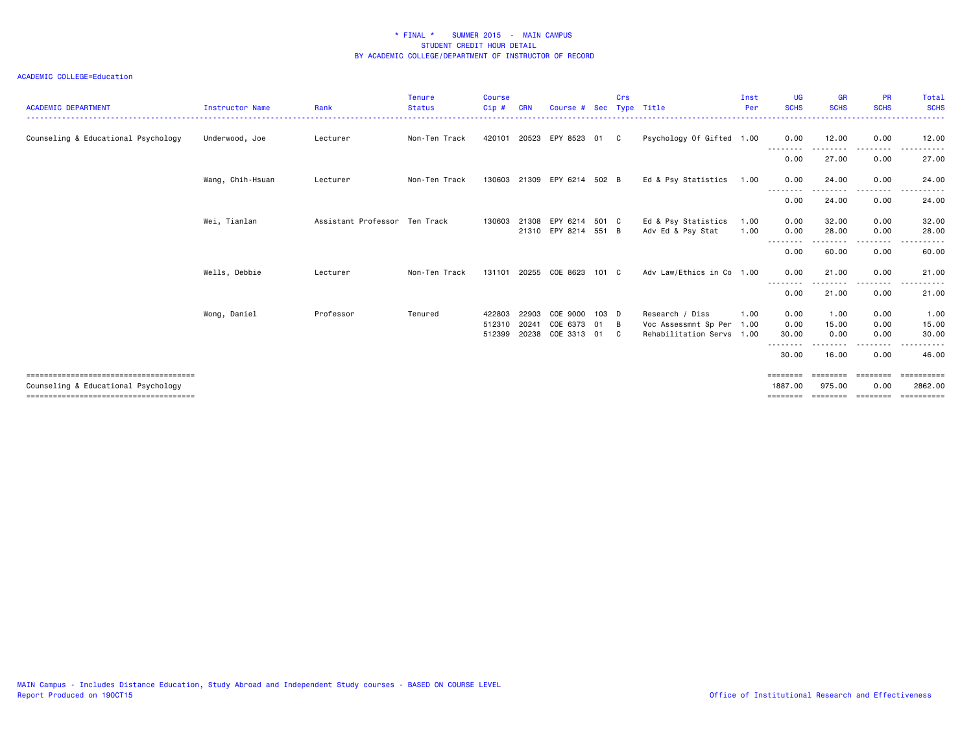| <b>ACADEMIC DEPARTMENT</b>          | <b>Instructor Name</b> | Rank                          | <b>Tenure</b><br><b>Status</b> | <b>Course</b><br>Cip#      | <b>CRN</b>              | Course # Sec Type Title                |                     | Crs     |                                                                      | Inst<br>Per  | <b>UG</b><br><b>SCHS</b>        | <b>GR</b><br><b>SCHS</b>        | <b>PR</b><br><b>SCHS</b>     | Total<br><b>SCHS</b>                      |
|-------------------------------------|------------------------|-------------------------------|--------------------------------|----------------------------|-------------------------|----------------------------------------|---------------------|---------|----------------------------------------------------------------------|--------------|---------------------------------|---------------------------------|------------------------------|-------------------------------------------|
| Counseling & Educational Psychology | Underwood, Joe         | Lecturer                      | Non-Ten Track                  |                            |                         | 420101 20523 EPY 8523 01               |                     | C       | Psychology Of Gifted 1.00                                            |              | 0.00                            | 12.00                           | 0.00                         | 12.00                                     |
|                                     |                        |                               |                                |                            |                         |                                        |                     |         |                                                                      |              | --------<br>0.00                | 27.00                           | 0.00                         | 27.00                                     |
|                                     | Wang, Chih-Hsuan       | Lecturer                      | Non-Ten Track                  |                            |                         | 130603 21309 EPY 6214 502 B            |                     |         | Ed & Psy Statistics                                                  | 1.00         | 0.00                            | 24.00                           | 0.00                         | 24.00                                     |
|                                     |                        |                               |                                |                            |                         |                                        |                     |         |                                                                      |              | --------<br>0.00                | .<br>24.00                      | --------<br>0.00             | .<br>24.00                                |
|                                     | Wei, Tianlan           | Assistant Professor Ten Track |                                | 130603 21308               |                         | EPY 6214 501 C<br>21310 EPY 8214 551 B |                     |         | Ed & Psy Statistics<br>Adv Ed & Psy Stat                             | 1.00<br>1.00 | 0.00<br>0.00                    | 32.00<br>28.00                  | 0.00<br>0.00                 | 32.00<br>28.00                            |
|                                     |                        |                               |                                |                            |                         |                                        |                     |         |                                                                      |              | .<br>----<br>0.00               | 60.00                           | 0.00                         | 60.00                                     |
|                                     | Wells, Debbie          | Lecturer                      | Non-Ten Track                  | 131101                     |                         | 20255 COE 8623                         | 101 C               |         | Adv Law/Ethics in Co 1.00                                            |              | 0.00                            | 21.00                           | 0.00                         | 21.00                                     |
|                                     |                        |                               |                                |                            |                         |                                        |                     |         |                                                                      |              | --------<br>0.00                | 21.00                           | ----<br>0.00                 | 21.00                                     |
|                                     | Wong, Daniel           | Professor                     | Tenured                        | 422803<br>512310<br>512399 | 22903<br>20241<br>20238 | COE 9000<br>COE 6373<br>COE 3313       | $103$ D<br>01<br>01 | B<br>C. | Research / Diss<br>Voc Assessmnt Sp Per<br>Rehabilitation Servs 1.00 | 1.00<br>1.00 | 0.00<br>0.00<br>30.00           | 1.00<br>15.00<br>0.00           | 0.00<br>0.00<br>0.00         | 1.00<br>15.00<br>30.00                    |
|                                     |                        |                               |                                |                            |                         |                                        |                     |         |                                                                      |              | 30.00                           | 16.00                           | 0.00                         | 46.00                                     |
| Counseling & Educational Psychology |                        |                               |                                |                            |                         |                                        |                     |         |                                                                      |              | ========<br>1887.00<br>======== | ========<br>975.00<br>--------- | ========<br>0.00<br>======== | ==========<br>2862.00<br><b>EEEEEEEEE</b> |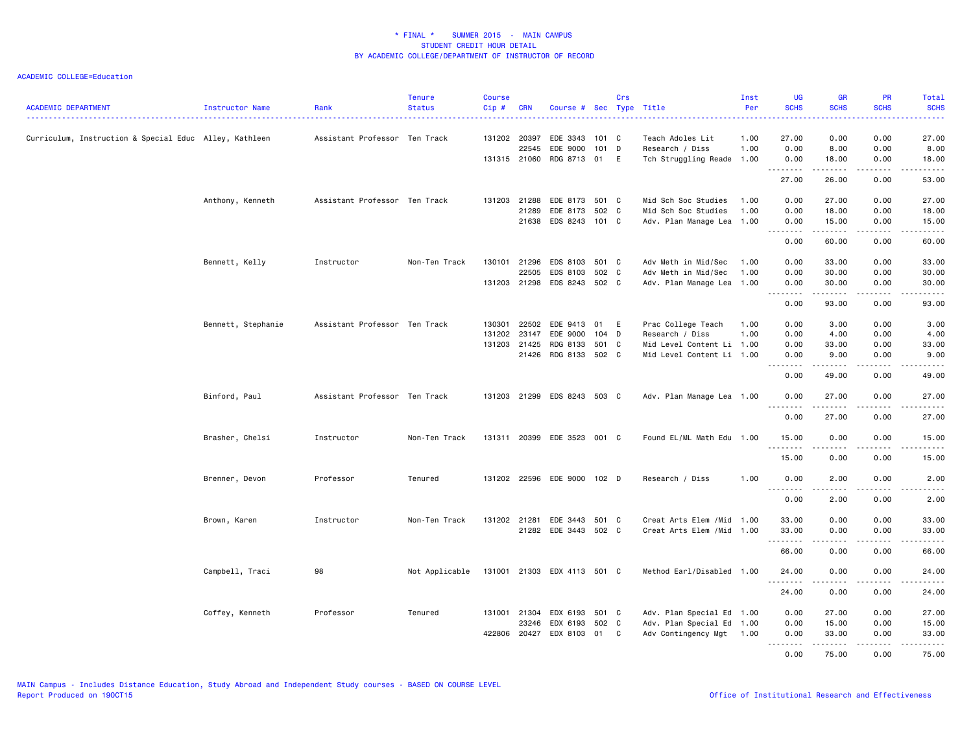| <b>ACADEMIC DEPARTMENT</b>                             | Instructor Name    | Rank                          | <b>Tenure</b><br><b>Status</b> | <b>Course</b><br>Cip# | <b>CRN</b>   | Course # Sec Type Title     |       | Crs |                            | Inst<br>Per | <b>UG</b><br><b>SCHS</b> | <b>GR</b><br><b>SCHS</b>                                                                                                                                     | PR<br><b>SCHS</b>                                                                                                                                    | Total<br><b>SCHS</b> |
|--------------------------------------------------------|--------------------|-------------------------------|--------------------------------|-----------------------|--------------|-----------------------------|-------|-----|----------------------------|-------------|--------------------------|--------------------------------------------------------------------------------------------------------------------------------------------------------------|------------------------------------------------------------------------------------------------------------------------------------------------------|----------------------|
| Curriculum, Instruction & Special Educ Alley, Kathleen |                    | Assistant Professor Ten Track |                                | 131202 20397          |              | EDE 3343                    | 101 C |     | Teach Adoles Lit           | 1.00        | 27.00                    | 0.00                                                                                                                                                         | 0.00                                                                                                                                                 | 27.00                |
|                                                        |                    |                               |                                |                       | 22545        | EDE 9000                    | 101 D |     | Research / Diss            | 1.00        | 0.00                     | 8.00                                                                                                                                                         | 0.00                                                                                                                                                 | 8.00                 |
|                                                        |                    |                               |                                |                       |              | 131315 21060 RDG 8713 01 E  |       |     | Tch Struggling Reade 1.00  |             | 0.00<br>.                | 18.00<br>د د د د د                                                                                                                                           | 0.00                                                                                                                                                 | 18.00                |
|                                                        |                    |                               |                                |                       |              |                             |       |     |                            |             | 27.00                    | 26.00                                                                                                                                                        | 0.00                                                                                                                                                 | 53.00                |
|                                                        | Anthony, Kenneth   | Assistant Professor Ten Track |                                |                       | 131203 21288 | EDE 8173 501 C              |       |     | Mid Sch Soc Studies        | 1.00        | 0.00                     | 27.00                                                                                                                                                        | 0.00                                                                                                                                                 | 27.00                |
|                                                        |                    |                               |                                |                       | 21289        | EDE 8173 502 C              |       |     | Mid Sch Soc Studies        | 1.00        | 0.00                     | 18.00                                                                                                                                                        | 0.00                                                                                                                                                 | 18.00                |
|                                                        |                    |                               |                                |                       |              | 21638 EDS 8243 101 C        |       |     | Adv. Plan Manage Lea 1.00  |             | 0.00<br><u>.</u>         | 15.00<br>.                                                                                                                                                   | 0.00<br>.                                                                                                                                            | 15.00<br>.           |
|                                                        |                    |                               |                                |                       |              |                             |       |     |                            |             | 0.00                     | 60.00                                                                                                                                                        | 0.00                                                                                                                                                 | 60.00                |
|                                                        | Bennett, Kelly     | Instructor                    | Non-Ten Track                  | 130101                | 21296        | EDS 8103                    | 501 C |     | Adv Meth in Mid/Sec        | 1.00        | 0.00                     | 33.00                                                                                                                                                        | 0.00                                                                                                                                                 | 33.00                |
|                                                        |                    |                               |                                |                       | 22505        | EDS 8103                    | 502 C |     | Adv Meth in Mid/Sec        | 1.00        | 0.00                     | 30.00                                                                                                                                                        | 0.00                                                                                                                                                 | 30.00                |
|                                                        |                    |                               |                                |                       | 131203 21298 | EDS 8243 502 C              |       |     | Adv. Plan Manage Lea 1.00  |             | 0.00                     | 30.00                                                                                                                                                        | 0.00                                                                                                                                                 | 30.00                |
|                                                        |                    |                               |                                |                       |              |                             |       |     |                            |             | 22222<br>0.00            | .<br>93.00                                                                                                                                                   | .<br>0.00                                                                                                                                            | .<br>93.00           |
|                                                        | Bennett, Stephanie | Assistant Professor Ten Track |                                | 130301                | 22502        | EDE 9413                    | 01 E  |     | Prac College Teach         | 1.00        | 0.00                     | 3.00                                                                                                                                                         | 0.00                                                                                                                                                 | 3.00                 |
|                                                        |                    |                               |                                | 131202                | 23147        | EDE 9000                    | 104 D |     | Research / Diss            | 1.00        | 0.00                     | 4.00                                                                                                                                                         | 0.00                                                                                                                                                 | 4.00                 |
|                                                        |                    |                               |                                |                       | 131203 21425 | RDG 8133                    | 501 C |     | Mid Level Content Li 1.00  |             | 0.00                     | 33.00                                                                                                                                                        | 0.00                                                                                                                                                 | 33.00                |
|                                                        |                    |                               |                                |                       |              | 21426 RDG 8133 502 C        |       |     | Mid Level Content Li 1.00  |             | 0.00                     | 9.00                                                                                                                                                         | 0.00                                                                                                                                                 | 9.00                 |
|                                                        |                    |                               |                                |                       |              |                             |       |     |                            |             | 0.00                     | 49.00                                                                                                                                                        | 0.00                                                                                                                                                 | 49.00                |
|                                                        | Binford, Paul      | Assistant Professor Ten Track |                                |                       |              | 131203 21299 EDS 8243 503 C |       |     | Adv. Plan Manage Lea 1.00  |             | 0.00<br><b></b>          | 27.00<br>$- - - - - - -$                                                                                                                                     | 0.00<br>.                                                                                                                                            | 27.00<br>.           |
|                                                        |                    |                               |                                |                       |              |                             |       |     |                            |             | 0.00                     | 27.00                                                                                                                                                        | 0.00                                                                                                                                                 | 27.00                |
|                                                        | Brasher, Chelsi    | Instructor                    | Non-Ten Track                  | 131311                |              | 20399 EDE 3523 001 C        |       |     | Found EL/ML Math Edu       | 1.00        | 15.00                    | 0.00                                                                                                                                                         | 0.00                                                                                                                                                 | 15.00                |
|                                                        |                    |                               |                                |                       |              |                             |       |     |                            |             | 15.00                    | 0.00                                                                                                                                                         | 0.00                                                                                                                                                 | 15.00                |
|                                                        | Brenner, Devon     | Professor                     | Tenured                        |                       |              | 131202 22596 EDE 9000 102 D |       |     | Research / Diss            | 1.00        | 0.00                     | 2.00                                                                                                                                                         | 0.00                                                                                                                                                 | 2.00                 |
|                                                        |                    |                               |                                |                       |              |                             |       |     |                            |             | 0.00                     | .<br>2.00                                                                                                                                                    | 0.00                                                                                                                                                 | 2.00                 |
|                                                        |                    |                               |                                |                       |              |                             |       |     |                            |             |                          |                                                                                                                                                              |                                                                                                                                                      |                      |
|                                                        | Brown, Karen       | Instructor                    | Non-Ten Track                  |                       | 131202 21281 | EDE 3443 501 C              |       |     | Creat Arts Elem / Mid 1.00 |             | 33.00                    | 0.00                                                                                                                                                         | 0.00                                                                                                                                                 | 33.00                |
|                                                        |                    |                               |                                |                       |              | 21282 EDE 3443 502 C        |       |     | Creat Arts Elem /Mid       | 1.00        | 33.00                    | 0.00<br>.                                                                                                                                                    | 0.00                                                                                                                                                 | 33.00                |
|                                                        |                    |                               |                                |                       |              |                             |       |     |                            |             | 66.00                    | 0.00                                                                                                                                                         | 0.00                                                                                                                                                 | 66.00                |
|                                                        | Campbell, Traci    | 98                            | Not Applicable                 |                       |              | 131001 21303 EDX 4113 501 C |       |     | Method Earl/Disabled 1.00  |             | 24.00<br><b></b>         | 0.00<br>$\frac{1}{2} \left( \frac{1}{2} \right) \left( \frac{1}{2} \right) \left( \frac{1}{2} \right) \left( \frac{1}{2} \right) \left( \frac{1}{2} \right)$ | 0.00<br>.                                                                                                                                            | 24.00<br>.           |
|                                                        |                    |                               |                                |                       |              |                             |       |     |                            |             | 24.00                    | 0.00                                                                                                                                                         | 0.00                                                                                                                                                 | 24.00                |
|                                                        | Coffey, Kenneth    | Professor                     | Tenured                        | 131001                | 21304        | EDX 6193 501 C              |       |     | Adv. Plan Special Ed       | 1.00        | 0.00                     | 27.00                                                                                                                                                        | 0.00                                                                                                                                                 | 27.00                |
|                                                        |                    |                               |                                |                       | 23246        | EDX 6193                    | 502 C |     | Adv. Plan Special Ed       | 1.00        | 0.00                     | 15.00                                                                                                                                                        | 0.00                                                                                                                                                 | 15.00                |
|                                                        |                    |                               |                                | 422806                | 20427        | EDX 8103 01                 |       | C.  | Adv Contingency Mgt 1.00   |             | 0.00                     | 33.00                                                                                                                                                        | 0.00                                                                                                                                                 | 33.00                |
|                                                        |                    |                               |                                |                       |              |                             |       |     |                            |             | 1.1.1.1.1.1.1            | $\begin{array}{cccccccccc} \bullet & \bullet & \bullet & \bullet & \bullet & \bullet & \bullet & \bullet \end{array}$                                        | $\frac{1}{2} \left( \frac{1}{2} \right) \left( \frac{1}{2} \right) \left( \frac{1}{2} \right) \left( \frac{1}{2} \right) \left( \frac{1}{2} \right)$ | .                    |
|                                                        |                    |                               |                                |                       |              |                             |       |     |                            |             | 0.00                     | 75.00                                                                                                                                                        | 0.00                                                                                                                                                 | 75.00                |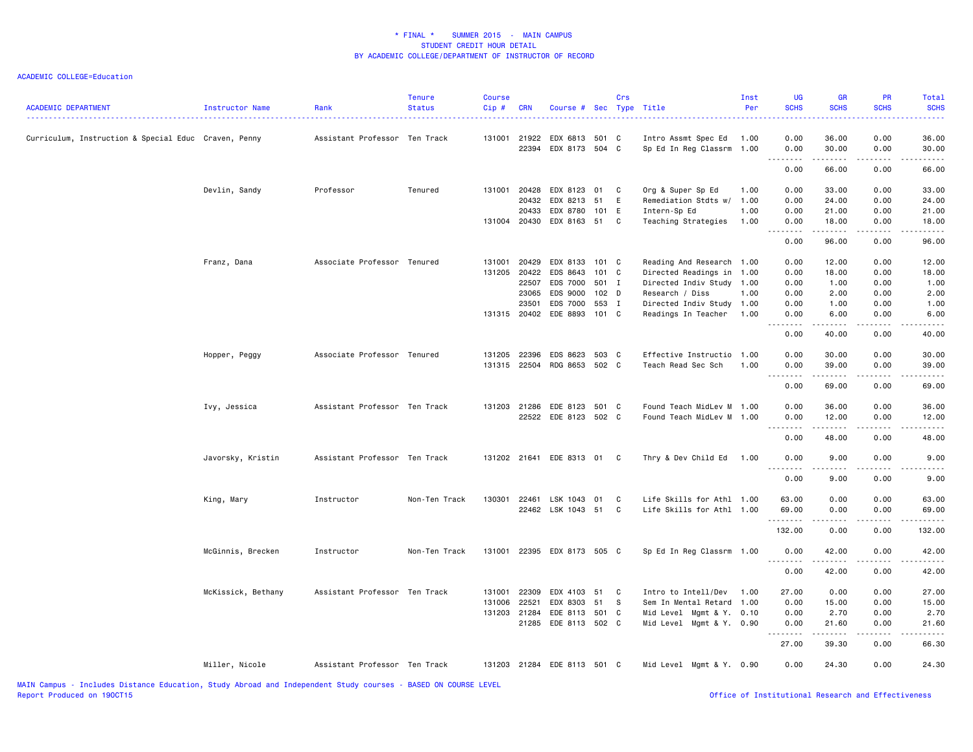#### ACADEMIC COLLEGE=Education

| <b>ACADEMIC DEPARTMENT</b>                           | Instructor Name    | Rank                          | <b>Tenure</b><br><b>Status</b> | <b>Course</b><br>Cip # | <b>CRN</b>     | Course # Sec Type Title     |          | Crs      |                                                  | Inst<br>Per | <b>UG</b><br><b>SCHS</b>              | <b>GR</b><br><b>SCHS</b> | PR<br><b>SCHS</b>       | Total<br><b>SCHS</b> |
|------------------------------------------------------|--------------------|-------------------------------|--------------------------------|------------------------|----------------|-----------------------------|----------|----------|--------------------------------------------------|-------------|---------------------------------------|--------------------------|-------------------------|----------------------|
| Curriculum, Instruction & Special Educ Craven, Penny |                    | Assistant Professor Ten Track |                                | 131001                 | 21922<br>22394 | EDX 6813<br>EDX 8173 504 C  | 501 C    |          | Intro Assmt Spec Ed<br>Sp Ed In Reg Classrm 1.00 | 1.00        | 0.00<br>0.00                          | 36.00<br>30.00           | 0.00<br>0.00            | 36.00<br>30.00       |
|                                                      |                    |                               |                                |                        |                |                             |          |          |                                                  |             | 1.1.1.1.1.1.1<br>0.00                 | <b>.</b><br>66.00        | .<br>0.00               | .<br>66.00           |
|                                                      |                    |                               |                                |                        |                |                             |          |          |                                                  |             |                                       |                          |                         |                      |
|                                                      | Devlin, Sandy      | Professor                     | Tenured                        | 131001                 | 20428          | EDX 8123                    | 01       | C.       | Org & Super Sp Ed                                | 1.00        | 0.00                                  | 33.00                    | 0.00                    | 33.00                |
|                                                      |                    |                               |                                |                        | 20432          | EDX 8213                    | 51       | E        | Remediation Stdts w/ 1.00                        |             | 0.00                                  | 24.00                    | 0.00                    | 24.00                |
|                                                      |                    |                               |                                |                        | 20433          | EDX 8780                    | 101 E    |          | Intern-Sp Ed                                     | 1.00        | 0.00                                  | 21.00                    | 0.00                    | 21.00                |
|                                                      |                    |                               |                                |                        | 131004 20430   | EDX 8163 51                 |          | C        | Teaching Strategies                              | 1.00        | 0.00                                  | 18.00                    | 0.00                    | 18.00                |
|                                                      |                    |                               |                                |                        |                |                             |          |          |                                                  |             | 0.00                                  | 96.00                    | 0.00                    | 96.00                |
|                                                      | Franz, Dana        | Associate Professor Tenured   |                                | 131001                 | 20429          | EDX 8133 101 C              |          |          | Reading And Research 1.00                        |             | 0.00                                  | 12.00                    | 0.00                    | 12.00                |
|                                                      |                    |                               |                                | 131205 20422           |                | EDS 8643                    | 101 C    |          | Directed Readings in                             | 1.00        | 0.00                                  | 18.00                    | 0.00                    | 18.00                |
|                                                      |                    |                               |                                |                        | 22507          | EDS 7000                    | 501 I    |          | Directed Indiv Study 1.00                        |             | 0.00                                  | 1.00                     | 0.00                    | 1.00                 |
|                                                      |                    |                               |                                |                        | 23065          | EDS 9000                    | 102 D    |          | Research / Diss                                  | 1.00        | 0.00                                  | 2.00                     | 0.00                    | 2.00                 |
|                                                      |                    |                               |                                |                        | 23501          | EDS 7000                    | 553 I    |          | Directed Indiv Study 1.00                        |             | 0.00                                  | 1.00                     | 0.00                    | 1.00                 |
|                                                      |                    |                               |                                | 131315 20402           |                | EDE 8893                    | 101 C    |          | Readings In Teacher                              | 1.00        | 0.00<br>.                             | 6.00<br>.                | 0.00<br>.               | 6.00<br>.            |
|                                                      |                    |                               |                                |                        |                |                             |          |          |                                                  |             | 0.00                                  | 40.00                    | 0.00                    | 40.00                |
|                                                      | Hopper, Peggy      | Associate Professor Tenured   |                                | 131205                 | 22396          | EDS 8623                    | 503 C    |          | Effective Instructio                             | 1.00        | 0.00                                  | 30.00                    | 0.00                    | 30.00                |
|                                                      |                    |                               |                                |                        |                | 131315 22504 RDG 8653 502 C |          |          | Teach Read Sec Sch                               | 1.00        | 0.00                                  | 39.00                    | 0.00                    | 39.00                |
|                                                      |                    |                               |                                |                        |                |                             |          |          |                                                  |             | $- - - -$<br>0.00                     | $- - - - -$<br>69.00     | المنابذ المنابذ<br>0.00 | 69.00                |
|                                                      | Ivy, Jessica       | Assistant Professor Ten Track |                                | 131203 21286           |                | EDE 8123 501 C              |          |          | Found Teach MidLev M 1.00                        |             | 0.00                                  | 36.00                    | 0.00                    | 36.00                |
|                                                      |                    |                               |                                |                        |                | 22522 EDE 8123 502 C        |          |          | Found Teach MidLev M 1.00                        |             | 0.00                                  | 12.00                    | 0.00                    | 12.00                |
|                                                      |                    |                               |                                |                        |                |                             |          |          |                                                  |             | $\sim$ $\sim$ $\sim$<br>-----<br>0.00 | د د د د د<br>48.00       | 0.00                    | 48.00                |
|                                                      | Javorsky, Kristin  | Assistant Professor Ten Track |                                |                        |                | 131202 21641 EDE 8313 01    |          | C.       | Thry & Dev Child Ed                              | 1.00        | 0.00                                  | 9.00                     | 0.00                    | 9.00                 |
|                                                      |                    |                               |                                |                        |                |                             |          |          |                                                  |             | 0.00                                  | 9.00                     | 0.00                    | 9.00                 |
|                                                      | King, Mary         | Instructor                    | Non-Ten Track                  | 130301                 | 22461          | LSK 1043                    | 01       | C        | Life Skills for Athl 1.00                        |             | 63.00                                 | 0.00                     | 0.00                    | 63.00                |
|                                                      |                    |                               |                                |                        |                | 22462 LSK 1043 51           |          | C        | Life Skills for Athl 1.00                        |             | 69.00                                 | 0.00                     | 0.00                    | 69.00                |
|                                                      |                    |                               |                                |                        |                |                             |          |          |                                                  |             | .<br>132.00                           | .<br>0.00                | .<br>0.00               | .<br>132.00          |
|                                                      | McGinnis, Brecken  | Instructor                    | Non-Ten Track                  | 131001                 |                | 22395 EDX 8173 505 C        |          |          | Sp Ed In Reg Classrm 1.00                        |             | 0.00                                  | 42.00                    | 0.00                    | 42.00                |
|                                                      |                    |                               |                                |                        |                |                             |          |          |                                                  |             | 0.00                                  | 42.00                    | 0.00                    | 42.00                |
|                                                      |                    | Assistant Professor Ten Track |                                |                        | 22309          |                             |          |          |                                                  |             | 27.00                                 |                          |                         |                      |
|                                                      | McKissick, Bethany |                               |                                | 131001<br>131006       | 22521          | EDX 4103<br>EDX 8303        | 51<br>51 | C<br>- S | Intro to Intell/Dev<br>Sem In Mental Retard 1.00 | 1.00        | 0.00                                  | 0.00<br>15.00            | 0.00<br>0.00            | 27.00<br>15.00       |
|                                                      |                    |                               |                                | 131203                 | 21284          | EDE 8113                    | 501      | C        | Mid Level Mgmt & Y.                              | 0.10        | 0.00                                  | 2.70                     | 0.00                    | 2.70                 |
|                                                      |                    |                               |                                |                        |                | 21285 EDE 8113 502 C        |          |          | Mid Level Mgmt & Y. 0.90                         |             | 0.00                                  | 21.60                    | 0.00                    | 21.60                |
|                                                      |                    |                               |                                |                        |                |                             |          |          |                                                  |             | 27.00                                 | $- - - - -$<br>39.30     | 0.00                    | 66.30                |
|                                                      | Miller, Nicole     | Assistant Professor Ten Track |                                |                        |                | 131203 21284 EDE 8113 501 C |          |          | Mid Level Mgmt & Y. 0.90                         |             | 0.00                                  | 24.30                    | 0.00                    | 24.30                |

MAIN Campus - Includes Distance Education, Study Abroad and Independent Study courses - BASED ON COURSE LEVEL

Office of Institutional Research and Effectiveness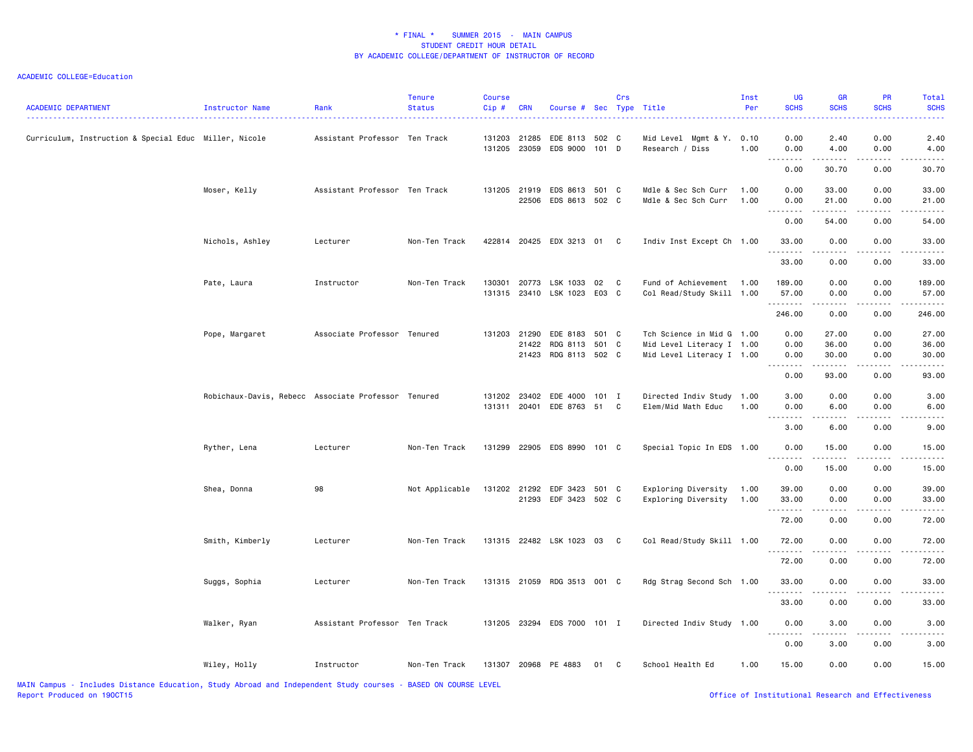| <b>ACADEMIC DEPARTMENT</b>                                                                                      | Instructor Name                                     | Rank                          | <b>Tenure</b><br><b>Status</b>                          | <b>Course</b><br>Cip# | <b>CRN</b>     | Course # Sec Type Title                          |                | Crs |                                                                                     | Inst<br>Per  | <b>UG</b><br><b>SCHS</b> | <b>GR</b><br><b>SCHS</b> | PR<br><b>SCHS</b>    | Total<br><b>SCHS</b>    |
|-----------------------------------------------------------------------------------------------------------------|-----------------------------------------------------|-------------------------------|---------------------------------------------------------|-----------------------|----------------|--------------------------------------------------|----------------|-----|-------------------------------------------------------------------------------------|--------------|--------------------------|--------------------------|----------------------|-------------------------|
| Curriculum, Instruction & Special Educ Miller, Nicole                                                           |                                                     | Assistant Professor Ten Track |                                                         | 131203<br>131205      | 21285          | EDE 8113 502 C<br>23059 EDS 9000                 | $101$ D        |     | Mid Level Mgmt & Y. 0.10<br>Research / Diss                                         | 1.00         | 0.00<br>0.00             | 2.40<br>4.00             | 0.00<br>0.00         | 2.40<br>4.00            |
|                                                                                                                 |                                                     |                               |                                                         |                       |                |                                                  |                |     |                                                                                     |              | .<br>0.00                | .<br>30.70               | .<br>0.00            | 30.70                   |
|                                                                                                                 | Moser, Kelly                                        | Assistant Professor Ten Track |                                                         | 131205                | 21919          | EDS 8613 501 C<br>22506 EDS 8613 502 C           |                |     | Mdle & Sec Sch Curr<br>Mdle & Sec Sch Curr                                          | 1.00<br>1.00 | 0.00<br>0.00             | 33.00<br>21.00           | 0.00<br>0.00         | 33.00<br>21.00          |
|                                                                                                                 |                                                     |                               |                                                         |                       |                |                                                  |                |     |                                                                                     |              | 0.00                     | 54.00                    | 0.00                 | 54.00                   |
|                                                                                                                 | Nichols, Ashley                                     | Lecturer                      | Non-Ten Track                                           |                       |                | 422814 20425 EDX 3213 01 C                       |                |     | Indiv Inst Except Ch 1.00                                                           |              | 33.00                    | 0.00                     | 0.00                 | 33.00                   |
|                                                                                                                 |                                                     |                               |                                                         |                       |                |                                                  |                |     |                                                                                     |              | <u>.</u><br>33.00        | $\frac{1}{2}$<br>0.00    | 0.00                 | 33.00                   |
|                                                                                                                 | Pate, Laura                                         | Instructor                    | Non-Ten Track                                           | 130301<br>131315      | 20773          | LSK 1033<br>23410 LSK 1023                       | 02<br>E03 C    | C   | Fund of Achievement 1.00<br>Col Read/Study Skill 1.00                               |              | 189.00<br>57.00          | 0.00<br>0.00             | 0.00<br>0.00         | 189.00<br>57.00         |
|                                                                                                                 |                                                     |                               |                                                         |                       |                |                                                  |                |     |                                                                                     |              | .<br>246.00              | .<br>0.00                | .<br>0.00            | . <u>.</u><br>246.00    |
|                                                                                                                 | Pope, Margaret                                      | Associate Professor Tenured   |                                                         | 131203                | 21290<br>21422 | EDE 8183<br>RDG 8113<br>21423 RDG 8113 502 C     | 501 C<br>501 C |     | Tch Science in Mid G 1.00<br>Mid Level Literacy I 1.00<br>Mid Level Literacy I 1.00 |              | 0.00<br>0.00<br>0.00     | 27.00<br>36.00<br>30.00  | 0.00<br>0.00<br>0.00 | 27.00<br>36.00<br>30.00 |
|                                                                                                                 |                                                     |                               |                                                         |                       |                |                                                  |                |     |                                                                                     |              | <u>.</u><br>0.00         | . <u>.</u><br>93.00      | .<br>0.00            | .<br>93.00              |
|                                                                                                                 | Robichaux-Davis, Rebecc Associate Professor Tenured |                               |                                                         | 131202                |                | 23402 EDE 4000 101 I<br>131311 20401 EDE 8763 51 |                | C   | Directed Indiv Study 1.00<br>Elem/Mid Math Educ                                     | 1.00         | 3.00<br>0.00             | 0.00<br>6.00             | 0.00<br>0.00         | 3.00<br>6.00            |
|                                                                                                                 |                                                     |                               |                                                         |                       |                |                                                  |                |     |                                                                                     |              | 3.00                     | 6.00                     | 0.00                 | 9.00                    |
|                                                                                                                 | Ryther, Lena                                        | Lecturer                      | Non-Ten Track                                           | 131299                |                | 22905 EDS 8990 101 C                             |                |     | Special Topic In EDS 1.00                                                           |              | 0.00                     | 15.00                    | 0.00                 | 15.00                   |
|                                                                                                                 |                                                     |                               |                                                         |                       |                |                                                  |                |     |                                                                                     |              | <u>.</u><br>0.00         | $\frac{1}{2}$<br>15.00   | 0.00                 | 15.00                   |
|                                                                                                                 | Shea, Donna                                         | 98                            | Not Applicable                                          | 131202 21292          |                | EDF 3423<br>21293 EDF 3423 502 C                 | 501 C          |     | Exploring Diversity<br>Exploring Diversity                                          | 1.00<br>1.00 | 39.00<br>33.00           | 0.00<br>0.00             | 0.00<br>0.00         | 39.00<br>33.00          |
|                                                                                                                 |                                                     |                               |                                                         |                       |                |                                                  |                |     |                                                                                     |              | .<br>72.00               | .<br>0.00                | .<br>0.00            | 72.00                   |
|                                                                                                                 | Smith, Kimberly                                     | Lecturer                      | Non-Ten Track                                           |                       |                | 131315 22482 LSK 1023 03 C                       |                |     | Col Read/Study Skill 1.00                                                           |              | 72.00                    | 0.00                     | 0.00                 | 72.00                   |
|                                                                                                                 |                                                     |                               |                                                         |                       |                |                                                  |                |     |                                                                                     |              | .<br>72.00               | 0.00                     | 0.00                 | 72.00                   |
|                                                                                                                 | Suggs, Sophia                                       | Lecturer                      | Non-Ten Track                                           |                       |                | 131315 21059 RDG 3513 001 C                      |                |     | Rdg Strag Second Sch 1.00                                                           |              | 33.00                    | 0.00                     | 0.00                 | 33.00                   |
|                                                                                                                 |                                                     |                               |                                                         |                       |                |                                                  |                |     |                                                                                     |              | 33.00                    | 0.00                     | 0.00                 | 33.00                   |
|                                                                                                                 | Walker, Ryan                                        | Assistant Professor Ten Track |                                                         |                       |                | 131205 23294 EDS 7000 101 I                      |                |     | Directed Indiv Study 1.00                                                           |              | 0.00                     | 3.00                     | 0.00                 | 3.00                    |
|                                                                                                                 |                                                     |                               |                                                         |                       |                |                                                  |                |     |                                                                                     |              | -----<br>0.00            | .<br>3.00                | 0.00                 | 3.00                    |
| the contract of the contract of the contract of the contract of the contract of the contract of the contract of | Wiley, Holly                                        | Instructor                    | Non-Ten Track<br>$R = 0.058$ $R = 0.011885$ $R = 0.051$ |                       |                | 131307 20968 PE 4883                             | 01 C           |     | School Health Ed                                                                    | 1.00         | 15.00                    | 0.00                     | 0.00                 | 15.00                   |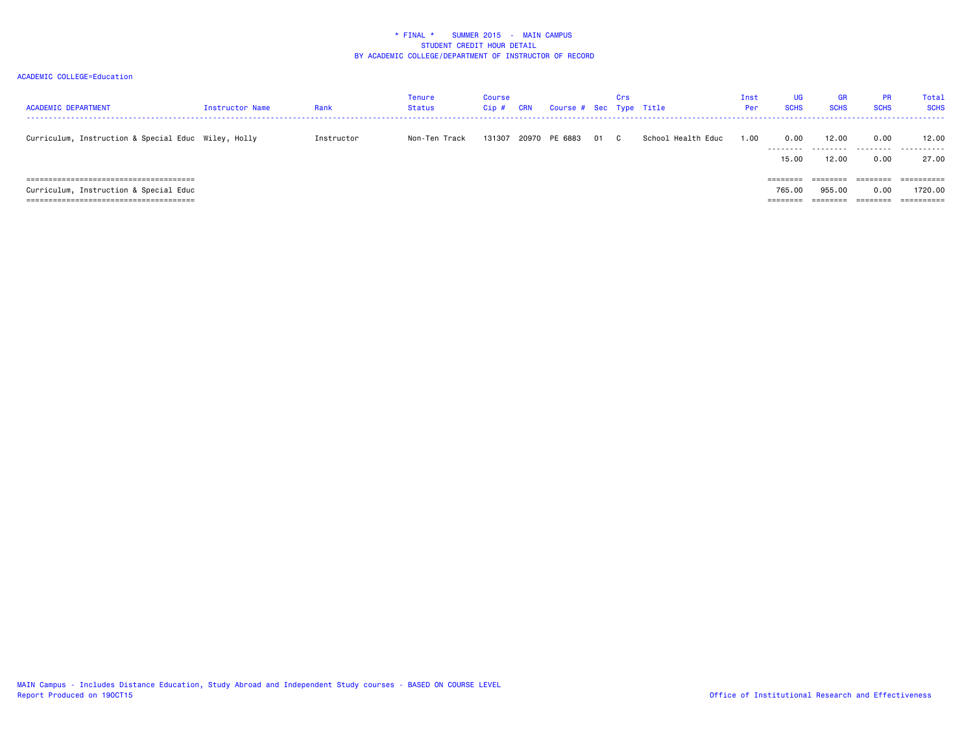| <b>ACADEMIC DEPARTMENT</b>                          | Instructor Name | Rank       | <b>Tenure</b><br><b>Status</b> | <b>Course</b><br>Cip# | <b>CRN</b> | Course # Sec Type Title |      | Crs |                    | Inst<br>Per | UG.<br><b>SCHS</b>             | <b>GR</b><br><b>SCHS</b>       | <b>PR</b><br><b>SCHS</b>                 | Total<br><b>SCHS</b>  |
|-----------------------------------------------------|-----------------|------------|--------------------------------|-----------------------|------------|-------------------------|------|-----|--------------------|-------------|--------------------------------|--------------------------------|------------------------------------------|-----------------------|
| Curriculum, Instruction & Special Educ Wiley, Holly |                 | Instructor | Non-Ten Track                  | 131307                |            | 20970 PE 6883           | 01 C |     | School Health Educ | 1.00        | 0.00<br>---------<br>15.00     | 12,00<br>.<br>12,00            | 0.00<br>.<br>0.00                        | 12.00<br>.<br>27.00   |
| Curriculum, Instruction & Special Educ              |                 |            |                                |                       |            |                         |      |     |                    |             | ========<br>765.00<br>======== | --------<br>955.00<br>======== | ---------<br>-------<br>0.00<br>======== | ==========<br>1720.00 |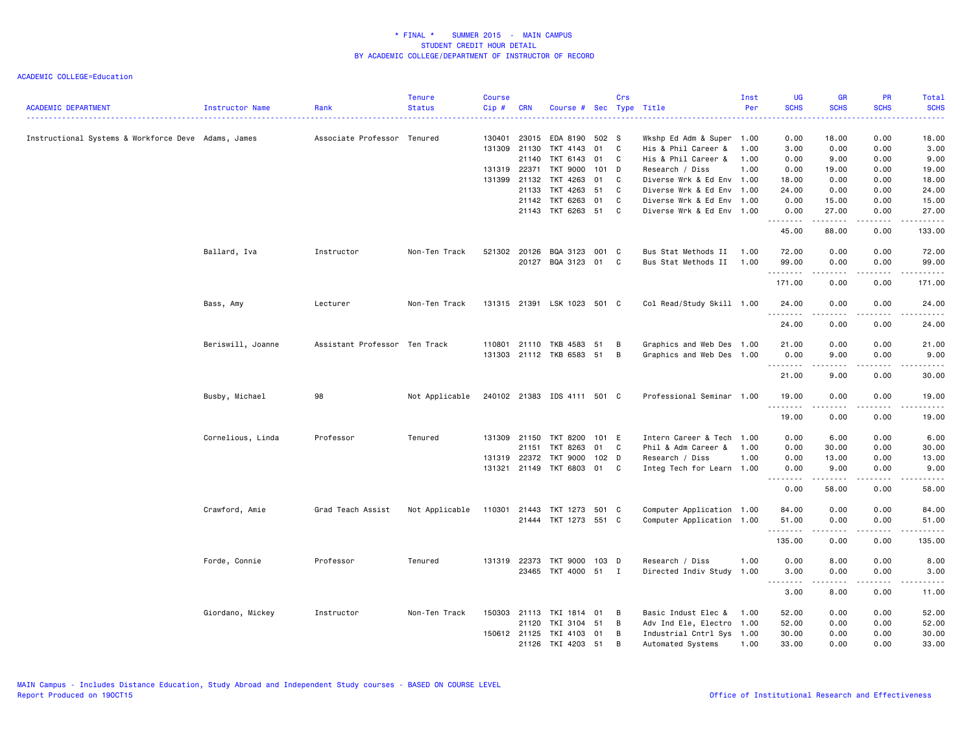| <b>ACADEMIC DEPARTMENT</b>                          | Instructor Name   | Rank                          | <b>Tenure</b><br><b>Status</b> | <b>Course</b><br>Cip# | <b>CRN</b>   | Course # Sec Type Title     |                  | Crs          |                           | Inst<br>Per | <b>UG</b><br><b>SCHS</b> | <b>GR</b><br><b>SCHS</b> | <b>PR</b><br><b>SCHS</b> | Total<br><b>SCHS</b> |
|-----------------------------------------------------|-------------------|-------------------------------|--------------------------------|-----------------------|--------------|-----------------------------|------------------|--------------|---------------------------|-------------|--------------------------|--------------------------|--------------------------|----------------------|
|                                                     |                   |                               |                                |                       |              |                             |                  |              |                           |             | وساعات                   |                          |                          | المستمين             |
| Instructional Systems & Workforce Deve Adams, James |                   | Associate Professor Tenured   |                                | 130401                | 23015        | EDA 8190 502 S              |                  |              | Wkshp Ed Adm & Super 1.00 |             | 0.00                     | 18.00                    | 0.00                     | 18.00                |
|                                                     |                   |                               |                                | 131309                | 21130        | TKT 4143                    | 01               | C            | His & Phil Career &       | 1.00        | 3.00                     | 0.00                     | 0.00                     | 3.00                 |
|                                                     |                   |                               |                                |                       | 21140        | TKT 6143                    | 01               | C.           | His & Phil Career &       | 1.00        | 0.00                     | 9.00                     | 0.00                     | 9.00                 |
|                                                     |                   |                               |                                |                       | 131319 22371 | TKT 9000                    | 101 D            |              | Research / Diss           | 1.00        | 0.00                     | 19.00                    | 0.00                     | 19.00                |
|                                                     |                   |                               |                                | 131399                | 21132        | TKT 4263                    | 01               | C            | Diverse Wrk & Ed Env 1.00 |             | 18.00                    | 0.00                     | 0.00                     | 18.00                |
|                                                     |                   |                               |                                |                       | 21133        | TKT 4263 51                 |                  | C            | Diverse Wrk & Ed Env 1.00 |             | 24.00                    | 0.00                     | 0.00                     | 24.00                |
|                                                     |                   |                               |                                |                       | 21142        | TKT 6263 01                 |                  | C            | Diverse Wrk & Ed Env 1.00 |             | 0.00                     | 15.00                    | 0.00                     | 15.00                |
|                                                     |                   |                               |                                |                       |              | 21143 TKT 6263 51           |                  | C            | Diverse Wrk & Ed Env 1.00 |             | 0.00<br>.                | 27.00<br>المتمامين       | 0.00<br>.                | 27.00<br>.           |
|                                                     |                   |                               |                                |                       |              |                             |                  |              |                           |             | 45.00                    | 88.00                    | 0.00                     | 133.00               |
|                                                     | Ballard, Iva      | Instructor                    | Non-Ten Track                  | 521302                |              | 20126 BQA 3123              | 001 C            |              | Bus Stat Methods II       | 1.00        | 72.00                    | 0.00                     | 0.00                     | 72.00                |
|                                                     |                   |                               |                                |                       |              | 20127 BQA 3123 01           |                  | $\mathbf{C}$ | Bus Stat Methods II       | 1.00        | 99.00<br>.               | 0.00<br>----             | 0.00<br>.                | 99.00<br>.           |
|                                                     |                   |                               |                                |                       |              |                             |                  |              |                           |             | 171.00                   | 0.00                     | 0.00                     | 171.00               |
|                                                     | Bass, Amy         | Lecturer                      | Non-Ten Track                  |                       |              | 131315 21391 LSK 1023 501 C |                  |              | Col Read/Study Skill 1.00 |             | 24.00<br><u>.</u>        | 0.00<br>.                | 0.00<br>.                | 24.00<br>.           |
|                                                     |                   |                               |                                |                       |              |                             |                  |              |                           |             | 24.00                    | 0.00                     | 0.00                     | 24.00                |
|                                                     | Beriswill, Joanne | Assistant Professor Ten Track |                                |                       |              | 110801 21110 TKB 4583       | 51               | в            | Graphics and Web Des 1.00 |             | 21.00                    | 0.00                     | 0.00                     | 21.00                |
|                                                     |                   |                               |                                |                       |              | 131303 21112 TKB 6583 51    |                  | B            | Graphics and Web Des 1.00 |             | 0.00<br><b></b>          | 9.00<br><b>.</b>         | 0.00<br>.                | 9.00<br>.            |
|                                                     |                   |                               |                                |                       |              |                             |                  |              |                           |             | 21.00                    | 9.00                     | 0.00                     | 30.00                |
|                                                     | Busby, Michael    | 98                            | Not Applicable                 |                       |              | 240102 21383 IDS 4111 501 C |                  |              | Professional Seminar 1.00 |             | 19.00<br>.               | 0.00<br>.                | 0.00<br>.                | 19.00                |
|                                                     |                   |                               |                                |                       |              |                             |                  |              |                           |             | 19.00                    | 0.00                     | 0.00                     | 19.00                |
|                                                     | Cornelious, Linda | Professor                     | Tenured                        |                       | 131309 21150 | TKT 8200                    | 101 E            |              | Intern Career & Tech 1.00 |             | 0.00                     | 6.00                     | 0.00                     | 6.00                 |
|                                                     |                   |                               |                                |                       | 21151        | TKT 8263                    | 01               | $\mathbf{C}$ | Phil & Adm Career &       | 1.00        | 0.00                     | 30.00                    | 0.00                     | 30.00                |
|                                                     |                   |                               |                                |                       | 131319 22372 | TKT 9000                    | 102 <sub>D</sub> |              | Research / Diss           | 1.00        | 0.00                     | 13.00                    | 0.00                     | 13.00                |
|                                                     |                   |                               |                                |                       |              | 131321 21149 TKT 6803       | 01               | C            | Integ Tech for Learn 1.00 |             | 0.00<br>.                | 9.00<br>.                | 0.00<br>.                | 9.00                 |
|                                                     |                   |                               |                                |                       |              |                             |                  |              |                           |             | 0.00                     | 58.00                    | 0.00                     | 58.00                |
|                                                     | Crawford, Amie    | Grad Teach Assist             | Not Applicable                 | 110301 21443          |              | TKT 1273 501 C              |                  |              | Computer Application 1.00 |             | 84.00                    | 0.00                     | 0.00                     | 84.00                |
|                                                     |                   |                               |                                |                       |              | 21444 TKT 1273 551 C        |                  |              | Computer Application 1.00 |             | 51.00                    | 0.00                     | 0.00                     | 51.00                |
|                                                     |                   |                               |                                |                       |              |                             |                  |              |                           |             | .<br>135.00              | $\frac{1}{2}$<br>0.00    | .<br>0.00                | 135.00               |
|                                                     | Forde, Connie     | Professor                     | Tenured                        |                       | 131319 22373 | TKT 9000                    | 103 D            |              | Research / Diss           | 1.00        | 0.00                     | 8.00                     | 0.00                     | 8.00                 |
|                                                     |                   |                               |                                |                       |              | 23465 TKT 4000 51 I         |                  |              | Directed Indiv Study 1.00 |             | 3.00<br><b></b>          | 0.00                     | 0.00<br>$\frac{1}{2}$    | 3.00<br><u>.</u>     |
|                                                     |                   |                               |                                |                       |              |                             |                  |              |                           |             | 3.00                     | 8.00                     | 0.00                     | 11.00                |
|                                                     | Giordano, Mickey  | Instructor                    | Non-Ten Track                  |                       | 150303 21113 | TKI 1814                    | 01               | B            | Basic Indust Elec &       | 1.00        | 52.00                    | 0.00                     | 0.00                     | 52.00                |
|                                                     |                   |                               |                                |                       | 21120        | TKI 3104 51                 |                  | B            | Adv Ind Ele, Electro 1.00 |             | 52.00                    | 0.00                     | 0.00                     | 52.00                |
|                                                     |                   |                               |                                |                       | 150612 21125 | TKI 4103                    | 01               | В            | Industrial Cntrl Sys 1.00 |             | 30.00                    | 0.00                     | 0.00                     | 30.00                |
|                                                     |                   |                               |                                |                       |              | 21126 TKI 4203 51           |                  | B            | Automated Systems         | 1.00        | 33.00                    | 0.00                     | 0.00                     | 33.00                |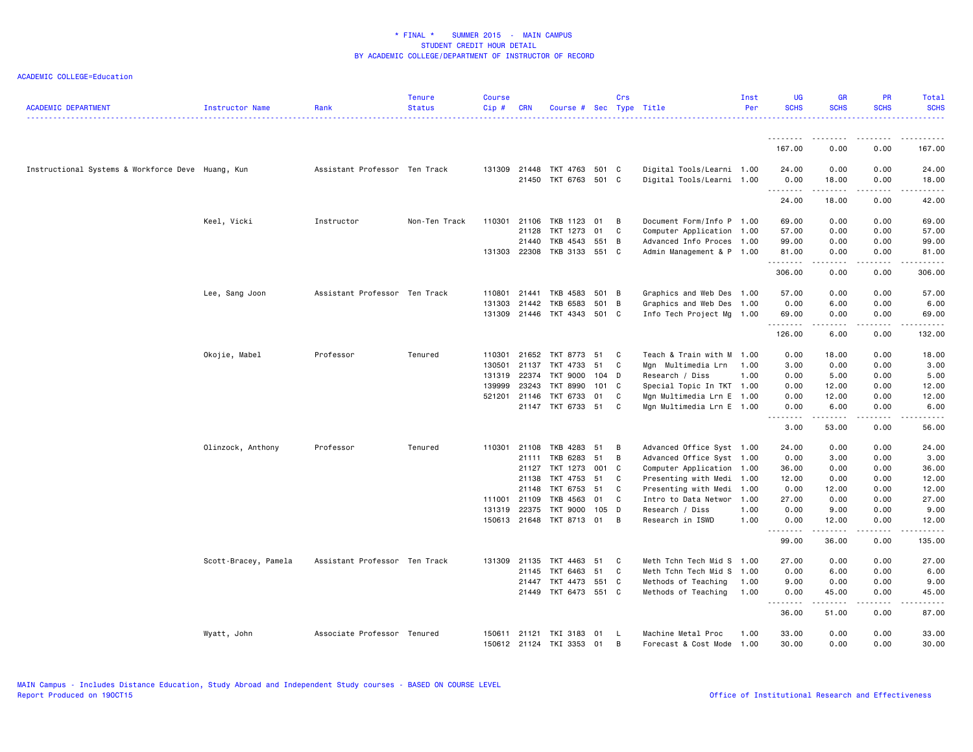| <b>ACADEMIC DEPARTMENT</b>                        | Instructor Name      | Rank                          | <b>Tenure</b><br><b>Status</b> | <b>Course</b><br>Cip# | <b>CRN</b>   | Course # Sec Type Title  |       | Crs            |                           | Inst<br>Per | UG<br><b>SCHS</b>   | <b>GR</b><br><b>SCHS</b> | <b>PR</b><br><b>SCHS</b>                                                                                                          | Total<br><b>SCHS</b>                                                                                                               |
|---------------------------------------------------|----------------------|-------------------------------|--------------------------------|-----------------------|--------------|--------------------------|-------|----------------|---------------------------|-------------|---------------------|--------------------------|-----------------------------------------------------------------------------------------------------------------------------------|------------------------------------------------------------------------------------------------------------------------------------|
|                                                   |                      |                               |                                |                       |              |                          |       |                |                           |             | .                   | .                        | .                                                                                                                                 |                                                                                                                                    |
|                                                   |                      |                               |                                |                       |              |                          |       |                |                           |             | 167.00              | 0.00                     | 0.00                                                                                                                              | 167.00                                                                                                                             |
| Instructional Systems & Workforce Deve Huang, Kun |                      | Assistant Professor Ten Track |                                | 131309                | 21448        | TKT 4763 501 C           |       |                | Digital Tools/Learni 1.00 |             | 24.00               | 0.00                     | 0.00                                                                                                                              | 24.00                                                                                                                              |
|                                                   |                      |                               |                                |                       | 21450        | TKT 6763 501 C           |       |                | Digital Tools/Learni 1.00 |             | 0.00<br>.           | 18.00<br>.               | 0.00<br>.                                                                                                                         | 18.00<br>.                                                                                                                         |
|                                                   |                      |                               |                                |                       |              |                          |       |                |                           |             | 24.00               | 18.00                    | 0.00                                                                                                                              | 42.00                                                                                                                              |
|                                                   | Keel, Vicki          | Instructor                    | Non-Ten Track                  | 110301 21106          |              | TKB 1123                 | 01    | B              | Document Form/Info P 1.00 |             | 69.00               | 0.00                     | 0.00                                                                                                                              | 69.00                                                                                                                              |
|                                                   |                      |                               |                                |                       | 21128        | TKT 1273                 | 01    | C              | Computer Application 1.00 |             | 57.00               | 0.00                     | 0.00                                                                                                                              | 57.00                                                                                                                              |
|                                                   |                      |                               |                                |                       | 21440        | TKB 4543                 | 551 B |                | Advanced Info Proces 1.00 |             | 99.00               | 0.00                     | 0.00                                                                                                                              | 99.00                                                                                                                              |
|                                                   |                      |                               |                                | 131303                | 22308        | TKB 3133 551 C           |       |                | Admin Management & P 1.00 |             | 81.00<br>. <b>.</b> | 0.00<br>.                | 0.00<br>.                                                                                                                         | 81.00<br>.                                                                                                                         |
|                                                   |                      |                               |                                |                       |              |                          |       |                |                           |             | 306.00              | 0.00                     | 0.00                                                                                                                              | 306.00                                                                                                                             |
|                                                   | Lee, Sang Joon       | Assistant Professor Ten Track |                                | 110801                | 21441        | TKB 4583                 | 501 B |                | Graphics and Web Des 1.00 |             | 57.00               | 0.00                     | 0.00                                                                                                                              | 57.00                                                                                                                              |
|                                                   |                      |                               |                                | 131303                | 21442        | TKB 6583                 | 501 B |                | Graphics and Web Des 1.00 |             | 0.00                | 6.00                     | 0.00                                                                                                                              | 6.00                                                                                                                               |
|                                                   |                      |                               |                                | 131309                | 21446        | TKT 4343 501 C           |       |                | Info Tech Project Mg 1.00 |             | 69.00<br>.          | 0.00                     | 0.00                                                                                                                              | 69.00                                                                                                                              |
|                                                   |                      |                               |                                |                       |              |                          |       |                |                           |             | 126.00              | 6.00                     | 0.00                                                                                                                              | 132.00                                                                                                                             |
|                                                   | Okojie, Mabel        | Professor                     | Tenured                        |                       | 110301 21652 | TKT 8773                 | 51    | C              | Teach & Train with M 1.00 |             | 0.00                | 18.00                    | 0.00                                                                                                                              | 18.00                                                                                                                              |
|                                                   |                      |                               |                                | 130501                | 21137        | TKT 4733                 | 51    | C.             | Mgn Multimedia Lrn        | 1.00        | 3.00                | 0.00                     | 0.00                                                                                                                              | 3.00                                                                                                                               |
|                                                   |                      |                               |                                | 131319                | 22374        | TKT 9000                 | 104 D |                | Research / Diss           | 1.00        | 0.00                | 5.00                     | 0.00                                                                                                                              | 5.00                                                                                                                               |
|                                                   |                      |                               |                                | 139999                | 23243        | <b>TKT 8990</b>          | 101 C |                | Special Topic In TKT 1.00 |             | 0.00                | 12.00                    | 0.00                                                                                                                              | 12.00                                                                                                                              |
|                                                   |                      |                               |                                | 521201 21146          |              | TKT 6733                 | 01    | C.             | Mgn Multimedia Lrn E 1.00 |             | 0.00                | 12.00                    | 0.00                                                                                                                              | 12.00                                                                                                                              |
|                                                   |                      |                               |                                |                       |              | 21147 TKT 6733 51        |       | C              | Mgn Multimedia Lrn E 1.00 |             | 0.00<br>.           | 6.00<br>.                | 0.00<br>.                                                                                                                         | 6.00<br>.                                                                                                                          |
|                                                   |                      |                               |                                |                       |              |                          |       |                |                           |             | 3.00                | 53.00                    | 0.00                                                                                                                              | 56.00                                                                                                                              |
|                                                   | Olinzock, Anthony    | Professor                     | Tenured                        | 110301                | 21108        | TKB 4283                 | 51    | B              | Advanced Office Syst 1.00 |             | 24.00               | 0.00                     | 0.00                                                                                                                              | 24.00                                                                                                                              |
|                                                   |                      |                               |                                |                       | 21111        | TKB 6283                 | 51    | B              | Advanced Office Syst 1.00 |             | 0.00                | 3.00                     | 0.00                                                                                                                              | 3.00                                                                                                                               |
|                                                   |                      |                               |                                |                       | 21127        | TKT 1273 001 C           |       |                | Computer Application 1.00 |             | 36.00               | 0.00                     | 0.00                                                                                                                              | 36.00                                                                                                                              |
|                                                   |                      |                               |                                |                       | 21138        | TKT 4753                 | 51    | C              | Presenting with Medi 1.00 |             | 12.00               | 0.00                     | 0.00                                                                                                                              | 12.00                                                                                                                              |
|                                                   |                      |                               |                                |                       | 21148        | TKT 6753                 | 51    | C              | Presenting with Medi 1.00 |             | 0.00                | 12.00                    | 0.00                                                                                                                              | 12.00                                                                                                                              |
|                                                   |                      |                               |                                | 111001                | 21109        | TKB 4563                 | 01    | C              | Intro to Data Networ 1.00 |             | 27.00               | 0.00                     | 0.00                                                                                                                              | 27.00                                                                                                                              |
|                                                   |                      |                               |                                | 131319                | 22375        | TKT 9000                 | 105   | D              | Research / Diss           | 1.00        | 0.00                | 9.00                     | 0.00                                                                                                                              | 9.00                                                                                                                               |
|                                                   |                      |                               |                                | 150613                | 21648        | TKT 8713 01              |       | $\overline{B}$ | Research in ISWD          | 1.00        | 0.00<br>.           | 12.00<br>.               | 0.00<br>المتمامين                                                                                                                 | 12.00<br>.                                                                                                                         |
|                                                   |                      |                               |                                |                       |              |                          |       |                |                           |             | 99.00               | 36.00                    | 0.00                                                                                                                              | 135.00                                                                                                                             |
|                                                   | Scott-Bracey, Pamela | Assistant Professor Ten Track |                                | 131309                | 21135        | TKT 4463                 | 51    | C              | Meth Tchn Tech Mid S 1.00 |             | 27.00               | 0.00                     | 0.00                                                                                                                              | 27.00                                                                                                                              |
|                                                   |                      |                               |                                |                       | 21145        | TKT 6463                 | 51    | C              | Meth Tchn Tech Mid S 1.00 |             | 0.00                | 6.00                     | 0.00                                                                                                                              | 6.00                                                                                                                               |
|                                                   |                      |                               |                                |                       | 21447        | TKT 4473                 | 551 C |                | Methods of Teaching       | 1.00        | 9.00                | 0.00                     | 0.00                                                                                                                              | 9.00                                                                                                                               |
|                                                   |                      |                               |                                |                       |              | 21449 TKT 6473 551 C     |       |                | Methods of Teaching       | 1.00        | 0.00<br>.           | 45.00<br>-----           | 0.00<br>$\frac{1}{2} \left( \frac{1}{2} \right) \left( \frac{1}{2} \right) \left( \frac{1}{2} \right) \left( \frac{1}{2} \right)$ | 45.00<br>$\frac{1}{2} \left( \frac{1}{2} \right) \left( \frac{1}{2} \right) \left( \frac{1}{2} \right) \left( \frac{1}{2} \right)$ |
|                                                   |                      |                               |                                |                       |              |                          |       |                |                           |             | 36.00               | 51.00                    | 0.00                                                                                                                              | 87.00                                                                                                                              |
|                                                   | Wyatt, John          | Associate Professor Tenured   |                                |                       |              | 150611 21121 TKI 3183 01 |       | - L            | Machine Metal Proc        | 1.00        | 33.00               | 0.00                     | 0.00                                                                                                                              | 33.00                                                                                                                              |
|                                                   |                      |                               |                                |                       |              | 150612 21124 TKI 3353    | 01    | B              | Forecast & Cost Mode 1.00 |             | 30.00               | 0.00                     | 0.00                                                                                                                              | 30.00                                                                                                                              |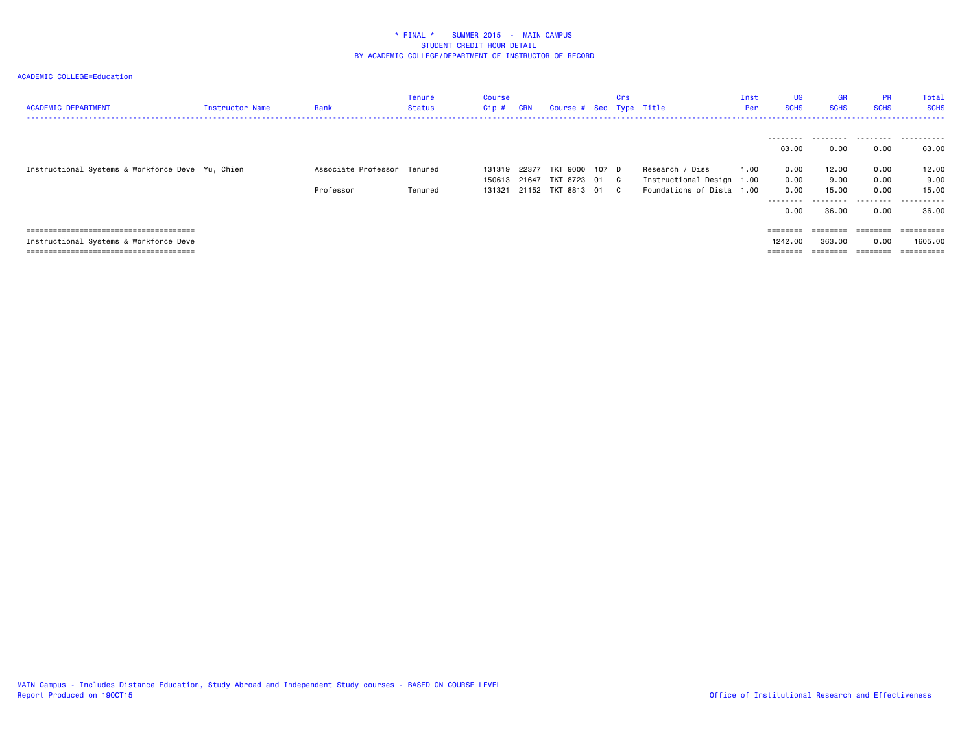| <b>ACADEMIC DEPARTMENT</b>                       | Instructor Name | Rank                        | Tenure<br><b>Status</b> | Course<br>Cip # | <b>CRN</b> | Course # Sec Type Title |       | Crs |                           | Inst<br>Per | UG<br><b>SCHS</b> | <b>GR</b><br><b>SCHS</b> | <b>PR</b><br><b>SCHS</b> | Total<br><b>SCHS</b> |
|--------------------------------------------------|-----------------|-----------------------------|-------------------------|-----------------|------------|-------------------------|-------|-----|---------------------------|-------------|-------------------|--------------------------|--------------------------|----------------------|
|                                                  |                 |                             |                         |                 |            |                         |       |     |                           |             |                   |                          |                          | .                    |
|                                                  |                 |                             |                         |                 |            |                         |       |     |                           |             | 63.00             | 0.00                     | 0.00                     | 63.00                |
| Instructional Systems & Workforce Deve Yu, Chien |                 | Associate Professor Tenured |                         | 131319 22377    |            | TKT 9000                | 107 D |     | Research / Diss           | 1.00        | 0.00              | 12.00                    | 0.00                     | 12.00                |
|                                                  |                 |                             |                         | 150613 21647    |            | TKT 8723 01 C           |       |     | Instructional Design 1.00 |             | 0.00              | 9.00                     | 0.00                     | 9.00                 |
|                                                  |                 | Professor                   | Tenured                 | 131321          |            | 21152 TKT 8813 01 C     |       |     | Foundations of Dista 1.00 |             | 0.00              | 15.00                    | 0.00                     | 15.00                |
|                                                  |                 |                             |                         |                 |            |                         |       |     |                           |             | --------          |                          | .                        | .                    |
|                                                  |                 |                             |                         |                 |            |                         |       |     |                           |             | 0.00              | 36.00                    | 0.00                     | 36.00                |
|                                                  |                 |                             |                         |                 |            |                         |       |     |                           |             | $=$ =======       | ========                 | ========                 |                      |
| Instructional Systems & Workforce Deve           |                 |                             |                         |                 |            |                         |       |     |                           |             | 1242.00           | 363,00                   | 0.00                     | 1605.00              |
|                                                  |                 |                             |                         |                 |            |                         |       |     |                           |             |                   |                          |                          | =========            |
|                                                  |                 |                             |                         |                 |            |                         |       |     |                           |             |                   |                          |                          |                      |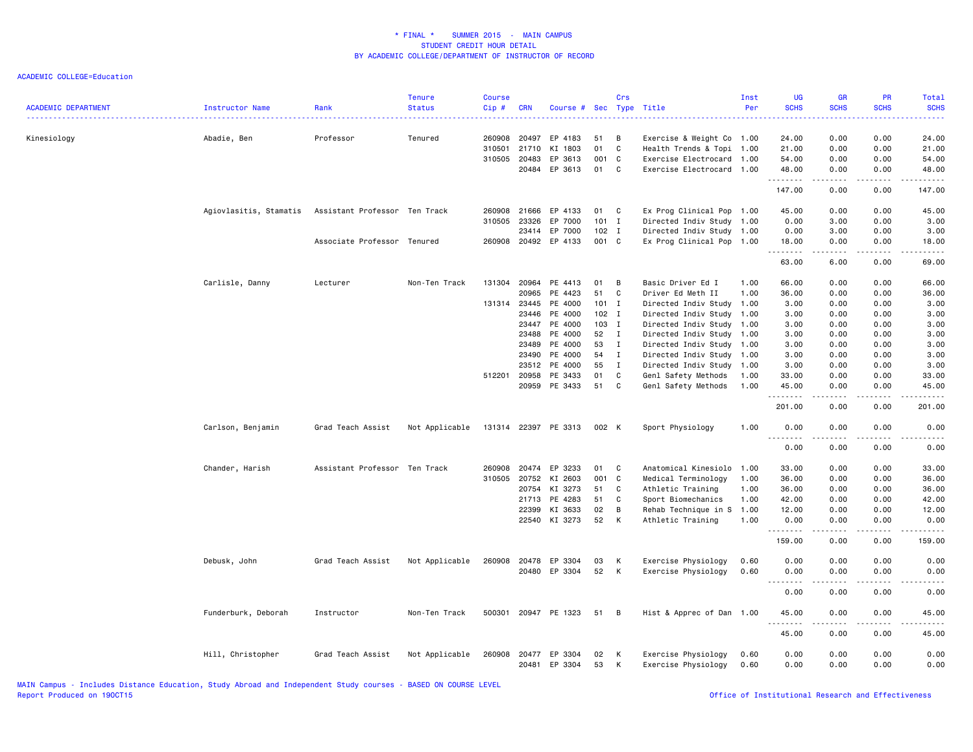| <b>ACADEMIC DEPARTMENT</b> | Instructor Name        | Rank                          | <b>Tenure</b><br><b>Status</b> | <b>Course</b><br>Cip# | <b>CRN</b>     | Course #             |          | Crs          | Sec Type Title                             | Inst<br>Per  | <b>UG</b><br><b>SCHS</b>                                                                                                                                      | <b>GR</b><br><b>SCHS</b>                                                                                                                                     | PR<br><b>SCHS</b>                                                                                                                 | <b>Total</b><br><b>SCHS</b> |
|----------------------------|------------------------|-------------------------------|--------------------------------|-----------------------|----------------|----------------------|----------|--------------|--------------------------------------------|--------------|---------------------------------------------------------------------------------------------------------------------------------------------------------------|--------------------------------------------------------------------------------------------------------------------------------------------------------------|-----------------------------------------------------------------------------------------------------------------------------------|-----------------------------|
| Kinesiology                | Abadie, Ben            | Professor                     | Tenured                        | 260908                | 20497          | EP 4183              | 51       | В            | Exercise & Weight Co 1.00                  |              | 24.00                                                                                                                                                         | 0.00                                                                                                                                                         | 0.00                                                                                                                              | 24.00                       |
|                            |                        |                               |                                | 310501                | 21710          | KI 1803              | 01       | C            | Health Trends & Topi 1.00                  |              | 21.00                                                                                                                                                         | 0.00                                                                                                                                                         | 0.00                                                                                                                              | 21.00                       |
|                            |                        |                               |                                | 310505                | 20483          | EP 3613              | 001      | C            | Exercise Electrocard 1.00                  |              | 54.00                                                                                                                                                         | 0.00                                                                                                                                                         | 0.00                                                                                                                              | 54.00                       |
|                            |                        |                               |                                |                       | 20484          | EP 3613              | 01       | C            | Exercise Electrocard 1.00                  |              | 48.00                                                                                                                                                         | 0.00                                                                                                                                                         | 0.00                                                                                                                              | 48.00                       |
|                            |                        |                               |                                |                       |                |                      |          |              |                                            |              | .<br>147.00                                                                                                                                                   | $\frac{1}{2} \left( \frac{1}{2} \right) \left( \frac{1}{2} \right) \left( \frac{1}{2} \right) \left( \frac{1}{2} \right) \left( \frac{1}{2} \right)$<br>0.00 | .<br>0.00                                                                                                                         | .<br>147.00                 |
|                            | Agiovlasitis, Stamatis | Assistant Professor Ten Track |                                | 260908                | 21666          | EP 4133              | 01       | C            | Ex Prog Clinical Pop 1.00                  |              | 45.00                                                                                                                                                         | 0.00                                                                                                                                                         | 0.00                                                                                                                              | 45.00                       |
|                            |                        |                               |                                | 310505                | 23326          | EP 7000              | 101      | $\mathbf I$  | Directed Indiv Study 1.00                  |              | 0.00                                                                                                                                                          | 3.00                                                                                                                                                         | 0.00                                                                                                                              | 3.00                        |
|                            |                        |                               |                                |                       | 23414          | EP 7000              | 102      | I            | Directed Indiv Study 1.00                  |              | 0.00                                                                                                                                                          | 3.00                                                                                                                                                         | 0.00                                                                                                                              | 3.00                        |
|                            |                        | Associate Professor Tenured   |                                |                       |                | 260908 20492 EP 4133 | 001 C    |              | Ex Prog Clinical Pop 1.00                  |              | 18.00                                                                                                                                                         | 0.00                                                                                                                                                         | 0.00                                                                                                                              | 18.00                       |
|                            |                        |                               |                                |                       |                |                      |          |              |                                            |              | $\frac{1}{2} \left( \frac{1}{2} \right) \left( \frac{1}{2} \right) \left( \frac{1}{2} \right) \left( \frac{1}{2} \right) \left( \frac{1}{2} \right)$<br>63.00 | .<br>6.00                                                                                                                                                    | .<br>0.00                                                                                                                         | .<br>69.00                  |
|                            | Carlisle, Danny        | Lecturer                      | Non-Ten Track                  | 131304                | 20964          | PE 4413              | 01       | B            | Basic Driver Ed I                          | 1.00         | 66.00                                                                                                                                                         | 0.00                                                                                                                                                         | 0.00                                                                                                                              | 66.00                       |
|                            |                        |                               |                                |                       | 20965          | PE 4423              | 51       | C            | Driver Ed Meth II                          | 1.00         | 36.00                                                                                                                                                         | 0.00                                                                                                                                                         | 0.00                                                                                                                              | 36.00                       |
|                            |                        |                               |                                |                       | 131314 23445   | PE 4000              | $101$ I  |              | Directed Indiv Study 1.00                  |              | 3.00                                                                                                                                                          | 0.00                                                                                                                                                         | 0.00                                                                                                                              | 3.00                        |
|                            |                        |                               |                                |                       | 23446          | PE 4000              | $102$ I  |              | Directed Indiv Study 1.00                  |              | 3.00                                                                                                                                                          | 0.00                                                                                                                                                         | 0.00                                                                                                                              | 3.00                        |
|                            |                        |                               |                                |                       | 23447          | PE 4000              | 103      | I            | Directed Indiv Study 1.00                  |              | 3.00                                                                                                                                                          | 0.00                                                                                                                                                         | 0.00                                                                                                                              | 3.00                        |
|                            |                        |                               |                                |                       | 23488          | PE 4000              | 52       | $\mathbf{I}$ | Directed Indiv Study 1.00                  |              | 3.00                                                                                                                                                          | 0.00                                                                                                                                                         | 0.00                                                                                                                              | 3.00                        |
|                            |                        |                               |                                |                       | 23489          | PE 4000              | 53       | $\mathbf{I}$ | Directed Indiv Study 1.00                  |              | 3.00                                                                                                                                                          | 0.00                                                                                                                                                         | 0.00                                                                                                                              | 3.00                        |
|                            |                        |                               |                                |                       | 23490          | PE 4000              | 54       | $\mathbf I$  | Directed Indiv Study 1.00                  |              | 3.00                                                                                                                                                          | 0.00                                                                                                                                                         | 0.00                                                                                                                              | 3.00                        |
|                            |                        |                               |                                |                       | 23512          | PE 4000              | 55       | $\mathbf{I}$ | Directed Indiv Study 1.00                  |              | 3.00                                                                                                                                                          | 0.00                                                                                                                                                         | 0.00                                                                                                                              | 3.00                        |
|                            |                        |                               |                                | 512201                | 20958          | PE 3433              | 01       | $\mathbf c$  | Genl Safety Methods                        | 1.00         | 33.00                                                                                                                                                         | 0.00                                                                                                                                                         | 0.00                                                                                                                              | 33.00                       |
|                            |                        |                               |                                |                       | 20959          | PE 3433              | 51       | C            | Genl Safety Methods                        | 1.00         | 45.00                                                                                                                                                         | 0.00                                                                                                                                                         | 0.00                                                                                                                              | 45.00                       |
|                            |                        |                               |                                |                       |                |                      |          |              |                                            |              | .<br>201.00                                                                                                                                                   | .<br>0.00                                                                                                                                                    | $\frac{1}{2} \left( \frac{1}{2} \right) \left( \frac{1}{2} \right) \left( \frac{1}{2} \right) \left( \frac{1}{2} \right)$<br>0.00 | .<br>201.00                 |
|                            | Carlson, Benjamin      | Grad Teach Assist             | Not Applicable                 |                       |                | 131314 22397 PE 3313 | 002 K    |              | Sport Physiology                           | 1.00         | 0.00                                                                                                                                                          | 0.00                                                                                                                                                         | 0.00                                                                                                                              | 0.00                        |
|                            |                        |                               |                                |                       |                |                      |          |              |                                            |              | $\sim$ $\sim$<br>.<br>0.00                                                                                                                                    | .<br>0.00                                                                                                                                                    | . <u>. .</u><br>0.00                                                                                                              | $\frac{1}{2}$<br>0.00       |
|                            | Chander, Harish        | Assistant Professor Ten Track |                                | 260908                | 20474          | EP 3233              | 01       | C            | Anatomical Kinesiolo 1.00                  |              | 33.00                                                                                                                                                         | 0.00                                                                                                                                                         | 0.00                                                                                                                              | 33.00                       |
|                            |                        |                               |                                | 310505                | 20752          | KI 2603              | 001      | C            | Medical Terminology                        | 1.00         | 36.00                                                                                                                                                         | 0.00                                                                                                                                                         | 0.00                                                                                                                              | 36.00                       |
|                            |                        |                               |                                |                       | 20754          | KI 3273              | 51       | C            | Athletic Training                          | 1.00         | 36.00                                                                                                                                                         | 0.00                                                                                                                                                         | 0.00                                                                                                                              | 36.00                       |
|                            |                        |                               |                                |                       | 21713          | PE 4283              | 51       | C            | Sport Biomechanics                         | 1.00         | 42.00                                                                                                                                                         | 0.00                                                                                                                                                         | 0.00                                                                                                                              | 42.00                       |
|                            |                        |                               |                                |                       | 22399          | KI 3633              | 02       | В            | Rehab Technique in S                       | 1.00         | 12.00                                                                                                                                                         | 0.00                                                                                                                                                         | 0.00                                                                                                                              | 12.00                       |
|                            |                        |                               |                                |                       |                | 22540 KI 3273        | 52       | К            | Athletic Training                          | 1.00         | 0.00                                                                                                                                                          | 0.00                                                                                                                                                         | 0.00                                                                                                                              | 0.00                        |
|                            |                        |                               |                                |                       |                |                      |          |              |                                            |              | --------<br>159.00                                                                                                                                            | .<br>0.00                                                                                                                                                    | المستمات<br>0.00                                                                                                                  | .<br>159.00                 |
|                            | Debusk, John           | Grad Teach Assist             | Not Applicable                 | 260908                | 20478          | EP 3304              | 03       | К            | Exercise Physiology                        | 0.60         | 0.00                                                                                                                                                          | 0.00                                                                                                                                                         | 0.00                                                                                                                              | 0.00                        |
|                            |                        |                               |                                |                       |                | 20480 EP 3304        | 52       | К            | Exercise Physiology                        | 0.60         | 0.00                                                                                                                                                          | 0.00                                                                                                                                                         | 0.00                                                                                                                              | 0.00                        |
|                            |                        |                               |                                |                       |                |                      |          |              |                                            |              |                                                                                                                                                               |                                                                                                                                                              |                                                                                                                                   | .                           |
|                            |                        |                               |                                |                       |                |                      |          |              |                                            |              | 0.00                                                                                                                                                          | 0.00                                                                                                                                                         | 0.00                                                                                                                              | 0.00                        |
|                            | Funderburk, Deborah    | Instructor                    | Non-Ten Track                  | 500301                |                | 20947 PE 1323        | 51       | B            | Hist & Apprec of Dan 1.00                  |              | 45.00<br>.                                                                                                                                                    | 0.00<br>.                                                                                                                                                    | 0.00<br>د د د د                                                                                                                   | 45.00<br>.                  |
|                            |                        |                               |                                |                       |                |                      |          |              |                                            |              | 45.00                                                                                                                                                         | 0.00                                                                                                                                                         | 0.00                                                                                                                              | 45.00                       |
|                            | Hill, Christopher      | Grad Teach Assist             | Not Applicable                 | 260908                | 20477<br>20481 | EP 3304<br>EP 3304   | 02<br>53 | К<br>К       | Exercise Physiology<br>Exercise Physiology | 0.60<br>0.60 | 0.00<br>0.00                                                                                                                                                  | 0.00<br>0.00                                                                                                                                                 | 0.00<br>0.00                                                                                                                      | 0.00<br>0.00                |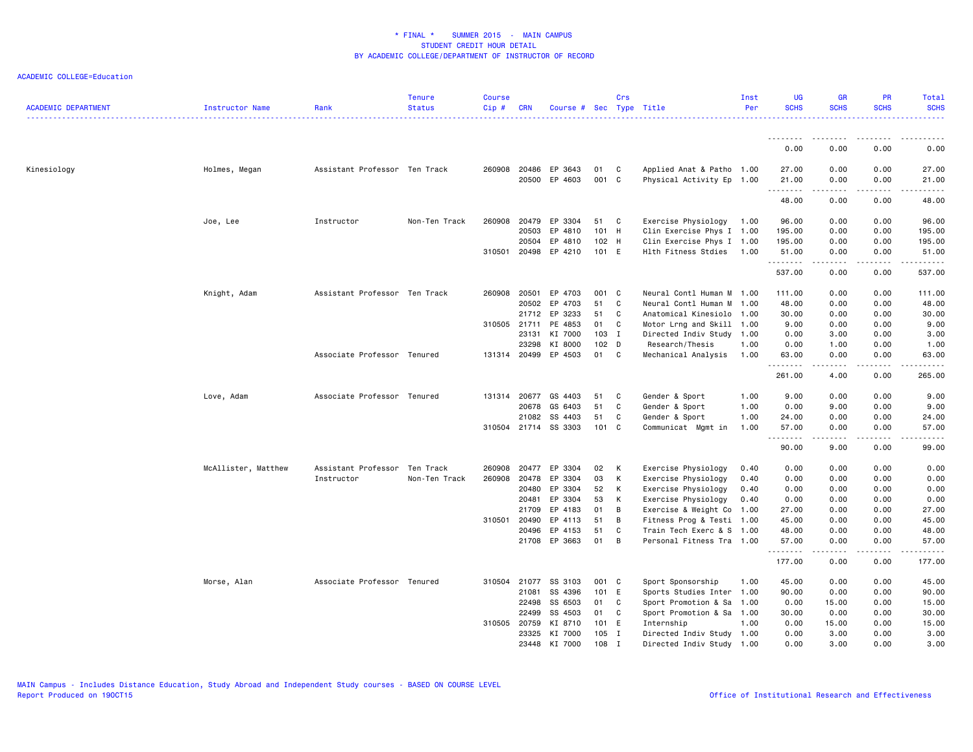| <b>ACADEMIC DEPARTMENT</b> | Instructor Name     | Rank                          | <b>Tenure</b><br><b>Status</b> | <b>Course</b><br>Cip# | <b>CRN</b>            | Course # Sec Type Title |                  | Crs         |                                                        | Inst<br>Per | <b>UG</b><br><b>SCHS</b>      | <b>GR</b><br><b>SCHS</b>                                                                                                                             | <b>PR</b><br><b>SCHS</b>            | Total<br><b>SCHS</b> |
|----------------------------|---------------------|-------------------------------|--------------------------------|-----------------------|-----------------------|-------------------------|------------------|-------------|--------------------------------------------------------|-------------|-------------------------------|------------------------------------------------------------------------------------------------------------------------------------------------------|-------------------------------------|----------------------|
|                            |                     |                               |                                |                       |                       |                         |                  |             |                                                        |             | .                             |                                                                                                                                                      | ----                                |                      |
|                            |                     |                               |                                |                       |                       |                         |                  |             |                                                        |             | 0.00                          | 0.00                                                                                                                                                 | 0.00                                | 0.00                 |
| Kinesiology                | Holmes, Megan       | Assistant Professor Ten Track |                                | 260908                | 20486                 | EP 3643                 | 01               | C           | Applied Anat & Patho 1.00                              |             | 27.00                         | 0.00                                                                                                                                                 | 0.00                                | 27.00                |
|                            |                     |                               |                                |                       | 20500                 | EP 4603                 | 001 C            |             | Physical Activity Ep 1.00                              |             | 21.00<br>.                    | 0.00<br>.                                                                                                                                            | 0.00<br>$\sim$ $\sim$ $\sim$        | 21.00<br>.           |
|                            |                     |                               |                                |                       |                       |                         |                  |             |                                                        |             | 48.00                         | 0.00                                                                                                                                                 | 0.00                                | 48.00                |
|                            | Joe, Lee            | Instructor                    | Non-Ten Track                  | 260908                | 20479                 | EP 3304                 | 51               | C           | Exercise Physiology                                    | 1.00        | 96.00                         | 0.00                                                                                                                                                 | 0.00                                | 96.00                |
|                            |                     |                               |                                |                       | 20503                 | EP 4810                 | 101 H            |             | Clin Exercise Phys I 1.00                              |             | 195.00                        | 0.00                                                                                                                                                 | 0.00                                | 195.00               |
|                            |                     |                               |                                |                       | 20504                 | EP 4810                 | 102 H            |             | Clin Exercise Phys I 1.00                              |             | 195.00                        | 0.00                                                                                                                                                 | 0.00                                | 195.00               |
|                            |                     |                               |                                |                       | 310501 20498          | EP 4210                 | 101 E            |             | Hlth Fitness Stdies                                    | 1.00        | 51.00<br>.                    | 0.00<br>.                                                                                                                                            | 0.00<br>----                        | 51.00<br>.           |
|                            |                     |                               |                                |                       |                       |                         |                  |             |                                                        |             | 537.00                        | 0.00                                                                                                                                                 | 0.00                                | 537.00               |
|                            | Knight, Adam        | Assistant Professor Ten Track |                                | 260908 20501          |                       | EP 4703                 | 001 C            |             | Neural Contl Human M 1.00                              |             | 111.00                        | 0.00                                                                                                                                                 | 0.00                                | 111.00               |
|                            |                     |                               |                                |                       | 20502                 | EP 4703                 | 51               | C           | Neural Contl Human M                                   | 1.00        | 48.00                         | 0.00                                                                                                                                                 | 0.00                                | 48.00                |
|                            |                     |                               |                                |                       | 21712                 | EP 3233                 | 51               | C           | Anatomical Kinesiolo 1.00                              |             | 30.00                         | 0.00                                                                                                                                                 | 0.00                                | 30.00                |
|                            |                     |                               |                                |                       | 310505 21711          | PE 4853                 | 01               | C           | Motor Lrng and Skill 1.00                              |             | 9.00                          | 0.00                                                                                                                                                 | 0.00                                | 9.00                 |
|                            |                     |                               |                                |                       | 23131                 | KI 7000                 | 103 I            |             | Directed Indiv Study 1.00                              |             | 0.00                          | 3.00                                                                                                                                                 | 0.00                                | 3.00                 |
|                            |                     |                               |                                |                       | 23298                 | KI 8000                 | 102 <sub>D</sub> |             | Research/Thesis                                        | 1.00        | 0.00                          | 1.00                                                                                                                                                 | 0.00                                | 1.00                 |
|                            |                     | Associate Professor Tenured   |                                |                       | 131314 20499          | EP 4503                 | 01               | C           | Mechanical Analysis                                    | 1.00        | 63.00<br>.                    | 0.00<br>.                                                                                                                                            | 0.00<br>$\sim$ $\sim$ $\sim$ $\sim$ | 63.00<br>.           |
|                            |                     |                               |                                |                       |                       |                         |                  |             |                                                        |             | 261.00                        | 4.00                                                                                                                                                 | 0.00                                | 265.00               |
|                            | Love, Adam          | Associate Professor Tenured   |                                |                       | 131314 20677          | GS 4403                 | 51               | C           | Gender & Sport                                         | 1.00        | 9.00                          | 0.00                                                                                                                                                 | 0.00                                | 9.00                 |
|                            |                     |                               |                                |                       | 20678                 | GS 6403                 | 51               | C           | Gender & Sport                                         | 1.00        | 0.00                          | 9.00                                                                                                                                                 | 0.00                                | 9.00                 |
|                            |                     |                               |                                |                       | 21082                 | SS 4403                 | 51               | C           | Gender & Sport                                         | 1.00        | 24.00                         | 0.00                                                                                                                                                 | 0.00                                | 24.00                |
|                            |                     |                               |                                |                       |                       | 310504 21714 SS 3303    | 101 C            |             | Communicat Mgmt in                                     | 1.00        | 57.00<br>$\sim$ $\sim$ $\sim$ | 0.00                                                                                                                                                 | 0.00                                | 57.00                |
|                            |                     |                               |                                |                       |                       |                         |                  |             |                                                        |             | 90.00                         | 9.00                                                                                                                                                 | 0.00                                | 99.00                |
|                            | McAllister, Matthew | Assistant Professor Ten Track |                                | 260908                | 20477                 | EP 3304                 | 02               | K           | Exercise Physiology                                    | 0.40        | 0.00                          | 0.00                                                                                                                                                 | 0.00                                | 0.00                 |
|                            |                     | Instructor                    | Non-Ten Track                  | 260908                | 20478                 | EP 3304                 | 03               | К           | Exercise Physiology                                    | 0.40        | 0.00                          | 0.00                                                                                                                                                 | 0.00                                | 0.00                 |
|                            |                     |                               |                                |                       | 20480                 | EP 3304                 | 52               | К           | Exercise Physiology                                    | 0.40        | 0.00                          | 0.00                                                                                                                                                 | 0.00                                | 0.00                 |
|                            |                     |                               |                                |                       | 20481                 | EP 3304                 | 53               | К           | Exercise Physiology                                    | 0.40        | 0.00                          | 0.00                                                                                                                                                 | 0.00                                | 0.00                 |
|                            |                     |                               |                                |                       | 21709                 | EP 4183                 | 01               | В           | Exercise & Weight Co 1.00                              |             | 27.00                         | 0.00                                                                                                                                                 | 0.00                                | 27.00                |
|                            |                     |                               |                                | 310501                | 20490<br>20496        | EP 4113<br>EP 4153      | 51<br>51         | B<br>C      | Fitness Prog & Testi 1.00<br>Train Tech Exerc & S 1.00 |             | 45.00<br>48.00                | 0.00<br>0.00                                                                                                                                         | 0.00<br>0.00                        | 45.00<br>48.00       |
|                            |                     |                               |                                |                       |                       | 21708 EP 3663           | 01               | B           | Personal Fitness Tra 1.00                              |             | 57.00                         | 0.00                                                                                                                                                 | 0.00                                | 57.00                |
|                            |                     |                               |                                |                       |                       |                         |                  |             |                                                        |             | .                             | $\frac{1}{2} \left( \frac{1}{2} \right) \left( \frac{1}{2} \right) \left( \frac{1}{2} \right) \left( \frac{1}{2} \right) \left( \frac{1}{2} \right)$ | .                                   | .                    |
|                            |                     |                               |                                |                       |                       |                         |                  |             |                                                        |             | 177.00                        | 0.00                                                                                                                                                 | 0.00                                | 177.00               |
|                            | Morse, Alan         | Associate Professor Tenured   |                                |                       | 310504 21077          | SS 3103                 | 001 C            |             | Sport Sponsorship                                      | 1.00        | 45.00                         | 0.00                                                                                                                                                 | 0.00                                | 45.00                |
|                            |                     |                               |                                |                       | 21081                 | SS 4396                 | 101 E            |             | Sports Studies Inter 1.00                              |             | 90.00                         | 0.00                                                                                                                                                 | 0.00                                | 90.00                |
|                            |                     |                               |                                |                       | 22498                 | SS 6503                 | 01               | C           | Sport Promotion & Sa 1.00                              |             | 0.00                          | 15.00                                                                                                                                                | 0.00                                | 15.00                |
|                            |                     |                               |                                |                       | 22499<br>310505 20759 | SS 4503<br>KI 8710      | 01<br>101 E      | C           | Sport Promotion & Sa 1.00<br>Internship                | 1.00        | 30.00<br>0.00                 | 0.00<br>15.00                                                                                                                                        | 0.00<br>0.00                        | 30.00<br>15.00       |
|                            |                     |                               |                                |                       | 23325                 | KI 7000                 | 105              | $\mathbf I$ | Directed Indiv Study 1.00                              |             | 0.00                          | 3.00                                                                                                                                                 | 0.00                                | 3.00                 |
|                            |                     |                               |                                |                       | 23448                 | KI 7000                 | 108              | $\mathbf I$ | Directed Indiv Study 1.00                              |             | 0.00                          | 3.00                                                                                                                                                 | 0.00                                | 3.00                 |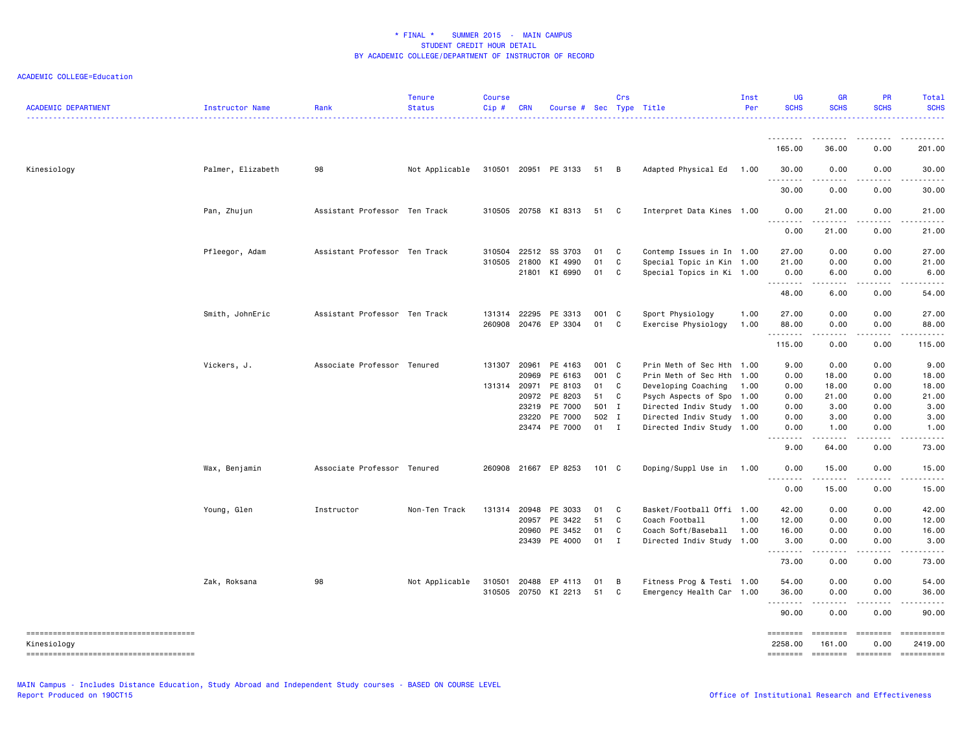| <b>ACADEMIC DEPARTMENT</b>            | Instructor Name   | Rank                          | <b>Tenure</b><br><b>Status</b> | <b>Course</b><br>Cip# | <b>CRN</b> | Course # Sec Type Title   |               | Crs          |                           | Inst<br>Per | <b>UG</b><br><b>SCHS</b>     | <b>GR</b><br><b>SCHS</b> | PR<br><b>SCHS</b>     | Total<br><b>SCHS</b><br>.                                                                                                                                                                 |
|---------------------------------------|-------------------|-------------------------------|--------------------------------|-----------------------|------------|---------------------------|---------------|--------------|---------------------------|-------------|------------------------------|--------------------------|-----------------------|-------------------------------------------------------------------------------------------------------------------------------------------------------------------------------------------|
|                                       |                   |                               |                                |                       |            |                           |               |              |                           |             | <u>.</u><br>165.00           | 36.00                    | .<br>0.00             | $\frac{1}{2} \left( \frac{1}{2} \right) \left( \frac{1}{2} \right) \left( \frac{1}{2} \right) \left( \frac{1}{2} \right) \left( \frac{1}{2} \right) \left( \frac{1}{2} \right)$<br>201.00 |
| Kinesiology                           | Palmer, Elizabeth | 98                            | Not Applicable                 |                       |            | 310501 20951 PE 3133 51 B |               |              | Adapted Physical Ed       | 1.00        | 30.00                        | 0.00                     | 0.00                  | 30.00                                                                                                                                                                                     |
|                                       |                   |                               |                                |                       |            |                           |               |              |                           |             | <u>.</u><br>30.00            | .<br>0.00                | .<br>0.00             | .<br>30.00                                                                                                                                                                                |
|                                       | Pan, Zhujun       | Assistant Professor Ten Track |                                | 310505                |            | 20758 KI 8313             | 51            | C            | Interpret Data Kines 1.00 |             | 0.00                         | 21.00                    | 0.00                  | 21.00                                                                                                                                                                                     |
|                                       |                   |                               |                                |                       |            |                           |               |              |                           |             | <u>.</u>                     | 21.00                    |                       | 21.00                                                                                                                                                                                     |
|                                       |                   |                               |                                |                       |            |                           |               |              |                           |             | 0.00                         |                          | 0.00                  |                                                                                                                                                                                           |
|                                       | Pfleegor, Adam    | Assistant Professor Ten Track |                                | 310504                | 22512      | SS 3703                   | 01            | C            | Contemp Issues in In 1.00 |             | 27.00                        | 0.00                     | 0.00                  | 27.00                                                                                                                                                                                     |
|                                       |                   |                               |                                | 310505 21800          |            | KI 4990                   | 01            | C            | Special Topic in Kin 1.00 |             | 21.00                        | 0.00                     | 0.00                  | 21.00                                                                                                                                                                                     |
|                                       |                   |                               |                                |                       | 21801      | KI 6990                   | 01            | C            | Special Topics in Ki 1.00 |             | 0.00<br><b></b>              | 6.00                     | 0.00                  | 6.00                                                                                                                                                                                      |
|                                       |                   |                               |                                |                       |            |                           |               |              |                           |             | 48.00                        | 6.00                     | 0.00                  | 54.00                                                                                                                                                                                     |
|                                       | Smith, JohnEric   | Assistant Professor Ten Track |                                | 131314 22295          |            | PE 3313                   | 001           | <b>C</b>     | Sport Physiology          | 1.00        | 27.00                        | 0.00                     | 0.00                  | 27.00                                                                                                                                                                                     |
|                                       |                   |                               |                                | 260908                |            | 20476 EP 3304             | 01            | C            | Exercise Physiology       | 1.00        | 88.00                        | 0.00                     | 0.00                  | 88.00                                                                                                                                                                                     |
|                                       |                   |                               |                                |                       |            |                           |               |              |                           |             | .<br>115.00                  | .<br>0.00                | .<br>0.00             | .<br>115.00                                                                                                                                                                               |
|                                       | Vickers, J.       | Associate Professor Tenured   |                                | 131307                | 20961      | PE 4163                   | 001 C         |              | Prin Meth of Sec Hth 1.00 |             | 9.00                         | 0.00                     | 0.00                  | 9.00                                                                                                                                                                                      |
|                                       |                   |                               |                                |                       | 20969      | PE 6163                   | 001           | $\mathbf{C}$ | Prin Meth of Sec Hth      | 1.00        | 0.00                         | 18.00                    | 0.00                  | 18.00                                                                                                                                                                                     |
|                                       |                   |                               |                                | 131314 20971          |            | PE 8103                   | 01            | C            | Developing Coaching       | 1.00        | 0.00                         | 18.00                    | 0.00                  | 18.00                                                                                                                                                                                     |
|                                       |                   |                               |                                |                       | 20972      | PE 8203                   | 51            | C            | Psych Aspects of Spo      | 1.00        | 0.00                         | 21.00                    | 0.00                  | 21.00                                                                                                                                                                                     |
|                                       |                   |                               |                                |                       | 23219      | PE 7000                   | 501 I         |              | Directed Indiv Study 1.00 |             | 0.00                         | 3.00                     | 0.00                  | 3.00                                                                                                                                                                                      |
|                                       |                   |                               |                                |                       | 23220      | PE 7000                   | 502 I         |              | Directed Indiv Study 1.00 |             | 0.00                         | 3.00                     | 0.00                  | 3.00                                                                                                                                                                                      |
|                                       |                   |                               |                                |                       |            | 23474 PE 7000             | 01            | $\mathbf{I}$ | Directed Indiv Study 1.00 |             | 0.00<br>$\sim$ $\sim$ .<br>. | 1.00<br>$- - - - -$      | 0.00<br>$\frac{1}{2}$ | 1.00<br>$\frac{1}{2} \left( \frac{1}{2} \right) \left( \frac{1}{2} \right) \left( \frac{1}{2} \right) \left( \frac{1}{2} \right)$                                                         |
|                                       |                   |                               |                                |                       |            |                           |               |              |                           |             | 9.00                         | 64.00                    | 0.00                  | 73.00                                                                                                                                                                                     |
|                                       | Wax, Benjamin     | Associate Professor Tenured   |                                |                       |            | 260908 21667 EP 8253      | $101 \quad C$ |              | Doping/Suppl Use in 1.00  |             | 0.00<br>.                    | 15.00<br>.               | 0.00<br>.             | 15.00<br>.                                                                                                                                                                                |
|                                       |                   |                               |                                |                       |            |                           |               |              |                           |             | 0.00                         | 15.00                    | 0.00                  | 15.00                                                                                                                                                                                     |
|                                       | Young, Glen       | Instructor                    | Non-Ten Track                  | 131314                | 20948      | PE 3033                   | 01            | C            | Basket/Football Offi 1.00 |             | 42.00                        | 0.00                     | 0.00                  | 42.00                                                                                                                                                                                     |
|                                       |                   |                               |                                |                       | 20957      | PE 3422                   | 51            | C            | Coach Football            | 1.00        | 12.00                        | 0.00                     | 0.00                  | 12.00                                                                                                                                                                                     |
|                                       |                   |                               |                                |                       | 20960      | PE 3452                   | 01            | C            | Coach Soft/Baseball       | 1.00        | 16.00                        | 0.00                     | 0.00                  | 16.00                                                                                                                                                                                     |
|                                       |                   |                               |                                |                       |            | 23439 PE 4000             | 01            | I            | Directed Indiv Study 1.00 |             | 3.00<br>.                    | 0.00<br>.                | 0.00<br>.             | 3.00                                                                                                                                                                                      |
|                                       |                   |                               |                                |                       |            |                           |               |              |                           |             | 73.00                        | 0.00                     | 0.00                  | 73.00                                                                                                                                                                                     |
|                                       | Zak, Roksana      | 98                            | Not Applicable                 | 310501                | 20488      | EP 4113                   | 01            | В            | Fitness Prog & Testi 1.00 |             | 54.00                        | 0.00                     | 0.00                  | 54.00                                                                                                                                                                                     |
|                                       |                   |                               |                                | 310505                |            | 20750 KI 2213             | 51            | C            | Emergency Health Car 1.00 |             | 36.00<br><b></b>             | 0.00<br>.                | 0.00<br>.             | 36.00<br>.                                                                                                                                                                                |
|                                       |                   |                               |                                |                       |            |                           |               |              |                           |             | 90.00                        | 0.00                     | 0.00                  | 90.00                                                                                                                                                                                     |
| Kinesiology                           |                   |                               |                                |                       |            |                           |               |              |                           |             | ========<br>2258.00          | <b>EEEEEEE</b><br>161.00 | ========<br>0.00      | ==========<br>2419.00                                                                                                                                                                     |
| ------------------------------------- |                   |                               |                                |                       |            |                           |               |              |                           |             | ========                     | <b>ESSESSE</b>           | <b>ESSESSES</b>       |                                                                                                                                                                                           |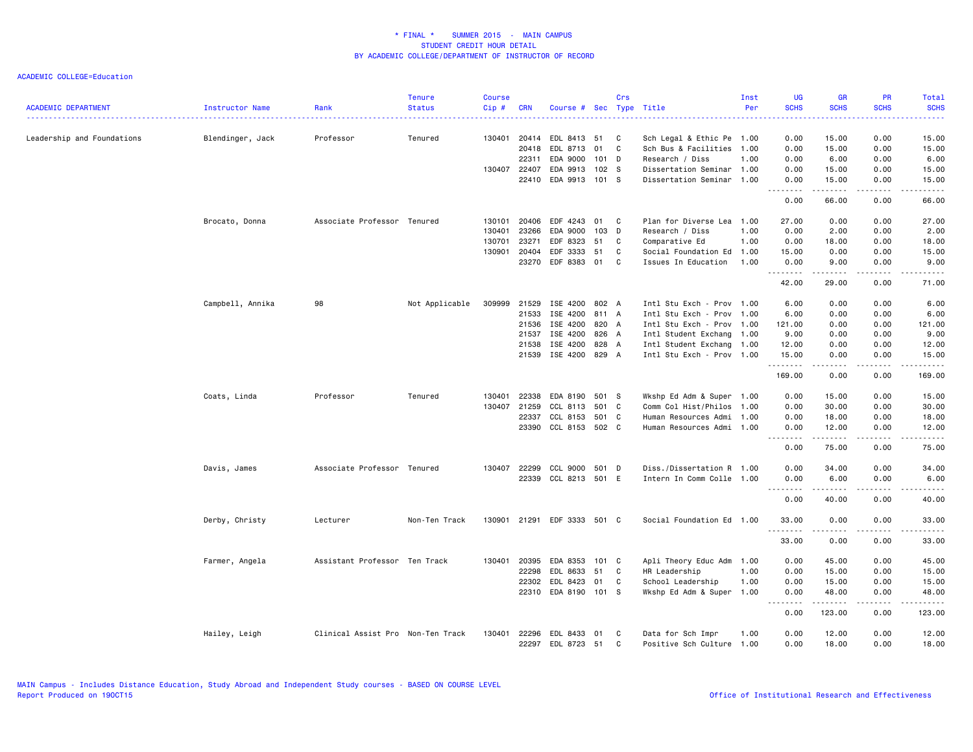| <b>ACADEMIC DEPARTMENT</b> | Instructor Name  | Rank                              | <b>Tenure</b><br><b>Status</b> | <b>Course</b><br>Cip# | <b>CRN</b>   | Course # Sec Type Title     |                  | Crs    |                           | Inst<br>Per | <b>UG</b><br><b>SCHS</b> | <b>GR</b><br><b>SCHS</b> | <b>PR</b><br><b>SCHS</b> | Total<br><b>SCHS</b> |
|----------------------------|------------------|-----------------------------------|--------------------------------|-----------------------|--------------|-----------------------------|------------------|--------|---------------------------|-------------|--------------------------|--------------------------|--------------------------|----------------------|
| Leadership and Foundations | Blendinger, Jack | Professor                         | Tenured                        |                       | 130401 20414 | EDL 8413                    | 51               | C      | Sch Legal & Ethic Pe 1.00 |             | 0.00                     | 15.00                    | 0.00                     | 15.00                |
|                            |                  |                                   |                                |                       | 20418        | EDL 8713                    | 01               | C      | Sch Bus & Facilities 1.00 |             | 0.00                     | 15.00                    | 0.00                     | 15.00                |
|                            |                  |                                   |                                |                       | 22311        | EDA 9000                    | $101$ D          |        | Research / Diss           | 1.00        | 0.00                     | 6.00                     | 0.00                     | 6.00                 |
|                            |                  |                                   |                                | 130407 22407          |              | EDA 9913                    | 102 <sub>5</sub> |        | Dissertation Seminar 1.00 |             | 0.00                     | 15.00                    | 0.00                     | 15.00                |
|                            |                  |                                   |                                |                       | 22410        | EDA 9913                    | 101 S            |        | Dissertation Seminar 1.00 |             | 0.00<br>.                | 15.00<br>.               | 0.00<br>لأعاجب           | 15.00<br>.           |
|                            |                  |                                   |                                |                       |              |                             |                  |        |                           |             | 0.00                     | 66.00                    | 0.00                     | 66.00                |
|                            | Brocato, Donna   | Associate Professor Tenured       |                                |                       | 130101 20406 | EDF 4243                    | 01               | C      | Plan for Diverse Lea 1.00 |             | 27.00                    | 0.00                     | 0.00                     | 27.00                |
|                            |                  |                                   |                                | 130401                | 23266        | EDA 9000                    | 103              | D      | Research / Diss           | 1.00        | 0.00                     | 2.00                     | 0.00                     | 2.00                 |
|                            |                  |                                   |                                | 130701                | 23271        | EDF 8323                    | 51               | C      | Comparative Ed            | 1.00        | 0.00                     | 18.00                    | 0.00                     | 18.00                |
|                            |                  |                                   |                                | 130901                | 20404        | EDF 3333                    | 51               | C<br>C | Social Foundation Ed 1.00 |             | 15.00                    | 0.00                     | 0.00                     | 15.00                |
|                            |                  |                                   |                                |                       | 23270        | EDF 8383 01                 |                  |        | Issues In Education       | 1.00        | 0.00<br>.                | 9.00<br>.                | 0.00<br>.                | 9.00<br>.            |
|                            |                  |                                   |                                |                       |              |                             |                  |        |                           |             | 42.00                    | 29.00                    | 0.00                     | 71.00                |
|                            | Campbell, Annika | 98                                | Not Applicable                 | 309999                | 21529        | ISE 4200                    | 802 A            |        | Intl Stu Exch - Prov 1.00 |             | 6.00                     | 0.00                     | 0.00                     | 6.00                 |
|                            |                  |                                   |                                |                       | 21533        | ISE 4200                    | 811 A            |        | Intl Stu Exch - Prov 1.00 |             | 6.00                     | 0.00                     | 0.00                     | 6.00                 |
|                            |                  |                                   |                                |                       | 21536        | ISE 4200                    | 820 A            |        | Intl Stu Exch - Prov 1.00 |             | 121.00                   | 0.00                     | 0.00                     | 121.00               |
|                            |                  |                                   |                                |                       | 21537        | ISE 4200                    | 826 A            |        | Intl Student Exchang 1.00 |             | 9.00                     | 0.00                     | 0.00                     | 9.00                 |
|                            |                  |                                   |                                |                       | 21538        | ISE 4200                    | 828 A            |        | Intl Student Exchang 1.00 |             | 12.00                    | 0.00                     | 0.00                     | 12.00                |
|                            |                  |                                   |                                |                       | 21539        | ISE 4200                    | 829 A            |        | Intl Stu Exch - Prov 1.00 |             | 15.00<br>.               | 0.00<br>.                | 0.00<br>.                | 15.00<br>.           |
|                            |                  |                                   |                                |                       |              |                             |                  |        |                           |             | 169.00                   | 0.00                     | 0.00                     | 169.00               |
|                            | Coats, Linda     | Professor                         | Tenured                        | 130401                | 22338        | EDA 8190                    | 501 S            |        | Wkshp Ed Adm & Super 1.00 |             | 0.00                     | 15.00                    | 0.00                     | 15.00                |
|                            |                  |                                   |                                | 130407                | 21259        | CCL 8113                    | 501 C            |        | Comm Col Hist/Philos 1.00 |             | 0.00                     | 30.00                    | 0.00                     | 30.00                |
|                            |                  |                                   |                                |                       | 22337        | CCL 8153                    | 501 C            |        | Human Resources Admi 1.00 |             | 0.00                     | 18.00                    | 0.00                     | 18.00                |
|                            |                  |                                   |                                |                       | 23390        | CCL 8153 502 C              |                  |        | Human Resources Admi 1.00 |             | 0.00<br>.                | 12.00<br>.               | 0.00                     | 12.00<br>.           |
|                            |                  |                                   |                                |                       |              |                             |                  |        |                           |             | 0.00                     | 75.00                    | 0.00                     | 75.00                |
|                            | Davis, James     | Associate Professor Tenured       |                                |                       | 130407 22299 | CCL 9000                    | 501 D            |        | Diss./Dissertation R 1.00 |             | 0.00                     | 34.00                    | 0.00                     | 34.00                |
|                            |                  |                                   |                                |                       | 22339        | CCL 8213 501 E              |                  |        | Intern In Comm Colle 1.00 |             | 0.00<br>.                | 6.00                     | 0.00                     | 6.00                 |
|                            |                  |                                   |                                |                       |              |                             |                  |        |                           |             | 0.00                     | 40.00                    | 0.00                     | 40.00                |
|                            | Derby, Christy   | Lecturer                          | Non-Ten Track                  |                       |              | 130901 21291 EDF 3333 501 C |                  |        | Social Foundation Ed 1.00 |             | 33.00                    | 0.00                     | 0.00                     | 33.00                |
|                            |                  |                                   |                                |                       |              |                             |                  |        |                           |             | .<br>33.00               | .<br>0.00                | .<br>0.00                | .<br>33.00           |
|                            | Farmer, Angela   | Assistant Professor Ten Track     |                                | 130401                | 20395        | EDA 8353                    | $101 \quad C$    |        | Apli Theory Educ Adm 1.00 |             | 0.00                     | 45.00                    | 0.00                     | 45.00                |
|                            |                  |                                   |                                |                       | 22298        | EDL 8633                    | 51               | C      | HR Leadership             | 1.00        | 0.00                     | 15.00                    | 0.00                     | 15.00                |
|                            |                  |                                   |                                |                       | 22302        | EDL 8423                    | 01               | C      | School Leadership         | 1.00        | 0.00                     | 15.00                    | 0.00                     | 15.00                |
|                            |                  |                                   |                                |                       |              | 22310 EDA 8190 101 S        |                  |        | Wkshp Ed Adm & Super 1.00 |             | 0.00                     | 48.00                    | 0.00                     | 48.00                |
|                            |                  |                                   |                                |                       |              |                             |                  |        |                           |             | .<br>0.00                | 123.00                   | .<br>0.00                | .<br>123.00          |
|                            | Hailey, Leigh    | Clinical Assist Pro Non-Ten Track |                                | 130401                | 22296        | EDL 8433                    | 01               | C      | Data for Sch Impr         | 1.00        | 0.00                     | 12.00                    | 0.00                     | 12.00                |
|                            |                  |                                   |                                |                       | 22297        | EDL 8723 51                 |                  | C      | Positive Sch Culture 1.00 |             | 0.00                     | 18,00                    | 0.00                     | 18.00                |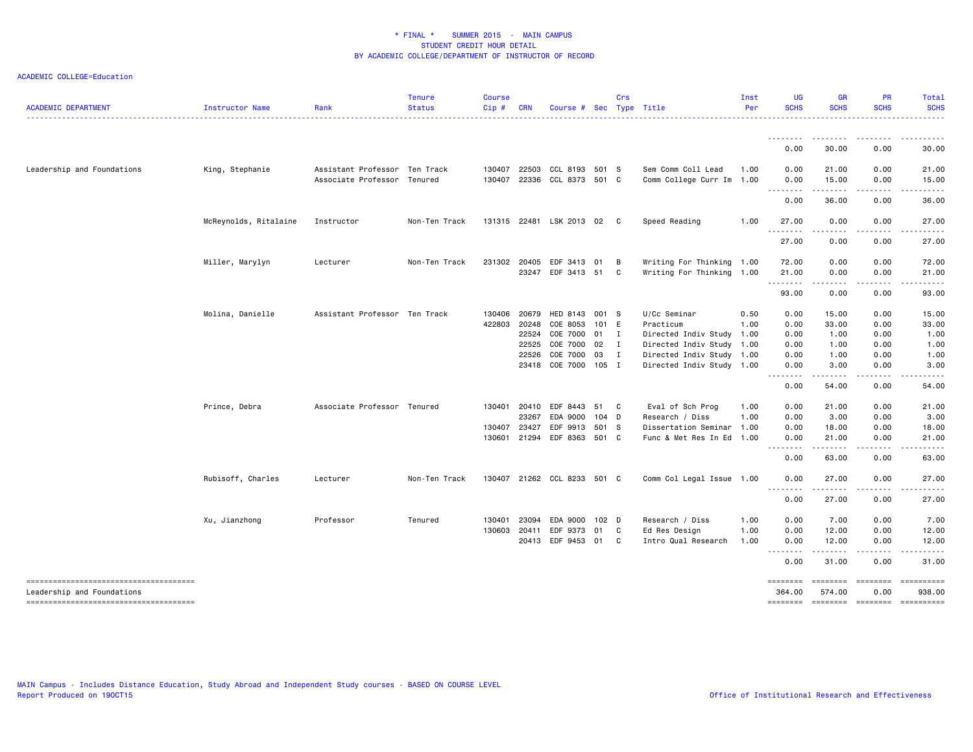| <b>ACADEMIC DEPARTMENT</b>                                          | Instructor Name       | Rank                                                         | <b>Tenure</b><br><b>Status</b> | <b>Course</b><br>Cip# | <b>CRN</b>     | Course #                         |                  | Crs          | Sec Type Title                                  | Inst<br>Per | <b>UG</b><br><b>SCHS</b>                                                                                                                                                                                                                                                                                                                                                                                                                                                                       | <b>GR</b><br><b>SCHS</b>                                                                                                                                      | <b>PR</b><br><b>SCHS</b> | Total<br><b>SCHS</b>  |
|---------------------------------------------------------------------|-----------------------|--------------------------------------------------------------|--------------------------------|-----------------------|----------------|----------------------------------|------------------|--------------|-------------------------------------------------|-------------|------------------------------------------------------------------------------------------------------------------------------------------------------------------------------------------------------------------------------------------------------------------------------------------------------------------------------------------------------------------------------------------------------------------------------------------------------------------------------------------------|---------------------------------------------------------------------------------------------------------------------------------------------------------------|--------------------------|-----------------------|
|                                                                     |                       |                                                              |                                |                       |                |                                  |                  |              |                                                 |             | ---------<br>0.00                                                                                                                                                                                                                                                                                                                                                                                                                                                                              | .<br>30.00                                                                                                                                                    | 0.00                     | 30.00                 |
|                                                                     |                       |                                                              |                                |                       |                |                                  |                  |              |                                                 |             |                                                                                                                                                                                                                                                                                                                                                                                                                                                                                                |                                                                                                                                                               |                          |                       |
| Leadership and Foundations                                          | King, Stephanie       | Assistant Professor Ten Track<br>Associate Professor Tenured |                                | 130407<br>130407      | 22503<br>22336 | CCL 8193 501 S<br>CCL 8373 501 C |                  |              | Sem Comm Coll Lead<br>Comm College Curr Im 1.00 | 1.00        | 0.00<br>0.00                                                                                                                                                                                                                                                                                                                                                                                                                                                                                   | 21.00<br>15.00                                                                                                                                                | 0.00<br>0.00             | 21.00<br>15.00        |
|                                                                     |                       |                                                              |                                |                       |                |                                  |                  |              |                                                 |             | .<br>0.00                                                                                                                                                                                                                                                                                                                                                                                                                                                                                      | $\frac{1}{2} \left( \frac{1}{2} \right) \left( \frac{1}{2} \right) \left( \frac{1}{2} \right) \left( \frac{1}{2} \right) \left( \frac{1}{2} \right)$<br>36.00 | .<br>0.00                | 36.00                 |
|                                                                     | McReynolds, Ritalaine | Instructor                                                   | Non-Ten Track                  |                       |                | 131315 22481 LSK 2013 02         |                  | $\mathbf{C}$ | Speed Reading                                   | 1.00        | 27.00                                                                                                                                                                                                                                                                                                                                                                                                                                                                                          | 0.00                                                                                                                                                          | 0.00                     | 27.00                 |
|                                                                     |                       |                                                              |                                |                       |                |                                  |                  |              |                                                 |             | 27.00                                                                                                                                                                                                                                                                                                                                                                                                                                                                                          | 0.00                                                                                                                                                          | 0.00                     | 27.00                 |
|                                                                     | Miller, Marylyn       | Lecturer                                                     | Non-Ten Track                  | 231302 20405          |                | EDF 3413 01                      |                  | B            | Writing For Thinking 1.00                       |             | 72.00                                                                                                                                                                                                                                                                                                                                                                                                                                                                                          | 0.00                                                                                                                                                          | 0.00                     | 72.00                 |
|                                                                     |                       |                                                              |                                |                       | 23247          | EDF 3413 51                      |                  | C            | Writing For Thinking                            | 1.00        | 21.00<br>--------                                                                                                                                                                                                                                                                                                                                                                                                                                                                              | 0.00<br>.                                                                                                                                                     | 0.00<br>.                | 21.00<br>. <u>.</u> . |
|                                                                     |                       |                                                              |                                |                       |                |                                  |                  |              |                                                 |             | 93.00                                                                                                                                                                                                                                                                                                                                                                                                                                                                                          | 0.00                                                                                                                                                          | 0.00                     | 93.00                 |
|                                                                     | Molina, Danielle      | Assistant Professor Ten Track                                |                                | 130406                | 20679          | HED 8143 001 S                   |                  |              | U/Cc Seminar                                    | 0.50        | 0.00                                                                                                                                                                                                                                                                                                                                                                                                                                                                                           | 15.00                                                                                                                                                         | 0.00                     | 15.00                 |
|                                                                     |                       |                                                              |                                | 422803 20248          |                | COE 8053                         | 101 E            |              | Practicum                                       | 1.00        | 0.00                                                                                                                                                                                                                                                                                                                                                                                                                                                                                           | 33.00                                                                                                                                                         | 0.00                     | 33.00                 |
|                                                                     |                       |                                                              |                                |                       | 22524          | COE 7000 01                      |                  | $\mathbf{I}$ | Directed Indiv Study 1.00                       |             | 0.00                                                                                                                                                                                                                                                                                                                                                                                                                                                                                           | 1.00                                                                                                                                                          | 0.00                     | 1.00                  |
|                                                                     |                       |                                                              |                                |                       | 22525          | COE 7000                         | 02               | $\mathbf{I}$ | Directed Indiv Study 1.00                       |             | 0.00                                                                                                                                                                                                                                                                                                                                                                                                                                                                                           | 1.00                                                                                                                                                          | 0.00                     | 1.00                  |
|                                                                     |                       |                                                              |                                |                       | 22526          | COE 7000                         | 03               | $\mathbf{I}$ | Directed Indiv Study 1.00                       |             | 0.00                                                                                                                                                                                                                                                                                                                                                                                                                                                                                           | 1.00                                                                                                                                                          | 0.00                     | 1.00                  |
|                                                                     |                       |                                                              |                                |                       | 23418          | COE 7000 105 I                   |                  |              | Directed Indiv Study 1.00                       |             | 0.00                                                                                                                                                                                                                                                                                                                                                                                                                                                                                           | 3.00                                                                                                                                                          | 0.00                     | 3.00                  |
|                                                                     |                       |                                                              |                                |                       |                |                                  |                  |              |                                                 |             | $\sim$ $\sim$<br>.<br>0.00                                                                                                                                                                                                                                                                                                                                                                                                                                                                     | -----<br>54.00                                                                                                                                                | 0.00                     | 54.00                 |
|                                                                     | Prince, Debra         | Associate Professor Tenured                                  |                                | 130401                | 20410          | EDF 8443                         | 51               | C            | Eval of Sch Prog                                | 1.00        | 0.00                                                                                                                                                                                                                                                                                                                                                                                                                                                                                           | 21.00                                                                                                                                                         | 0.00                     | 21.00                 |
|                                                                     |                       |                                                              |                                |                       | 23267          | EDA 9000                         | $104$ D          |              | Research / Diss                                 | 1.00        | 0.00                                                                                                                                                                                                                                                                                                                                                                                                                                                                                           | 3.00                                                                                                                                                          | 0.00                     | 3.00                  |
|                                                                     |                       |                                                              |                                | 130407                | 23427          | EDF 9913                         | 501 S            |              | Dissertation Seminar                            | 1.00        | 0.00                                                                                                                                                                                                                                                                                                                                                                                                                                                                                           | 18.00                                                                                                                                                         | 0.00                     | 18.00                 |
|                                                                     |                       |                                                              |                                | 130601                | 21294          | EDF 8363 501 C                   |                  |              | Func & Met Res In Ed                            | 1.00        | 0.00<br>$\frac{1}{2} \left( \frac{1}{2} \right) \left( \frac{1}{2} \right) \left( \frac{1}{2} \right) \left( \frac{1}{2} \right) \left( \frac{1}{2} \right)$<br>$\sim$ $\sim$                                                                                                                                                                                                                                                                                                                  | 21.00<br>.                                                                                                                                                    | 0.00<br>.                | 21.00<br>.            |
|                                                                     |                       |                                                              |                                |                       |                |                                  |                  |              |                                                 |             | 0.00                                                                                                                                                                                                                                                                                                                                                                                                                                                                                           | 63.00                                                                                                                                                         | 0.00                     | 63.00                 |
|                                                                     | Rubisoff, Charles     | Lecturer                                                     | Non-Ten Track                  |                       |                | 130407 21262 CCL 8233 501 C      |                  |              | Comm Col Legal Issue 1.00                       |             | 0.00<br>$\sim$ $\sim$<br>.                                                                                                                                                                                                                                                                                                                                                                                                                                                                     | 27.00<br>.                                                                                                                                                    | 0.00<br>.                | 27.00                 |
|                                                                     |                       |                                                              |                                |                       |                |                                  |                  |              |                                                 |             | 0.00                                                                                                                                                                                                                                                                                                                                                                                                                                                                                           | 27.00                                                                                                                                                         | 0.00                     | 27.00                 |
|                                                                     | Xu, Jianzhong         | Professor                                                    | Tenured                        | 130401                | 23094          | EDA 9000                         | 102 <sub>D</sub> |              | Research / Diss                                 | 1.00        | 0.00                                                                                                                                                                                                                                                                                                                                                                                                                                                                                           | 7.00                                                                                                                                                          | 0.00                     | 7.00                  |
|                                                                     |                       |                                                              |                                | 130603                | 20411          | EDF 9373                         | 01               | C            | Ed Res Design                                   | 1.00        | 0.00                                                                                                                                                                                                                                                                                                                                                                                                                                                                                           | 12.00                                                                                                                                                         | 0.00                     | 12.00                 |
|                                                                     |                       |                                                              |                                |                       |                | 20413 EDF 9453 01                |                  | C            | Intro Qual Research                             | 1.00        | 0.00<br>$\begin{array}{cccccccccccccc} \multicolumn{2}{c}{} & \multicolumn{2}{c}{} & \multicolumn{2}{c}{} & \multicolumn{2}{c}{} & \multicolumn{2}{c}{} & \multicolumn{2}{c}{} & \multicolumn{2}{c}{} & \multicolumn{2}{c}{} & \multicolumn{2}{c}{} & \multicolumn{2}{c}{} & \multicolumn{2}{c}{} & \multicolumn{2}{c}{} & \multicolumn{2}{c}{} & \multicolumn{2}{c}{} & \multicolumn{2}{c}{} & \multicolumn{2}{c}{} & \multicolumn{2}{c}{} & \multicolumn{2}{c}{} & \multicolumn{2}{c}{} & \$ | 12.00<br>$\begin{array}{cccccccccc} \bullet & \bullet & \bullet & \bullet & \bullet & \bullet & \bullet & \bullet & \bullet \end{array}$                      | 0.00<br>.                | 12.00<br>.            |
|                                                                     |                       |                                                              |                                |                       |                |                                  |                  |              |                                                 |             | 0.00                                                                                                                                                                                                                                                                                                                                                                                                                                                                                           | 31.00                                                                                                                                                         | 0.00                     | 31.00                 |
| -------------------------------------<br>Leadership and Foundations |                       |                                                              |                                |                       |                |                                  |                  |              |                                                 |             | ========<br>364.00                                                                                                                                                                                                                                                                                                                                                                                                                                                                             | ========<br>574.00                                                                                                                                            | $=$ ========<br>0.00     | 938.00                |
| -------------------------------------                               |                       |                                                              |                                |                       |                |                                  |                  |              |                                                 |             | <b>SESSESSE</b>                                                                                                                                                                                                                                                                                                                                                                                                                                                                                | <b>ESSESSE</b>                                                                                                                                                | ========                 | ==========            |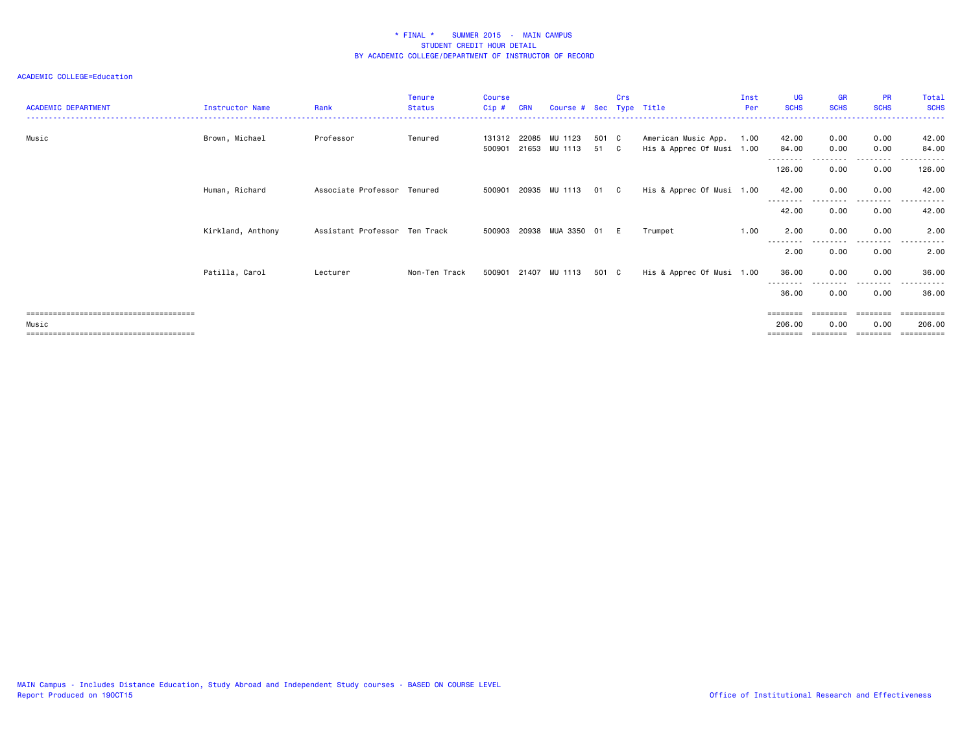| <b>ACADEMIC DEPARTMENT</b>              | <b>Instructor Name</b> | Rank                          | <b>Tenure</b><br><b>Status</b> | <b>Course</b><br>Cip# | <b>CRN</b> | Course # Sec Type Title                      |             | Crs          |                                                  | Inst<br>Per | <b>UG</b><br><b>SCHS</b> | <b>GR</b><br><b>SCHS</b> | <b>PR</b><br><b>SCHS</b> | Total<br><b>SCHS</b> |
|-----------------------------------------|------------------------|-------------------------------|--------------------------------|-----------------------|------------|----------------------------------------------|-------------|--------------|--------------------------------------------------|-------------|--------------------------|--------------------------|--------------------------|----------------------|
| Music                                   | Brown, Michael         | Professor                     | Tenured                        |                       |            | 131312 22085 MU 1123<br>500901 21653 MU 1113 | 501 C<br>51 | $\mathbf{C}$ | American Music App.<br>His & Apprec Of Musi 1.00 | 1.00        | 42.00<br>84.00           | 0.00<br>0.00             | 0.00<br>0.00             | 42.00<br>84.00       |
|                                         |                        |                               |                                |                       |            |                                              |             |              |                                                  |             | --------<br>126.00       | 0.00                     | --------<br>0.00         | .<br>126.00          |
|                                         | Human, Richard         | Associate Professor Tenured   |                                |                       |            | 500901 20935 MU 1113                         | 01 C        |              | His & Apprec Of Musi 1.00                        |             | 42.00<br>--------        | 0.00                     | 0.00<br>---------        | 42.00<br>.           |
|                                         |                        |                               |                                |                       |            |                                              |             |              |                                                  |             | 42.00                    | 0.00                     | 0.00                     | 42.00                |
|                                         | Kirkland, Anthony      | Assistant Professor Ten Track |                                | 500903 20938          |            | MUA 3350                                     | 01          | E            | Trumpet                                          | 1.00        | 2.00<br>--------         | 0.00<br>.                | 0.00<br>.                | 2.00<br>.            |
|                                         |                        |                               |                                |                       |            |                                              |             |              |                                                  |             | 2.00                     | 0.00                     | 0.00                     | 2.00                 |
|                                         | Patilla, Carol         | Lecturer                      | Non-Ten Track                  |                       |            | 500901 21407 MU 1113                         | 501 C       |              | His & Apprec Of Musi 1.00                        |             | 36.00<br>--------        | 0.00<br>.                | 0.00<br>.                | 36.00<br>. <u>.</u>  |
|                                         |                        |                               |                                |                       |            |                                              |             |              |                                                  |             | 36.00                    | 0.00                     | 0.00                     | 36.00                |
|                                         |                        |                               |                                |                       |            |                                              |             |              |                                                  |             | ========                 | ========                 | ========                 |                      |
| Music<br>============================== |                        |                               |                                |                       |            |                                              |             |              |                                                  |             | 206.00                   | 0.00                     | 0.00                     | 206.00               |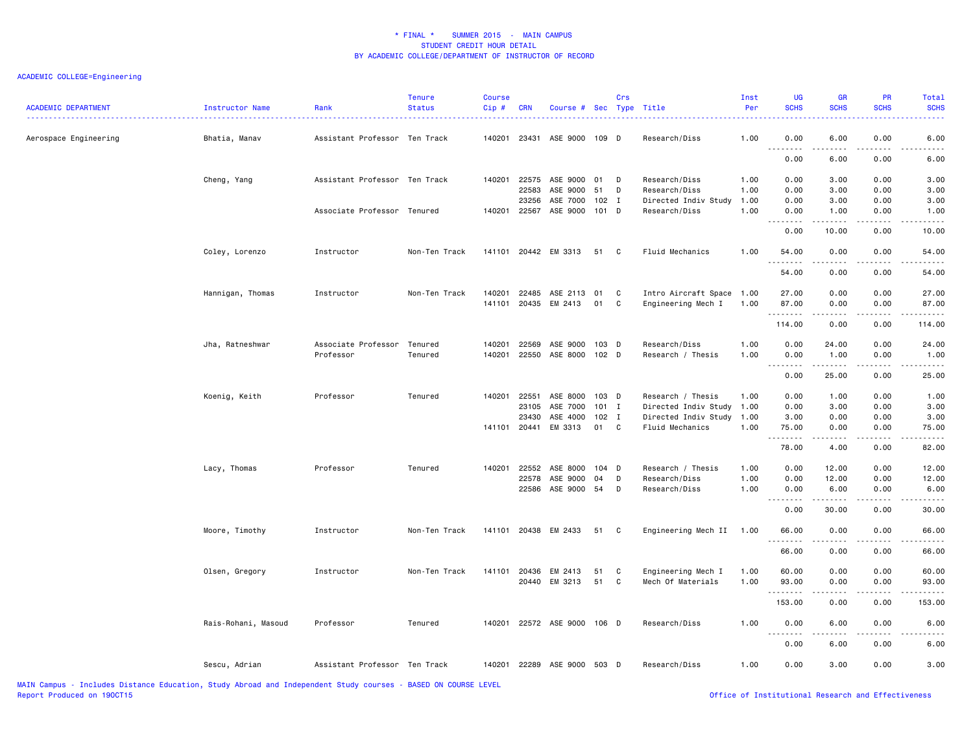## ACADEMIC COLLEGE=Engineering

| <b>ACADEMIC DEPARTMENT</b> | Instructor Name     | Rank                          | <b>Tenure</b><br><b>Status</b> | <b>Course</b><br>Cip# | <b>CRN</b>   | Course # Sec Type Title     |         | Crs          |                           | Inst<br>Per | <b>UG</b><br><b>SCHS</b> | GR<br><b>SCHS</b>                                                                                                       | PR<br><b>SCHS</b> | <b>Total</b><br><b>SCHS</b> |
|----------------------------|---------------------|-------------------------------|--------------------------------|-----------------------|--------------|-----------------------------|---------|--------------|---------------------------|-------------|--------------------------|-------------------------------------------------------------------------------------------------------------------------|-------------------|-----------------------------|
| Aerospace Engineering      | Bhatia, Manav       | Assistant Professor Ten Track |                                | 140201                |              | 23431 ASE 9000 109 D        |         |              | Research/Diss             | 1.00        | 0.00<br>.                | 6.00<br>.                                                                                                               | 0.00              | 6.00                        |
|                            |                     |                               |                                |                       |              |                             |         |              |                           |             | 0.00                     | 6.00                                                                                                                    | 0.00              | 6.00                        |
|                            | Cheng, Yang         | Assistant Professor Ten Track |                                |                       |              | 140201 22575 ASE 9000 01    |         | D            | Research/Diss             | 1.00        | 0.00                     | 3.00                                                                                                                    | 0.00              | 3.00                        |
|                            |                     |                               |                                |                       | 22583        | ASE 9000                    | 51      | D            | Research/Diss             | 1.00        | 0.00                     | 3.00                                                                                                                    | 0.00              | 3.00                        |
|                            |                     |                               |                                |                       | 23256        | ASE 7000 102 I              |         |              | Directed Indiv Study      | 1.00        | 0.00                     | 3.00                                                                                                                    | 0.00              | 3.00                        |
|                            |                     | Associate Professor Tenured   |                                |                       | 140201 22567 | ASE 9000 101 D              |         |              | Research/Diss             | 1.00        | 0.00                     | 1.00<br>$\begin{array}{cccccccccccccc} \bullet & \bullet & \bullet & \bullet & \bullet & \bullet & \bullet \end{array}$ | 0.00<br>.         | 1.00                        |
|                            |                     |                               |                                |                       |              |                             |         |              |                           |             | 0.00                     | 10.00                                                                                                                   | 0.00              | 10.00                       |
|                            | Coley, Lorenzo      | Instructor                    | Non-Ten Track                  |                       |              | 141101 20442 EM 3313        | 51      | C            | Fluid Mechanics           | 1.00        | 54.00<br>.               | 0.00<br>22222                                                                                                           | 0.00              | 54.00                       |
|                            |                     |                               |                                |                       |              |                             |         |              |                           |             | 54.00                    | 0.00                                                                                                                    | .<br>0.00         | 54.00                       |
|                            | Hannigan, Thomas    | Instructor                    | Non-Ten Track                  | 140201                | 22485        | ASE 2113 01                 |         | C            | Intro Aircraft Space 1.00 |             | 27.00                    | 0.00                                                                                                                    | 0.00              | 27.00                       |
|                            |                     |                               |                                |                       |              | 141101 20435 EM 2413        | 01      | C            | Engineering Mech I        | 1.00        | 87.00                    | 0.00                                                                                                                    | 0.00              | 87.00                       |
|                            |                     |                               |                                |                       |              |                             |         |              |                           |             | .                        | <u>.</u>                                                                                                                |                   |                             |
|                            |                     |                               |                                |                       |              |                             |         |              |                           |             | 114.00                   | 0.00                                                                                                                    | 0.00              | 114.00                      |
|                            | Jha, Ratneshwar     | Associate Professor           | Tenured                        | 140201                | 22569        | ASE 9000                    | $103$ D |              | Research/Diss             | 1.00        | 0.00                     | 24.00                                                                                                                   | 0.00              | 24.00                       |
|                            |                     | Professor                     | Tenured                        | 140201                | 22550        | ASE 8000                    | $102$ D |              | Research / Thesis         | 1.00        | 0.00                     | 1.00                                                                                                                    | 0.00              | 1.00                        |
|                            |                     |                               |                                |                       |              |                             |         |              |                           |             | .<br>0.00                | .<br>25.00                                                                                                              | .<br>0.00         | .<br>25.00                  |
|                            | Koenig, Keith       | Professor                     | Tenured                        | 140201                | 22551        | ASE 8000 103 D              |         |              | Research / Thesis         | 1.00        | 0.00                     | 1.00                                                                                                                    | 0.00              | 1.00                        |
|                            |                     |                               |                                |                       | 23105        | ASE 7000                    | $101$ I |              | Directed Indiv Study      | 1.00        | 0.00                     | 3.00                                                                                                                    | 0.00              | 3.00                        |
|                            |                     |                               |                                |                       | 23430        | ASE 4000 102 I              |         |              | Directed Indiv Study      | 1.00        | 3.00                     | 0.00                                                                                                                    | 0.00              | 3.00                        |
|                            |                     |                               |                                |                       |              | 141101 20441 EM 3313        | 01      | $\mathbf{C}$ | Fluid Mechanics           | 1.00        | 75.00                    | 0.00                                                                                                                    | 0.00              | 75.00                       |
|                            |                     |                               |                                |                       |              |                             |         |              |                           |             | .<br>78.00               | $\sim$ $\sim$ $\sim$ $\sim$<br>4.00                                                                                     | 0.00              | 82.00                       |
|                            |                     |                               |                                |                       |              |                             |         |              |                           |             |                          |                                                                                                                         |                   |                             |
|                            | Lacy, Thomas        | Professor                     | Tenured                        | 140201                | 22552        | ASE 8000                    | $104$ D |              | Research / Thesis         | 1.00        | 0.00                     | 12.00                                                                                                                   | 0.00              | 12.00                       |
|                            |                     |                               |                                |                       | 22578        | ASE 9000                    | 04      | D            | Research/Diss             | 1.00        | 0.00                     | 12.00                                                                                                                   | 0.00              | 12.00                       |
|                            |                     |                               |                                |                       |              | 22586 ASE 9000              | 54      | D            | Research/Diss             | 1.00        | 0.00<br><u>.</u>         | 6.00<br>.                                                                                                               | 0.00<br>.         | 6.00<br>.                   |
|                            |                     |                               |                                |                       |              |                             |         |              |                           |             | 0.00                     | 30.00                                                                                                                   | 0.00              | 30.00                       |
|                            | Moore, Timothy      | Instructor                    | Non-Ten Track                  |                       |              | 141101 20438 EM 2433        | 51      | C            | Engineering Mech II 1.00  |             | 66.00                    | 0.00                                                                                                                    | 0.00              | 66.00                       |
|                            |                     |                               |                                |                       |              |                             |         |              |                           |             | 66.00                    | 0.00                                                                                                                    | 0.00              | 66.00                       |
|                            | Olsen, Gregory      | Instructor                    | Non-Ten Track                  |                       |              | 141101 20436 EM 2413        | 51      | C            | Engineering Mech I        | 1.00        | 60.00                    | 0.00                                                                                                                    | 0.00              | 60.00                       |
|                            |                     |                               |                                |                       |              | 20440 EM 3213               | 51      | C            | Mech Of Materials         | 1.00        | 93.00                    | 0.00                                                                                                                    | 0.00              | 93.00                       |
|                            |                     |                               |                                |                       |              |                             |         |              |                           |             | .                        | $\sim$ $\sim$ $\sim$ $\sim$                                                                                             | .                 |                             |
|                            |                     |                               |                                |                       |              |                             |         |              |                           |             | 153.00                   | 0.00                                                                                                                    | 0.00              | 153.00                      |
|                            | Rais-Rohani, Masoud | Professor                     | Tenured                        |                       |              | 140201 22572 ASE 9000 106 D |         |              | Research/Diss             | 1.00        | 0.00<br>.                | 6.00<br>.                                                                                                               | 0.00<br>.         | 6.00<br>.                   |
|                            |                     |                               |                                |                       |              |                             |         |              |                           |             | 0.00                     | 6.00                                                                                                                    | 0.00              | 6.00                        |
|                            | Sescu, Adrian       | Assistant Professor Ten Track |                                |                       |              | 140201 22289 ASE 9000 503 D |         |              | Research/Diss             | 1.00        | 0.00                     | 3.00                                                                                                                    | 0.00              | 3.00                        |
|                            |                     |                               |                                |                       |              |                             |         |              |                           |             |                          |                                                                                                                         |                   |                             |

Office of Institutional Research and Effectiveness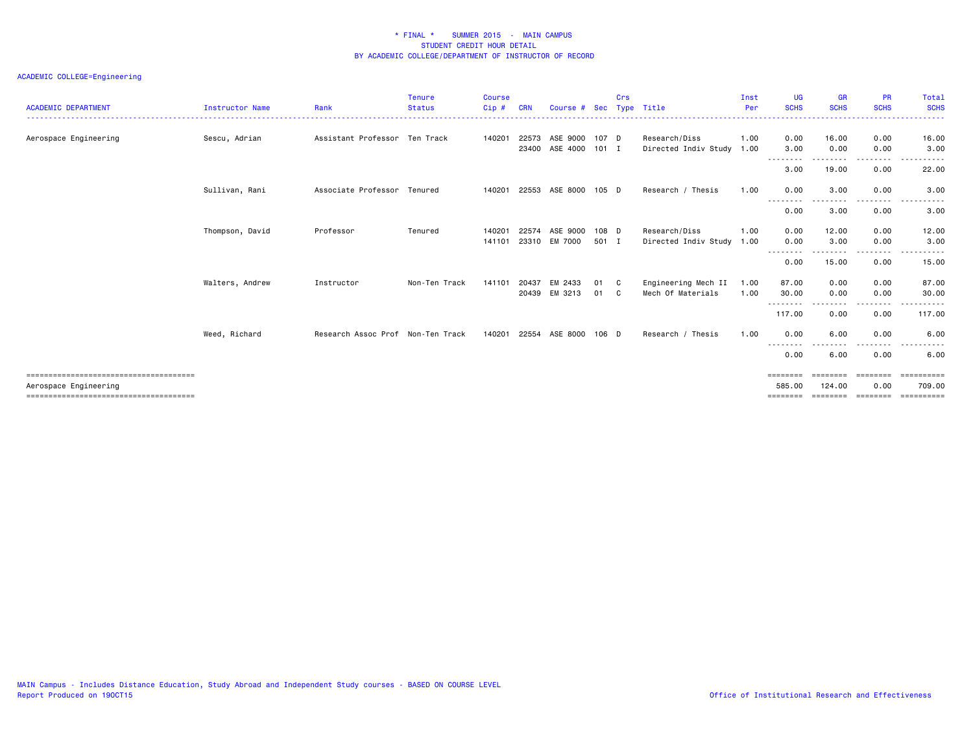| <b>ACADEMIC DEPARTMENT</b> | Instructor Name | Rank                              | <b>Tenure</b><br><b>Status</b> | <b>Course</b><br>Cip# | <b>CRN</b>     | Course #             |                  | Crs    | Sec Type Title                             | Inst<br>Per  | <b>UG</b><br><b>SCHS</b> | <b>GR</b><br><b>SCHS</b> | <b>PR</b><br><b>SCHS</b> | Total<br><b>SCHS</b>  |
|----------------------------|-----------------|-----------------------------------|--------------------------------|-----------------------|----------------|----------------------|------------------|--------|--------------------------------------------|--------------|--------------------------|--------------------------|--------------------------|-----------------------|
| Aerospace Engineering      | Sescu, Adrian   | Assistant Professor Ten Track     |                                | 140201                | 22573<br>23400 | ASE 9000<br>ASE 4000 | 107 D<br>$101$ I |        | Research/Diss<br>Directed Indiv Study 1.00 | 1.00         | 0.00<br>3.00             | 16.00<br>0.00            | 0.00<br>0.00             | 16.00<br>3.00         |
|                            |                 |                                   |                                |                       |                |                      |                  |        |                                            |              | - - - -<br>3.00          | 19.00                    | 0.00                     | 22.00                 |
|                            | Sullivan, Rani  | Associate Professor Tenured       |                                | 140201                | 22553          | ASE 8000             | 105 D            |        | Research / Thesis                          | 1.00         | 0.00                     | 3.00                     | 0.00                     | 3.00                  |
|                            |                 |                                   |                                |                       |                |                      |                  |        |                                            |              | --------<br>0.00         | 3.00                     | . <u>. .</u><br>0.00     | 3.00                  |
|                            | Thompson, David | Professor                         | Tenured                        | 140201<br>141101      | 22574<br>23310 | ASE 9000<br>EM 7000  | 108 D<br>501 I   |        | Research/Diss                              | 1.00         | 0.00<br>0.00             | 12.00<br>3.00            | 0.00<br>0.00             | 12.00<br>3.00         |
|                            |                 |                                   |                                |                       |                |                      |                  |        | Directed Indiv Study 1.00                  |              | .<br>0.00                | 15.00                    | .<br>0.00                | 15.00                 |
|                            |                 |                                   |                                |                       |                |                      |                  |        |                                            |              |                          |                          |                          |                       |
|                            | Walters, Andrew | Instructor                        | Non-Ten Track                  | 141101                | 20437<br>20439 | EM 2433<br>EM 3213   | 01<br>01         | C<br>C | Engineering Mech II<br>Mech Of Materials   | 1.00<br>1.00 | 87.00<br>30.00           | 0.00<br>0.00             | 0.00<br>0.00             | 87.00<br>30.00        |
|                            |                 |                                   |                                |                       |                |                      |                  |        |                                            |              | --------<br>117.00       | 0.00                     | . <b>.</b> .<br>0.00     | .<br>117.00           |
|                            | Weed, Richard   | Research Assoc Prof Non-Ten Track |                                | 140201                | 22554          | ASE 8000             | 106 D            |        | Research / Thesis                          | 1.00         | 0.00                     | 6.00                     | 0.00                     | 6.00                  |
|                            |                 |                                   |                                |                       |                |                      |                  |        |                                            |              | $- - -$<br>----<br>0.00  | 6.00                     | .<br>0.00                | $- - -$<br>6.00       |
| Aerospace Engineering      |                 |                                   |                                |                       |                |                      |                  |        |                                            |              | ========<br>585.00       | ========<br>124,00       | ========<br>0.00         | -----------<br>709.00 |
|                            |                 |                                   |                                |                       |                |                      |                  |        |                                            |              | ========                 | ========                 | ---------                | <b>SEREESERS</b>      |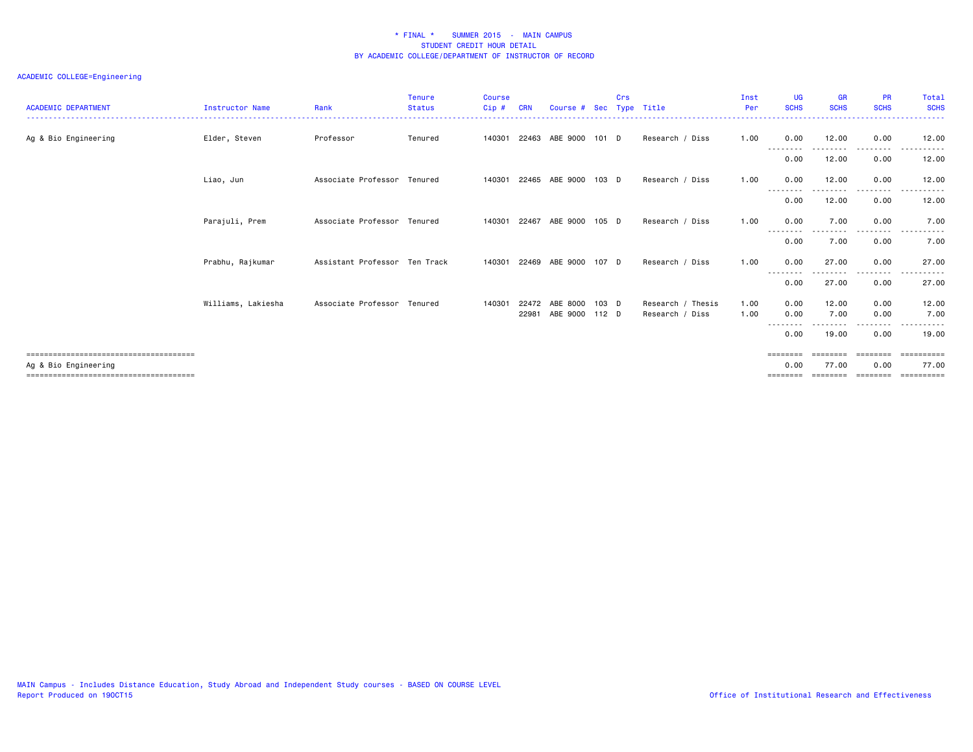| <b>ACADEMIC DEPARTMENT</b> | <b>Instructor Name</b> | Rank                          | <b>Tenure</b><br><b>Status</b> | <b>Course</b><br>Cip# | <b>CRN</b>     | Course # Sec Type Title |                  | Crs |                                      | Inst<br>Per  | UG<br><b>SCHS</b> | <b>GR</b><br><b>SCHS</b>   | <b>PR</b><br><b>SCHS</b> | Total<br><b>SCHS</b><br>. |
|----------------------------|------------------------|-------------------------------|--------------------------------|-----------------------|----------------|-------------------------|------------------|-----|--------------------------------------|--------------|-------------------|----------------------------|--------------------------|---------------------------|
| Ag & Bio Engineering       | Elder, Steven          | Professor                     | Tenured                        |                       |                | 140301 22463 ABE 9000   | 101 D            |     | Research / Diss                      | 1.00         | 0.00              | 12.00                      | 0.00                     | 12.00                     |
|                            |                        |                               |                                |                       |                |                         |                  |     |                                      |              | --------<br>0.00  | - - - - - - - - -<br>12.00 | .<br>0.00                | 12.00                     |
|                            | Liao, Jun              | Associate Professor           | Tenured                        | 140301                |                | 22465 ABE 9000          | 103 D            |     | Research / Diss                      | 1.00         | 0.00              | 12.00                      | 0.00                     | 12.00                     |
|                            |                        |                               |                                |                       |                |                         |                  |     |                                      |              | --------<br>0.00  | 12.00                      | ----<br>0.00             | -----<br>12.00            |
|                            | Parajuli, Prem         | Associate Professor Tenured   |                                |                       |                | 140301 22467 ABE 9000   | 105 D            |     | Research / Diss                      | 1.00         | 0.00              | 7.00                       | 0.00<br>. <u>. .</u>     | 7.00                      |
|                            |                        |                               |                                |                       |                |                         |                  |     |                                      |              | 0.00              | 7.00                       | 0.00                     | 7.00                      |
|                            | Prabhu, Rajkumar       | Assistant Professor Ten Track |                                | 140301                |                | 22469 ABE 9000          | 107 D            |     | Research / Diss                      | 1.00         | 0.00              | 27.00                      | 0.00                     | 27.00                     |
|                            |                        |                               |                                |                       |                |                         |                  |     |                                      |              | --------<br>0.00  | 27.00                      | .<br>0.00                | 27.00                     |
|                            | Williams, Lakiesha     | Associate Professor Tenured   |                                | 140301                | 22472<br>22981 | ABE 8000<br>ABE 9000    | 103 D<br>$112$ D |     | Research / Thesis<br>Research / Diss | 1.00<br>1.00 | 0.00<br>0.00      | 12.00<br>7.00              | 0.00<br>0.00             | 12.00<br>7.00<br>.        |
|                            |                        |                               |                                |                       |                |                         |                  |     |                                      |              | --------<br>0.00  | 19.00                      | .<br>0.00                | 19.00                     |
|                            |                        |                               |                                |                       |                |                         |                  |     |                                      |              | ========          | eeeeeee                    | ========                 | - = = = = = = = = =       |
| Ag & Bio Engineering       |                        |                               |                                |                       |                |                         |                  |     |                                      |              | 0.00              | 77.00<br>========          | 0.00<br>---------        | 77.00<br>==========       |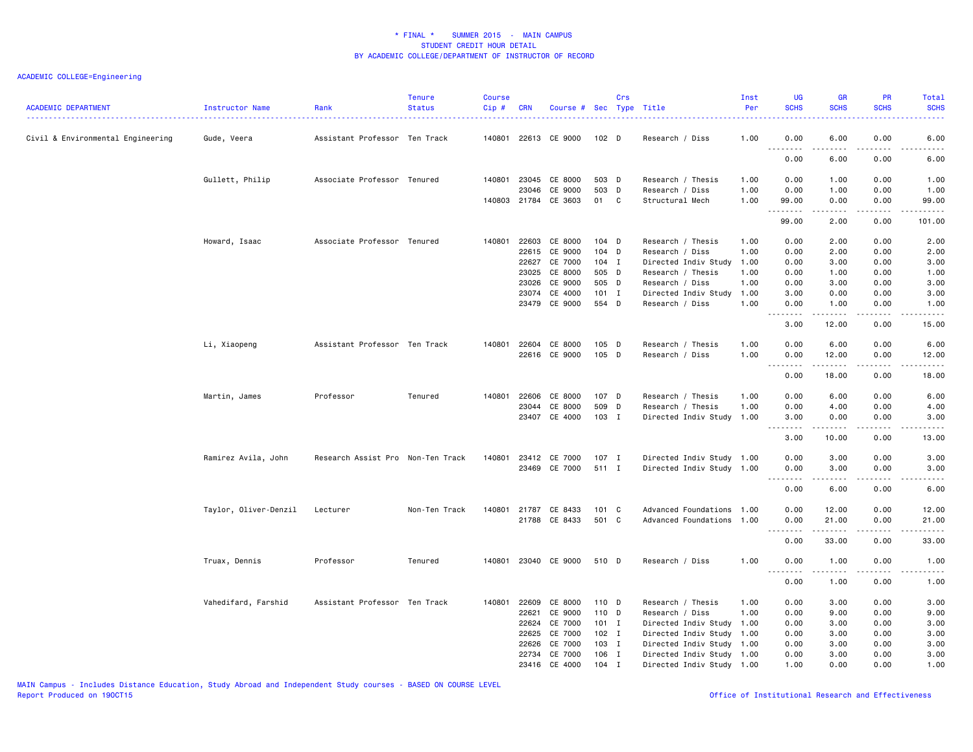## ACADEMIC COLLEGE=Engineering

| <b>ACADEMIC DEPARTMENT</b>        | Instructor Name       | Rank                              | <b>Tenure</b><br><b>Status</b> | <b>Course</b><br>Cip# | <b>CRN</b>   | Course # Sec Type Title |         | Crs |                           | Inst<br>Per | UG<br><b>SCHS</b>                                                                                                                                                                                                                                                                                                                                                                                                                                                                              | <b>GR</b><br><b>SCHS</b>                                                                                                                                     | PR<br><b>SCHS</b> | Total<br><b>SCHS</b>                                                                                                                                                            |
|-----------------------------------|-----------------------|-----------------------------------|--------------------------------|-----------------------|--------------|-------------------------|---------|-----|---------------------------|-------------|------------------------------------------------------------------------------------------------------------------------------------------------------------------------------------------------------------------------------------------------------------------------------------------------------------------------------------------------------------------------------------------------------------------------------------------------------------------------------------------------|--------------------------------------------------------------------------------------------------------------------------------------------------------------|-------------------|---------------------------------------------------------------------------------------------------------------------------------------------------------------------------------|
| Civil & Environmental Engineering | Gude, Veera           | Assistant Professor Ten Track     |                                |                       |              | 140801 22613 CE 9000    | 102 D   |     | Research / Diss           | 1.00        | 0.00<br>.                                                                                                                                                                                                                                                                                                                                                                                                                                                                                      | 6.00<br>$- - - - -$                                                                                                                                          | 0.00<br>.         | 6.00<br>-----                                                                                                                                                                   |
|                                   |                       |                                   |                                |                       |              |                         |         |     |                           |             | 0.00                                                                                                                                                                                                                                                                                                                                                                                                                                                                                           | 6.00                                                                                                                                                         | 0.00              | 6.00                                                                                                                                                                            |
|                                   | Gullett, Philip       | Associate Professor Tenured       |                                | 140801                | 23045        | CE 8000                 | 503 D   |     | Research / Thesis         | 1.00        | 0.00                                                                                                                                                                                                                                                                                                                                                                                                                                                                                           | 1.00                                                                                                                                                         | 0.00              | 1.00                                                                                                                                                                            |
|                                   |                       |                                   |                                |                       | 23046        | CE 9000                 | 503 D   |     | Research / Diss           | 1.00        | 0.00                                                                                                                                                                                                                                                                                                                                                                                                                                                                                           | 1.00                                                                                                                                                         | 0.00              | 1.00                                                                                                                                                                            |
|                                   |                       |                                   |                                |                       |              | 140803 21784 CE 3603    | 01 C    |     | Structural Mech           | 1.00        | 99.00<br>.                                                                                                                                                                                                                                                                                                                                                                                                                                                                                     | 0.00<br><u>.</u>                                                                                                                                             | 0.00<br>.         | 99.00<br>.                                                                                                                                                                      |
|                                   |                       |                                   |                                |                       |              |                         |         |     |                           |             | 99.00                                                                                                                                                                                                                                                                                                                                                                                                                                                                                          | 2.00                                                                                                                                                         | 0.00              | 101.00                                                                                                                                                                          |
|                                   | Howard, Isaac         | Associate Professor Tenured       |                                | 140801                | 22603        | CE 8000                 | $104$ D |     | Research / Thesis         | 1.00        | 0.00                                                                                                                                                                                                                                                                                                                                                                                                                                                                                           | 2.00                                                                                                                                                         | 0.00              | 2.00                                                                                                                                                                            |
|                                   |                       |                                   |                                |                       | 22615        | CE 9000                 | $104$ D |     | Research / Diss           | 1.00        | 0.00                                                                                                                                                                                                                                                                                                                                                                                                                                                                                           | 2.00                                                                                                                                                         | 0.00              | 2.00                                                                                                                                                                            |
|                                   |                       |                                   |                                |                       | 22627        | CE 7000                 | 104 I   |     | Directed Indiv Study      | 1.00        | 0.00                                                                                                                                                                                                                                                                                                                                                                                                                                                                                           | 3.00                                                                                                                                                         | 0.00              | 3.00                                                                                                                                                                            |
|                                   |                       |                                   |                                |                       | 23025        | CE 8000                 | 505 D   |     | Research / Thesis         | 1.00        | 0.00                                                                                                                                                                                                                                                                                                                                                                                                                                                                                           | 1.00                                                                                                                                                         | 0.00              | 1.00                                                                                                                                                                            |
|                                   |                       |                                   |                                |                       | 23026        | CE 9000                 | 505 D   |     | Research / Diss           | 1.00        | 0.00                                                                                                                                                                                                                                                                                                                                                                                                                                                                                           | 3.00                                                                                                                                                         | 0.00              | 3.00                                                                                                                                                                            |
|                                   |                       |                                   |                                |                       | 23074        | CE 4000                 | $101$ I |     | Directed Indiv Study      | 1.00        | 3.00                                                                                                                                                                                                                                                                                                                                                                                                                                                                                           | 0.00                                                                                                                                                         | 0.00              | 3.00                                                                                                                                                                            |
|                                   |                       |                                   |                                |                       | 23479        | CE 9000                 | 554 D   |     | Research / Diss           | 1.00        | 0.00                                                                                                                                                                                                                                                                                                                                                                                                                                                                                           | 1.00<br>$\frac{1}{2} \left( \frac{1}{2} \right) \left( \frac{1}{2} \right) \left( \frac{1}{2} \right) \left( \frac{1}{2} \right) \left( \frac{1}{2} \right)$ | 0.00              | 1.00<br>.                                                                                                                                                                       |
|                                   |                       |                                   |                                |                       |              |                         |         |     |                           |             | 3.00                                                                                                                                                                                                                                                                                                                                                                                                                                                                                           | 12.00                                                                                                                                                        | د د د د<br>0.00   | 15.00                                                                                                                                                                           |
|                                   | Li, Xiaopeng          | Assistant Professor Ten Track     |                                |                       | 140801 22604 | CE 8000                 | $105$ D |     | Research / Thesis         | 1.00        | 0.00                                                                                                                                                                                                                                                                                                                                                                                                                                                                                           | 6.00                                                                                                                                                         | 0.00              | 6.00                                                                                                                                                                            |
|                                   |                       |                                   |                                |                       |              | 22616 CE 9000           | $105$ D |     | Research / Diss           | 1.00        | 0.00                                                                                                                                                                                                                                                                                                                                                                                                                                                                                           | 12.00                                                                                                                                                        | 0.00              | 12.00                                                                                                                                                                           |
|                                   |                       |                                   |                                |                       |              |                         |         |     |                           |             | $\omega$ $\omega$ $\omega$ $\omega$<br>$\sim$ $\sim$ $\sim$                                                                                                                                                                                                                                                                                                                                                                                                                                    | $\frac{1}{2} \left( \frac{1}{2} \right) \left( \frac{1}{2} \right) \left( \frac{1}{2} \right) \left( \frac{1}{2} \right) \left( \frac{1}{2} \right)$         | د د د د           | -----                                                                                                                                                                           |
|                                   |                       |                                   |                                |                       |              |                         |         |     |                           |             | 0.00                                                                                                                                                                                                                                                                                                                                                                                                                                                                                           | 18.00                                                                                                                                                        | 0.00              | 18.00                                                                                                                                                                           |
|                                   | Martin, James         | Professor                         | Tenured                        | 140801                | 22606        | CE 8000                 | 107 D   |     | Research / Thesis         | 1.00        | 0.00                                                                                                                                                                                                                                                                                                                                                                                                                                                                                           | 6.00                                                                                                                                                         | 0.00              | 6.00                                                                                                                                                                            |
|                                   |                       |                                   |                                |                       | 23044        | CE 8000                 | 509 D   |     | Research / Thesis         | 1.00        | 0.00                                                                                                                                                                                                                                                                                                                                                                                                                                                                                           | 4.00                                                                                                                                                         | 0.00              | 4.00                                                                                                                                                                            |
|                                   |                       |                                   |                                |                       |              | 23407 CE 4000           | 103 I   |     | Directed Indiv Study      | 1.00        | 3.00                                                                                                                                                                                                                                                                                                                                                                                                                                                                                           | 0.00                                                                                                                                                         | 0.00              | 3.00                                                                                                                                                                            |
|                                   |                       |                                   |                                |                       |              |                         |         |     |                           |             | والمحامر<br>3.00                                                                                                                                                                                                                                                                                                                                                                                                                                                                               | <u>.</u><br>10.00                                                                                                                                            | .<br>0.00         | .<br>13.00                                                                                                                                                                      |
|                                   | Ramirez Avila, John   | Research Assist Pro Non-Ten Track |                                | 140801                |              | 23412 CE 7000           | 107 I   |     | Directed Indiv Study 1.00 |             | 0.00                                                                                                                                                                                                                                                                                                                                                                                                                                                                                           | 3.00                                                                                                                                                         | 0.00              | 3.00                                                                                                                                                                            |
|                                   |                       |                                   |                                |                       |              | 23469 CE 7000           | 511 I   |     | Directed Indiv Study 1.00 |             | 0.00                                                                                                                                                                                                                                                                                                                                                                                                                                                                                           | 3.00                                                                                                                                                         | 0.00              | 3.00                                                                                                                                                                            |
|                                   |                       |                                   |                                |                       |              |                         |         |     |                           |             | --------                                                                                                                                                                                                                                                                                                                                                                                                                                                                                       | $\frac{1}{2} \left( \frac{1}{2} \right) \left( \frac{1}{2} \right) \left( \frac{1}{2} \right) \left( \frac{1}{2} \right) \left( \frac{1}{2} \right)$         | .                 | $\frac{1}{2} \left( \frac{1}{2} \right) \left( \frac{1}{2} \right) \left( \frac{1}{2} \right) \left( \frac{1}{2} \right) \left( \frac{1}{2} \right) \left( \frac{1}{2} \right)$ |
|                                   |                       |                                   |                                |                       |              |                         |         |     |                           |             | 0.00                                                                                                                                                                                                                                                                                                                                                                                                                                                                                           | 6.00                                                                                                                                                         | 0.00              | 6.00                                                                                                                                                                            |
|                                   | Taylor, Oliver-Denzil | Lecturer                          | Non-Ten Track                  | 140801                | 21787        | CE 8433                 | 101 C   |     | Advanced Foundations 1.00 |             | 0.00                                                                                                                                                                                                                                                                                                                                                                                                                                                                                           | 12.00                                                                                                                                                        | 0.00              | 12.00                                                                                                                                                                           |
|                                   |                       |                                   |                                |                       |              | 21788 CE 8433           | 501 C   |     | Advanced Foundations 1.00 |             | 0.00                                                                                                                                                                                                                                                                                                                                                                                                                                                                                           | 21.00                                                                                                                                                        | 0.00              | 21.00                                                                                                                                                                           |
|                                   |                       |                                   |                                |                       |              |                         |         |     |                           |             | $\begin{array}{cccccccccccccc} \multicolumn{2}{c}{} & \multicolumn{2}{c}{} & \multicolumn{2}{c}{} & \multicolumn{2}{c}{} & \multicolumn{2}{c}{} & \multicolumn{2}{c}{} & \multicolumn{2}{c}{} & \multicolumn{2}{c}{} & \multicolumn{2}{c}{} & \multicolumn{2}{c}{} & \multicolumn{2}{c}{} & \multicolumn{2}{c}{} & \multicolumn{2}{c}{} & \multicolumn{2}{c}{} & \multicolumn{2}{c}{} & \multicolumn{2}{c}{} & \multicolumn{2}{c}{} & \multicolumn{2}{c}{} & \multicolumn{2}{c}{} & \$<br>0.00 | .<br>33.00                                                                                                                                                   | .<br>0.00         | .<br>33.00                                                                                                                                                                      |
|                                   | Truax, Dennis         | Professor                         | Tenured                        |                       |              | 140801 23040 CE 9000    | 510 D   |     | Research / Diss           | 1.00        | 0.00                                                                                                                                                                                                                                                                                                                                                                                                                                                                                           | 1.00                                                                                                                                                         | 0.00              | 1.00                                                                                                                                                                            |
|                                   |                       |                                   |                                |                       |              |                         |         |     |                           |             | $- - -$<br>.                                                                                                                                                                                                                                                                                                                                                                                                                                                                                   |                                                                                                                                                              |                   | $- - - - -$                                                                                                                                                                     |
|                                   |                       |                                   |                                |                       |              |                         |         |     |                           |             | 0.00                                                                                                                                                                                                                                                                                                                                                                                                                                                                                           | 1.00                                                                                                                                                         | 0.00              | 1.00                                                                                                                                                                            |
|                                   | Vahedifard, Farshid   | Assistant Professor Ten Track     |                                | 140801                | 22609        | CE 8000                 | 110 D   |     | Research / Thesis         | 1.00        | 0.00                                                                                                                                                                                                                                                                                                                                                                                                                                                                                           | 3.00                                                                                                                                                         | 0.00              | 3.00                                                                                                                                                                            |
|                                   |                       |                                   |                                |                       | 22621        | CE 9000                 | 110 D   |     | Research / Diss           | 1.00        | 0.00                                                                                                                                                                                                                                                                                                                                                                                                                                                                                           | 9.00                                                                                                                                                         | 0.00              | 9.00                                                                                                                                                                            |
|                                   |                       |                                   |                                |                       | 22624        | CE 7000                 | $101$ I |     | Directed Indiv Study      | 1.00        | 0.00                                                                                                                                                                                                                                                                                                                                                                                                                                                                                           | 3.00                                                                                                                                                         | 0.00              | 3.00                                                                                                                                                                            |
|                                   |                       |                                   |                                |                       | 22625        | CE 7000                 | 102 I   |     | Directed Indiv Study 1.00 |             | 0.00                                                                                                                                                                                                                                                                                                                                                                                                                                                                                           | 3.00                                                                                                                                                         | 0.00              | 3.00                                                                                                                                                                            |
|                                   |                       |                                   |                                |                       | 22626        | CE 7000                 | 103 I   |     | Directed Indiv Study 1.00 |             | 0.00                                                                                                                                                                                                                                                                                                                                                                                                                                                                                           | 3.00                                                                                                                                                         | 0.00              | 3.00                                                                                                                                                                            |
|                                   |                       |                                   |                                |                       | 22734        | CE 7000                 | 106 I   |     | Directed Indiv Study 1.00 |             | 0.00                                                                                                                                                                                                                                                                                                                                                                                                                                                                                           | 3.00                                                                                                                                                         | 0.00              | 3.00                                                                                                                                                                            |
|                                   |                       |                                   |                                |                       |              | 23416 CE 4000           | $104$ I |     | Directed Indiv Study 1.00 |             | 1.00                                                                                                                                                                                                                                                                                                                                                                                                                                                                                           | 0.00                                                                                                                                                         | 0.00              | 1.00                                                                                                                                                                            |

MAIN Campus - Includes Distance Education, Study Abroad and Independent Study courses - BASED ON COURSE LEVEL

Office of Institutional Research and Effectiveness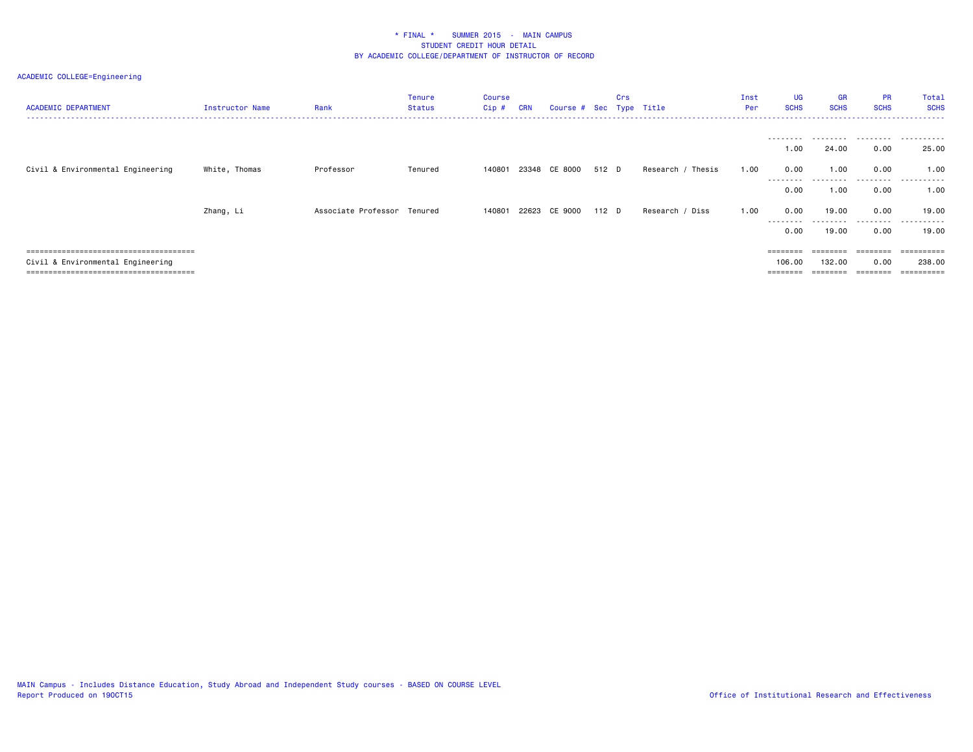| <b>ACADEMIC DEPARTMENT</b>        | Instructor Name | Rank                        | <b>Tenure</b><br><b>Status</b> | Course<br>Cip# | <b>CRN</b> | Course # Sec Type Title |       | Crs |                   | Inst<br>Per | UG<br><b>SCHS</b> | <b>GR</b><br><b>SCHS</b> | <b>PR</b><br><b>SCHS</b> | Total<br><b>SCHS</b>         |
|-----------------------------------|-----------------|-----------------------------|--------------------------------|----------------|------------|-------------------------|-------|-----|-------------------|-------------|-------------------|--------------------------|--------------------------|------------------------------|
|                                   |                 |                             |                                |                |            |                         |       |     |                   |             | --------<br>1.00  | 24.00                    | 0.00                     | 25.00                        |
| Civil & Environmental Engineering | White, Thomas   | Professor                   | Tenured                        | 140801         |            | 23348 CE 8000           | 512 D |     | Research / Thesis | 1.00        | 0.00              | 1.00                     | 0.00                     | 1.00                         |
|                                   |                 |                             |                                |                |            |                         |       |     |                   |             | --------<br>0.00  | 1.00                     | 0.00                     | ----------<br>1.00           |
|                                   | Zhang, Li       | Associate Professor Tenured |                                | 140801         |            | 22623 CE 9000           | 112 D |     | Research / Diss   | 1.00        | 0.00<br>--------  | 19.00                    | 0.00                     | 19.00<br>- - - - - - - - - - |
|                                   |                 |                             |                                |                |            |                         |       |     |                   |             | 0.00              | 19.00                    | 0.00                     | 19,00                        |
|                                   |                 |                             |                                |                |            |                         |       |     |                   |             | ========          |                          |                          | =========                    |
| Civil & Environmental Engineering |                 |                             |                                |                |            |                         |       |     |                   |             | 106,00            | 132.00                   | 0.00                     | 238,00                       |
|                                   |                 |                             |                                |                |            |                         |       |     |                   |             |                   |                          |                          | $=$ = = = = = = = = =        |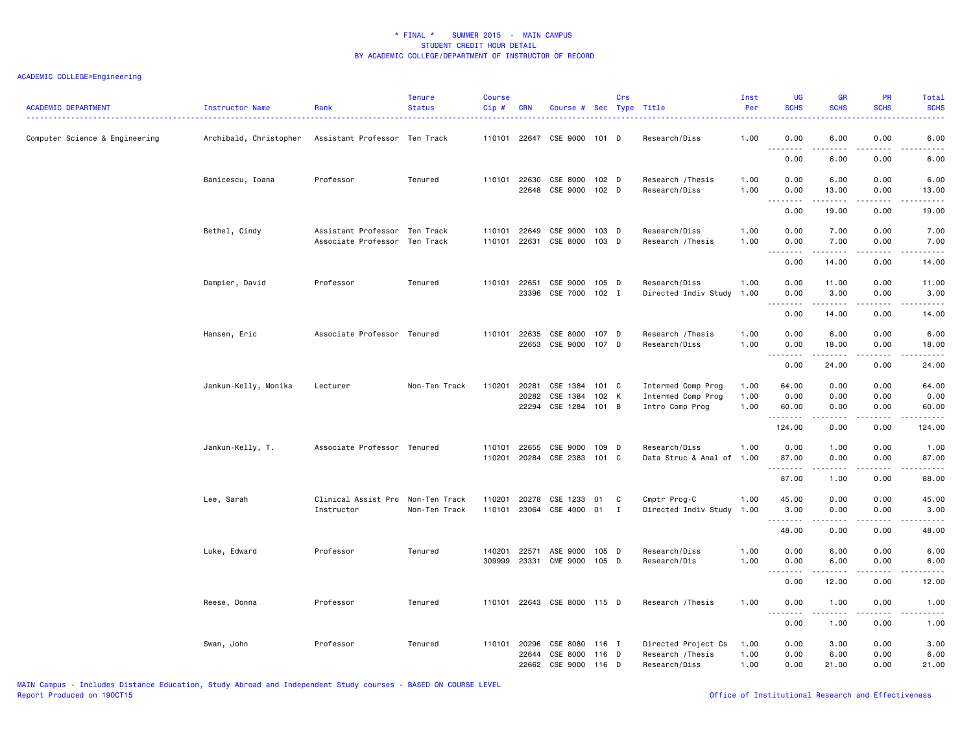## ACADEMIC COLLEGE=Engineering

| <b>ACADEMIC DEPARTMENT</b>     | Instructor Name        | Rank                                                           | <b>Tenure</b><br><b>Status</b> | <b>Course</b><br>Cip# | <b>CRN</b>                     | Course # Sec Type Title                |                       | Crs      |                                                             | Inst<br>Per          | <b>UG</b><br><b>SCHS</b>                                                                                                                                                             | <b>GR</b><br><b>SCHS</b>           | <b>PR</b><br><b>SCHS</b> | <b>Total</b><br><b>SCHS</b> |
|--------------------------------|------------------------|----------------------------------------------------------------|--------------------------------|-----------------------|--------------------------------|----------------------------------------|-----------------------|----------|-------------------------------------------------------------|----------------------|--------------------------------------------------------------------------------------------------------------------------------------------------------------------------------------|------------------------------------|--------------------------|-----------------------------|
| Computer Science & Engineering | Archibald, Christopher | Assistant Professor Ten Track                                  |                                |                       | 110101 22647                   | CSE 9000 101 D                         |                       |          | Research/Diss                                               | 1.00                 | 0.00<br>$\sim$ $\sim$ $\sim$<br>.                                                                                                                                                    | 6.00<br>.                          | 0.00<br>.                | 6.00<br>----                |
|                                |                        |                                                                |                                |                       |                                |                                        |                       |          |                                                             |                      | 0.00                                                                                                                                                                                 | 6.00                               | 0.00                     | 6.00                        |
|                                | Banicescu, Ioana       | Professor                                                      | Tenured                        |                       | 110101 22630<br>22648          | CSE 8000 102 D<br>CSE 9000             | 102 <sub>D</sub>      |          | Research / Thesis<br>Research/Diss                          | 1.00<br>1.00         | 0.00<br>0.00                                                                                                                                                                         | 6.00<br>13.00                      | 0.00<br>0.00             | 6.00<br>13.00               |
|                                |                        |                                                                |                                |                       |                                |                                        |                       |          |                                                             |                      | $\sim$ $\sim$ $\sim$<br>$\frac{1}{2} \left( \frac{1}{2} \right) \left( \frac{1}{2} \right) \left( \frac{1}{2} \right) \left( \frac{1}{2} \right) \left( \frac{1}{2} \right)$<br>0.00 | د د د د د<br>19.00                 | 0.00                     | .<br>19.00                  |
|                                | Bethel, Cindy          | Assistant Professor Ten Track<br>Associate Professor Ten Track |                                | 110101<br>110101      | 22649<br>22631                 | CSE 9000<br>CSE 8000                   | 103 D<br>103 D        |          | Research/Diss<br>Research / Thesis                          | 1.00<br>1.00         | 0.00<br>0.00                                                                                                                                                                         | 7.00<br>7.00                       | 0.00<br>0.00             | 7.00<br>7.00                |
|                                |                        |                                                                |                                |                       |                                |                                        |                       |          |                                                             |                      | .<br>0.00                                                                                                                                                                            | .<br>14.00                         | .<br>0.00                | .<br>14.00                  |
|                                | Dampier, David         | Professor                                                      | Tenured                        | 110101                | 22651<br>23396                 | CSE 9000<br>CSE 7000 102 I             | 105 D                 |          | Research/Diss<br>Directed Indiv Study                       | 1.00<br>1.00         | 0.00<br>0.00                                                                                                                                                                         | 11.00<br>3.00                      | 0.00<br>0.00             | 11.00<br>3.00               |
|                                |                        |                                                                |                                |                       |                                |                                        |                       |          |                                                             |                      | .<br>0.00                                                                                                                                                                            | 14.00                              | 0.00                     | 14.00                       |
|                                | Hansen, Eric           | Associate Professor Tenured                                    |                                | 110101                | 22635<br>22653                 | CSE 8000<br>CSE 9000 107 D             | 107 D                 |          | Research / Thesis<br>Research/Diss                          | 1.00<br>1.00         | 0.00<br>0.00                                                                                                                                                                         | 6.00<br>18.00                      | 0.00<br>0.00             | 6.00<br>18.00               |
|                                |                        |                                                                |                                |                       |                                |                                        |                       |          |                                                             |                      | .<br>0.00                                                                                                                                                                            | .<br>24.00                         | .<br>0.00                | .<br>24.00                  |
|                                | Jankun-Kelly, Monika   | Lecturer                                                       | Non-Ten Track                  | 110201                | 20281<br>20282<br>22294        | CSE 1384<br>CSE 1384<br>CSE 1284 101 B | 101 C<br>102 K        |          | Intermed Comp Prog<br>Intermed Comp Prog<br>Intro Comp Prog | 1.00<br>1.00<br>1.00 | 64.00<br>0.00<br>60.00                                                                                                                                                               | 0.00<br>0.00<br>0.00               | 0.00<br>0.00<br>0.00     | 64.00<br>0.00<br>60.00      |
|                                |                        |                                                                |                                |                       |                                |                                        |                       |          |                                                             |                      | .<br>124.00                                                                                                                                                                          | 0.00                               | 0.00                     | .<br>124.00                 |
|                                | Jankun-Kelly, T.       | Associate Professor Tenured                                    |                                | 110101<br>110201      | 22655<br>20284                 | CSE 9000<br>CSE 2383                   | 109 D<br>101          | <b>C</b> | Research/Diss<br>Data Struc & Anal of 1.00                  | 1.00                 | 0.00<br>87.00                                                                                                                                                                        | 1.00<br>0.00                       | 0.00<br>0.00             | 1.00<br>87.00               |
|                                |                        |                                                                |                                |                       |                                |                                        |                       |          |                                                             |                      | .<br>87.00                                                                                                                                                                           | $\omega = \omega = \omega$<br>1.00 | .<br>0.00                | .<br>88.00                  |
|                                | Lee, Sarah             | Clinical Assist Pro Non-Ten Track<br>Instructor                | Non-Ten Track                  | 110201<br>110101      | 20278<br>23064                 | CSE 1233<br>CSE 4000                   | 01<br>01              | C<br>I   | Cmptr Prog-C<br>Directed Indiv Study                        | 1.00<br>1.00         | 45.00<br>3.00                                                                                                                                                                        | 0.00<br>0.00                       | 0.00<br>0.00             | 45.00<br>3.00               |
|                                |                        |                                                                |                                |                       |                                |                                        |                       |          |                                                             |                      | .<br>48.00                                                                                                                                                                           | .<br>0.00                          | .<br>0.00                | .<br>48.00                  |
|                                | Luke, Edward           | Professor                                                      | Tenured                        | 140201<br>309999      | 22571<br>23331                 | ASE 9000<br><b>CME 9000</b>            | 105 D<br>105 D        |          | Research/Diss<br>Research/Dis                               | 1.00<br>1.00         | 0.00<br>0.00                                                                                                                                                                         | 6.00<br>6.00                       | 0.00<br>0.00             | 6.00<br>6.00                |
|                                |                        |                                                                |                                |                       |                                |                                        |                       |          |                                                             |                      | $\sim$ $\sim$ $\sim$<br>والمحامر<br>0.00                                                                                                                                             | 12.00                              | 0.00                     | 12.00                       |
|                                | Reese, Donna           | Professor                                                      | Tenured                        | 110101                | 22643                          | CSE 8000 115 D                         |                       |          | Research / Thesis                                           | 1.00                 | 0.00                                                                                                                                                                                 | 1.00                               | 0.00                     | 1.00                        |
|                                |                        |                                                                |                                |                       |                                |                                        |                       |          |                                                             |                      | <b></b><br>0.00                                                                                                                                                                      | .<br>1.00                          | .<br>0.00                | $- - - - -$<br>1.00         |
|                                | Swan, John             | Professor                                                      | Tenured                        |                       | 110101 20296<br>22644<br>22662 | CSE 8080<br>CSE 8000<br>CSE 9000       | 116 I<br>116<br>116 D | D        | Directed Project Cs<br>Research / Thesis<br>Research/Diss   | 1.00<br>1.00<br>1.00 | 0.00<br>0.00<br>0.00                                                                                                                                                                 | 3.00<br>6.00<br>21.00              | 0.00<br>0.00<br>0.00     | 3.00<br>6.00<br>21.00       |

MAIN Campus - Includes Distance Education, Study Abroad and Independent Study courses - BASED ON COURSE LEVEL

Office of Institutional Research and Effectiveness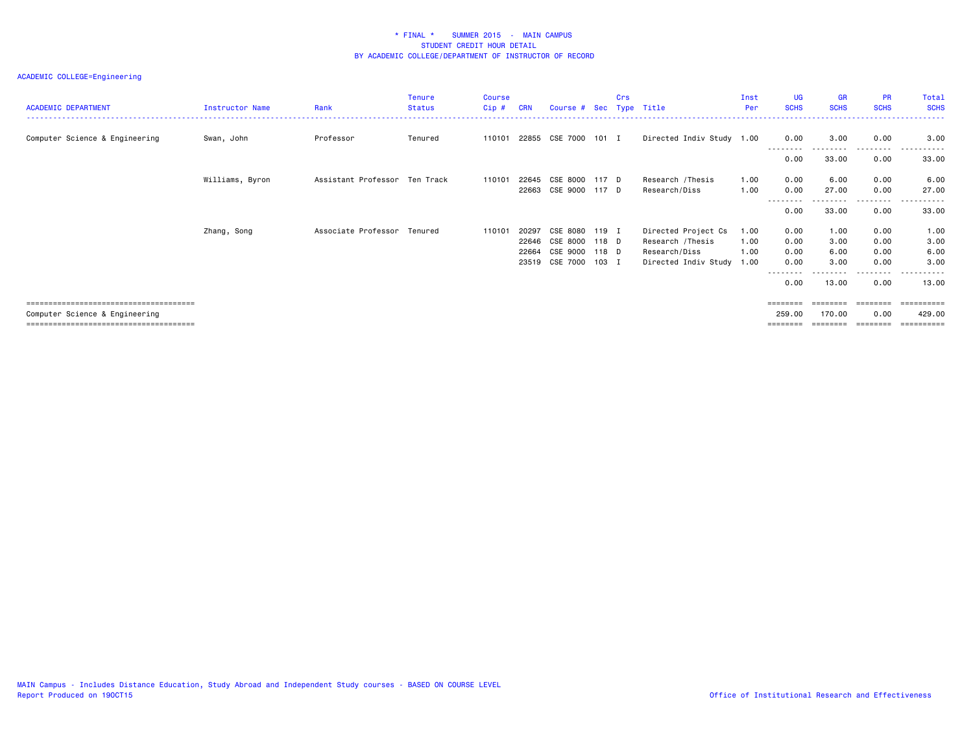| <b>ACADEMIC DEPARTMENT</b>     | Instructor Name | Rank                          | <b>Tenure</b><br><b>Status</b> | <b>Course</b><br>Cip# | <b>CRN</b> | Course # Sec         |       | Crs<br>Type | Title                     | Inst<br>Per | <b>UG</b><br><b>SCHS</b> | <b>GR</b><br><b>SCHS</b> | <b>PR</b><br><b>SCHS</b> | Total<br><b>SCHS</b> |
|--------------------------------|-----------------|-------------------------------|--------------------------------|-----------------------|------------|----------------------|-------|-------------|---------------------------|-------------|--------------------------|--------------------------|--------------------------|----------------------|
| Computer Science & Engineering | Swan, John      | Professor                     | Tenured                        | 110101                |            | 22855 CSE 7000 101 I |       |             | Directed Indiv Study 1.00 |             | 0.00                     | 3.00                     | 0.00                     | 3.00                 |
|                                |                 |                               |                                |                       |            |                      |       |             |                           |             | 0.00                     | 33.00                    | ---------<br>0.00        | .<br>33.00           |
|                                | Williams, Byron | Assistant Professor Ten Track |                                | 110101                | 22645      | CSE 8000 117 D       |       |             | Research /Thesis          | 1.00        | 0.00                     | 6.00                     | 0.00                     | 6.00                 |
|                                |                 |                               |                                |                       |            | 22663 CSE 9000 117 D |       |             | Research/Diss             | 1.00        | 0.00                     | 27.00                    | 0.00                     | 27.00<br>.           |
|                                |                 |                               |                                |                       |            |                      |       |             |                           |             | 0.00                     | 33.00                    | 0.00                     | 33.00                |
|                                | Zhang, Song     | Associate Professor Tenured   |                                | 110101                | 20297      | CSE 8080             | 119 I |             | Directed Project Cs       | 1.00        | 0.00                     | 1.00                     | 0.00                     | 1.00                 |
|                                |                 |                               |                                |                       | 22646      | CSE 8000             | 118 D |             | Research /Thesis          | 1.00        | 0.00                     | 3.00                     | 0.00                     | 3.00                 |
|                                |                 |                               |                                |                       | 22664      | CSE 9000             | 118 D |             | Research/Diss             | 1.00        | 0.00                     | 6.00                     | 0.00                     | 6.00                 |
|                                |                 |                               |                                |                       |            | 23519 CSE 7000       | 103 I |             | Directed Indiv Study 1.00 |             | 0.00                     | 3.00                     | 0.00                     | 3.00                 |
|                                |                 |                               |                                |                       |            |                      |       |             |                           |             | - - - - - - - -<br>0.00  | 13.00                    | 0.00                     | 13.00                |
|                                |                 |                               |                                |                       |            |                      |       |             |                           |             |                          |                          |                          |                      |
| Computer Science & Engineering |                 |                               |                                |                       |            |                      |       |             |                           |             | 259.00                   | 170.00                   | 0.00                     | 429.00               |
|                                |                 |                               |                                |                       |            |                      |       |             |                           |             | ========                 | ========                 | ========                 | ==========           |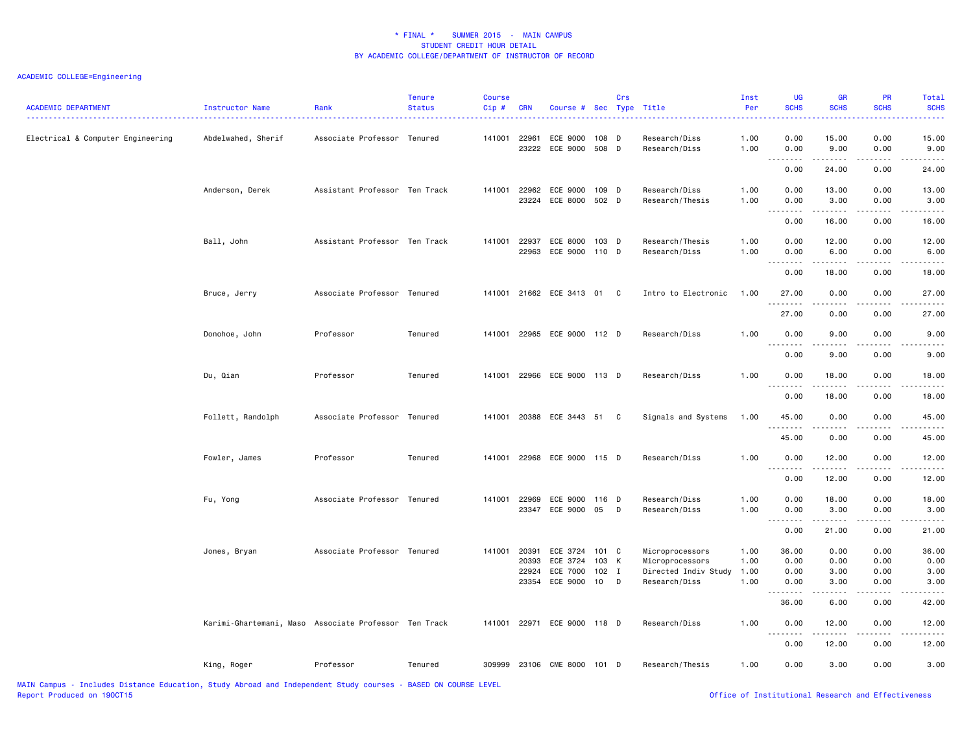## ACADEMIC COLLEGE=Engineering

| <b>ACADEMIC DEPARTMENT</b>        | Instructor Name                                       | Rank                          | <b>Tenure</b><br><b>Status</b> | <b>Course</b><br>$Cip$ # | <b>CRN</b>                       | Course # Sec Type Title                      |                               | Crs    |                                                                             | Inst<br>Per                  | <b>UG</b><br><b>SCHS</b>                                                                                                                                                                                                                                                                                                                                                                                                                                                                        | <b>GR</b><br><b>SCHS</b>     | PR<br><b>SCHS</b>            | Total<br><b>SCHS</b>          |
|-----------------------------------|-------------------------------------------------------|-------------------------------|--------------------------------|--------------------------|----------------------------------|----------------------------------------------|-------------------------------|--------|-----------------------------------------------------------------------------|------------------------------|-------------------------------------------------------------------------------------------------------------------------------------------------------------------------------------------------------------------------------------------------------------------------------------------------------------------------------------------------------------------------------------------------------------------------------------------------------------------------------------------------|------------------------------|------------------------------|-------------------------------|
| Electrical & Computer Engineering | Abdelwahed, Sherif                                    | Associate Professor Tenured   |                                | 141001                   | 22961<br>23222                   | ECE 9000<br>ECE 9000                         | 108 D<br>508                  | D      | Research/Diss<br>Research/Diss                                              | 1.00<br>1.00                 | 0.00<br>0.00<br>22222                                                                                                                                                                                                                                                                                                                                                                                                                                                                           | 15.00<br>9.00<br>.           | 0.00<br>0.00                 | 15.00<br>9.00                 |
|                                   |                                                       |                               |                                |                          |                                  |                                              |                               |        |                                                                             |                              | $\frac{1}{2} \left( \frac{1}{2} \right) \left( \frac{1}{2} \right)$<br>0.00                                                                                                                                                                                                                                                                                                                                                                                                                     | 24.00                        | د د د د<br>0.00              | د د د د<br>24.00              |
|                                   | Anderson, Derek                                       | Assistant Professor Ten Track |                                | 141001                   | 22962<br>23224                   | ECE 9000<br>ECE 8000 502 D                   | 109 D                         |        | Research/Diss<br>Research/Thesis                                            | 1.00<br>1.00                 | 0.00<br>0.00                                                                                                                                                                                                                                                                                                                                                                                                                                                                                    | 13.00<br>3.00<br><b>.</b>    | 0.00<br>0.00<br>.            | 13.00<br>3.00<br>. <b>.</b>   |
|                                   |                                                       |                               |                                |                          |                                  |                                              |                               |        |                                                                             |                              | 0.00                                                                                                                                                                                                                                                                                                                                                                                                                                                                                            | 16.00                        | 0.00                         | 16.00                         |
|                                   | Ball, John                                            | Assistant Professor Ten Track |                                | 141001                   | 22937<br>22963                   | ECE 8000<br>ECE 9000                         | 103 D<br>110 D                |        | Research/Thesis<br>Research/Diss                                            | 1.00<br>1.00                 | 0.00<br>0.00<br>--------                                                                                                                                                                                                                                                                                                                                                                                                                                                                        | 12.00<br>6.00<br>.           | 0.00<br>0.00<br>.            | 12.00<br>6.00<br>.            |
|                                   |                                                       |                               |                                |                          |                                  |                                              |                               |        |                                                                             |                              | 0.00                                                                                                                                                                                                                                                                                                                                                                                                                                                                                            | 18.00                        | 0.00                         | 18.00                         |
|                                   | Bruce, Jerry                                          | Associate Professor Tenured   |                                |                          |                                  | 141001 21662 ECE 3413 01                     |                               | C      | Intro to Electronic                                                         | 1.00                         | 27.00                                                                                                                                                                                                                                                                                                                                                                                                                                                                                           | 0.00                         | 0.00                         | 27.00                         |
|                                   |                                                       |                               |                                |                          |                                  |                                              |                               |        |                                                                             |                              | 27.00                                                                                                                                                                                                                                                                                                                                                                                                                                                                                           | 0.00                         | 0.00                         | 27.00                         |
|                                   | Donohoe, John                                         | Professor                     | Tenured                        | 141001                   |                                  | 22965 ECE 9000 112 D                         |                               |        | Research/Diss                                                               | 1.00                         | 0.00                                                                                                                                                                                                                                                                                                                                                                                                                                                                                            | 9.00                         | 0.00                         | 9.00                          |
|                                   |                                                       |                               |                                |                          |                                  |                                              |                               |        |                                                                             |                              | $\sim$ $\sim$ .<br>0.00                                                                                                                                                                                                                                                                                                                                                                                                                                                                         | $\sim$ $\sim$<br>9.00        | 0.00                         | 9.00                          |
|                                   | Du, Qian                                              | Professor                     | Tenured                        | 141001                   |                                  | 22966 ECE 9000 113 D                         |                               |        | Research/Diss                                                               | 1.00                         | 0.00<br>.                                                                                                                                                                                                                                                                                                                                                                                                                                                                                       | 18.00<br>------              | 0.00<br>.                    | 18.00                         |
|                                   |                                                       |                               |                                |                          |                                  |                                              |                               |        |                                                                             |                              | 0.00                                                                                                                                                                                                                                                                                                                                                                                                                                                                                            | 18.00                        | 0.00                         | 18.00                         |
|                                   | Follett, Randolph                                     | Associate Professor Tenured   |                                | 141001                   |                                  | 20388 ECE 3443 51                            |                               | C      | Signals and Systems                                                         | 1.00                         | 45.00<br><u>.</u>                                                                                                                                                                                                                                                                                                                                                                                                                                                                               | 0.00<br>.                    | 0.00<br>.                    | 45.00<br>.                    |
|                                   |                                                       |                               |                                |                          |                                  |                                              |                               |        |                                                                             |                              | 45.00                                                                                                                                                                                                                                                                                                                                                                                                                                                                                           | 0.00                         | 0.00                         | 45.00                         |
|                                   | Fowler, James                                         | Professor                     | Tenured                        | 141001                   |                                  | 22968 ECE 9000 115 D                         |                               |        | Research/Diss                                                               | 1.00                         | 0.00<br>$  -$                                                                                                                                                                                                                                                                                                                                                                                                                                                                                   | 12.00                        | 0.00                         | 12.00                         |
|                                   |                                                       |                               |                                |                          |                                  |                                              |                               |        |                                                                             |                              | 0.00                                                                                                                                                                                                                                                                                                                                                                                                                                                                                            | 12.00                        | 0.00                         | 12.00                         |
|                                   | Fu, Yong                                              | Associate Professor Tenured   |                                | 141001                   | 22969                            | ECE 9000<br>23347 ECE 9000 05 D              | 116 D                         |        | Research/Diss<br>Research/Diss                                              | 1.00<br>1.00                 | 0.00<br>0.00<br>.                                                                                                                                                                                                                                                                                                                                                                                                                                                                               | 18.00<br>3.00<br>.           | 0.00<br>0.00<br>.            | 18.00<br>3.00<br>.            |
|                                   |                                                       |                               |                                |                          |                                  |                                              |                               |        |                                                                             |                              | 0.00                                                                                                                                                                                                                                                                                                                                                                                                                                                                                            | 21.00                        | 0.00                         | 21.00                         |
|                                   | Jones, Bryan                                          | Associate Professor Tenured   |                                | 141001                   | 20391<br>20393<br>22924<br>23354 | ECE 3724<br>ECE 3724<br>ECE 7000<br>ECE 9000 | 101 C<br>103<br>$102$ I<br>10 | K<br>D | Microprocessors<br>Microprocessors<br>Directed Indiv Study<br>Research/Diss | 1.00<br>1.00<br>1.00<br>1.00 | 36.00<br>0.00<br>0.00<br>0.00                                                                                                                                                                                                                                                                                                                                                                                                                                                                   | 0.00<br>0.00<br>3.00<br>3.00 | 0.00<br>0.00<br>0.00<br>0.00 | 36.00<br>0.00<br>3.00<br>3.00 |
|                                   |                                                       |                               |                                |                          |                                  |                                              |                               |        |                                                                             |                              | $\begin{array}{cccccccccccccc} \multicolumn{2}{c}{} & \multicolumn{2}{c}{} & \multicolumn{2}{c}{} & \multicolumn{2}{c}{} & \multicolumn{2}{c}{} & \multicolumn{2}{c}{} & \multicolumn{2}{c}{} & \multicolumn{2}{c}{} & \multicolumn{2}{c}{} & \multicolumn{2}{c}{} & \multicolumn{2}{c}{} & \multicolumn{2}{c}{} & \multicolumn{2}{c}{} & \multicolumn{2}{c}{} & \multicolumn{2}{c}{} & \multicolumn{2}{c}{} & \multicolumn{2}{c}{} & \multicolumn{2}{c}{} & \multicolumn{2}{c}{} & \$<br>36.00 | .<br>6.00                    | .<br>0.00                    | .<br>42.00                    |
|                                   | Karimi-Ghartemani, Maso Associate Professor Ten Track |                               |                                | 141001                   | 22971                            | ECE 9000 118 D                               |                               |        | Research/Diss                                                               | 1.00                         | 0.00                                                                                                                                                                                                                                                                                                                                                                                                                                                                                            | 12.00                        | 0.00                         | 12.00                         |
|                                   |                                                       |                               |                                |                          |                                  |                                              |                               |        |                                                                             |                              | <b></b><br>0.00                                                                                                                                                                                                                                                                                                                                                                                                                                                                                 | 12.00                        | 0.00                         | 12.00                         |
|                                   | King, Roger                                           | Professor                     | Tenured                        | 309999                   |                                  | 23106 CME 8000 101 D                         |                               |        | Research/Thesis                                                             | 1.00                         | 0.00                                                                                                                                                                                                                                                                                                                                                                                                                                                                                            | 3.00                         | 0.00                         | 3.00                          |

MAIN Campus - Includes Distance Education, Study Abroad and Independent Study courses - BASED ON COURSE LEVEL

Office of Institutional Research and Effectiveness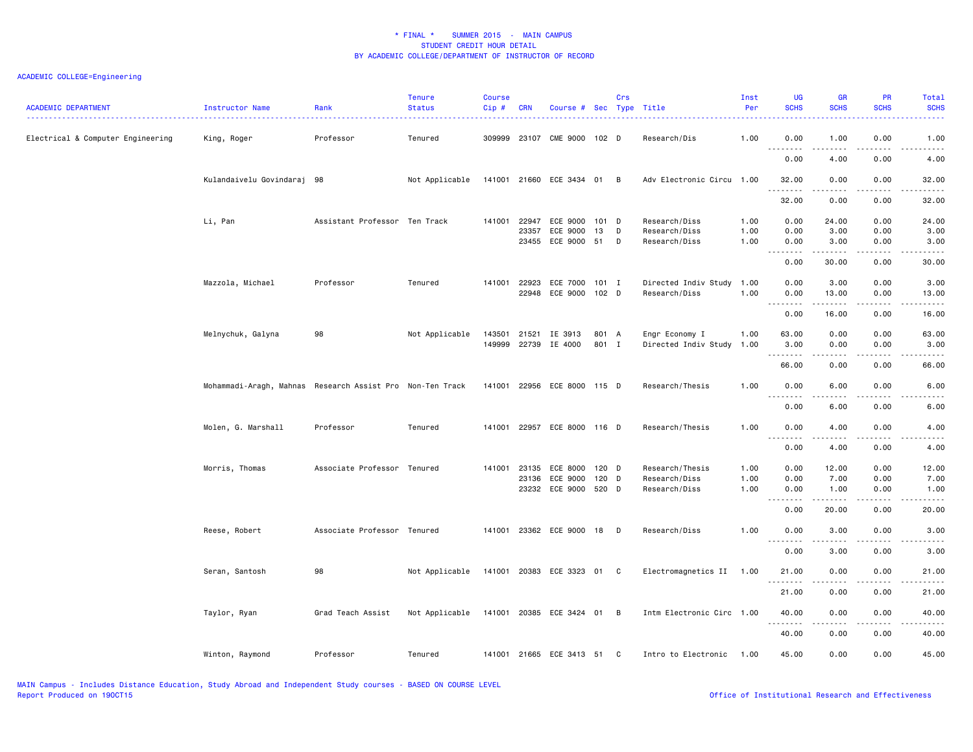| <b>ACADEMIC DEPARTMENT</b>        | Instructor Name                                           | Rank                          | <b>Tenure</b><br><b>Status</b> | <b>Course</b><br>Cip# | <b>CRN</b>   | Course # Sec Type Title     |                | Crs |                                             | Inst<br>Per | <b>UG</b><br><b>SCHS</b>          | <b>GR</b><br><b>SCHS</b>                                                                                                                                                                | PR<br><b>SCHS</b> | <b>Total</b><br><b>SCHS</b>         |
|-----------------------------------|-----------------------------------------------------------|-------------------------------|--------------------------------|-----------------------|--------------|-----------------------------|----------------|-----|---------------------------------------------|-------------|-----------------------------------|-----------------------------------------------------------------------------------------------------------------------------------------------------------------------------------------|-------------------|-------------------------------------|
| Electrical & Computer Engineering | King, Roger                                               | Professor                     | Tenured                        |                       |              | 309999 23107 CME 9000 102 D |                |     | Research/Dis                                | 1.00        | 0.00                              | 1.00                                                                                                                                                                                    | 0.00              | 1.00                                |
|                                   |                                                           |                               |                                |                       |              |                             |                |     |                                             |             | .<br>0.00                         | $\frac{1}{2} \left( \frac{1}{2} \right) \left( \frac{1}{2} \right) \left( \frac{1}{2} \right) \left( \frac{1}{2} \right)$<br>4.00                                                       | د د د د<br>0.00   | $\sim$ $\sim$ $\sim$ $\sim$<br>4.00 |
|                                   | Kulandaivelu Govindaraj 98                                |                               | Not Applicable                 |                       |              | 141001 21660 ECE 3434 01    |                | B   | Adv Electronic Circu 1.00                   |             | 32.00                             | 0.00                                                                                                                                                                                    | 0.00              | 32.00                               |
|                                   |                                                           |                               |                                |                       |              |                             |                |     |                                             |             | <u>.</u><br>32.00                 | 0.00                                                                                                                                                                                    | 0.00              | 32.00                               |
|                                   | Li, Pan                                                   | Assistant Professor Ten Track |                                | 141001                | 22947        | ECE 9000                    | 101 D          |     | Research/Diss                               | 1.00        | 0.00                              | 24.00                                                                                                                                                                                   | 0.00              | 24.00                               |
|                                   |                                                           |                               |                                |                       | 23357        | ECE 9000                    | 13             | D   | Research/Diss                               | 1.00        | 0.00                              | 3.00                                                                                                                                                                                    | 0.00              | 3.00                                |
|                                   |                                                           |                               |                                |                       | 23455        | ECE 9000 51                 |                | D   | Research/Diss                               | 1.00        | 0.00<br>$\sim$ $\sim$ $\sim$<br>. | 3.00                                                                                                                                                                                    | 0.00              | 3.00                                |
|                                   |                                                           |                               |                                |                       |              |                             |                |     |                                             |             | 0.00                              | 30.00                                                                                                                                                                                   | 0.00              | 30.00                               |
|                                   | Mazzola, Michael                                          | Professor                     | Tenured                        | 141001 22923          |              | ECE 7000                    | 101 I          |     | Directed Indiv Study 1.00                   |             | 0.00                              | 3.00                                                                                                                                                                                    | 0.00              | 3.00                                |
|                                   |                                                           |                               |                                |                       | 22948        | ECE 9000                    | 102 D          |     | Research/Diss                               | 1.00        | 0.00                              | 13.00                                                                                                                                                                                   | 0.00              | 13.00                               |
|                                   |                                                           |                               |                                |                       |              |                             |                |     |                                             |             | <u>.</u><br>0.00                  | .<br>16.00                                                                                                                                                                              | .<br>0.00         | .<br>16.00                          |
|                                   |                                                           |                               |                                |                       |              |                             |                |     |                                             |             |                                   |                                                                                                                                                                                         |                   |                                     |
|                                   | Melnychuk, Galyna                                         | 98                            | Not Applicable                 | 143501<br>149999      | 21521        | IE 3913<br>22739 IE 4000    | 801 A<br>801 I |     | Engr Economy I<br>Directed Indiv Study 1.00 | 1.00        | 63.00<br>3.00                     | 0.00<br>0.00                                                                                                                                                                            | 0.00<br>0.00      | 63.00<br>3.00                       |
|                                   |                                                           |                               |                                |                       |              |                             |                |     |                                             |             | --------<br>66.00                 | $\frac{1}{2} \left( \frac{1}{2} \right) \left( \frac{1}{2} \right) \left( \frac{1}{2} \right) \left( \frac{1}{2} \right) \left( \frac{1}{2} \right) \left( \frac{1}{2} \right)$<br>0.00 | .<br>0.00         | .<br>66.00                          |
|                                   |                                                           |                               |                                |                       |              |                             |                |     |                                             |             |                                   |                                                                                                                                                                                         |                   |                                     |
|                                   | Mohammadi-Aragh, Mahnas Research Assist Pro Non-Ten Track |                               |                                | 141001                | 22956        | ECE 8000 115 D              |                |     | Research/Thesis                             | 1.00        | 0.00                              | 6.00                                                                                                                                                                                    | 0.00              | 6.00                                |
|                                   |                                                           |                               |                                |                       |              |                             |                |     |                                             |             | 0.00                              | 6.00                                                                                                                                                                                    | 0.00              | 6.00                                |
|                                   | Molen, G. Marshall                                        | Professor                     | Tenured                        | 141001                |              | 22957 ECE 8000 116 D        |                |     | Research/Thesis                             | 1.00        | 0.00                              | 4.00                                                                                                                                                                                    | 0.00              | 4.00                                |
|                                   |                                                           |                               |                                |                       |              |                             |                |     |                                             |             | $\sim$ $\sim$ $\sim$<br>.<br>0.00 | $   -$<br>4.00                                                                                                                                                                          | 0.00              | -----<br>4.00                       |
|                                   | Morris, Thomas                                            | Associate Professor Tenured   |                                |                       | 141001 23135 | ECE 8000                    | 120 D          |     | Research/Thesis                             | 1.00        | 0.00                              | 12.00                                                                                                                                                                                   | 0.00              | 12.00                               |
|                                   |                                                           |                               |                                |                       | 23136        | ECE 9000                    | 120 D          |     | Research/Diss                               | 1.00        | 0.00                              | 7.00                                                                                                                                                                                    | 0.00              | 7.00                                |
|                                   |                                                           |                               |                                |                       |              | 23232 ECE 9000              | 520 D          |     | Research/Diss                               | 1.00        | 0.00                              | 1.00                                                                                                                                                                                    | 0.00              | 1.00                                |
|                                   |                                                           |                               |                                |                       |              |                             |                |     |                                             |             | $\ddot{\phantom{1}}$<br>0.00      | 20.00                                                                                                                                                                                   | 0.00              | 20.00                               |
|                                   | Reese, Robert                                             | Associate Professor Tenured   |                                |                       |              | 141001 23362 ECE 9000 18 D  |                |     | Research/Diss                               | 1.00        | 0.00                              | 3.00                                                                                                                                                                                    | 0.00              | 3.00                                |
|                                   |                                                           |                               |                                |                       |              |                             |                |     |                                             |             | د د د د<br>$\sim$ $\sim$          | .                                                                                                                                                                                       | .                 | ----                                |
|                                   |                                                           |                               |                                |                       |              |                             |                |     |                                             |             | 0.00                              | 3.00                                                                                                                                                                                    | 0.00              | 3.00                                |
|                                   | Seran, Santosh                                            | 98                            | Not Applicable                 |                       |              | 141001 20383 ECE 3323 01 C  |                |     | Electromagnetics II 1.00                    |             | 21.00<br>.                        | 0.00                                                                                                                                                                                    | 0.00              | 21.00<br>.                          |
|                                   |                                                           |                               |                                |                       |              |                             |                |     |                                             |             | 21.00                             | .<br>0.00                                                                                                                                                                               | 0.00              | 21.00                               |
|                                   | Taylor, Ryan                                              | Grad Teach Assist             | Not Applicable                 |                       |              | 141001 20385 ECE 3424 01 B  |                |     | Intm Electronic Circ 1.00                   |             | 40.00                             | 0.00                                                                                                                                                                                    | 0.00              | 40.00                               |
|                                   |                                                           |                               |                                |                       |              |                             |                |     |                                             |             | <u>.</u><br>40.00                 | $\frac{1}{2} \left( \frac{1}{2} \right) \left( \frac{1}{2} \right) \left( \frac{1}{2} \right) \left( \frac{1}{2} \right) \left( \frac{1}{2} \right)$<br>0.00                            | .<br>0.00         | .<br>40.00                          |
|                                   | Winton, Raymond                                           | Professor                     | Tenured                        |                       |              | 141001 21665 ECE 3413 51 C  |                |     | Intro to Electronic                         | 1.00        | 45.00                             | 0.00                                                                                                                                                                                    | 0.00              | 45.00                               |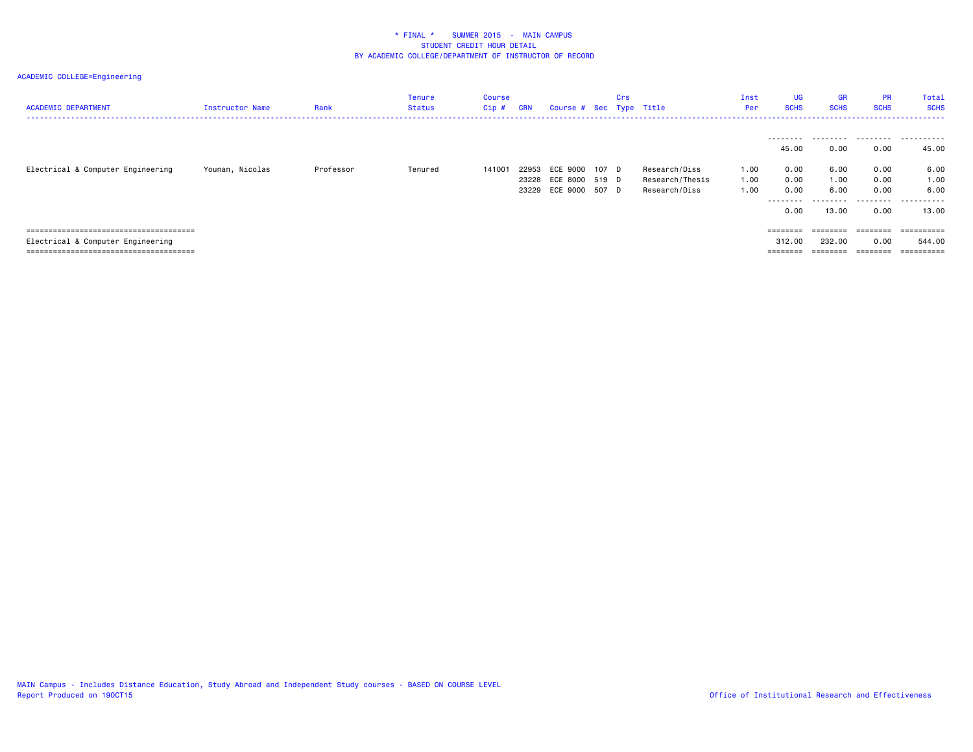| <b>ACADEMIC DEPARTMENT</b>        | Instructor Name | Rank      | Tenure<br>Status | <b>Course</b><br>Cip# | CRN | Course # Sec Type Title                                              | Crs |                                                   | Inst<br>Per          | <b>UG</b><br><b>SCHS</b>                                                | <b>GR</b><br><b>SCHS</b>                   | <b>PR</b><br><b>SCHS</b>                  | Total<br><b>SCHS</b><br>.                   |
|-----------------------------------|-----------------|-----------|------------------|-----------------------|-----|----------------------------------------------------------------------|-----|---------------------------------------------------|----------------------|-------------------------------------------------------------------------|--------------------------------------------|-------------------------------------------|---------------------------------------------|
| Electrical & Computer Engineering | Younan, Nicolas | Professor | Tenured          | 141001                |     | 22953 ECE 9000 107 D<br>23228 ECE 8000 519 D<br>23229 ECE 9000 507 D |     | Research/Diss<br>Research/Thesis<br>Research/Diss | 1.00<br>1.00<br>1.00 | .<br>45.00<br>0.00<br>0.00<br>0.00<br>.<br>0.00                         | 0.00<br>6.00<br>1.00<br>6.00<br>.<br>13,00 | 0.00<br>0.00<br>0.00<br>0.00<br>.<br>0.00 | 45.00<br>6.00<br>1.00<br>6.00<br>.<br>13.00 |
|                                   |                 |           |                  |                       |     |                                                                      |     |                                                   |                      | $\qquad \qquad \equiv \equiv \equiv \equiv \equiv \equiv \equiv \equiv$ | ========                                   | $=$ = = = = = = =                         | ==========                                  |
| Electrical & Computer Engineering |                 |           |                  |                       |     |                                                                      |     |                                                   |                      | 312.00                                                                  | 232.00                                     | 0.00                                      | 544.00                                      |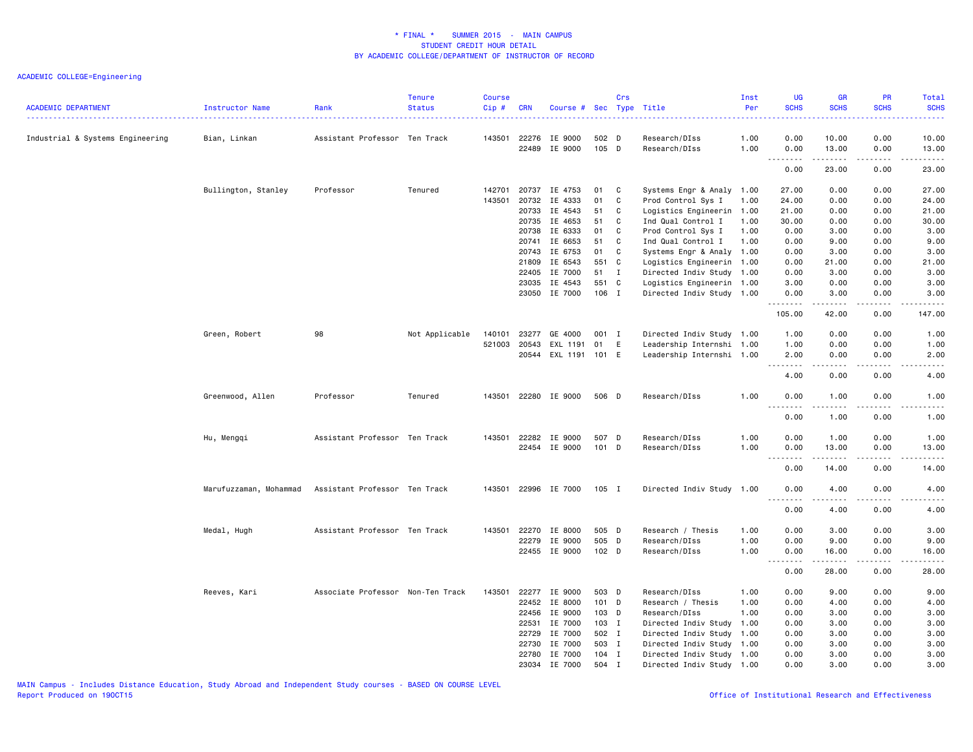## ACADEMIC COLLEGE=Engineering

| <b>ACADEMIC DEPARTMENT</b>       | Instructor Name        | Rank                              | <b>Tenure</b><br><b>Status</b> | <b>Course</b><br>Cip# | <b>CRN</b>     | Course # Sec         |                | Crs         | Type Title                     | Inst<br>Per  | <b>UG</b><br><b>SCHS</b>                                    | <b>GR</b><br><b>SCHS</b>                                                                                                                                      | PR<br><b>SCHS</b>                   | Total<br><b>SCHS</b>                                                                                                                                          |
|----------------------------------|------------------------|-----------------------------------|--------------------------------|-----------------------|----------------|----------------------|----------------|-------------|--------------------------------|--------------|-------------------------------------------------------------|---------------------------------------------------------------------------------------------------------------------------------------------------------------|-------------------------------------|---------------------------------------------------------------------------------------------------------------------------------------------------------------|
| Industrial & Systems Engineering | Bian, Linkan           | Assistant Professor Ten Track     |                                | 143501                | 22276<br>22489 | IE 9000<br>IE 9000   | 502 D<br>105 D |             | Research/DIss<br>Research/DIss | 1.00<br>1.00 | 0.00<br>0.00                                                | 10.00<br>13.00                                                                                                                                                | 0.00<br>0.00                        | 10.00<br>13.00                                                                                                                                                |
|                                  |                        |                                   |                                |                       |                |                      |                |             |                                |              | 1.1.1.1.1.1.1                                               | .                                                                                                                                                             | .                                   | .                                                                                                                                                             |
|                                  |                        |                                   |                                |                       |                |                      |                |             |                                |              | 0.00                                                        | 23.00                                                                                                                                                         | 0.00                                | 23.00                                                                                                                                                         |
|                                  | Bullington, Stanley    | Professor                         | Tenured                        | 142701                | 20737          | IE 4753              | 01             | C           | Systems Engr & Analy 1.00      |              | 27.00                                                       | 0.00                                                                                                                                                          | 0.00                                | 27.00                                                                                                                                                         |
|                                  |                        |                                   |                                | 143501                | 20732          | IE 4333              | 01             | C           | Prod Control Sys I             | 1.00         | 24.00                                                       | 0.00                                                                                                                                                          | 0.00                                | 24.00                                                                                                                                                         |
|                                  |                        |                                   |                                |                       | 20733          | IE 4543              | 51             | C           | Logistics Engineerin 1.00      |              | 21.00                                                       | 0.00                                                                                                                                                          | 0.00                                | 21.00                                                                                                                                                         |
|                                  |                        |                                   |                                |                       | 20735          | IE 4653              | 51             | C           | Ind Qual Control I             | 1.00         | 30.00                                                       | 0.00                                                                                                                                                          | 0.00                                | 30.00                                                                                                                                                         |
|                                  |                        |                                   |                                |                       | 20738          | IE 6333              | 01             | C           | Prod Control Sys I             | 1.00         | 0.00                                                        | 3.00                                                                                                                                                          | 0.00                                | 3.00                                                                                                                                                          |
|                                  |                        |                                   |                                |                       | 20741          | IE 6653              | 51             | C           | Ind Qual Control I             | 1.00         | 0.00                                                        | 9.00                                                                                                                                                          | 0.00                                | 9.00                                                                                                                                                          |
|                                  |                        |                                   |                                |                       | 20743          | IE 6753              | 01             | C           | Systems Engr & Analy 1.00      |              | 0.00                                                        | 3.00                                                                                                                                                          | 0.00                                | 3.00                                                                                                                                                          |
|                                  |                        |                                   |                                |                       | 21809          | IE 6543              | 551            | C           | Logistics Engineerin 1.00      |              | 0.00                                                        | 21.00                                                                                                                                                         | 0.00                                | 21.00                                                                                                                                                         |
|                                  |                        |                                   |                                |                       | 22405          | IE 7000              | 51             | $\mathbf I$ | Directed Indiv Study 1.00      |              | 0.00                                                        | 3.00                                                                                                                                                          | 0.00                                | 3.00                                                                                                                                                          |
|                                  |                        |                                   |                                |                       |                | 23035 IE 4543        | 551 C          |             | Logistics Engineerin 1.00      |              | 3.00                                                        | 0.00                                                                                                                                                          | 0.00                                | 3.00                                                                                                                                                          |
|                                  |                        |                                   |                                |                       |                | 23050 IE 7000        | 106 I          |             | Directed Indiv Study 1.00      |              | 0.00<br>. <b>.</b>                                          | 3.00<br>$\frac{1}{2} \left( \frac{1}{2} \right) \left( \frac{1}{2} \right) \left( \frac{1}{2} \right) \left( \frac{1}{2} \right) \left( \frac{1}{2} \right)$  | 0.00<br>د د د د                     | 3.00<br>.                                                                                                                                                     |
|                                  |                        |                                   |                                |                       |                |                      |                |             |                                |              | 105.00                                                      | 42.00                                                                                                                                                         | 0.00                                | 147.00                                                                                                                                                        |
|                                  | Green, Robert          | 98                                | Not Applicable                 | 140101                | 23277          | GE 4000              | 001 I          |             | Directed Indiv Study 1.00      |              | 1.00                                                        | 0.00                                                                                                                                                          | 0.00                                | 1.00                                                                                                                                                          |
|                                  |                        |                                   |                                | 521003                | 20543          | EXL 1191             | 01             | E           | Leadership Internshi 1.00      |              | 1.00                                                        | 0.00                                                                                                                                                          | 0.00                                | 1.00                                                                                                                                                          |
|                                  |                        |                                   |                                |                       |                | 20544 EXL 1191       | 101 E          |             | Leadership Internshi 1.00      |              | 2.00<br>.                                                   | 0.00                                                                                                                                                          | 0.00<br>$\sim$ $\sim$ $\sim$ $\sim$ | 2.00                                                                                                                                                          |
|                                  |                        |                                   |                                |                       |                |                      |                |             |                                |              | 4.00                                                        | 0.00                                                                                                                                                          | 0.00                                | 4.00                                                                                                                                                          |
|                                  | Greenwood, Allen       | Professor                         | Tenured                        | 143501                |                | 22280 IE 9000        | 506 D          |             | Research/DIss                  | 1.00         | 0.00                                                        | 1.00                                                                                                                                                          | 0.00                                | 1.00                                                                                                                                                          |
|                                  |                        |                                   |                                |                       |                |                      |                |             |                                |              | $- - -$<br>د د د د<br>0.00                                  | .<br>1.00                                                                                                                                                     | $- - - -$<br>0.00                   | -----<br>1.00                                                                                                                                                 |
|                                  | Hu, Mengqi             | Assistant Professor Ten Track     |                                |                       |                | 143501 22282 IE 9000 | 507 D          |             | Research/DIss                  | 1.00         | 0.00                                                        | 1.00                                                                                                                                                          | 0.00                                | 1.00                                                                                                                                                          |
|                                  |                        |                                   |                                |                       |                | 22454 IE 9000        | 101 D          |             | Research/DIss                  | 1.00         | 0.00                                                        | 13.00                                                                                                                                                         | 0.00                                | 13.00                                                                                                                                                         |
|                                  |                        |                                   |                                |                       |                |                      |                |             |                                |              | $\sim$ $\sim$ $\sim$<br>$\sim$ $\sim$ $\sim$ $\sim$<br>0.00 | $- - - - -$<br>14.00                                                                                                                                          | .<br>0.00                           | .<br>14.00                                                                                                                                                    |
|                                  | Marufuzzaman, Mohammad | Assistant Professor Ten Track     |                                | 143501                |                | 22996 IE 7000        | 105 I          |             | Directed Indiv Study 1.00      |              | 0.00                                                        | 4.00                                                                                                                                                          | 0.00                                | 4.00                                                                                                                                                          |
|                                  |                        |                                   |                                |                       |                |                      |                |             |                                |              | .<br>0.00                                                   | 4.00                                                                                                                                                          | .<br>0.00                           | 4.00                                                                                                                                                          |
|                                  |                        |                                   |                                |                       |                |                      |                |             |                                |              |                                                             |                                                                                                                                                               |                                     |                                                                                                                                                               |
|                                  | Medal, Hugh            | Assistant Professor Ten Track     |                                | 143501                | 22270          | IE 8000              | 505 D          |             | Research / Thesis              | 1.00         | 0.00                                                        | 3.00                                                                                                                                                          | 0.00                                | 3.00                                                                                                                                                          |
|                                  |                        |                                   |                                |                       | 22279          | IE 9000              | 505 D          |             | Research/DIss                  | 1.00         | 0.00                                                        | 9.00                                                                                                                                                          | 0.00                                | 9.00                                                                                                                                                          |
|                                  |                        |                                   |                                |                       | 22455          | IE 9000              | 102 D          |             | Research/DIss                  | 1.00         | 0.00                                                        | 16.00<br>$\frac{1}{2} \left( \frac{1}{2} \right) \left( \frac{1}{2} \right) \left( \frac{1}{2} \right) \left( \frac{1}{2} \right) \left( \frac{1}{2} \right)$ | 0.00<br>$\sim$ $\sim$ $\sim$ $\sim$ | 16.00<br>$\frac{1}{2} \left( \frac{1}{2} \right) \left( \frac{1}{2} \right) \left( \frac{1}{2} \right) \left( \frac{1}{2} \right) \left( \frac{1}{2} \right)$ |
|                                  |                        |                                   |                                |                       |                |                      |                |             |                                |              | 0.00                                                        | 28.00                                                                                                                                                         | 0.00                                | 28.00                                                                                                                                                         |
|                                  | Reeves, Kari           | Associate Professor Non-Ten Track |                                | 143501                | 22277          | IE 9000              | 503 D          |             | Research/DIss                  | 1.00         | 0.00                                                        | 9.00                                                                                                                                                          | 0.00                                | 9.00                                                                                                                                                          |
|                                  |                        |                                   |                                |                       | 22452          | IE 8000              | 101 D          |             | Research / Thesis              | 1.00         | 0.00                                                        | 4.00                                                                                                                                                          | 0.00                                | 4.00                                                                                                                                                          |
|                                  |                        |                                   |                                |                       | 22456          | IE 9000              | 103 D          |             | Research/DIss                  | 1.00         | 0.00                                                        | 3.00                                                                                                                                                          | 0.00                                | 3.00                                                                                                                                                          |
|                                  |                        |                                   |                                |                       | 22531          | IE 7000              | 103 I          |             | Directed Indiv Study 1.00      |              | 0.00                                                        | 3.00                                                                                                                                                          | 0.00                                | 3.00                                                                                                                                                          |
|                                  |                        |                                   |                                |                       | 22729          | IE 7000              | 502 I          |             | Directed Indiv Study 1.00      |              | 0.00                                                        | 3.00                                                                                                                                                          | 0.00                                | 3.00                                                                                                                                                          |
|                                  |                        |                                   |                                |                       | 22730          | IE 7000              | 503            | I           | Directed Indiv Study 1.00      |              | 0.00                                                        | 3.00                                                                                                                                                          | 0.00                                | 3.00                                                                                                                                                          |
|                                  |                        |                                   |                                |                       | 22780          | IE 7000              | $104$ I        |             | Directed Indiv Study 1.00      |              | 0.00                                                        | 3.00                                                                                                                                                          | 0.00                                | 3.00                                                                                                                                                          |
|                                  |                        |                                   |                                |                       | 23034          | IE 7000              | 504            | I           | Directed Indiv Study 1.00      |              | 0.00                                                        | 3.00                                                                                                                                                          | 0.00                                | 3,00                                                                                                                                                          |

MAIN Campus - Includes Distance Education, Study Abroad and Independent Study courses - BASED ON COURSE LEVEL

Office of Institutional Research and Effectiveness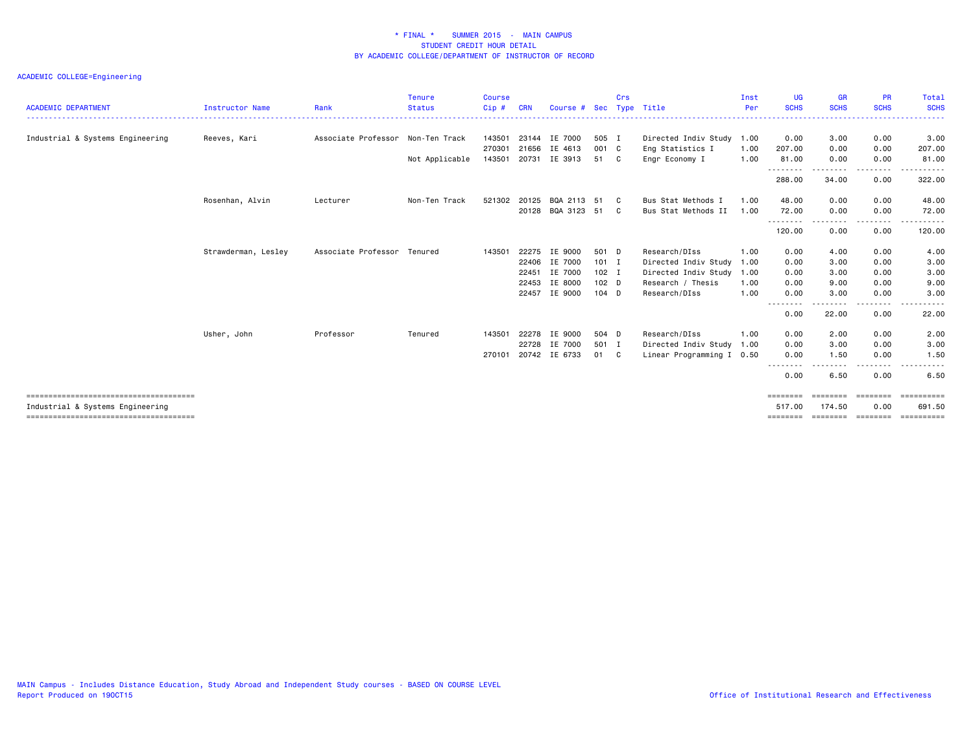| <b>Instructor Name</b> | Rank                | <b>Status</b> | Cip#                                          | <b>CRN</b> | Course #        | Sec                                                                                                                                            | Crs                                    | Type Title                                                                                            | Inst<br>Per                                                    | <b>UG</b><br><b>SCHS</b>                                     | <b>GR</b><br><b>SCHS</b>                        | <b>PR</b><br><b>SCHS</b> | Total<br><b>SCHS</b>                                       |
|------------------------|---------------------|---------------|-----------------------------------------------|------------|-----------------|------------------------------------------------------------------------------------------------------------------------------------------------|----------------------------------------|-------------------------------------------------------------------------------------------------------|----------------------------------------------------------------|--------------------------------------------------------------|-------------------------------------------------|--------------------------|------------------------------------------------------------|
| Reeves, Kari           | Associate Professor | Non-Ten Track | 143501                                        | 23144      |                 |                                                                                                                                                |                                        |                                                                                                       | 1.00                                                           | 0.00                                                         | 3.00                                            | 0.00                     | 3.00                                                       |
|                        |                     |               | 270301                                        | 21656      |                 |                                                                                                                                                |                                        | Eng Statistics I                                                                                      | 1.00                                                           | 207.00                                                       | 0.00                                            | 0.00                     | 207.00                                                     |
|                        |                     |               |                                               |            |                 |                                                                                                                                                |                                        |                                                                                                       |                                                                |                                                              |                                                 |                          | 81.00                                                      |
|                        |                     |               |                                               |            |                 |                                                                                                                                                |                                        |                                                                                                       |                                                                | 288.00                                                       | 34.00                                           | 0.00                     | 322.00                                                     |
| Rosenhan, Alvin        | Lecturer            | Non-Ten Track |                                               |            |                 |                                                                                                                                                | C .                                    | Bus Stat Methods I                                                                                    | 1.00                                                           | 48.00                                                        | 0.00                                            | 0.00                     | 48.00                                                      |
|                        |                     |               |                                               |            |                 |                                                                                                                                                | C.                                     | Bus Stat Methods II                                                                                   | 1.00                                                           | 72.00                                                        | 0.00                                            | 0.00                     | 72.00                                                      |
|                        |                     |               |                                               |            |                 |                                                                                                                                                |                                        |                                                                                                       |                                                                | 120.00                                                       | ---<br>0.00                                     | 0.00                     | 120.00                                                     |
| Strawderman, Lesley    |                     |               | 143501                                        | 22275      | IE 9000         |                                                                                                                                                |                                        | Research/DIss                                                                                         | 1.00                                                           | 0.00                                                         | 4.00                                            | 0.00                     | 4.00                                                       |
|                        |                     |               |                                               |            |                 |                                                                                                                                                |                                        |                                                                                                       | 1.00                                                           | 0.00                                                         | 3.00                                            | 0.00                     | 3.00                                                       |
|                        |                     |               |                                               | 22451      |                 |                                                                                                                                                |                                        | Directed Indiv Study                                                                                  | 1.00                                                           | 0.00                                                         | 3.00                                            | 0.00                     | 3.00                                                       |
|                        |                     |               |                                               | 22453      |                 |                                                                                                                                                |                                        | Research / Thesis                                                                                     | 1.00                                                           | 0.00                                                         | 9.00                                            | 0.00                     | 9.00                                                       |
|                        |                     |               |                                               |            |                 |                                                                                                                                                |                                        | Research/DIss                                                                                         | 1.00                                                           | 0.00                                                         | 3.00                                            | 0.00                     | 3.00                                                       |
|                        |                     |               |                                               |            |                 |                                                                                                                                                |                                        |                                                                                                       |                                                                | 0.00                                                         | 22.00                                           | 0.00                     | 22.00                                                      |
| Usher, John            | Professor           | Tenured       | 143501                                        | 22278      |                 |                                                                                                                                                |                                        | Research/DIss                                                                                         | 1.00                                                           | 0.00                                                         | 2.00                                            | 0.00                     | 2.00                                                       |
|                        |                     |               |                                               |            |                 |                                                                                                                                                |                                        |                                                                                                       | 1.00                                                           | 0.00                                                         | 3.00                                            | 0.00                     | 3.00                                                       |
|                        |                     |               | 270101                                        |            |                 | 01                                                                                                                                             | C .                                    |                                                                                                       |                                                                | 0.00                                                         | 1.50                                            | 0.00                     | 1.50                                                       |
|                        |                     |               |                                               |            |                 |                                                                                                                                                |                                        |                                                                                                       |                                                                | 0.00                                                         | 6.50                                            | 0.00                     | 6.50                                                       |
|                        |                     |               |                                               |            |                 |                                                                                                                                                |                                        |                                                                                                       |                                                                | ========<br>517.00                                           | 174.50                                          | ========<br>0.00         | 691.50                                                     |
|                        |                     |               | Not Applicable<br>Associate Professor Tenured | 143501     | 20731<br>521302 | IE 7000<br>IE 4613<br>IE 3913<br>20125<br>22406 IE 7000<br>IE 7000<br>IE 8000<br>22457 IE 9000<br>IE 9000<br>22728<br>IE 7000<br>20742 IE 6733 | 51<br>BQA 2113 51<br>20128 BQA 3123 51 | 505 I<br>001 C<br>C C<br>501 D<br>$101$ I<br>$102$ I<br>102 <sub>D</sub><br>$104$ D<br>504 D<br>501 I | Engr Economy I<br>Directed Indiv Study<br>Directed Indiv Study | Directed Indiv Study<br>1.00<br>Linear Programming I<br>0.50 | 81.00<br>--------<br>.<br>--------<br>--------- | 0.00<br>-----<br>الدامات | 0.00<br>. <b>.</b><br>======== ======== ======== ========= |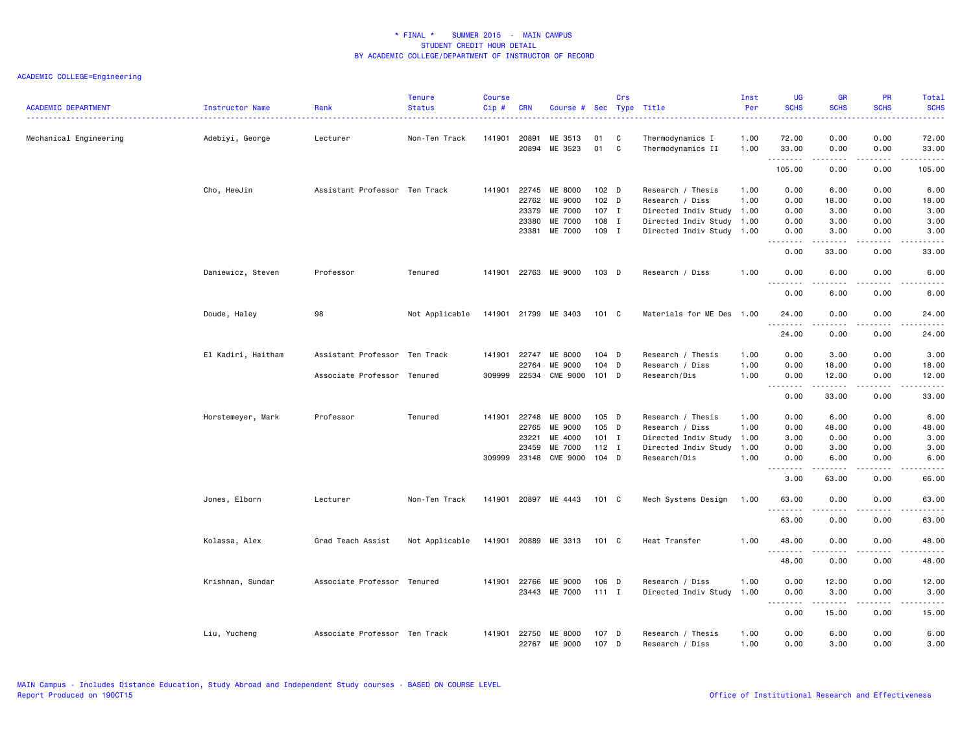| <b>ACADEMIC DEPARTMENT</b> | Instructor Name    | Rank                          | <b>Tenure</b><br><b>Status</b> | <b>Course</b><br>Cip# | <b>CRN</b>                     | Course # Sec Type Title       |                             | Crs    |                                                                      | Inst<br>Per  | UG<br><b>SCHS</b>                             | <b>GR</b><br><b>SCHS</b>                   | <b>PR</b><br><b>SCHS</b>             | Total<br><b>SCHS</b><br>$\frac{1}{2} \left( \frac{1}{2} \right) \left( \frac{1}{2} \right) \left( \frac{1}{2} \right) \left( \frac{1}{2} \right)$ |
|----------------------------|--------------------|-------------------------------|--------------------------------|-----------------------|--------------------------------|-------------------------------|-----------------------------|--------|----------------------------------------------------------------------|--------------|-----------------------------------------------|--------------------------------------------|--------------------------------------|---------------------------------------------------------------------------------------------------------------------------------------------------|
| Mechanical Engineering     | Adebiyi, George    | Lecturer                      | Non-Ten Track                  | 141901 20891          | 20894                          | ME 3513<br>ME 3523            | 01<br>01                    | C<br>C | Thermodynamics I<br>Thermodynamics II                                | 1.00<br>1.00 | 72.00<br>33.00                                | 0.00<br>0.00                               | 0.00<br>0.00                         | 72.00<br>33.00                                                                                                                                    |
|                            |                    |                               |                                |                       |                                |                               |                             |        |                                                                      |              | .<br>105.00                                   | 0.00                                       | 0.00                                 | دعاعات<br>105.00                                                                                                                                  |
|                            | Cho, HeeJin        | Assistant Professor Ten Track |                                |                       | 141901 22745<br>22762<br>23379 | ME 8000<br>ME 9000<br>ME 7000 | $102$ D<br>$102$ D<br>107 I |        | Research / Thesis<br>Research / Diss<br>Directed Indiv Study 1.00    | 1.00<br>1.00 | 0.00<br>0.00<br>0.00                          | 6.00<br>18.00<br>3.00                      | 0.00<br>0.00<br>0.00                 | 6.00<br>18.00<br>3.00                                                                                                                             |
|                            |                    |                               |                                |                       | 23380<br>23381                 | ME 7000<br>ME 7000            | 108 I<br>109 I              |        | Directed Indiv Study 1.00<br>Directed Indiv Study 1.00               |              | 0.00<br>0.00<br>.                             | 3.00<br>3.00<br>$\frac{1}{2}$              | 0.00<br>0.00<br>$\frac{1}{2}$        | 3.00<br>3.00<br>$\frac{1}{2}$                                                                                                                     |
|                            |                    |                               |                                |                       |                                |                               |                             |        |                                                                      |              | 0.00                                          | 33.00                                      | 0.00                                 | 33.00                                                                                                                                             |
|                            | Daniewicz, Steven  | Professor                     | Tenured                        |                       |                                | 141901 22763 ME 9000          | 103 D                       |        | Research / Diss                                                      | 1.00         | 0.00<br>$\sim$ $\sim$ $\sim$<br>-----<br>0.00 | 6.00<br>د د د د<br>6.00                    | 0.00<br>$\sim$ $\sim$ $\sim$<br>0.00 | 6.00<br>.<br>6.00                                                                                                                                 |
|                            | Doude, Haley       | 98                            | Not Applicable                 |                       |                                | 141901 21799 ME 3403          | 101 C                       |        | Materials for ME Des 1.00                                            |              | 24.00                                         | 0.00                                       | 0.00                                 | 24.00                                                                                                                                             |
|                            |                    |                               |                                |                       |                                |                               |                             |        |                                                                      |              | .<br>24.00                                    | 0.00                                       | 0.00                                 | 24.00                                                                                                                                             |
|                            | El Kadiri, Haitham | Assistant Professor Ten Track |                                | 141901 22747          | 22764                          | ME 8000<br>ME 9000            | $104$ D<br>104 D            |        | Research / Thesis<br>Research / Diss                                 | 1.00<br>1.00 | 0.00<br>0.00                                  | 3.00<br>18.00                              | 0.00<br>0.00                         | 3.00<br>18.00                                                                                                                                     |
|                            |                    | Associate Professor Tenured   |                                | 309999                | 22534                          | <b>CME 9000</b>               | 101 D                       |        | Research/Dis                                                         | 1.00         | 0.00<br>0.00                                  | 12.00<br>المتمامين<br>33.00                | 0.00<br>د د د د<br>0.00              | 12.00<br>.<br>33.00                                                                                                                               |
|                            | Horstemeyer, Mark  | Professor                     | Tenured                        |                       | 141901 22748                   | ME 8000                       | 105 D                       |        | Research / Thesis                                                    | 1.00         | 0.00                                          | 6.00                                       | 0.00                                 | 6.00                                                                                                                                              |
|                            |                    |                               |                                |                       | 22765<br>23221<br>23459        | ME 9000<br>ME 4000<br>ME 7000 | 105 D<br>$101$ I<br>$112$ I |        | Research / Diss<br>Directed Indiv Study 1.00<br>Directed Indiv Study | 1.00<br>1.00 | 0.00<br>3.00<br>0.00                          | 48.00<br>0.00<br>3.00                      | 0.00<br>0.00<br>0.00                 | 48.00<br>3.00<br>3.00                                                                                                                             |
|                            |                    |                               |                                |                       | 309999 23148                   | <b>CME 9000</b>               | $104$ D                     |        | Research/Dis                                                         | 1.00         | 0.00<br>.                                     | 6.00<br>$\sim$ $\sim$ $\sim$ $\sim$ $\sim$ | 0.00<br>.                            | 6.00<br>.                                                                                                                                         |
|                            | Jones, Elborn      | Lecturer                      | Non-Ten Track                  |                       |                                | 141901 20897 ME 4443          | 101 C                       |        | Mech Systems Design                                                  | 1.00         | 3.00<br>63.00                                 | 63.00<br>0.00                              | 0.00<br>0.00                         | 66.00<br>63.00                                                                                                                                    |
|                            |                    |                               |                                |                       |                                |                               |                             |        |                                                                      |              | .<br>63.00                                    | .<br>0.00                                  | .<br>0.00                            | .<br>63.00                                                                                                                                        |
|                            | Kolassa, Alex      | Grad Teach Assist             | Not Applicable                 |                       |                                | 141901 20889 ME 3313          | 101 C                       |        | Heat Transfer                                                        | 1.00         | 48.00<br><b></b>                              | 0.00                                       | 0.00                                 | 48.00<br>.                                                                                                                                        |
|                            |                    |                               |                                |                       |                                |                               |                             |        |                                                                      |              | 48.00                                         | 0.00                                       | 0.00                                 | 48.00                                                                                                                                             |
|                            | Krishnan, Sundar   | Associate Professor Tenured   |                                |                       | 141901 22766<br>23443          | ME 9000<br>ME 7000            | 106 D<br>$111$ I            |        | Research / Diss<br>Directed Indiv Study 1.00                         | 1.00         | 0.00<br>0.00<br><b></b>                       | 12.00<br>3.00<br>.                         | 0.00<br>0.00<br>.                    | 12.00<br>3.00<br>.                                                                                                                                |
|                            |                    |                               |                                |                       |                                |                               |                             |        |                                                                      |              | 0.00                                          | 15.00                                      | 0.00                                 | 15.00                                                                                                                                             |
|                            | Liu, Yucheng       | Associate Professor Ten Track |                                | 141901 22750          | 22767                          | ME 8000<br>ME 9000            | 107 D<br>107 D              |        | Research / Thesis<br>Research / Diss                                 | 1.00<br>1.00 | 0.00<br>0.00                                  | 6.00<br>3.00                               | 0.00<br>0.00                         | 6.00<br>3.00                                                                                                                                      |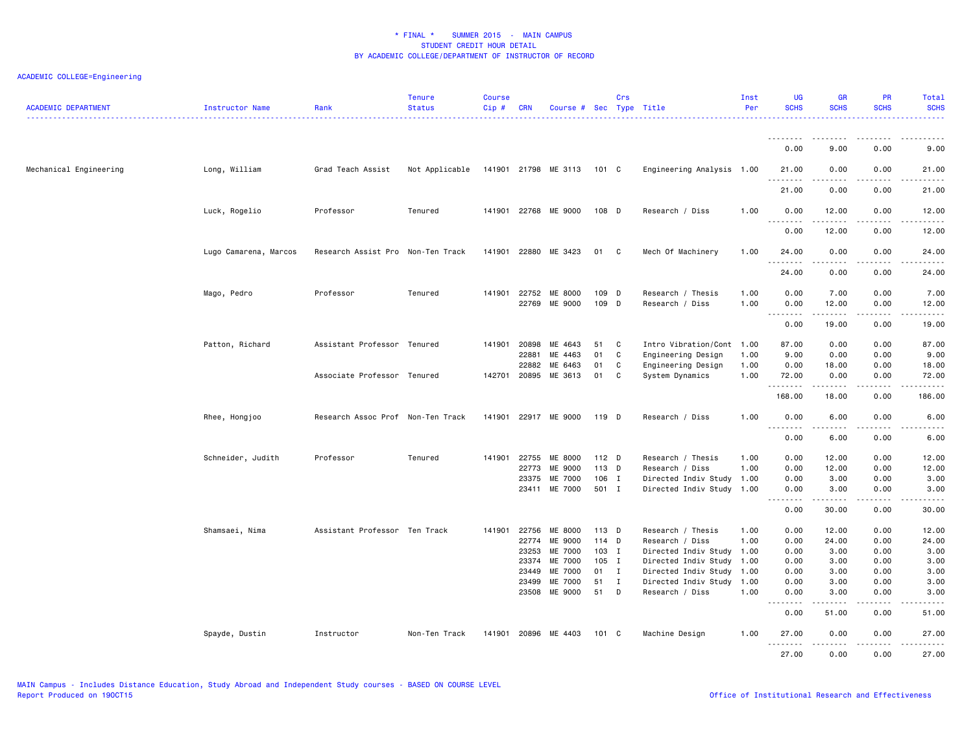| <b>ACADEMIC DEPARTMENT</b> | Instructor Name       | Rank                              | <b>Tenure</b><br><b>Status</b> | <b>Course</b><br>Cip# | <b>CRN</b> | Course # Sec Type Title    |         | Crs          |                           | Inst<br>Per | <b>UG</b><br><b>SCHS</b>                                                                                                                                                                                                                                                                                                                                                                                         | <b>GR</b><br><b>SCHS</b>                                                                                                                                     | <b>PR</b><br><b>SCHS</b> | Total<br><b>SCHS</b>                       |
|----------------------------|-----------------------|-----------------------------------|--------------------------------|-----------------------|------------|----------------------------|---------|--------------|---------------------------|-------------|------------------------------------------------------------------------------------------------------------------------------------------------------------------------------------------------------------------------------------------------------------------------------------------------------------------------------------------------------------------------------------------------------------------|--------------------------------------------------------------------------------------------------------------------------------------------------------------|--------------------------|--------------------------------------------|
|                            |                       |                                   |                                |                       |            |                            |         |              |                           |             | <u>.</u>                                                                                                                                                                                                                                                                                                                                                                                                         | <u>.</u>                                                                                                                                                     | .                        |                                            |
|                            |                       |                                   |                                |                       |            |                            |         |              |                           |             | 0.00                                                                                                                                                                                                                                                                                                                                                                                                             | 9.00                                                                                                                                                         | 0.00                     | 9.00                                       |
| Mechanical Engineering     | Long, William         | Grad Teach Assist                 | Not Applicable                 |                       |            | 141901 21798 ME 3113 101 C |         |              | Engineering Analysis 1.00 |             | 21.00<br>.                                                                                                                                                                                                                                                                                                                                                                                                       | 0.00<br>.                                                                                                                                                    | 0.00<br>.                | 21.00<br>.                                 |
|                            |                       |                                   |                                |                       |            |                            |         |              |                           |             | 21.00                                                                                                                                                                                                                                                                                                                                                                                                            | 0.00                                                                                                                                                         | 0.00                     | 21.00                                      |
|                            | Luck, Rogelio         | Professor                         | Tenured                        | 141901                |            | 22768 ME 9000              | 108 D   |              | Research / Diss           | 1.00        | 0.00<br>$\sim$ $\sim$ $\sim$<br>.                                                                                                                                                                                                                                                                                                                                                                                | 12.00                                                                                                                                                        | 0.00                     | 12.00                                      |
|                            |                       |                                   |                                |                       |            |                            |         |              |                           |             | 0.00                                                                                                                                                                                                                                                                                                                                                                                                             | 12.00                                                                                                                                                        | 0.00                     | 12.00                                      |
|                            | Lugo Camarena, Marcos | Research Assist Pro Non-Ten Track |                                | 141901                | 22880      | ME 3423                    | 01 C    |              | Mech Of Machinery         | 1.00        | 24.00<br>$\frac{1}{2} \frac{1}{2} \frac{1}{2} \frac{1}{2} \frac{1}{2} \frac{1}{2} \frac{1}{2} \frac{1}{2} \frac{1}{2} \frac{1}{2} \frac{1}{2} \frac{1}{2} \frac{1}{2} \frac{1}{2} \frac{1}{2} \frac{1}{2} \frac{1}{2} \frac{1}{2} \frac{1}{2} \frac{1}{2} \frac{1}{2} \frac{1}{2} \frac{1}{2} \frac{1}{2} \frac{1}{2} \frac{1}{2} \frac{1}{2} \frac{1}{2} \frac{1}{2} \frac{1}{2} \frac{1}{2} \frac{$<br>د د د د | 0.00<br>.                                                                                                                                                    | 0.00<br>$-$ - $-$ -      | 24.00                                      |
|                            |                       |                                   |                                |                       |            |                            |         |              |                           |             | 24.00                                                                                                                                                                                                                                                                                                                                                                                                            | 0.00                                                                                                                                                         | 0.00                     | 24.00                                      |
|                            | Mago, Pedro           | Professor                         | Tenured                        | 141901                | 22752      | ME 8000                    | 109 D   |              | Research / Thesis         | 1.00        | 0.00                                                                                                                                                                                                                                                                                                                                                                                                             | 7.00                                                                                                                                                         | 0.00                     | 7.00                                       |
|                            |                       |                                   |                                |                       | 22769      | ME 9000                    | 109 D   |              | Research / Diss           | 1.00        | 0.00<br><u>.</u>                                                                                                                                                                                                                                                                                                                                                                                                 | 12.00<br>$- - - - -$                                                                                                                                         | 0.00<br>$- - - -$        | 12.00<br>$\frac{1}{2}$                     |
|                            |                       |                                   |                                |                       |            |                            |         |              |                           |             | 0.00                                                                                                                                                                                                                                                                                                                                                                                                             | 19.00                                                                                                                                                        | 0.00                     | 19.00                                      |
|                            | Patton, Richard       | Assistant Professor Tenured       |                                | 141901                | 20898      | ME 4643                    | 51      | C            | Intro Vibration/Cont 1.00 |             | 87.00                                                                                                                                                                                                                                                                                                                                                                                                            | 0.00                                                                                                                                                         | 0.00                     | 87.00                                      |
|                            |                       |                                   |                                |                       | 22881      | ME 4463                    | 01      | C            | Engineering Design        | 1.00        | 9.00                                                                                                                                                                                                                                                                                                                                                                                                             | 0.00                                                                                                                                                         | 0.00                     | 9.00                                       |
|                            |                       |                                   |                                |                       | 22882      | ME 6463                    | 01      | C            | Engineering Design        | 1.00        | 0.00                                                                                                                                                                                                                                                                                                                                                                                                             | 18.00                                                                                                                                                        | 0.00                     | 18.00                                      |
|                            |                       | Associate Professor Tenured       |                                | 142701                | 20895      | ME 3613                    | 01      | C            | System Dynamics           | 1.00        | 72.00<br>.                                                                                                                                                                                                                                                                                                                                                                                                       | 0.00<br>.                                                                                                                                                    | 0.00<br>.                | 72.00<br>.                                 |
|                            |                       |                                   |                                |                       |            |                            |         |              |                           |             | 168.00                                                                                                                                                                                                                                                                                                                                                                                                           | 18.00                                                                                                                                                        | 0.00                     | 186.00                                     |
|                            | Rhee, Hongjoo         | Research Assoc Prof Non-Ten Track |                                | 141901                |            | 22917 ME 9000              | 119 D   |              | Research / Diss           | 1.00        | 0.00<br>$\sim$ $\sim$ $\sim$<br>.                                                                                                                                                                                                                                                                                                                                                                                | 6.00<br>$\frac{1}{2} \left( \frac{1}{2} \right) \left( \frac{1}{2} \right) \left( \frac{1}{2} \right) \left( \frac{1}{2} \right) \left( \frac{1}{2} \right)$ | 0.00                     | 6.00                                       |
|                            |                       |                                   |                                |                       |            |                            |         |              |                           |             | 0.00                                                                                                                                                                                                                                                                                                                                                                                                             | 6.00                                                                                                                                                         | 0.00                     | 6.00                                       |
|                            | Schneider, Judith     | Professor                         | Tenured                        | 141901                | 22755      | ME 8000                    | $112$ D |              | Research / Thesis         | 1.00        | 0.00                                                                                                                                                                                                                                                                                                                                                                                                             | 12.00                                                                                                                                                        | 0.00                     | 12.00                                      |
|                            |                       |                                   |                                |                       | 22773      | ME 9000                    | 113 D   |              | Research / Diss           | 1.00        | 0.00                                                                                                                                                                                                                                                                                                                                                                                                             | 12.00                                                                                                                                                        | 0.00                     | 12.00                                      |
|                            |                       |                                   |                                |                       | 23375      | ME 7000                    | 106 I   |              | Directed Indiv Study 1.00 |             | 0.00                                                                                                                                                                                                                                                                                                                                                                                                             | 3.00                                                                                                                                                         | 0.00                     | 3.00                                       |
|                            |                       |                                   |                                |                       |            | 23411 ME 7000              | 501 I   |              | Directed Indiv Study 1.00 |             | 0.00<br>.                                                                                                                                                                                                                                                                                                                                                                                                        | 3.00<br>.                                                                                                                                                    | 0.00<br>.                | 3.00<br>$\sim$ $\sim$ $\sim$ $\sim$ $\sim$ |
|                            |                       |                                   |                                |                       |            |                            |         |              |                           |             | 0.00                                                                                                                                                                                                                                                                                                                                                                                                             | 30.00                                                                                                                                                        | 0.00                     | 30.00                                      |
|                            | Shamsaei, Nima        | Assistant Professor Ten Track     |                                | 141901                | 22756      | ME 8000                    | 113 D   |              | Research / Thesis         | 1.00        | 0.00                                                                                                                                                                                                                                                                                                                                                                                                             | 12.00                                                                                                                                                        | 0.00                     | 12.00                                      |
|                            |                       |                                   |                                |                       | 22774      | ME 9000                    | 114 D   |              | Research / Diss           | 1.00        | 0.00                                                                                                                                                                                                                                                                                                                                                                                                             | 24.00                                                                                                                                                        | 0.00                     | 24.00                                      |
|                            |                       |                                   |                                |                       | 23253      | ME 7000                    | 103 I   |              | Directed Indiv Study 1.00 |             | 0.00                                                                                                                                                                                                                                                                                                                                                                                                             | 3.00                                                                                                                                                         | 0.00                     | 3.00                                       |
|                            |                       |                                   |                                |                       | 23374      | ME 7000                    | 105 I   |              | Directed Indiv Study 1.00 |             | 0.00                                                                                                                                                                                                                                                                                                                                                                                                             | 3.00                                                                                                                                                         | 0.00                     | 3.00                                       |
|                            |                       |                                   |                                |                       | 23449      | ME 7000                    | 01      | $\mathbf{I}$ | Directed Indiv Study      | 1.00        | 0.00                                                                                                                                                                                                                                                                                                                                                                                                             | 3.00                                                                                                                                                         | 0.00                     | 3.00                                       |
|                            |                       |                                   |                                |                       | 23499      | ME 7000                    | 51      | $\mathbf{I}$ | Directed Indiv Study 1.00 |             | 0.00                                                                                                                                                                                                                                                                                                                                                                                                             | 3.00                                                                                                                                                         | 0.00                     | 3.00                                       |
|                            |                       |                                   |                                |                       | 23508      | ME 9000                    | 51      | D            | Research / Diss           | 1.00        | 0.00<br>$\sim$                                                                                                                                                                                                                                                                                                                                                                                                   | 3.00<br>.                                                                                                                                                    | 0.00                     | 3.00<br>-----                              |
|                            |                       |                                   |                                |                       |            |                            |         |              |                           |             | 0.00                                                                                                                                                                                                                                                                                                                                                                                                             | 51.00                                                                                                                                                        | 0.00                     | 51.00                                      |
|                            | Spayde, Dustin        | Instructor                        | Non-Ten Track                  |                       |            | 141901 20896 ME 4403       | 101 C   |              | Machine Design            | 1.00        | 27.00<br>.                                                                                                                                                                                                                                                                                                                                                                                                       | 0.00<br>.                                                                                                                                                    | 0.00<br>.                | 27.00<br>.                                 |
|                            |                       |                                   |                                |                       |            |                            |         |              |                           |             | 27.00                                                                                                                                                                                                                                                                                                                                                                                                            | 0.00                                                                                                                                                         | 0.00                     | 27.00                                      |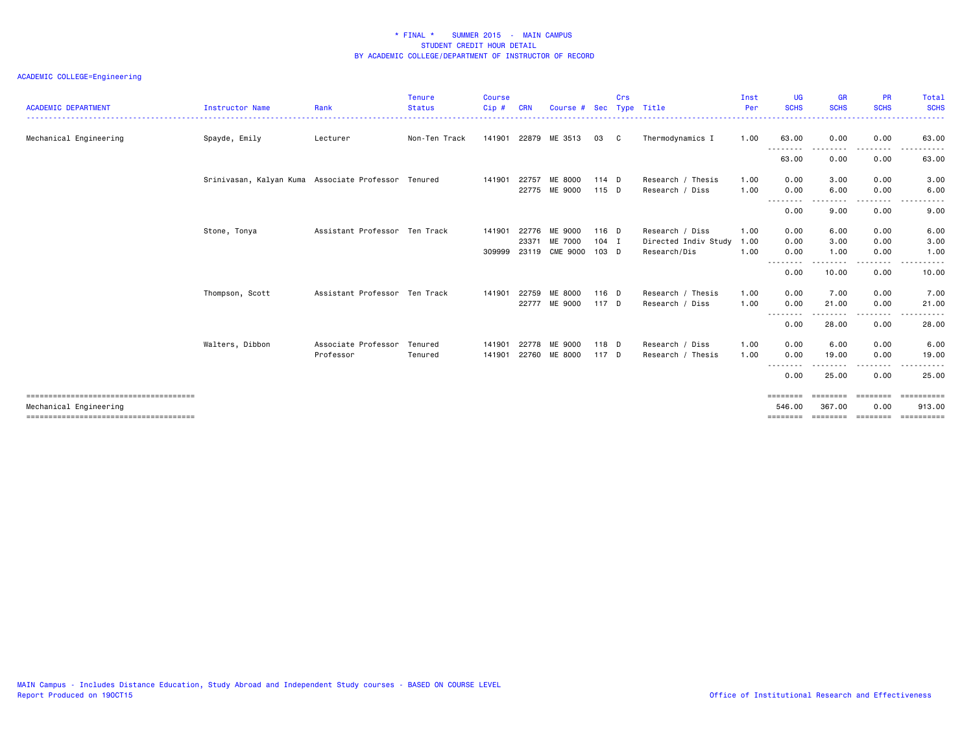| <b>ACADEMIC DEPARTMENT</b> | <b>Instructor Name</b>                              | Rank                          | <b>Tenure</b><br><b>Status</b> | <b>Course</b><br>Cip# | <b>CRN</b> | Course #        |         | Crs | Sec Type Title       | Inst<br>Per | <b>UG</b><br><b>SCHS</b> | <b>GR</b><br><b>SCHS</b> | <b>PR</b><br><b>SCHS</b> | Total<br><b>SCHS</b><br>. |
|----------------------------|-----------------------------------------------------|-------------------------------|--------------------------------|-----------------------|------------|-----------------|---------|-----|----------------------|-------------|--------------------------|--------------------------|--------------------------|---------------------------|
| Mechanical Engineering     | Spayde, Emily                                       | Lecturer                      | Non-Ten Track                  | 141901                |            | 22879 ME 3513   | 03      | C   | Thermodynamics I     | 1.00        | 63.00                    | 0.00                     | 0.00                     | 63.00                     |
|                            |                                                     |                               |                                |                       |            |                 |         |     |                      |             | .<br>63.00               | 0.00                     | . <u>. .</u><br>0.00     | 63.00                     |
|                            | Srinivasan, Kalyan Kuma Associate Professor Tenured |                               |                                | 141901                | 22757      | ME 8000         | 114 D   |     | Research / Thesis    | 1.00        | 0.00                     | 3.00                     | 0.00                     | 3.00                      |
|                            |                                                     |                               |                                |                       |            | 22775 ME 9000   | 115 D   |     | Research / Diss      | 1.00        | 0.00<br><u>.</u>         | 6.00<br>.                | 0.00<br>.                | 6.00<br>.                 |
|                            |                                                     |                               |                                |                       |            |                 |         |     |                      |             | 0.00                     | 9.00                     | 0.00                     | 9.00                      |
|                            | Stone, Tonya                                        | Assistant Professor Ten Track |                                | 141901                | 22776      | ME 9000         | 116 D   |     | Research / Diss      | 1.00        | 0.00                     | 6.00                     | 0.00                     | 6.00                      |
|                            |                                                     |                               |                                |                       | 23371      | ME 7000         | $104$ I |     | Directed Indiv Study | 1.00        | 0.00                     | 3.00                     | 0.00                     | 3.00                      |
|                            |                                                     |                               |                                | 309999                | 23119      | <b>CME 9000</b> | 103 D   |     | Research/Dis         | 1.00        | 0.00<br>.                | 1.00<br>--------         | 0.00<br>---------        | 1.00<br>.                 |
|                            |                                                     |                               |                                |                       |            |                 |         |     |                      |             | 0.00                     | 10.00                    | 0.00                     | 10.00                     |
|                            | Thompson, Scott                                     | Assistant Professor Ten Track |                                | 141901                | 22759      | ME 8000         | $116$ D |     | Research / Thesis    | 1.00        | 0.00                     | 7.00                     | 0.00                     | 7.00                      |
|                            |                                                     |                               |                                |                       | 22777      | ME 9000         | 117 D   |     | Research / Diss      | 1.00        | 0.00                     | 21.00                    | 0.00                     | 21.00                     |
|                            |                                                     |                               |                                |                       |            |                 |         |     |                      |             | .<br>0.00                | 28.00                    | 0.00                     | 28.00                     |
|                            | Walters, Dibbon                                     | Associate Professor           | Tenured                        | 141901                | 22778      | ME 9000         | 118 D   |     | Research / Diss      | 1.00        | 0.00                     | 6.00                     | 0.00                     | 6.00                      |
|                            |                                                     | Professor                     | Tenured                        | 141901                |            | 22760 ME 8000   | 117 D   |     | Research / Thesis    | 1.00        | 0.00                     | 19.00                    | 0.00                     | 19.00                     |
|                            |                                                     |                               |                                |                       |            |                 |         |     |                      |             | --------<br>0.00         | .<br>25.00               | .<br>0.00                | .<br>25.00                |
|                            |                                                     |                               |                                |                       |            |                 |         |     |                      |             | ========                 | ========                 |                          |                           |
| Mechanical Engineering     |                                                     |                               |                                |                       |            |                 |         |     |                      |             | 546.00                   | 367.00                   | 0.00                     | 913,00                    |
|                            |                                                     |                               |                                |                       |            |                 |         |     |                      |             |                          | ---------                | ---------                | <b>SEREESERS</b>          |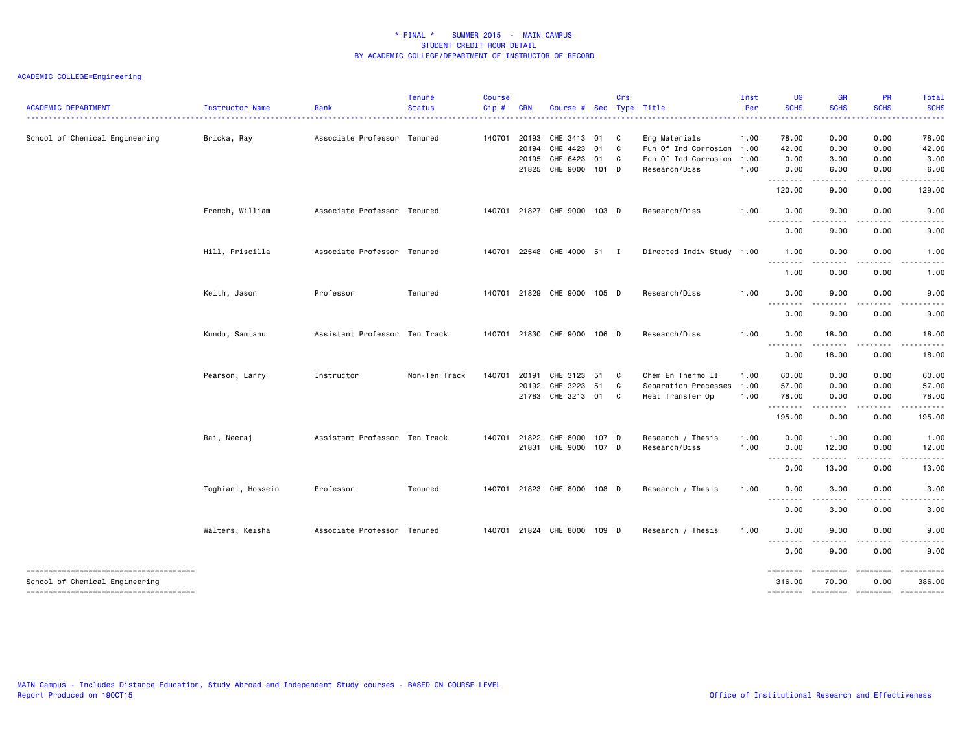| <b>ACADEMIC DEPARTMENT</b>                                               | <b>Instructor Name</b> | Rank                          | <b>Tenure</b><br><b>Status</b> | <b>Course</b><br>Cip# | <b>CRN</b>   | Course #                    |       | Crs | Sec Type Title            | Inst<br>Per | <b>UG</b><br><b>SCHS</b>                                                                                                          | <b>GR</b><br><b>SCHS</b>                                                                                                          | PR<br><b>SCHS</b>                     | Total<br><b>SCHS</b> |
|--------------------------------------------------------------------------|------------------------|-------------------------------|--------------------------------|-----------------------|--------------|-----------------------------|-------|-----|---------------------------|-------------|-----------------------------------------------------------------------------------------------------------------------------------|-----------------------------------------------------------------------------------------------------------------------------------|---------------------------------------|----------------------|
|                                                                          |                        |                               |                                |                       |              |                             |       |     |                           |             | .                                                                                                                                 |                                                                                                                                   |                                       | .                    |
| School of Chemical Engineering                                           | Bricka, Ray            | Associate Professor Tenured   |                                |                       | 140701 20193 | CHE 3413 01                 |       | C   | Eng Materials             | 1.00        | 78.00                                                                                                                             | 0.00                                                                                                                              | 0.00                                  | 78.00                |
|                                                                          |                        |                               |                                |                       | 20194        | CHE 4423                    | 01    | C   | Fun Of Ind Corrosion      | 1.00        | 42.00                                                                                                                             | 0.00                                                                                                                              | 0.00                                  | 42.00                |
|                                                                          |                        |                               |                                |                       | 20195        | CHE 6423 01                 |       | C   | Fun Of Ind Corrosion      | 1.00        | 0.00                                                                                                                              | 3.00                                                                                                                              | 0.00                                  | 3.00                 |
|                                                                          |                        |                               |                                |                       |              | 21825 CHE 9000 101 D        |       |     | Research/Diss             | 1.00        | 0.00<br>.                                                                                                                         | 6.00<br>$\frac{1}{2} \left( \frac{1}{2} \right) \left( \frac{1}{2} \right) \left( \frac{1}{2} \right) \left( \frac{1}{2} \right)$ | 0.00                                  | 6.00                 |
|                                                                          |                        |                               |                                |                       |              |                             |       |     |                           |             | 120.00                                                                                                                            | 9.00                                                                                                                              | 0.00                                  | 129.00               |
|                                                                          | French, William        | Associate Professor Tenured   |                                |                       |              | 140701 21827 CHE 9000 103 D |       |     | Research/Diss             | 1.00        | 0.00                                                                                                                              | 9.00                                                                                                                              | 0.00                                  | 9.00                 |
|                                                                          |                        |                               |                                |                       |              |                             |       |     |                           |             | 0.00                                                                                                                              | 9.00                                                                                                                              | 0.00                                  | 9.00                 |
|                                                                          | Hill, Priscilla        | Associate Professor Tenured   |                                |                       |              | 140701 22548 CHE 4000 51 I  |       |     | Directed Indiv Study 1.00 |             | 1.00                                                                                                                              | 0.00                                                                                                                              | 0.00                                  | 1.00                 |
|                                                                          |                        |                               |                                |                       |              |                             |       |     |                           |             | $\frac{1}{2} \left( \frac{1}{2} \right) \left( \frac{1}{2} \right) \left( \frac{1}{2} \right) \left( \frac{1}{2} \right)$<br>1.00 | 0.00                                                                                                                              | 0.00                                  | 1.00                 |
|                                                                          | Keith, Jason           | Professor                     | Tenured                        |                       |              | 140701 21829 CHE 9000 105 D |       |     | Research/Diss             | 1.00        | 0.00                                                                                                                              | 9.00                                                                                                                              | 0.00                                  | 9.00                 |
|                                                                          |                        |                               |                                |                       |              |                             |       |     |                           |             | --------<br>0.00                                                                                                                  | $\frac{1}{2} \left( \frac{1}{2} \right) \left( \frac{1}{2} \right) \left( \frac{1}{2} \right) \left( \frac{1}{2} \right)$<br>9.00 | .<br>0.00                             | .<br>9.00            |
|                                                                          | Kundu, Santanu         | Assistant Professor Ten Track |                                | 140701                |              | 21830 CHE 9000 106 D        |       |     | Research/Diss             | 1.00        | 0.00                                                                                                                              | 18.00                                                                                                                             | 0.00                                  | 18.00                |
|                                                                          |                        |                               |                                |                       |              |                             |       |     |                           |             | .<br>0.00                                                                                                                         | .<br>18.00                                                                                                                        | .<br>0.00                             | 18.00                |
|                                                                          | Pearson, Larry         | Instructor                    | Non-Ten Track                  | 140701                | 20191        | CHE 3123                    | 51    | C   | Chem En Thermo II         | 1.00        | 60.00                                                                                                                             | 0.00                                                                                                                              | 0.00                                  | 60.00                |
|                                                                          |                        |                               |                                |                       |              | 20192 CHE 3223 51           |       | C   | Separation Processes      | 1.00        | 57.00                                                                                                                             | 0.00                                                                                                                              | 0.00                                  | 57.00                |
|                                                                          |                        |                               |                                |                       |              | 21783 CHE 3213 01           |       | C   | Heat Transfer Op          | 1.00        | 78.00                                                                                                                             | 0.00                                                                                                                              | 0.00                                  | 78.00                |
|                                                                          |                        |                               |                                |                       |              |                             |       |     |                           |             | --------<br>195.00                                                                                                                | $   -$<br>0.00                                                                                                                    | المتحدث والمنا<br>0.00                | 195.00               |
|                                                                          | Rai, Neeraj            | Assistant Professor Ten Track |                                |                       |              | 140701 21822 CHE 8000       | 107 D |     | Research / Thesis         | 1.00        | 0.00                                                                                                                              | 1.00                                                                                                                              | 0.00                                  | 1.00                 |
|                                                                          |                        |                               |                                |                       |              | 21831 CHE 9000 107 D        |       |     | Research/Diss             | 1.00        | 0.00                                                                                                                              | 12.00                                                                                                                             | 0.00                                  | 12.00                |
|                                                                          |                        |                               |                                |                       |              |                             |       |     |                           |             | --------<br>0.00                                                                                                                  | .<br>13.00                                                                                                                        | .<br>0.00                             | 13.00                |
|                                                                          | Toghiani, Hossein      | Professor                     | Tenured                        |                       |              | 140701 21823 CHE 8000 108 D |       |     | Research / Thesis         | 1.00        | 0.00                                                                                                                              | 3.00                                                                                                                              | 0.00                                  | 3.00                 |
|                                                                          |                        |                               |                                |                       |              |                             |       |     |                           |             | --------<br>0.00                                                                                                                  | . <b>. .</b> .<br>3.00                                                                                                            | 0.00                                  | 3.00                 |
|                                                                          | Walters, Keisha        | Associate Professor Tenured   |                                |                       |              | 140701 21824 CHE 8000 109 D |       |     | Research / Thesis         | 1.00        | 0.00                                                                                                                              | 9.00                                                                                                                              | 0.00                                  | 9.00                 |
|                                                                          |                        |                               |                                |                       |              |                             |       |     |                           |             | .<br>0.00                                                                                                                         | .<br>9.00                                                                                                                         | 0.00                                  | 9.00                 |
| --------------------------------------<br>School of Chemical Engineering |                        |                               |                                |                       |              |                             |       |     |                           |             | ========<br>316.00                                                                                                                | ========<br>70.00                                                                                                                 | ========<br>0.00                      | ==========<br>386.00 |
| --------------------------------------                                   |                        |                               |                                |                       |              |                             |       |     |                           |             |                                                                                                                                   |                                                                                                                                   | ======== ======== ======== ========== |                      |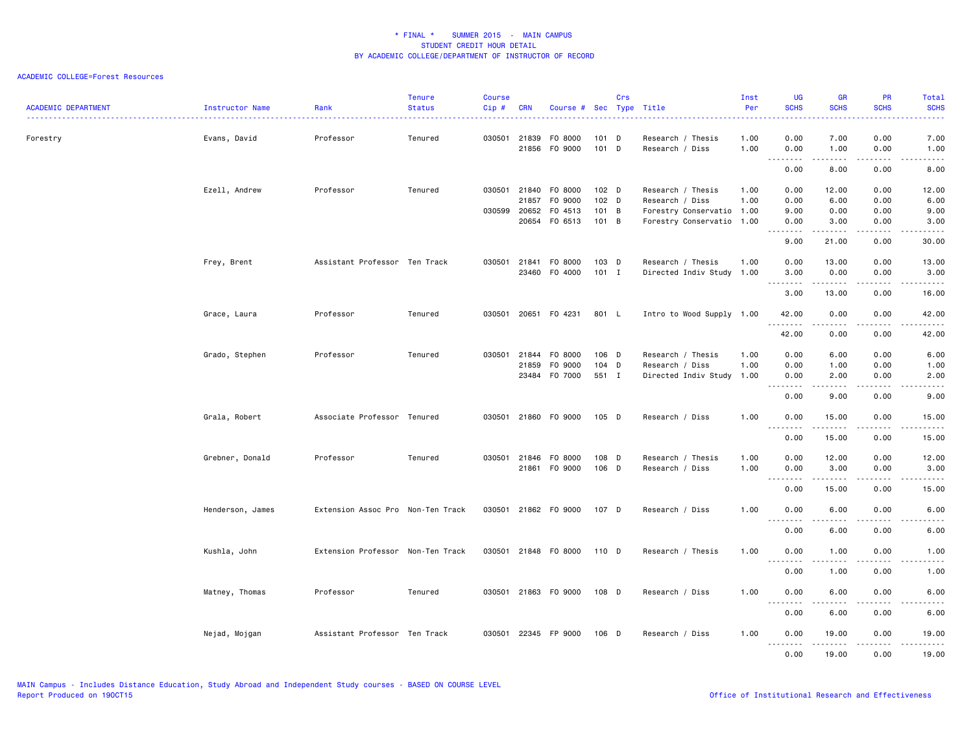#### ACADEMIC COLLEGE=Forest Resources

| <b>ACADEMIC DEPARTMENT</b> | Instructor Name  | Rank                              | <b>Tenure</b><br><b>Status</b> | <b>Course</b><br>Cip# | <b>CRN</b>     | Course # Sec Type Title |                    | Crs |                                                        | Inst<br>Per  | <b>UG</b><br><b>SCHS</b>                        | <b>GR</b><br><b>SCHS</b>                                                                                                                                     | <b>PR</b><br><b>SCHS</b>     | Total<br><b>SCHS</b>                                                                                                               |
|----------------------------|------------------|-----------------------------------|--------------------------------|-----------------------|----------------|-------------------------|--------------------|-----|--------------------------------------------------------|--------------|-------------------------------------------------|--------------------------------------------------------------------------------------------------------------------------------------------------------------|------------------------------|------------------------------------------------------------------------------------------------------------------------------------|
| Forestry                   | Evans, David     | Professor                         | Tenured                        | 030501                | 21839<br>21856 | F0 8000<br>F0 9000      | 101<br>101 D       | D   | Research / Thesis<br>Research / Diss                   | 1.00<br>1.00 | 0.00<br>0.00                                    | 7.00<br>1.00                                                                                                                                                 | 0.00<br>0.00                 | 7.00<br>1.00                                                                                                                       |
|                            |                  |                                   |                                |                       |                |                         |                    |     |                                                        |              | .<br>0.00                                       | .<br>8.00                                                                                                                                                    | .<br>0.00                    | $- - - - -$<br>8.00                                                                                                                |
|                            | Ezell, Andrew    | Professor                         | Tenured                        | 030501                | 21840<br>21857 | F0 8000<br>F0 9000      | $102$ D<br>$102$ D |     | Research / Thesis<br>Research / Diss                   | 1.00<br>1.00 | 0.00<br>0.00                                    | 12.00<br>6.00                                                                                                                                                | 0.00<br>0.00                 | 12.00<br>6.00                                                                                                                      |
|                            |                  |                                   |                                | 030599                | 20652<br>20654 | F0 4513<br>F0 6513      | 101<br>101 B       | B   | Forestry Conservatio 1.00<br>Forestry Conservatio 1.00 |              | 9.00<br>0.00<br><u>.</u>                        | 0.00<br>3.00<br>.                                                                                                                                            | 0.00<br>0.00<br>.            | 9.00<br>3.00<br>.                                                                                                                  |
|                            |                  |                                   |                                |                       |                |                         |                    |     |                                                        |              | 9.00                                            | 21.00                                                                                                                                                        | 0.00                         | 30.00                                                                                                                              |
|                            | Frey, Brent      | Assistant Professor Ten Track     |                                | 030501                | 21841<br>23460 | F0 8000<br>F0 4000      | 103 D<br>$101$ I   |     | Research / Thesis<br>Directed Indiv Study 1.00         | 1.00         | 0.00<br>3.00                                    | 13.00<br>0.00                                                                                                                                                | 0.00<br>0.00                 | 13.00<br>3.00                                                                                                                      |
|                            |                  |                                   |                                |                       |                |                         |                    |     |                                                        |              | $\sim$ $\sim$<br>3.00                           | 13.00                                                                                                                                                        | 0.00                         | 16.00                                                                                                                              |
|                            | Grace, Laura     | Professor                         | Tenured                        | 030501                |                | 20651 F0 4231           | 801 L              |     | Intro to Wood Supply 1.00                              |              | 42.00<br>.                                      | 0.00<br>$\frac{1}{2} \left( \frac{1}{2} \right) \left( \frac{1}{2} \right) \left( \frac{1}{2} \right) \left( \frac{1}{2} \right) \left( \frac{1}{2} \right)$ | 0.00<br>.                    | 42.00<br>.                                                                                                                         |
|                            |                  |                                   |                                |                       |                |                         |                    |     |                                                        |              | 42.00                                           | 0.00                                                                                                                                                         | 0.00                         | 42.00                                                                                                                              |
|                            | Grado, Stephen   | Professor                         | Tenured                        | 030501                | 21844          | F0 8000                 | 106 D<br>104 D     |     | Research / Thesis                                      | 1.00         | 0.00                                            | 6.00                                                                                                                                                         | 0.00                         | 6.00                                                                                                                               |
|                            |                  |                                   |                                |                       | 21859<br>23484 | F0 9000<br>F0 7000      | 551 I              |     | Research / Diss<br>Directed Indiv Study 1.00           | 1.00         | 0.00<br>0.00                                    | 1.00<br>2.00                                                                                                                                                 | 0.00<br>0.00                 | 1.00<br>2.00                                                                                                                       |
|                            |                  |                                   |                                |                       |                |                         |                    |     |                                                        |              | $\sim$ $\sim$ $\sim$ $\sim$<br>0.00             | .<br>9.00                                                                                                                                                    | $\sim$ $\sim$ $\sim$<br>0.00 | $\frac{1}{2} \left( \frac{1}{2} \right) \left( \frac{1}{2} \right) \left( \frac{1}{2} \right) \left( \frac{1}{2} \right)$<br>9.00  |
|                            | Grala, Robert    | Associate Professor Tenured       |                                | 030501                | 21860          | F0 9000                 | 105 D              |     | Research / Diss                                        | 1.00         | 0.00<br>$\sim$ $\sim$ $\sim$<br>$\sim$ $\sim$ . | 15.00<br>$- - - - -$                                                                                                                                         | 0.00                         | 15.00                                                                                                                              |
|                            |                  |                                   |                                |                       |                |                         |                    |     |                                                        |              | 0.00                                            | 15.00                                                                                                                                                        | 0.00                         | 15.00                                                                                                                              |
|                            | Grebner, Donald  | Professor                         | Tenured                        | 030501                | 21846          | F0 8000                 | 108 D              |     | Research / Thesis                                      | 1.00         | 0.00                                            | 12.00                                                                                                                                                        | 0.00                         | 12.00                                                                                                                              |
|                            |                  |                                   |                                |                       | 21861          | F0 9000                 | 106 D              |     | Research / Diss                                        | 1.00         | 0.00                                            | 3.00                                                                                                                                                         | 0.00                         | 3.00                                                                                                                               |
|                            |                  |                                   |                                |                       |                |                         |                    |     |                                                        |              | --------<br>0.00                                | $- - - - -$<br>15.00                                                                                                                                         | $\frac{1}{2}$<br>0.00        | $\frac{1}{2} \left( \frac{1}{2} \right) \left( \frac{1}{2} \right) \left( \frac{1}{2} \right) \left( \frac{1}{2} \right)$<br>15.00 |
|                            | Henderson, James | Extension Assoc Pro Non-Ten Track |                                | 030501                |                | 21862 FO 9000           | 107 D              |     | Research / Diss                                        | 1.00         | 0.00<br>.                                       | 6.00<br>$\cdots$                                                                                                                                             | 0.00<br>. <b>.</b> .         | 6.00<br>-----                                                                                                                      |
|                            |                  |                                   |                                |                       |                |                         |                    |     |                                                        |              | 0.00                                            | 6.00                                                                                                                                                         | 0.00                         | 6.00                                                                                                                               |
|                            | Kushla, John     | Extension Professor Non-Ten Track |                                |                       |                | 030501 21848 F0 8000    | 110 D              |     | Research / Thesis                                      | 1.00         | 0.00<br>.<br>$\sim$ $\sim$                      | 1.00<br>.                                                                                                                                                    | 0.00<br>$\sim$ $\sim$ $\sim$ | 1.00<br>.                                                                                                                          |
|                            |                  |                                   |                                |                       |                |                         |                    |     |                                                        |              | 0.00                                            | 1.00                                                                                                                                                         | 0.00                         | 1.00                                                                                                                               |
|                            | Matney, Thomas   | Professor                         | Tenured                        |                       |                | 030501 21863 F0 9000    | 108 D              |     | Research / Diss                                        | 1.00         | 0.00<br>$\sim$ $\sim$ $\sim$<br>.               | 6.00                                                                                                                                                         | 0.00                         | 6.00                                                                                                                               |
|                            |                  |                                   |                                |                       |                |                         |                    |     |                                                        |              | 0.00                                            | 6.00                                                                                                                                                         | 0.00                         | 6.00                                                                                                                               |
|                            | Nejad, Mojgan    | Assistant Professor Ten Track     |                                |                       |                | 030501 22345 FP 9000    | 106 D              |     | Research / Diss                                        | 1.00         | 0.00<br><u>.</u><br>0.00                        | 19.00<br>.<br>19,00                                                                                                                                          | 0.00<br>.<br>0.00            | 19.00<br>.<br>19,00                                                                                                                |

MAIN Campus - Includes Distance Education, Study Abroad and Independent Study courses - BASED ON COURSE LEVEL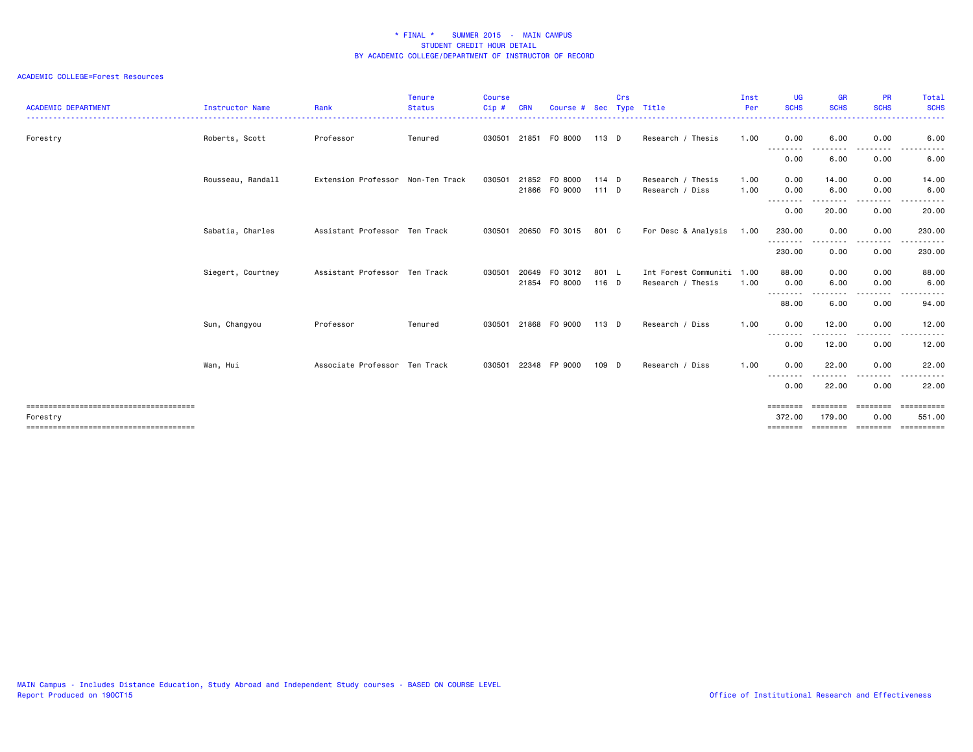| <b>ACADEMIC DEPARTMENT</b> | Instructor Name   | Rank                              | <b>Tenure</b><br><b>Status</b> | <b>Course</b><br>Cip# | <b>CRN</b>     | Course #                 | Sec                | Crs | Type Title                                     | Inst<br>Per  | <b>UG</b><br><b>SCHS</b>                | <b>GR</b><br><b>SCHS</b>              | <b>PR</b><br><b>SCHS</b>                                                                                                          | Total<br><b>SCHS</b>               |
|----------------------------|-------------------|-----------------------------------|--------------------------------|-----------------------|----------------|--------------------------|--------------------|-----|------------------------------------------------|--------------|-----------------------------------------|---------------------------------------|-----------------------------------------------------------------------------------------------------------------------------------|------------------------------------|
| Forestry                   | Roberts, Scott    | Professor                         | Tenured                        |                       |                | 030501 21851 F0 8000     | 113 D              |     | Research / Thesis                              | 1.00         | 0.00<br>- - - - - - - -                 | 6.00                                  | 0.00<br>----                                                                                                                      | 6.00                               |
|                            |                   |                                   |                                |                       |                |                          |                    |     |                                                |              | 0.00                                    | 6.00                                  | 0.00                                                                                                                              | 6.00                               |
|                            | Rousseau, Randall | Extension Professor Non-Ten Track |                                | 030501                | 21866          | 21852 FO 8000<br>F0 9000 | 114 $D$<br>$111$ D |     | Research / Thesis<br>Research / Diss           | 1.00<br>1.00 | 0.00<br>0.00                            | 14.00<br>6.00                         | 0.00<br>0.00                                                                                                                      | 14.00<br>6.00                      |
|                            |                   |                                   |                                |                       |                |                          |                    |     |                                                |              | .<br>0.00                               | 20.00                                 | .<br>0.00                                                                                                                         | .<br>20.00                         |
|                            | Sabatia, Charles  | Assistant Professor Ten Track     |                                | 030501                |                | 20650 F0 3015            | 801 C              |     | For Desc & Analysis                            | 1.00         | 230.00                                  | 0.00                                  | 0.00                                                                                                                              | 230.00                             |
|                            |                   |                                   |                                |                       |                |                          |                    |     |                                                |              | .<br>230.00                             | 0.00                                  | ----<br>0.00                                                                                                                      | ------<br>230.00                   |
|                            | Siegert, Courtney | Assistant Professor Ten Track     |                                | 030501                | 20649<br>21854 | F0 3012<br>F0 8000       | 801 L<br>116 D     |     | Int Forest Communiti 1.00<br>Research / Thesis | 1.00         | 88.00<br>0.00                           | 0.00<br>6.00                          | 0.00<br>0.00                                                                                                                      | 88.00<br>6.00                      |
|                            |                   |                                   |                                |                       |                |                          |                    |     |                                                |              | --------<br>88.00                       | 6.00                                  | $\frac{1}{2} \left( \frac{1}{2} \right) \left( \frac{1}{2} \right) \left( \frac{1}{2} \right) \left( \frac{1}{2} \right)$<br>0.00 | 94.00                              |
|                            | Sun, Changyou     | Professor                         | Tenured                        | 030501                |                | 21868 FO 9000            | $113$ D            |     | Research / Diss                                | 1.00         | 0.00                                    | 12.00                                 | 0.00                                                                                                                              | 12.00                              |
|                            |                   |                                   |                                |                       |                |                          |                    |     |                                                |              | --------<br>0.00                        | 12.00                                 | 0.00                                                                                                                              | 12.00                              |
|                            | Wan, Hui          | Associate Professor Ten Track     |                                | 030501                |                | 22348 FP 9000            | 109 D              |     | Research / Diss                                | 1.00         | 0.00                                    | 22.00                                 | 0.00                                                                                                                              | 22.00                              |
|                            |                   |                                   |                                |                       |                |                          |                    |     |                                                |              | .<br>0.00                               | 22.00                                 | ----<br>0.00                                                                                                                      | 22.00                              |
| Forestry                   |                   |                                   |                                |                       |                |                          |                    |     |                                                |              | ========<br>372.00<br>$=$ = = = = = = = | ======<br>179,00<br>================= | 0.00                                                                                                                              | ==========<br>551.00<br>========== |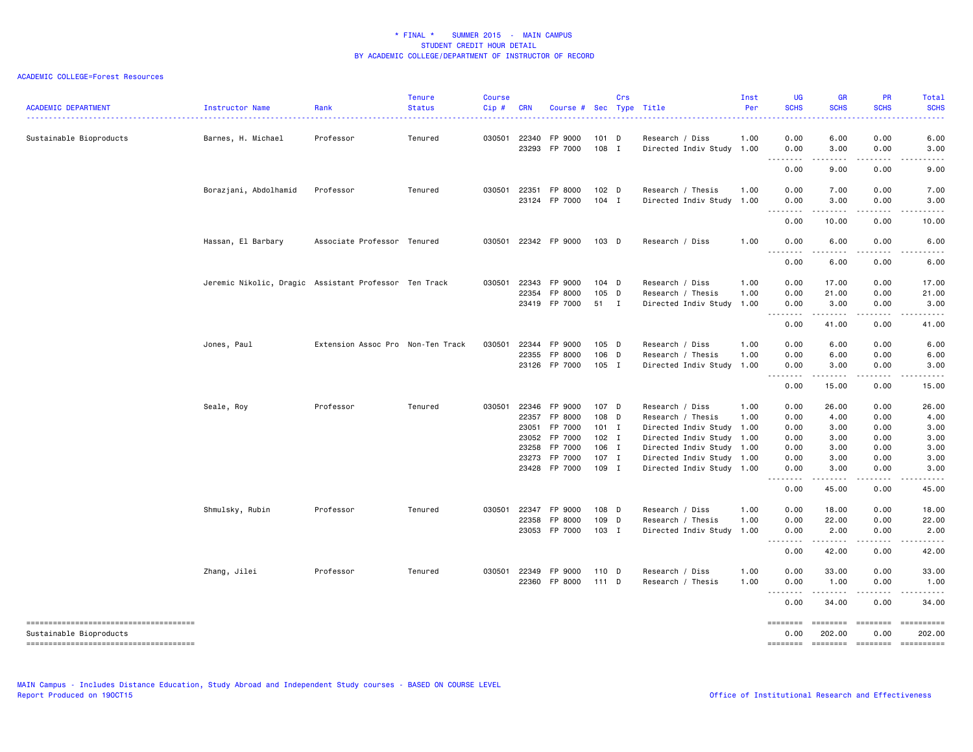| <b>ACADEMIC DEPARTMENT</b>                                                                                  | Instructor Name                                       | Rank                              | <b>Tenure</b><br><b>Status</b> | <b>Course</b><br>$Cip$ # | <b>CRN</b>                                | Course # Sec Type Title                                                               |                                                                 | Crs          |                                                                                                                                                                                       | Inst<br>Per  | <b>UG</b><br><b>SCHS</b>                                     | <b>GR</b><br><b>SCHS</b>                                                                                                                                                                                                                                                     | <b>PR</b><br><b>SCHS</b>                                          | Total<br><b>SCHS</b>                                           |
|-------------------------------------------------------------------------------------------------------------|-------------------------------------------------------|-----------------------------------|--------------------------------|--------------------------|-------------------------------------------|---------------------------------------------------------------------------------------|-----------------------------------------------------------------|--------------|---------------------------------------------------------------------------------------------------------------------------------------------------------------------------------------|--------------|--------------------------------------------------------------|------------------------------------------------------------------------------------------------------------------------------------------------------------------------------------------------------------------------------------------------------------------------------|-------------------------------------------------------------------|----------------------------------------------------------------|
| Sustainable Bioproducts                                                                                     | Barnes, H. Michael                                    | Professor                         | Tenured                        | 030501                   | 22340<br>23293                            | FP 9000<br>FP 7000                                                                    | $101$ D<br>108 I                                                |              | Research / Diss<br>Directed Indiv Study 1.00                                                                                                                                          | 1.00         | 0.00<br>0.00                                                 | 6.00<br>3.00                                                                                                                                                                                                                                                                 | 0.00<br>0.00                                                      | 6.00<br>3.00                                                   |
|                                                                                                             |                                                       |                                   |                                |                          |                                           |                                                                                       |                                                                 |              |                                                                                                                                                                                       |              | $\sim$ $\sim$<br>0.00                                        | 9.00                                                                                                                                                                                                                                                                         | 0.00                                                              | 9.00                                                           |
|                                                                                                             | Borazjani, Abdolhamid                                 | Professor                         | Tenured                        | 030501                   | 22351                                     | FP 8000<br>23124 FP 7000                                                              | 102 D<br>$104$ I                                                |              | Research / Thesis<br>Directed Indiv Study                                                                                                                                             | 1.00<br>1.00 | 0.00<br>0.00<br>.                                            | 7.00<br>3.00                                                                                                                                                                                                                                                                 | 0.00<br>0.00                                                      | 7.00<br>3.00                                                   |
|                                                                                                             |                                                       |                                   |                                |                          |                                           |                                                                                       |                                                                 |              |                                                                                                                                                                                       |              | 0.00                                                         | 10.00                                                                                                                                                                                                                                                                        | 0.00                                                              | 10.00                                                          |
|                                                                                                             | Hassan, El Barbary                                    | Associate Professor Tenured       |                                | 030501                   |                                           | 22342 FP 9000                                                                         | 103 D                                                           |              | Research / Diss                                                                                                                                                                       | 1.00         | 0.00<br>$\sim$ $\sim$ $\sim$                                 | 6.00                                                                                                                                                                                                                                                                         | 0.00<br>.                                                         | 6.00                                                           |
|                                                                                                             |                                                       |                                   |                                |                          |                                           |                                                                                       |                                                                 |              |                                                                                                                                                                                       |              | -----<br>0.00                                                | $\frac{1}{2} \left( \frac{1}{2} \right) \left( \frac{1}{2} \right) \left( \frac{1}{2} \right) \left( \frac{1}{2} \right)$<br>6.00                                                                                                                                            | 0.00                                                              | 6.00                                                           |
|                                                                                                             | Jeremic Nikolic, Dragic Assistant Professor Ten Track |                                   |                                | 030501                   | 22343<br>22354                            | FP 9000<br>FP 8000<br>23419 FP 7000                                                   | $104$ D<br>105 D<br>51                                          | $\mathbf{I}$ | Research / Diss<br>Research / Thesis<br>Directed Indiv Study 1.00                                                                                                                     | 1.00<br>1.00 | 0.00<br>0.00<br>0.00                                         | 17.00<br>21.00<br>3.00<br>.                                                                                                                                                                                                                                                  | 0.00<br>0.00<br>0.00<br>.                                         | 17.00<br>21.00<br>3.00<br>.                                    |
|                                                                                                             |                                                       |                                   |                                |                          |                                           |                                                                                       |                                                                 |              |                                                                                                                                                                                       |              | 0.00                                                         | 41.00                                                                                                                                                                                                                                                                        | 0.00                                                              | 41.00                                                          |
|                                                                                                             | Jones, Paul                                           | Extension Assoc Pro Non-Ten Track |                                | 030501                   | 22344<br>22355                            | FP 9000<br>FP 8000<br>23126 FP 7000                                                   | $105$ D<br>106 D<br>$105$ I                                     |              | Research / Diss<br>Research / Thesis<br>Directed Indiv Study 1.00                                                                                                                     | 1.00<br>1.00 | 0.00<br>0.00<br>0.00                                         | 6.00<br>6.00<br>3.00                                                                                                                                                                                                                                                         | 0.00<br>0.00<br>0.00                                              | 6.00<br>6.00<br>3.00                                           |
|                                                                                                             |                                                       |                                   |                                |                          |                                           |                                                                                       |                                                                 |              |                                                                                                                                                                                       |              | . <u>. .</u><br>$\sim$ $\sim$ .<br>0.00                      | .<br>15.00                                                                                                                                                                                                                                                                   | .<br>0.00                                                         | 15.00                                                          |
|                                                                                                             | Seale, Roy                                            | Professor                         | Tenured                        | 030501                   | 22346<br>22357<br>23051<br>23258<br>23273 | FP 9000<br>FP 8000<br>FP 7000<br>23052 FP 7000<br>FP 7000<br>FP 7000<br>23428 FP 7000 | 107 D<br>108 D<br>$101$ I<br>$102$ I<br>106 I<br>107 I<br>109 I |              | Research / Diss<br>Research / Thesis<br>Directed Indiv Study 1.00<br>Directed Indiv Study 1.00<br>Directed Indiv Study 1.00<br>Directed Indiv Study 1.00<br>Directed Indiv Study 1.00 | 1.00<br>1.00 | 0.00<br>0.00<br>0.00<br>0.00<br>0.00<br>0.00<br>0.00<br>0.00 | 26.00<br>4.00<br>3.00<br>3.00<br>3.00<br>3.00<br>3.00<br>$\frac{1}{2} \left( \frac{1}{2} \right) \left( \frac{1}{2} \right) \left( \frac{1}{2} \right) \left( \frac{1}{2} \right) \left( \frac{1}{2} \right) \left( \frac{1}{2} \right) \left( \frac{1}{2} \right)$<br>45.00 | 0.00<br>0.00<br>0.00<br>0.00<br>0.00<br>0.00<br>0.00<br>.<br>0.00 | 26.00<br>4.00<br>3.00<br>3.00<br>3.00<br>3.00<br>3.00<br>45.00 |
|                                                                                                             | Shmulsky, Rubin                                       | Professor                         | Tenured                        | 030501                   | 22347<br>22358                            | FP 9000<br>FP 8000<br>23053 FP 7000                                                   | 108 D<br>109 D<br>103 I                                         |              | Research / Diss<br>Research / Thesis<br>Directed Indiv Study 1.00                                                                                                                     | 1.00<br>1.00 | 0.00<br>0.00<br>0.00                                         | 18.00<br>22.00<br>2.00<br>.                                                                                                                                                                                                                                                  | 0.00<br>0.00<br>0.00                                              | 18.00<br>22.00<br>2.00                                         |
|                                                                                                             |                                                       |                                   |                                |                          |                                           |                                                                                       |                                                                 |              |                                                                                                                                                                                       |              | 0.00                                                         | 42.00                                                                                                                                                                                                                                                                        | 0.00                                                              | 42.00                                                          |
|                                                                                                             | Zhang, Jilei                                          | Professor                         | Tenured                        | 030501                   | 22349                                     | FP 9000<br>22360 FP 8000                                                              | 110 D<br>111 D                                                  |              | Research / Diss<br>Research / Thesis                                                                                                                                                  | 1.00<br>1.00 | 0.00<br>0.00<br>.                                            | 33.00<br>1.00                                                                                                                                                                                                                                                                | 0.00<br>0.00                                                      | 33.00<br>1.00                                                  |
|                                                                                                             |                                                       |                                   |                                |                          |                                           |                                                                                       |                                                                 |              |                                                                                                                                                                                       |              | 0.00                                                         | 34.00                                                                                                                                                                                                                                                                        | 0.00                                                              | 34.00                                                          |
| --------------------------------------<br>Sustainable Bioproducts<br>-------------------------------------- |                                                       |                                   |                                |                          |                                           |                                                                                       |                                                                 |              |                                                                                                                                                                                       |              | ========<br>0.00<br>========                                 | ========<br>202.00                                                                                                                                                                                                                                                           | ========<br>0.00                                                  | ==========<br>202.00<br>==========                             |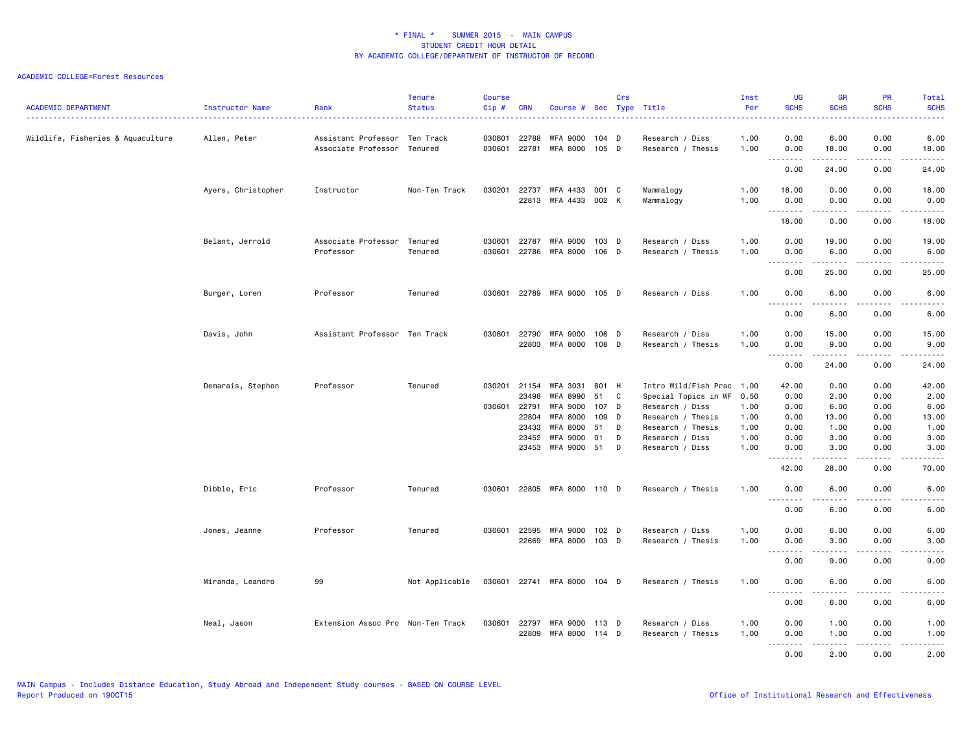| <b>ACADEMIC DEPARTMENT</b>        | Instructor Name    | Rank                                                 | <b>Tenure</b><br><b>Status</b> | <b>Course</b><br>Cip# | <b>CRN</b>     | Course # Sec Type Title     |                  | Crs      |                                         | Inst<br>Per<br><b>.</b> | UG<br><b>SCHS</b><br>$\omega$ is $\omega$ in . | <b>GR</b><br><b>SCHS</b>                                                                                                                                                                | <b>PR</b><br><b>SCHS</b> | Total<br><b>SCHS</b><br>$\frac{1}{2} \left( \frac{1}{2} \right) \left( \frac{1}{2} \right) \left( \frac{1}{2} \right) \left( \frac{1}{2} \right)$ |
|-----------------------------------|--------------------|------------------------------------------------------|--------------------------------|-----------------------|----------------|-----------------------------|------------------|----------|-----------------------------------------|-------------------------|------------------------------------------------|-----------------------------------------------------------------------------------------------------------------------------------------------------------------------------------------|--------------------------|---------------------------------------------------------------------------------------------------------------------------------------------------|
| Wildlife, Fisheries & Aquaculture | Allen, Peter       | Assistant Professor Ten Track<br>Associate Professor | Tenured                        | 030601<br>030601      | 22788<br>22781 | WFA 9000<br>WFA 8000        | 104 D<br>$105$ D |          | Research / Diss<br>Research / Thesis    | 1.00<br>1.00            | 0.00<br>0.00                                   | 6.00<br>18.00                                                                                                                                                                           | 0.00<br>0.00             | 6.00<br>18.00                                                                                                                                     |
|                                   |                    |                                                      |                                |                       |                |                             |                  |          |                                         |                         | .<br>0.00                                      | 24.00                                                                                                                                                                                   | 0.00                     | .<br>24.00                                                                                                                                        |
|                                   | Ayers, Christopher | Instructor                                           | Non-Ten Track                  | 030201                | 22737<br>22813 | WFA 4433<br>WFA 4433        | 001 C<br>002 K   |          | Mammalogy<br>Mammalogy                  | 1.00<br>1.00            | 18.00<br>0.00                                  | 0.00<br>0.00                                                                                                                                                                            | 0.00<br>0.00             | 18.00<br>0.00                                                                                                                                     |
|                                   |                    |                                                      |                                |                       |                |                             |                  |          |                                         |                         | 18.00                                          | $\frac{1}{2} \left( \frac{1}{2} \right) \left( \frac{1}{2} \right) \left( \frac{1}{2} \right) \left( \frac{1}{2} \right) \left( \frac{1}{2} \right) \left( \frac{1}{2} \right)$<br>0.00 | .<br>0.00                | د د د د د<br>18.00                                                                                                                                |
|                                   | Belant, Jerrold    | Associate Professor<br>Professor                     | Tenured<br>Tenured             | 030601<br>030601      | 22787          | WFA 9000<br>22786 WFA 8000  | 103 D<br>106 D   |          | Research / Diss<br>Research / Thesis    | 1.00<br>1.00            | 0.00<br>0.00<br>$- - -$<br>.                   | 19.00<br>6.00<br>.                                                                                                                                                                      | 0.00<br>0.00<br>.        | 19.00<br>6.00<br>.                                                                                                                                |
|                                   |                    |                                                      |                                |                       |                |                             |                  |          |                                         |                         | 0.00                                           | 25.00                                                                                                                                                                                   | 0.00                     | 25.00                                                                                                                                             |
|                                   | Burger, Loren      | Professor                                            | Tenured                        | 030601                |                | 22789 WFA 9000              | 105 D            |          | Research / Diss                         | 1.00                    | 0.00<br>$\sim$ $\sim$ $\sim$<br>.              | 6.00                                                                                                                                                                                    | 0.00                     | 6.00                                                                                                                                              |
|                                   |                    |                                                      |                                |                       |                |                             |                  |          |                                         |                         | 0.00                                           | 6.00                                                                                                                                                                                    | 0.00                     | 6.00                                                                                                                                              |
|                                   | Davis, John        | Assistant Professor Ten Track                        |                                | 030601                | 22790<br>22803 | WFA 9000<br>WFA 8000        | 106 D<br>108 D   |          | Research / Diss<br>Research / Thesis    | 1.00<br>1.00            | 0.00<br>0.00                                   | 15.00<br>9.00                                                                                                                                                                           | 0.00<br>0.00             | 15.00<br>9.00                                                                                                                                     |
|                                   |                    |                                                      |                                |                       |                |                             |                  |          |                                         |                         | 0.00                                           | .<br>24.00                                                                                                                                                                              | .<br>0.00                | د د د د د<br>24.00                                                                                                                                |
|                                   | Demarais, Stephen  | Professor                                            | Tenured                        |                       | 030201 21154   | <b>WFA 3031</b>             | 801 H            |          | Intro Wild/Fish Prac 1.00               |                         | 42.00                                          | 0.00                                                                                                                                                                                    | 0.00                     | 42.00                                                                                                                                             |
|                                   |                    |                                                      |                                | 030601                | 23498<br>22791 | WFA 8990<br><b>WFA 9000</b> | 51<br>107        | C<br>- D | Special Topics in WF<br>Research / Diss | 0.50<br>1.00            | 0.00<br>0.00                                   | 2.00<br>6.00                                                                                                                                                                            | 0.00<br>0.00             | 2.00<br>6.00                                                                                                                                      |
|                                   |                    |                                                      |                                |                       | 22804          | <b>WFA 8000</b>             | 109 D            |          | Research / Thesis                       | 1.00                    | 0.00                                           | 13.00                                                                                                                                                                                   | 0.00                     | 13.00                                                                                                                                             |
|                                   |                    |                                                      |                                |                       | 23433          | WFA 8000                    | 51               | D        | Research / Thesis                       | 1.00                    | 0.00                                           | 1.00                                                                                                                                                                                    | 0.00                     | 1.00                                                                                                                                              |
|                                   |                    |                                                      |                                |                       | 23452          | <b>WFA 9000</b>             | 01               | D        | Research / Diss                         | 1.00                    | 0.00                                           | 3.00                                                                                                                                                                                    | 0.00                     | 3.00                                                                                                                                              |
|                                   |                    |                                                      |                                |                       |                | 23453 WFA 9000              | 51               | D        | Research / Diss                         | 1.00                    | 0.00<br>.                                      | 3.00<br>$\frac{1}{2} \left( \frac{1}{2} \right) \left( \frac{1}{2} \right) \left( \frac{1}{2} \right) \left( \frac{1}{2} \right) \left( \frac{1}{2} \right)$                            | 0.00<br>.                | 3.00<br>$- - - - -$                                                                                                                               |
|                                   |                    |                                                      |                                |                       |                |                             |                  |          |                                         |                         | 42.00                                          | 28.00                                                                                                                                                                                   | 0.00                     | 70.00                                                                                                                                             |
|                                   | Dibble, Eric       | Professor                                            | Tenured                        | 030601                |                | 22805 WFA 8000 110 D        |                  |          | Research / Thesis                       | 1.00                    | 0.00                                           | 6.00<br>.                                                                                                                                                                               | 0.00<br>.                | 6.00<br>-----                                                                                                                                     |
|                                   |                    |                                                      |                                |                       |                |                             |                  |          |                                         |                         | 0.00                                           | 6.00                                                                                                                                                                                    | 0.00                     | 6.00                                                                                                                                              |
|                                   | Jones, Jeanne      | Professor                                            | Tenured                        |                       | 030601 22595   | WFA 9000                    | 102 D            |          | Research / Diss                         | 1.00                    | 0.00                                           | 6.00                                                                                                                                                                                    | 0.00                     | 6.00                                                                                                                                              |
|                                   |                    |                                                      |                                |                       |                | 22669 WFA 8000 103 D        |                  |          | Research / Thesis                       | 1.00                    | 0.00                                           | 3.00                                                                                                                                                                                    | 0.00                     | 3.00                                                                                                                                              |
|                                   |                    |                                                      |                                |                       |                |                             |                  |          |                                         |                         | $- - -$<br>.                                   | <u>.</u>                                                                                                                                                                                | .                        | -----                                                                                                                                             |
|                                   |                    |                                                      |                                |                       |                |                             |                  |          |                                         |                         | 0.00                                           | 9.00                                                                                                                                                                                    | 0.00                     | 9.00                                                                                                                                              |
|                                   | Miranda, Leandro   | 99                                                   | Not Applicable                 |                       |                | 030601 22741 WFA 8000 104 D |                  |          | Research / Thesis                       | 1.00                    | 0.00<br>.                                      | 6.00<br>-----                                                                                                                                                                           | 0.00<br>د د د د          | 6.00<br>-----                                                                                                                                     |
|                                   |                    |                                                      |                                |                       |                |                             |                  |          |                                         |                         | 0.00                                           | 6.00                                                                                                                                                                                    | 0.00                     | 6.00                                                                                                                                              |
|                                   | Neal, Jason        | Extension Assoc Pro Non-Ten Track                    |                                | 030601                | 22797          | WFA 9000                    | 113 D            |          | Research / Diss                         | 1.00                    | 0.00                                           | 1.00                                                                                                                                                                                    | 0.00                     | 1.00                                                                                                                                              |
|                                   |                    |                                                      |                                |                       | 22809          | WFA 8000                    | 114 D            |          | Research / Thesis                       | 1.00                    | 0.00                                           | 1.00                                                                                                                                                                                    | 0.00                     | 1.00                                                                                                                                              |
|                                   |                    |                                                      |                                |                       |                |                             |                  |          |                                         |                         | .<br>0.00                                      | -----<br>2.00                                                                                                                                                                           | د د د د<br>0.00          | 22222<br>2.00                                                                                                                                     |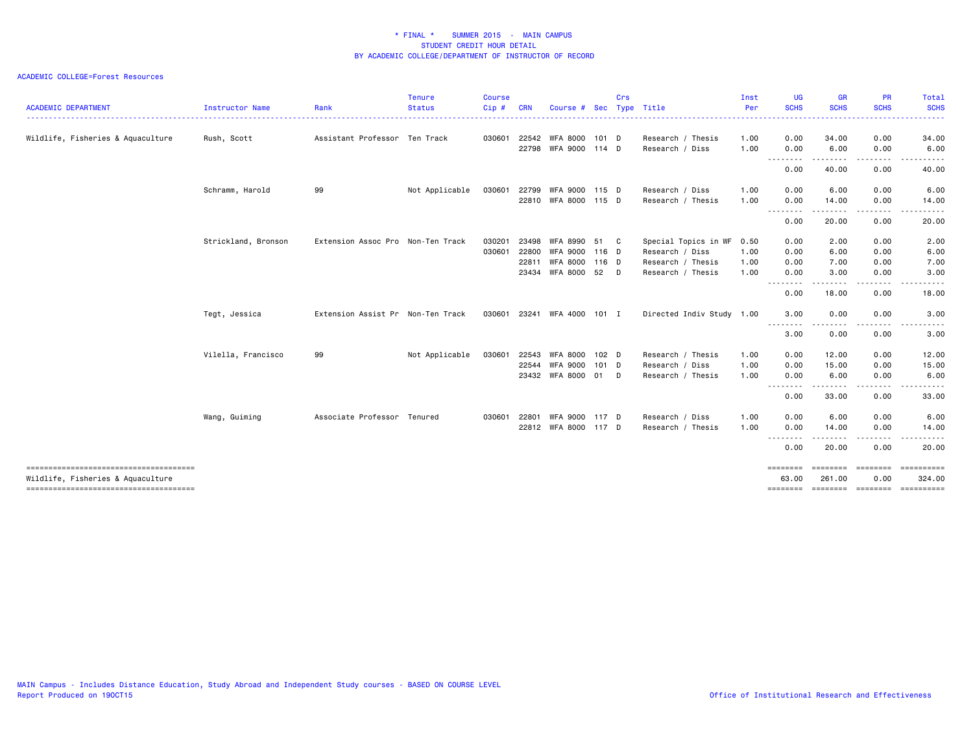| <b>ACADEMIC DEPARTMENT</b>             | Instructor Name     | Rank                              | <b>Tenure</b><br><b>Status</b> | <b>Course</b><br>Cip# | <b>CRN</b> | Course #             | <b>Sec</b>       | <b>Crs</b> | Type Title                | Inst<br>Per      | <b>UG</b><br><b>SCHS</b>                                                                                                                                                                                                                                                                                                                                                                             | <b>GR</b><br><b>SCHS</b> | <b>PR</b><br><b>SCHS</b> | Total<br><b>SCHS</b>                 |
|----------------------------------------|---------------------|-----------------------------------|--------------------------------|-----------------------|------------|----------------------|------------------|------------|---------------------------|------------------|------------------------------------------------------------------------------------------------------------------------------------------------------------------------------------------------------------------------------------------------------------------------------------------------------------------------------------------------------------------------------------------------------|--------------------------|--------------------------|--------------------------------------|
| Wildlife, Fisheries & Aquaculture      | Rush, Scott         | Assistant Professor Ten Track     |                                | 030601                | 22542      | WFA 8000             | 101 D            |            | Research / Thesis         | <u>.</u><br>1.00 | $\frac{1}{2} \left( \frac{1}{2} \right) \left( \frac{1}{2} \right) \left( \frac{1}{2} \right) \left( \frac{1}{2} \right)$<br>0.00                                                                                                                                                                                                                                                                    | 34.00                    | 0.00                     | 34.00                                |
|                                        |                     |                                   |                                |                       | 22798      | WFA 9000             | 114 D            |            | Research / Diss           | 1.00             | 0.00                                                                                                                                                                                                                                                                                                                                                                                                 | 6.00                     | 0.00                     | 6.00                                 |
|                                        |                     |                                   |                                |                       |            |                      |                  |            |                           |                  | --------<br>0.00                                                                                                                                                                                                                                                                                                                                                                                     | . <u>.</u><br>40.00      | <u>.</u><br>0.00         | . <b>.</b> .<br>40.00                |
|                                        | Schramm, Harold     | 99                                | Not Applicable                 | 030601                | 22799      | WFA 9000 115 D       |                  |            | Research / Diss           | 1.00             | 0.00                                                                                                                                                                                                                                                                                                                                                                                                 | 6.00                     | 0.00                     | 6.00                                 |
|                                        |                     |                                   |                                |                       |            | 22810 WFA 8000 115 D |                  |            | Research / Thesis         | 1.00             | 0.00                                                                                                                                                                                                                                                                                                                                                                                                 | 14.00                    | 0.00                     | 14.00                                |
|                                        |                     |                                   |                                |                       |            |                      |                  |            |                           |                  | .<br>0.00                                                                                                                                                                                                                                                                                                                                                                                            | . <i>.</i><br>20.00      | . <b>.</b><br>0.00       | 20.00                                |
|                                        | Strickland, Bronson | Extension Assoc Pro Non-Ten Track |                                | 030201                | 23498      | WFA 8990             | 51 C             |            | Special Topics in WF 0.50 |                  | 0.00                                                                                                                                                                                                                                                                                                                                                                                                 | 2.00                     | 0.00                     | 2.00                                 |
|                                        |                     |                                   |                                | 030601                | 22800      | <b>WFA 9000</b>      | 116 D            |            | Research / Diss           | 1.00             | 0.00                                                                                                                                                                                                                                                                                                                                                                                                 | 6.00                     | 0.00                     | 6.00                                 |
|                                        |                     |                                   |                                |                       | 22811      | WFA 8000             | 116 D            |            | Research / Thesis         | 1.00             | 0.00                                                                                                                                                                                                                                                                                                                                                                                                 | 7.00                     | 0.00                     | 7.00                                 |
|                                        |                     |                                   |                                |                       | 23434      | WFA 8000             | 52               | D.         | Research / Thesis         | 1.00             | 0.00                                                                                                                                                                                                                                                                                                                                                                                                 | 3.00                     | 0.00                     | 3.00                                 |
|                                        |                     |                                   |                                |                       |            |                      |                  |            |                           |                  | .<br>0.00                                                                                                                                                                                                                                                                                                                                                                                            | 18.00                    | د د د د<br>0.00          | $\frac{1}{2}$<br>18.00               |
|                                        | Tegt, Jessica       | Extension Assist Pr Non-Ten Track |                                | 030601                |            | 23241 WFA 4000 101 I |                  |            | Directed Indiv Study 1.00 |                  | 3.00                                                                                                                                                                                                                                                                                                                                                                                                 | 0.00                     | 0.00                     | 3.00                                 |
|                                        |                     |                                   |                                |                       |            |                      |                  |            |                           |                  | $\frac{1}{2} \frac{1}{2} \frac{1}{2} \frac{1}{2} \frac{1}{2} \frac{1}{2} \frac{1}{2} \frac{1}{2} \frac{1}{2} \frac{1}{2} \frac{1}{2} \frac{1}{2} \frac{1}{2} \frac{1}{2} \frac{1}{2} \frac{1}{2} \frac{1}{2} \frac{1}{2} \frac{1}{2} \frac{1}{2} \frac{1}{2} \frac{1}{2} \frac{1}{2} \frac{1}{2} \frac{1}{2} \frac{1}{2} \frac{1}{2} \frac{1}{2} \frac{1}{2} \frac{1}{2} \frac{1}{2} \frac{$<br>3.00 | 0.00                     | 0.00                     | 3.00                                 |
|                                        | Vilella, Francisco  | 99                                | Not Applicable                 | 030601                | 22543      | WFA 8000             | 102 <sub>D</sub> |            | Research / Thesis         | 1.00             | 0.00                                                                                                                                                                                                                                                                                                                                                                                                 | 12.00                    | 0.00                     | 12.00                                |
|                                        |                     |                                   |                                |                       | 22544      | WFA 9000             | $101$ D          |            | Research / Diss           | 1.00             | 0.00                                                                                                                                                                                                                                                                                                                                                                                                 | 15.00                    | 0.00                     | 15.00                                |
|                                        |                     |                                   |                                |                       |            | 23432 WFA 8000       | 01 D             |            | Research / Thesis         | 1.00             | 0.00                                                                                                                                                                                                                                                                                                                                                                                                 | 6.00                     | 0.00                     | 6.00                                 |
|                                        |                     |                                   |                                |                       |            |                      |                  |            |                           |                  | <u>--------</u><br>0.00                                                                                                                                                                                                                                                                                                                                                                              | 33.00                    | 0.00                     | 33.00                                |
|                                        | Wang, Guiming       | Associate Professor Tenured       |                                | 030601                | 22801      | <b>WFA 9000</b>      | 117 D            |            | Research / Diss           | 1.00             | 0.00                                                                                                                                                                                                                                                                                                                                                                                                 | 6.00                     | 0.00                     | 6.00                                 |
|                                        |                     |                                   |                                |                       |            | 22812 WFA 8000 117 D |                  |            | Research / Thesis         | 1.00             | 0.00                                                                                                                                                                                                                                                                                                                                                                                                 | 14.00                    | 0.00                     | 14.00                                |
|                                        |                     |                                   |                                |                       |            |                      |                  |            |                           |                  | .<br>0.00                                                                                                                                                                                                                                                                                                                                                                                            | .<br>20.00               | -----<br>0.00            | -----<br>20.00                       |
| -------------------------------------- |                     |                                   |                                |                       |            |                      |                  |            |                           |                  | ========                                                                                                                                                                                                                                                                                                                                                                                             | ========                 | <b>EDEDEED</b>           | ==========                           |
| Wildlife, Fisheries & Aquaculture      |                     |                                   |                                |                       |            |                      |                  |            |                           |                  | 63.00                                                                                                                                                                                                                                                                                                                                                                                                | 261.00                   | 0.00                     | 324.00                               |
|                                        |                     |                                   |                                |                       |            |                      |                  |            |                           |                  |                                                                                                                                                                                                                                                                                                                                                                                                      |                          |                          | ======== ======== ======== ========= |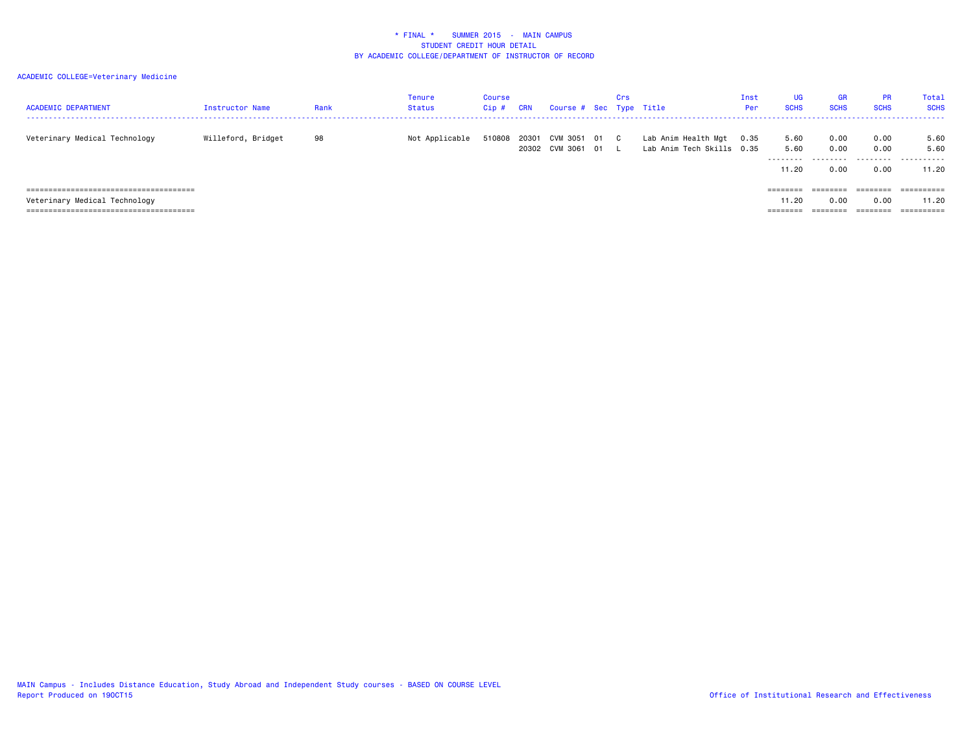| <b>ACADEMIC DEPARTMENT</b>    | Instructor Name    | Rank | Tenure<br><b>Status</b> | <b>Course</b><br>Cip# | <b>CRN</b> | Course # Sec Type Title       |      | Crs |                                                  | Inst<br>Per | <b>UG</b><br><b>SCHS</b>           | <b>GR</b><br><b>SCHS</b>  | <b>PR</b><br><b>SCHS</b>  | Total<br><b>SCHS</b>       |
|-------------------------------|--------------------|------|-------------------------|-----------------------|------------|-------------------------------|------|-----|--------------------------------------------------|-------------|------------------------------------|---------------------------|---------------------------|----------------------------|
| Veterinary Medical Technology | Willeford, Bridget | 98   | Not Applicable          | 510808                | 20301      | CVM 3051<br>20302 CVM 3061 01 | 01 C |     | Lab Anim Health Mgt<br>Lab Anim Tech Skills 0.35 | 0.35        | 5.60<br>5.60<br>---------<br>11.20 | 0.00<br>0.00<br>.<br>0.00 | 0.00<br>0.00<br>.<br>0.00 | 5.60<br>5.60<br>.<br>11.20 |
| Veterinary Medical Technology |                    |      |                         |                       |            |                               |      |     |                                                  |             | ========<br>11.20                  | ========<br>0.00          | ========<br>0.00          | ==========<br>11.20        |
|                               |                    |      |                         |                       |            |                               |      |     |                                                  |             | $=$ = = = = = = =                  | ________<br>-------       |                           |                            |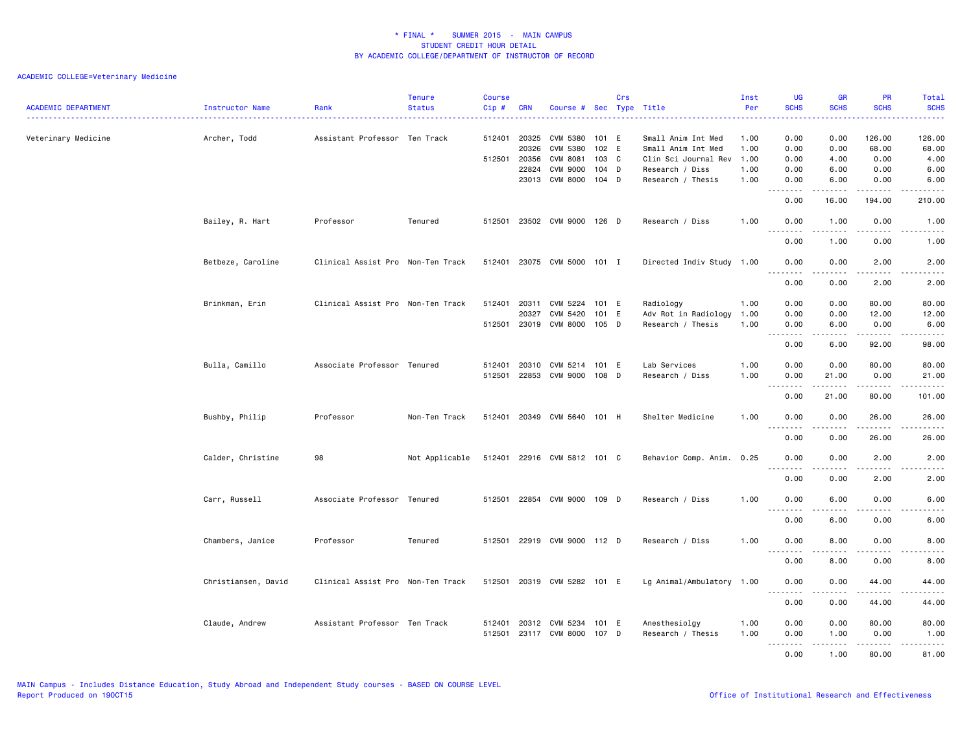## ACADEMIC COLLEGE=Veterinary Medicine

| <b>ACADEMIC DEPARTMENT</b> | Instructor Name     | Rank                              | <b>Tenure</b><br><b>Status</b> | <b>Course</b><br>Cip#  | <b>CRN</b>                       | Course # Sec Type Title                                                              |                                             | Crs |                                                                                                          | Inst<br>Per                          | <b>UG</b><br><b>SCHS</b>                                                                                                                                                                                                                                                                                                                                                                                                                                                                                                                                                     | <b>GR</b><br><b>SCHS</b>             | <b>PR</b><br><b>SCHS</b>                | <b>Total</b><br><b>SCHS</b>                                                                                                        |
|----------------------------|---------------------|-----------------------------------|--------------------------------|------------------------|----------------------------------|--------------------------------------------------------------------------------------|---------------------------------------------|-----|----------------------------------------------------------------------------------------------------------|--------------------------------------|------------------------------------------------------------------------------------------------------------------------------------------------------------------------------------------------------------------------------------------------------------------------------------------------------------------------------------------------------------------------------------------------------------------------------------------------------------------------------------------------------------------------------------------------------------------------------|--------------------------------------|-----------------------------------------|------------------------------------------------------------------------------------------------------------------------------------|
| Veterinary Medicine        | Archer, Todd        | Assistant Professor Ten Track     |                                | 512401<br>512501 20356 | 20325<br>20326<br>22824<br>23013 | <b>CVM 5380</b><br>CVM 5380<br><b>CVM 8081</b><br><b>CVM 9000</b><br><b>CVM 8000</b> | 101 E<br>102 E<br>103 C<br>104 D<br>$104$ D |     | Small Anim Int Med<br>Small Anim Int Med<br>Clin Sci Journal Rev<br>Research / Diss<br>Research / Thesis | 1.00<br>1.00<br>1.00<br>1.00<br>1.00 | 0.00<br>0.00<br>0.00<br>0.00<br>0.00                                                                                                                                                                                                                                                                                                                                                                                                                                                                                                                                         | 0.00<br>0.00<br>4.00<br>6.00<br>6.00 | 126.00<br>68.00<br>0.00<br>0.00<br>0.00 | 126.00<br>68.00<br>4.00<br>6.00<br>6.00                                                                                            |
|                            |                     |                                   |                                |                        |                                  |                                                                                      |                                             |     |                                                                                                          |                                      | .<br>0.00                                                                                                                                                                                                                                                                                                                                                                                                                                                                                                                                                                    | .<br>16.00                           | .<br>194.00                             | . <b>.</b><br>210.00                                                                                                               |
|                            | Bailey, R. Hart     | Professor                         | Tenured                        | 512501                 |                                  | 23502 CVM 9000 126 D                                                                 |                                             |     | Research / Diss                                                                                          | 1.00                                 | 0.00<br>$\sim$ $\sim$<br>$\sim$ $\sim$ $\sim$                                                                                                                                                                                                                                                                                                                                                                                                                                                                                                                                | 1.00                                 | 0.00                                    | 1.00                                                                                                                               |
|                            |                     |                                   |                                |                        |                                  |                                                                                      |                                             |     |                                                                                                          |                                      | 0.00                                                                                                                                                                                                                                                                                                                                                                                                                                                                                                                                                                         | 1.00                                 | 0.00                                    | 1.00                                                                                                                               |
|                            | Betbeze, Caroline   | Clinical Assist Pro Non-Ten Track |                                | 512401                 | 23075                            | CVM 5000 101 I                                                                       |                                             |     | Directed Indiv Study 1.00                                                                                |                                      | 0.00<br>$   -$<br>.                                                                                                                                                                                                                                                                                                                                                                                                                                                                                                                                                          | 0.00                                 | 2.00<br>$  -$                           | 2.00                                                                                                                               |
|                            |                     |                                   |                                |                        |                                  |                                                                                      |                                             |     |                                                                                                          |                                      | 0.00                                                                                                                                                                                                                                                                                                                                                                                                                                                                                                                                                                         | 0.00                                 | 2.00                                    | 2.00                                                                                                                               |
|                            | Brinkman, Erin      | Clinical Assist Pro Non-Ten Track |                                | 512401<br>512501       | 20311<br>20327<br>23019          | CVM 5224<br>CVM 5420<br>CVM 8000 105 D                                               | 101 E<br>101 E                              |     | Radiology<br>Adv Rot in Radiology<br>Research / Thesis                                                   | 1.00<br>1.00<br>1.00                 | 0.00<br>0.00<br>0.00<br>$\frac{1}{2} \frac{1}{2} \frac{1}{2} \frac{1}{2} \frac{1}{2} \frac{1}{2} \frac{1}{2} \frac{1}{2} \frac{1}{2} \frac{1}{2} \frac{1}{2} \frac{1}{2} \frac{1}{2} \frac{1}{2} \frac{1}{2} \frac{1}{2} \frac{1}{2} \frac{1}{2} \frac{1}{2} \frac{1}{2} \frac{1}{2} \frac{1}{2} \frac{1}{2} \frac{1}{2} \frac{1}{2} \frac{1}{2} \frac{1}{2} \frac{1}{2} \frac{1}{2} \frac{1}{2} \frac{1}{2} \frac{$<br>$\frac{1}{2} \left( \frac{1}{2} \right) \left( \frac{1}{2} \right) \left( \frac{1}{2} \right) \left( \frac{1}{2} \right) \left( \frac{1}{2} \right)$ | 0.00<br>0.00<br>6.00<br>.            | 80.00<br>12.00<br>0.00                  | 80.00<br>12.00<br>6.00<br>.                                                                                                        |
|                            |                     |                                   |                                |                        |                                  |                                                                                      |                                             |     |                                                                                                          |                                      | 0.00                                                                                                                                                                                                                                                                                                                                                                                                                                                                                                                                                                         | 6.00                                 | 92.00                                   | 98.00                                                                                                                              |
|                            | Bulla, Camillo      | Associate Professor Tenured       |                                | 512401<br>512501       | 20310<br>22853                   | CVM 5214<br>CVM 9000                                                                 | 101 E<br>108 D                              |     | Lab Services<br>Research / Diss                                                                          | 1.00<br>1.00                         | 0.00<br>0.00<br><u>.</u>                                                                                                                                                                                                                                                                                                                                                                                                                                                                                                                                                     | 0.00<br>21.00<br>.                   | 80.00<br>0.00<br>. <b>.</b>             | 80.00<br>21.00<br>.                                                                                                                |
|                            |                     |                                   |                                |                        |                                  |                                                                                      |                                             |     |                                                                                                          |                                      | 0.00                                                                                                                                                                                                                                                                                                                                                                                                                                                                                                                                                                         | 21.00                                | 80.00                                   | 101.00                                                                                                                             |
|                            | Bushby, Philip      | Professor                         | Non-Ten Track                  | 512401                 | 20349                            | CVM 5640 101 H                                                                       |                                             |     | Shelter Medicine                                                                                         | 1.00                                 | 0.00<br>$\sim$ $\sim$ $\sim$<br>.                                                                                                                                                                                                                                                                                                                                                                                                                                                                                                                                            | 0.00<br>. <b>.</b> .                 | 26.00<br>$\frac{1}{2}$                  | 26.00<br>$\frac{1}{2} \left( \frac{1}{2} \right) \left( \frac{1}{2} \right) \left( \frac{1}{2} \right) \left( \frac{1}{2} \right)$ |
|                            |                     |                                   |                                |                        |                                  |                                                                                      |                                             |     |                                                                                                          |                                      | 0.00                                                                                                                                                                                                                                                                                                                                                                                                                                                                                                                                                                         | 0.00                                 | 26.00                                   | 26.00                                                                                                                              |
|                            | Calder, Christine   | 98                                | Not Applicable                 |                        |                                  | 512401 22916 CVM 5812 101 C                                                          |                                             |     | Behavior Comp. Anim. 0.25                                                                                |                                      | 0.00<br>.<br>$\sim$ $\sim$                                                                                                                                                                                                                                                                                                                                                                                                                                                                                                                                                   | 0.00<br>.                            | 2.00<br>.                               | 2.00<br>$\frac{1}{2} \left( \frac{1}{2} \right) \left( \frac{1}{2} \right) \left( \frac{1}{2} \right) \left( \frac{1}{2} \right)$  |
|                            |                     |                                   |                                |                        |                                  |                                                                                      |                                             |     |                                                                                                          |                                      | 0.00                                                                                                                                                                                                                                                                                                                                                                                                                                                                                                                                                                         | 0.00                                 | 2.00                                    | 2.00                                                                                                                               |
|                            | Carr, Russell       | Associate Professor Tenured       |                                |                        |                                  | 512501 22854 CVM 9000 109 D                                                          |                                             |     | Research / Diss                                                                                          | 1.00                                 | 0.00<br>$\sim$ $\sim$ $\sim$<br>$\frac{1}{2} \left( \frac{1}{2} \right) \left( \frac{1}{2} \right) \left( \frac{1}{2} \right) \left( \frac{1}{2} \right) \left( \frac{1}{2} \right)$                                                                                                                                                                                                                                                                                                                                                                                         | 6.00                                 | 0.00                                    | 6.00                                                                                                                               |
|                            |                     |                                   |                                |                        |                                  |                                                                                      |                                             |     |                                                                                                          |                                      | 0.00                                                                                                                                                                                                                                                                                                                                                                                                                                                                                                                                                                         | 6.00                                 | 0.00                                    | 6.00                                                                                                                               |
|                            | Chambers, Janice    | Professor                         | Tenured                        |                        |                                  | 512501 22919 CVM 9000 112 D                                                          |                                             |     | Research / Diss                                                                                          | 1.00                                 | 0.00<br>- - - -                                                                                                                                                                                                                                                                                                                                                                                                                                                                                                                                                              | 8.00<br>.                            | 0.00<br>$\frac{1}{2}$                   | 8.00<br>----                                                                                                                       |
|                            |                     |                                   |                                |                        |                                  |                                                                                      |                                             |     |                                                                                                          |                                      | 0.00                                                                                                                                                                                                                                                                                                                                                                                                                                                                                                                                                                         | 8.00                                 | 0.00                                    | 8.00                                                                                                                               |
|                            | Christiansen, David | Clinical Assist Pro Non-Ten Track |                                | 512501                 |                                  | 20319 CVM 5282 101 E                                                                 |                                             |     | Lg Animal/Ambulatory 1.00                                                                                |                                      | 0.00                                                                                                                                                                                                                                                                                                                                                                                                                                                                                                                                                                         | 0.00                                 | 44.00                                   | 44.00                                                                                                                              |
|                            |                     |                                   |                                |                        |                                  |                                                                                      |                                             |     |                                                                                                          |                                      | 0.00                                                                                                                                                                                                                                                                                                                                                                                                                                                                                                                                                                         | 0.00                                 | 44.00                                   | 44.00                                                                                                                              |
|                            | Claude, Andrew      | Assistant Professor Ten Track     |                                | 512401<br>512501       | 20312                            | CVM 5234<br>23117 CVM 8000                                                           | 101 E<br>107 D                              |     | Anesthesiolgy<br>Research / Thesis                                                                       | 1.00<br>1.00                         | 0.00<br>0.00<br>.                                                                                                                                                                                                                                                                                                                                                                                                                                                                                                                                                            | 0.00<br>1.00<br>.                    | 80.00<br>0.00<br>.                      | 80.00<br>1.00<br>.                                                                                                                 |
|                            |                     |                                   |                                |                        |                                  |                                                                                      |                                             |     |                                                                                                          |                                      | 0.00                                                                                                                                                                                                                                                                                                                                                                                                                                                                                                                                                                         | 1.00                                 | 80.00                                   | 81.00                                                                                                                              |

MAIN Campus - Includes Distance Education, Study Abroad and Independent Study courses - BASED ON COURSE LEVEL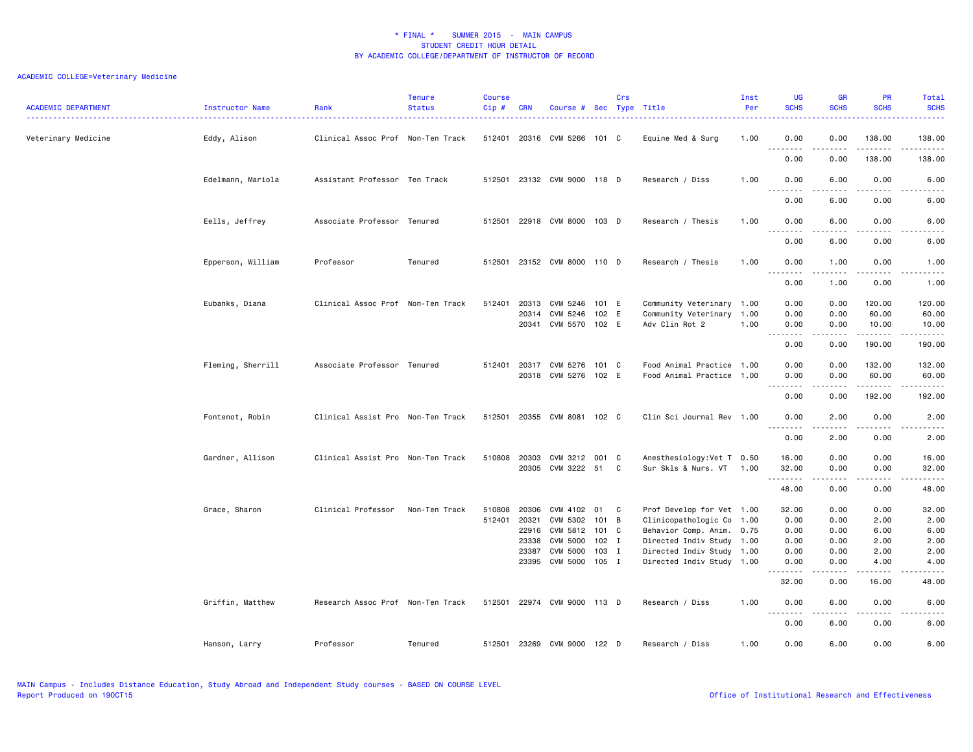| <b>ACADEMIC DEPARTMENT</b> | Instructor Name   | Rank                              | <b>Tenure</b><br><b>Status</b> | <b>Course</b><br>Cip# | <b>CRN</b>                                         | Course # Sec Type Title                                                            |                                                   | Crs |                                                                                                                                                                            | Inst<br>Per | <b>UG</b><br><b>SCHS</b>                                    | <b>GR</b><br><b>SCHS</b>                                  | <b>PR</b><br><b>SCHS</b>                                   | Total<br><b>SCHS</b>                                                    |
|----------------------------|-------------------|-----------------------------------|--------------------------------|-----------------------|----------------------------------------------------|------------------------------------------------------------------------------------|---------------------------------------------------|-----|----------------------------------------------------------------------------------------------------------------------------------------------------------------------------|-------------|-------------------------------------------------------------|-----------------------------------------------------------|------------------------------------------------------------|-------------------------------------------------------------------------|
| Veterinary Medicine        | Eddy, Alison      | Clinical Assoc Prof Non-Ten Track |                                |                       |                                                    | 512401 20316 CVM 5266 101 C                                                        |                                                   |     | Equine Med & Surg                                                                                                                                                          | 1.00        | 0.00<br>د د د د<br>$\sim$ $\sim$                            | 0.00                                                      | 138.00<br><u>.</u>                                         | 138.00<br>.                                                             |
|                            |                   |                                   |                                |                       |                                                    |                                                                                    |                                                   |     |                                                                                                                                                                            |             | 0.00                                                        | 0.00                                                      | 138.00                                                     | 138.00                                                                  |
|                            | Edelmann, Mariola | Assistant Professor Ten Track     |                                | 512501                |                                                    | 23132 CVM 9000 118 D                                                               |                                                   |     | Research / Diss                                                                                                                                                            | 1.00        | 0.00<br>$\sim$ $\sim$ $\sim$<br>.                           | 6.00                                                      | 0.00                                                       | 6.00<br>$\frac{1}{2}$                                                   |
|                            |                   |                                   |                                |                       |                                                    |                                                                                    |                                                   |     |                                                                                                                                                                            |             | 0.00                                                        | 6.00                                                      | 0.00                                                       | 6.00                                                                    |
|                            | Eells, Jeffrey    | Associate Professor Tenured       |                                | 512501                |                                                    | 22918 CVM 8000 103 D                                                               |                                                   |     | Research / Thesis                                                                                                                                                          | 1.00        | 0.00<br>$-$<br>$\sim$ $\sim$ $\sim$ $\sim$                  | 6.00                                                      | 0.00<br>$- - -$                                            | 6.00<br>----                                                            |
|                            |                   |                                   |                                |                       |                                                    |                                                                                    |                                                   |     |                                                                                                                                                                            |             | 0.00                                                        | 6.00                                                      | 0.00                                                       | 6.00                                                                    |
|                            | Epperson, William | Professor                         | Tenured                        | 512501                |                                                    | 23152 CVM 8000 110 D                                                               |                                                   |     | Research / Thesis                                                                                                                                                          | 1.00        | 0.00<br>$\sim$ $\sim$<br>.                                  | 1.00                                                      | 0.00                                                       | 1.00<br>.                                                               |
|                            |                   |                                   |                                |                       |                                                    |                                                                                    |                                                   |     |                                                                                                                                                                            |             | 0.00                                                        | 1.00                                                      | 0.00                                                       | 1.00                                                                    |
|                            | Eubanks, Diana    | Clinical Assoc Prof Non-Ten Track |                                | 512401                | 20313<br>20314                                     | CVM 5246<br>CVM 5246<br>20341 CVM 5570 102 E                                       | 101 E<br>102 E                                    |     | Community Veterinary 1.00<br>Community Veterinary 1.00<br>Adv Clin Rot 2                                                                                                   | 1.00        | 0.00<br>0.00<br>0.00                                        | 0.00<br>0.00<br>0.00                                      | 120.00<br>60.00<br>10.00                                   | 120.00<br>60.00<br>10.00                                                |
|                            |                   |                                   |                                |                       |                                                    |                                                                                    |                                                   |     |                                                                                                                                                                            |             | $\sim$ $\sim$<br>$\frac{1}{2}$<br>0.00                      | .<br>0.00                                                 | $- - - - - - -$<br>190.00                                  | .<br>190.00                                                             |
|                            | Fleming, Sherrill | Associate Professor Tenured       |                                | 512401                | 20317                                              | CVM 5276                                                                           | 101 C                                             |     | Food Animal Practice 1.00                                                                                                                                                  |             | 0.00                                                        | 0.00                                                      | 132.00                                                     | 132.00                                                                  |
|                            |                   |                                   |                                |                       | 20318                                              | CVM 5276 102 E                                                                     |                                                   |     | Food Animal Practice 1.00                                                                                                                                                  |             | 0.00<br>--------                                            | 0.00<br>.                                                 | 60.00<br>.                                                 | 60.00<br>.                                                              |
|                            |                   |                                   |                                |                       |                                                    |                                                                                    |                                                   |     |                                                                                                                                                                            |             | 0.00                                                        | 0.00                                                      | 192.00                                                     | 192.00                                                                  |
|                            | Fontenot, Robin   | Clinical Assist Pro Non-Ten Track |                                | 512501                | 20355                                              | CVM 8081 102 C                                                                     |                                                   |     | Clin Sci Journal Rev 1.00                                                                                                                                                  |             | 0.00<br>$\omega$ is a $\omega$                              | 2.00<br>.                                                 | 0.00<br>.                                                  | 2.00                                                                    |
|                            |                   |                                   |                                |                       |                                                    |                                                                                    |                                                   |     |                                                                                                                                                                            |             | 0.00                                                        | 2.00                                                      | 0.00                                                       | 2.00                                                                    |
|                            | Gardner, Allison  | Clinical Assist Pro Non-Ten Track |                                | 510808                | 20303<br>20305                                     | CVM 3212 001 C<br>CVM 3222 51                                                      |                                                   | C   | Anesthesiology: Vet T 0.50<br>Sur Skls & Nurs. VT 1.00                                                                                                                     |             | 16.00<br>32.00<br>.                                         | 0.00<br>0.00                                              | 0.00<br>0.00                                               | 16.00<br>32.00                                                          |
|                            |                   |                                   |                                |                       |                                                    |                                                                                    |                                                   |     |                                                                                                                                                                            |             | 48.00                                                       | -----<br>0.00                                             | .<br>0.00                                                  | .<br>48.00                                                              |
|                            | Grace, Sharon     | Clinical Professor                | Non-Ten Track                  | 510808<br>512401      | 20306<br>20321<br>22916<br>23338<br>23387<br>23395 | CVM 4102<br>CVM 5302<br>CVM 5812<br><b>CVM 5000</b><br><b>CVM 5000</b><br>CVM 5000 | 01<br>101 B<br>101 C<br>$102$ I<br>103 I<br>105 I | C   | Prof Develop for Vet 1.00<br>Clinicopathologic Co 1.00<br>Behavior Comp. Anim. 0.75<br>Directed Indiv Study 1.00<br>Directed Indiv Study 1.00<br>Directed Indiv Study 1.00 |             | 32.00<br>0.00<br>0.00<br>0.00<br>0.00<br>0.00<br>.<br>32.00 | 0.00<br>0.00<br>0.00<br>0.00<br>0.00<br>0.00<br>.<br>0.00 | 0.00<br>2.00<br>6.00<br>2.00<br>2.00<br>4.00<br>.<br>16.00 | 32.00<br>2.00<br>6.00<br>2.00<br>2.00<br>4.00<br>$\frac{1}{2}$<br>48.00 |
|                            | Griffin, Matthew  | Research Assoc Prof Non-Ten Track |                                | 512501                |                                                    | 22974 CVM 9000 113 D                                                               |                                                   |     | Research / Diss                                                                                                                                                            | 1.00        | 0.00                                                        | 6.00                                                      | 0.00                                                       | 6.00                                                                    |
|                            |                   |                                   |                                |                       |                                                    |                                                                                    |                                                   |     |                                                                                                                                                                            |             | $\sim$ $\sim$ $\sim$<br>$  -$<br>0.00                       | 6.00                                                      | 0.00                                                       | 6.00                                                                    |
|                            | Hanson, Larry     | Professor                         | Tenured                        | 512501                | 23269                                              | CVM 9000 122 D                                                                     |                                                   |     | Research / Diss                                                                                                                                                            | 1.00        | 0.00                                                        | 6.00                                                      | 0.00                                                       | 6.00                                                                    |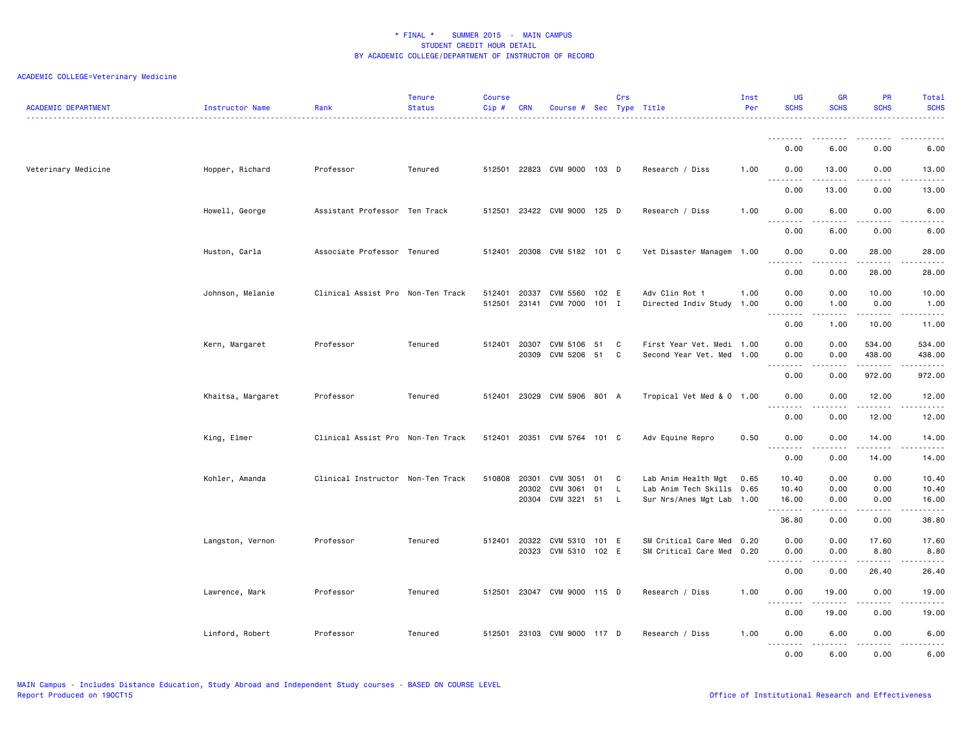| <b>ACADEMIC DEPARTMENT</b> | Instructor Name   | Rank                              | <b>Tenure</b><br><b>Status</b> | <b>Course</b><br>Cip# | <b>CRN</b>              | Course #                         |                  | Crs          | Sec Type Title                                                                | Inst<br>Per | <b>UG</b><br><b>SCHS</b>                                                                                                                                                             | <b>GR</b><br><b>SCHS</b> | <b>PR</b><br><b>SCHS</b>                                                                                                                                              | Total<br><b>SCHS</b>    |
|----------------------------|-------------------|-----------------------------------|--------------------------------|-----------------------|-------------------------|----------------------------------|------------------|--------------|-------------------------------------------------------------------------------|-------------|--------------------------------------------------------------------------------------------------------------------------------------------------------------------------------------|--------------------------|-----------------------------------------------------------------------------------------------------------------------------------------------------------------------|-------------------------|
|                            |                   |                                   |                                |                       |                         |                                  |                  |              |                                                                               |             | .<br>0.00                                                                                                                                                                            | 6.00                     | 0.00                                                                                                                                                                  | 6.00                    |
| Veterinary Medicine        | Hopper, Richard   | Professor                         | Tenured                        | 512501                |                         | 22823 CVM 9000 103 D             |                  |              | Research / Diss                                                               | 1.00        | 0.00                                                                                                                                                                                 | 13.00                    | 0.00                                                                                                                                                                  | 13.00                   |
|                            |                   |                                   |                                |                       |                         |                                  |                  |              |                                                                               |             | $\omega \sim \omega$<br>$\frac{1}{2} \left( \frac{1}{2} \right) \left( \frac{1}{2} \right) \left( \frac{1}{2} \right) \left( \frac{1}{2} \right) \left( \frac{1}{2} \right)$<br>0.00 | .<br>13.00               | .<br>0.00                                                                                                                                                             | .<br>13.00              |
|                            | Howell, George    | Assistant Professor Ten Track     |                                | 512501                |                         | 23422 CVM 9000 125 D             |                  |              | Research / Diss                                                               | 1.00        | 0.00                                                                                                                                                                                 | 6.00                     | 0.00                                                                                                                                                                  | 6.00                    |
|                            |                   |                                   |                                |                       |                         |                                  |                  |              |                                                                               |             | $\sim$ $\sim$ $\sim$ $\sim$ $\sim$<br>$\sim$ $\sim$ $\sim$<br>0.00                                                                                                                   | 6.00                     | 0.00                                                                                                                                                                  | .<br>6.00               |
|                            | Huston, Carla     | Associate Professor Tenured       |                                | 512401                |                         | 20308 CVM 5182 101 C             |                  |              | Vet Disaster Managem 1.00                                                     |             | 0.00                                                                                                                                                                                 | 0.00                     | 28.00                                                                                                                                                                 | 28.00                   |
|                            |                   |                                   |                                |                       |                         |                                  |                  |              |                                                                               |             | $\sim$ $\sim$ $\sim$<br>$\sim$ $\sim$ $\sim$ $\sim$<br>0.00                                                                                                                          | 0.00                     | $\frac{1}{2}$<br>28.00                                                                                                                                                | $\frac{1}{2}$<br>28.00  |
|                            | Johnson, Melanie  | Clinical Assist Pro Non-Ten Track |                                | 512401<br>512501      | 20337<br>23141          | CVM 5560<br><b>CVM 7000</b>      | 102 E<br>$101$ I |              | Adv Clin Rot 1<br>Directed Indiv Study 1.00                                   | 1.00        | 0.00<br>0.00<br>.                                                                                                                                                                    | 0.00<br>1.00<br>-----    | 10.00<br>0.00<br>$\frac{1}{2} \left( \frac{1}{2} \right) \left( \frac{1}{2} \right) \left( \frac{1}{2} \right) \left( \frac{1}{2} \right) \left( \frac{1}{2} \right)$ | 10.00<br>1.00<br>.      |
|                            |                   |                                   |                                |                       |                         |                                  |                  |              |                                                                               |             | 0.00                                                                                                                                                                                 | 1.00                     | 10.00                                                                                                                                                                 | 11.00                   |
|                            | Kern, Margaret    | Professor                         | Tenured                        |                       | 512401 20307<br>20309   | CVM 5106<br>CVM 5206             | 51<br>51         | C<br>C       | First Year Vet. Medi 1.00<br>Second Year Vet. Med 1.00                        |             | 0.00<br>0.00<br>$\sim$ $\sim$<br>.                                                                                                                                                   | 0.00<br>0.00             | 534.00<br>438.00                                                                                                                                                      | 534.00<br>438.00<br>.   |
|                            |                   |                                   |                                |                       |                         |                                  |                  |              |                                                                               |             | 0.00                                                                                                                                                                                 | 0.00                     | 972.00                                                                                                                                                                | 972.00                  |
|                            | Khaitsa, Margaret | Professor                         | Tenured                        | 512401                | 23029                   | CVM 5906 801 A                   |                  |              | Tropical Vet Med & 0 1.00                                                     |             | 0.00<br><b></b>                                                                                                                                                                      | 0.00                     | 12.00<br>.                                                                                                                                                            | 12.00<br>.              |
|                            |                   |                                   |                                |                       |                         |                                  |                  |              |                                                                               |             | 0.00                                                                                                                                                                                 | 0.00                     | 12.00                                                                                                                                                                 | 12.00                   |
|                            | King, Elmer       | Clinical Assist Pro Non-Ten Track |                                | 512401                | 20351                   | CVM 5764                         | 101 C            |              | Adv Equine Repro                                                              | 0.50        | 0.00<br><u>.</u>                                                                                                                                                                     | 0.00<br><u>.</u>         | 14.00<br>.                                                                                                                                                            | 14.00<br>. <u>.</u> .   |
|                            |                   |                                   |                                |                       |                         |                                  |                  |              |                                                                               |             | 0.00                                                                                                                                                                                 | 0.00                     | 14.00                                                                                                                                                                 | 14.00                   |
|                            | Kohler, Amanda    | Clinical Instructor Non-Ten Track |                                | 510808                | 20301<br>20302<br>20304 | CVM 3051<br>CVM 3061<br>CVM 3221 | 01<br>01<br>51   | C<br>L.<br>L | Lab Anim Health Mgt<br>Lab Anim Tech Skills 0.65<br>Sur Nrs/Anes Mgt Lab 1.00 | 0.65        | 10.40<br>10.40<br>16.00                                                                                                                                                              | 0.00<br>0.00<br>0.00     | 0.00<br>0.00<br>0.00                                                                                                                                                  | 10.40<br>10.40<br>16.00 |
|                            |                   |                                   |                                |                       |                         |                                  |                  |              |                                                                               |             | .<br>36.80                                                                                                                                                                           | 0.00                     | 0.00                                                                                                                                                                  | .<br>36.80              |
|                            | Langston, Vernon  | Professor                         | Tenured                        | 512401                | 20322<br>20323          | CVM 5310<br>CVM 5310 102 E       | 101 E            |              | SM Critical Care Med 0.20<br>SM Critical Care Med 0.20                        |             | 0.00<br>0.00                                                                                                                                                                         | 0.00<br>0.00             | 17.60<br>8.80                                                                                                                                                         | 17.60<br>8.80           |
|                            |                   |                                   |                                |                       |                         |                                  |                  |              |                                                                               |             | د د د د<br>$\sim$ $\sim$ .<br>0.00                                                                                                                                                   | .<br>0.00                | $\frac{1}{2} \left( \frac{1}{2} \right) \left( \frac{1}{2} \right) \left( \frac{1}{2} \right) \left( \frac{1}{2} \right) \left( \frac{1}{2} \right)$<br>26.40         | د د د د د<br>26.40      |
|                            | Lawrence, Mark    | Professor                         | Tenured                        | 512501                |                         | 23047 CVM 9000                   | 115 D            |              | Research / Diss                                                               | 1.00        | 0.00                                                                                                                                                                                 | 19.00                    | 0.00                                                                                                                                                                  | 19.00                   |
|                            |                   |                                   |                                |                       |                         |                                  |                  |              |                                                                               |             | <u>.</u><br>0.00                                                                                                                                                                     | 19.00                    | 0.00                                                                                                                                                                  | .<br>19.00              |
|                            | Linford, Robert   | Professor                         | Tenured                        |                       |                         | 512501 23103 CVM 9000 117 D      |                  |              | Research / Diss                                                               | 1.00        | 0.00                                                                                                                                                                                 | 6.00                     | 0.00                                                                                                                                                                  | 6.00                    |
|                            |                   |                                   |                                |                       |                         |                                  |                  |              |                                                                               |             | $\sim$ $\sim$ $\sim$<br>-----<br>0.00                                                                                                                                                | .<br>6.00                | $\sim$ $\sim$ $\sim$ $\sim$<br>0.00                                                                                                                                   | $\frac{1}{2}$<br>6.00   |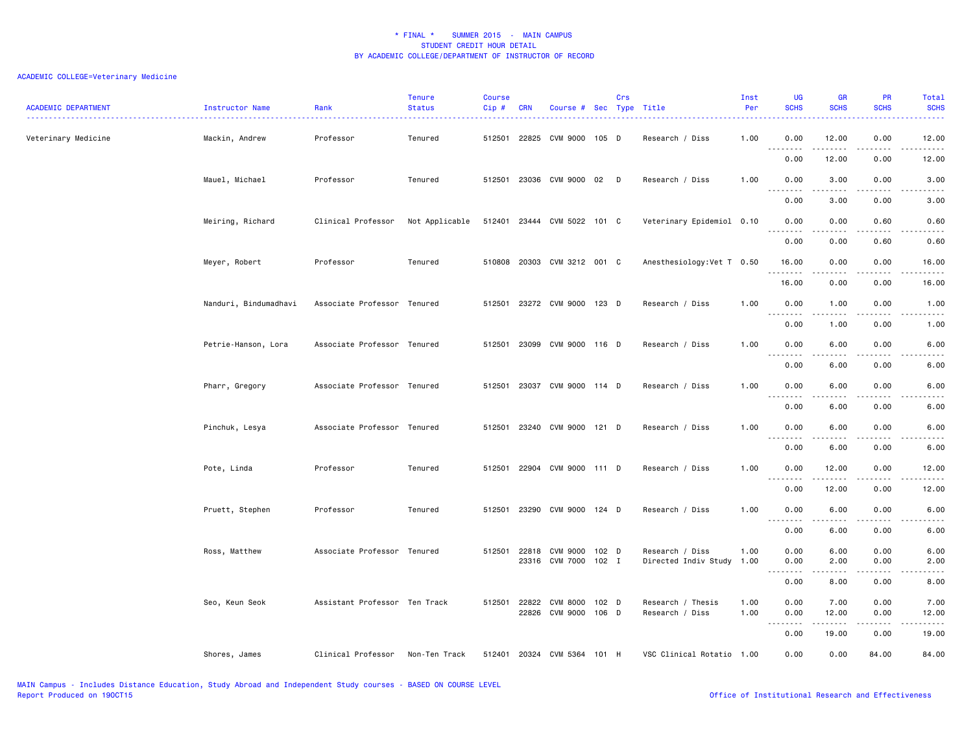| <b>ACADEMIC DEPARTMENT</b> | <b>Instructor Name</b> | Rank                          | <b>Tenure</b><br><b>Status</b> | <b>Course</b><br>$Cip \#$ | <b>CRN</b>   | Course # Sec Type Title          |         | Crs |                                              | Inst<br>Per<br>------- | UG<br><b>SCHS</b>                                                                                                                                                                                                                                                                                                                                                                                                                                                                              | <b>GR</b><br><b>SCHS</b>                                                                                                                                      | <b>PR</b><br><b>SCHS</b>            | Total<br><b>SCHS</b><br>وعاماما                                                                                                                               |
|----------------------------|------------------------|-------------------------------|--------------------------------|---------------------------|--------------|----------------------------------|---------|-----|----------------------------------------------|------------------------|------------------------------------------------------------------------------------------------------------------------------------------------------------------------------------------------------------------------------------------------------------------------------------------------------------------------------------------------------------------------------------------------------------------------------------------------------------------------------------------------|---------------------------------------------------------------------------------------------------------------------------------------------------------------|-------------------------------------|---------------------------------------------------------------------------------------------------------------------------------------------------------------|
| Veterinary Medicine        | Mackin, Andrew         | Professor                     | Tenured                        |                           |              | 512501 22825 CVM 9000 105 D      |         |     | Research / Diss                              | 1.00                   | 0.00<br>.                                                                                                                                                                                                                                                                                                                                                                                                                                                                                      | 12.00<br>.                                                                                                                                                    | 0.00<br>.                           | 12.00<br>.                                                                                                                                                    |
|                            |                        |                               |                                |                           |              |                                  |         |     |                                              |                        | 0.00                                                                                                                                                                                                                                                                                                                                                                                                                                                                                           | 12.00                                                                                                                                                         | 0.00                                | 12.00                                                                                                                                                         |
|                            | Mauel, Michael         | Professor                     | Tenured                        |                           |              | 512501 23036 CVM 9000 02 D       |         |     | Research / Diss                              | 1.00                   | 0.00<br>.                                                                                                                                                                                                                                                                                                                                                                                                                                                                                      | 3.00                                                                                                                                                          | 0.00                                | 3.00                                                                                                                                                          |
|                            |                        |                               |                                |                           |              |                                  |         |     |                                              |                        | 0.00                                                                                                                                                                                                                                                                                                                                                                                                                                                                                           | 3.00                                                                                                                                                          | 0.00                                | 3.00                                                                                                                                                          |
|                            | Meiring, Richard       | Clinical Professor            | Not Applicable                 |                           |              | 512401 23444 CVM 5022 101 C      |         |     | Veterinary Epidemiol 0.10                    |                        | 0.00<br>$\sim$ $\sim$ $\sim$                                                                                                                                                                                                                                                                                                                                                                                                                                                                   | 0.00                                                                                                                                                          | 0.60                                | 0.60                                                                                                                                                          |
|                            |                        |                               |                                |                           |              |                                  |         |     |                                              |                        | 0.00                                                                                                                                                                                                                                                                                                                                                                                                                                                                                           | 0.00                                                                                                                                                          | 0.60                                | 0.60                                                                                                                                                          |
|                            | Meyer, Robert          | Professor                     | Tenured                        |                           |              | 510808 20303 CVM 3212 001 C      |         |     | Anesthesiology: Vet T 0.50                   |                        | 16.00                                                                                                                                                                                                                                                                                                                                                                                                                                                                                          | 0.00<br>المتمام والمناور                                                                                                                                      | 0.00<br>.                           | 16.00<br>.                                                                                                                                                    |
|                            |                        |                               |                                |                           |              |                                  |         |     |                                              |                        | 16.00                                                                                                                                                                                                                                                                                                                                                                                                                                                                                          | 0.00                                                                                                                                                          | 0.00                                | 16.00                                                                                                                                                         |
|                            | Nanduri, Bindumadhavi  | Associate Professor Tenured   |                                |                           |              | 512501 23272 CVM 9000 123 D      |         |     | Research / Diss                              | 1.00                   | 0.00<br>.                                                                                                                                                                                                                                                                                                                                                                                                                                                                                      | 1.00                                                                                                                                                          | 0.00                                | 1.00                                                                                                                                                          |
|                            |                        |                               |                                |                           |              |                                  |         |     |                                              |                        | 0.00                                                                                                                                                                                                                                                                                                                                                                                                                                                                                           | 1.00                                                                                                                                                          | 0.00                                | 1.00                                                                                                                                                          |
|                            | Petrie-Hanson, Lora    | Associate Professor Tenured   |                                |                           |              | 512501 23099 CVM 9000 116 D      |         |     | Research / Diss                              | 1.00                   | 0.00<br>$\sim$ $\sim$ $\sim$<br>.                                                                                                                                                                                                                                                                                                                                                                                                                                                              | 6.00<br><u>.</u>                                                                                                                                              | 0.00<br>. <u>. .</u>                | 6.00<br>.                                                                                                                                                     |
|                            |                        |                               |                                |                           |              |                                  |         |     |                                              |                        | 0.00                                                                                                                                                                                                                                                                                                                                                                                                                                                                                           | 6.00                                                                                                                                                          | 0.00                                | 6.00                                                                                                                                                          |
|                            | Pharr, Gregory         | Associate Professor Tenured   |                                |                           |              | 512501 23037 CVM 9000 114 D      |         |     | Research / Diss                              | 1.00                   | 0.00<br>$\sim$ $\sim$ $\sim$                                                                                                                                                                                                                                                                                                                                                                                                                                                                   | 6.00                                                                                                                                                          | 0.00                                | 6.00                                                                                                                                                          |
|                            |                        |                               |                                |                           |              |                                  |         |     |                                              |                        | 0.00                                                                                                                                                                                                                                                                                                                                                                                                                                                                                           | 6.00                                                                                                                                                          | 0.00                                | 6.00                                                                                                                                                          |
|                            | Pinchuk, Lesya         | Associate Professor Tenured   |                                |                           |              | 512501 23240 CVM 9000 121 D      |         |     | Research / Diss                              | 1.00                   | 0.00<br>$\begin{array}{cccccccccccccc} \multicolumn{2}{c}{} & \multicolumn{2}{c}{} & \multicolumn{2}{c}{} & \multicolumn{2}{c}{} & \multicolumn{2}{c}{} & \multicolumn{2}{c}{} & \multicolumn{2}{c}{} & \multicolumn{2}{c}{} & \multicolumn{2}{c}{} & \multicolumn{2}{c}{} & \multicolumn{2}{c}{} & \multicolumn{2}{c}{} & \multicolumn{2}{c}{} & \multicolumn{2}{c}{} & \multicolumn{2}{c}{} & \multicolumn{2}{c}{} & \multicolumn{2}{c}{} & \multicolumn{2}{c}{} & \multicolumn{2}{c}{} & \$ | 6.00<br>$- - - - -$                                                                                                                                           | 0.00<br>$\frac{1}{2}$               | 6.00<br>.                                                                                                                                                     |
|                            |                        |                               |                                |                           |              |                                  |         |     |                                              |                        | 0.00                                                                                                                                                                                                                                                                                                                                                                                                                                                                                           | 6.00                                                                                                                                                          | 0.00                                | 6.00                                                                                                                                                          |
|                            | Pote, Linda            | Professor                     | Tenured                        |                           |              | 512501 22904 CVM 9000 111 D      |         |     | Research / Diss                              | 1.00                   | 0.00<br>22222<br>$\sim$ $\sim$ $\sim$                                                                                                                                                                                                                                                                                                                                                                                                                                                          | 12.00<br>$\frac{1}{2} \left( \frac{1}{2} \right) \left( \frac{1}{2} \right) \left( \frac{1}{2} \right) \left( \frac{1}{2} \right) \left( \frac{1}{2} \right)$ | 0.00<br>$\sim$ $\sim$ $\sim$ $\sim$ | 12.00<br>$\frac{1}{2} \left( \frac{1}{2} \right) \left( \frac{1}{2} \right) \left( \frac{1}{2} \right) \left( \frac{1}{2} \right) \left( \frac{1}{2} \right)$ |
|                            |                        |                               |                                |                           |              |                                  |         |     |                                              |                        | 0.00                                                                                                                                                                                                                                                                                                                                                                                                                                                                                           | 12.00                                                                                                                                                         | 0.00                                | 12.00                                                                                                                                                         |
|                            | Pruett, Stephen        | Professor                     | Tenured                        |                           |              | 512501 23290 CVM 9000 124 D      |         |     | Research / Diss                              | 1.00                   | 0.00                                                                                                                                                                                                                                                                                                                                                                                                                                                                                           | 6.00                                                                                                                                                          | 0.00                                | 6.00                                                                                                                                                          |
|                            |                        |                               |                                |                           |              |                                  |         |     |                                              |                        | 0.00                                                                                                                                                                                                                                                                                                                                                                                                                                                                                           | 6.00                                                                                                                                                          | 0.00                                | 6.00                                                                                                                                                          |
|                            | Ross, Matthew          | Associate Professor Tenured   |                                |                           | 512501 22818 | CVM 9000<br>23316 CVM 7000 102 I | $102$ D |     | Research / Diss<br>Directed Indiv Study 1.00 | 1.00                   | 0.00<br>0.00                                                                                                                                                                                                                                                                                                                                                                                                                                                                                   | 6.00<br>2.00                                                                                                                                                  | 0.00<br>0.00                        | 6.00<br>2.00                                                                                                                                                  |
|                            |                        |                               |                                |                           |              |                                  |         |     |                                              |                        | <b></b><br>0.00                                                                                                                                                                                                                                                                                                                                                                                                                                                                                | .<br>8.00                                                                                                                                                     | $\frac{1}{2}$<br>0.00               | .<br>8.00                                                                                                                                                     |
|                            | Seo, Keun Seok         | Assistant Professor Ten Track |                                |                           | 512501 22822 | CVM 8000                         | 102 D   |     | Research / Thesis                            | 1.00                   | 0.00                                                                                                                                                                                                                                                                                                                                                                                                                                                                                           | 7.00                                                                                                                                                          | 0.00                                | 7.00                                                                                                                                                          |
|                            |                        |                               |                                |                           |              | 22826 CVM 9000 106 D             |         |     | Research / Diss                              | 1.00                   | 0.00<br>.                                                                                                                                                                                                                                                                                                                                                                                                                                                                                      | 12.00<br>.                                                                                                                                                    | 0.00<br>.                           | 12.00<br>.                                                                                                                                                    |
|                            |                        |                               |                                |                           |              |                                  |         |     |                                              |                        | 0.00                                                                                                                                                                                                                                                                                                                                                                                                                                                                                           | 19.00                                                                                                                                                         | 0.00                                | 19.00                                                                                                                                                         |
|                            | Shores, James          | Clinical Professor            | Non-Ten Track                  |                           |              | 512401 20324 CVM 5364 101 H      |         |     | VSC Clinical Rotatio 1.00                    |                        | 0.00                                                                                                                                                                                                                                                                                                                                                                                                                                                                                           | 0.00                                                                                                                                                          | 84.00                               | 84.00                                                                                                                                                         |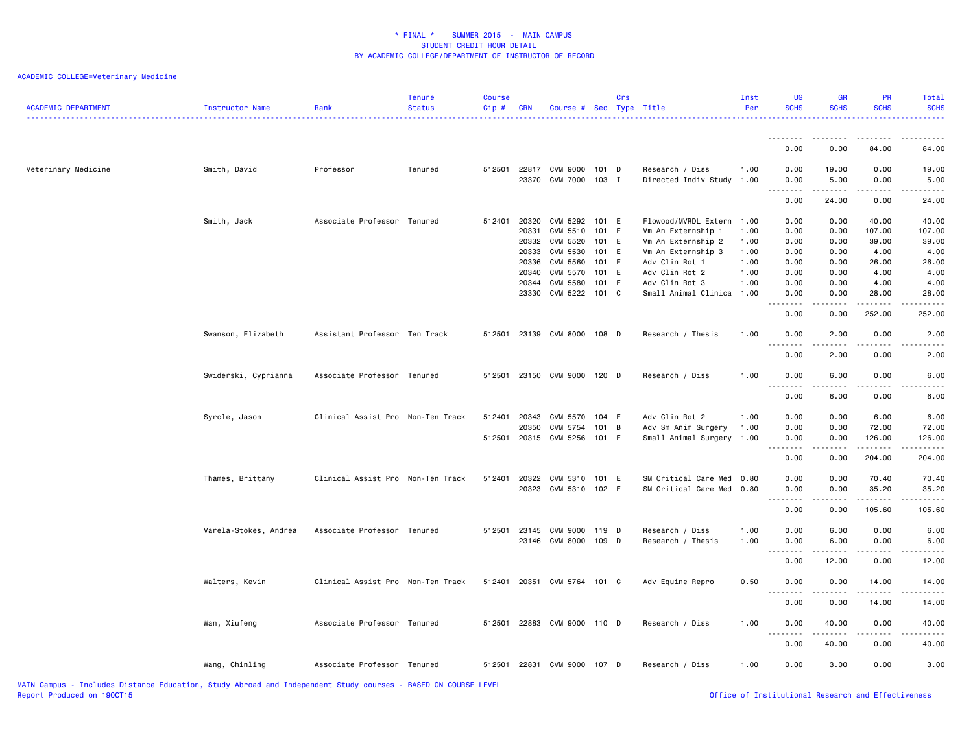## ACADEMIC COLLEGE=Veterinary Medicine

| <b>ACADEMIC DEPARTMENT</b> | Instructor Name       | Rank                              | <b>Tenure</b><br><b>Status</b> | <b>Course</b><br>Cip# | <b>CRN</b>     | Course # Sec Type Title     |                | Crs |                                      | Inst<br>Per  | UG<br><b>SCHS</b>                                                                                                                 | GR<br><b>SCHS</b>                                                                                                                                             | PR<br><b>SCHS</b> | <b>Total</b><br><b>SCHS</b> |
|----------------------------|-----------------------|-----------------------------------|--------------------------------|-----------------------|----------------|-----------------------------|----------------|-----|--------------------------------------|--------------|-----------------------------------------------------------------------------------------------------------------------------------|---------------------------------------------------------------------------------------------------------------------------------------------------------------|-------------------|-----------------------------|
|                            |                       |                                   |                                |                       |                |                             |                |     |                                      |              | <u>.</u><br>0.00                                                                                                                  | .<br>0.00                                                                                                                                                     | 84.00             | 84.00                       |
| Veterinary Medicine        | Smith, David          | Professor                         | Tenured                        | 512501                |                | 22817 CVM 9000 101 D        |                |     | Research / Diss                      | 1.00         | 0.00                                                                                                                              | 19.00                                                                                                                                                         | 0.00              | 19.00                       |
|                            |                       |                                   |                                |                       |                | 23370 CVM 7000 103 I        |                |     | Directed Indiv Study 1.00            |              | 0.00<br><u>.</u>                                                                                                                  | 5.00<br>$\frac{1}{2} \left( \frac{1}{2} \right) \left( \frac{1}{2} \right) \left( \frac{1}{2} \right) \left( \frac{1}{2} \right) \left( \frac{1}{2} \right)$  | 0.00<br><u>.</u>  | 5.00                        |
|                            |                       |                                   |                                |                       |                |                             |                |     |                                      |              | 0.00                                                                                                                              | 24.00                                                                                                                                                         | 0.00              | 24.00                       |
|                            | Smith, Jack           | Associate Professor Tenured       |                                | 512401                | 20320          | CVM 5292 101 E              |                |     | Flowood/MVRDL Extern 1.00            |              | 0.00                                                                                                                              | 0.00                                                                                                                                                          | 40.00             | 40.00                       |
|                            |                       |                                   |                                |                       | 20331          | CVM 5510 101 E              |                |     | Vm An Externship 1                   | 1.00         | 0.00                                                                                                                              | 0.00                                                                                                                                                          | 107.00            | 107.00                      |
|                            |                       |                                   |                                |                       | 20332          | CVM 5520                    | 101 E          |     | Vm An Externship 2                   | 1.00         | 0.00                                                                                                                              | 0.00                                                                                                                                                          | 39.00             | 39.00                       |
|                            |                       |                                   |                                |                       | 20333<br>20336 | CVM 5530<br>CVM 5560        | 101 E<br>101 E |     | Vm An Externship 3<br>Adv Clin Rot 1 | 1.00<br>1.00 | 0.00<br>0.00                                                                                                                      | 0.00<br>0.00                                                                                                                                                  | 4.00<br>26.00     | 4.00<br>26.00               |
|                            |                       |                                   |                                |                       | 20340          | CVM 5570                    | 101 E          |     | Adv Clin Rot 2                       | 1.00         | 0.00                                                                                                                              | 0.00                                                                                                                                                          | 4.00              | 4.00                        |
|                            |                       |                                   |                                |                       |                | 20344 CVM 5580              | 101 E          |     | Adv Clin Rot 3                       | 1.00         | 0.00                                                                                                                              | 0.00                                                                                                                                                          | 4.00              | 4.00                        |
|                            |                       |                                   |                                |                       | 23330          | CVM 5222                    | 101 C          |     | Small Animal Clinica 1.00            |              | 0.00                                                                                                                              | 0.00                                                                                                                                                          | 28.00             | 28.00                       |
|                            |                       |                                   |                                |                       |                |                             |                |     |                                      |              | $\frac{1}{2} \left( \frac{1}{2} \right) \left( \frac{1}{2} \right) \left( \frac{1}{2} \right) \left( \frac{1}{2} \right)$         | $\sim$ $\sim$ $\sim$                                                                                                                                          |                   |                             |
|                            |                       |                                   |                                |                       |                |                             |                |     |                                      |              | 0.00                                                                                                                              | 0.00                                                                                                                                                          | 252.00            | 252.00                      |
|                            | Swanson, Elizabeth    | Assistant Professor Ten Track     |                                | 512501                |                | 23139 CVM 8000 108 D        |                |     | Research / Thesis                    | 1.00         | 0.00<br>$\frac{1}{2} \left( \frac{1}{2} \right) \left( \frac{1}{2} \right) \left( \frac{1}{2} \right) \left( \frac{1}{2} \right)$ | 2.00                                                                                                                                                          | 0.00              | 2.00                        |
|                            |                       |                                   |                                |                       |                |                             |                |     |                                      |              | 0.00                                                                                                                              | 2.00                                                                                                                                                          | 0.00              | 2.00                        |
|                            | Swiderski, Cyprianna  | Associate Professor Tenured       |                                | 512501                |                | 23150 CVM 9000 120 D        |                |     | Research / Diss                      | 1.00         | 0.00<br>.                                                                                                                         | 6.00<br>----                                                                                                                                                  | 0.00              | 6.00                        |
|                            |                       |                                   |                                |                       |                |                             |                |     |                                      |              | 0.00                                                                                                                              | 6.00                                                                                                                                                          | 0.00              | 6.00                        |
|                            | Syrcle, Jason         | Clinical Assist Pro Non-Ten Track |                                | 512401                | 20343          | CVM 5570 104 E              |                |     | Adv Clin Rot 2                       | 1.00         | 0.00                                                                                                                              | 0.00                                                                                                                                                          | 6.00              | 6.00                        |
|                            |                       |                                   |                                |                       | 20350          | CVM 5754                    | $101$ B        |     | Adv Sm Anim Surgery                  | 1.00         | 0.00                                                                                                                              | 0.00                                                                                                                                                          | 72.00             | 72.00                       |
|                            |                       |                                   |                                | 512501                |                | 20315 CVM 5256 101 E        |                |     | Small Animal Surgery                 | 1.00         | 0.00                                                                                                                              | 0.00                                                                                                                                                          | 126.00            | 126.00                      |
|                            |                       |                                   |                                |                       |                |                             |                |     |                                      |              |                                                                                                                                   |                                                                                                                                                               |                   |                             |
|                            |                       |                                   |                                |                       |                |                             |                |     |                                      |              | 0.00                                                                                                                              | 0.00                                                                                                                                                          | 204.00            | 204.00                      |
|                            | Thames, Brittany      | Clinical Assist Pro Non-Ten Track |                                | 512401                |                | 20322 CVM 5310 101 E        |                |     | SM Critical Care Med 0.80            |              | 0.00                                                                                                                              | 0.00                                                                                                                                                          | 70.40             | 70.40                       |
|                            |                       |                                   |                                |                       |                | 20323 CVM 5310 102 E        |                |     | SM Critical Care Med 0.80            |              | 0.00                                                                                                                              | 0.00                                                                                                                                                          | 35.20             | 35.20                       |
|                            |                       |                                   |                                |                       |                |                             |                |     |                                      |              | 22222<br>0.00                                                                                                                     | $\omega$ $\omega$ $\omega$ $\omega$<br>0.00                                                                                                                   | .<br>105.60       | 105.60                      |
|                            | Varela-Stokes, Andrea | Associate Professor Tenured       |                                | 512501                |                | 23145 CVM 9000 119 D        |                |     | Research / Diss                      | 1.00         | 0.00                                                                                                                              | 6.00                                                                                                                                                          | 0.00              | 6.00                        |
|                            |                       |                                   |                                |                       |                | 23146 CVM 8000 109 D        |                |     | Research / Thesis                    | 1.00         | 0.00                                                                                                                              | 6.00                                                                                                                                                          | 0.00              | 6.00                        |
|                            |                       |                                   |                                |                       |                |                             |                |     |                                      |              | .<br>0.00                                                                                                                         | .<br>12.00                                                                                                                                                    | 0.00              | 12.00                       |
|                            |                       |                                   |                                |                       |                |                             |                |     |                                      |              |                                                                                                                                   |                                                                                                                                                               |                   |                             |
|                            | Walters, Kevin        | Clinical Assist Pro Non-Ten Track |                                |                       |                | 512401 20351 CVM 5764 101 C |                |     | Adv Equine Repro                     | 0.50         | 0.00<br><u>.</u>                                                                                                                  | 0.00<br>----                                                                                                                                                  | 14.00             | 14.00                       |
|                            |                       |                                   |                                |                       |                |                             |                |     |                                      |              | 0.00                                                                                                                              | 0.00                                                                                                                                                          | 14.00             | 14.00                       |
|                            | Wan, Xiufeng          | Associate Professor Tenured       |                                |                       |                | 512501 22883 CVM 9000 110 D |                |     | Research / Diss                      | 1.00         | 0.00<br><u>.</u>                                                                                                                  | 40.00<br>$\frac{1}{2} \left( \frac{1}{2} \right) \left( \frac{1}{2} \right) \left( \frac{1}{2} \right) \left( \frac{1}{2} \right) \left( \frac{1}{2} \right)$ | 0.00<br>.         | 40.00                       |
|                            |                       |                                   |                                |                       |                |                             |                |     |                                      |              | 0.00                                                                                                                              | 40.00                                                                                                                                                         | 0.00              | 40.00                       |
|                            | Wang, Chinling        | Associate Professor Tenured       |                                | 512501                |                | 22831 CVM 9000 107 D        |                |     | Research / Diss                      | 1.00         | 0.00                                                                                                                              | 3.00                                                                                                                                                          | 0.00              | 3.00                        |

Office of Institutional Research and Effectiveness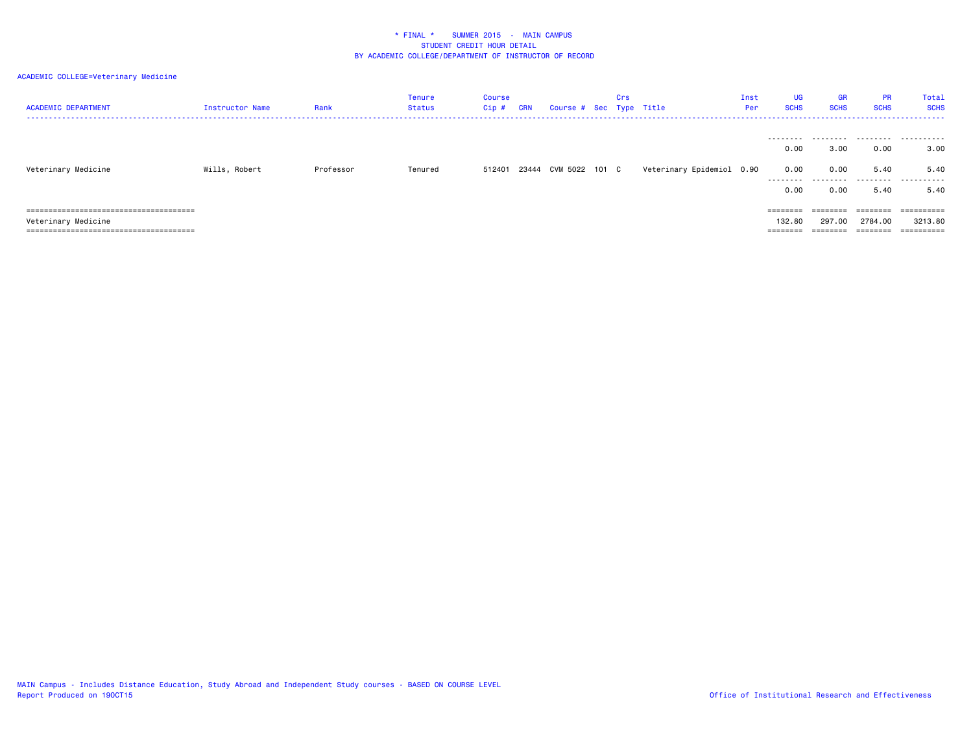| <b>ACADEMIC DEPARTMENT</b> | Instructor Name | Rank      | Tenure<br>Status | Course<br>Cip# | <b>CRN</b> | Course # Sec Type Title | Crs |                           | Inst<br>Per | UG<br><b>SCHS</b> | <b>GR</b><br><b>SCHS</b> | <b>PR</b><br><b>SCHS</b> | Total<br><b>SCHS</b><br>. |
|----------------------------|-----------------|-----------|------------------|----------------|------------|-------------------------|-----|---------------------------|-------------|-------------------|--------------------------|--------------------------|---------------------------|
|                            |                 |           |                  |                |            |                         |     |                           |             | 0.00              | 3.00                     | 0.00                     | 3,00                      |
| Veterinary Medicine        | Wills, Robert   | Professor | Tenured          | 512401         |            | 23444 CVM 5022 101 C    |     | Veterinary Epidemiol 0.90 |             | 0.00<br>.         | 0.00<br>.                | 5.40                     | 5.40<br>.                 |
|                            |                 |           |                  |                |            |                         |     |                           |             | 0.00              | 0.00                     | 5.40                     | 5.40                      |
|                            |                 |           |                  |                |            |                         |     |                           |             |                   |                          | ========                 | ==========                |
| Veterinary Medicine        |                 |           |                  |                |            |                         |     |                           |             | 132.80            | 297.00                   | 2784.00                  | 3213.80                   |
|                            |                 |           |                  |                |            |                         |     |                           |             |                   |                          | $=$ = = = = = = =        | ==========                |